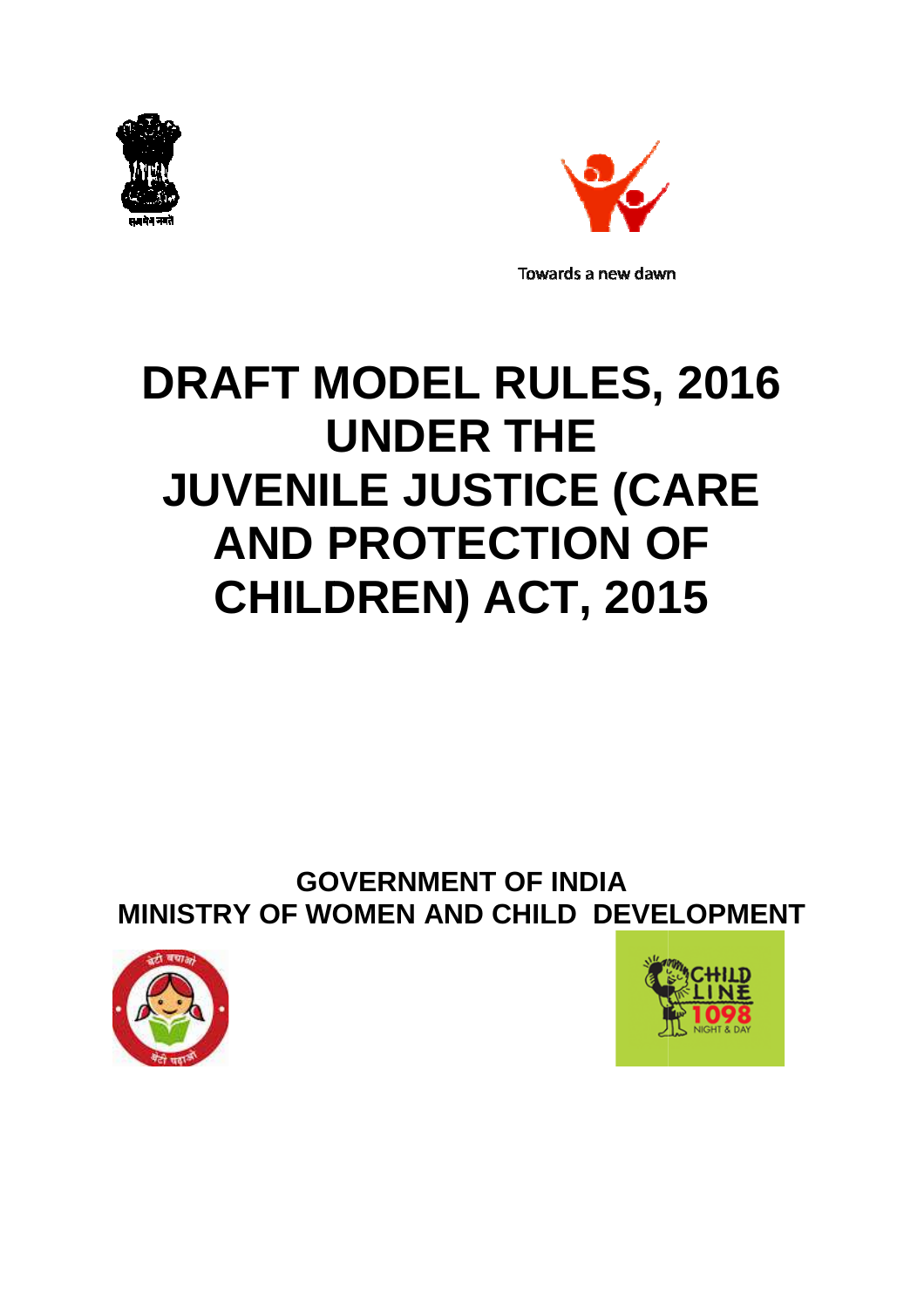



# **DRAFT MODEL RULES, 2016 UNDER THE JUVENILE JUSTICE (CARE AND PROTECTION OF CHILDREN) ACT, 2015**

**GOVERNMENT OF INDIA MINISTRY OF WOMEN AND CHILD DEVELOPMENT**



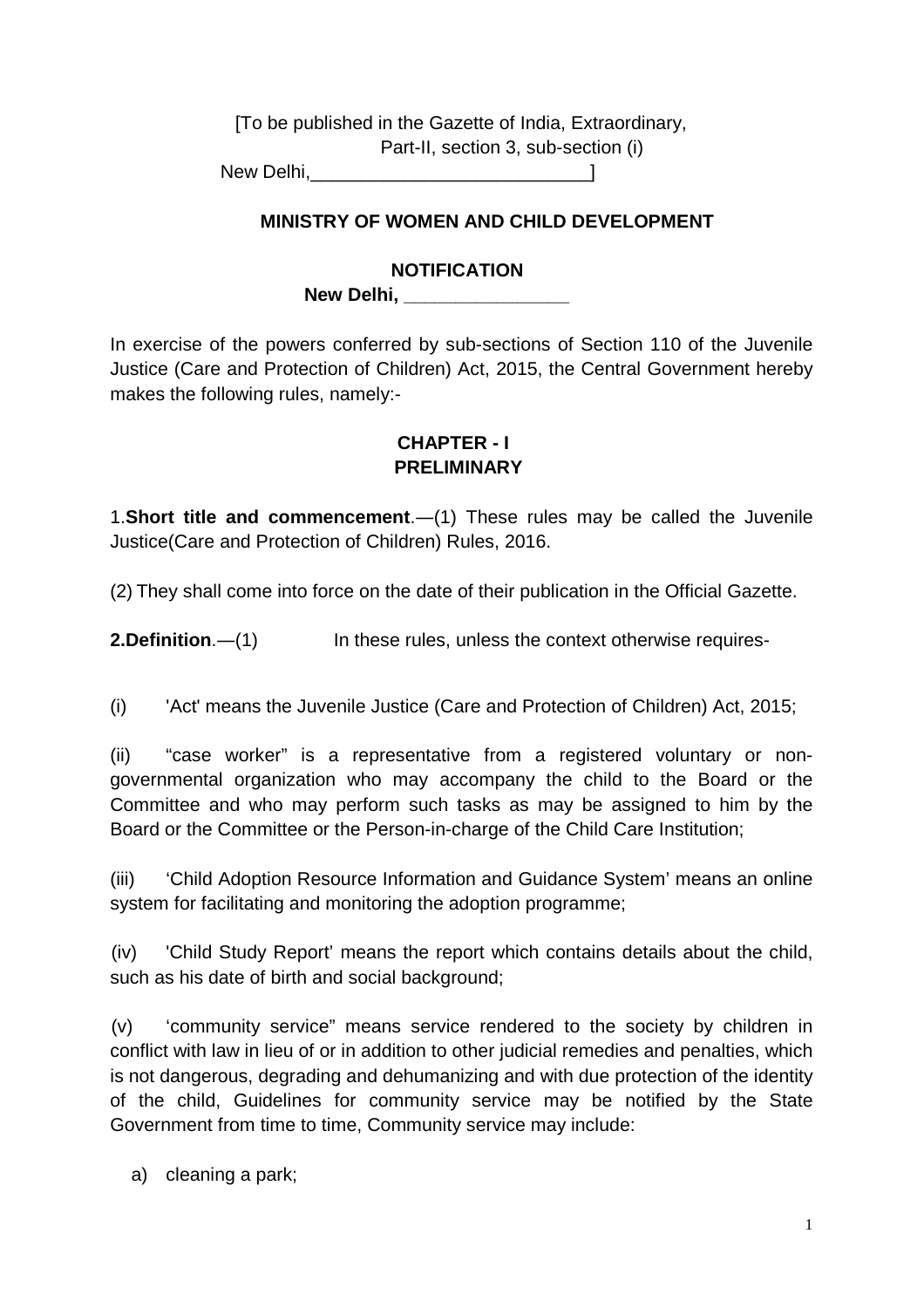[To be published in the Gazette of India, Extraordinary, Part-II, section 3, sub-section (i) New Delhi, the contract of the contract of the contract of the contract of the contract of the contract of the contract of the contract of the contract of the contract of the contract of the contract of the contract of the

#### **MINISTRY OF WOMEN AND CHILD DEVELOPMENT**

#### **NOTIFICATION**

**New Delhi, \_\_\_\_\_\_\_\_\_\_\_\_\_\_\_\_**

In exercise of the powers conferred by sub-sections of Section 110 of the Juvenile Justice (Care and Protection of Children) Act, 2015, the Central Government hereby makes the following rules, namely:-

#### **CHAPTER - I PRELIMINARY**

1.**Short title and commencement**.―(1) These rules may be called the Juvenile Justice(Care and Protection of Children) Rules, 2016.

(2) They shall come into force on the date of their publication in the Official Gazette.

**2.Definition.**—(1) **In these rules, unless the context otherwise requires-**

(i) 'Act' means the Juvenile Justice (Care and Protection of Children) Act, 2015;

(ii) "case worker" is a representative from a registered voluntary or nongovernmental organization who may accompany the child to the Board or the Committee and who may perform such tasks as may be assigned to him by the Board or the Committee or the Person-in-charge of the Child Care Institution;

(iii) 'Child Adoption Resource Information and Guidance System' means an online system for facilitating and monitoring the adoption programme;

(iv) 'Child Study Report' means the report which contains details about the child, such as his date of birth and social background;

(v) 'community service" means service rendered to the society by children in conflict with law in lieu of or in addition to other judicial remedies and penalties, which is not dangerous, degrading and dehumanizing and with due protection of the identity of the child, Guidelines for community service may be notified by the State Government from time to time, Community service may include:

a) cleaning a park;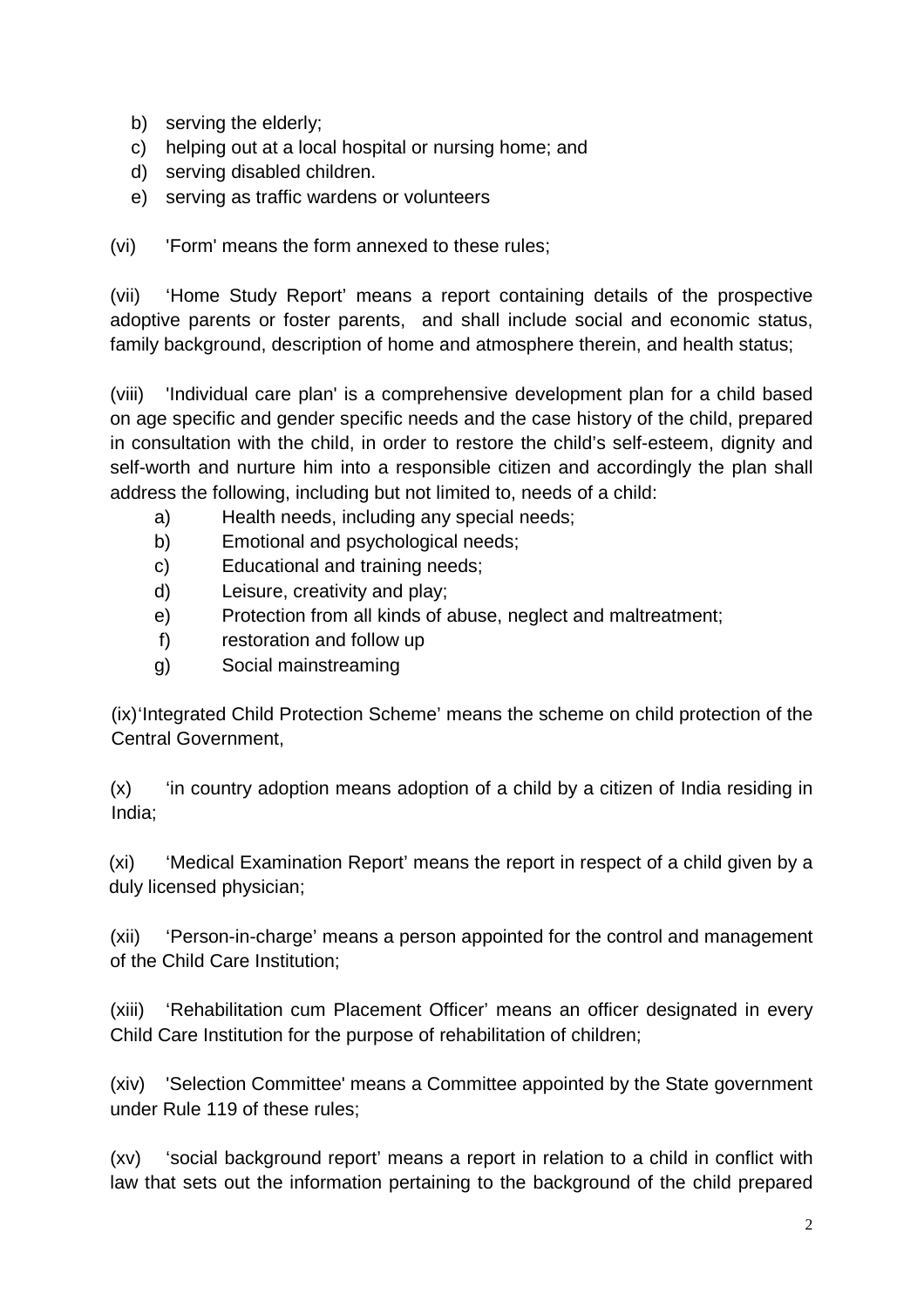- b) serving the elderly;
- c) helping out at a local hospital or nursing home; and
- d) serving disabled children.
- e) serving as traffic wardens or volunteers

(vi) 'Form' means the form annexed to these rules;

(vii) 'Home Study Report' means a report containing details of the prospective adoptive parents or foster parents, and shall include social and economic status, family background, description of home and atmosphere therein, and health status;

(viii) 'Individual care plan' is a comprehensive development plan for a child based on age specific and gender specific needs and the case history of the child, prepared in consultation with the child, in order to restore the child's self-esteem, dignity and self-worth and nurture him into a responsible citizen and accordingly the plan shall address the following, including but not limited to, needs of a child:

- a) Health needs, including any special needs;
- b) Emotional and psychological needs;
- c) Educational and training needs;
- d) Leisure, creativity and play;
- e) Protection from all kinds of abuse, neglect and maltreatment;
- f) restoration and follow up
- g) Social mainstreaming

(ix) 'Integrated Child Protection Scheme' means the scheme on child protection of the Central Government,

(x) 'in country adoption means adoption of a child by a citizen of India residing in India;

(xi) 'Medical Examination Report' means the report in respect of a child given by a duly licensed physician;

(xii) 'Person-in-charge' means a person appointed for the control and management of the Child Care Institution;

(xiii) 'Rehabilitation cum Placement Officer' means an officer designated in every Child Care Institution for the purpose of rehabilitation of children;

(xiv) 'Selection Committee' means a Committee appointed by the State government under Rule 119 of these rules;

(xv) 'social background report' means a report in relation to a child in conflict with law that sets out the information pertaining to the background of the child prepared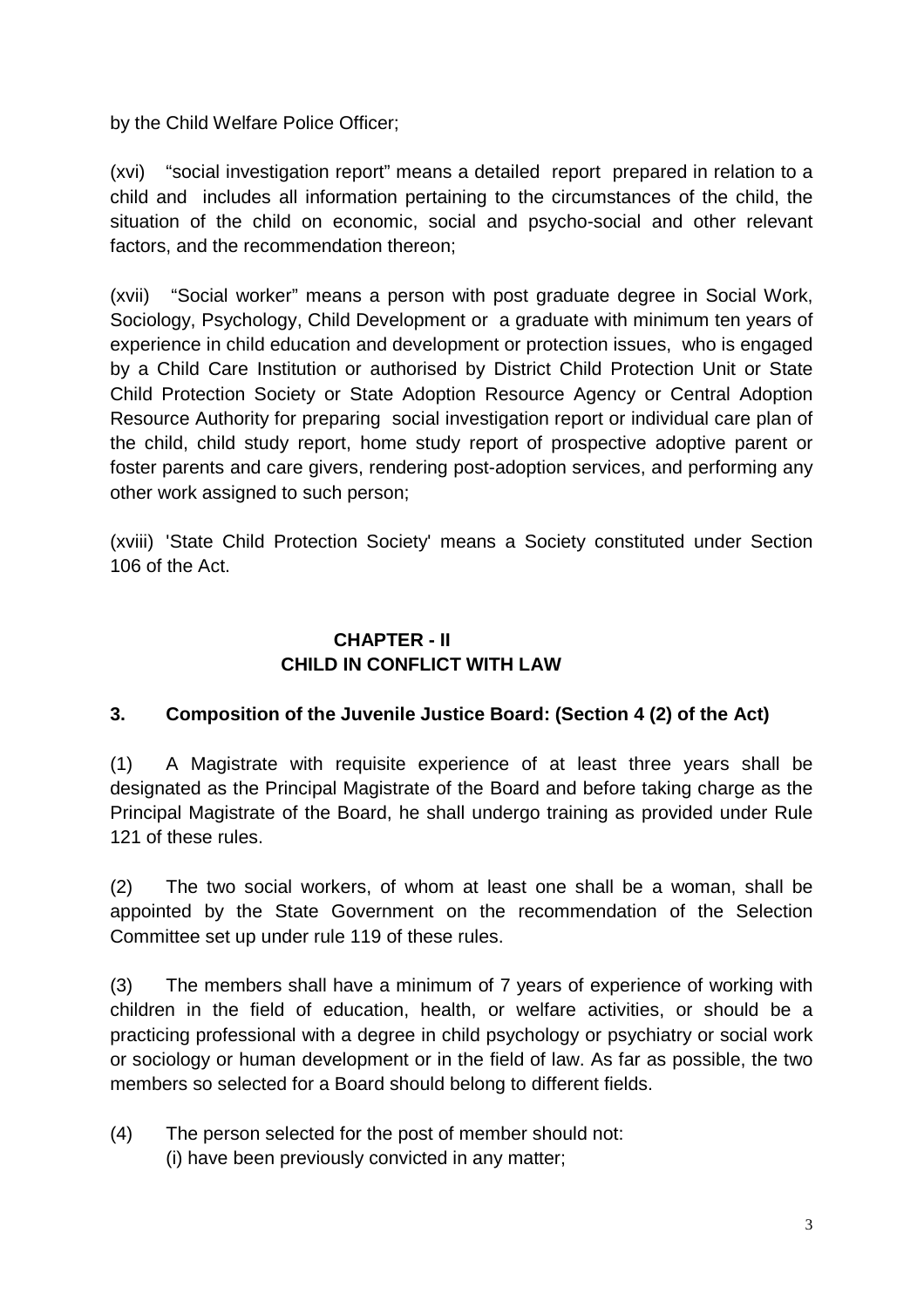by the Child Welfare Police Officer;

(xvi) "social investigation report" means a detailed report prepared in relation to a child and includes all information pertaining to the circumstances of the child, the situation of the child on economic, social and psycho-social and other relevant factors, and the recommendation thereon;

(xvii) "Social worker" means a person with post graduate degree in Social Work, Sociology, Psychology, Child Development or a graduate with minimum ten years of experience in child education and development or protection issues, who is engaged by a Child Care Institution or authorised by District Child Protection Unit or State Child Protection Society or State Adoption Resource Agency or Central Adoption Resource Authority for preparing social investigation report or individual care plan of the child, child study report, home study report of prospective adoptive parent or foster parents and care givers, rendering post-adoption services, and performing any other work assigned to such person;

(xviii) 'State Child Protection Society' means a Society constituted under Section 106 of the Act.

#### **CHAPTER - II CHILD IN CONFLICT WITH LAW**

## **3. Composition of the Juvenile Justice Board: (Section 4 (2) of the Act)**

(1) A Magistrate with requisite experience of at least three years shall be designated as the Principal Magistrate of the Board and before taking charge as the Principal Magistrate of the Board, he shall undergo training as provided under Rule 121 of these rules.

(2) The two social workers, of whom at least one shall be a woman, shall be appointed by the State Government on the recommendation of the Selection Committee set up under rule 119 of these rules.

(3) The members shall have a minimum of 7 years of experience of working with children in the field of education, health, or welfare activities, or should be a practicing professional with a degree in child psychology or psychiatry or social work or sociology or human development or in the field of law. As far as possible, the two members so selected for a Board should belong to different fields.

(4) The person selected for the post of member should not:

(i) have been previously convicted in any matter;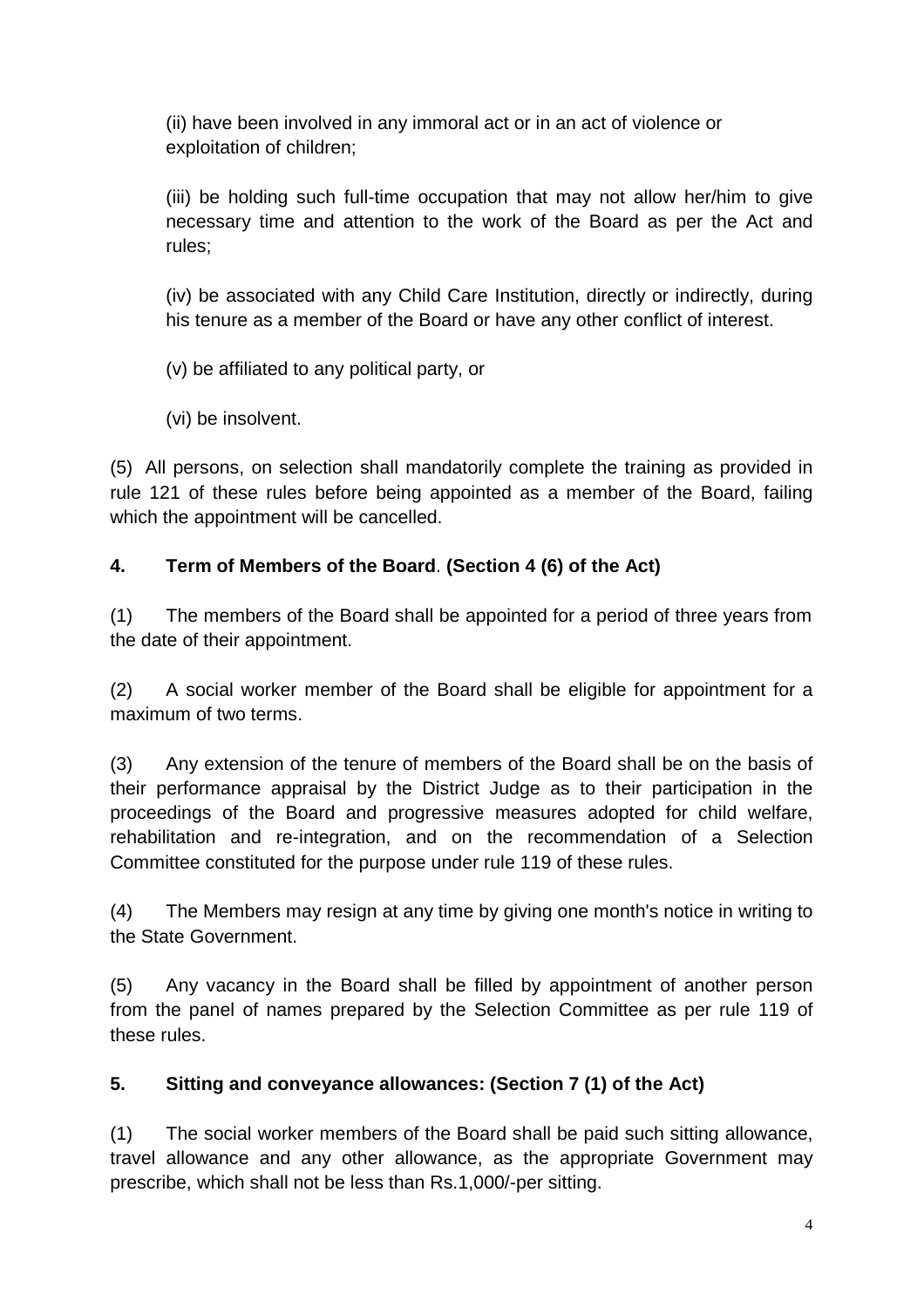(ii) have been involved in any immoral act or in an act of violence or exploitation of children;

(iii) be holding such full-time occupation that may not allow her/him to give necessary time and attention to the work of the Board as per the Act and rules;

(iv) be associated with any Child Care Institution, directly or indirectly, during his tenure as a member of the Board or have any other conflict of interest.

(v) be affiliated to any political party, or

(vi) be insolvent.

(5) All persons, on selection shall mandatorily complete the training as provided in rule 121 of these rules before being appointed as a member of the Board, failing which the appointment will be cancelled.

# **4. Term of Members of the Board**. **(Section 4 (6) of the Act)**

(1) The members of the Board shall be appointed for a period of three years from the date of their appointment.

(2) A social worker member of the Board shall be eligible for appointment for a maximum of two terms.

(3) Any extension of the tenure of members of the Board shall be on the basis of their performance appraisal by the District Judge as to their participation in the proceedings of the Board and progressive measures adopted for child welfare, rehabilitation and re-integration, and on the recommendation of a Selection Committee constituted for the purpose under rule 119 of these rules.

(4) The Members may resign at any time by giving one month's notice in writing to the State Government.

(5) Any vacancy in the Board shall be filled by appointment of another person from the panel of names prepared by the Selection Committee as per rule 119 of these rules.

# **5. Sitting and conveyance allowances: (Section 7 (1) of the Act)**

(1) The social worker members of the Board shall be paid such sitting allowance, travel allowance and any other allowance, as the appropriate Government may prescribe, which shall not be less than Rs.1,000/-per sitting.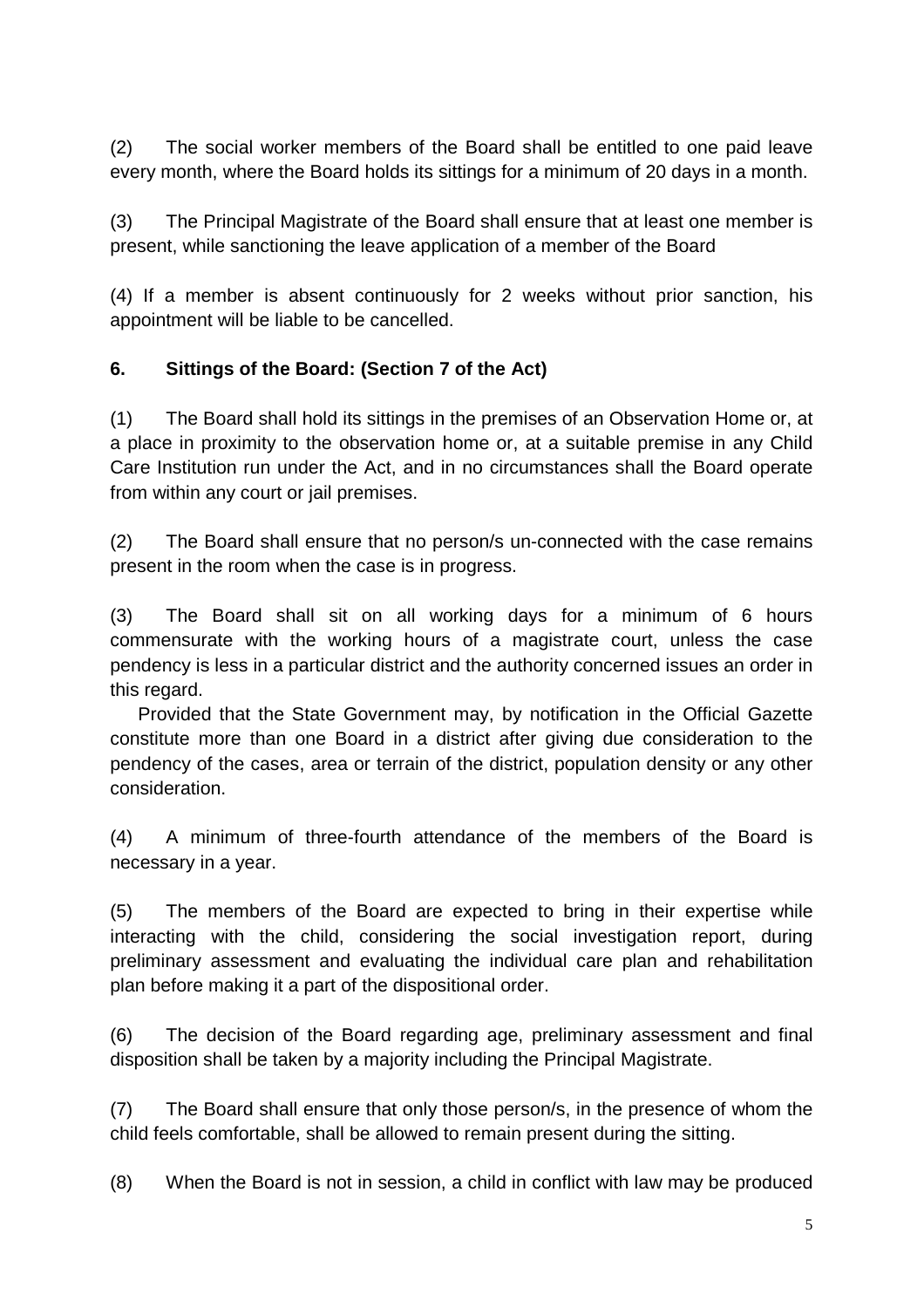(2) The social worker members of the Board shall be entitled to one paid leave every month, where the Board holds its sittings for a minimum of 20 days in a month.

(3) The Principal Magistrate of the Board shall ensure that at least one member is present, while sanctioning the leave application of a member of the Board

(4) If a member is absent continuously for 2 weeks without prior sanction, his appointment will be liable to be cancelled.

## **6. Sittings of the Board: (Section 7 of the Act)**

(1) The Board shall hold its sittings in the premises of an Observation Home or, at a place in proximity to the observation home or, at a suitable premise in any Child Care Institution run under the Act, and in no circumstances shall the Board operate from within any court or jail premises.

(2) The Board shall ensure that no person/s un-connected with the case remains present in the room when the case is in progress.

(3) The Board shall sit on all working days for a minimum of 6 hours commensurate with the working hours of a magistrate court, unless the case pendency is less in a particular district and the authority concerned issues an order in this regard.

Provided that the State Government may, by notification in the Official Gazette constitute more than one Board in a district after giving due consideration to the pendency of the cases, area or terrain of the district, population density or any other consideration.

(4) A minimum of three-fourth attendance of the members of the Board is necessary in a year.

(5) The members of the Board are expected to bring in their expertise while interacting with the child, considering the social investigation report, during preliminary assessment and evaluating the individual care plan and rehabilitation plan before making it a part of the dispositional order.

(6) The decision of the Board regarding age, preliminary assessment and final disposition shall be taken by a majority including the Principal Magistrate.

(7) The Board shall ensure that only those person/s, in the presence of whom the child feels comfortable, shall be allowed to remain present during the sitting.

(8) When the Board is not in session, a child in conflict with law may be produced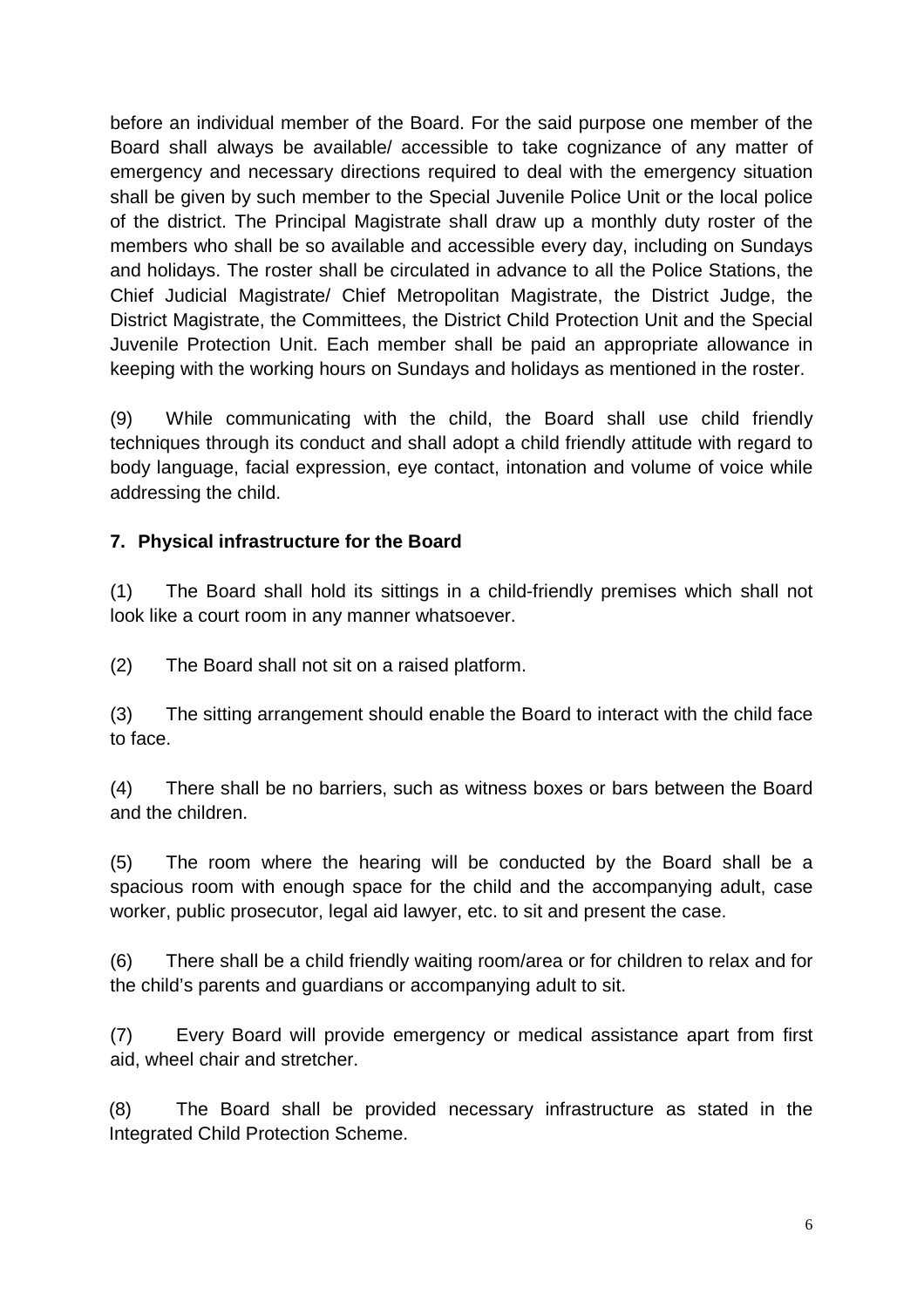before an individual member of the Board. For the said purpose one member of the Board shall always be available/ accessible to take cognizance of any matter of emergency and necessary directions required to deal with the emergency situation shall be given by such member to the Special Juvenile Police Unit or the local police of the district. The Principal Magistrate shall draw up a monthly duty roster of the members who shall be so available and accessible every day, including on Sundays and holidays. The roster shall be circulated in advance to all the Police Stations, the Chief Judicial Magistrate/ Chief Metropolitan Magistrate, the District Judge, the District Magistrate, the Committees, the District Child Protection Unit and the Special Juvenile Protection Unit. Each member shall be paid an appropriate allowance in keeping with the working hours on Sundays and holidays as mentioned in the roster.

(9) While communicating with the child, the Board shall use child friendly techniques through its conduct and shall adopt a child friendly attitude with regard to body language, facial expression, eye contact, intonation and volume of voice while addressing the child.

## **7. Physical infrastructure for the Board**

(1) The Board shall hold its sittings in a child-friendly premises which shall not look like a court room in any manner whatsoever.

(2) The Board shall not sit on a raised platform.

(3) The sitting arrangement should enable the Board to interact with the child face to face.

(4) There shall be no barriers, such as witness boxes or bars between the Board and the children.

(5) The room where the hearing will be conducted by the Board shall be a spacious room with enough space for the child and the accompanying adult, case worker, public prosecutor, legal aid lawyer, etc. to sit and present the case.

(6) There shall be a child friendly waiting room/area or for children to relax and for the child's parents and guardians or accompanying adult to sit.

(7) Every Board will provide emergency or medical assistance apart from first aid, wheel chair and stretcher.

(8) The Board shall be provided necessary infrastructure as stated in the Integrated Child Protection Scheme.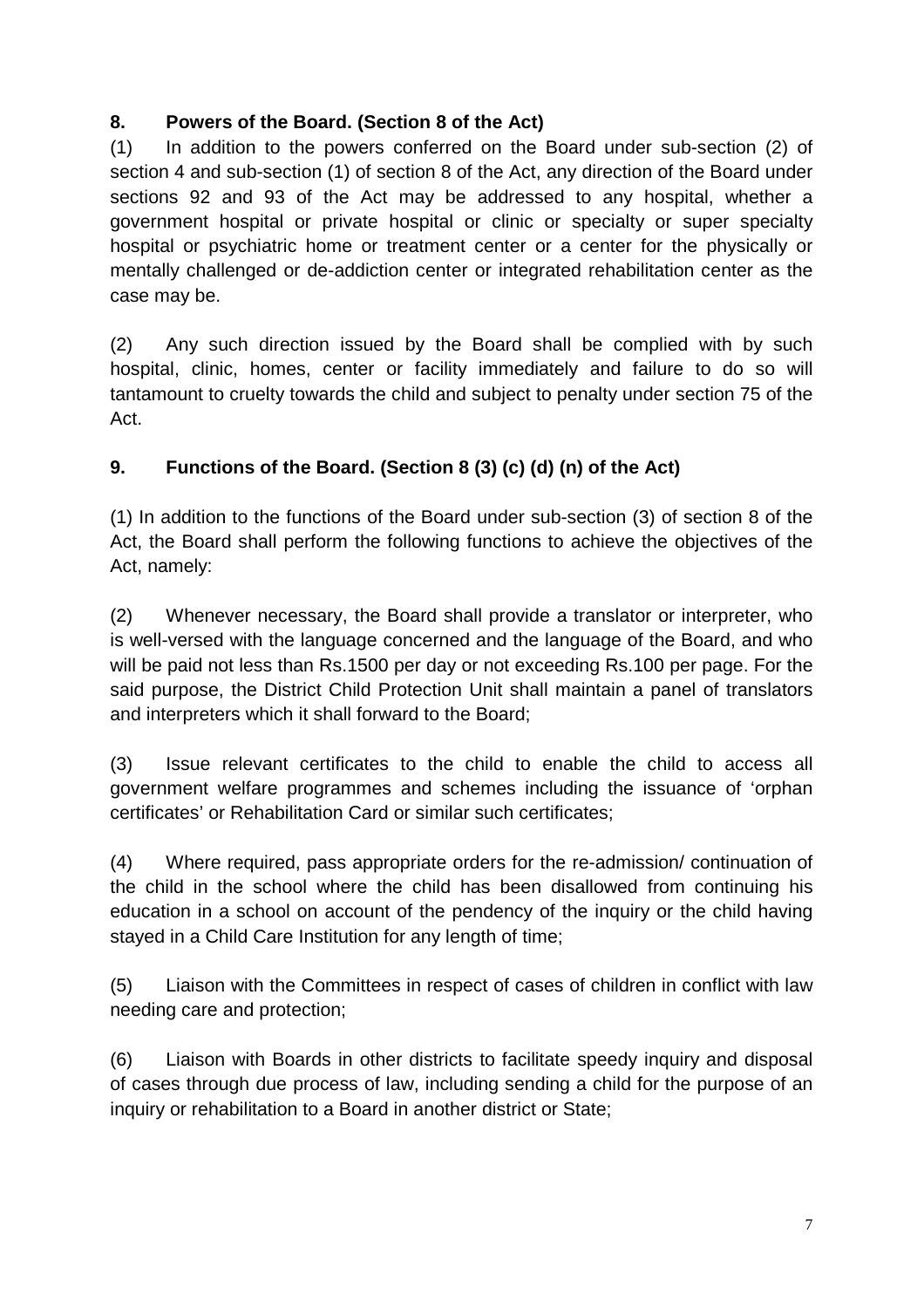## **8. Powers of the Board. (Section 8 of the Act)**

(1) In addition to the powers conferred on the Board under sub-section (2) of section 4 and sub-section (1) of section 8 of the Act, any direction of the Board under sections 92 and 93 of the Act may be addressed to any hospital, whether a government hospital or private hospital or clinic or specialty or super specialty hospital or psychiatric home or treatment center or a center for the physically or mentally challenged or de-addiction center or integrated rehabilitation center as the case may be.

(2) Any such direction issued by the Board shall be complied with by such hospital, clinic, homes, center or facility immediately and failure to do so will tantamount to cruelty towards the child and subject to penalty under section 75 of the Act.

## **9. Functions of the Board. (Section 8 (3) (c) (d) (n) of the Act)**

(1) In addition to the functions of the Board under sub-section (3) of section 8 of the Act, the Board shall perform the following functions to achieve the objectives of the Act, namely:

(2) Whenever necessary, the Board shall provide a translator or interpreter, who is well-versed with the language concerned and the language of the Board, and who will be paid not less than Rs.1500 per day or not exceeding Rs.100 per page. For the said purpose, the District Child Protection Unit shall maintain a panel of translators and interpreters which it shall forward to the Board;

(3) Issue relevant certificates to the child to enable the child to access all government welfare programmes and schemes including the issuance of 'orphan certificates' or Rehabilitation Card or similar such certificates;

(4) Where required, pass appropriate orders for the re-admission/ continuation of the child in the school where the child has been disallowed from continuing his education in a school on account of the pendency of the inquiry or the child having stayed in a Child Care Institution for any length of time;

(5) Liaison with the Committees in respect of cases of children in conflict with law needing care and protection;

(6) Liaison with Boards in other districts to facilitate speedy inquiry and disposal of cases through due process of law, including sending a child for the purpose of an inquiry or rehabilitation to a Board in another district or State;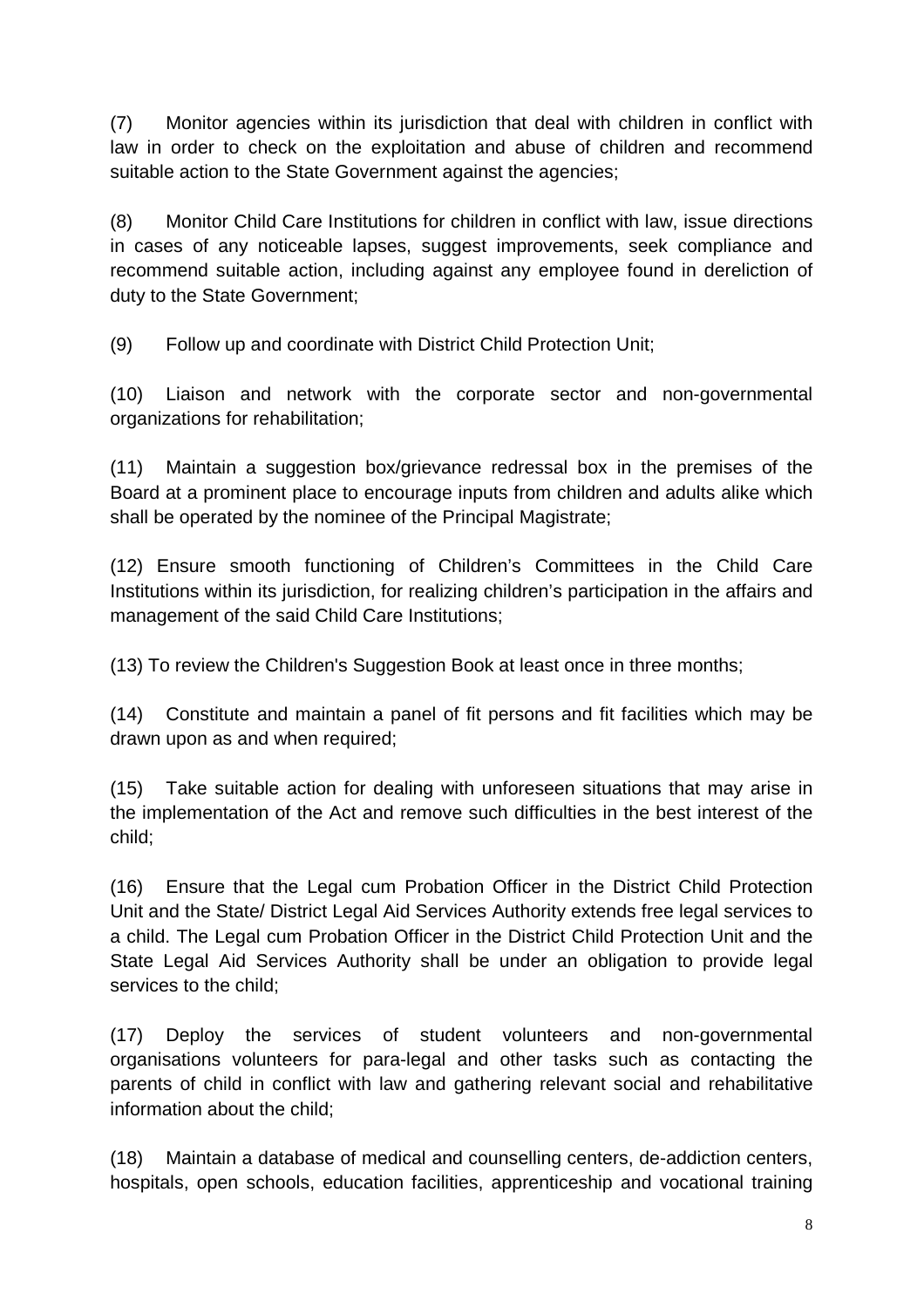(7) Monitor agencies within its jurisdiction that deal with children in conflict with law in order to check on the exploitation and abuse of children and recommend suitable action to the State Government against the agencies;

(8) Monitor Child Care Institutions for children in conflict with law, issue directions in cases of any noticeable lapses, suggest improvements, seek compliance and recommend suitable action, including against any employee found in dereliction of duty to the State Government;

(9) Follow up and coordinate with District Child Protection Unit;

(10) Liaison and network with the corporate sector and non-governmental organizations for rehabilitation;

(11) Maintain a suggestion box/grievance redressal box in the premises of the Board at a prominent place to encourage inputs from children and adults alike which shall be operated by the nominee of the Principal Magistrate;

(12) Ensure smooth functioning of Children's Committees in the Child Care Institutions within its jurisdiction, for realizing children's participation in the affairs and management of the said Child Care Institutions;

(13) To review the Children's Suggestion Book at least once in three months;

(14) Constitute and maintain a panel of fit persons and fit facilities which may be drawn upon as and when required;

(15) Take suitable action for dealing with unforeseen situations that may arise in the implementation of the Act and remove such difficulties in the best interest of the child;

(16) Ensure that the Legal cum Probation Officer in the District Child Protection Unit and the State/ District Legal Aid Services Authority extends free legal services to a child. The Legal cum Probation Officer in the District Child Protection Unit and the State Legal Aid Services Authority shall be under an obligation to provide legal services to the child;

(17) Deploy the services of student volunteers and non-governmental organisations volunteers for para-legal and other tasks such as contacting the parents of child in conflict with law and gathering relevant social and rehabilitative information about the child;

(18) Maintain a database of medical and counselling centers, de-addiction centers, hospitals, open schools, education facilities, apprenticeship and vocational training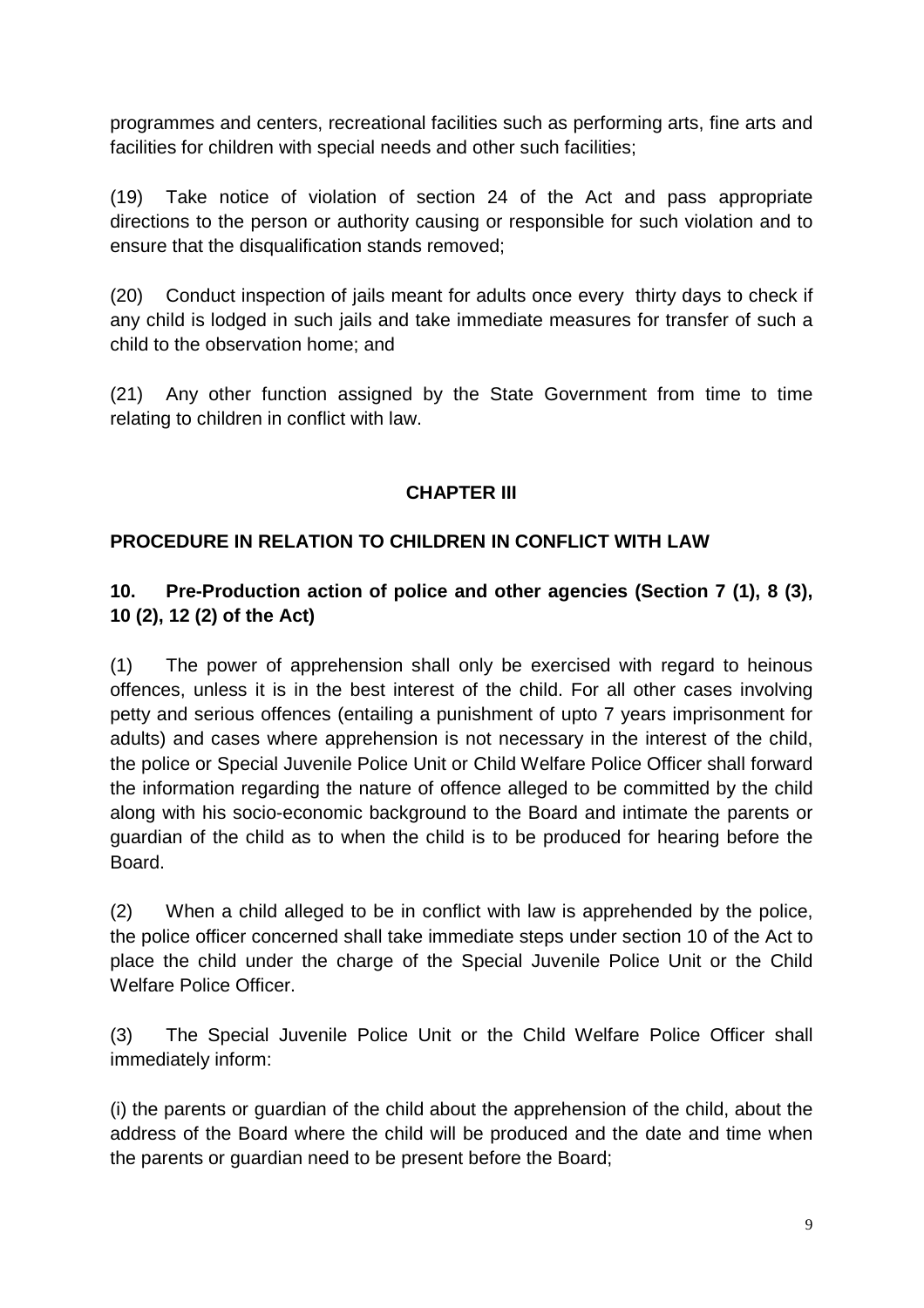programmes and centers, recreational facilities such as performing arts, fine arts and facilities for children with special needs and other such facilities;

(19) Take notice of violation of section 24 of the Act and pass appropriate directions to the person or authority causing or responsible for such violation and to ensure that the disqualification stands removed;

(20) Conduct inspection of jails meant for adults once every thirty days to check if any child is lodged in such jails and take immediate measures for transfer of such a child to the observation home; and

(21) Any other function assigned by the State Government from time to time relating to children in conflict with law.

## **CHAPTER III**

#### **PROCEDURE IN RELATION TO CHILDREN IN CONFLICT WITH LAW**

#### **10. Pre-Production action of police and other agencies (Section 7 (1), 8 (3), 10 (2), 12 (2) of the Act)**

(1) The power of apprehension shall only be exercised with regard to heinous offences, unless it is in the best interest of the child. For all other cases involving petty and serious offences (entailing a punishment of upto 7 years imprisonment for adults) and cases where apprehension is not necessary in the interest of the child, the police or Special Juvenile Police Unit or Child Welfare Police Officer shall forward the information regarding the nature of offence alleged to be committed by the child along with his socio-economic background to the Board and intimate the parents or guardian of the child as to when the child is to be produced for hearing before the Board.

(2) When a child alleged to be in conflict with law is apprehended by the police, the police officer concerned shall take immediate steps under section 10 of the Act to place the child under the charge of the Special Juvenile Police Unit or the Child Welfare Police Officer.

(3) The Special Juvenile Police Unit or the Child Welfare Police Officer shall immediately inform:

(i) the parents or guardian of the child about the apprehension of the child, about the address of the Board where the child will be produced and the date and time when the parents or guardian need to be present before the Board;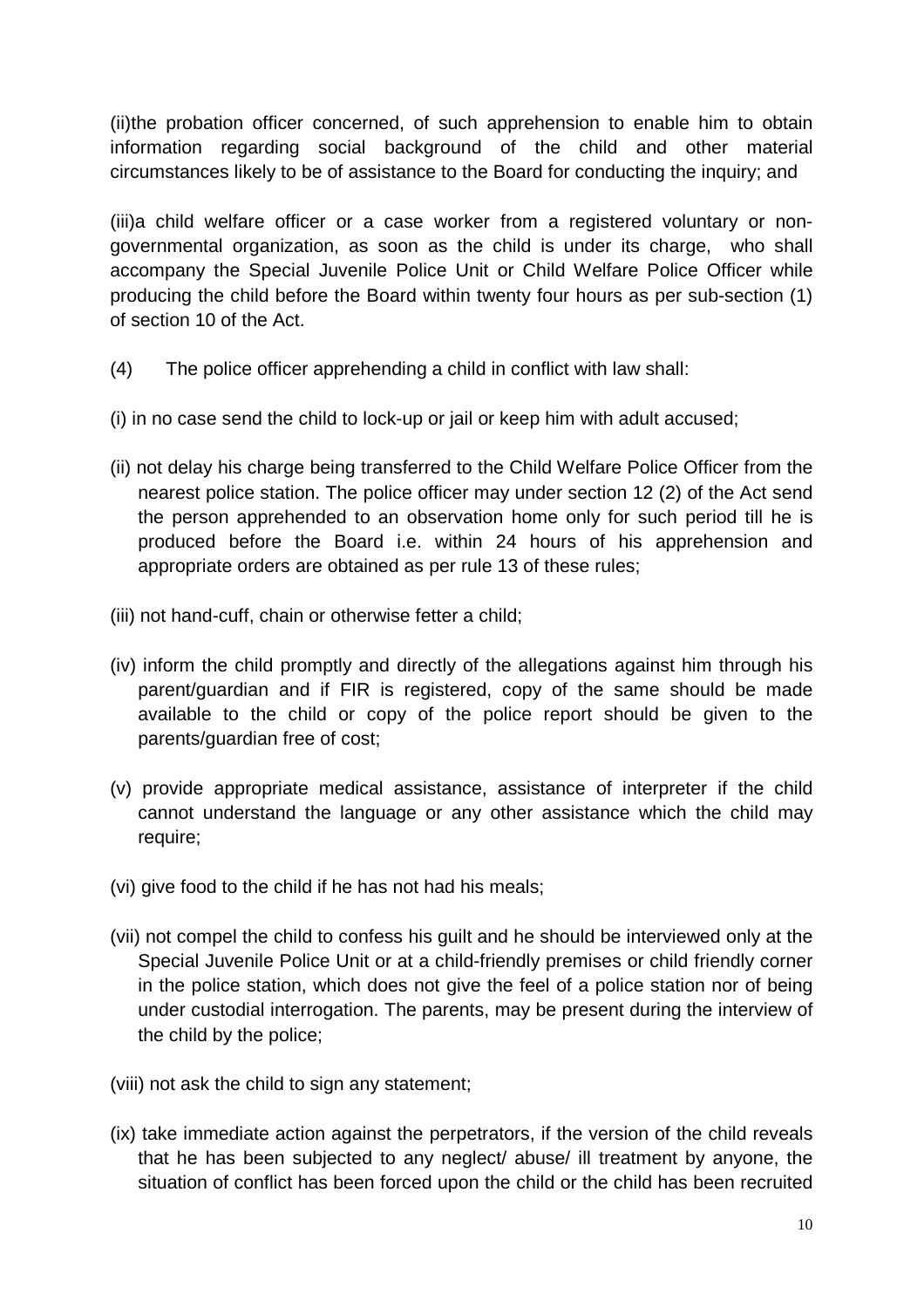(ii)the probation officer concerned, of such apprehension to enable him to obtain information regarding social background of the child and other material circumstances likely to be of assistance to the Board for conducting the inquiry; and

(iii)a child welfare officer or a case worker from a registered voluntary or nongovernmental organization, as soon as the child is under its charge, who shall accompany the Special Juvenile Police Unit or Child Welfare Police Officer while producing the child before the Board within twenty four hours as per sub-section (1) of section 10 of the Act.

- (4) The police officer apprehending a child in conflict with law shall:
- (i) in no case send the child to lock-up or jail or keep him with adult accused;
- (ii) not delay his charge being transferred to the Child Welfare Police Officer from the nearest police station. The police officer may under section 12 (2) of the Act send the person apprehended to an observation home only for such period till he is produced before the Board i.e. within 24 hours of his apprehension and appropriate orders are obtained as per rule 13 of these rules;
- (iii) not hand-cuff, chain or otherwise fetter a child;
- (iv) inform the child promptly and directly of the allegations against him through his parent/guardian and if FIR is registered, copy of the same should be made available to the child or copy of the police report should be given to the parents/guardian free of cost;
- (v) provide appropriate medical assistance, assistance of interpreter if the child cannot understand the language or any other assistance which the child may require;
- (vi) give food to the child if he has not had his meals;
- (vii) not compel the child to confess his guilt and he should be interviewed only at the Special Juvenile Police Unit or at a child-friendly premises or child friendly corner in the police station, which does not give the feel of a police station nor of being under custodial interrogation. The parents, may be present during the interview of the child by the police;
- (viii) not ask the child to sign any statement:
- (ix) take immediate action against the perpetrators, if the version of the child reveals that he has been subjected to any neglect/ abuse/ ill treatment by anyone, the situation of conflict has been forced upon the child or the child has been recruited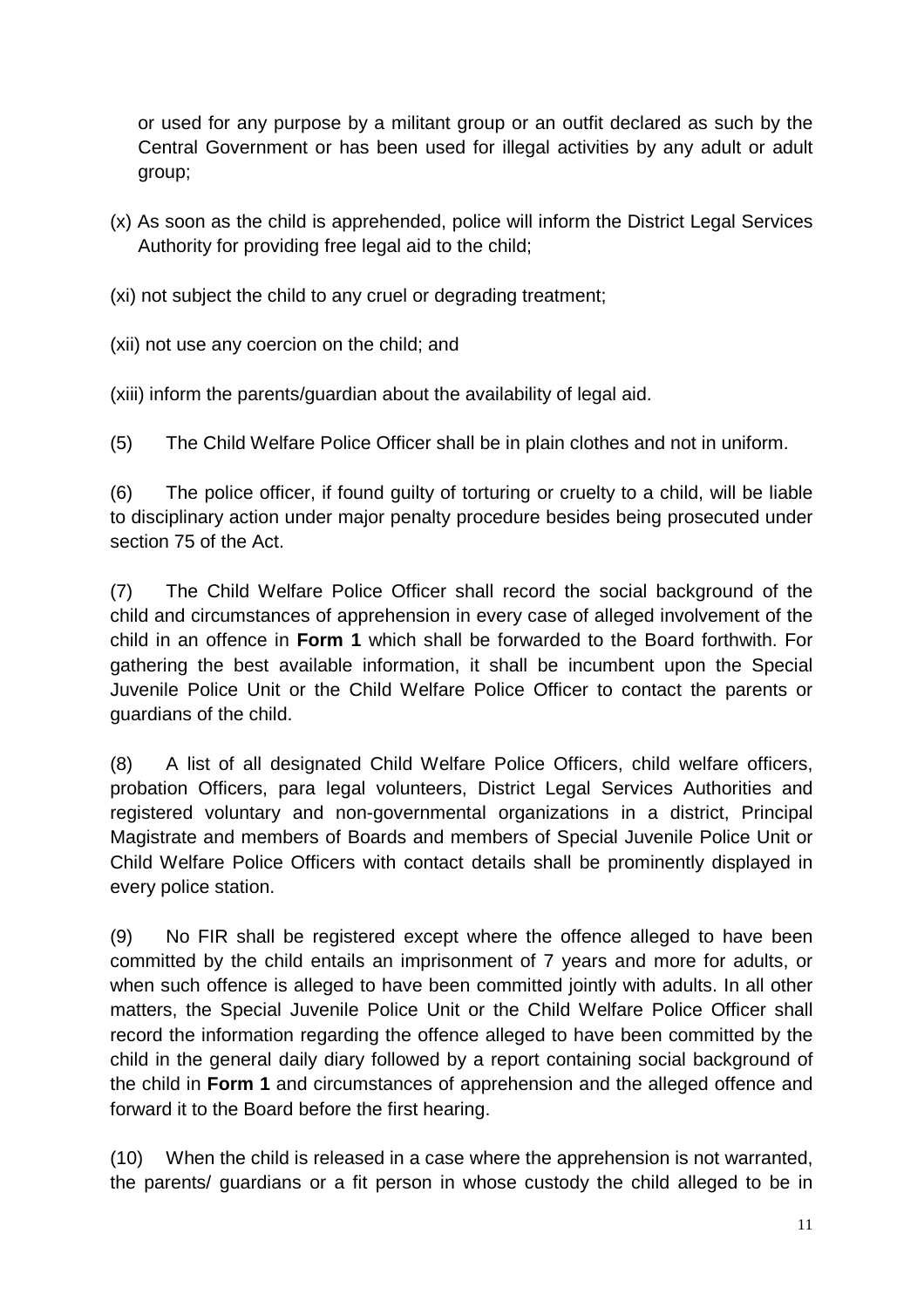or used for any purpose by a militant group or an outfit declared as such by the Central Government or has been used for illegal activities by any adult or adult group;

- (x) As soon as the child is apprehended, police will inform the District Legal Services Authority for providing free legal aid to the child;
- (xi) not subject the child to any cruel or degrading treatment;

(xii) not use any coercion on the child; and

(xiii) inform the parents/guardian about the availability of legal aid.

(5) The Child Welfare Police Officer shall be in plain clothes and not in uniform.

(6) The police officer, if found guilty of torturing or cruelty to a child, will be liable to disciplinary action under major penalty procedure besides being prosecuted under section 75 of the Act.

(7) The Child Welfare Police Officer shall record the social background of the child and circumstances of apprehension in every case of alleged involvement of the child in an offence in **Form 1** which shall be forwarded to the Board forthwith. For gathering the best available information, it shall be incumbent upon the Special Juvenile Police Unit or the Child Welfare Police Officer to contact the parents or guardians of the child.

(8) A list of all designated Child Welfare Police Officers, child welfare officers, probation Officers, para legal volunteers, District Legal Services Authorities and registered voluntary and non-governmental organizations in a district, Principal Magistrate and members of Boards and members of Special Juvenile Police Unit or Child Welfare Police Officers with contact details shall be prominently displayed in every police station.

(9) No FIR shall be registered except where the offence alleged to have been committed by the child entails an imprisonment of 7 years and more for adults, or when such offence is alleged to have been committed jointly with adults. In all other matters, the Special Juvenile Police Unit or the Child Welfare Police Officer shall record the information regarding the offence alleged to have been committed by the child in the general daily diary followed by a report containing social background of the child in **Form 1** and circumstances of apprehension and the alleged offence and forward it to the Board before the first hearing.

(10) When the child is released in a case where the apprehension is not warranted, the parents/ guardians or a fit person in whose custody the child alleged to be in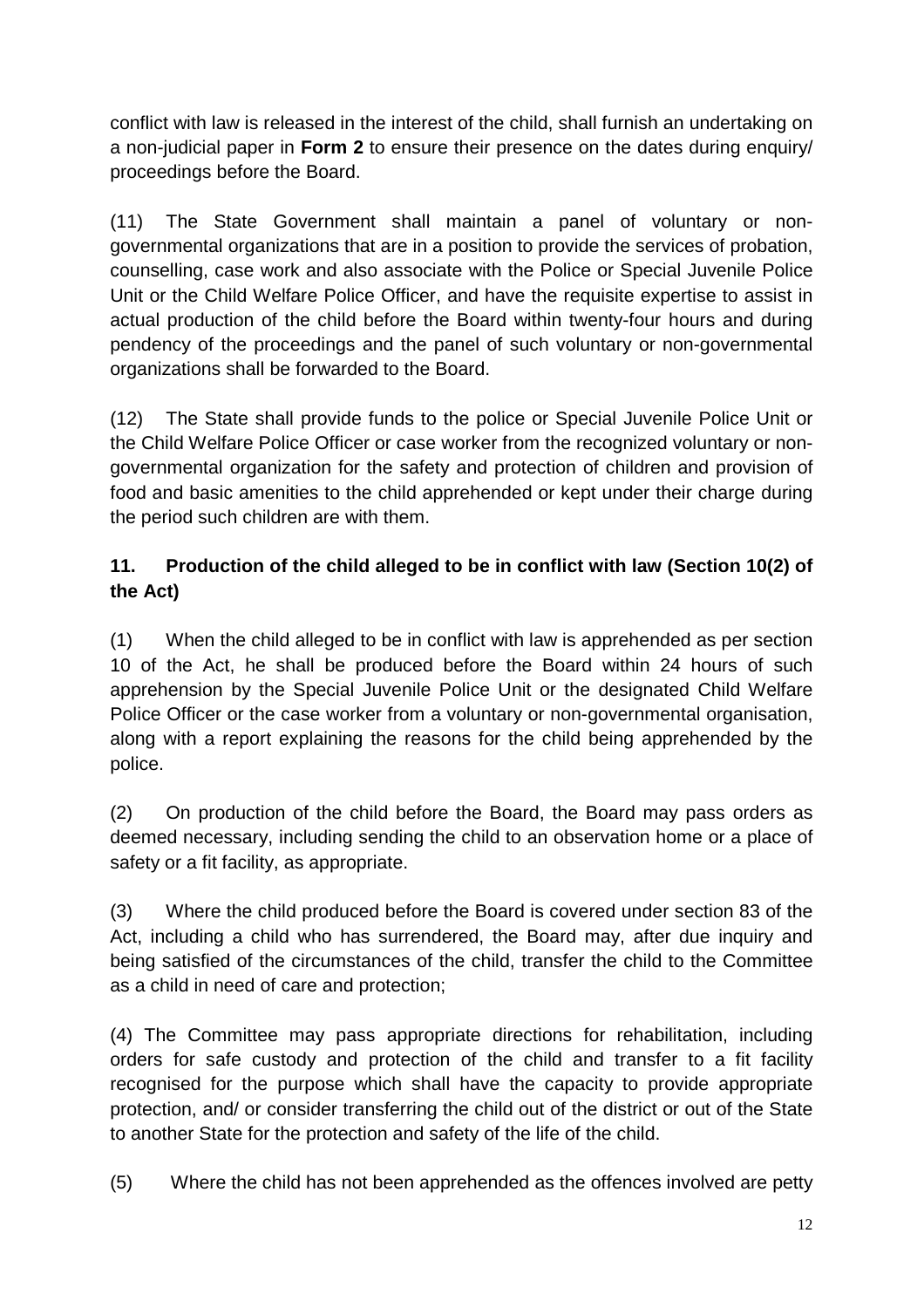conflict with law is released in the interest of the child, shall furnish an undertaking on a non-judicial paper in **Form 2** to ensure their presence on the dates during enquiry/ proceedings before the Board.

(11) The State Government shall maintain a panel of voluntary or nongovernmental organizations that are in a position to provide the services of probation, counselling, case work and also associate with the Police or Special Juvenile Police Unit or the Child Welfare Police Officer, and have the requisite expertise to assist in actual production of the child before the Board within twenty-four hours and during pendency of the proceedings and the panel of such voluntary or non-governmental organizations shall be forwarded to the Board.

(12) The State shall provide funds to the police or Special Juvenile Police Unit or the Child Welfare Police Officer or case worker from the recognized voluntary or nongovernmental organization for the safety and protection of children and provision of food and basic amenities to the child apprehended or kept under their charge during the period such children are with them.

## **11. Production of the child alleged to be in conflict with law (Section 10(2) of the Act)**

(1) When the child alleged to be in conflict with law is apprehended as per section 10 of the Act, he shall be produced before the Board within 24 hours of such apprehension by the Special Juvenile Police Unit or the designated Child Welfare Police Officer or the case worker from a voluntary or non-governmental organisation, along with a report explaining the reasons for the child being apprehended by the police.

(2) On production of the child before the Board, the Board may pass orders as deemed necessary, including sending the child to an observation home or a place of safety or a fit facility, as appropriate.

(3) Where the child produced before the Board is covered under section 83 of the Act, including a child who has surrendered, the Board may, after due inquiry and being satisfied of the circumstances of the child, transfer the child to the Committee as a child in need of care and protection;

(4) The Committee may pass appropriate directions for rehabilitation, including orders for safe custody and protection of the child and transfer to a fit facility recognised for the purpose which shall have the capacity to provide appropriate protection, and/ or consider transferring the child out of the district or out of the State to another State for the protection and safety of the life of the child.

(5) Where the child has not been apprehended as the offences involved are petty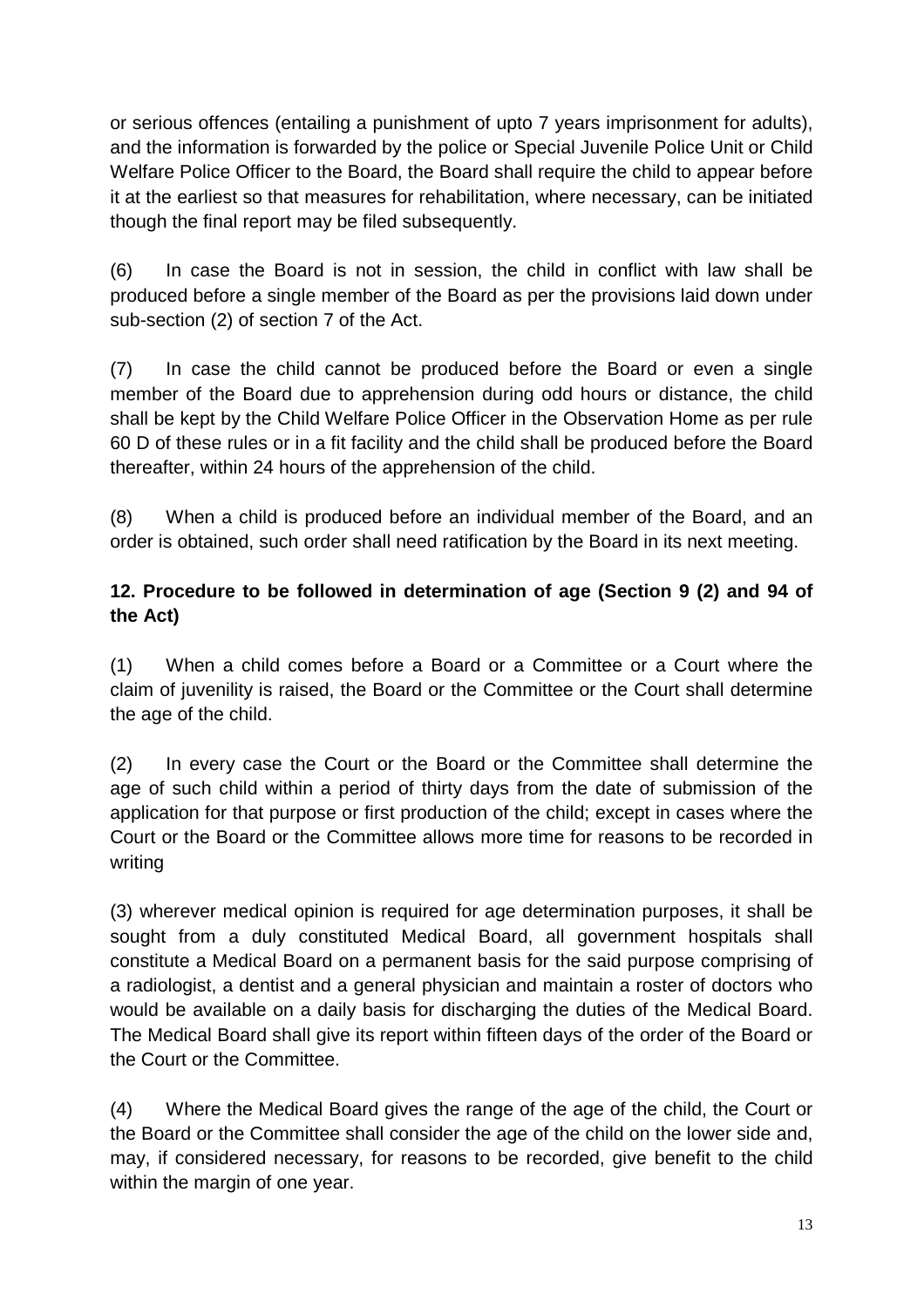or serious offences (entailing a punishment of upto 7 years imprisonment for adults), and the information is forwarded by the police or Special Juvenile Police Unit or Child Welfare Police Officer to the Board, the Board shall require the child to appear before it at the earliest so that measures for rehabilitation, where necessary, can be initiated though the final report may be filed subsequently.

(6) In case the Board is not in session, the child in conflict with law shall be produced before a single member of the Board as per the provisions laid down under sub-section (2) of section 7 of the Act.

(7) In case the child cannot be produced before the Board or even a single member of the Board due to apprehension during odd hours or distance, the child shall be kept by the Child Welfare Police Officer in the Observation Home as per rule 60 D of these rules or in a fit facility and the child shall be produced before the Board thereafter, within 24 hours of the apprehension of the child.

(8) When a child is produced before an individual member of the Board, and an order is obtained, such order shall need ratification by the Board in its next meeting.

## **12. Procedure to be followed in determination of age (Section 9 (2) and 94 of the Act)**

(1) When a child comes before a Board or a Committee or a Court where the claim of juvenility is raised, the Board or the Committee or the Court shall determine the age of the child.

(2) In every case the Court or the Board or the Committee shall determine the age of such child within a period of thirty days from the date of submission of the application for that purpose or first production of the child; except in cases where the Court or the Board or the Committee allows more time for reasons to be recorded in writing

(3) wherever medical opinion is required for age determination purposes, it shall be sought from a duly constituted Medical Board, all government hospitals shall constitute a Medical Board on a permanent basis for the said purpose comprising of a radiologist, a dentist and a general physician and maintain a roster of doctors who would be available on a daily basis for discharging the duties of the Medical Board. The Medical Board shall give its report within fifteen days of the order of the Board or the Court or the Committee.

(4) Where the Medical Board gives the range of the age of the child, the Court or the Board or the Committee shall consider the age of the child on the lower side and, may, if considered necessary, for reasons to be recorded, give benefit to the child within the margin of one year.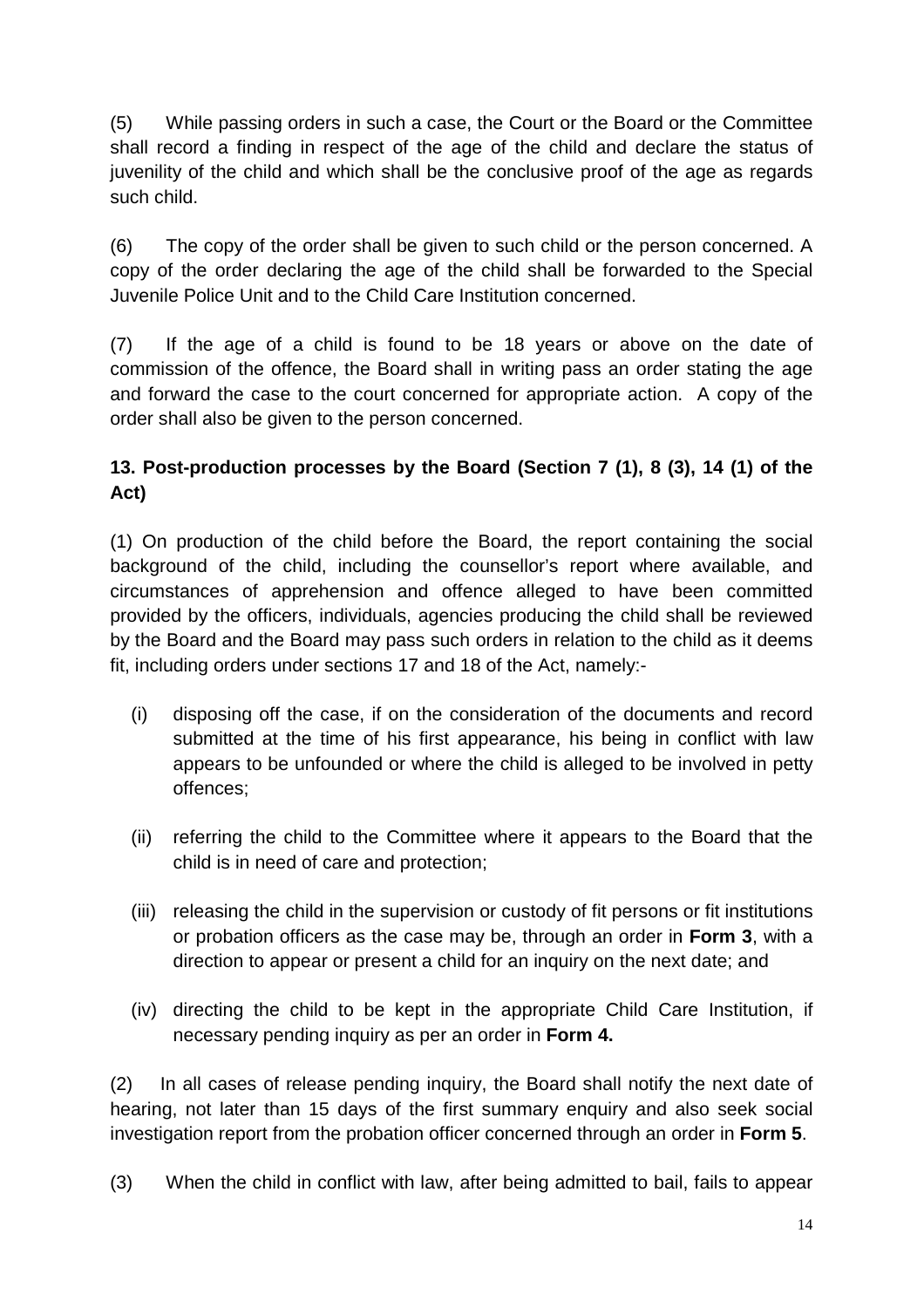(5) While passing orders in such a case, the Court or the Board or the Committee shall record a finding in respect of the age of the child and declare the status of juvenility of the child and which shall be the conclusive proof of the age as regards such child.

(6) The copy of the order shall be given to such child or the person concerned. A copy of the order declaring the age of the child shall be forwarded to the Special Juvenile Police Unit and to the Child Care Institution concerned.

(7) If the age of a child is found to be 18 years or above on the date of commission of the offence, the Board shall in writing pass an order stating the age and forward the case to the court concerned for appropriate action. A copy of the order shall also be given to the person concerned.

# **13. Post-production processes by the Board (Section 7 (1), 8 (3), 14 (1) of the Act)**

(1) On production of the child before the Board, the report containing the social background of the child, including the counsellor's report where available, and circumstances of apprehension and offence alleged to have been committed provided by the officers, individuals, agencies producing the child shall be reviewed by the Board and the Board may pass such orders in relation to the child as it deems fit, including orders under sections 17 and 18 of the Act, namely:-

- (i) disposing off the case, if on the consideration of the documents and record submitted at the time of his first appearance, his being in conflict with law appears to be unfounded or where the child is alleged to be involved in petty offences;
- (ii) referring the child to the Committee where it appears to the Board that the child is in need of care and protection;
- (iii) releasing the child in the supervision or custody of fit persons or fit institutions or probation officers as the case may be, through an order in **Form 3**, with a direction to appear or present a child for an inquiry on the next date; and
- (iv) directing the child to be kept in the appropriate Child Care Institution, if necessary pending inquiry as per an order in **Form 4.**

(2) In all cases of release pending inquiry, the Board shall notify the next date of hearing, not later than 15 days of the first summary enquiry and also seek social investigation report from the probation officer concerned through an order in **Form 5**.

(3) When the child in conflict with law, after being admitted to bail, fails to appear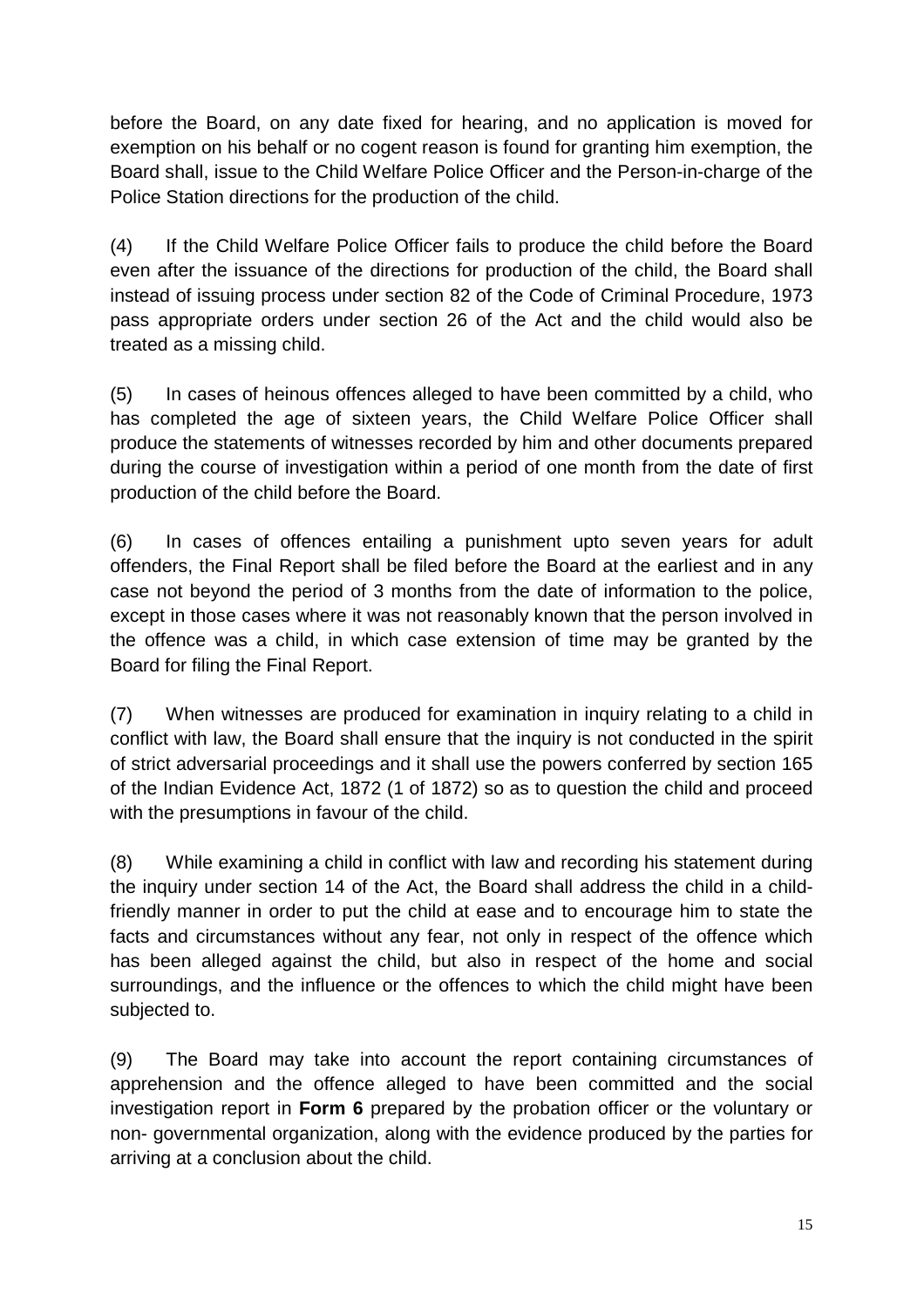before the Board, on any date fixed for hearing, and no application is moved for exemption on his behalf or no cogent reason is found for granting him exemption, the Board shall, issue to the Child Welfare Police Officer and the Person-in-charge of the Police Station directions for the production of the child.

(4) If the Child Welfare Police Officer fails to produce the child before the Board even after the issuance of the directions for production of the child, the Board shall instead of issuing process under section 82 of the Code of Criminal Procedure, 1973 pass appropriate orders under section 26 of the Act and the child would also be treated as a missing child.

(5) In cases of heinous offences alleged to have been committed by a child, who has completed the age of sixteen years, the Child Welfare Police Officer shall produce the statements of witnesses recorded by him and other documents prepared during the course of investigation within a period of one month from the date of first production of the child before the Board.

(6) In cases of offences entailing a punishment upto seven years for adult offenders, the Final Report shall be filed before the Board at the earliest and in any case not beyond the period of 3 months from the date of information to the police, except in those cases where it was not reasonably known that the person involved in the offence was a child, in which case extension of time may be granted by the Board for filing the Final Report.

(7) When witnesses are produced for examination in inquiry relating to a child in conflict with law, the Board shall ensure that the inquiry is not conducted in the spirit of strict adversarial proceedings and it shall use the powers conferred by section 165 of the Indian Evidence Act, 1872 (1 of 1872) so as to question the child and proceed with the presumptions in favour of the child.

(8) While examining a child in conflict with law and recording his statement during the inquiry under section 14 of the Act, the Board shall address the child in a childfriendly manner in order to put the child at ease and to encourage him to state the facts and circumstances without any fear, not only in respect of the offence which has been alleged against the child, but also in respect of the home and social surroundings, and the influence or the offences to which the child might have been subjected to.

(9) The Board may take into account the report containing circumstances of apprehension and the offence alleged to have been committed and the social investigation report in **Form 6** prepared by the probation officer or the voluntary or non- governmental organization, along with the evidence produced by the parties for arriving at a conclusion about the child.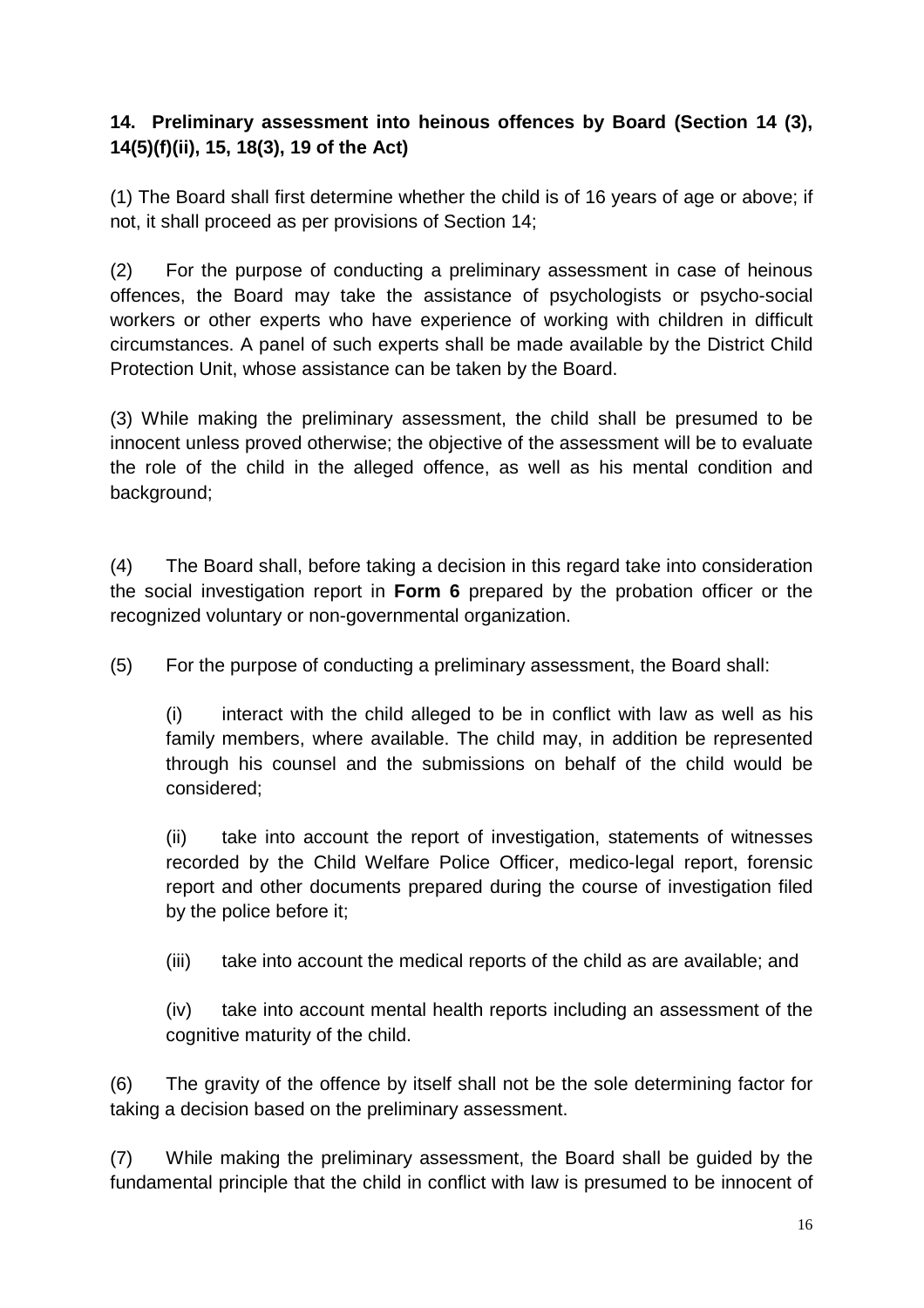## **14. Preliminary assessment into heinous offences by Board (Section 14 (3), 14(5)(f)(ii), 15, 18(3), 19 of the Act)**

(1) The Board shall first determine whether the child is of 16 years of age or above; if not, it shall proceed as per provisions of Section 14;

(2) For the purpose of conducting a preliminary assessment in case of heinous offences, the Board may take the assistance of psychologists or psycho-social workers or other experts who have experience of working with children in difficult circumstances. A panel of such experts shall be made available by the District Child Protection Unit, whose assistance can be taken by the Board.

(3) While making the preliminary assessment, the child shall be presumed to be innocent unless proved otherwise; the objective of the assessment will be to evaluate the role of the child in the alleged offence, as well as his mental condition and background;

(4) The Board shall, before taking a decision in this regard take into consideration the social investigation report in **Form 6** prepared by the probation officer or the recognized voluntary or non-governmental organization.

(5) For the purpose of conducting a preliminary assessment, the Board shall:

(i) interact with the child alleged to be in conflict with law as well as his family members, where available. The child may, in addition be represented through his counsel and the submissions on behalf of the child would be considered;

(ii) take into account the report of investigation, statements of witnesses recorded by the Child Welfare Police Officer, medico-legal report, forensic report and other documents prepared during the course of investigation filed by the police before it;

(iii) take into account the medical reports of the child as are available; and

(iv) take into account mental health reports including an assessment of the cognitive maturity of the child.

(6) The gravity of the offence by itself shall not be the sole determining factor for taking a decision based on the preliminary assessment.

(7) While making the preliminary assessment, the Board shall be guided by the fundamental principle that the child in conflict with law is presumed to be innocent of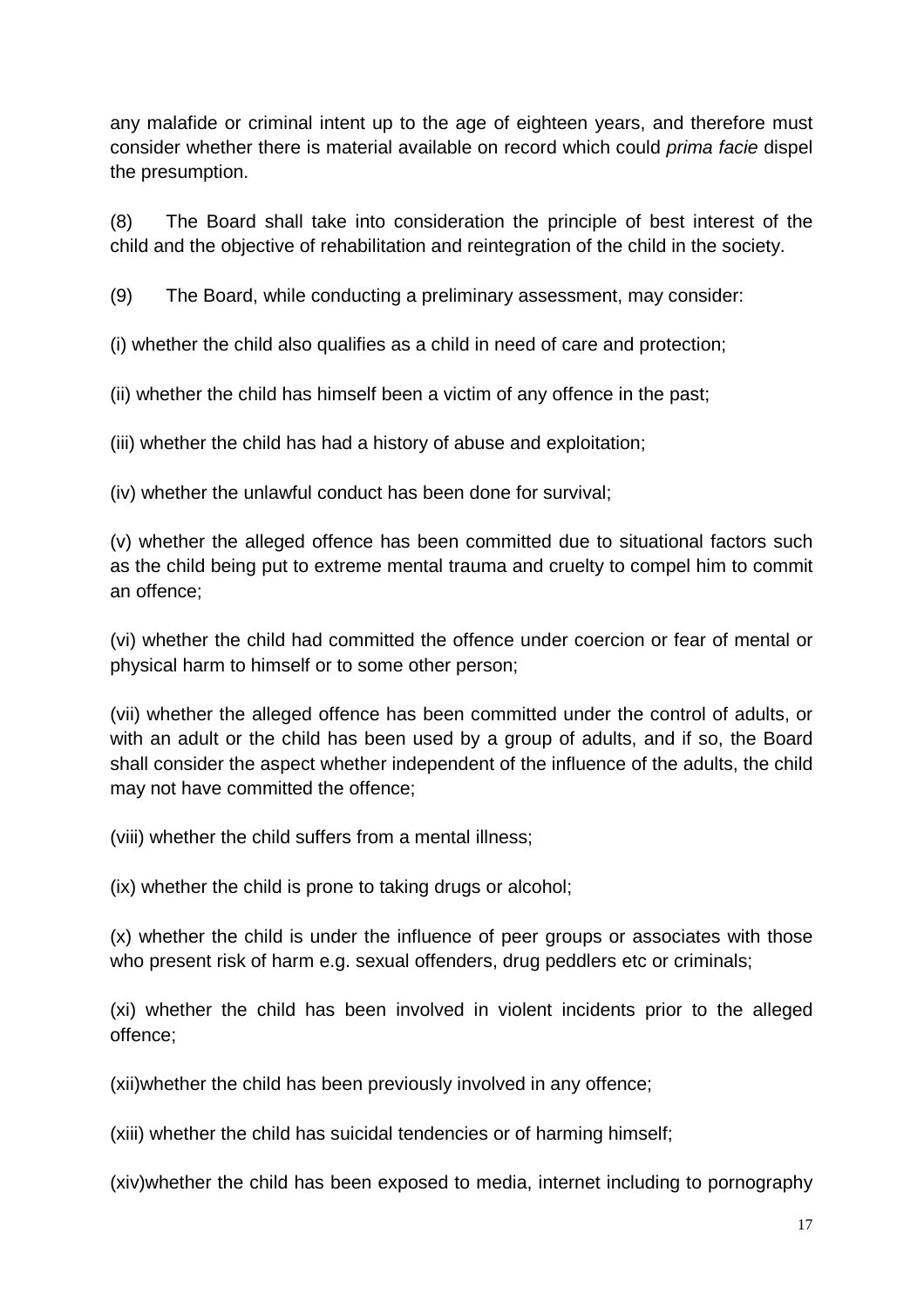any malafide or criminal intent up to the age of eighteen years, and therefore must consider whether there is material available on record which could prima facie dispel the presumption.

(8) The Board shall take into consideration the principle of best interest of the child and the objective of rehabilitation and reintegration of the child in the society.

(9) The Board, while conducting a preliminary assessment, may consider:

(i) whether the child also qualifies as a child in need of care and protection;

(ii) whether the child has himself been a victim of any offence in the past;

(iii) whether the child has had a history of abuse and exploitation;

(iv) whether the unlawful conduct has been done for survival;

(v) whether the alleged offence has been committed due to situational factors such as the child being put to extreme mental trauma and cruelty to compel him to commit an offence;

(vi) whether the child had committed the offence under coercion or fear of mental or physical harm to himself or to some other person;

(vii) whether the alleged offence has been committed under the control of adults, or with an adult or the child has been used by a group of adults, and if so, the Board shall consider the aspect whether independent of the influence of the adults, the child may not have committed the offence;

(viii) whether the child suffers from a mental illness;

(ix) whether the child is prone to taking drugs or alcohol;

(x) whether the child is under the influence of peer groups or associates with those who present risk of harm e.g. sexual offenders, drug peddlers etc or criminals;

(xi) whether the child has been involved in violent incidents prior to the alleged offence;

(xii)whether the child has been previously involved in any offence;

(xiii) whether the child has suicidal tendencies or of harming himself;

(xiv)whether the child has been exposed to media, internet including to pornography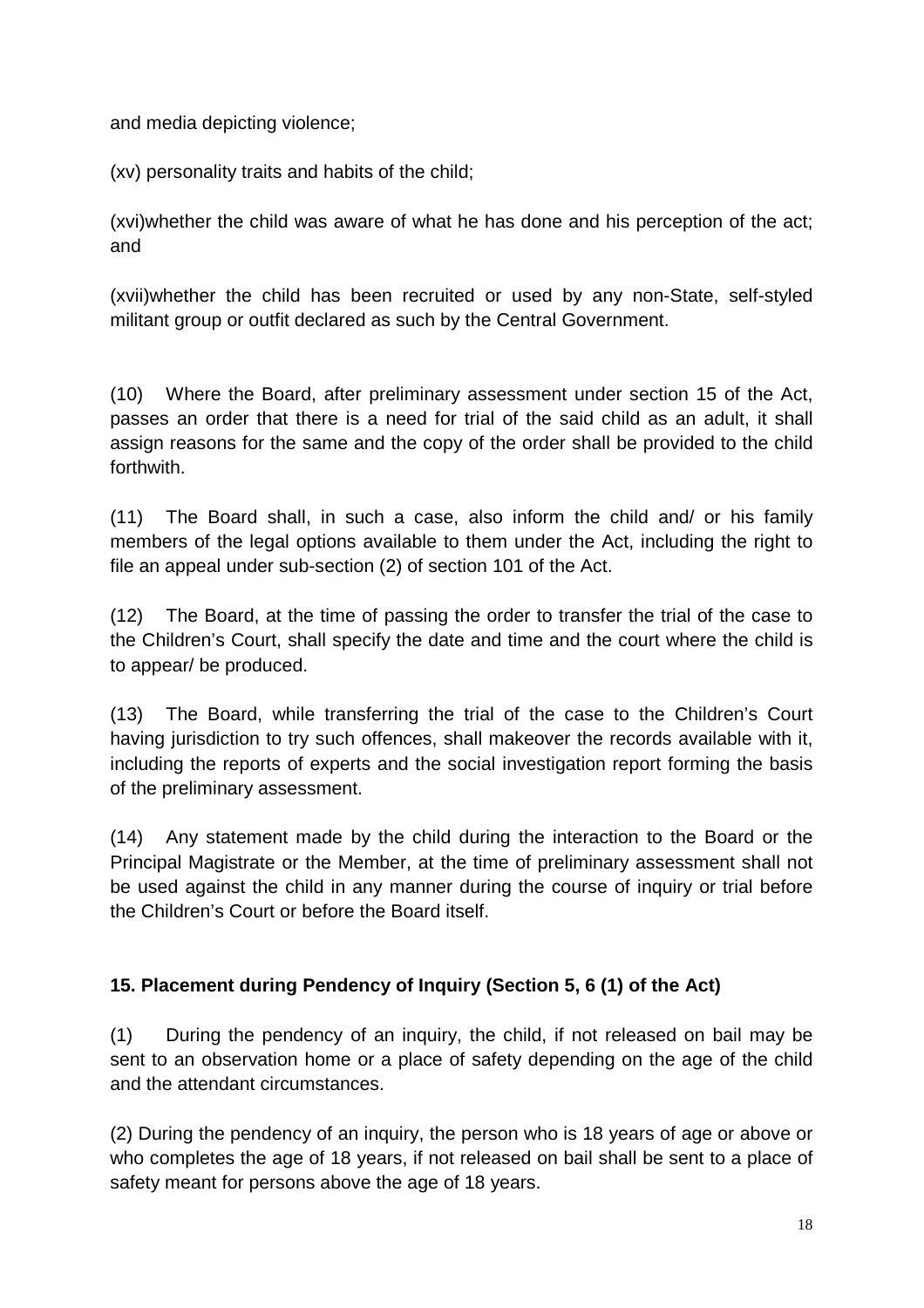and media depicting violence;

(xv) personality traits and habits of the child;

(xvi)whether the child was aware of what he has done and his perception of the act; and

(xvii)whether the child has been recruited or used by any non-State, self-styled militant group or outfit declared as such by the Central Government.

(10) Where the Board, after preliminary assessment under section 15 of the Act, passes an order that there is a need for trial of the said child as an adult, it shall assign reasons for the same and the copy of the order shall be provided to the child forthwith.

(11) The Board shall, in such a case, also inform the child and/ or his family members of the legal options available to them under the Act, including the right to file an appeal under sub-section (2) of section 101 of the Act.

(12) The Board, at the time of passing the order to transfer the trial of the case to the Children's Court, shall specify the date and time and the court where the child is to appear/ be produced.

(13) The Board, while transferring the trial of the case to the Children's Court having jurisdiction to try such offences, shall makeover the records available with it, including the reports of experts and the social investigation report forming the basis of the preliminary assessment.

(14) Any statement made by the child during the interaction to the Board or the Principal Magistrate or the Member, at the time of preliminary assessment shall not be used against the child in any manner during the course of inquiry or trial before the Children's Court or before the Board itself.

## **15. Placement during Pendency of Inquiry (Section 5, 6 (1) of the Act)**

(1) During the pendency of an inquiry, the child, if not released on bail may be sent to an observation home or a place of safety depending on the age of the child and the attendant circumstances.

(2) During the pendency of an inquiry, the person who is 18 years of age or above or who completes the age of 18 years, if not released on bail shall be sent to a place of safety meant for persons above the age of 18 years.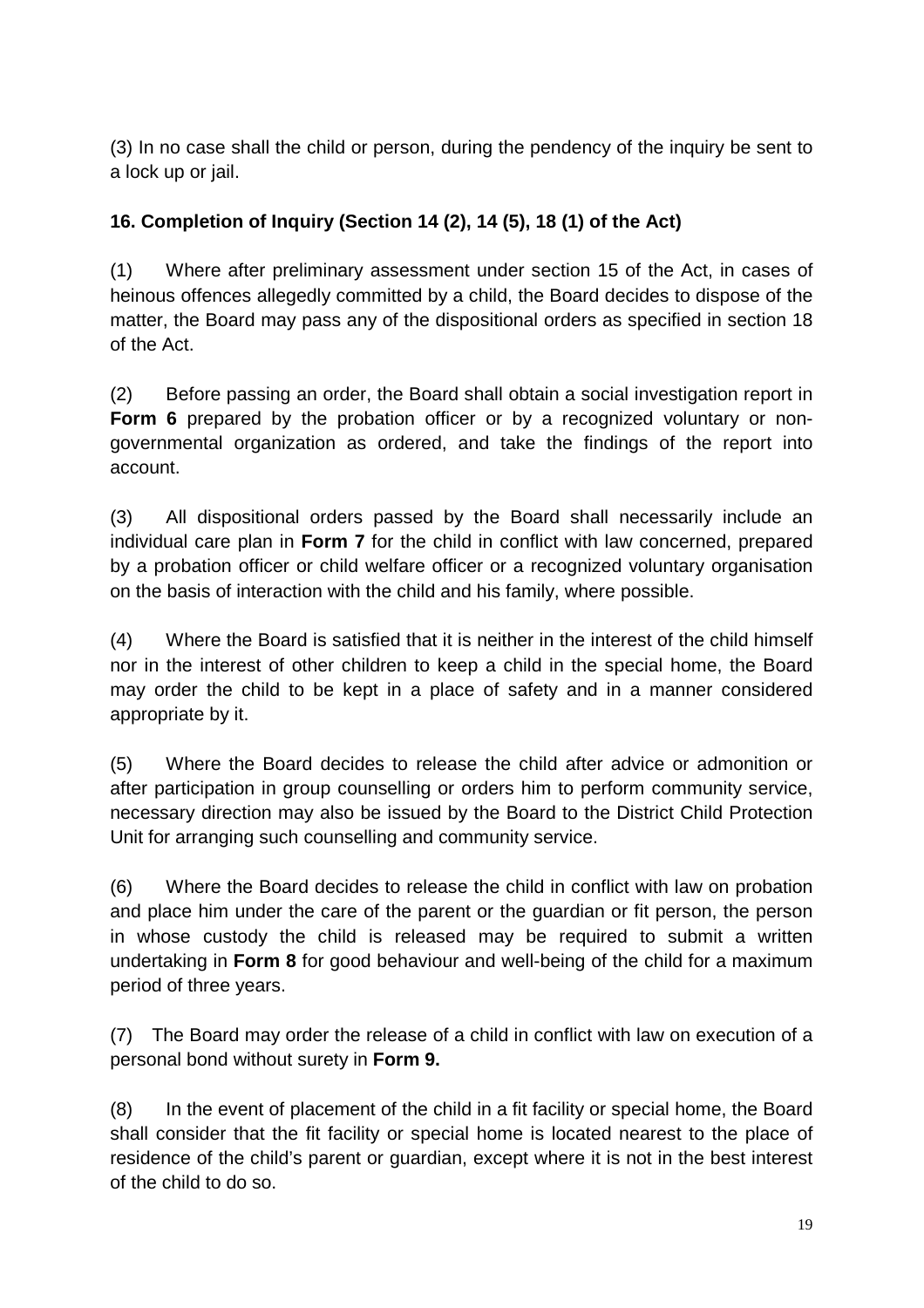(3) In no case shall the child or person, during the pendency of the inquiry be sent to a lock up or jail.

## **16. Completion of Inquiry (Section 14 (2), 14 (5), 18 (1) of the Act)**

(1) Where after preliminary assessment under section 15 of the Act, in cases of heinous offences allegedly committed by a child, the Board decides to dispose of the matter, the Board may pass any of the dispositional orders as specified in section 18 of the Act.

(2) Before passing an order, the Board shall obtain a social investigation report in **Form 6** prepared by the probation officer or by a recognized voluntary or nongovernmental organization as ordered, and take the findings of the report into account.

(3) All dispositional orders passed by the Board shall necessarily include an individual care plan in **Form 7** for the child in conflict with law concerned, prepared by a probation officer or child welfare officer or a recognized voluntary organisation on the basis of interaction with the child and his family, where possible.

(4) Where the Board is satisfied that it is neither in the interest of the child himself nor in the interest of other children to keep a child in the special home, the Board may order the child to be kept in a place of safety and in a manner considered appropriate by it.

(5) Where the Board decides to release the child after advice or admonition or after participation in group counselling or orders him to perform community service, necessary direction may also be issued by the Board to the District Child Protection Unit for arranging such counselling and community service.

(6) Where the Board decides to release the child in conflict with law on probation and place him under the care of the parent or the guardian or fit person, the person in whose custody the child is released may be required to submit a written undertaking in **Form 8** for good behaviour and well-being of the child for a maximum period of three years.

(7) The Board may order the release of a child in conflict with law on execution of a personal bond without surety in **Form 9.**

(8) In the event of placement of the child in a fit facility or special home, the Board shall consider that the fit facility or special home is located nearest to the place of residence of the child's parent or guardian, except where it is not in the best interest of the child to do so.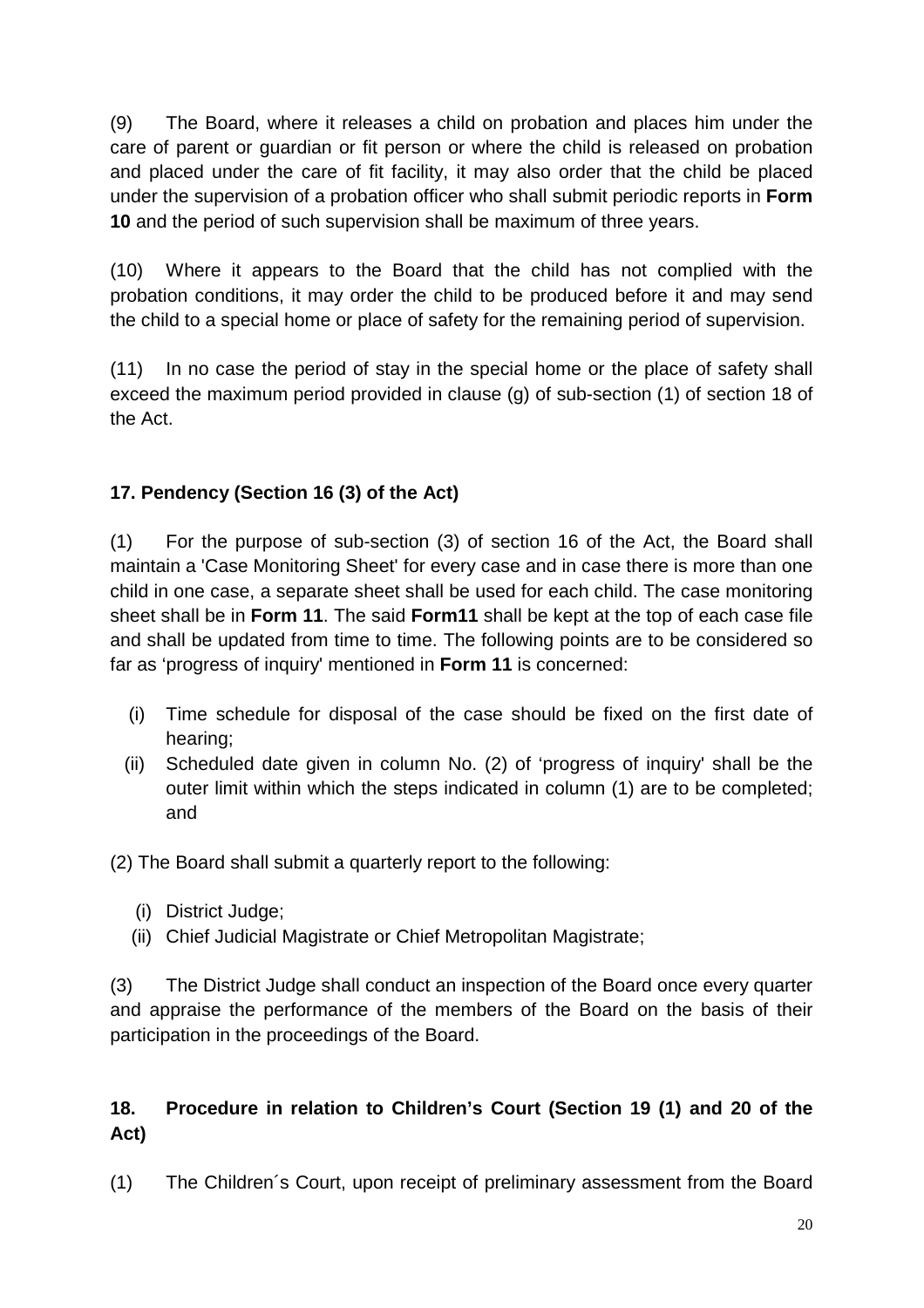(9) The Board, where it releases a child on probation and places him under the care of parent or guardian or fit person or where the child is released on probation and placed under the care of fit facility, it may also order that the child be placed under the supervision of a probation officer who shall submit periodic reports in **Form 10** and the period of such supervision shall be maximum of three years.

(10) Where it appears to the Board that the child has not complied with the probation conditions, it may order the child to be produced before it and may send the child to a special home or place of safety for the remaining period of supervision.

(11) In no case the period of stay in the special home or the place of safety shall exceed the maximum period provided in clause (g) of sub-section (1) of section 18 of the Act.

# **17. Pendency (Section 16 (3) of the Act)**

(1) For the purpose of sub-section (3) of section 16 of the Act, the Board shall maintain a 'Case Monitoring Sheet' for every case and in case there is more than one child in one case, a separate sheet shall be used for each child. The case monitoring sheet shall be in **Form 11**. The said **Form11** shall be kept at the top of each case file and shall be updated from time to time. The following points are to be considered so far as 'progress of inquiry' mentioned in **Form 11** is concerned:

- (i) Time schedule for disposal of the case should be fixed on the first date of hearing;
- (ii) Scheduled date given in column No. (2) of 'progress of inquiry' shall be the outer limit within which the steps indicated in column (1) are to be completed; and

(2) The Board shall submit a quarterly report to the following:

- (i) District Judge;
- (ii) Chief Judicial Magistrate or Chief Metropolitan Magistrate;

(3) The District Judge shall conduct an inspection of the Board once every quarter and appraise the performance of the members of the Board on the basis of their participation in the proceedings of the Board.

# **18. Procedure in relation to Children's Court (Section 19 (1) and 20 of the Act)**

(1) The Children´s Court, upon receipt of preliminary assessment from the Board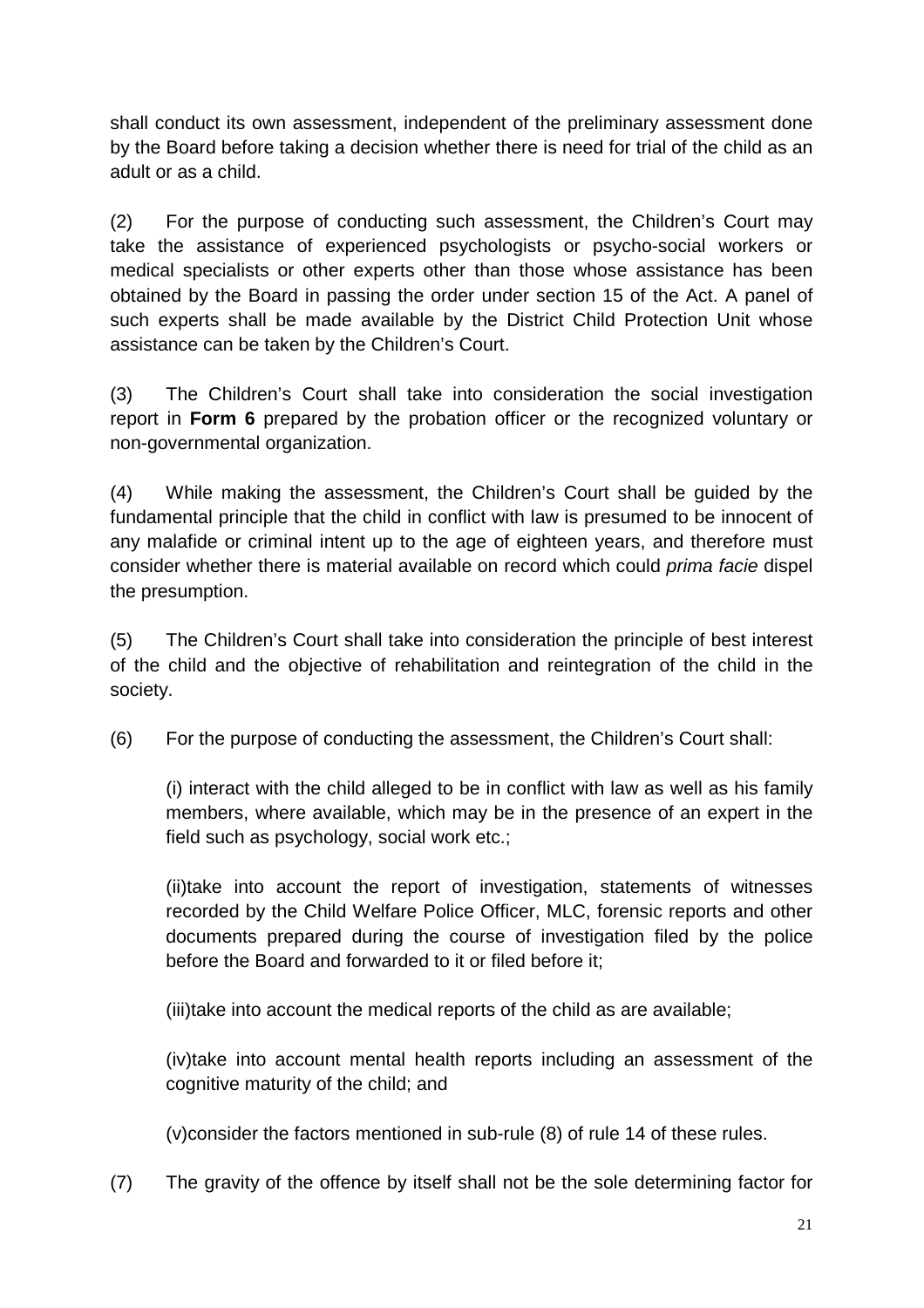shall conduct its own assessment, independent of the preliminary assessment done by the Board before taking a decision whether there is need for trial of the child as an adult or as a child.

(2) For the purpose of conducting such assessment, the Children's Court may take the assistance of experienced psychologists or psycho-social workers or medical specialists or other experts other than those whose assistance has been obtained by the Board in passing the order under section 15 of the Act. A panel of such experts shall be made available by the District Child Protection Unit whose assistance can be taken by the Children's Court.

(3) The Children's Court shall take into consideration the social investigation report in **Form 6** prepared by the probation officer or the recognized voluntary or non-governmental organization.

(4) While making the assessment, the Children's Court shall be guided by the fundamental principle that the child in conflict with law is presumed to be innocent of any malafide or criminal intent up to the age of eighteen years, and therefore must consider whether there is material available on record which could prima facie dispel the presumption.

(5) The Children's Court shall take into consideration the principle of best interest of the child and the objective of rehabilitation and reintegration of the child in the society.

(6) For the purpose of conducting the assessment, the Children's Court shall:

(i) interact with the child alleged to be in conflict with law as well as his family members, where available, which may be in the presence of an expert in the field such as psychology, social work etc.;

(ii)take into account the report of investigation, statements of witnesses recorded by the Child Welfare Police Officer, MLC, forensic reports and other documents prepared during the course of investigation filed by the police before the Board and forwarded to it or filed before it;

(iii)take into account the medical reports of the child as are available;

(iv)take into account mental health reports including an assessment of the cognitive maturity of the child; and

(v)consider the factors mentioned in sub-rule (8) of rule 14 of these rules.

(7) The gravity of the offence by itself shall not be the sole determining factor for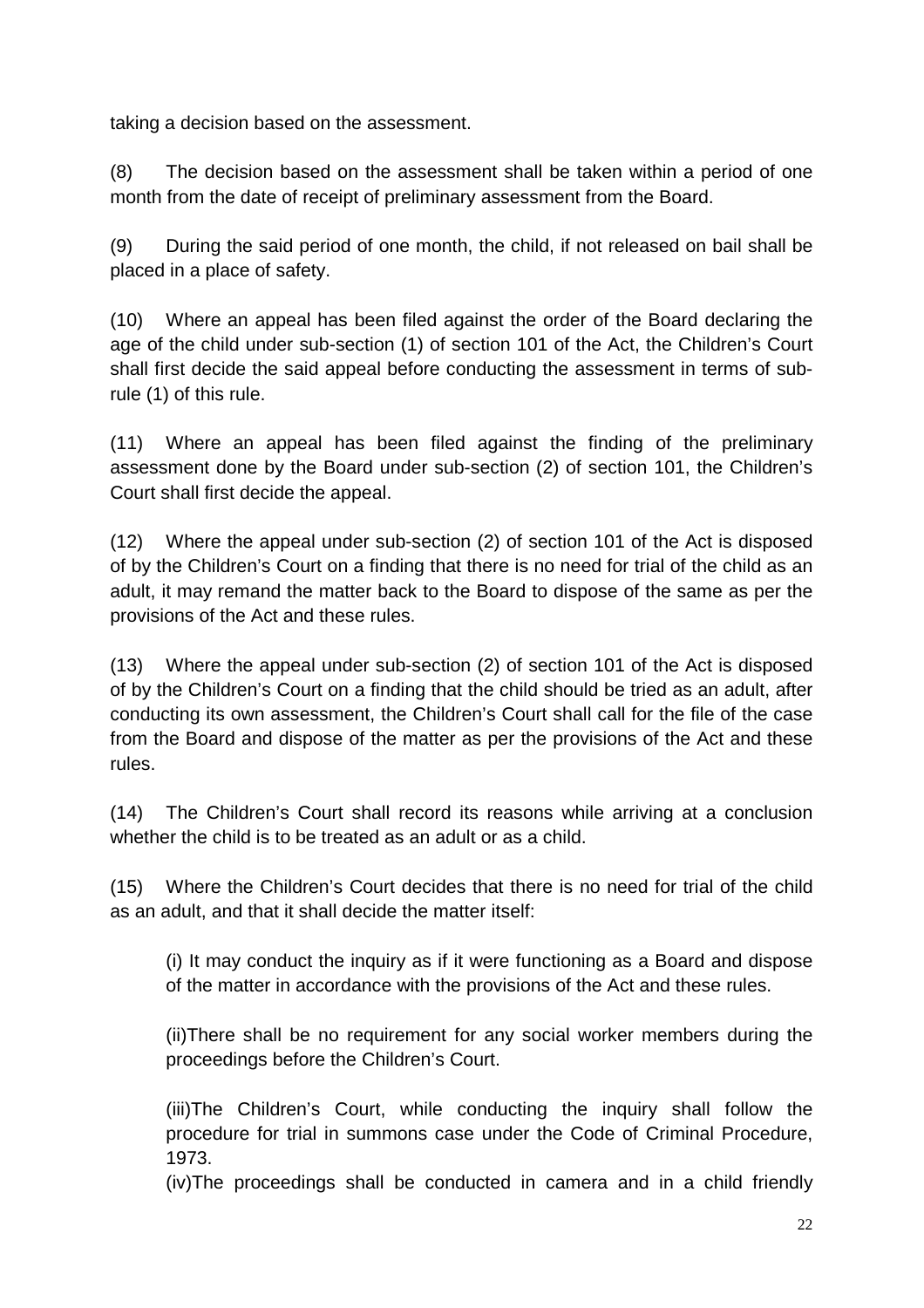taking a decision based on the assessment.

(8) The decision based on the assessment shall be taken within a period of one month from the date of receipt of preliminary assessment from the Board.

(9) During the said period of one month, the child, if not released on bail shall be placed in a place of safety.

(10) Where an appeal has been filed against the order of the Board declaring the age of the child under sub-section (1) of section 101 of the Act, the Children's Court shall first decide the said appeal before conducting the assessment in terms of subrule (1) of this rule.

(11) Where an appeal has been filed against the finding of the preliminary assessment done by the Board under sub-section (2) of section 101, the Children's Court shall first decide the appeal.

(12) Where the appeal under sub-section (2) of section 101 of the Act is disposed of by the Children's Court on a finding that there is no need for trial of the child as an adult, it may remand the matter back to the Board to dispose of the same as per the provisions of the Act and these rules.

(13) Where the appeal under sub-section (2) of section 101 of the Act is disposed of by the Children's Court on a finding that the child should be tried as an adult, after conducting its own assessment, the Children's Court shall call for the file of the case from the Board and dispose of the matter as per the provisions of the Act and these rules.

(14) The Children's Court shall record its reasons while arriving at a conclusion whether the child is to be treated as an adult or as a child.

(15) Where the Children's Court decides that there is no need for trial of the child as an adult, and that it shall decide the matter itself:

 (i) It may conduct the inquiry as if it were functioning as a Board and dispose of the matter in accordance with the provisions of the Act and these rules.

(ii)There shall be no requirement for any social worker members during the proceedings before the Children's Court.

 (iii)The Children's Court, while conducting the inquiry shall follow the procedure for trial in summons case under the Code of Criminal Procedure, 1973.

(iv)The proceedings shall be conducted in camera and in a child friendly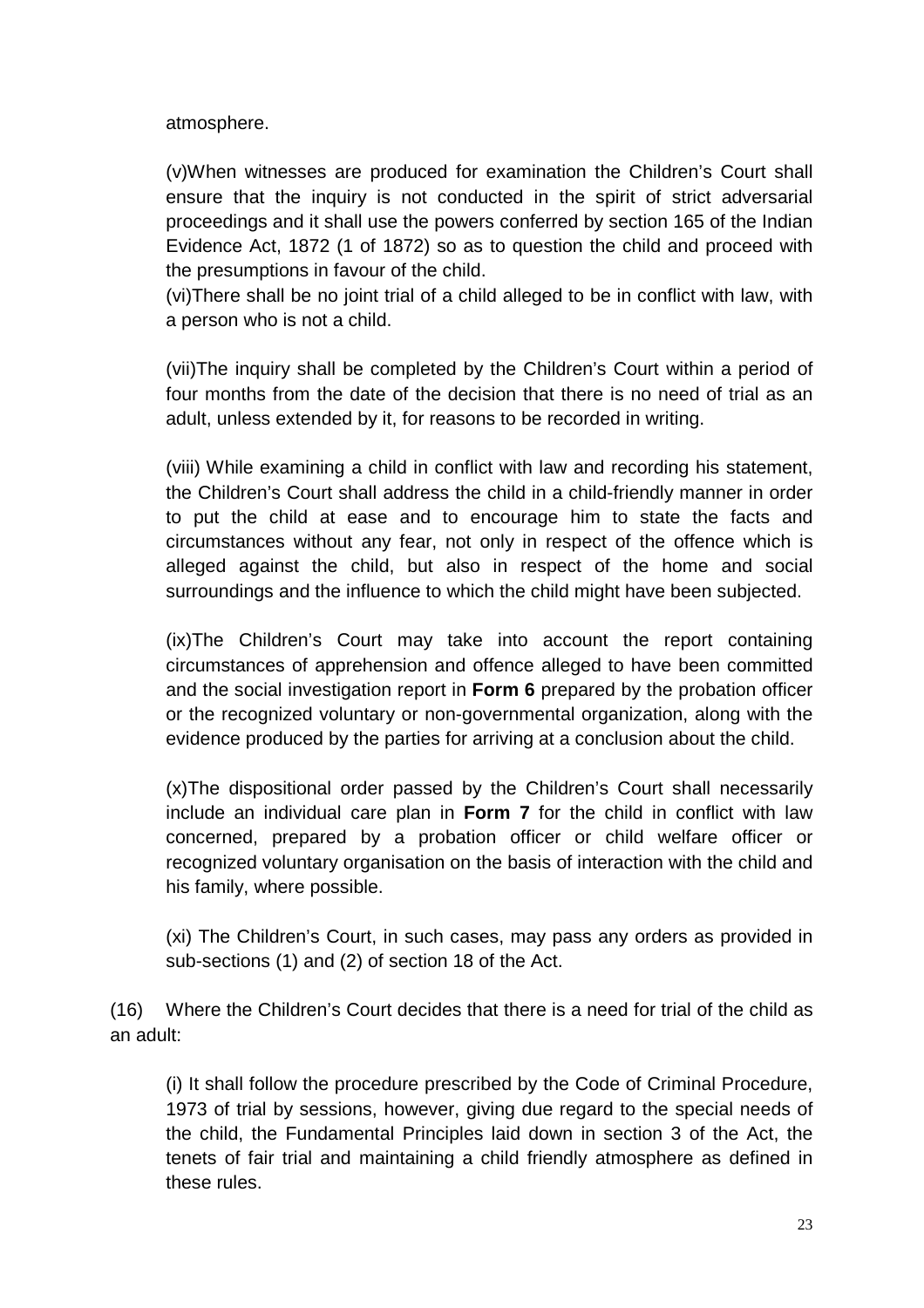atmosphere.

 (v)When witnesses are produced for examination the Children's Court shall ensure that the inquiry is not conducted in the spirit of strict adversarial proceedings and it shall use the powers conferred by section 165 of the Indian Evidence Act, 1872 (1 of 1872) so as to question the child and proceed with the presumptions in favour of the child.

 (vi)There shall be no joint trial of a child alleged to be in conflict with law, with a person who is not a child.

 (vii)The inquiry shall be completed by the Children's Court within a period of four months from the date of the decision that there is no need of trial as an adult, unless extended by it, for reasons to be recorded in writing.

(viii) While examining a child in conflict with law and recording his statement, the Children's Court shall address the child in a child-friendly manner in order to put the child at ease and to encourage him to state the facts and circumstances without any fear, not only in respect of the offence which is alleged against the child, but also in respect of the home and social surroundings and the influence to which the child might have been subjected.

 (ix)The Children's Court may take into account the report containing circumstances of apprehension and offence alleged to have been committed and the social investigation report in **Form 6** prepared by the probation officer or the recognized voluntary or non-governmental organization, along with the evidence produced by the parties for arriving at a conclusion about the child.

 (x)The dispositional order passed by the Children's Court shall necessarily include an individual care plan in **Form 7** for the child in conflict with law concerned, prepared by a probation officer or child welfare officer or recognized voluntary organisation on the basis of interaction with the child and his family, where possible.

 (xi) The Children's Court, in such cases, may pass any orders as provided in sub-sections (1) and (2) of section 18 of the Act.

(16) Where the Children's Court decides that there is a need for trial of the child as an adult:

 (i) It shall follow the procedure prescribed by the Code of Criminal Procedure, 1973 of trial by sessions, however, giving due regard to the special needs of the child, the Fundamental Principles laid down in section 3 of the Act, the tenets of fair trial and maintaining a child friendly atmosphere as defined in these rules.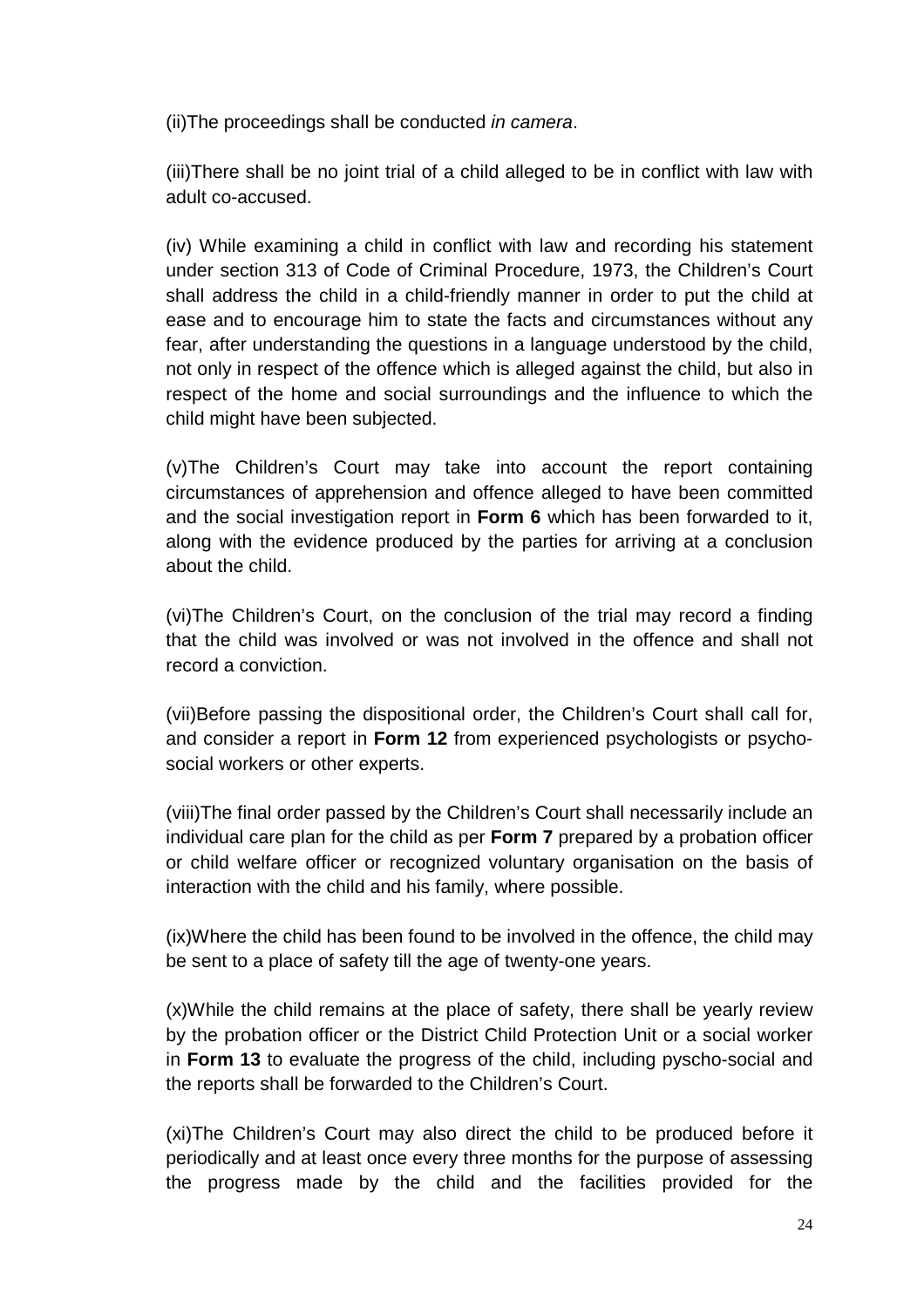(ii)The proceedings shall be conducted in camera.

 (iii)There shall be no joint trial of a child alleged to be in conflict with law with adult co-accused.

(iv) While examining a child in conflict with law and recording his statement under section 313 of Code of Criminal Procedure, 1973, the Children's Court shall address the child in a child-friendly manner in order to put the child at ease and to encourage him to state the facts and circumstances without any fear, after understanding the questions in a language understood by the child, not only in respect of the offence which is alleged against the child, but also in respect of the home and social surroundings and the influence to which the child might have been subjected.

 (v)The Children's Court may take into account the report containing circumstances of apprehension and offence alleged to have been committed and the social investigation report in **Form 6** which has been forwarded to it, along with the evidence produced by the parties for arriving at a conclusion about the child.

(vi)The Children's Court, on the conclusion of the trial may record a finding that the child was involved or was not involved in the offence and shall not record a conviction.

 (vii)Before passing the dispositional order, the Children's Court shall call for, and consider a report in **Form 12** from experienced psychologists or psychosocial workers or other experts.

(viii)The final order passed by the Children's Court shall necessarily include an individual care plan for the child as per **Form 7** prepared by a probation officer or child welfare officer or recognized voluntary organisation on the basis of interaction with the child and his family, where possible.

 (ix)Where the child has been found to be involved in the offence, the child may be sent to a place of safety till the age of twenty-one years.

 (x)While the child remains at the place of safety, there shall be yearly review by the probation officer or the District Child Protection Unit or a social worker in **Form 13** to evaluate the progress of the child, including pyscho-social and the reports shall be forwarded to the Children's Court.

 (xi)The Children's Court may also direct the child to be produced before it periodically and at least once every three months for the purpose of assessing the progress made by the child and the facilities provided for the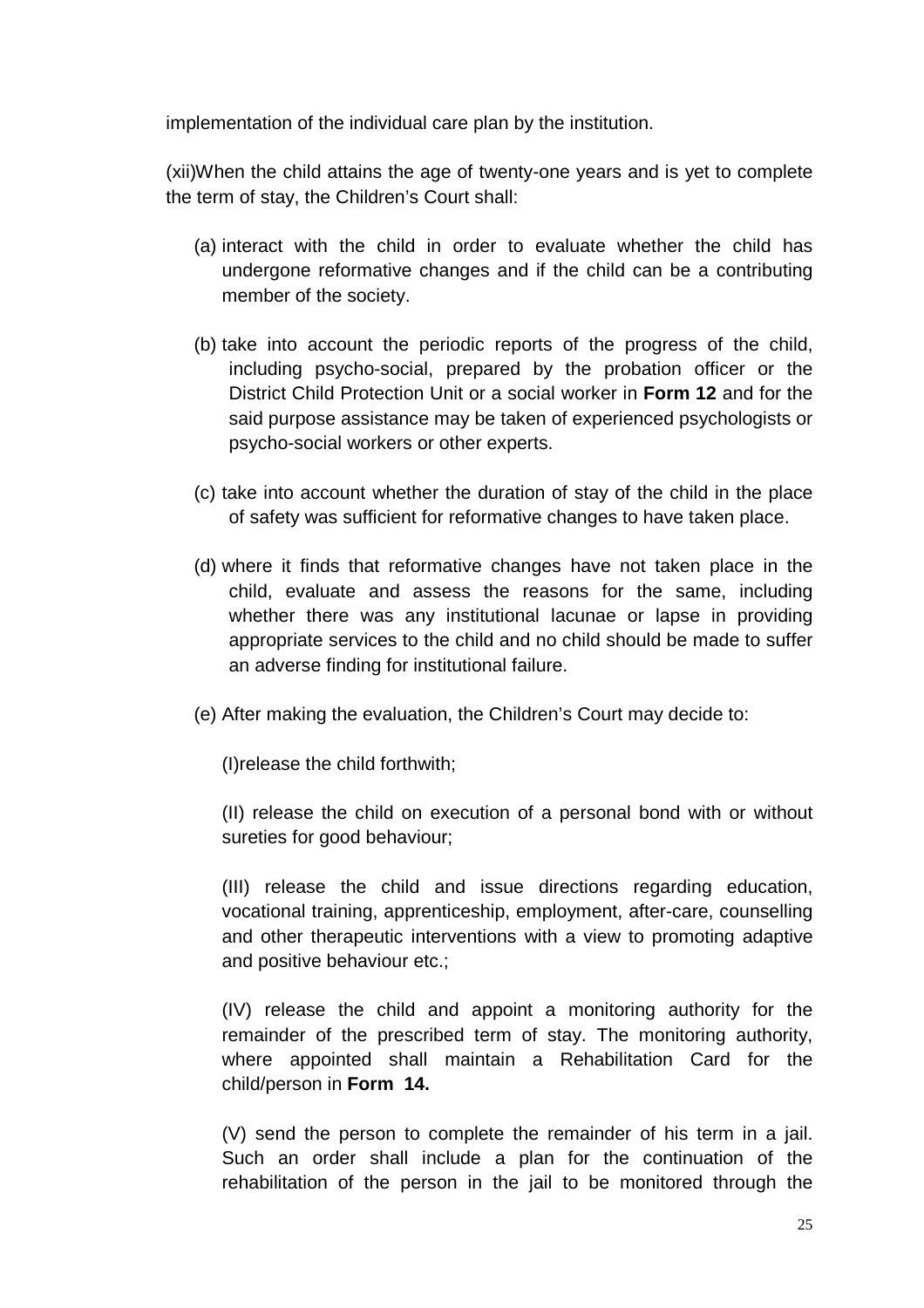implementation of the individual care plan by the institution.

 (xii)When the child attains the age of twenty-one years and is yet to complete the term of stay, the Children's Court shall:

- (a) interact with the child in order to evaluate whether the child has undergone reformative changes and if the child can be a contributing member of the society.
- (b) take into account the periodic reports of the progress of the child, including psycho-social, prepared by the probation officer or the District Child Protection Unit or a social worker in **Form 12** and for the said purpose assistance may be taken of experienced psychologists or psycho-social workers or other experts.
- (c) take into account whether the duration of stay of the child in the place of safety was sufficient for reformative changes to have taken place.
- (d) where it finds that reformative changes have not taken place in the child, evaluate and assess the reasons for the same, including whether there was any institutional lacunae or lapse in providing appropriate services to the child and no child should be made to suffer an adverse finding for institutional failure.
- (e) After making the evaluation, the Children's Court may decide to:

(I)release the child forthwith;

 (II) release the child on execution of a personal bond with or without sureties for good behaviour;

 (III) release the child and issue directions regarding education, vocational training, apprenticeship, employment, after-care, counselling and other therapeutic interventions with a view to promoting adaptive and positive behaviour etc.;

 (IV) release the child and appoint a monitoring authority for the remainder of the prescribed term of stay. The monitoring authority, where appointed shall maintain a Rehabilitation Card for the child/person in **Form 14.**

 (V) send the person to complete the remainder of his term in a jail. Such an order shall include a plan for the continuation of the rehabilitation of the person in the jail to be monitored through the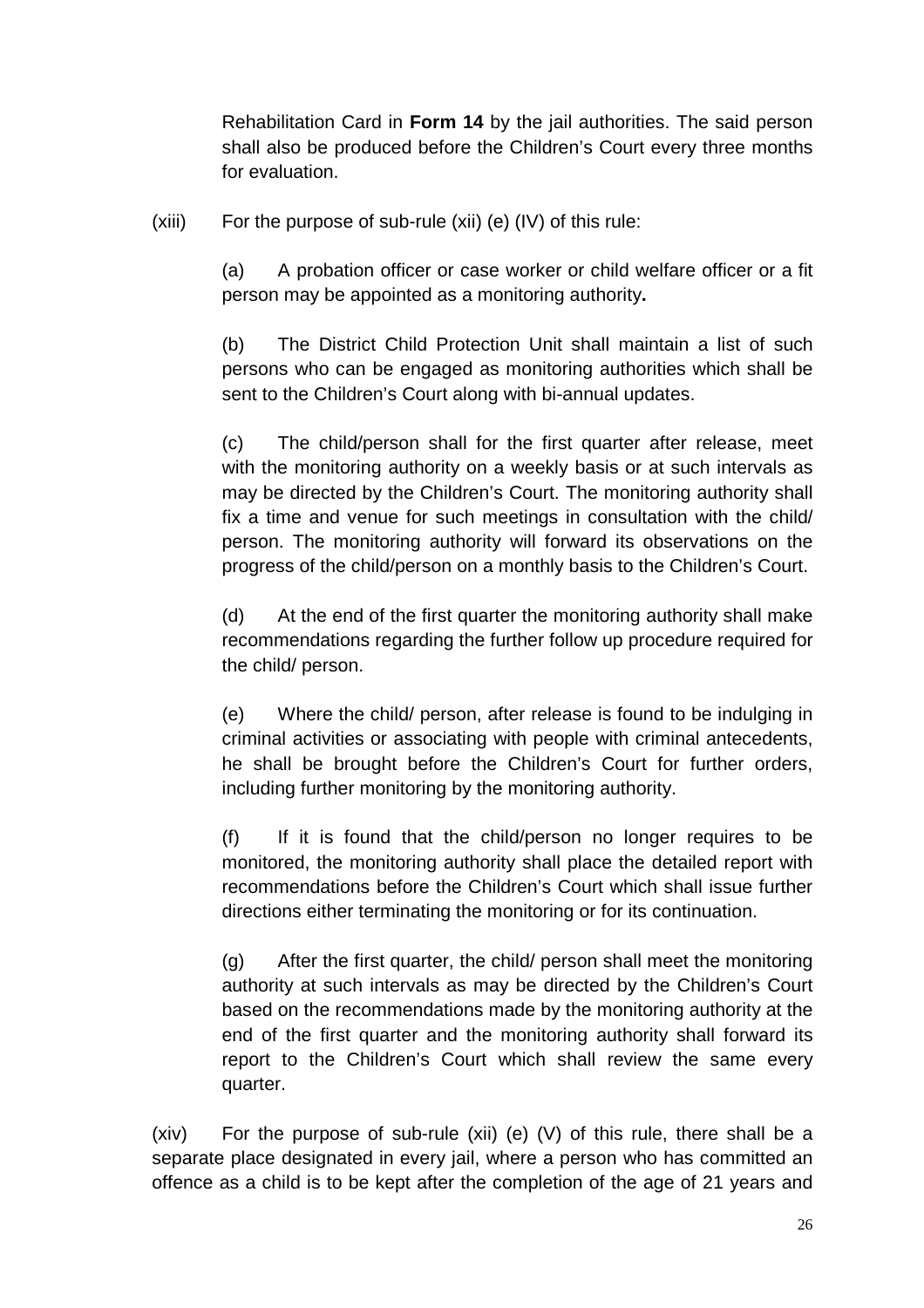Rehabilitation Card in **Form 14** by the jail authorities. The said person shall also be produced before the Children's Court every three months for evaluation.

 $(xiii)$  For the purpose of sub-rule  $(xii)$  (e)  $(IV)$  of this rule:

 (a) A probation officer or case worker or child welfare officer or a fit person may be appointed as a monitoring authority**.**

 (b) The District Child Protection Unit shall maintain a list of such persons who can be engaged as monitoring authorities which shall be sent to the Children's Court along with bi-annual updates.

 (c) The child/person shall for the first quarter after release, meet with the monitoring authority on a weekly basis or at such intervals as may be directed by the Children's Court. The monitoring authority shall fix a time and venue for such meetings in consultation with the child/ person. The monitoring authority will forward its observations on the progress of the child/person on a monthly basis to the Children's Court.

 (d) At the end of the first quarter the monitoring authority shall make recommendations regarding the further follow up procedure required for the child/ person.

 (e) Where the child/ person, after release is found to be indulging in criminal activities or associating with people with criminal antecedents, he shall be brought before the Children's Court for further orders, including further monitoring by the monitoring authority.

 (f) If it is found that the child/person no longer requires to be monitored, the monitoring authority shall place the detailed report with recommendations before the Children's Court which shall issue further directions either terminating the monitoring or for its continuation.

 (g) After the first quarter, the child/ person shall meet the monitoring authority at such intervals as may be directed by the Children's Court based on the recommendations made by the monitoring authority at the end of the first quarter and the monitoring authority shall forward its report to the Children's Court which shall review the same every quarter.

 (xiv) For the purpose of sub-rule (xii) (e) (V) of this rule, there shall be a separate place designated in every jail, where a person who has committed an offence as a child is to be kept after the completion of the age of 21 years and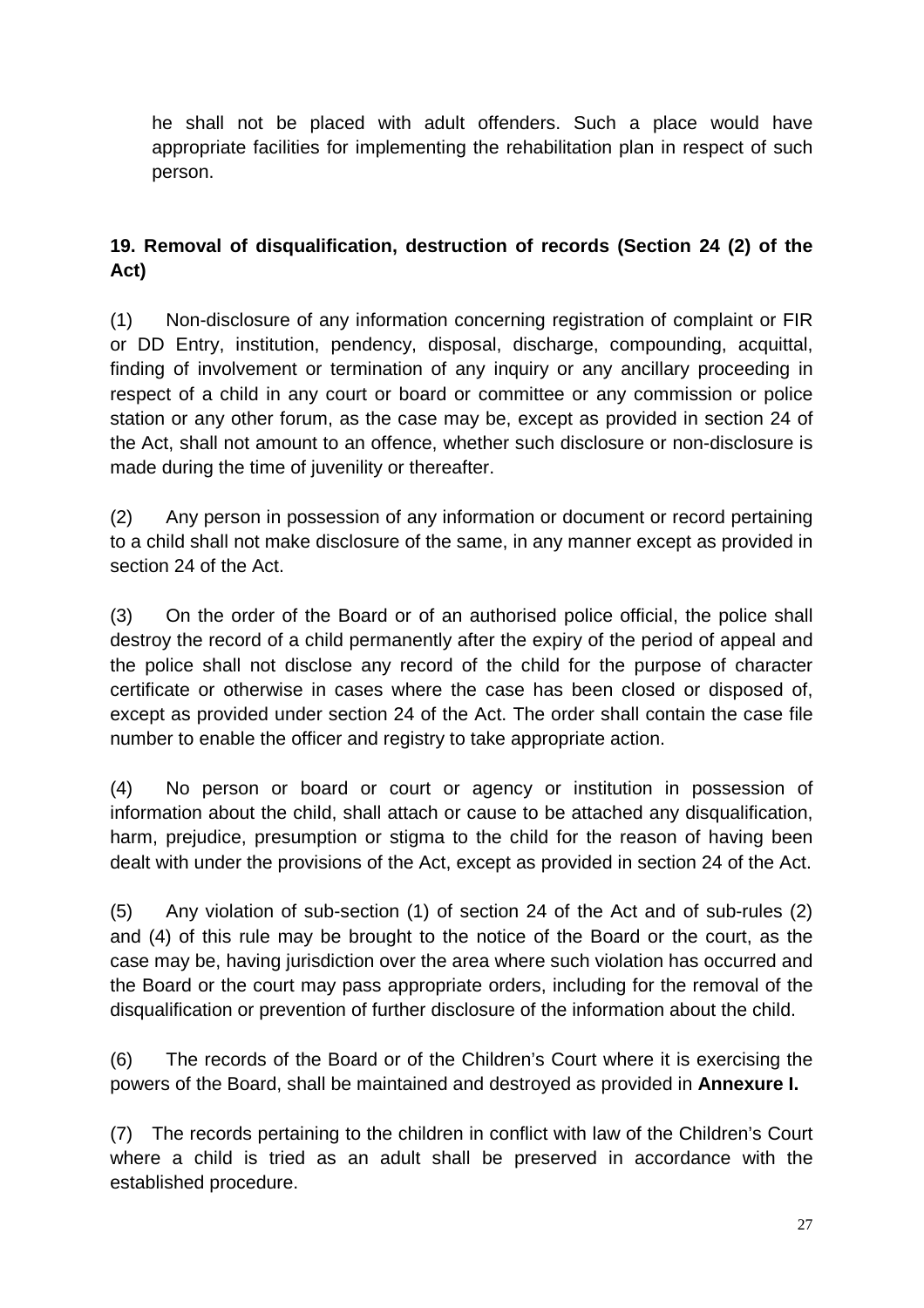he shall not be placed with adult offenders. Such a place would have appropriate facilities for implementing the rehabilitation plan in respect of such person.

## **19. Removal of disqualification, destruction of records (Section 24 (2) of the Act)**

(1) Non-disclosure of any information concerning registration of complaint or FIR or DD Entry, institution, pendency, disposal, discharge, compounding, acquittal, finding of involvement or termination of any inquiry or any ancillary proceeding in respect of a child in any court or board or committee or any commission or police station or any other forum, as the case may be, except as provided in section 24 of the Act, shall not amount to an offence, whether such disclosure or non-disclosure is made during the time of juvenility or thereafter.

(2) Any person in possession of any information or document or record pertaining to a child shall not make disclosure of the same, in any manner except as provided in section 24 of the Act.

(3) On the order of the Board or of an authorised police official, the police shall destroy the record of a child permanently after the expiry of the period of appeal and the police shall not disclose any record of the child for the purpose of character certificate or otherwise in cases where the case has been closed or disposed of, except as provided under section 24 of the Act. The order shall contain the case file number to enable the officer and registry to take appropriate action.

(4) No person or board or court or agency or institution in possession of information about the child, shall attach or cause to be attached any disqualification, harm, prejudice, presumption or stigma to the child for the reason of having been dealt with under the provisions of the Act, except as provided in section 24 of the Act.

(5) Any violation of sub-section (1) of section 24 of the Act and of sub-rules (2) and (4) of this rule may be brought to the notice of the Board or the court, as the case may be, having jurisdiction over the area where such violation has occurred and the Board or the court may pass appropriate orders, including for the removal of the disqualification or prevention of further disclosure of the information about the child.

(6) The records of the Board or of the Children's Court where it is exercising the powers of the Board, shall be maintained and destroyed as provided in **Annexure I.**

(7) The records pertaining to the children in conflict with law of the Children's Court where a child is tried as an adult shall be preserved in accordance with the established procedure.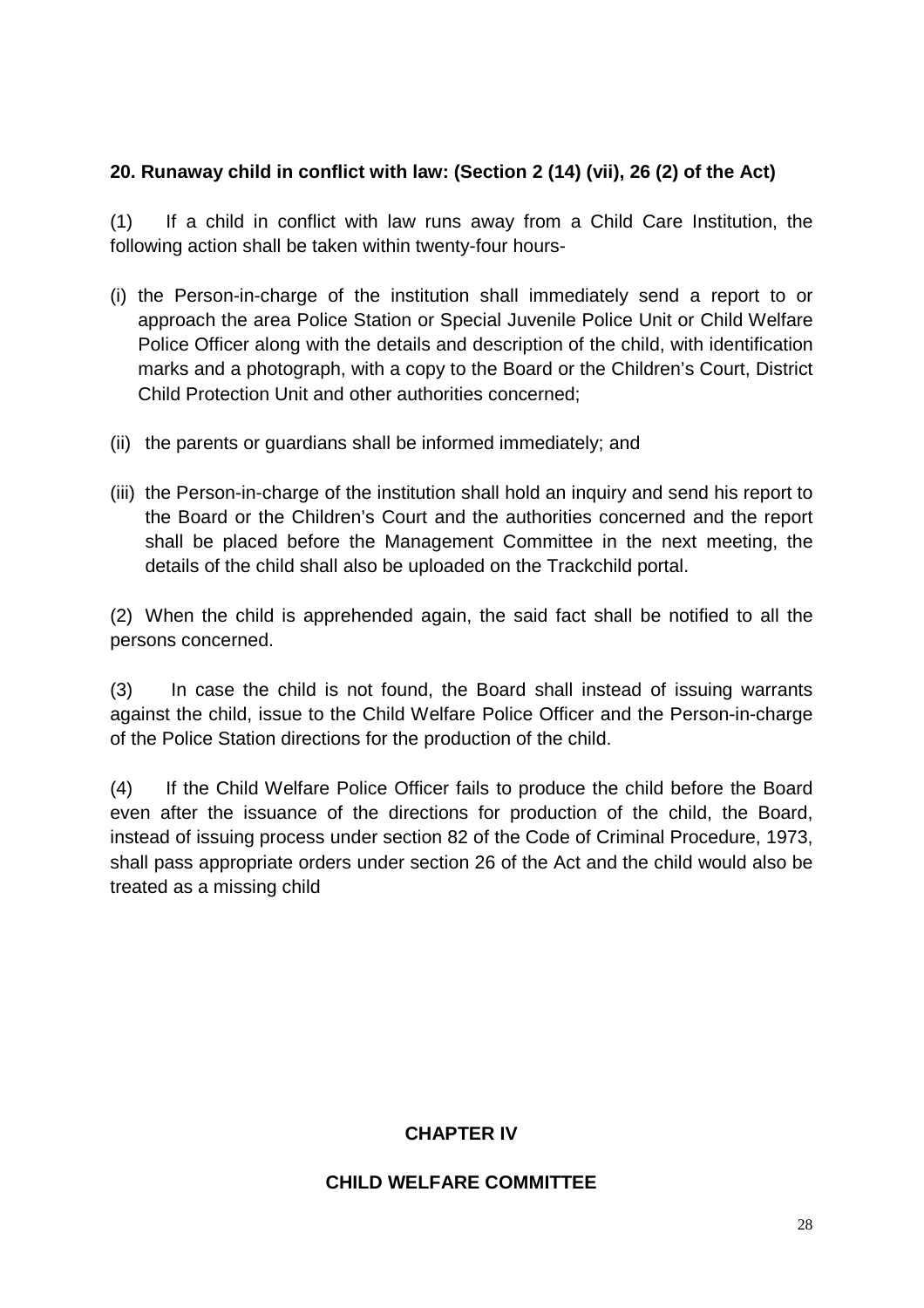#### **20. Runaway child in conflict with law: (Section 2 (14) (vii), 26 (2) of the Act)**

(1) If a child in conflict with law runs away from a Child Care Institution, the following action shall be taken within twenty-four hours-

- (i) the Person-in-charge of the institution shall immediately send a report to or approach the area Police Station or Special Juvenile Police Unit or Child Welfare Police Officer along with the details and description of the child, with identification marks and a photograph, with a copy to the Board or the Children's Court, District Child Protection Unit and other authorities concerned;
- (ii) the parents or guardians shall be informed immediately; and
- (iii) the Person-in-charge of the institution shall hold an inquiry and send his report to the Board or the Children's Court and the authorities concerned and the report shall be placed before the Management Committee in the next meeting, the details of the child shall also be uploaded on the Trackchild portal.

(2) When the child is apprehended again, the said fact shall be notified to all the persons concerned.

(3) In case the child is not found, the Board shall instead of issuing warrants against the child, issue to the Child Welfare Police Officer and the Person-in-charge of the Police Station directions for the production of the child.

(4) If the Child Welfare Police Officer fails to produce the child before the Board even after the issuance of the directions for production of the child, the Board, instead of issuing process under section 82 of the Code of Criminal Procedure, 1973, shall pass appropriate orders under section 26 of the Act and the child would also be treated as a missing child

#### **CHAPTER IV**

#### **CHILD WELFARE COMMITTEE**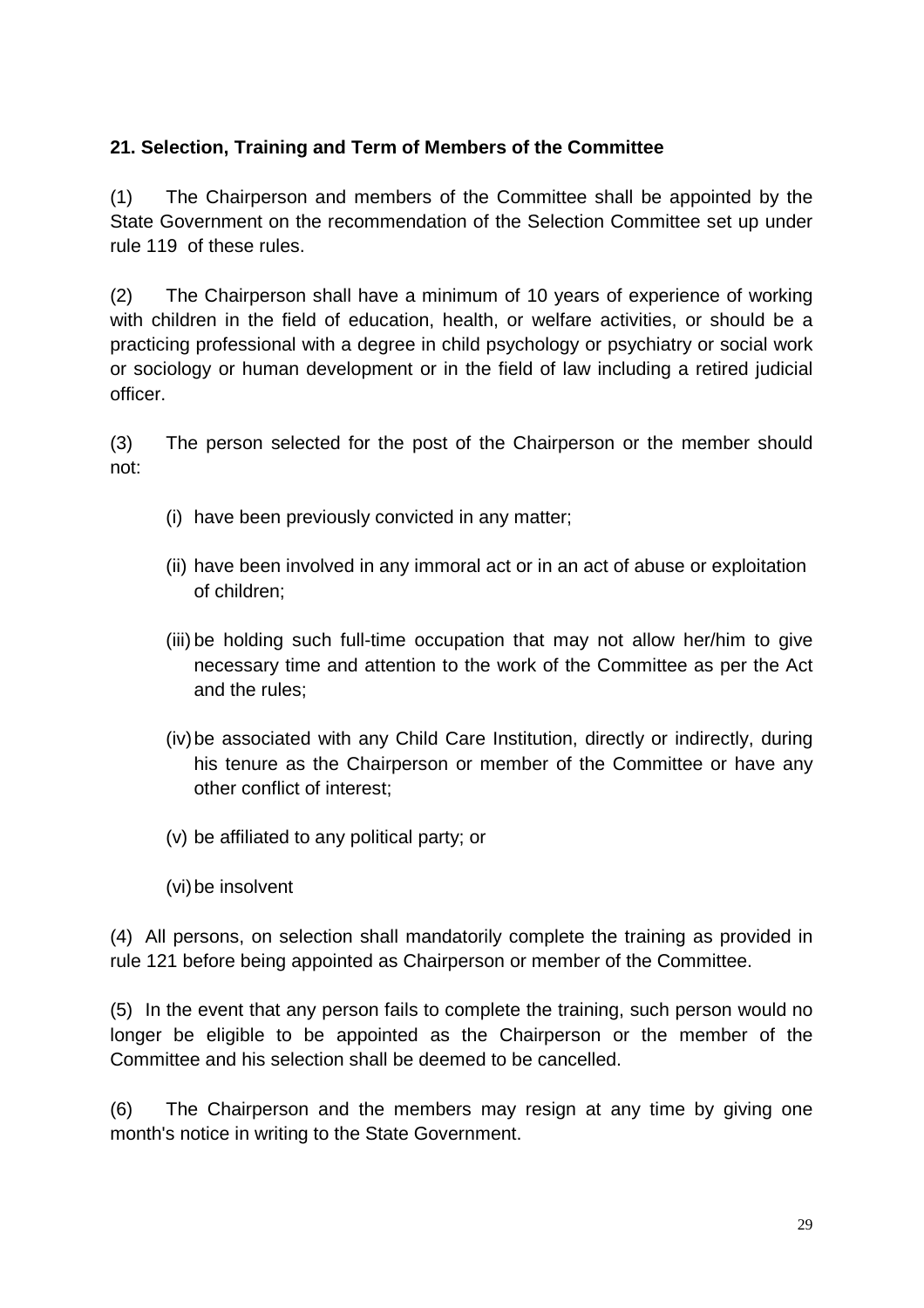#### **21. Selection, Training and Term of Members of the Committee**

(1) The Chairperson and members of the Committee shall be appointed by the State Government on the recommendation of the Selection Committee set up under rule 119 of these rules.

(2) The Chairperson shall have a minimum of 10 years of experience of working with children in the field of education, health, or welfare activities, or should be a practicing professional with a degree in child psychology or psychiatry or social work or sociology or human development or in the field of law including a retired judicial officer.

(3) The person selected for the post of the Chairperson or the member should not:

- (i) have been previously convicted in any matter;
- (ii) have been involved in any immoral act or in an act of abuse or exploitation of children;
- (iii) be holding such full-time occupation that may not allow her/him to give necessary time and attention to the work of the Committee as per the Act and the rules;
- (iv) be associated with any Child Care Institution, directly or indirectly, during his tenure as the Chairperson or member of the Committee or have any other conflict of interest;
- (v) be affiliated to any political party; or
- (vi) be insolvent

(4) All persons, on selection shall mandatorily complete the training as provided in rule 121 before being appointed as Chairperson or member of the Committee.

(5) In the event that any person fails to complete the training, such person would no longer be eligible to be appointed as the Chairperson or the member of the Committee and his selection shall be deemed to be cancelled.

(6) The Chairperson and the members may resign at any time by giving one month's notice in writing to the State Government.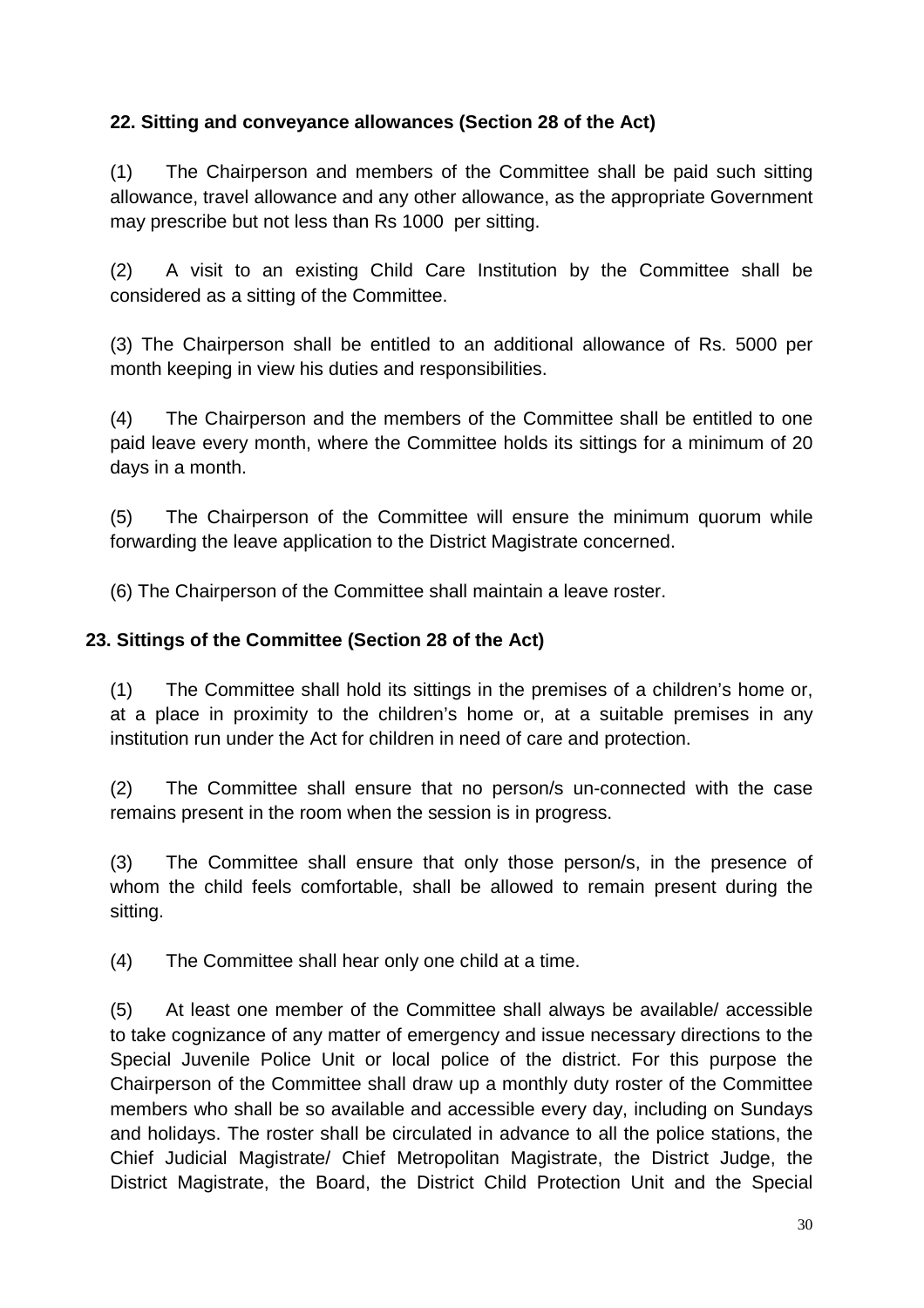## **22. Sitting and conveyance allowances (Section 28 of the Act)**

(1) The Chairperson and members of the Committee shall be paid such sitting allowance, travel allowance and any other allowance, as the appropriate Government may prescribe but not less than Rs 1000 per sitting.

(2) A visit to an existing Child Care Institution by the Committee shall be considered as a sitting of the Committee.

(3) The Chairperson shall be entitled to an additional allowance of Rs. 5000 per month keeping in view his duties and responsibilities.

(4) The Chairperson and the members of the Committee shall be entitled to one paid leave every month, where the Committee holds its sittings for a minimum of 20 days in a month.

(5) The Chairperson of the Committee will ensure the minimum quorum while forwarding the leave application to the District Magistrate concerned.

(6) The Chairperson of the Committee shall maintain a leave roster.

#### **23. Sittings of the Committee (Section 28 of the Act)**

(1) The Committee shall hold its sittings in the premises of a children's home or, at a place in proximity to the children's home or, at a suitable premises in any institution run under the Act for children in need of care and protection.

(2) The Committee shall ensure that no person/s un-connected with the case remains present in the room when the session is in progress.

(3) The Committee shall ensure that only those person/s, in the presence of whom the child feels comfortable, shall be allowed to remain present during the sitting.

(4) The Committee shall hear only one child at a time.

(5) At least one member of the Committee shall always be available/ accessible to take cognizance of any matter of emergency and issue necessary directions to the Special Juvenile Police Unit or local police of the district. For this purpose the Chairperson of the Committee shall draw up a monthly duty roster of the Committee members who shall be so available and accessible every day, including on Sundays and holidays. The roster shall be circulated in advance to all the police stations, the Chief Judicial Magistrate/ Chief Metropolitan Magistrate, the District Judge, the District Magistrate, the Board, the District Child Protection Unit and the Special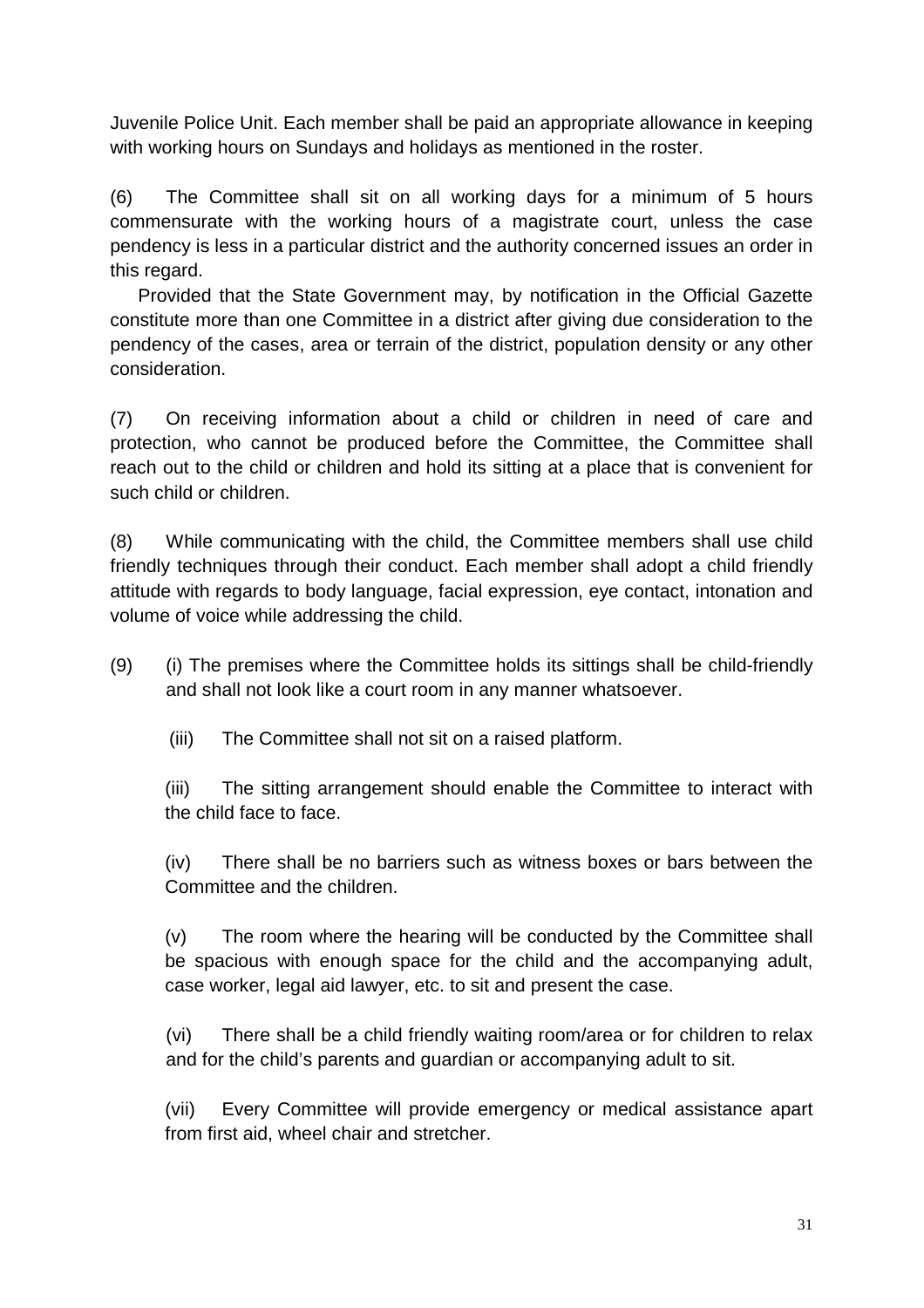Juvenile Police Unit. Each member shall be paid an appropriate allowance in keeping with working hours on Sundays and holidays as mentioned in the roster.

(6) The Committee shall sit on all working days for a minimum of 5 hours commensurate with the working hours of a magistrate court, unless the case pendency is less in a particular district and the authority concerned issues an order in this regard.

Provided that the State Government may, by notification in the Official Gazette constitute more than one Committee in a district after giving due consideration to the pendency of the cases, area or terrain of the district, population density or any other consideration.

(7) On receiving information about a child or children in need of care and protection, who cannot be produced before the Committee, the Committee shall reach out to the child or children and hold its sitting at a place that is convenient for such child or children.

(8) While communicating with the child, the Committee members shall use child friendly techniques through their conduct. Each member shall adopt a child friendly attitude with regards to body language, facial expression, eye contact, intonation and volume of voice while addressing the child.

- (9) (i) The premises where the Committee holds its sittings shall be child-friendly and shall not look like a court room in any manner whatsoever.
	- (iii) The Committee shall not sit on a raised platform.

(iii) The sitting arrangement should enable the Committee to interact with the child face to face.

(iv) There shall be no barriers such as witness boxes or bars between the Committee and the children.

(v) The room where the hearing will be conducted by the Committee shall be spacious with enough space for the child and the accompanying adult, case worker, legal aid lawyer, etc. to sit and present the case.

(vi) There shall be a child friendly waiting room/area or for children to relax and for the child's parents and guardian or accompanying adult to sit.

(vii) Every Committee will provide emergency or medical assistance apart from first aid, wheel chair and stretcher.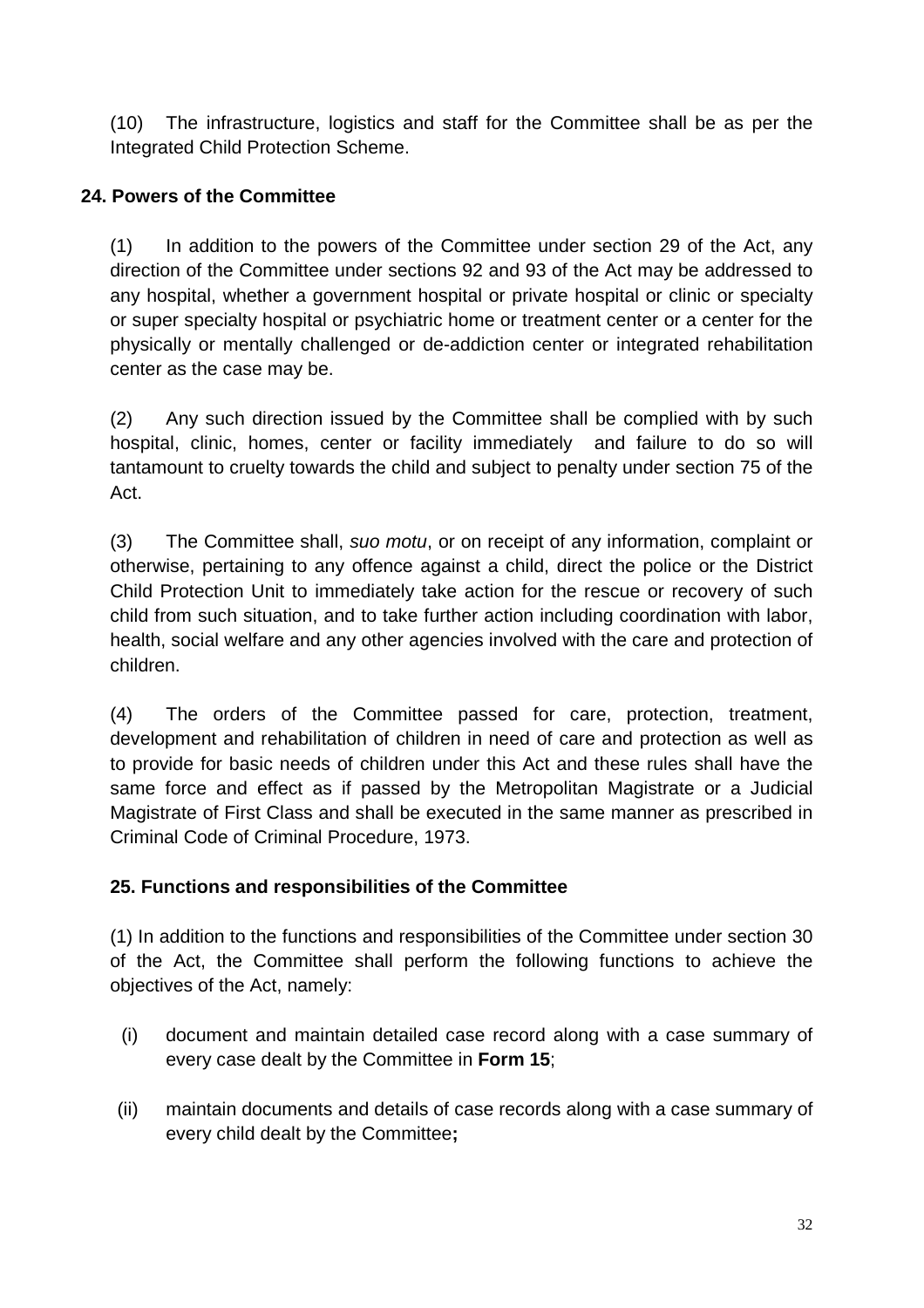(10) The infrastructure, logistics and staff for the Committee shall be as per the Integrated Child Protection Scheme.

## **24. Powers of the Committee**

(1) In addition to the powers of the Committee under section 29 of the Act, any direction of the Committee under sections 92 and 93 of the Act may be addressed to any hospital, whether a government hospital or private hospital or clinic or specialty or super specialty hospital or psychiatric home or treatment center or a center for the physically or mentally challenged or de-addiction center or integrated rehabilitation center as the case may be.

(2) Any such direction issued by the Committee shall be complied with by such hospital, clinic, homes, center or facility immediately and failure to do so will tantamount to cruelty towards the child and subject to penalty under section 75 of the Act.

(3) The Committee shall, suo motu, or on receipt of any information, complaint or otherwise, pertaining to any offence against a child, direct the police or the District Child Protection Unit to immediately take action for the rescue or recovery of such child from such situation, and to take further action including coordination with labor, health, social welfare and any other agencies involved with the care and protection of children.

(4) The orders of the Committee passed for care, protection, treatment, development and rehabilitation of children in need of care and protection as well as to provide for basic needs of children under this Act and these rules shall have the same force and effect as if passed by the Metropolitan Magistrate or a Judicial Magistrate of First Class and shall be executed in the same manner as prescribed in Criminal Code of Criminal Procedure, 1973.

## **25. Functions and responsibilities of the Committee**

(1) In addition to the functions and responsibilities of the Committee under section 30 of the Act, the Committee shall perform the following functions to achieve the objectives of the Act, namely:

- (i) document and maintain detailed case record along with a case summary of every case dealt by the Committee in **Form 15**;
- (ii) maintain documents and details of case records along with a case summary of every child dealt by the Committee**;**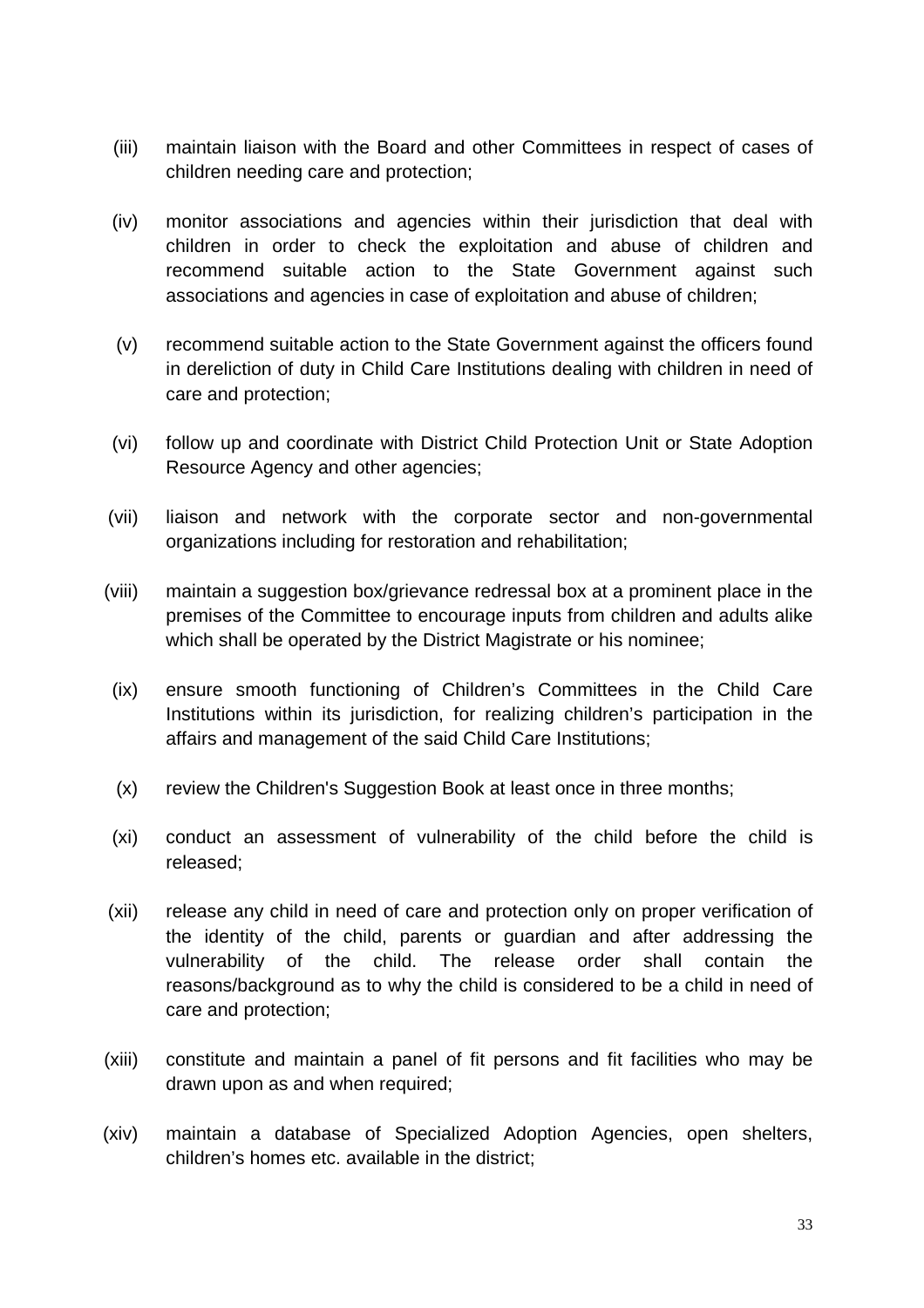- (iii) maintain liaison with the Board and other Committees in respect of cases of children needing care and protection;
- (iv) monitor associations and agencies within their jurisdiction that deal with children in order to check the exploitation and abuse of children and recommend suitable action to the State Government against such associations and agencies in case of exploitation and abuse of children;
- (v) recommend suitable action to the State Government against the officers found in dereliction of duty in Child Care Institutions dealing with children in need of care and protection;
- (vi) follow up and coordinate with District Child Protection Unit or State Adoption Resource Agency and other agencies;
- (vii) liaison and network with the corporate sector and non-governmental organizations including for restoration and rehabilitation;
- (viii) maintain a suggestion box/grievance redressal box at a prominent place in the premises of the Committee to encourage inputs from children and adults alike which shall be operated by the District Magistrate or his nominee;
- (ix) ensure smooth functioning of Children's Committees in the Child Care Institutions within its jurisdiction, for realizing children's participation in the affairs and management of the said Child Care Institutions;
- (x) review the Children's Suggestion Book at least once in three months;
- (xi) conduct an assessment of vulnerability of the child before the child is released;
- (xii) release any child in need of care and protection only on proper verification of the identity of the child, parents or guardian and after addressing the vulnerability of the child. The release order shall contain the reasons/background as to why the child is considered to be a child in need of care and protection;
- (xiii) constitute and maintain a panel of fit persons and fit facilities who may be drawn upon as and when required;
- (xiv) maintain a database of Specialized Adoption Agencies, open shelters, children's homes etc. available in the district;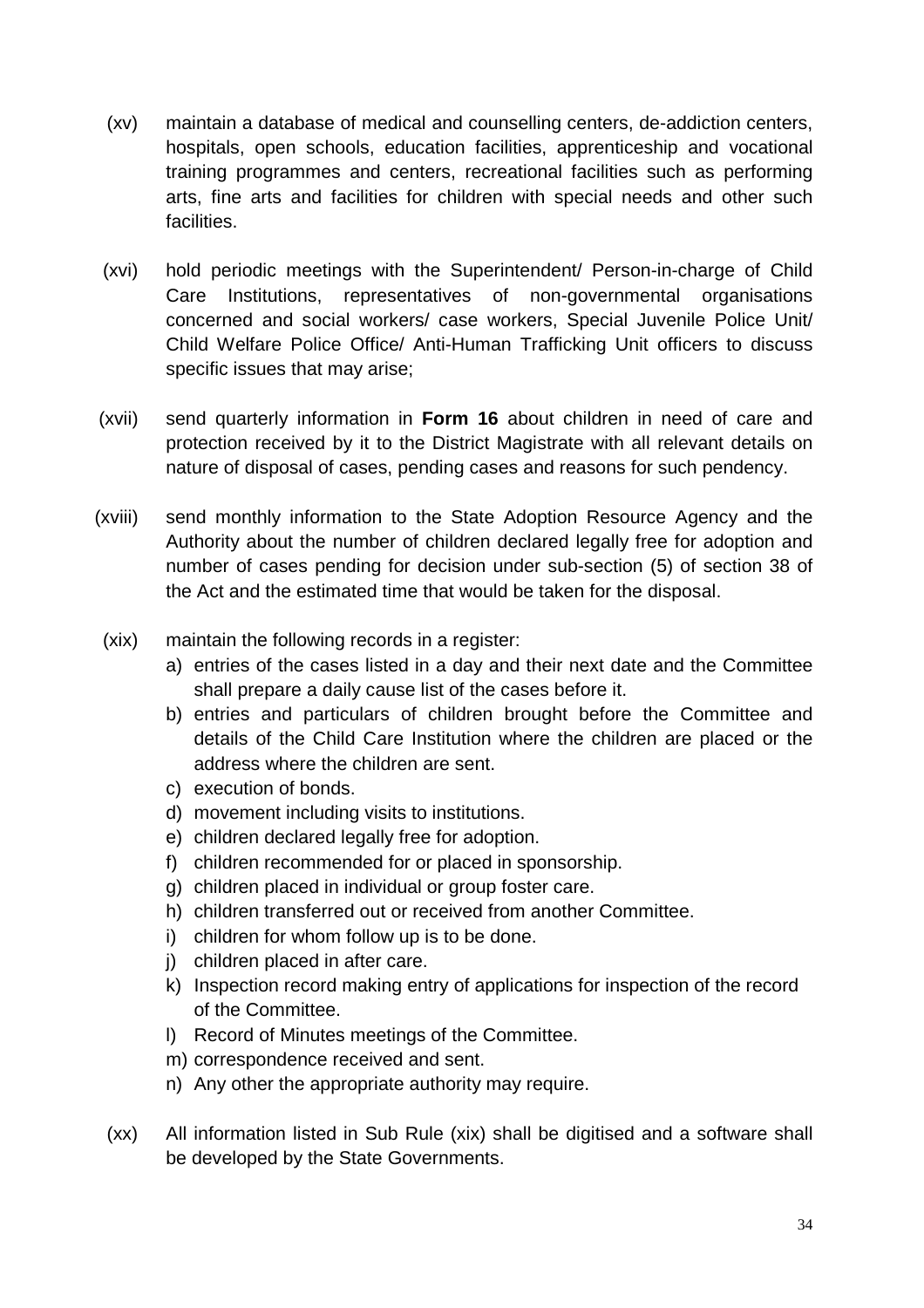- (xv) maintain a database of medical and counselling centers, de-addiction centers, hospitals, open schools, education facilities, apprenticeship and vocational training programmes and centers, recreational facilities such as performing arts, fine arts and facilities for children with special needs and other such facilities.
- (xvi) hold periodic meetings with the Superintendent/ Person-in-charge of Child Care Institutions, representatives of non-governmental organisations concerned and social workers/ case workers, Special Juvenile Police Unit/ Child Welfare Police Office/ Anti-Human Trafficking Unit officers to discuss specific issues that may arise;
- (xvii) send quarterly information in **Form 16** about children in need of care and protection received by it to the District Magistrate with all relevant details on nature of disposal of cases, pending cases and reasons for such pendency.
- (xviii) send monthly information to the State Adoption Resource Agency and the Authority about the number of children declared legally free for adoption and number of cases pending for decision under sub-section (5) of section 38 of the Act and the estimated time that would be taken for the disposal.
- (xix) maintain the following records in a register:
	- a) entries of the cases listed in a day and their next date and the Committee shall prepare a daily cause list of the cases before it.
	- b) entries and particulars of children brought before the Committee and details of the Child Care Institution where the children are placed or the address where the children are sent.
	- c) execution of bonds.
	- d) movement including visits to institutions.
	- e) children declared legally free for adoption.
	- f) children recommended for or placed in sponsorship.
	- g) children placed in individual or group foster care.
	- h) children transferred out or received from another Committee.
	- i) children for whom follow up is to be done.
	- j) children placed in after care.
	- k) Inspection record making entry of applications for inspection of the record of the Committee.
	- l) Record of Minutes meetings of the Committee.
	- m) correspondence received and sent.
	- n) Any other the appropriate authority may require.
- (xx) All information listed in Sub Rule (xix) shall be digitised and a software shall be developed by the State Governments.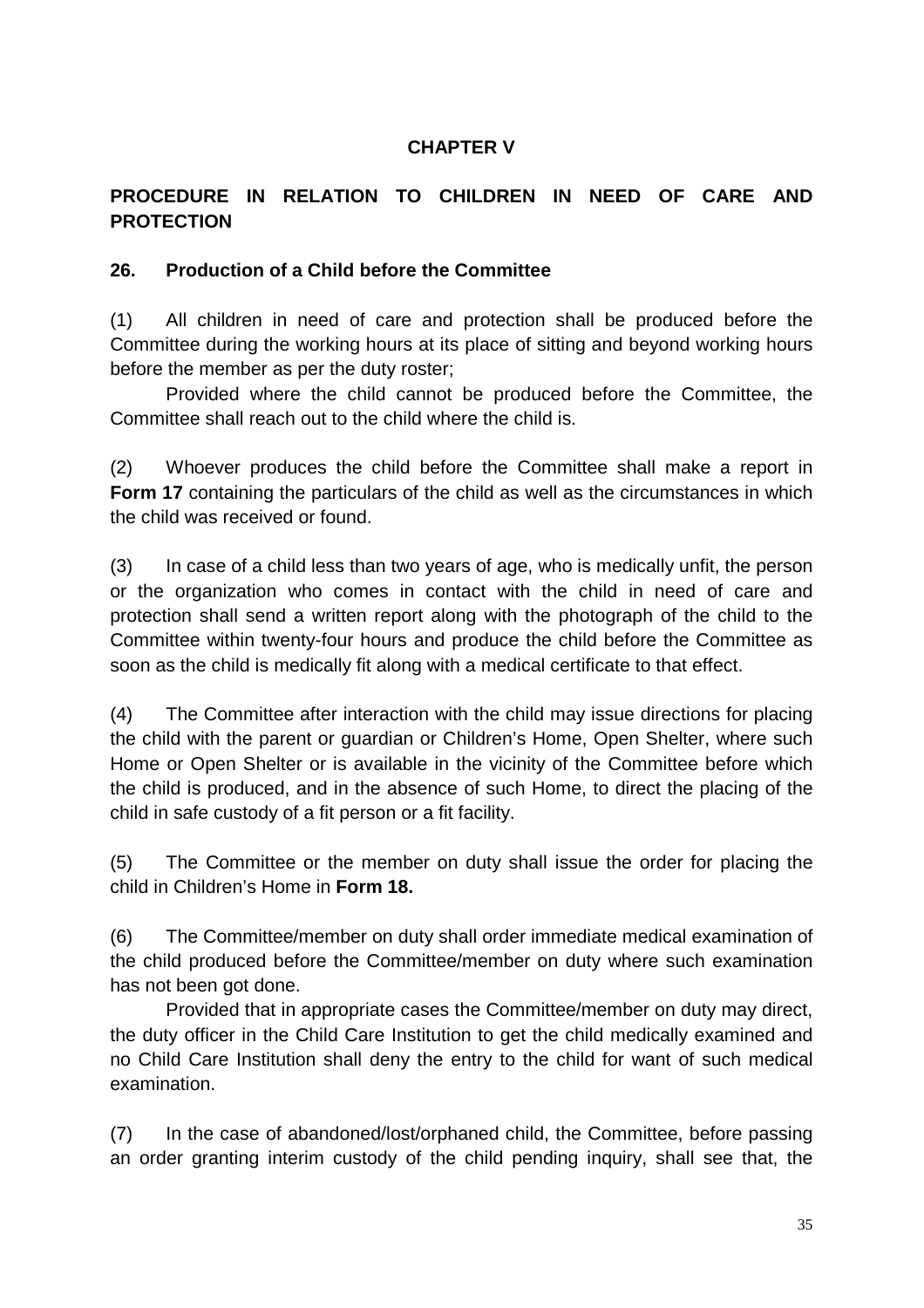#### **CHAPTER V**

#### **PROCEDURE IN RELATION TO CHILDREN IN NEED OF CARE AND PROTECTION**

#### **26. Production of a Child before the Committee**

(1) All children in need of care and protection shall be produced before the Committee during the working hours at its place of sitting and beyond working hours before the member as per the duty roster;

 Provided where the child cannot be produced before the Committee, the Committee shall reach out to the child where the child is.

(2) Whoever produces the child before the Committee shall make a report in **Form 17** containing the particulars of the child as well as the circumstances in which the child was received or found.

(3) In case of a child less than two years of age, who is medically unfit, the person or the organization who comes in contact with the child in need of care and protection shall send a written report along with the photograph of the child to the Committee within twenty-four hours and produce the child before the Committee as soon as the child is medically fit along with a medical certificate to that effect.

(4) The Committee after interaction with the child may issue directions for placing the child with the parent or guardian or Children's Home, Open Shelter, where such Home or Open Shelter or is available in the vicinity of the Committee before which the child is produced, and in the absence of such Home, to direct the placing of the child in safe custody of a fit person or a fit facility.

(5) The Committee or the member on duty shall issue the order for placing the child in Children's Home in **Form 18.**

(6) The Committee/member on duty shall order immediate medical examination of the child produced before the Committee/member on duty where such examination has not been got done.

 Provided that in appropriate cases the Committee/member on duty may direct, the duty officer in the Child Care Institution to get the child medically examined and no Child Care Institution shall deny the entry to the child for want of such medical examination.

(7) In the case of abandoned/lost/orphaned child, the Committee, before passing an order granting interim custody of the child pending inquiry, shall see that, the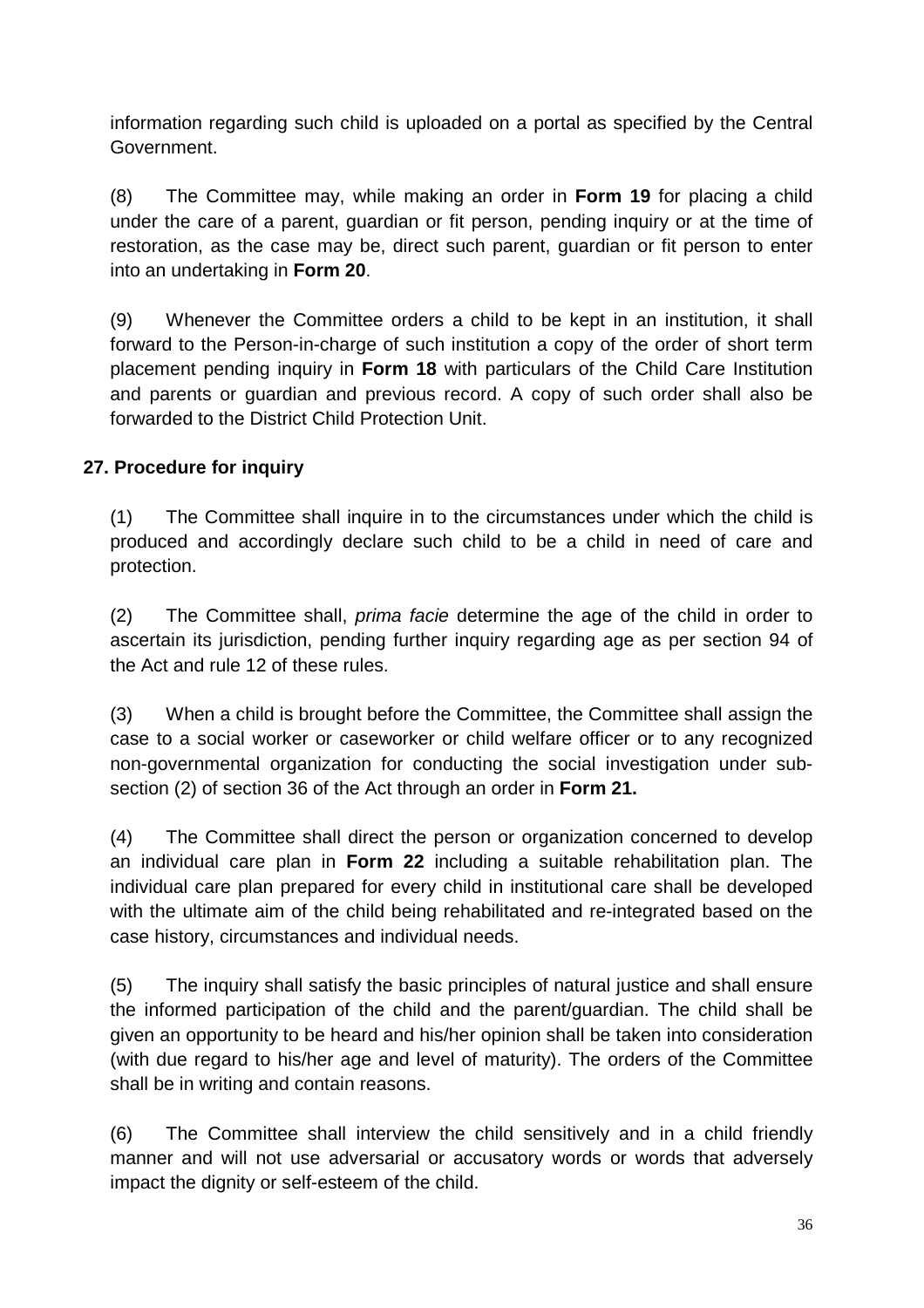information regarding such child is uploaded on a portal as specified by the Central Government.

(8) The Committee may, while making an order in **Form 19** for placing a child under the care of a parent, guardian or fit person, pending inquiry or at the time of restoration, as the case may be, direct such parent, guardian or fit person to enter into an undertaking in **Form 20**.

(9) Whenever the Committee orders a child to be kept in an institution, it shall forward to the Person-in-charge of such institution a copy of the order of short term placement pending inquiry in **Form 18** with particulars of the Child Care Institution and parents or guardian and previous record. A copy of such order shall also be forwarded to the District Child Protection Unit.

## **27. Procedure for inquiry**

(1) The Committee shall inquire in to the circumstances under which the child is produced and accordingly declare such child to be a child in need of care and protection.

(2) The Committee shall, prima facie determine the age of the child in order to ascertain its jurisdiction, pending further inquiry regarding age as per section 94 of the Act and rule 12 of these rules.

(3) When a child is brought before the Committee, the Committee shall assign the case to a social worker or caseworker or child welfare officer or to any recognized non-governmental organization for conducting the social investigation under subsection (2) of section 36 of the Act through an order in **Form 21.**

(4) The Committee shall direct the person or organization concerned to develop an individual care plan in **Form 22** including a suitable rehabilitation plan. The individual care plan prepared for every child in institutional care shall be developed with the ultimate aim of the child being rehabilitated and re-integrated based on the case history, circumstances and individual needs.

(5) The inquiry shall satisfy the basic principles of natural justice and shall ensure the informed participation of the child and the parent/guardian. The child shall be given an opportunity to be heard and his/her opinion shall be taken into consideration (with due regard to his/her age and level of maturity). The orders of the Committee shall be in writing and contain reasons.

(6) The Committee shall interview the child sensitively and in a child friendly manner and will not use adversarial or accusatory words or words that adversely impact the dignity or self-esteem of the child.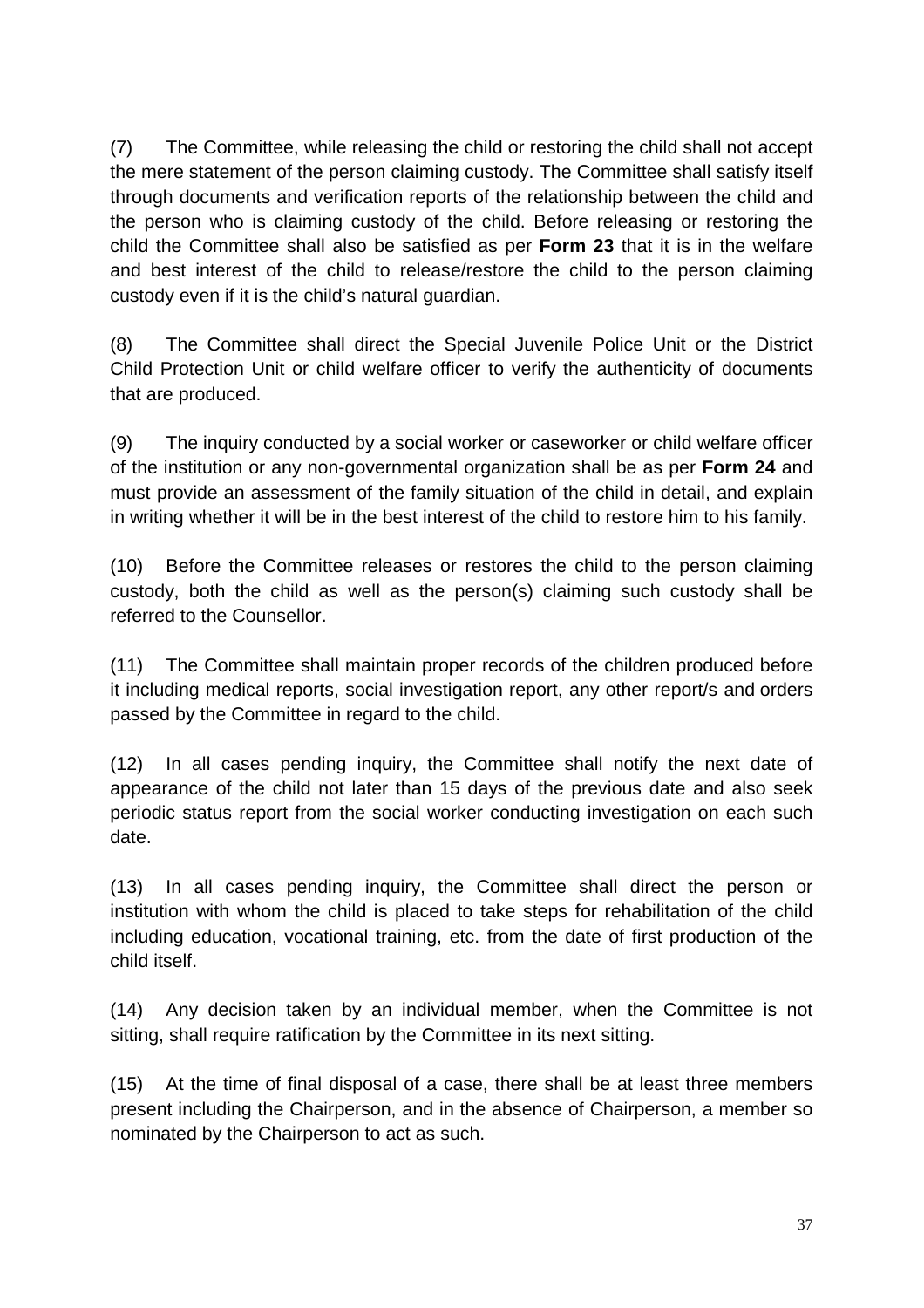(7) The Committee, while releasing the child or restoring the child shall not accept the mere statement of the person claiming custody. The Committee shall satisfy itself through documents and verification reports of the relationship between the child and the person who is claiming custody of the child. Before releasing or restoring the child the Committee shall also be satisfied as per **Form 23** that it is in the welfare and best interest of the child to release/restore the child to the person claiming custody even if it is the child's natural guardian.

(8) The Committee shall direct the Special Juvenile Police Unit or the District Child Protection Unit or child welfare officer to verify the authenticity of documents that are produced.

(9) The inquiry conducted by a social worker or caseworker or child welfare officer of the institution or any non-governmental organization shall be as per **Form 24** and must provide an assessment of the family situation of the child in detail, and explain in writing whether it will be in the best interest of the child to restore him to his family.

(10) Before the Committee releases or restores the child to the person claiming custody, both the child as well as the person(s) claiming such custody shall be referred to the Counsellor.

(11) The Committee shall maintain proper records of the children produced before it including medical reports, social investigation report, any other report/s and orders passed by the Committee in regard to the child.

(12) In all cases pending inquiry, the Committee shall notify the next date of appearance of the child not later than 15 days of the previous date and also seek periodic status report from the social worker conducting investigation on each such date.

(13) In all cases pending inquiry, the Committee shall direct the person or institution with whom the child is placed to take steps for rehabilitation of the child including education, vocational training, etc. from the date of first production of the child itself.

(14) Any decision taken by an individual member, when the Committee is not sitting, shall require ratification by the Committee in its next sitting.

(15) At the time of final disposal of a case, there shall be at least three members present including the Chairperson, and in the absence of Chairperson, a member so nominated by the Chairperson to act as such.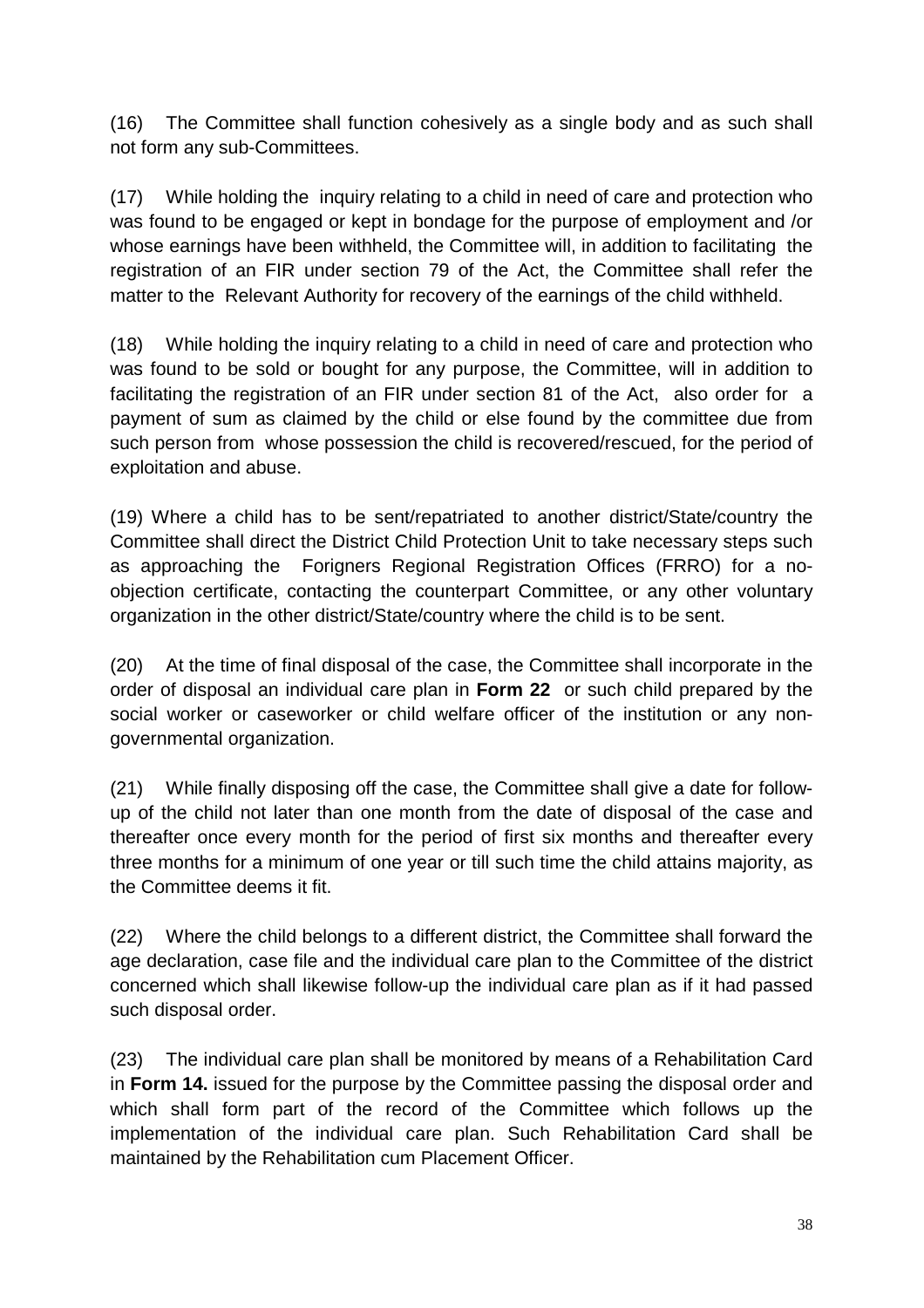(16) The Committee shall function cohesively as a single body and as such shall not form any sub-Committees.

(17) While holding the inquiry relating to a child in need of care and protection who was found to be engaged or kept in bondage for the purpose of employment and /or whose earnings have been withheld, the Committee will, in addition to facilitating the registration of an FIR under section 79 of the Act, the Committee shall refer the matter to the Relevant Authority for recovery of the earnings of the child withheld.

(18) While holding the inquiry relating to a child in need of care and protection who was found to be sold or bought for any purpose, the Committee, will in addition to facilitating the registration of an FIR under section 81 of the Act, also order for a payment of sum as claimed by the child or else found by the committee due from such person from whose possession the child is recovered/rescued, for the period of exploitation and abuse.

(19) Where a child has to be sent/repatriated to another district/State/country the Committee shall direct the District Child Protection Unit to take necessary steps such as approaching the Forigners Regional Registration Offices (FRRO) for a noobjection certificate, contacting the counterpart Committee, or any other voluntary organization in the other district/State/country where the child is to be sent.

(20) At the time of final disposal of the case, the Committee shall incorporate in the order of disposal an individual care plan in **Form 22** or such child prepared by the social worker or caseworker or child welfare officer of the institution or any nongovernmental organization.

(21) While finally disposing off the case, the Committee shall give a date for followup of the child not later than one month from the date of disposal of the case and thereafter once every month for the period of first six months and thereafter every three months for a minimum of one year or till such time the child attains majority, as the Committee deems it fit.

(22) Where the child belongs to a different district, the Committee shall forward the age declaration, case file and the individual care plan to the Committee of the district concerned which shall likewise follow-up the individual care plan as if it had passed such disposal order.

(23) The individual care plan shall be monitored by means of a Rehabilitation Card in **Form 14.** issued for the purpose by the Committee passing the disposal order and which shall form part of the record of the Committee which follows up the implementation of the individual care plan. Such Rehabilitation Card shall be maintained by the Rehabilitation cum Placement Officer.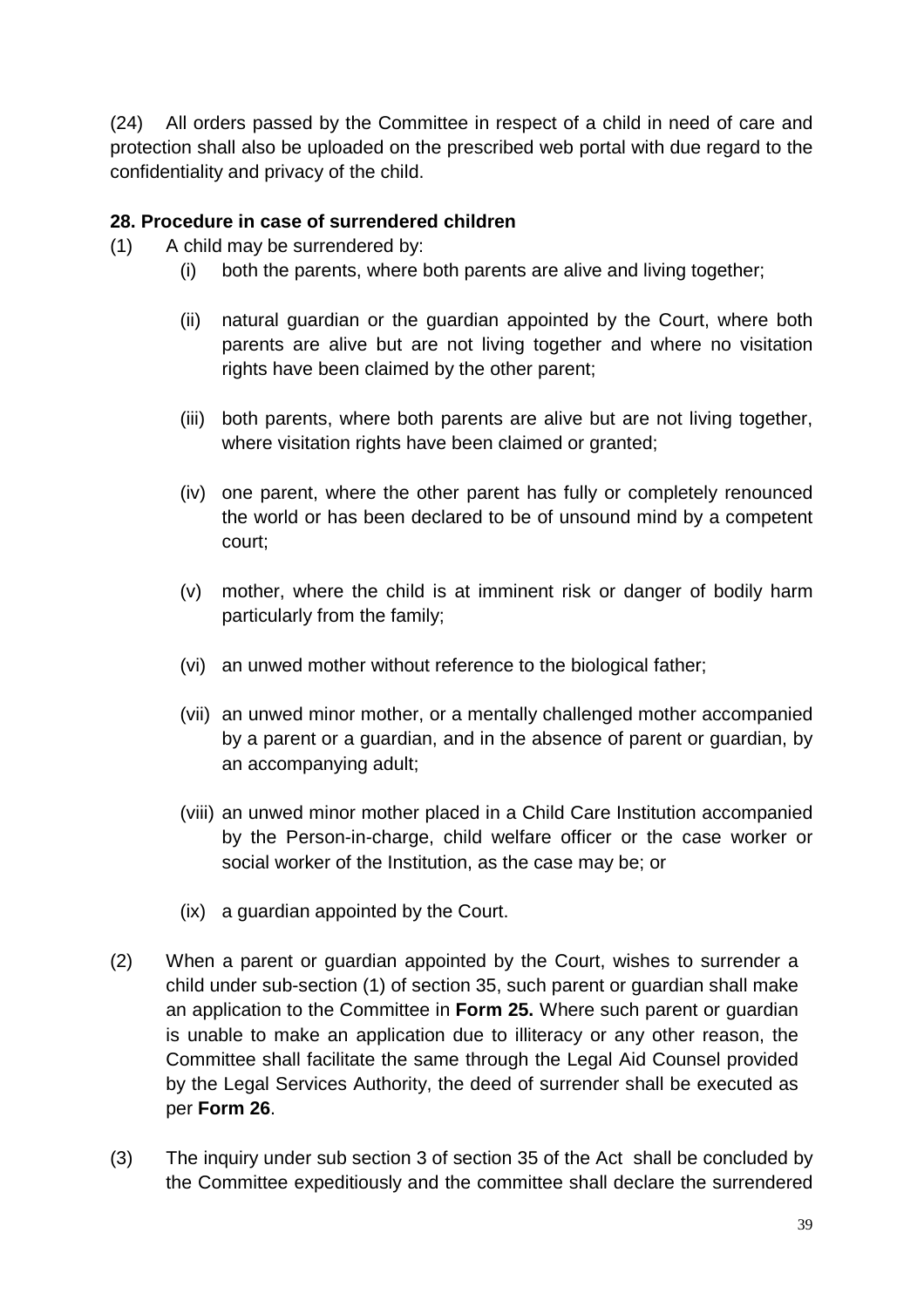(24) All orders passed by the Committee in respect of a child in need of care and protection shall also be uploaded on the prescribed web portal with due regard to the confidentiality and privacy of the child.

### **28. Procedure in case of surrendered children**

- (1) A child may be surrendered by:
	- (i) both the parents, where both parents are alive and living together;
	- (ii) natural guardian or the guardian appointed by the Court, where both parents are alive but are not living together and where no visitation rights have been claimed by the other parent;
	- (iii) both parents, where both parents are alive but are not living together, where visitation rights have been claimed or granted;
	- (iv) one parent, where the other parent has fully or completely renounced the world or has been declared to be of unsound mind by a competent court;
	- (v) mother, where the child is at imminent risk or danger of bodily harm particularly from the family;
	- (vi) an unwed mother without reference to the biological father;
	- (vii) an unwed minor mother, or a mentally challenged mother accompanied by a parent or a guardian, and in the absence of parent or guardian, by an accompanying adult;
	- (viii) an unwed minor mother placed in a Child Care Institution accompanied by the Person-in-charge, child welfare officer or the case worker or social worker of the Institution, as the case may be; or
	- (ix) a guardian appointed by the Court.
- (2) When a parent or guardian appointed by the Court, wishes to surrender a child under sub-section (1) of section 35, such parent or guardian shall make an application to the Committee in **Form 25.** Where such parent or guardian is unable to make an application due to illiteracy or any other reason, the Committee shall facilitate the same through the Legal Aid Counsel provided by the Legal Services Authority, the deed of surrender shall be executed as per **Form 26**.
- (3) The inquiry under sub section 3 of section 35 of the Act shall be concluded by the Committee expeditiously and the committee shall declare the surrendered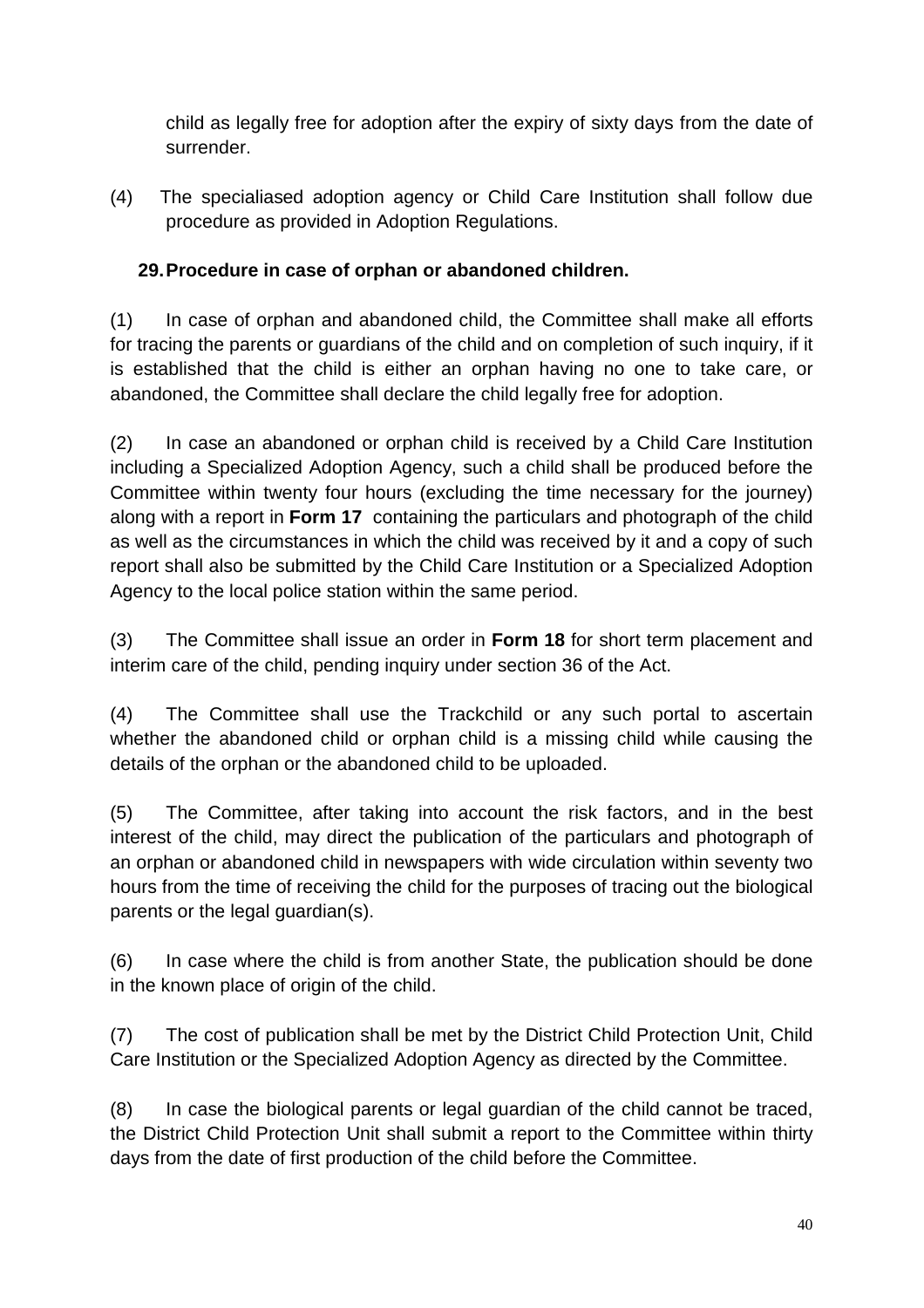child as legally free for adoption after the expiry of sixty days from the date of surrender.

(4) The specialiased adoption agency or Child Care Institution shall follow due procedure as provided in Adoption Regulations.

## **29. Procedure in case of orphan or abandoned children.**

(1) In case of orphan and abandoned child, the Committee shall make all efforts for tracing the parents or guardians of the child and on completion of such inquiry, if it is established that the child is either an orphan having no one to take care, or abandoned, the Committee shall declare the child legally free for adoption.

(2) In case an abandoned or orphan child is received by a Child Care Institution including a Specialized Adoption Agency, such a child shall be produced before the Committee within twenty four hours (excluding the time necessary for the journey) along with a report in **Form 17** containing the particulars and photograph of the child as well as the circumstances in which the child was received by it and a copy of such report shall also be submitted by the Child Care Institution or a Specialized Adoption Agency to the local police station within the same period.

(3) The Committee shall issue an order in **Form 18** for short term placement and interim care of the child, pending inquiry under section 36 of the Act.

(4) The Committee shall use the Trackchild or any such portal to ascertain whether the abandoned child or orphan child is a missing child while causing the details of the orphan or the abandoned child to be uploaded.

(5) The Committee, after taking into account the risk factors, and in the best interest of the child, may direct the publication of the particulars and photograph of an orphan or abandoned child in newspapers with wide circulation within seventy two hours from the time of receiving the child for the purposes of tracing out the biological parents or the legal guardian(s).

(6) In case where the child is from another State, the publication should be done in the known place of origin of the child.

(7) The cost of publication shall be met by the District Child Protection Unit, Child Care Institution or the Specialized Adoption Agency as directed by the Committee.

(8) In case the biological parents or legal guardian of the child cannot be traced, the District Child Protection Unit shall submit a report to the Committee within thirty days from the date of first production of the child before the Committee.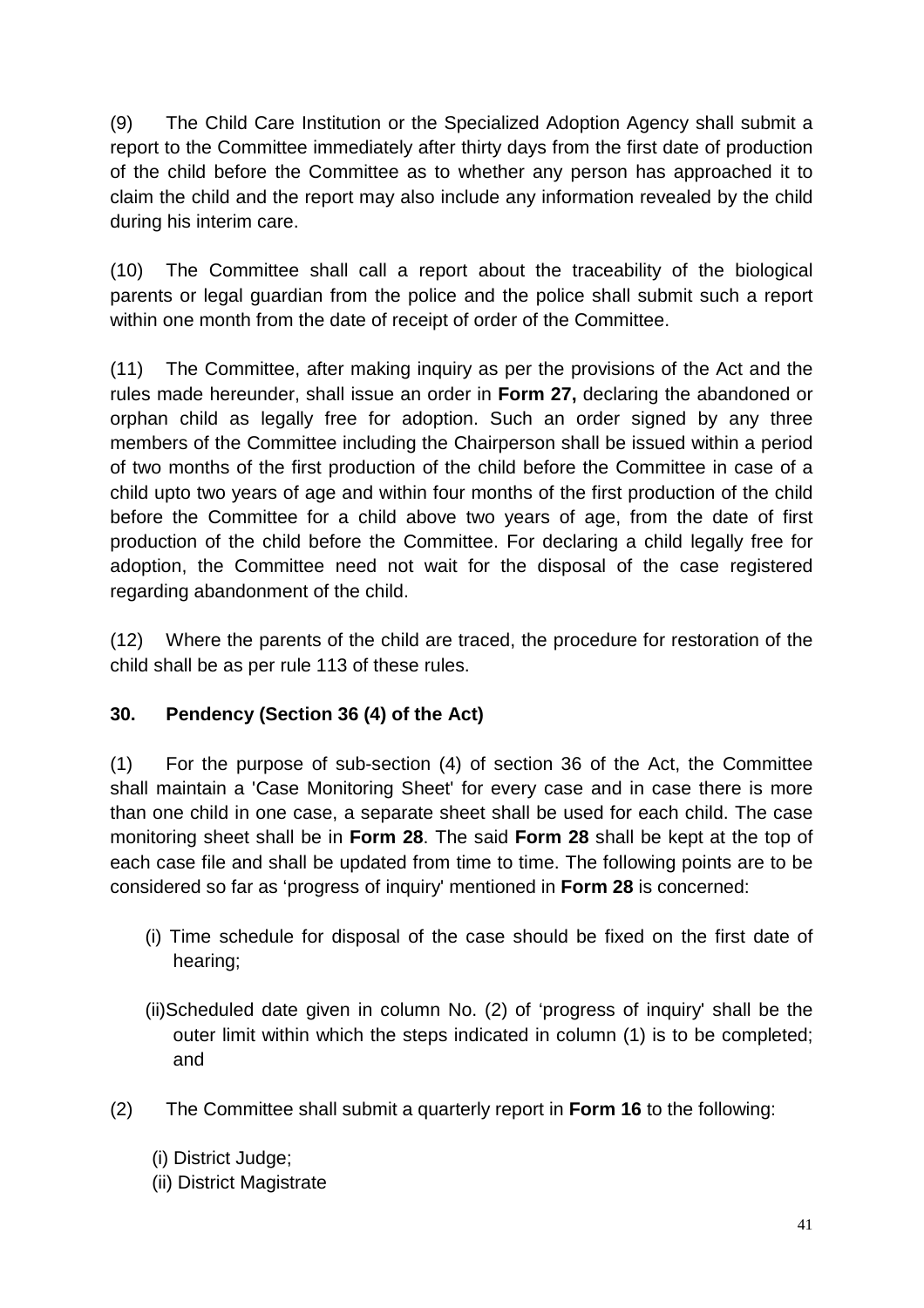(9) The Child Care Institution or the Specialized Adoption Agency shall submit a report to the Committee immediately after thirty days from the first date of production of the child before the Committee as to whether any person has approached it to claim the child and the report may also include any information revealed by the child during his interim care.

(10) The Committee shall call a report about the traceability of the biological parents or legal guardian from the police and the police shall submit such a report within one month from the date of receipt of order of the Committee.

(11) The Committee, after making inquiry as per the provisions of the Act and the rules made hereunder, shall issue an order in **Form 27,** declaring the abandoned or orphan child as legally free for adoption. Such an order signed by any three members of the Committee including the Chairperson shall be issued within a period of two months of the first production of the child before the Committee in case of a child upto two years of age and within four months of the first production of the child before the Committee for a child above two years of age, from the date of first production of the child before the Committee. For declaring a child legally free for adoption, the Committee need not wait for the disposal of the case registered regarding abandonment of the child.

(12) Where the parents of the child are traced, the procedure for restoration of the child shall be as per rule 113 of these rules.

## **30. Pendency (Section 36 (4) of the Act)**

(1) For the purpose of sub-section (4) of section 36 of the Act, the Committee shall maintain a 'Case Monitoring Sheet' for every case and in case there is more than one child in one case, a separate sheet shall be used for each child. The case monitoring sheet shall be in **Form 28**. The said **Form 28** shall be kept at the top of each case file and shall be updated from time to time. The following points are to be considered so far as 'progress of inquiry' mentioned in **Form 28** is concerned:

- (i) Time schedule for disposal of the case should be fixed on the first date of hearing;
- (ii)Scheduled date given in column No. (2) of 'progress of inquiry' shall be the outer limit within which the steps indicated in column (1) is to be completed; and
- (2) The Committee shall submit a quarterly report in **Form 16** to the following:
	- (i) District Judge;
	- (ii) District Magistrate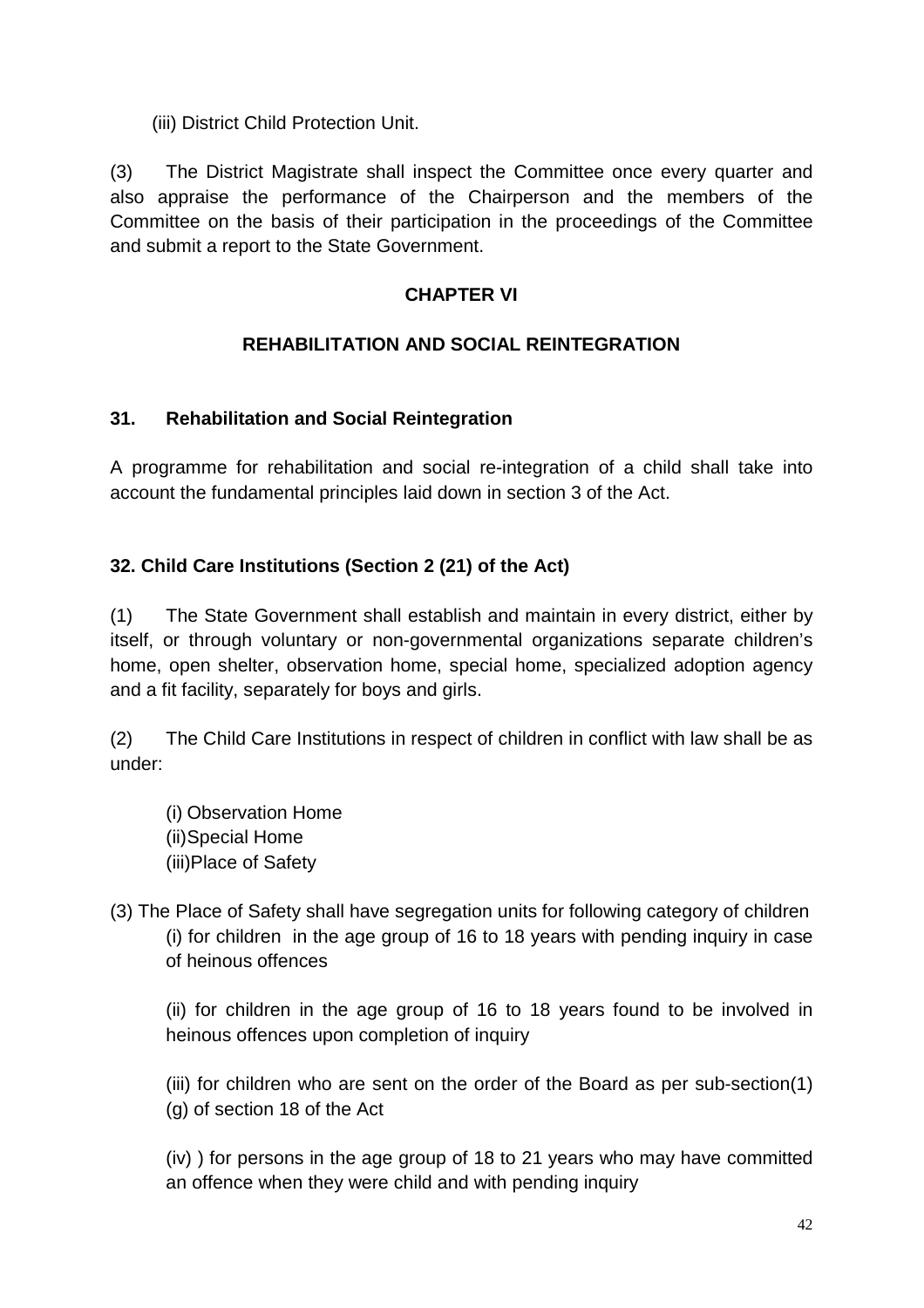(iii) District Child Protection Unit.

(3) The District Magistrate shall inspect the Committee once every quarter and also appraise the performance of the Chairperson and the members of the Committee on the basis of their participation in the proceedings of the Committee and submit a report to the State Government.

#### **CHAPTER VI**

## **REHABILITATION AND SOCIAL REINTEGRATION**

## **31. Rehabilitation and Social Reintegration**

A programme for rehabilitation and social re-integration of a child shall take into account the fundamental principles laid down in section 3 of the Act.

## **32. Child Care Institutions (Section 2 (21) of the Act)**

(1) The State Government shall establish and maintain in every district, either by itself, or through voluntary or non-governmental organizations separate children's home, open shelter, observation home, special home, specialized adoption agency and a fit facility, separately for boys and girls.

(2) The Child Care Institutions in respect of children in conflict with law shall be as under:

(i) Observation Home (ii) Special Home (iii)Place of Safety

(3) The Place of Safety shall have segregation units for following category of children (i) for children in the age group of 16 to 18 years with pending inquiry in case of heinous offences

(ii) for children in the age group of 16 to 18 years found to be involved in heinous offences upon completion of inquiry

(iii) for children who are sent on the order of the Board as per sub-section(1) (g) of section 18 of the Act

(iv) ) for persons in the age group of 18 to 21 years who may have committed an offence when they were child and with pending inquiry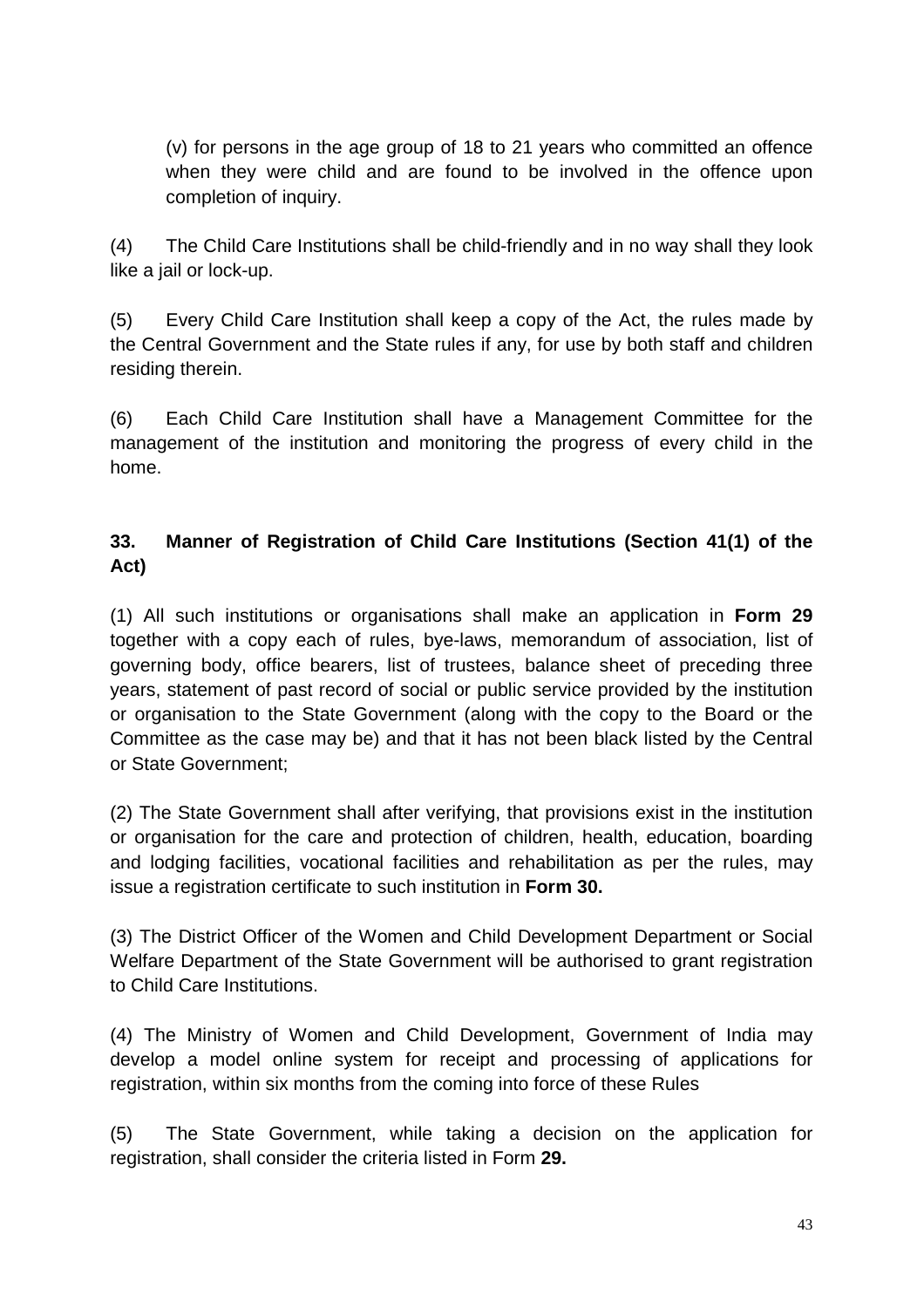(v) for persons in the age group of 18 to 21 years who committed an offence when they were child and are found to be involved in the offence upon completion of inquiry.

(4) The Child Care Institutions shall be child-friendly and in no way shall they look like a jail or lock-up.

(5) Every Child Care Institution shall keep a copy of the Act, the rules made by the Central Government and the State rules if any, for use by both staff and children residing therein.

(6) Each Child Care Institution shall have a Management Committee for the management of the institution and monitoring the progress of every child in the home.

## **33. Manner of Registration of Child Care Institutions (Section 41(1) of the Act)**

(1) All such institutions or organisations shall make an application in **Form 29**  together with a copy each of rules, bye-laws, memorandum of association, list of governing body, office bearers, list of trustees, balance sheet of preceding three years, statement of past record of social or public service provided by the institution or organisation to the State Government (along with the copy to the Board or the Committee as the case may be) and that it has not been black listed by the Central or State Government;

(2) The State Government shall after verifying, that provisions exist in the institution or organisation for the care and protection of children, health, education, boarding and lodging facilities, vocational facilities and rehabilitation as per the rules, may issue a registration certificate to such institution in **Form 30.** 

(3) The District Officer of the Women and Child Development Department or Social Welfare Department of the State Government will be authorised to grant registration to Child Care Institutions.

(4) The Ministry of Women and Child Development, Government of India may develop a model online system for receipt and processing of applications for registration, within six months from the coming into force of these Rules

(5) The State Government, while taking a decision on the application for registration, shall consider the criteria listed in Form **29.**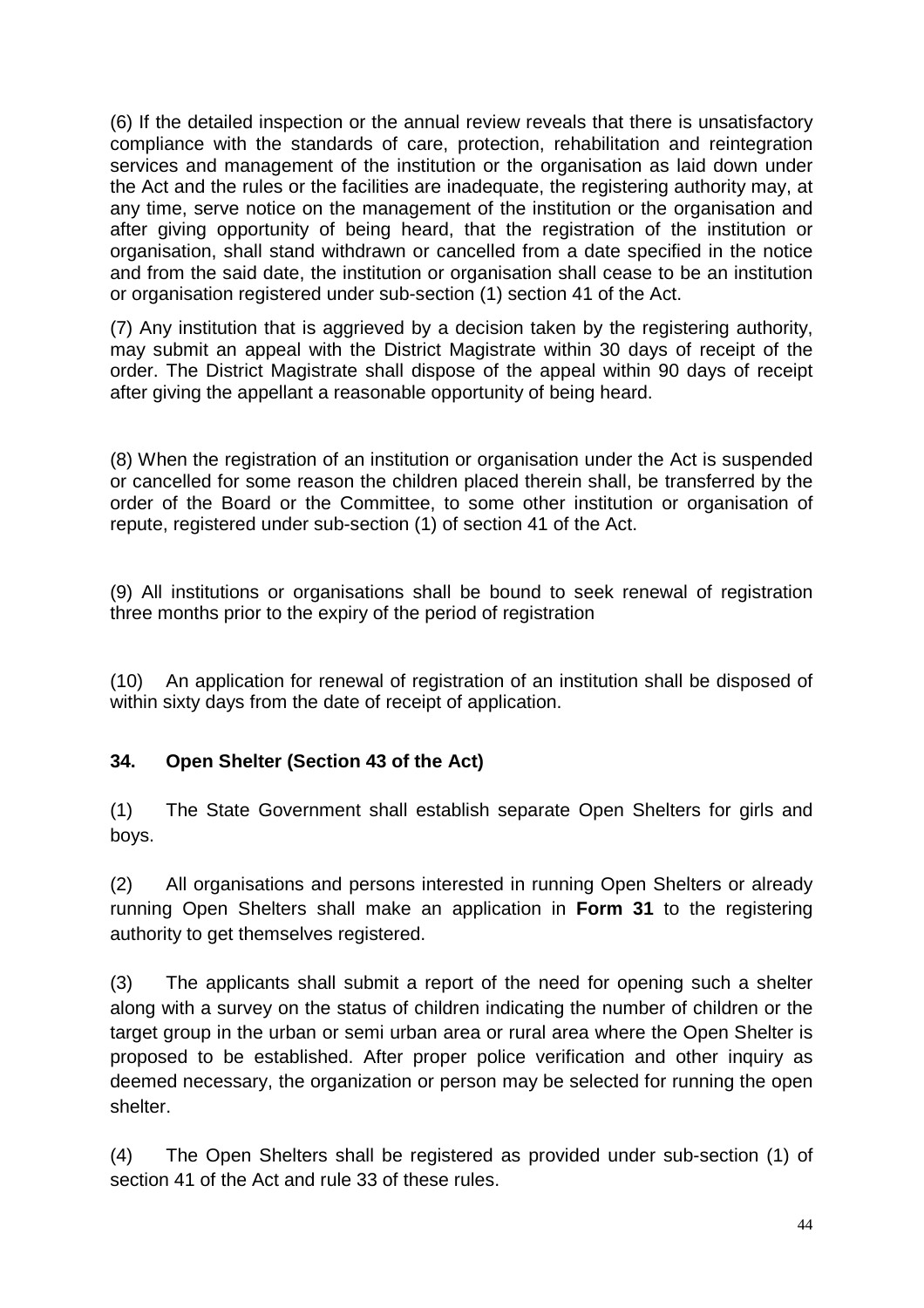(6) If the detailed inspection or the annual review reveals that there is unsatisfactory compliance with the standards of care, protection, rehabilitation and reintegration services and management of the institution or the organisation as laid down under the Act and the rules or the facilities are inadequate, the registering authority may, at any time, serve notice on the management of the institution or the organisation and after giving opportunity of being heard, that the registration of the institution or organisation, shall stand withdrawn or cancelled from a date specified in the notice and from the said date, the institution or organisation shall cease to be an institution or organisation registered under sub-section (1) section 41 of the Act.

(7) Any institution that is aggrieved by a decision taken by the registering authority, may submit an appeal with the District Magistrate within 30 days of receipt of the order. The District Magistrate shall dispose of the appeal within 90 days of receipt after giving the appellant a reasonable opportunity of being heard.

(8) When the registration of an institution or organisation under the Act is suspended or cancelled for some reason the children placed therein shall, be transferred by the order of the Board or the Committee, to some other institution or organisation of repute, registered under sub-section (1) of section 41 of the Act.

(9) All institutions or organisations shall be bound to seek renewal of registration three months prior to the expiry of the period of registration

(10) An application for renewal of registration of an institution shall be disposed of within sixty days from the date of receipt of application.

#### **34. Open Shelter (Section 43 of the Act)**

(1) The State Government shall establish separate Open Shelters for girls and boys.

(2) All organisations and persons interested in running Open Shelters or already running Open Shelters shall make an application in **Form 31** to the registering authority to get themselves registered.

(3) The applicants shall submit a report of the need for opening such a shelter along with a survey on the status of children indicating the number of children or the target group in the urban or semi urban area or rural area where the Open Shelter is proposed to be established. After proper police verification and other inquiry as deemed necessary, the organization or person may be selected for running the open shelter.

(4) The Open Shelters shall be registered as provided under sub-section (1) of section 41 of the Act and rule 33 of these rules.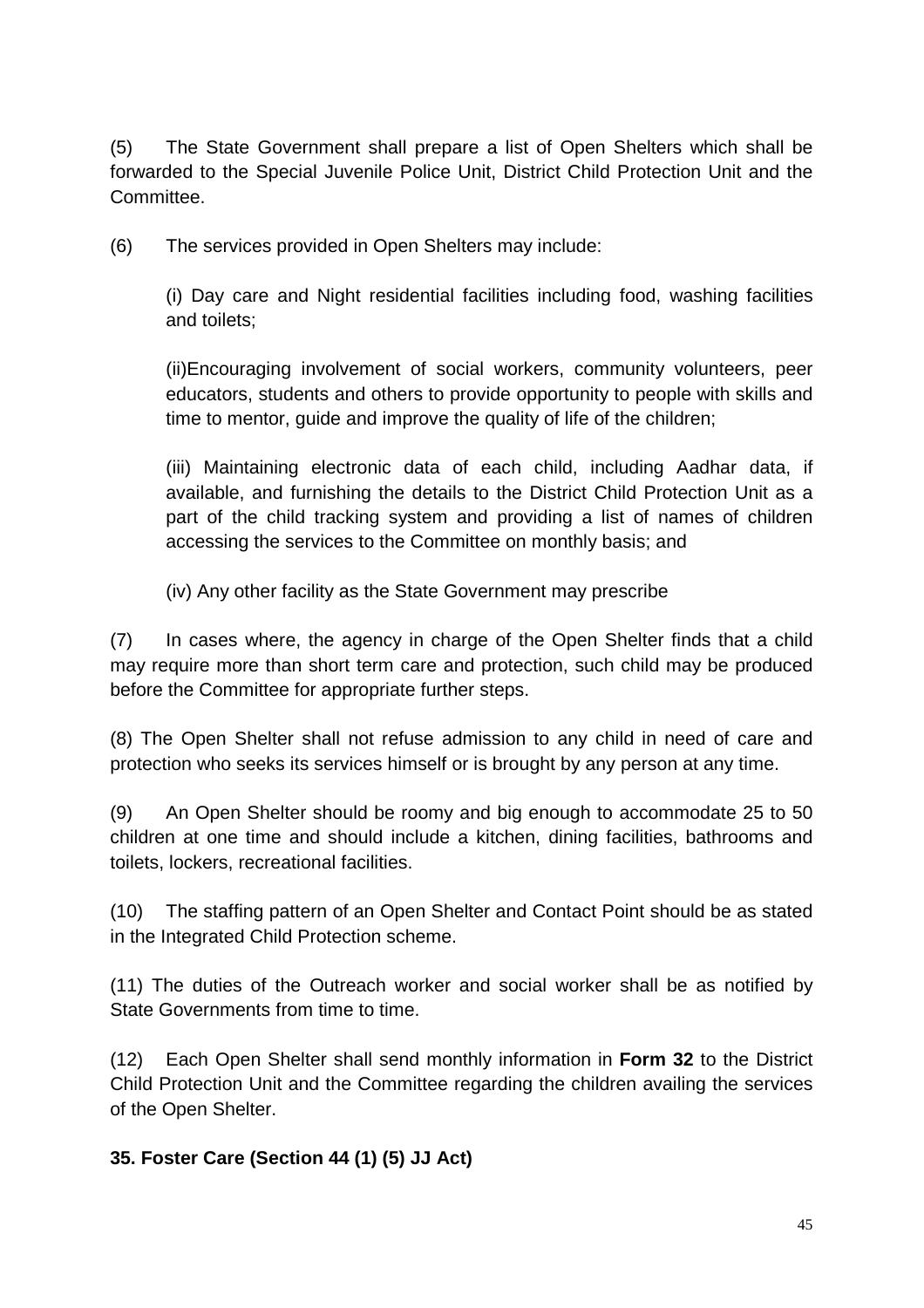(5) The State Government shall prepare a list of Open Shelters which shall be forwarded to the Special Juvenile Police Unit, District Child Protection Unit and the Committee.

(6) The services provided in Open Shelters may include:

(i) Day care and Night residential facilities including food, washing facilities and toilets;

(ii)Encouraging involvement of social workers, community volunteers, peer educators, students and others to provide opportunity to people with skills and time to mentor, guide and improve the quality of life of the children;

(iii) Maintaining electronic data of each child, including Aadhar data, if available, and furnishing the details to the District Child Protection Unit as a part of the child tracking system and providing a list of names of children accessing the services to the Committee on monthly basis; and

(iv) Any other facility as the State Government may prescribe

(7) In cases where, the agency in charge of the Open Shelter finds that a child may require more than short term care and protection, such child may be produced before the Committee for appropriate further steps.

(8) The Open Shelter shall not refuse admission to any child in need of care and protection who seeks its services himself or is brought by any person at any time.

(9) An Open Shelter should be roomy and big enough to accommodate 25 to 50 children at one time and should include a kitchen, dining facilities, bathrooms and toilets, lockers, recreational facilities.

(10) The staffing pattern of an Open Shelter and Contact Point should be as stated in the Integrated Child Protection scheme.

(11) The duties of the Outreach worker and social worker shall be as notified by State Governments from time to time.

(12) Each Open Shelter shall send monthly information in **Form 32** to the District Child Protection Unit and the Committee regarding the children availing the services of the Open Shelter.

## **35. Foster Care (Section 44 (1) (5) JJ Act)**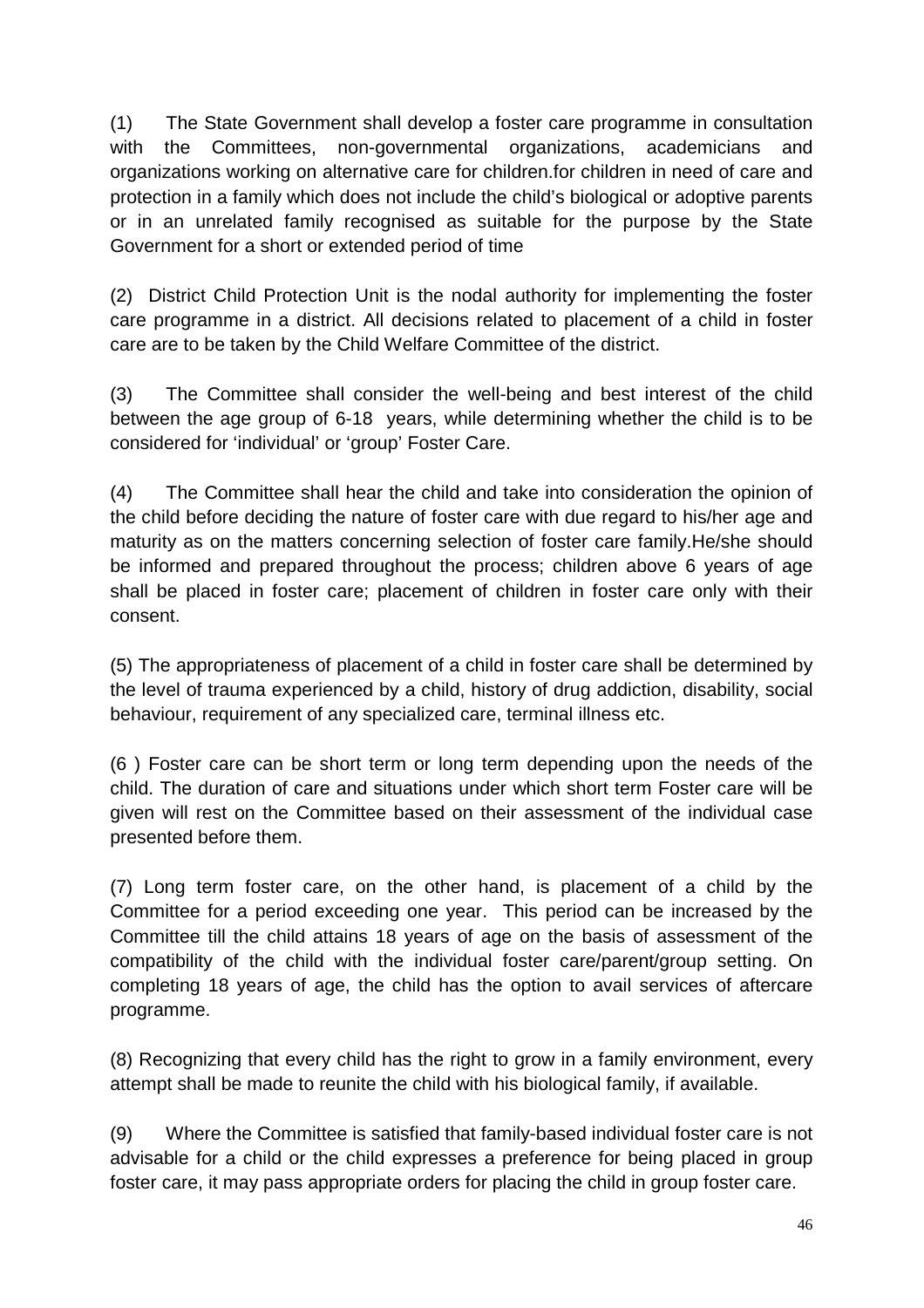(1) The State Government shall develop a foster care programme in consultation with the Committees, non-governmental organizations, academicians and organizations working on alternative care for children.for children in need of care and protection in a family which does not include the child's biological or adoptive parents or in an unrelated family recognised as suitable for the purpose by the State Government for a short or extended period of time

(2) District Child Protection Unit is the nodal authority for implementing the foster care programme in a district. All decisions related to placement of a child in foster care are to be taken by the Child Welfare Committee of the district.

(3) The Committee shall consider the well-being and best interest of the child between the age group of 6-18 years, while determining whether the child is to be considered for 'individual' or 'group' Foster Care.

(4) The Committee shall hear the child and take into consideration the opinion of the child before deciding the nature of foster care with due regard to his/her age and maturity as on the matters concerning selection of foster care family.He/she should be informed and prepared throughout the process; children above 6 years of age shall be placed in foster care; placement of children in foster care only with their consent.

(5) The appropriateness of placement of a child in foster care shall be determined by the level of trauma experienced by a child, history of drug addiction, disability, social behaviour, requirement of any specialized care, terminal illness etc.

(6 ) Foster care can be short term or long term depending upon the needs of the child. The duration of care and situations under which short term Foster care will be given will rest on the Committee based on their assessment of the individual case presented before them.

(7) Long term foster care, on the other hand, is placement of a child by the Committee for a period exceeding one year. This period can be increased by the Committee till the child attains 18 years of age on the basis of assessment of the compatibility of the child with the individual foster care/parent/group setting. On completing 18 years of age, the child has the option to avail services of aftercare programme.

(8) Recognizing that every child has the right to grow in a family environment, every attempt shall be made to reunite the child with his biological family, if available.

(9) Where the Committee is satisfied that family-based individual foster care is not advisable for a child or the child expresses a preference for being placed in group foster care, it may pass appropriate orders for placing the child in group foster care.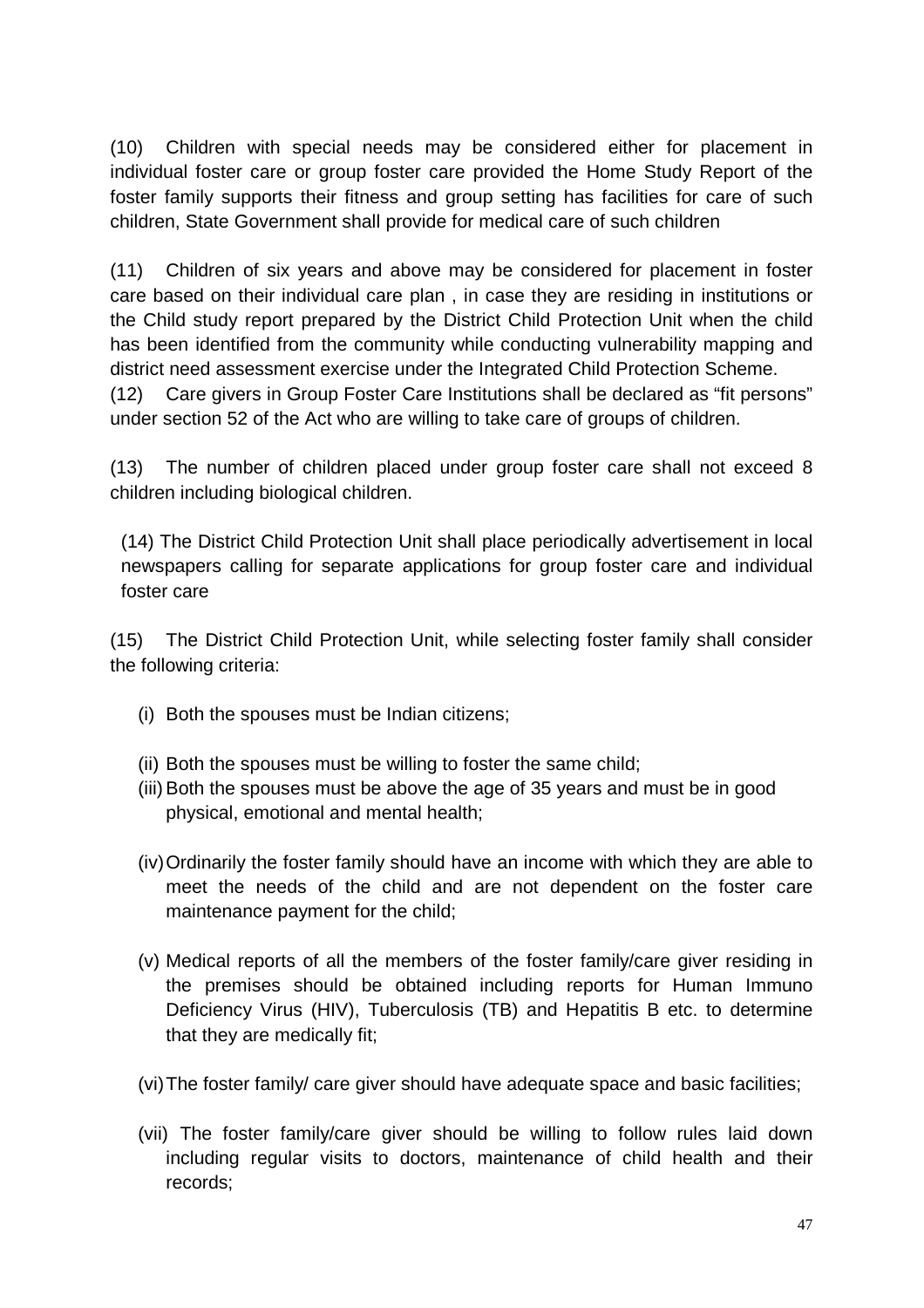(10) Children with special needs may be considered either for placement in individual foster care or group foster care provided the Home Study Report of the foster family supports their fitness and group setting has facilities for care of such children, State Government shall provide for medical care of such children

(11) Children of six years and above may be considered for placement in foster care based on their individual care plan , in case they are residing in institutions or the Child study report prepared by the District Child Protection Unit when the child has been identified from the community while conducting vulnerability mapping and district need assessment exercise under the Integrated Child Protection Scheme.

(12) Care givers in Group Foster Care Institutions shall be declared as "fit persons" under section 52 of the Act who are willing to take care of groups of children.

(13) The number of children placed under group foster care shall not exceed 8 children including biological children.

(14) The District Child Protection Unit shall place periodically advertisement in local newspapers calling for separate applications for group foster care and individual foster care

(15) The District Child Protection Unit, while selecting foster family shall consider the following criteria:

- (i) Both the spouses must be Indian citizens;
- (ii) Both the spouses must be willing to foster the same child;
- (iii) Both the spouses must be above the age of 35 years and must be in good physical, emotional and mental health;
- (iv) Ordinarily the foster family should have an income with which they are able to meet the needs of the child and are not dependent on the foster care maintenance payment for the child;
- (v) Medical reports of all the members of the foster family/care giver residing in the premises should be obtained including reports for Human Immuno Deficiency Virus (HIV), Tuberculosis (TB) and Hepatitis B etc. to determine that they are medically fit;
- (vi) The foster family/ care giver should have adequate space and basic facilities;
- (vii) The foster family/care giver should be willing to follow rules laid down including regular visits to doctors, maintenance of child health and their records;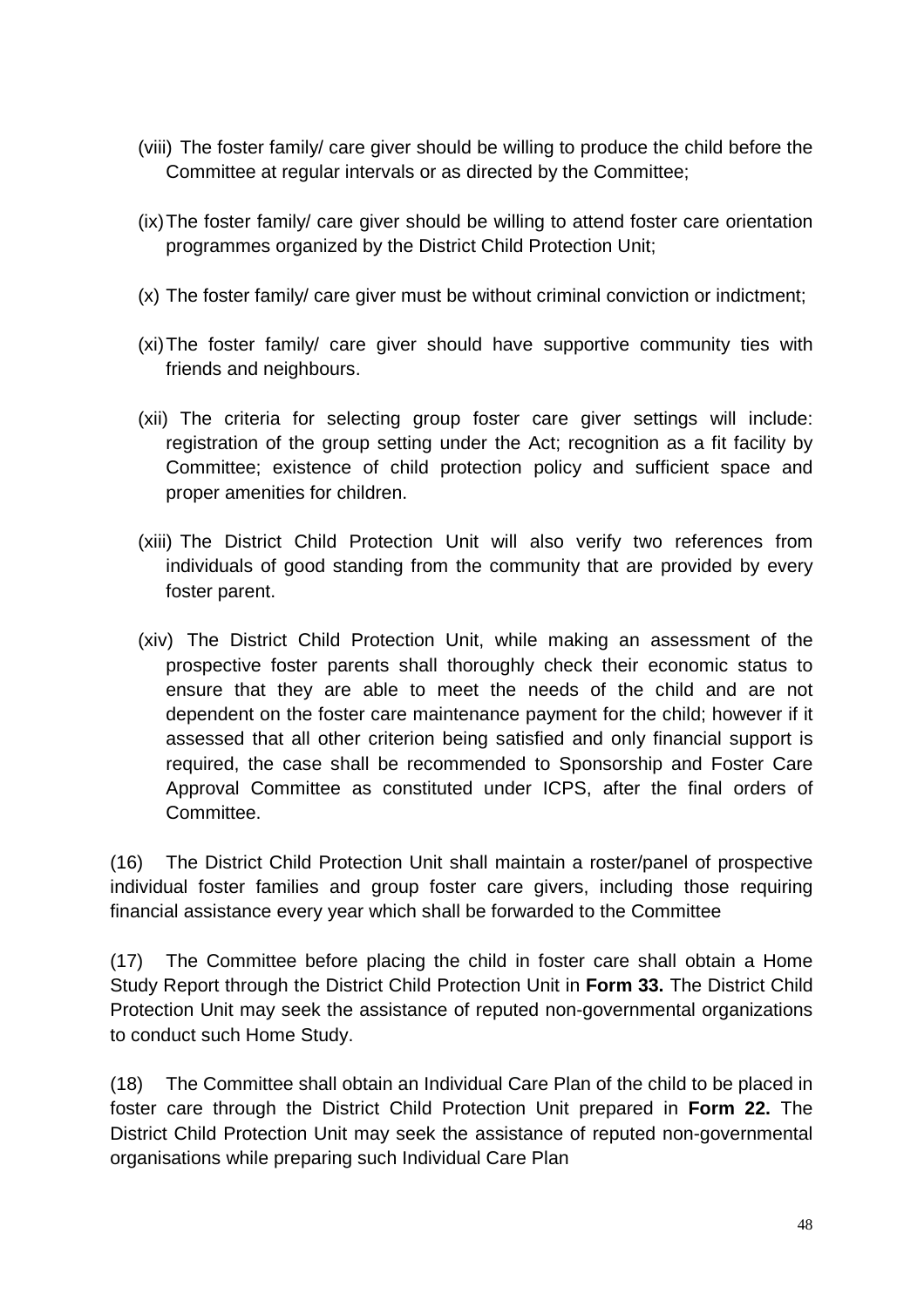- (viii) The foster family/ care giver should be willing to produce the child before the Committee at regular intervals or as directed by the Committee;
- (ix) The foster family/ care giver should be willing to attend foster care orientation programmes organized by the District Child Protection Unit;
- (x) The foster family/ care giver must be without criminal conviction or indictment;
- (xi) The foster family/ care giver should have supportive community ties with friends and neighbours.
- (xii) The criteria for selecting group foster care giver settings will include: registration of the group setting under the Act; recognition as a fit facility by Committee; existence of child protection policy and sufficient space and proper amenities for children.
- (xiii) The District Child Protection Unit will also verify two references from individuals of good standing from the community that are provided by every foster parent.
- (xiv) The District Child Protection Unit, while making an assessment of the prospective foster parents shall thoroughly check their economic status to ensure that they are able to meet the needs of the child and are not dependent on the foster care maintenance payment for the child; however if it assessed that all other criterion being satisfied and only financial support is required, the case shall be recommended to Sponsorship and Foster Care Approval Committee as constituted under ICPS, after the final orders of Committee.

(16) The District Child Protection Unit shall maintain a roster/panel of prospective individual foster families and group foster care givers, including those requiring financial assistance every year which shall be forwarded to the Committee

(17) The Committee before placing the child in foster care shall obtain a Home Study Report through the District Child Protection Unit in **Form 33.** The District Child Protection Unit may seek the assistance of reputed non-governmental organizations to conduct such Home Study.

(18) The Committee shall obtain an Individual Care Plan of the child to be placed in foster care through the District Child Protection Unit prepared in **Form 22.** The District Child Protection Unit may seek the assistance of reputed non-governmental organisations while preparing such Individual Care Plan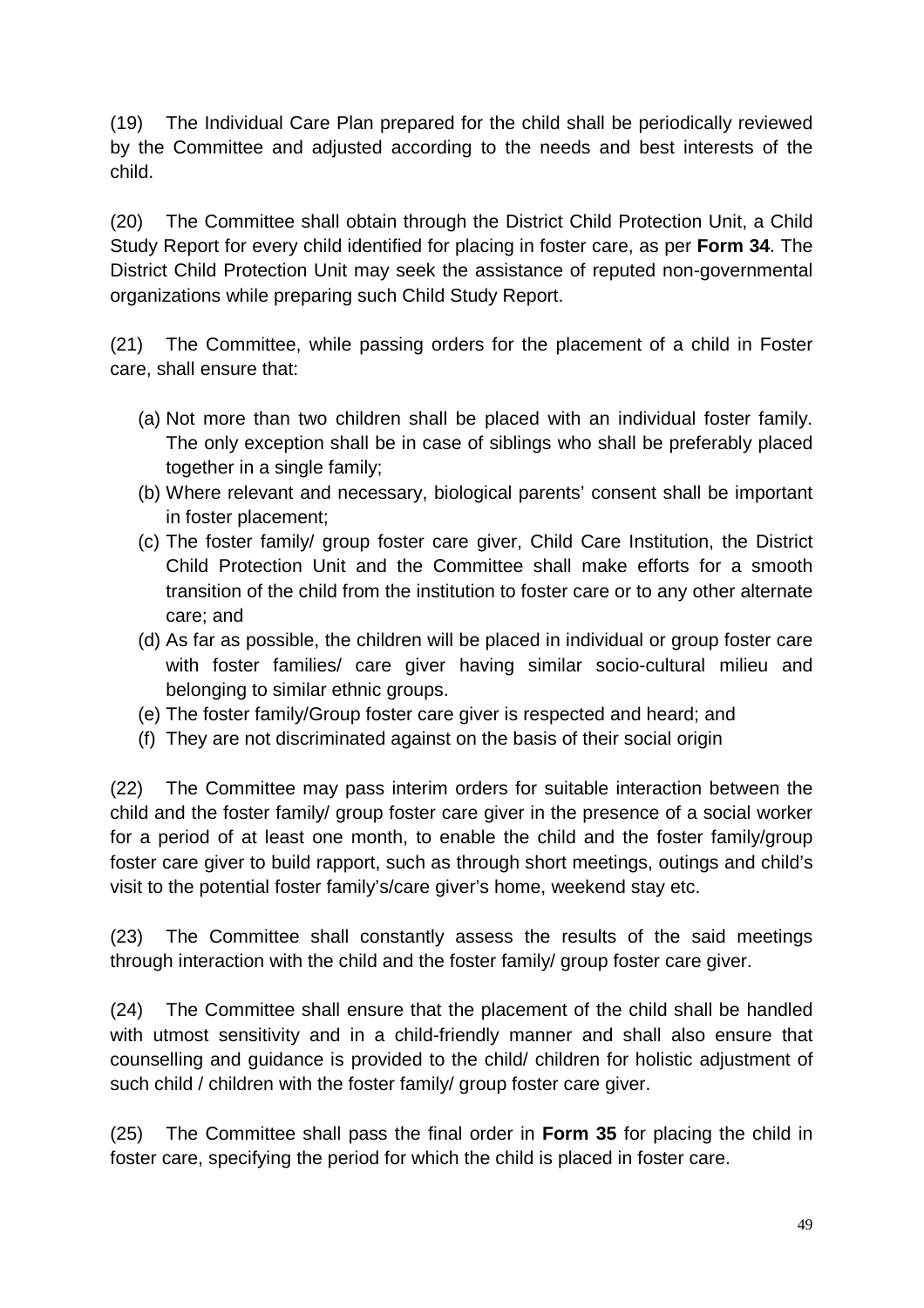(19) The Individual Care Plan prepared for the child shall be periodically reviewed by the Committee and adjusted according to the needs and best interests of the child.

(20) The Committee shall obtain through the District Child Protection Unit, a Child Study Report for every child identified for placing in foster care, as per **Form 34**. The District Child Protection Unit may seek the assistance of reputed non-governmental organizations while preparing such Child Study Report.

(21) The Committee, while passing orders for the placement of a child in Foster care, shall ensure that:

- (a) Not more than two children shall be placed with an individual foster family. The only exception shall be in case of siblings who shall be preferably placed together in a single family;
- (b) Where relevant and necessary, biological parents' consent shall be important in foster placement;
- (c) The foster family/ group foster care giver, Child Care Institution, the District Child Protection Unit and the Committee shall make efforts for a smooth transition of the child from the institution to foster care or to any other alternate care; and
- (d) As far as possible, the children will be placed in individual or group foster care with foster families/ care giver having similar socio-cultural milieu and belonging to similar ethnic groups.
- (e) The foster family/Group foster care giver is respected and heard; and
- (f) They are not discriminated against on the basis of their social origin

(22) The Committee may pass interim orders for suitable interaction between the child and the foster family/ group foster care giver in the presence of a social worker for a period of at least one month, to enable the child and the foster family/group foster care giver to build rapport, such as through short meetings, outings and child's visit to the potential foster family's/care giver's home, weekend stay etc.

(23) The Committee shall constantly assess the results of the said meetings through interaction with the child and the foster family/ group foster care giver.

(24) The Committee shall ensure that the placement of the child shall be handled with utmost sensitivity and in a child-friendly manner and shall also ensure that counselling and guidance is provided to the child/ children for holistic adjustment of such child / children with the foster family/ group foster care giver.

(25) The Committee shall pass the final order in **Form 35** for placing the child in foster care, specifying the period for which the child is placed in foster care.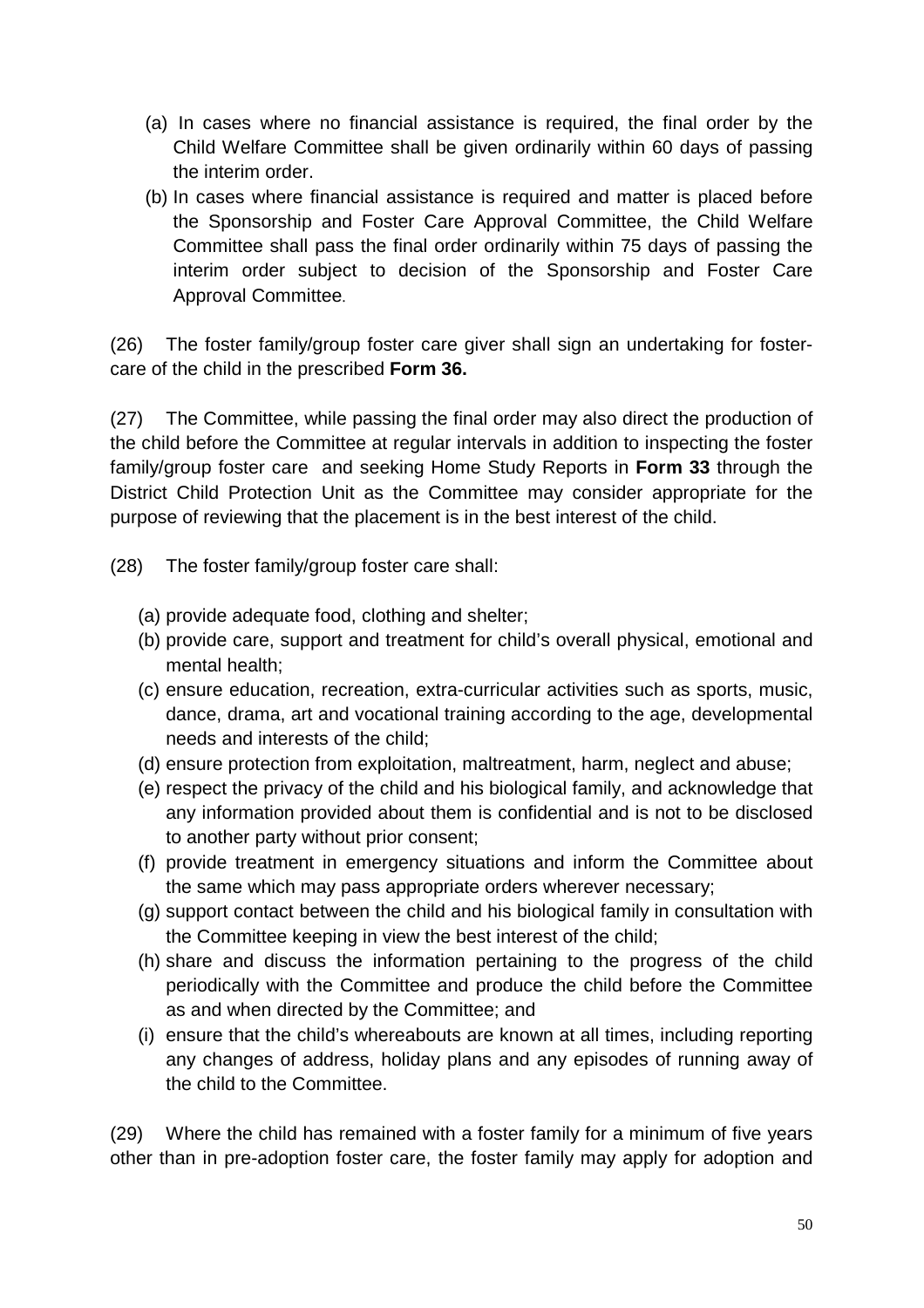- (a) In cases where no financial assistance is required, the final order by the Child Welfare Committee shall be given ordinarily within 60 days of passing the interim order.
- (b) In cases where financial assistance is required and matter is placed before the Sponsorship and Foster Care Approval Committee, the Child Welfare Committee shall pass the final order ordinarily within 75 days of passing the interim order subject to decision of the Sponsorship and Foster Care Approval Committee.

(26) The foster family/group foster care giver shall sign an undertaking for fostercare of the child in the prescribed **Form 36.**

(27) The Committee, while passing the final order may also direct the production of the child before the Committee at regular intervals in addition to inspecting the foster family/group foster care and seeking Home Study Reports in **Form 33** through the District Child Protection Unit as the Committee may consider appropriate for the purpose of reviewing that the placement is in the best interest of the child.

- (28) The foster family/group foster care shall:
	- (a) provide adequate food, clothing and shelter;
	- (b) provide care, support and treatment for child's overall physical, emotional and mental health;
	- (c) ensure education, recreation, extra-curricular activities such as sports, music, dance, drama, art and vocational training according to the age, developmental needs and interests of the child;
	- (d) ensure protection from exploitation, maltreatment, harm, neglect and abuse;
	- (e) respect the privacy of the child and his biological family, and acknowledge that any information provided about them is confidential and is not to be disclosed to another party without prior consent;
	- (f) provide treatment in emergency situations and inform the Committee about the same which may pass appropriate orders wherever necessary;
	- (g) support contact between the child and his biological family in consultation with the Committee keeping in view the best interest of the child;
	- (h) share and discuss the information pertaining to the progress of the child periodically with the Committee and produce the child before the Committee as and when directed by the Committee; and
	- (i) ensure that the child's whereabouts are known at all times, including reporting any changes of address, holiday plans and any episodes of running away of the child to the Committee.

(29) Where the child has remained with a foster family for a minimum of five years other than in pre-adoption foster care, the foster family may apply for adoption and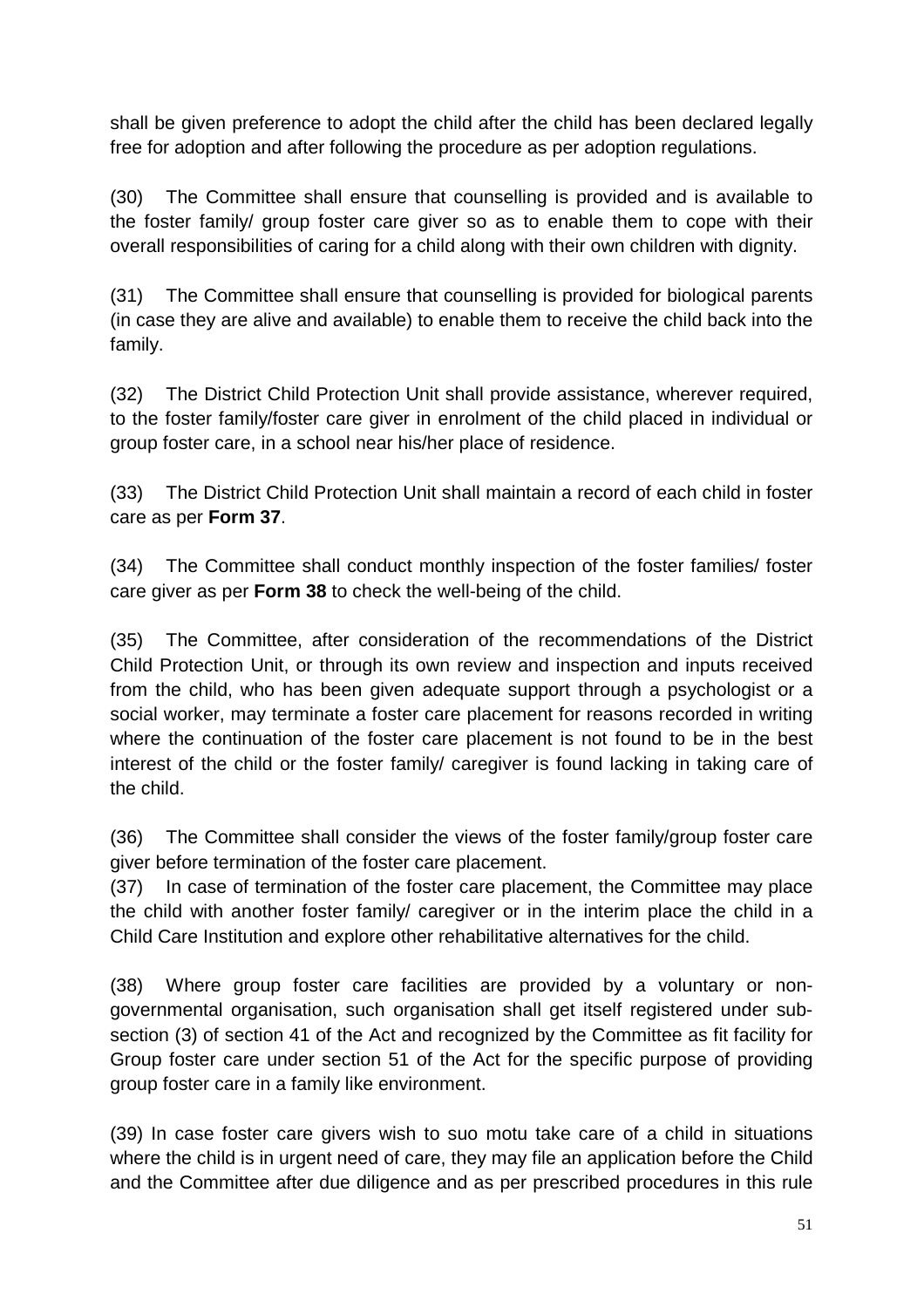shall be given preference to adopt the child after the child has been declared legally free for adoption and after following the procedure as per adoption regulations.

(30) The Committee shall ensure that counselling is provided and is available to the foster family/ group foster care giver so as to enable them to cope with their overall responsibilities of caring for a child along with their own children with dignity.

(31) The Committee shall ensure that counselling is provided for biological parents (in case they are alive and available) to enable them to receive the child back into the family.

(32) The District Child Protection Unit shall provide assistance, wherever required, to the foster family/foster care giver in enrolment of the child placed in individual or group foster care, in a school near his/her place of residence.

(33) The District Child Protection Unit shall maintain a record of each child in foster care as per **Form 37**.

(34) The Committee shall conduct monthly inspection of the foster families/ foster care giver as per **Form 38** to check the well-being of the child.

(35) The Committee, after consideration of the recommendations of the District Child Protection Unit, or through its own review and inspection and inputs received from the child, who has been given adequate support through a psychologist or a social worker, may terminate a foster care placement for reasons recorded in writing where the continuation of the foster care placement is not found to be in the best interest of the child or the foster family/ caregiver is found lacking in taking care of the child.

(36) The Committee shall consider the views of the foster family/group foster care giver before termination of the foster care placement.

(37) In case of termination of the foster care placement, the Committee may place the child with another foster family/ caregiver or in the interim place the child in a Child Care Institution and explore other rehabilitative alternatives for the child.

(38) Where group foster care facilities are provided by a voluntary or nongovernmental organisation, such organisation shall get itself registered under subsection (3) of section 41 of the Act and recognized by the Committee as fit facility for Group foster care under section 51 of the Act for the specific purpose of providing group foster care in a family like environment.

(39) In case foster care givers wish to suo motu take care of a child in situations where the child is in urgent need of care, they may file an application before the Child and the Committee after due diligence and as per prescribed procedures in this rule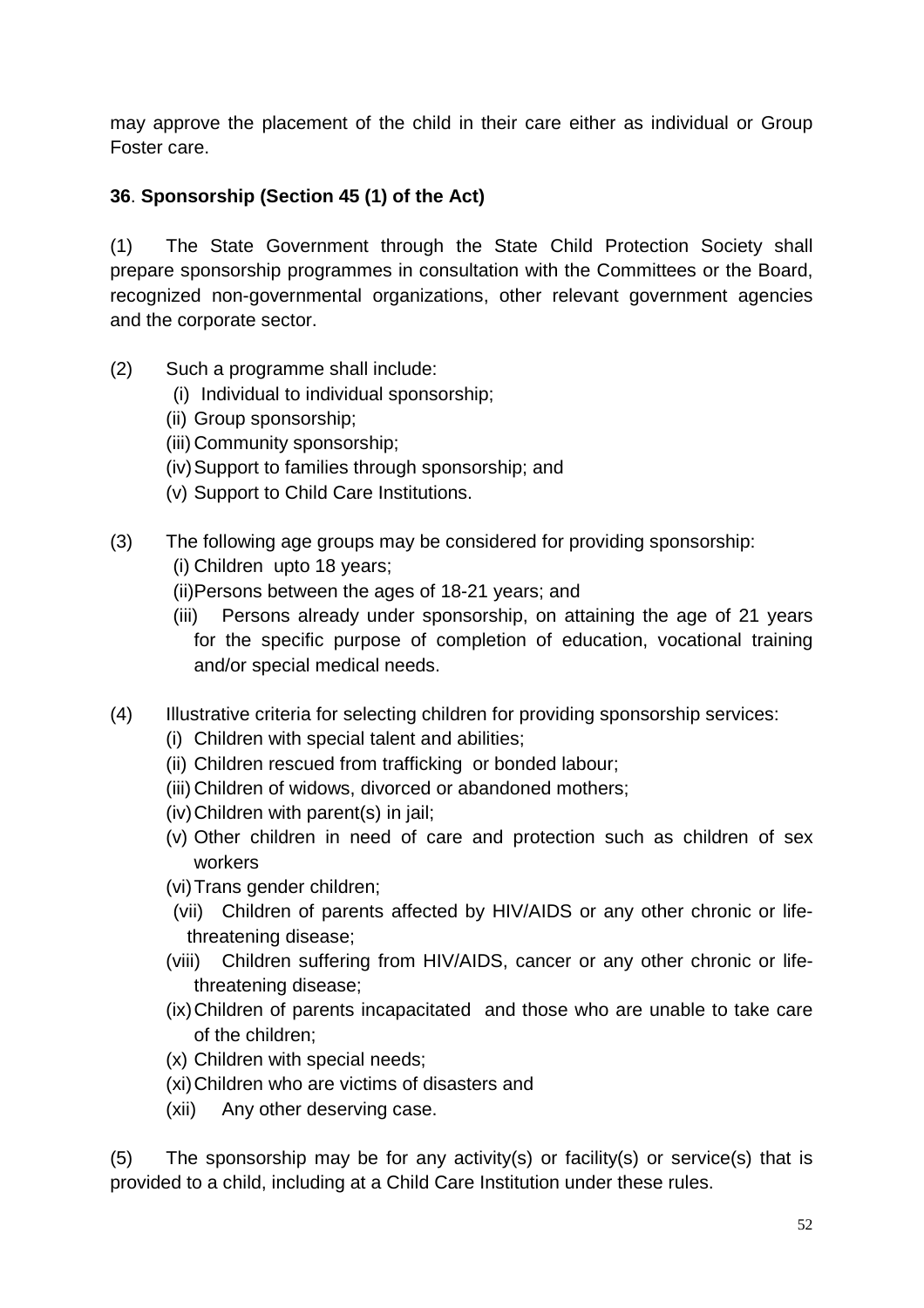may approve the placement of the child in their care either as individual or Group Foster care.

# **36**. **Sponsorship (Section 45 (1) of the Act)**

(1) The State Government through the State Child Protection Society shall prepare sponsorship programmes in consultation with the Committees or the Board, recognized non-governmental organizations, other relevant government agencies and the corporate sector.

- (2) Such a programme shall include:
	- (i) Individual to individual sponsorship;
	- (ii) Group sponsorship;
	- (iii) Community sponsorship;
	- (iv) Support to families through sponsorship; and
	- (v) Support to Child Care Institutions.
- (3) The following age groups may be considered for providing sponsorship: (i) Children upto 18 years;
	- (ii) Persons between the ages of 18-21 years; and
	- (iii) Persons already under sponsorship, on attaining the age of 21 years for the specific purpose of completion of education, vocational training and/or special medical needs.
- (4) Illustrative criteria for selecting children for providing sponsorship services:
	- (i) Children with special talent and abilities;
	- (ii) Children rescued from trafficking or bonded labour;
	- (iii) Children of widows, divorced or abandoned mothers;
	- (iv) Children with parent(s) in jail;
	- (v) Other children in need of care and protection such as children of sex workers
	- (vi) Trans gender children;
	- (vii) Children of parents affected by HIV/AIDS or any other chronic or lifethreatening disease;
	- (viii) Children suffering from HIV/AIDS, cancer or any other chronic or lifethreatening disease;
	- (ix) Children of parents incapacitated and those who are unable to take care of the children;
	- (x) Children with special needs;
	- (xi) Children who are victims of disasters and
	- (xii) Any other deserving case.

(5) The sponsorship may be for any activity(s) or facility(s) or service(s) that is provided to a child, including at a Child Care Institution under these rules.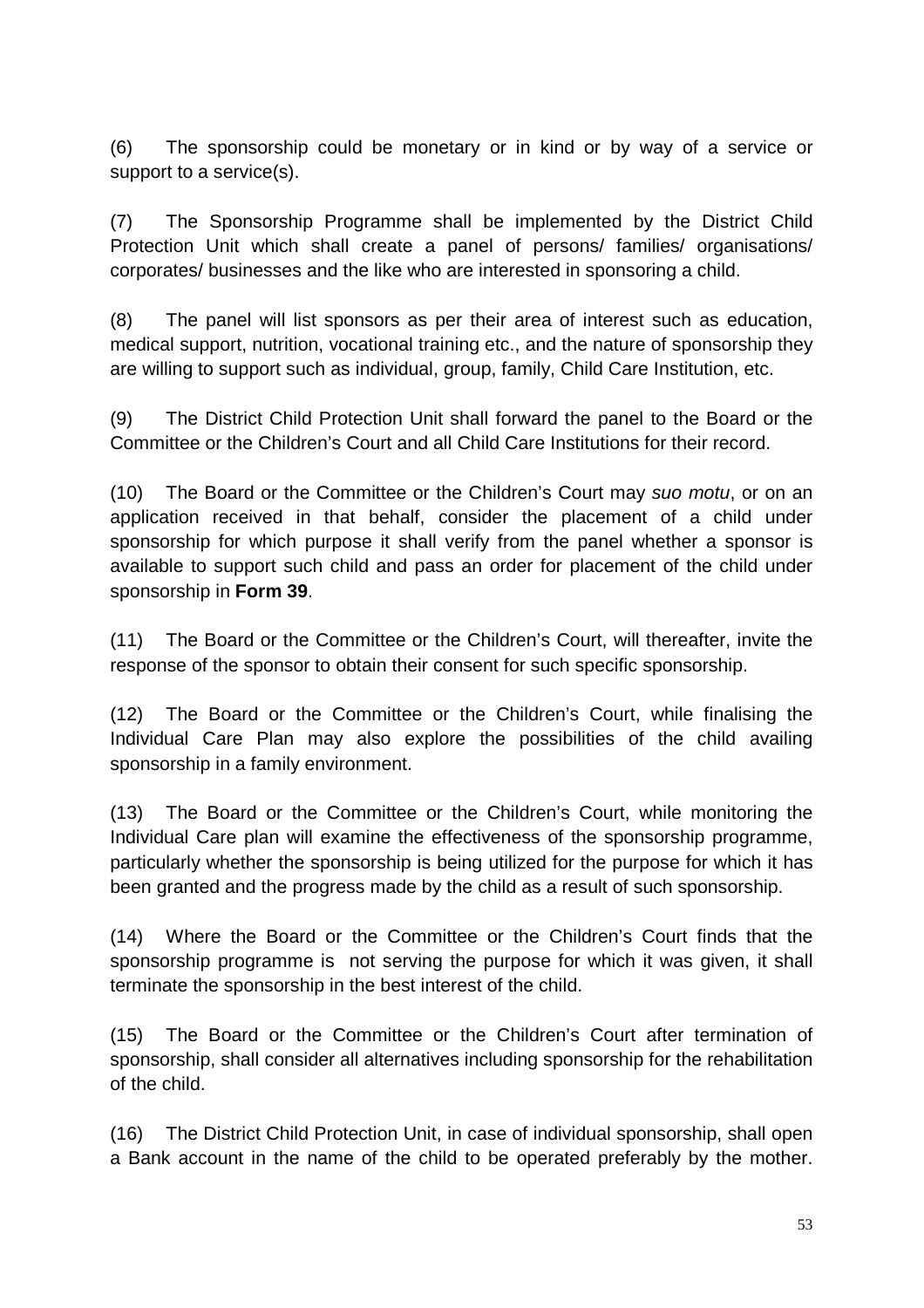(6) The sponsorship could be monetary or in kind or by way of a service or support to a service(s).

(7) The Sponsorship Programme shall be implemented by the District Child Protection Unit which shall create a panel of persons/ families/ organisations/ corporates/ businesses and the like who are interested in sponsoring a child.

(8) The panel will list sponsors as per their area of interest such as education, medical support, nutrition, vocational training etc., and the nature of sponsorship they are willing to support such as individual, group, family, Child Care Institution, etc.

(9) The District Child Protection Unit shall forward the panel to the Board or the Committee or the Children's Court and all Child Care Institutions for their record.

(10) The Board or the Committee or the Children's Court may suo motu, or on an application received in that behalf, consider the placement of a child under sponsorship for which purpose it shall verify from the panel whether a sponsor is available to support such child and pass an order for placement of the child under sponsorship in **Form 39**.

(11) The Board or the Committee or the Children's Court, will thereafter, invite the response of the sponsor to obtain their consent for such specific sponsorship.

(12) The Board or the Committee or the Children's Court, while finalising the Individual Care Plan may also explore the possibilities of the child availing sponsorship in a family environment.

(13) The Board or the Committee or the Children's Court, while monitoring the Individual Care plan will examine the effectiveness of the sponsorship programme, particularly whether the sponsorship is being utilized for the purpose for which it has been granted and the progress made by the child as a result of such sponsorship.

(14) Where the Board or the Committee or the Children's Court finds that the sponsorship programme is not serving the purpose for which it was given, it shall terminate the sponsorship in the best interest of the child.

(15) The Board or the Committee or the Children's Court after termination of sponsorship, shall consider all alternatives including sponsorship for the rehabilitation of the child.

(16) The District Child Protection Unit, in case of individual sponsorship, shall open a Bank account in the name of the child to be operated preferably by the mother.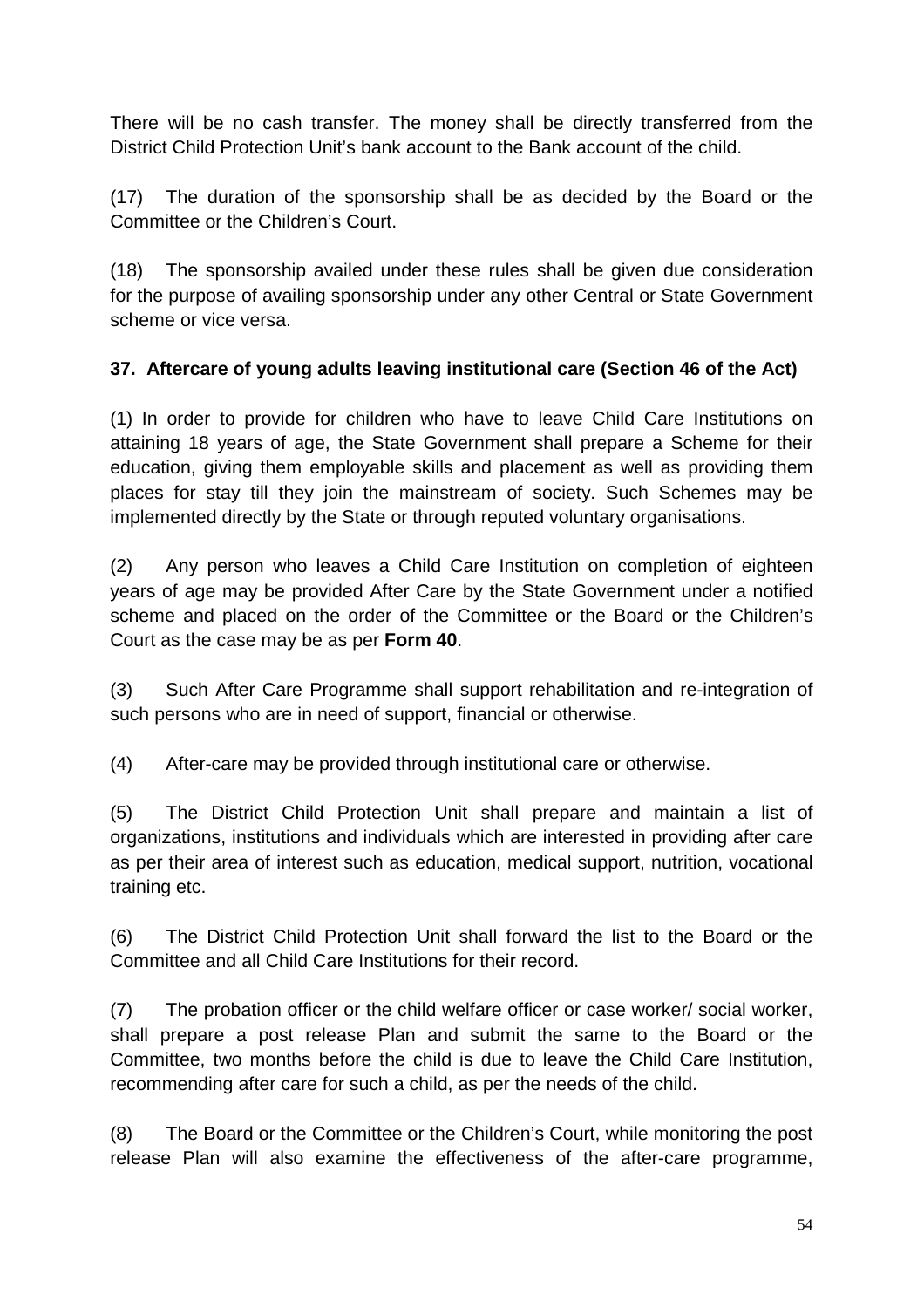There will be no cash transfer. The money shall be directly transferred from the District Child Protection Unit's bank account to the Bank account of the child.

(17) The duration of the sponsorship shall be as decided by the Board or the Committee or the Children's Court.

(18) The sponsorship availed under these rules shall be given due consideration for the purpose of availing sponsorship under any other Central or State Government scheme or vice versa.

## **37. Aftercare of young adults leaving institutional care (Section 46 of the Act)**

(1) In order to provide for children who have to leave Child Care Institutions on attaining 18 years of age, the State Government shall prepare a Scheme for their education, giving them employable skills and placement as well as providing them places for stay till they join the mainstream of society. Such Schemes may be implemented directly by the State or through reputed voluntary organisations.

(2) Any person who leaves a Child Care Institution on completion of eighteen years of age may be provided After Care by the State Government under a notified scheme and placed on the order of the Committee or the Board or the Children's Court as the case may be as per **Form 40**.

(3) Such After Care Programme shall support rehabilitation and re-integration of such persons who are in need of support, financial or otherwise.

(4) After-care may be provided through institutional care or otherwise.

(5) The District Child Protection Unit shall prepare and maintain a list of organizations, institutions and individuals which are interested in providing after care as per their area of interest such as education, medical support, nutrition, vocational training etc.

(6) The District Child Protection Unit shall forward the list to the Board or the Committee and all Child Care Institutions for their record.

(7) The probation officer or the child welfare officer or case worker/ social worker, shall prepare a post release Plan and submit the same to the Board or the Committee, two months before the child is due to leave the Child Care Institution, recommending after care for such a child, as per the needs of the child.

(8) The Board or the Committee or the Children's Court, while monitoring the post release Plan will also examine the effectiveness of the after-care programme,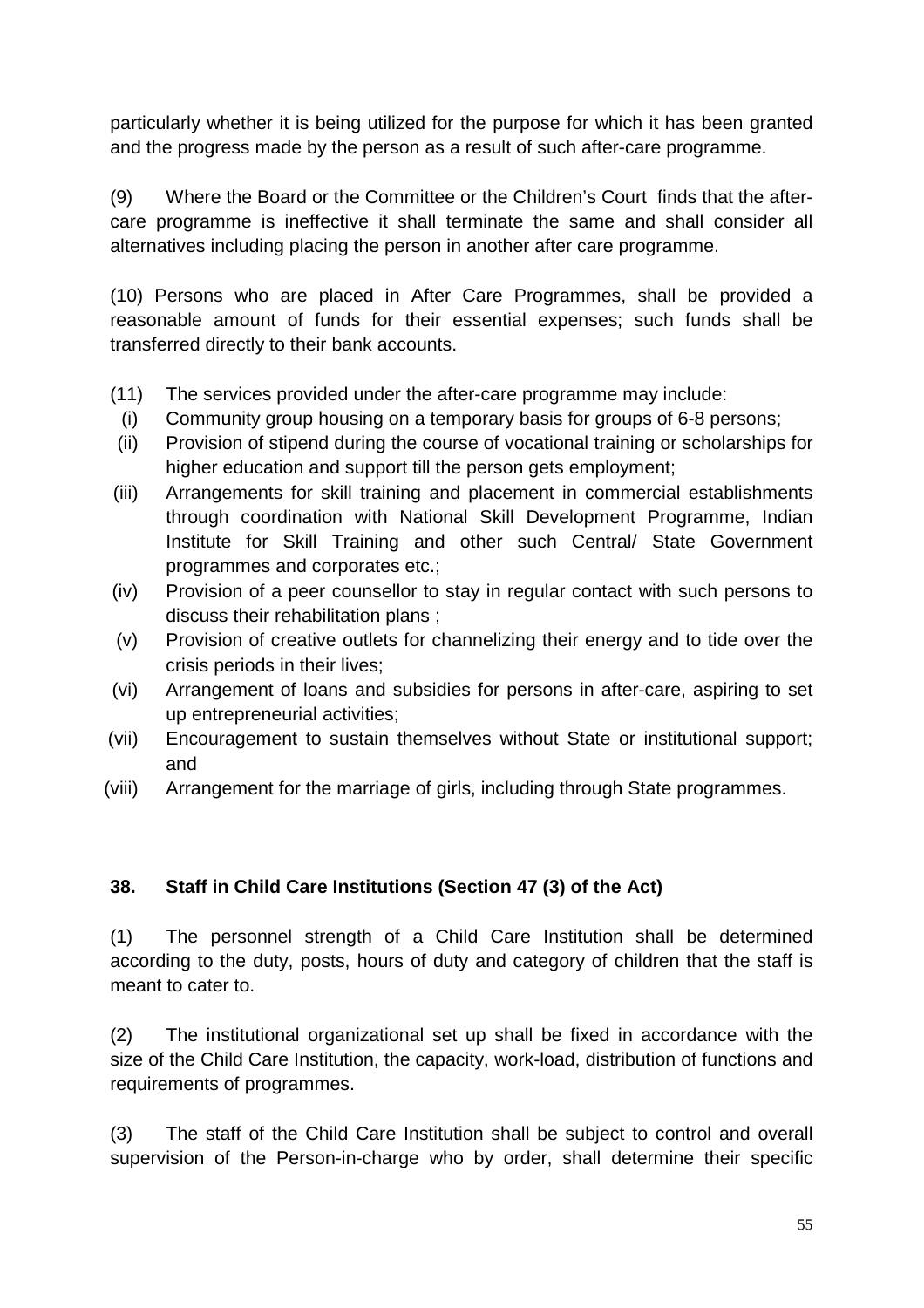particularly whether it is being utilized for the purpose for which it has been granted and the progress made by the person as a result of such after-care programme.

(9) Where the Board or the Committee or the Children's Court finds that the aftercare programme is ineffective it shall terminate the same and shall consider all alternatives including placing the person in another after care programme.

(10) Persons who are placed in After Care Programmes, shall be provided a reasonable amount of funds for their essential expenses; such funds shall be transferred directly to their bank accounts.

- (11) The services provided under the after-care programme may include:
- (i) Community group housing on a temporary basis for groups of 6-8 persons;
- (ii) Provision of stipend during the course of vocational training or scholarships for higher education and support till the person gets employment;
- (iii) Arrangements for skill training and placement in commercial establishments through coordination with National Skill Development Programme, Indian Institute for Skill Training and other such Central/ State Government programmes and corporates etc.;
- (iv) Provision of a peer counsellor to stay in regular contact with such persons to discuss their rehabilitation plans ;
- (v) Provision of creative outlets for channelizing their energy and to tide over the crisis periods in their lives;
- (vi) Arrangement of loans and subsidies for persons in after-care, aspiring to set up entrepreneurial activities;
- (vii) Encouragement to sustain themselves without State or institutional support; and
- (viii) Arrangement for the marriage of girls, including through State programmes.

#### **38. Staff in Child Care Institutions (Section 47 (3) of the Act)**

(1) The personnel strength of a Child Care Institution shall be determined according to the duty, posts, hours of duty and category of children that the staff is meant to cater to.

(2) The institutional organizational set up shall be fixed in accordance with the size of the Child Care Institution, the capacity, work-load, distribution of functions and requirements of programmes.

(3) The staff of the Child Care Institution shall be subject to control and overall supervision of the Person-in-charge who by order, shall determine their specific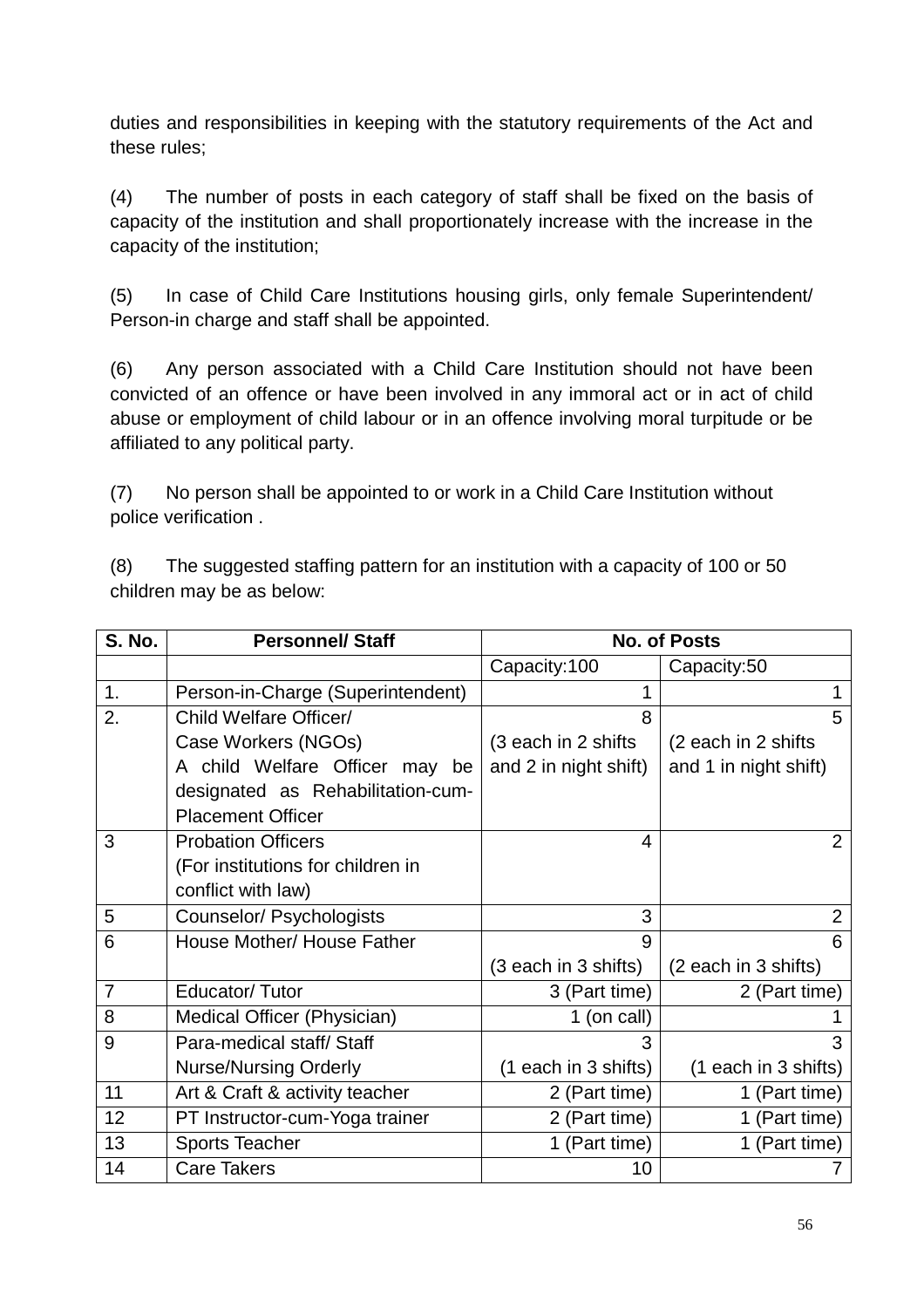duties and responsibilities in keeping with the statutory requirements of the Act and these rules;

(4) The number of posts in each category of staff shall be fixed on the basis of capacity of the institution and shall proportionately increase with the increase in the capacity of the institution;

(5) In case of Child Care Institutions housing girls, only female Superintendent/ Person-in charge and staff shall be appointed.

(6) Any person associated with a Child Care Institution should not have been convicted of an offence or have been involved in any immoral act or in act of child abuse or employment of child labour or in an offence involving moral turpitude or be affiliated to any political party.

(7) No person shall be appointed to or work in a Child Care Institution without police verification .

(8) The suggested staffing pattern for an institution with a capacity of 100 or 50 children may be as below:

| <b>S. No.</b> | <b>Personnel/Staff</b>            | <b>No. of Posts</b>   |                       |  |
|---------------|-----------------------------------|-----------------------|-----------------------|--|
|               |                                   | Capacity:100          | Capacity:50           |  |
| 1.            | Person-in-Charge (Superintendent) | 1                     | 1                     |  |
| 2.            | Child Welfare Officer/            | 8                     | 5                     |  |
|               | Case Workers (NGOs)               | (3 each in 2 shifts   | (2 each in 2 shifts   |  |
|               | A child Welfare Officer may be    | and 2 in night shift) | and 1 in night shift) |  |
|               | designated as Rehabilitation-cum- |                       |                       |  |
|               | <b>Placement Officer</b>          |                       |                       |  |
| 3             | <b>Probation Officers</b>         | 4                     | $\overline{2}$        |  |
|               | (For institutions for children in |                       |                       |  |
|               | conflict with law)                |                       |                       |  |
| 5             | Counselor/ Psychologists          | 3                     | $\overline{2}$        |  |
| 6             | House Mother/ House Father        | 9                     | 6                     |  |
|               |                                   | (3 each in 3 shifts)  | (2 each in 3 shifts)  |  |
| 7             | Educator/Tutor                    | 3 (Part time)         | 2 (Part time)         |  |
| 8             | Medical Officer (Physician)       | 1 (on call)           |                       |  |
| 9             | Para-medical staff/Staff          | 3                     | 3                     |  |
|               | <b>Nurse/Nursing Orderly</b>      | (1 each in 3 shifts)  | (1 each in 3 shifts)  |  |
| 11            | Art & Craft & activity teacher    | 2 (Part time)         | 1 (Part time)         |  |
| 12            | PT Instructor-cum-Yoga trainer    | 2 (Part time)         | 1 (Part time)         |  |
| 13            | <b>Sports Teacher</b>             | 1 (Part time)         | 1 (Part time)         |  |
| 14            | <b>Care Takers</b>                | 10                    |                       |  |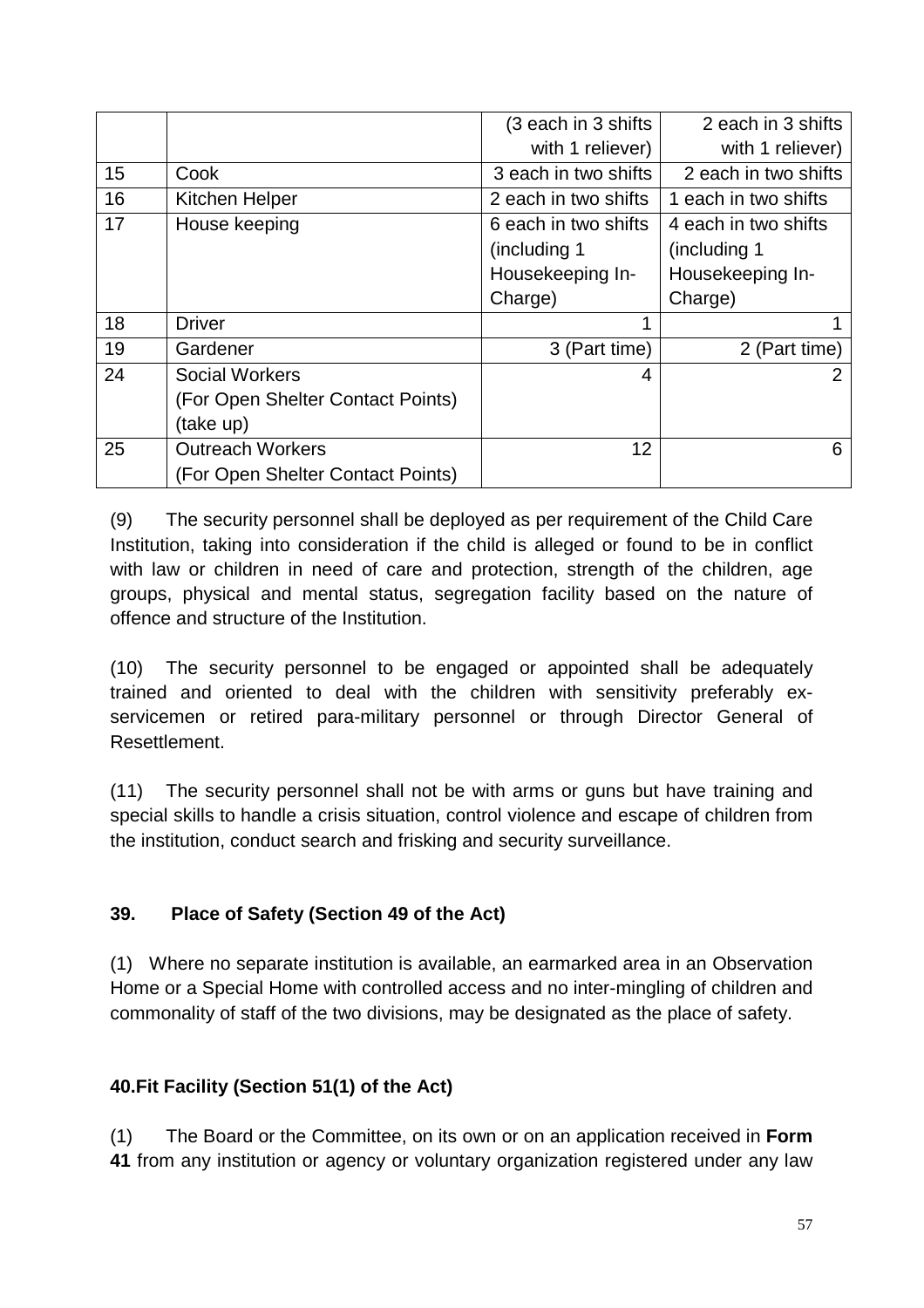|    |                                   | (3 each in 3 shifts  | 2 each in 3 shifts   |
|----|-----------------------------------|----------------------|----------------------|
|    |                                   | with 1 reliever)     | with 1 reliever)     |
| 15 | Cook                              | 3 each in two shifts | 2 each in two shifts |
| 16 | Kitchen Helper                    | 2 each in two shifts | 1 each in two shifts |
| 17 | House keeping                     | 6 each in two shifts | 4 each in two shifts |
|    |                                   | (including 1)        | (including 1         |
|    |                                   | Housekeeping In-     | Housekeeping In-     |
|    |                                   | Charge)              | Charge)              |
| 18 | <b>Driver</b>                     | ◀                    |                      |
| 19 | Gardener                          | 3 (Part time)        | 2 (Part time)        |
| 24 | <b>Social Workers</b>             | 4                    |                      |
|    | (For Open Shelter Contact Points) |                      |                      |
|    | (take up)                         |                      |                      |
| 25 | <b>Outreach Workers</b>           | 12                   | 6                    |
|    | (For Open Shelter Contact Points) |                      |                      |

(9) The security personnel shall be deployed as per requirement of the Child Care Institution, taking into consideration if the child is alleged or found to be in conflict with law or children in need of care and protection, strength of the children, age groups, physical and mental status, segregation facility based on the nature of offence and structure of the Institution.

(10) The security personnel to be engaged or appointed shall be adequately trained and oriented to deal with the children with sensitivity preferably exservicemen or retired para-military personnel or through Director General of Resettlement.

(11) The security personnel shall not be with arms or guns but have training and special skills to handle a crisis situation, control violence and escape of children from the institution, conduct search and frisking and security surveillance.

## **39. Place of Safety (Section 49 of the Act)**

(1) Where no separate institution is available, an earmarked area in an Observation Home or a Special Home with controlled access and no inter-mingling of children and commonality of staff of the two divisions, may be designated as the place of safety.

# **40.Fit Facility (Section 51(1) of the Act)**

(1) The Board or the Committee, on its own or on an application received in **Form 41** from any institution or agency or voluntary organization registered under any law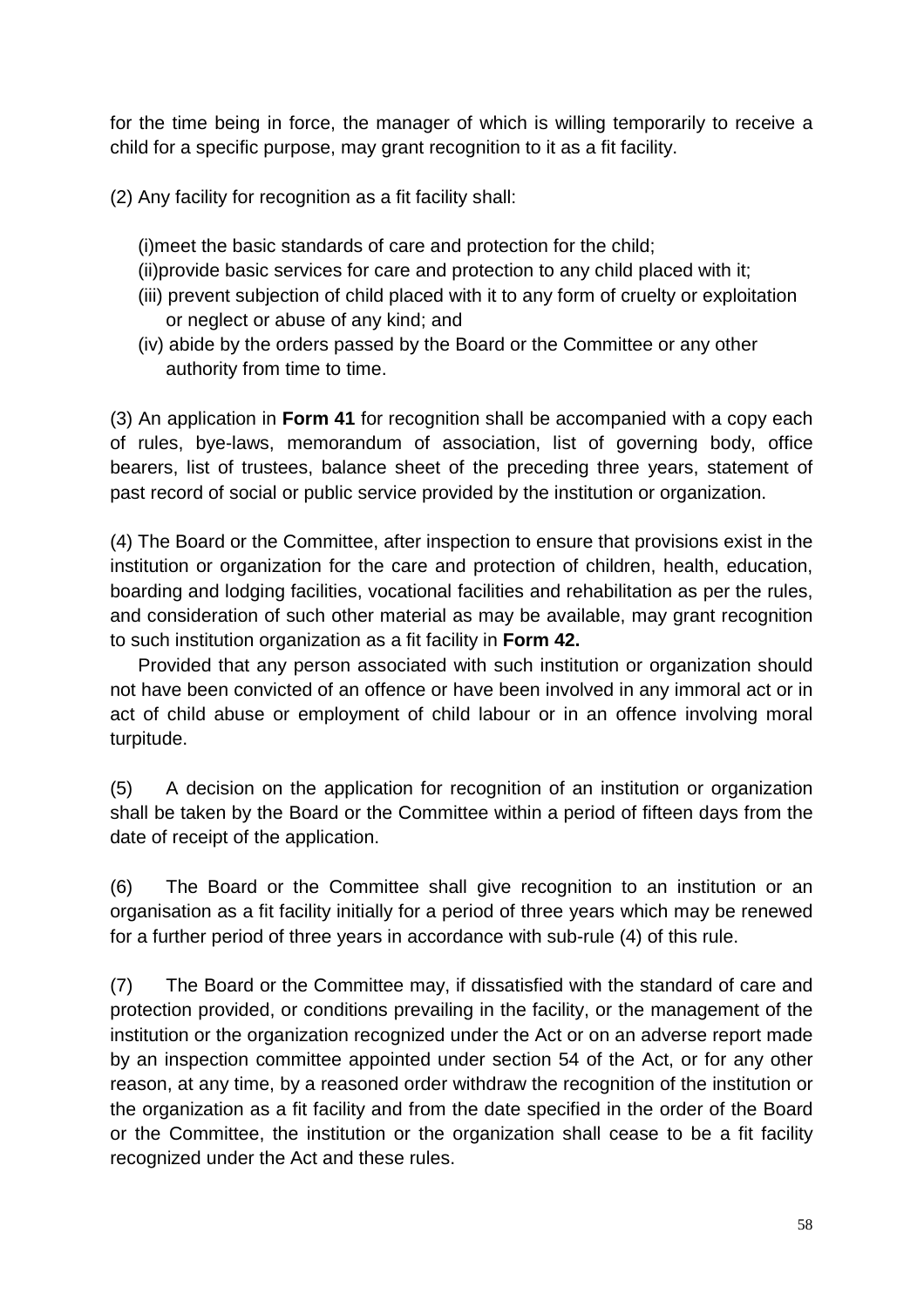for the time being in force, the manager of which is willing temporarily to receive a child for a specific purpose, may grant recognition to it as a fit facility.

(2) Any facility for recognition as a fit facility shall:

(i)meet the basic standards of care and protection for the child;

- (ii)provide basic services for care and protection to any child placed with it;
- (iii) prevent subjection of child placed with it to any form of cruelty or exploitation or neglect or abuse of any kind; and
- (iv) abide by the orders passed by the Board or the Committee or any other authority from time to time.

(3) An application in **Form 41** for recognition shall be accompanied with a copy each of rules, bye-laws, memorandum of association, list of governing body, office bearers, list of trustees, balance sheet of the preceding three years, statement of past record of social or public service provided by the institution or organization.

(4) The Board or the Committee, after inspection to ensure that provisions exist in the institution or organization for the care and protection of children, health, education, boarding and lodging facilities, vocational facilities and rehabilitation as per the rules, and consideration of such other material as may be available, may grant recognition to such institution organization as a fit facility in **Form 42.**

 Provided that any person associated with such institution or organization should not have been convicted of an offence or have been involved in any immoral act or in act of child abuse or employment of child labour or in an offence involving moral turpitude.

(5) A decision on the application for recognition of an institution or organization shall be taken by the Board or the Committee within a period of fifteen days from the date of receipt of the application.

(6) The Board or the Committee shall give recognition to an institution or an organisation as a fit facility initially for a period of three years which may be renewed for a further period of three years in accordance with sub-rule (4) of this rule.

(7) The Board or the Committee may, if dissatisfied with the standard of care and protection provided, or conditions prevailing in the facility, or the management of the institution or the organization recognized under the Act or on an adverse report made by an inspection committee appointed under section 54 of the Act, or for any other reason, at any time, by a reasoned order withdraw the recognition of the institution or the organization as a fit facility and from the date specified in the order of the Board or the Committee, the institution or the organization shall cease to be a fit facility recognized under the Act and these rules.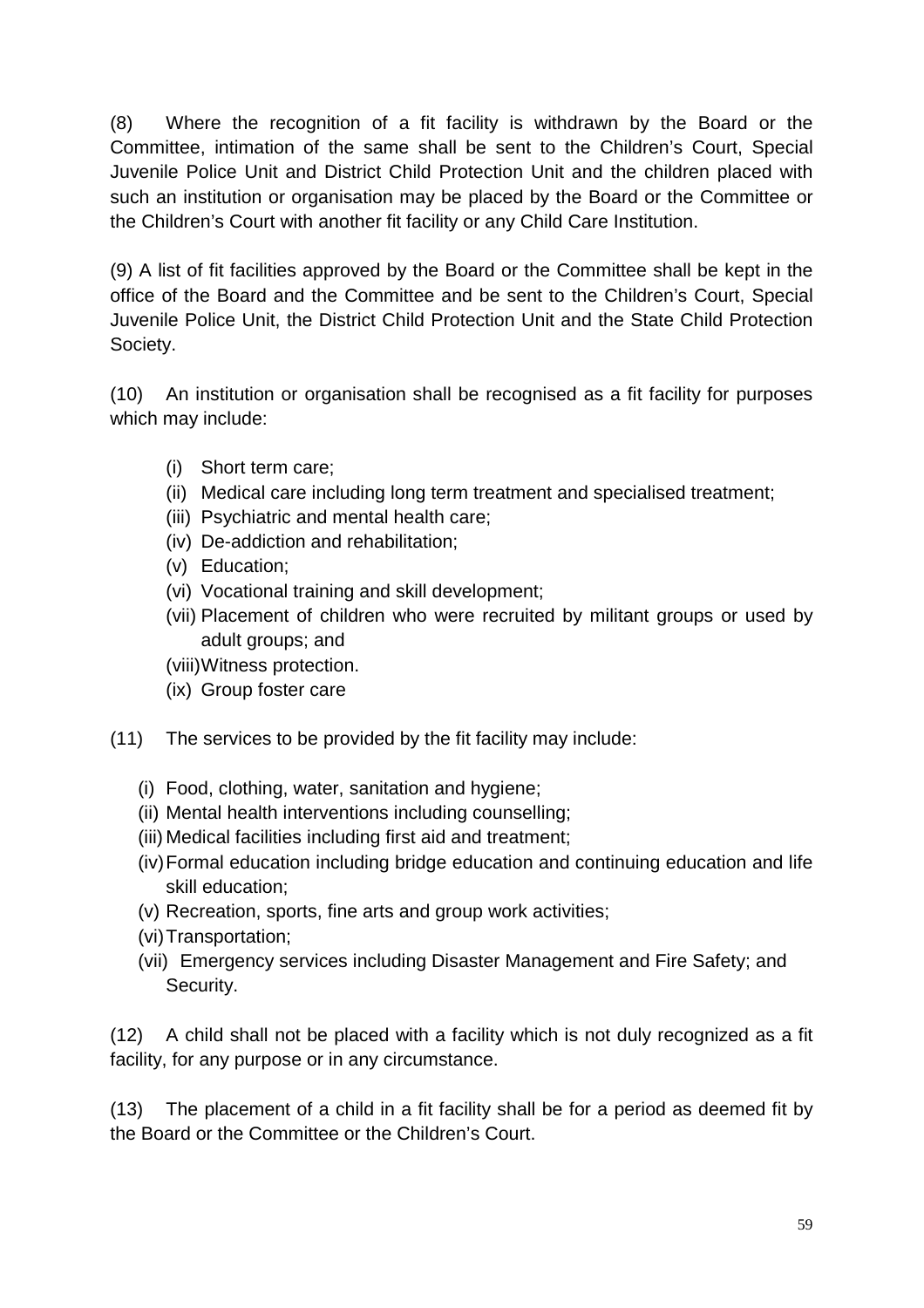(8) Where the recognition of a fit facility is withdrawn by the Board or the Committee, intimation of the same shall be sent to the Children's Court, Special Juvenile Police Unit and District Child Protection Unit and the children placed with such an institution or organisation may be placed by the Board or the Committee or the Children's Court with another fit facility or any Child Care Institution.

(9) A list of fit facilities approved by the Board or the Committee shall be kept in the office of the Board and the Committee and be sent to the Children's Court, Special Juvenile Police Unit, the District Child Protection Unit and the State Child Protection Society.

(10) An institution or organisation shall be recognised as a fit facility for purposes which may include:

- (i) Short term care;
- (ii) Medical care including long term treatment and specialised treatment;
- (iii) Psychiatric and mental health care;
- (iv) De-addiction and rehabilitation;
- (v) Education;
- (vi) Vocational training and skill development;
- (vii) Placement of children who were recruited by militant groups or used by adult groups; and
- (viii) Witness protection.
- (ix) Group foster care
- (11) The services to be provided by the fit facility may include:
	- (i) Food, clothing, water, sanitation and hygiene;
	- (ii) Mental health interventions including counselling;
	- (iii) Medical facilities including first aid and treatment;
	- (iv) Formal education including bridge education and continuing education and life skill education;
	- (v) Recreation, sports, fine arts and group work activities;
	- (vi) Transportation;
	- (vii) Emergency services including Disaster Management and Fire Safety; and Security.

(12) A child shall not be placed with a facility which is not duly recognized as a fit facility, for any purpose or in any circumstance.

(13) The placement of a child in a fit facility shall be for a period as deemed fit by the Board or the Committee or the Children's Court.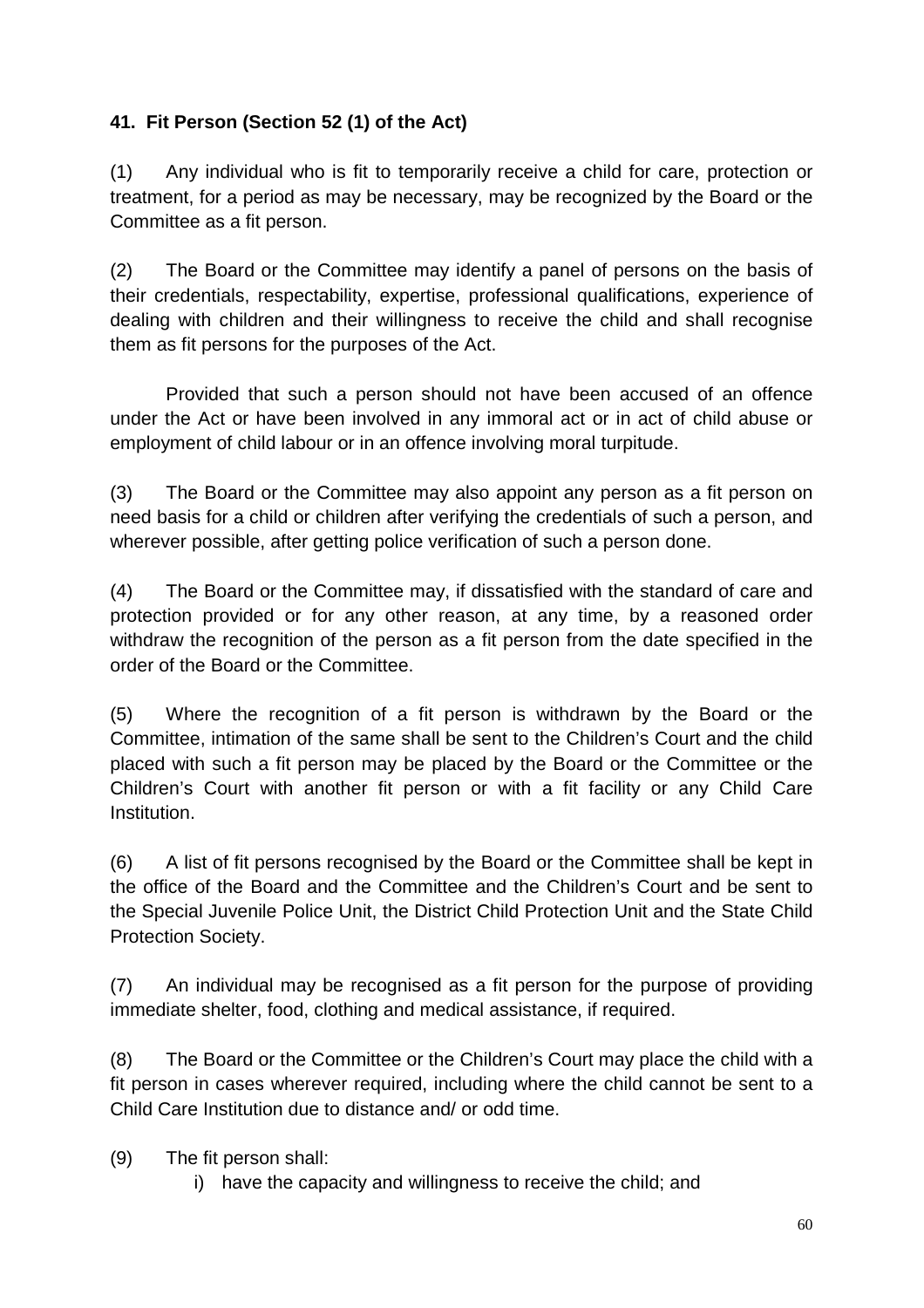## **41. Fit Person (Section 52 (1) of the Act)**

(1) Any individual who is fit to temporarily receive a child for care, protection or treatment, for a period as may be necessary, may be recognized by the Board or the Committee as a fit person.

(2) The Board or the Committee may identify a panel of persons on the basis of their credentials, respectability, expertise, professional qualifications, experience of dealing with children and their willingness to receive the child and shall recognise them as fit persons for the purposes of the Act.

 Provided that such a person should not have been accused of an offence under the Act or have been involved in any immoral act or in act of child abuse or employment of child labour or in an offence involving moral turpitude.

(3) The Board or the Committee may also appoint any person as a fit person on need basis for a child or children after verifying the credentials of such a person, and wherever possible, after getting police verification of such a person done.

(4) The Board or the Committee may, if dissatisfied with the standard of care and protection provided or for any other reason, at any time, by a reasoned order withdraw the recognition of the person as a fit person from the date specified in the order of the Board or the Committee.

(5) Where the recognition of a fit person is withdrawn by the Board or the Committee, intimation of the same shall be sent to the Children's Court and the child placed with such a fit person may be placed by the Board or the Committee or the Children's Court with another fit person or with a fit facility or any Child Care Institution.

(6) A list of fit persons recognised by the Board or the Committee shall be kept in the office of the Board and the Committee and the Children's Court and be sent to the Special Juvenile Police Unit, the District Child Protection Unit and the State Child Protection Society.

(7) An individual may be recognised as a fit person for the purpose of providing immediate shelter, food, clothing and medical assistance, if required.

(8) The Board or the Committee or the Children's Court may place the child with a fit person in cases wherever required, including where the child cannot be sent to a Child Care Institution due to distance and/ or odd time.

(9) The fit person shall:

i) have the capacity and willingness to receive the child; and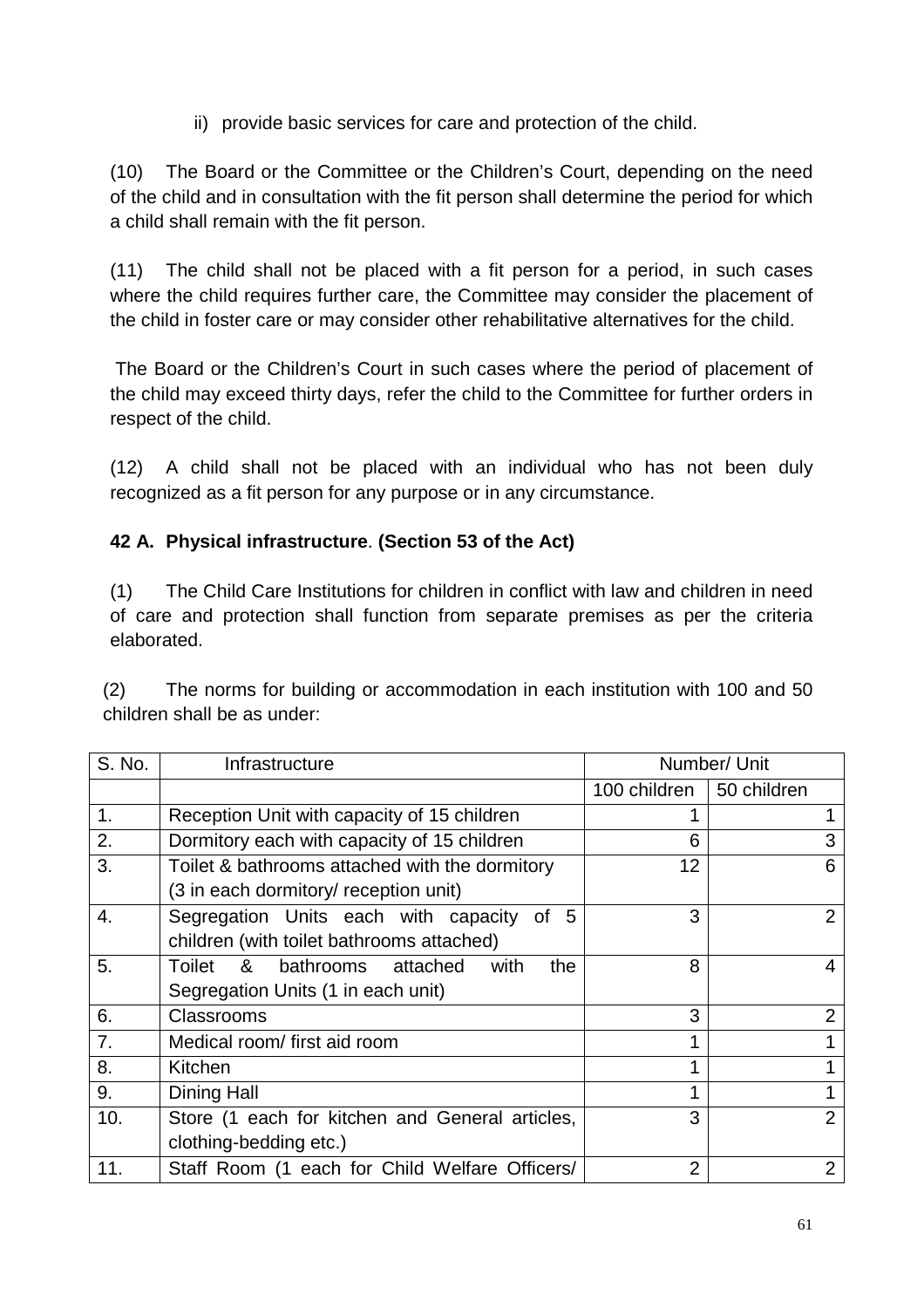ii) provide basic services for care and protection of the child.

(10) The Board or the Committee or the Children's Court, depending on the need of the child and in consultation with the fit person shall determine the period for which a child shall remain with the fit person.

(11) The child shall not be placed with a fit person for a period, in such cases where the child requires further care, the Committee may consider the placement of the child in foster care or may consider other rehabilitative alternatives for the child.

 The Board or the Children's Court in such cases where the period of placement of the child may exceed thirty days, refer the child to the Committee for further orders in respect of the child.

(12) A child shall not be placed with an individual who has not been duly recognized as a fit person for any purpose or in any circumstance.

## **42 A. Physical infrastructure**. **(Section 53 of the Act)**

(1) The Child Care Institutions for children in conflict with law and children in need of care and protection shall function from separate premises as per the criteria elaborated.

(2) The norms for building or accommodation in each institution with 100 and 50 children shall be as under:

| S. No. | Infrastructure                                  | Number/ Unit               |                |
|--------|-------------------------------------------------|----------------------------|----------------|
|        |                                                 | 100 children   50 children |                |
| 1.     | Reception Unit with capacity of 15 children     |                            |                |
| 2.     | Dormitory each with capacity of 15 children     | 6                          | 3              |
| 3.     | Toilet & bathrooms attached with the dormitory  | 12                         | 6              |
|        | (3 in each dormitory/ reception unit)           |                            |                |
| 4.     | Segregation Units each with capacity of<br>5    | 3                          | 2              |
|        | children (with toilet bathrooms attached)       |                            |                |
| 5.     | Toilet & bathrooms attached<br>with<br>the      | 8                          |                |
|        | Segregation Units (1 in each unit)              |                            |                |
| 6.     | Classrooms                                      | 3                          | $\overline{2}$ |
| 7.     | Medical room/first aid room                     | 1                          |                |
| 8.     | Kitchen                                         | 1                          |                |
| 9.     | Dining Hall                                     | 1                          |                |
| 10.    | Store (1 each for kitchen and General articles, | 3                          | $\overline{2}$ |
|        | clothing-bedding etc.)                          |                            |                |
| 11.    | Staff Room (1 each for Child Welfare Officers/  | $\overline{2}$             | 2              |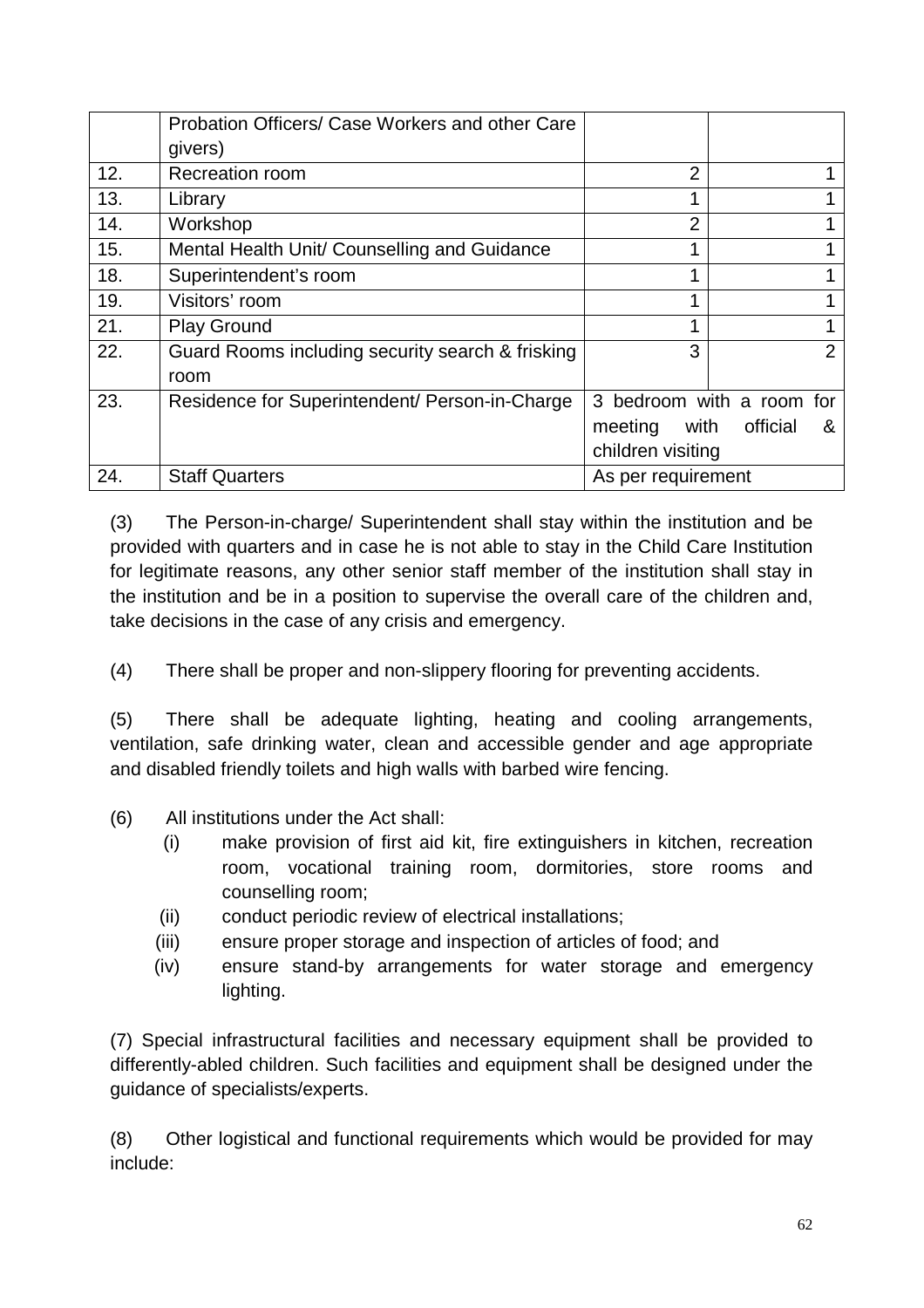|     | Probation Officers/ Case Workers and other Care  |                    |                           |
|-----|--------------------------------------------------|--------------------|---------------------------|
|     | givers)                                          |                    |                           |
| 12. | <b>Recreation room</b>                           | $\overline{2}$     |                           |
| 13. | Library                                          |                    |                           |
| 14. | Workshop                                         | $\overline{2}$     |                           |
| 15. | Mental Health Unit/ Counselling and Guidance     |                    |                           |
| 18. | Superintendent's room                            |                    |                           |
| 19. | Visitors' room                                   |                    |                           |
| 21. | <b>Play Ground</b>                               | 4                  |                           |
| 22. | Guard Rooms including security search & frisking | 3                  |                           |
|     | room                                             |                    |                           |
| 23. | Residence for Superintendent/ Person-in-Charge   |                    | 3 bedroom with a room for |
|     |                                                  | with<br>meeting    | official<br>&             |
|     |                                                  | children visiting  |                           |
| 24. | <b>Staff Quarters</b>                            | As per requirement |                           |

(3) The Person-in-charge/ Superintendent shall stay within the institution and be provided with quarters and in case he is not able to stay in the Child Care Institution for legitimate reasons, any other senior staff member of the institution shall stay in the institution and be in a position to supervise the overall care of the children and, take decisions in the case of any crisis and emergency.

(4) There shall be proper and non-slippery flooring for preventing accidents.

(5) There shall be adequate lighting, heating and cooling arrangements, ventilation, safe drinking water, clean and accessible gender and age appropriate and disabled friendly toilets and high walls with barbed wire fencing.

- (6) All institutions under the Act shall:
	- (i) make provision of first aid kit, fire extinguishers in kitchen, recreation room, vocational training room, dormitories, store rooms and counselling room;
	- (ii) conduct periodic review of electrical installations;
	- (iii) ensure proper storage and inspection of articles of food; and
	- (iv) ensure stand-by arrangements for water storage and emergency lighting.

(7) Special infrastructural facilities and necessary equipment shall be provided to differently-abled children. Such facilities and equipment shall be designed under the guidance of specialists/experts.

(8) Other logistical and functional requirements which would be provided for may include: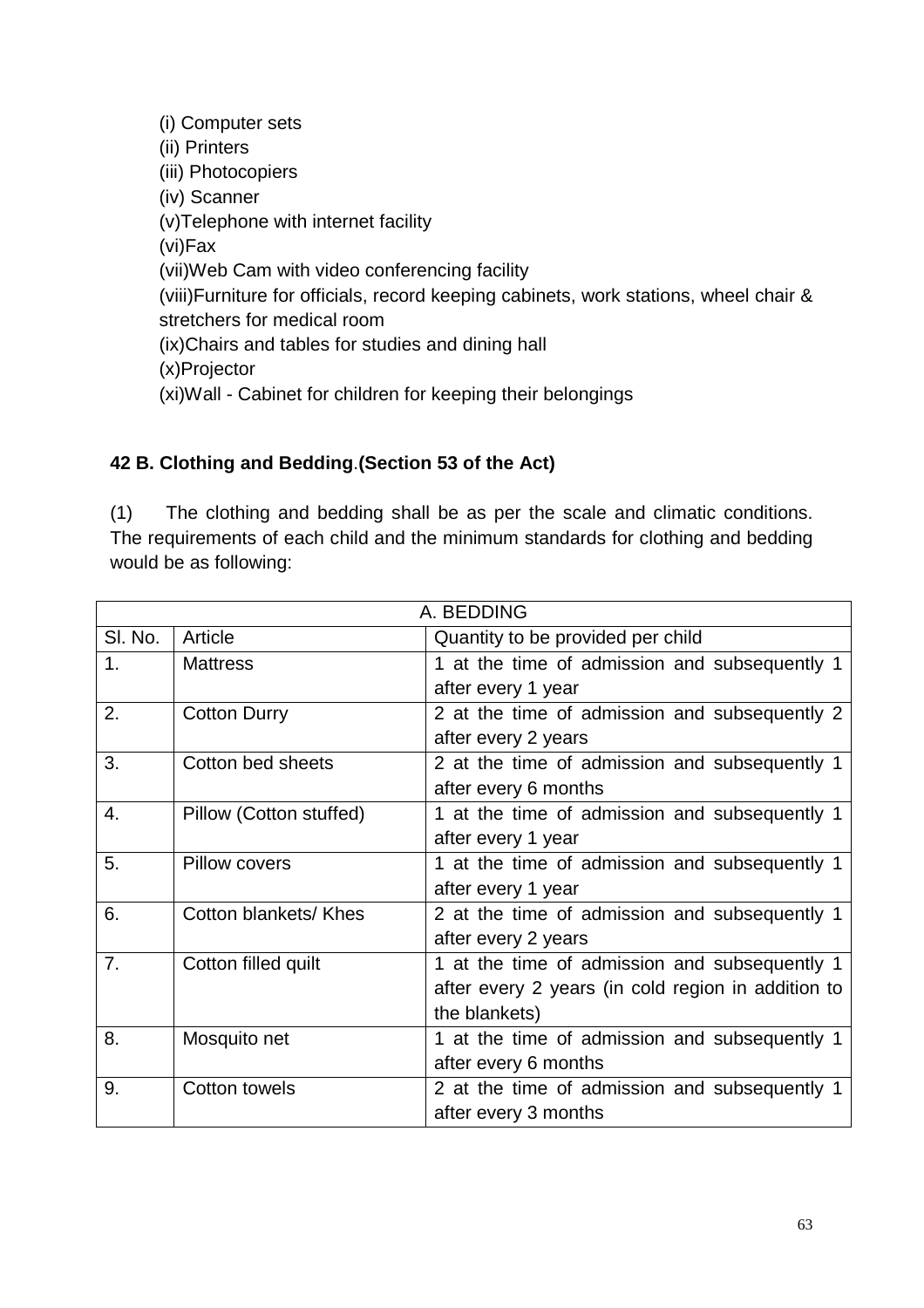(i) Computer sets (ii) Printers (iii) Photocopiers (iv) Scanner (v)Telephone with internet facility (vi)Fax (vii)Web Cam with video conferencing facility (viii)Furniture for officials, record keeping cabinets, work stations, wheel chair & stretchers for medical room (ix)Chairs and tables for studies and dining hall (x)Projector (xi)Wall - Cabinet for children for keeping their belongings

## **42 B. Clothing and Bedding**.**(Section 53 of the Act)**

(1) The clothing and bedding shall be as per the scale and climatic conditions. The requirements of each child and the minimum standards for clothing and bedding would be as following:

|                | A. BEDDING              |                                                    |  |  |
|----------------|-------------------------|----------------------------------------------------|--|--|
| SI. No.        | Article                 | Quantity to be provided per child                  |  |  |
| 1 <sub>1</sub> | <b>Mattress</b>         | 1 at the time of admission and subsequently 1      |  |  |
|                |                         | after every 1 year                                 |  |  |
| 2.             | <b>Cotton Durry</b>     | 2 at the time of admission and subsequently 2      |  |  |
|                |                         | after every 2 years                                |  |  |
| 3.             | Cotton bed sheets       | 2 at the time of admission and subsequently 1      |  |  |
|                |                         | after every 6 months                               |  |  |
| 4.             | Pillow (Cotton stuffed) | 1 at the time of admission and subsequently 1      |  |  |
|                |                         | after every 1 year                                 |  |  |
| 5.             | <b>Pillow covers</b>    | 1 at the time of admission and subsequently 1      |  |  |
|                |                         | after every 1 year                                 |  |  |
| 6.             | Cotton blankets/ Khes   | 2 at the time of admission and subsequently 1      |  |  |
|                |                         | after every 2 years                                |  |  |
| 7.             | Cotton filled quilt     | 1 at the time of admission and subsequently 1      |  |  |
|                |                         | after every 2 years (in cold region in addition to |  |  |
|                |                         | the blankets)                                      |  |  |
| 8.             | Mosquito net            | 1 at the time of admission and subsequently 1      |  |  |
|                |                         | after every 6 months                               |  |  |
| 9.             | Cotton towels           | 2 at the time of admission and subsequently 1      |  |  |
|                |                         | after every 3 months                               |  |  |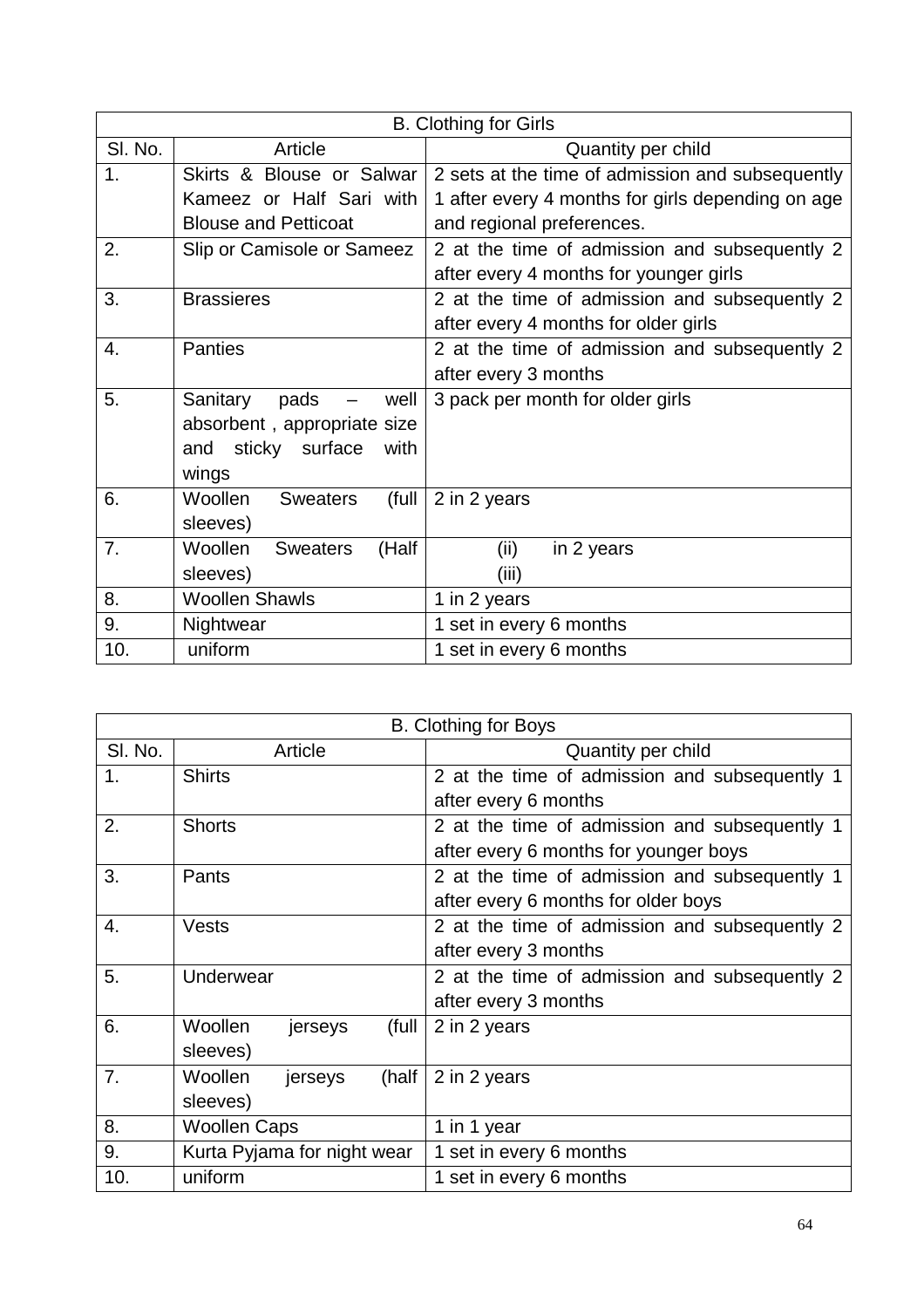|         | <b>B.</b> Clothing for Girls               |                                                   |  |  |
|---------|--------------------------------------------|---------------------------------------------------|--|--|
| SI. No. | Article                                    | Quantity per child                                |  |  |
| 1.      | Skirts & Blouse or Salwar                  | 2 sets at the time of admission and subsequently  |  |  |
|         | Kameez or Half Sari with                   | 1 after every 4 months for girls depending on age |  |  |
|         | <b>Blouse and Petticoat</b>                | and regional preferences.                         |  |  |
| 2.      | Slip or Camisole or Sameez                 | 2 at the time of admission and subsequently 2     |  |  |
|         |                                            | after every 4 months for younger girls            |  |  |
| 3.      | <b>Brassieres</b>                          | 2 at the time of admission and subsequently 2     |  |  |
|         |                                            | after every 4 months for older girls              |  |  |
| 4.      | <b>Panties</b>                             | 2 at the time of admission and subsequently 2     |  |  |
|         |                                            | after every 3 months                              |  |  |
| 5.      | well<br>Sanitary<br>pads                   | 3 pack per month for older girls                  |  |  |
|         | absorbent, appropriate size                |                                                   |  |  |
|         | sticky surface<br>with<br>and              |                                                   |  |  |
|         | wings                                      |                                                   |  |  |
| 6.      | <b>Woollen</b><br>(full<br><b>Sweaters</b> | 2 in 2 years                                      |  |  |
|         | sleeves)                                   |                                                   |  |  |
| 7.      | (Half<br>Woollen<br><b>Sweaters</b>        | (ii)<br>in 2 years                                |  |  |
|         | sleeves)                                   | (iii)                                             |  |  |
| 8.      | <b>Woollen Shawls</b>                      | 1 in 2 years                                      |  |  |
| 9.      | Nightwear                                  | 1 set in every 6 months                           |  |  |
| 10.     | uniform                                    | 1 set in every 6 months                           |  |  |

|                |                             | <b>B. Clothing for Boys</b>                   |  |  |
|----------------|-----------------------------|-----------------------------------------------|--|--|
| SI. No.        | Article                     | Quantity per child                            |  |  |
| 1 <sub>1</sub> | <b>Shirts</b>               | 2 at the time of admission and subsequently 1 |  |  |
|                |                             | after every 6 months                          |  |  |
| 2.             | <b>Shorts</b>               | 2 at the time of admission and subsequently 1 |  |  |
|                |                             | after every 6 months for younger boys         |  |  |
| 3.             | Pants                       | 2 at the time of admission and subsequently 1 |  |  |
|                |                             | after every 6 months for older boys           |  |  |
| 4.             | <b>Vests</b>                | 2 at the time of admission and subsequently 2 |  |  |
|                |                             | after every 3 months                          |  |  |
| 5.             | Underwear                   | 2 at the time of admission and subsequently 2 |  |  |
|                |                             | after every 3 months                          |  |  |
| 6.             | Woollen<br>(full<br>jerseys | 2 in 2 years                                  |  |  |
|                | sleeves)                    |                                               |  |  |
| 7 <sub>1</sub> | (half<br>Woollen<br>jerseys | 2 in 2 years                                  |  |  |
|                | sleeves)                    |                                               |  |  |
| 8.             | <b>Woollen Caps</b>         | 1 in 1 year                                   |  |  |
| 9.             | Kurta Pyjama for night wear | 1 set in every 6 months                       |  |  |
| 10.            | uniform                     | 1 set in every 6 months                       |  |  |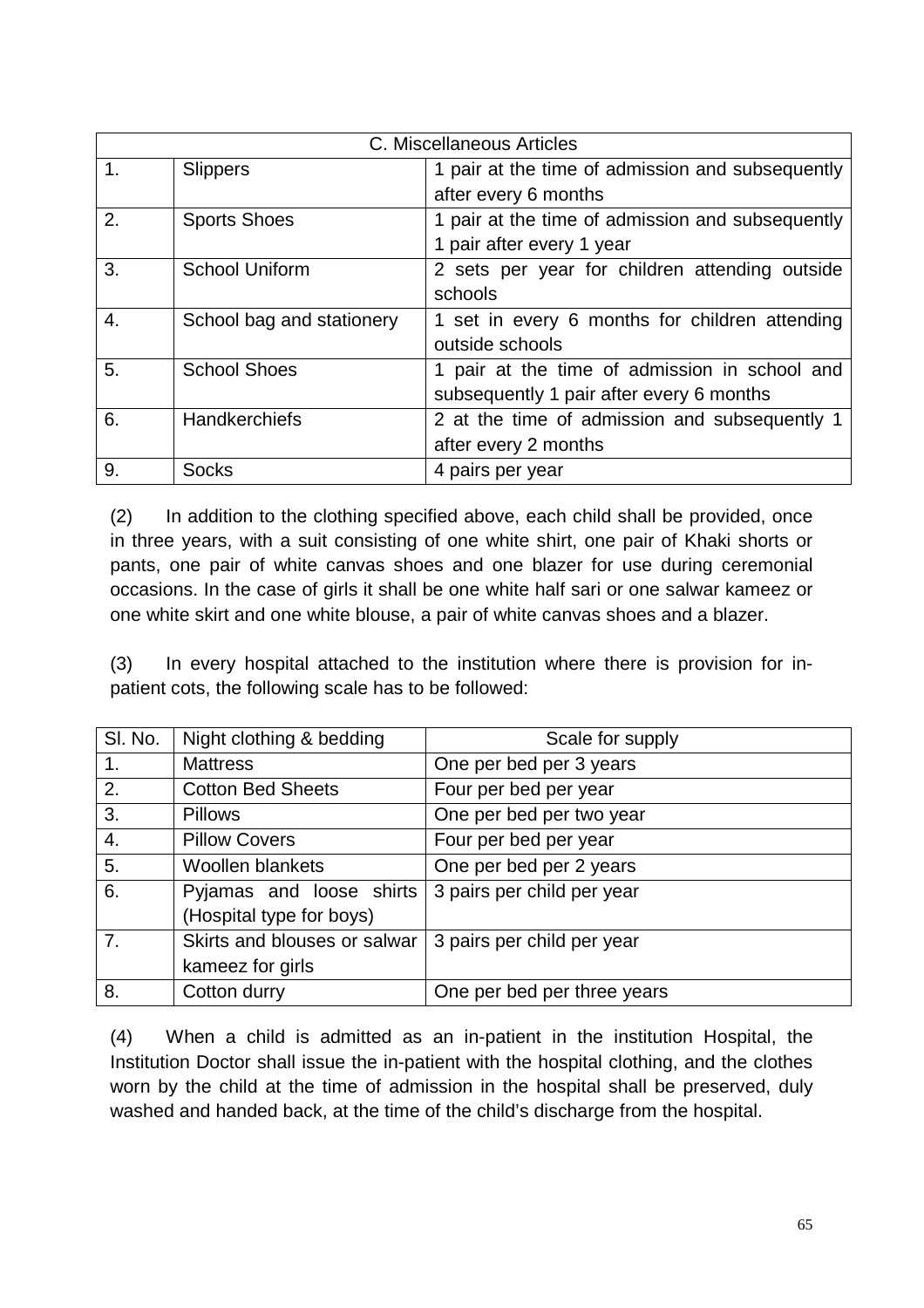|                | C. Miscellaneous Articles |                                                  |  |  |
|----------------|---------------------------|--------------------------------------------------|--|--|
| $\mathbf{1}$ . | <b>Slippers</b>           | 1 pair at the time of admission and subsequently |  |  |
|                |                           | after every 6 months                             |  |  |
| 2.             | <b>Sports Shoes</b>       | 1 pair at the time of admission and subsequently |  |  |
|                |                           | 1 pair after every 1 year                        |  |  |
| 3.             | School Uniform            | 2 sets per year for children attending outside   |  |  |
|                |                           | schools                                          |  |  |
| 4.             | School bag and stationery | 1 set in every 6 months for children attending   |  |  |
|                |                           | outside schools                                  |  |  |
| 5.             | <b>School Shoes</b>       | 1 pair at the time of admission in school and    |  |  |
|                |                           | subsequently 1 pair after every 6 months         |  |  |
| 6.             | <b>Handkerchiefs</b>      | 2 at the time of admission and subsequently 1    |  |  |
|                |                           | after every 2 months                             |  |  |
| 9.             | <b>Socks</b>              | 4 pairs per year                                 |  |  |

(2) In addition to the clothing specified above, each child shall be provided, once in three years, with a suit consisting of one white shirt, one pair of Khaki shorts or pants, one pair of white canvas shoes and one blazer for use during ceremonial occasions. In the case of girls it shall be one white half sari or one salwar kameez or one white skirt and one white blouse, a pair of white canvas shoes and a blazer.

(3) In every hospital attached to the institution where there is provision for inpatient cots, the following scale has to be followed:

| SI. No.     | Night clothing & bedding     | Scale for supply            |
|-------------|------------------------------|-----------------------------|
| $1_{\cdot}$ | <b>Mattress</b>              | One per bed per 3 years     |
| 2.          | <b>Cotton Bed Sheets</b>     | Four per bed per year       |
| 3.          | <b>Pillows</b>               | One per bed per two year    |
| 4.          | <b>Pillow Covers</b>         | Four per bed per year       |
| 5.          | <b>Woollen blankets</b>      | One per bed per 2 years     |
| 6.          | Pyjamas and loose shirts     | 3 pairs per child per year  |
|             | (Hospital type for boys)     |                             |
| 7.          | Skirts and blouses or salwar | 3 pairs per child per year  |
|             | kameez for girls             |                             |
| 8.          | Cotton durry                 | One per bed per three years |

(4) When a child is admitted as an in-patient in the institution Hospital, the Institution Doctor shall issue the in-patient with the hospital clothing, and the clothes worn by the child at the time of admission in the hospital shall be preserved, duly washed and handed back, at the time of the child's discharge from the hospital.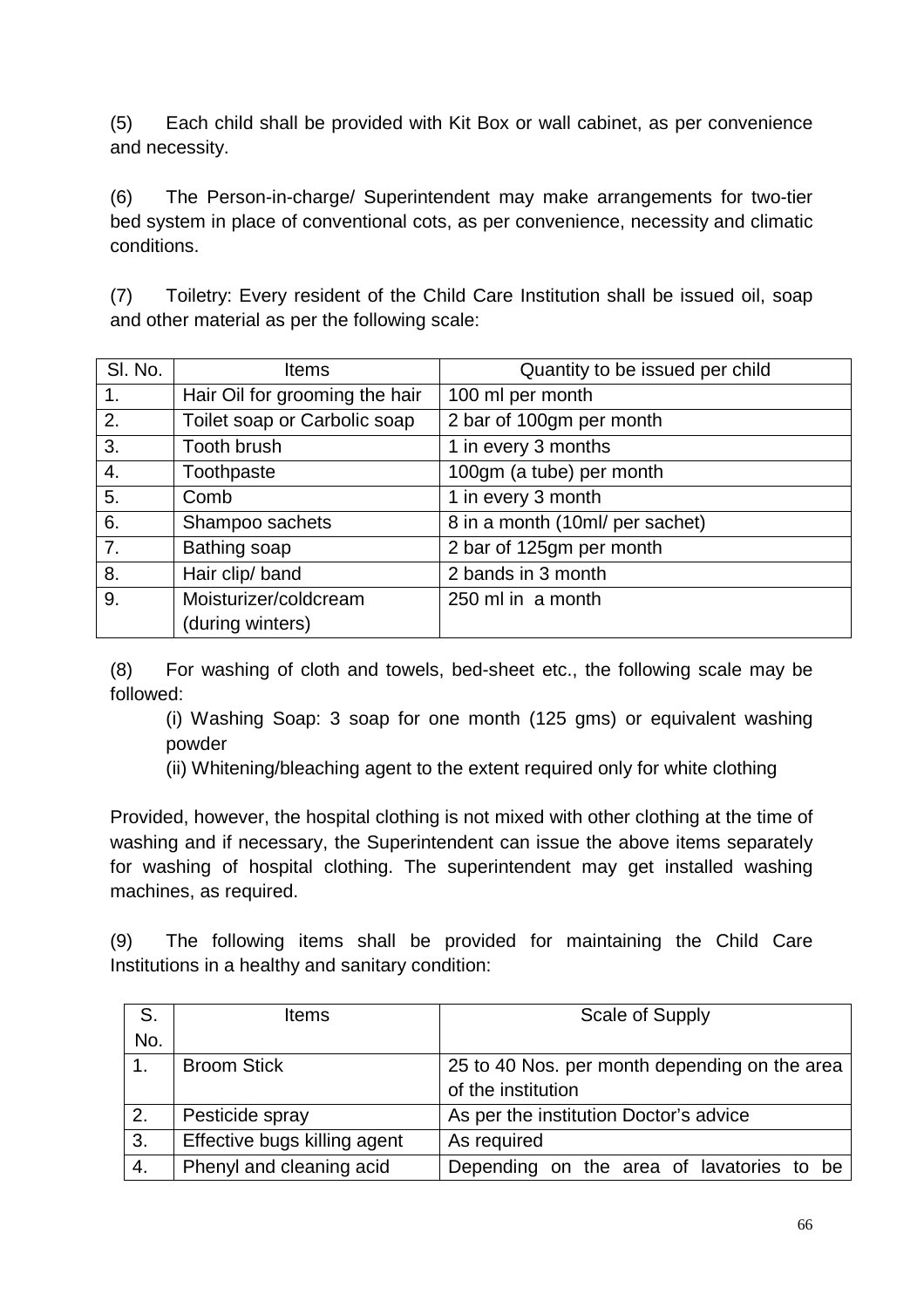(5) Each child shall be provided with Kit Box or wall cabinet, as per convenience and necessity.

(6) The Person-in-charge/ Superintendent may make arrangements for two-tier bed system in place of conventional cots, as per convenience, necessity and climatic conditions.

(7) Toiletry: Every resident of the Child Care Institution shall be issued oil, soap and other material as per the following scale:

| SI. No.          | <b>Items</b>                   | Quantity to be issued per child |
|------------------|--------------------------------|---------------------------------|
| 1.               | Hair Oil for grooming the hair | 100 ml per month                |
| 2.               | Toilet soap or Carbolic soap   | 2 bar of 100gm per month        |
| 3.               | Tooth brush                    | 1 in every 3 months             |
| 4.               | Toothpaste                     | 100gm (a tube) per month        |
| 5.               | Comb                           | 1 in every 3 month              |
| 6.               | Shampoo sachets                | 8 in a month (10ml/ per sachet) |
| $\overline{7}$ . | Bathing soap                   | 2 bar of 125gm per month        |
| 8.               | Hair clip/ band                | 2 bands in 3 month              |
| 9.               | Moisturizer/coldcream          | 250 ml in a month               |
|                  | (during winters)               |                                 |

(8) For washing of cloth and towels, bed-sheet etc., the following scale may be followed:

(i) Washing Soap: 3 soap for one month (125 gms) or equivalent washing powder

(ii) Whitening/bleaching agent to the extent required only for white clothing

Provided, however, the hospital clothing is not mixed with other clothing at the time of washing and if necessary, the Superintendent can issue the above items separately for washing of hospital clothing. The superintendent may get installed washing machines, as required.

(9) The following items shall be provided for maintaining the Child Care Institutions in a healthy and sanitary condition:

| S.  | <b>Items</b>                 | Scale of Supply                               |  |  |  |  |  |
|-----|------------------------------|-----------------------------------------------|--|--|--|--|--|
| No. |                              |                                               |  |  |  |  |  |
| 1.  | <b>Broom Stick</b>           | 25 to 40 Nos. per month depending on the area |  |  |  |  |  |
|     |                              | of the institution                            |  |  |  |  |  |
| 2.  | Pesticide spray              | As per the institution Doctor's advice        |  |  |  |  |  |
| 3.  | Effective bugs killing agent | As required                                   |  |  |  |  |  |
| 4.  | Phenyl and cleaning acid     | Depending on the area of lavatories to be     |  |  |  |  |  |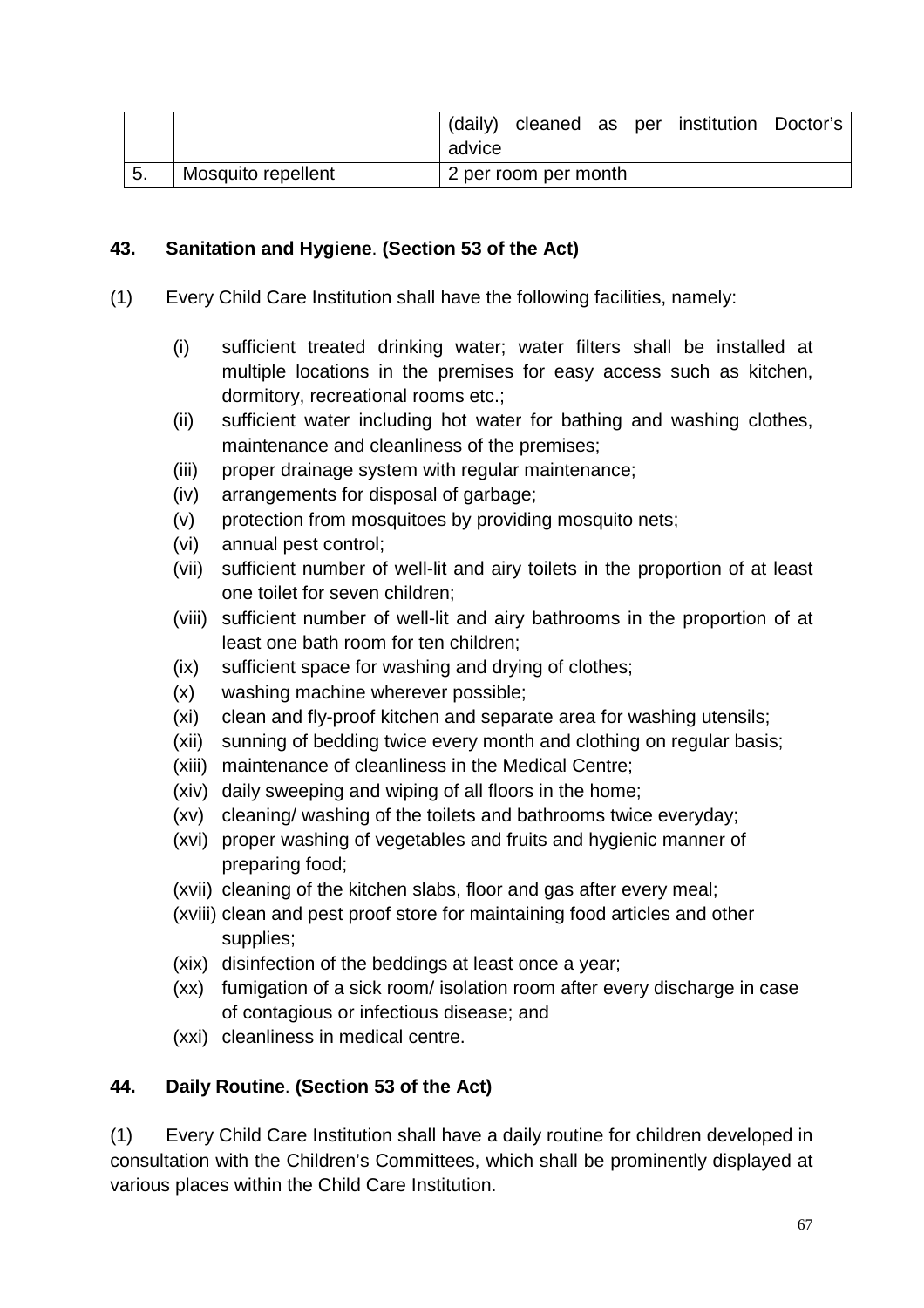|                    | (daily) |                      |  | cleaned as per institution Doctor's |  |
|--------------------|---------|----------------------|--|-------------------------------------|--|
|                    | advice  |                      |  |                                     |  |
| Mosquito repellent |         | 2 per room per month |  |                                     |  |

### **43. Sanitation and Hygiene**. **(Section 53 of the Act)**

- (1) Every Child Care Institution shall have the following facilities, namely:
	- (i) sufficient treated drinking water; water filters shall be installed at multiple locations in the premises for easy access such as kitchen, dormitory, recreational rooms etc.;
	- (ii) sufficient water including hot water for bathing and washing clothes, maintenance and cleanliness of the premises;
	- (iii) proper drainage system with regular maintenance;
	- (iv) arrangements for disposal of garbage;
	- (v) protection from mosquitoes by providing mosquito nets;
	- (vi) annual pest control;
	- (vii) sufficient number of well-lit and airy toilets in the proportion of at least one toilet for seven children;
	- (viii) sufficient number of well-lit and airy bathrooms in the proportion of at least one bath room for ten children;
	- (ix) sufficient space for washing and drying of clothes;
	- (x) washing machine wherever possible;
	- (xi) clean and fly-proof kitchen and separate area for washing utensils;
	- (xii) sunning of bedding twice every month and clothing on regular basis;
	- (xiii) maintenance of cleanliness in the Medical Centre;
	- (xiv) daily sweeping and wiping of all floors in the home;
	- (xv) cleaning/ washing of the toilets and bathrooms twice everyday;
	- (xvi) proper washing of vegetables and fruits and hygienic manner of preparing food;
	- (xvii) cleaning of the kitchen slabs, floor and gas after every meal;
	- (xviii) clean and pest proof store for maintaining food articles and other supplies;
	- (xix) disinfection of the beddings at least once a year;
	- (xx) fumigation of a sick room/ isolation room after every discharge in case of contagious or infectious disease; and
	- (xxi) cleanliness in medical centre.

## **44. Daily Routine**. **(Section 53 of the Act)**

(1) Every Child Care Institution shall have a daily routine for children developed in consultation with the Children's Committees, which shall be prominently displayed at various places within the Child Care Institution.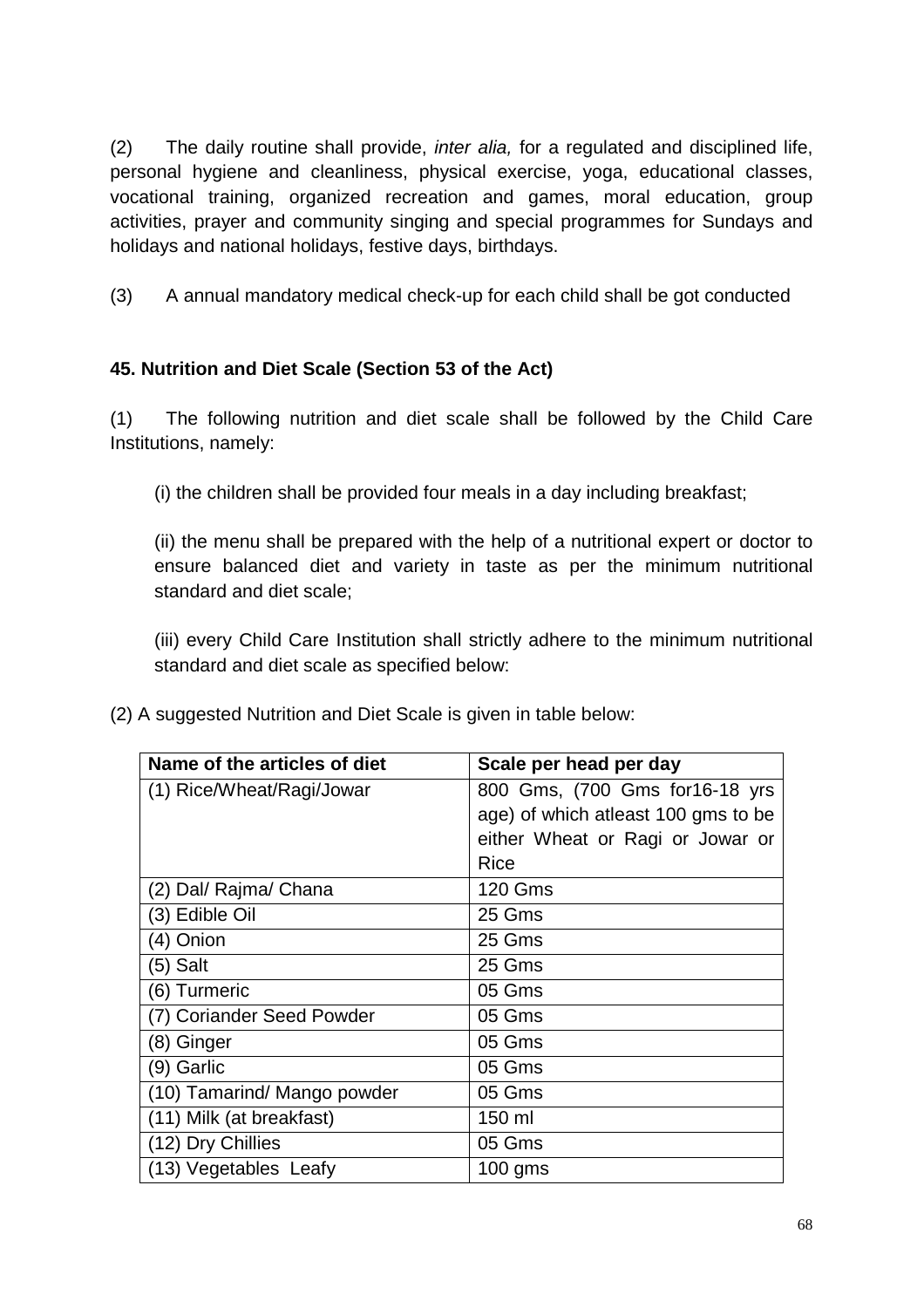(2) The daily routine shall provide, inter alia, for a regulated and disciplined life, personal hygiene and cleanliness, physical exercise, yoga, educational classes, vocational training, organized recreation and games, moral education, group activities, prayer and community singing and special programmes for Sundays and holidays and national holidays, festive days, birthdays.

(3) A annual mandatory medical check-up for each child shall be got conducted

## **45. Nutrition and Diet Scale (Section 53 of the Act)**

(1) The following nutrition and diet scale shall be followed by the Child Care Institutions, namely:

(i) the children shall be provided four meals in a day including breakfast;

(ii) the menu shall be prepared with the help of a nutritional expert or doctor to ensure balanced diet and variety in taste as per the minimum nutritional standard and diet scale;

(iii) every Child Care Institution shall strictly adhere to the minimum nutritional standard and diet scale as specified below:

(2) A suggested Nutrition and Diet Scale is given in table below:

| Name of the articles of diet | Scale per head per day               |
|------------------------------|--------------------------------------|
| (1) Rice/Wheat/Ragi/Jowar    | 800 Gms, (700 Gms for 16-18 yrs      |
|                              | age) of which at least 100 gms to be |
|                              | either Wheat or Ragi or Jowar or     |
|                              | Rice                                 |
| (2) Dal/ Rajma/ Chana        | <b>120 Gms</b>                       |
| (3) Edible Oil               | 25 Gms                               |
| (4) Onion                    | 25 Gms                               |
| (5) Salt                     | 25 Gms                               |
| (6) Turmeric                 | 05 Gms                               |
| (7) Coriander Seed Powder    | 05 Gms                               |
| (8) Ginger                   | 05 Gms                               |
| (9) Garlic                   | 05 Gms                               |
| (10) Tamarind/ Mango powder  | 05 Gms                               |
| (11) Milk (at breakfast)     | 150 ml                               |
| (12) Dry Chillies            | 05 Gms                               |
| (13) Vegetables Leafy        | $100$ gms                            |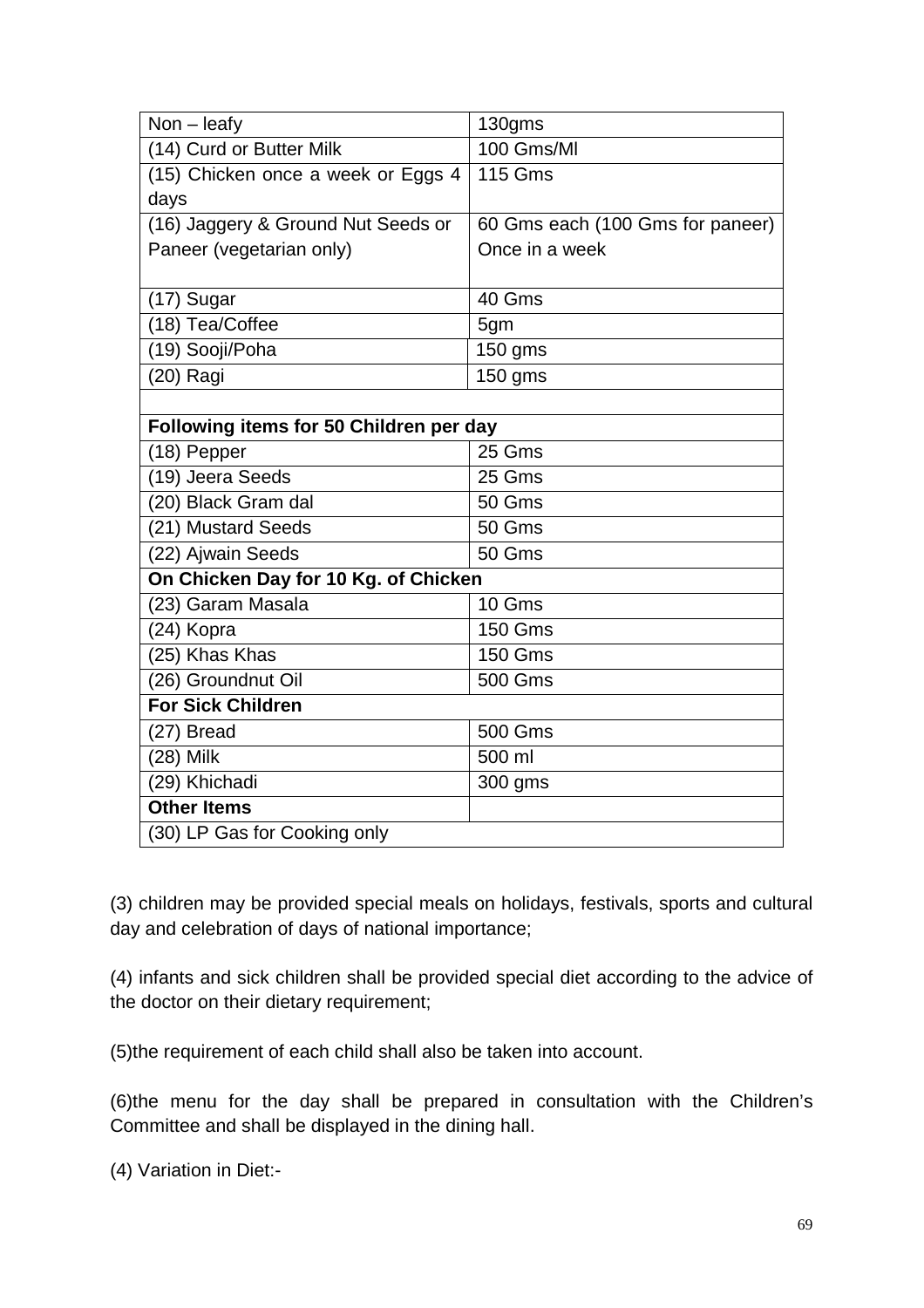| $Non - leaky$                           | 130gms                           |
|-----------------------------------------|----------------------------------|
| (14) Curd or Butter Milk                | 100 Gms/Ml                       |
| (15) Chicken once a week or Eggs 4      | $\overline{1}$ 15 Gms            |
| days                                    |                                  |
| (16) Jaggery & Ground Nut Seeds or      | 60 Gms each (100 Gms for paneer) |
| Paneer (vegetarian only)                | Once in a week                   |
|                                         |                                  |
| (17) Sugar                              | 40 Gms                           |
| (18) Tea/Coffee                         | 5gm                              |
| (19) Sooji/Poha                         | 150 gms                          |
| (20) Ragi                               | 150 gms                          |
|                                         |                                  |
| Following items for 50 Children per day |                                  |
| (18) Pepper                             | 25 Gms                           |
| (19) Jeera Seeds                        | 25 Gms                           |
| (20) Black Gram dal                     | 50 Gms                           |
| (21) Mustard Seeds                      | 50 Gms                           |
| (22) Ajwain Seeds                       | 50 Gms                           |
| On Chicken Day for 10 Kg. of Chicken    |                                  |
| (23) Garam Masala                       | 10 Gms                           |
| (24) Kopra                              | <b>150 Gms</b>                   |
| (25) Khas Khas                          | <b>150 Gms</b>                   |
| (26) Groundnut Oil                      | <b>500 Gms</b>                   |
| <b>For Sick Children</b>                |                                  |
| (27) Bread                              | 500 Gms                          |
| (28) Milk                               | 500 ml                           |
| (29) Khichadi                           | 300 gms                          |
| <b>Other Items</b>                      |                                  |
| (30) LP Gas for Cooking only            |                                  |

(3) children may be provided special meals on holidays, festivals, sports and cultural day and celebration of days of national importance;

(4) infants and sick children shall be provided special diet according to the advice of the doctor on their dietary requirement;

(5)the requirement of each child shall also be taken into account.

(6)the menu for the day shall be prepared in consultation with the Children's Committee and shall be displayed in the dining hall.

(4) Variation in Diet:-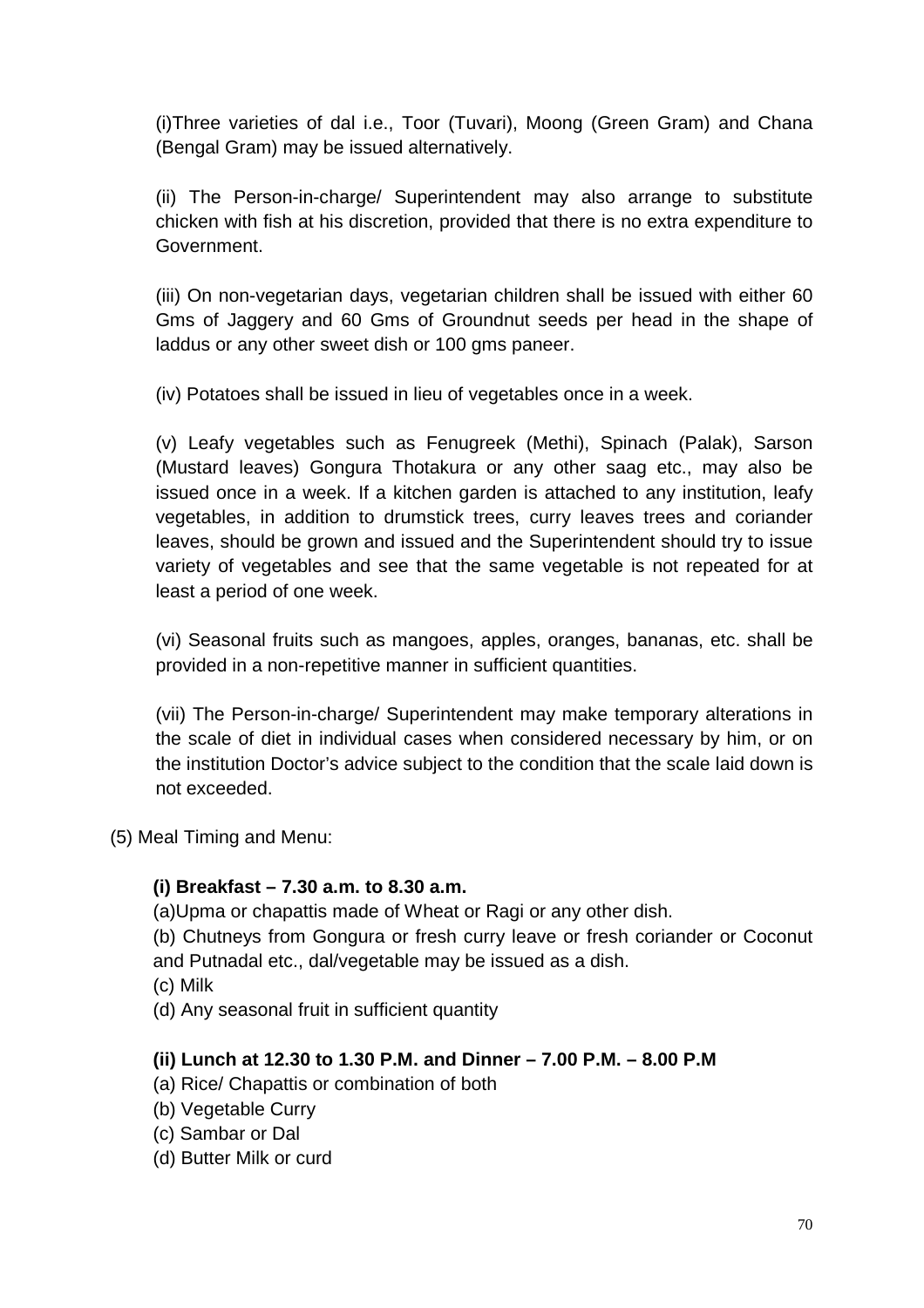(i)Three varieties of dal i.e., Toor (Tuvari), Moong (Green Gram) and Chana (Bengal Gram) may be issued alternatively.

(ii) The Person-in-charge/ Superintendent may also arrange to substitute chicken with fish at his discretion, provided that there is no extra expenditure to Government.

(iii) On non-vegetarian days, vegetarian children shall be issued with either 60 Gms of Jaggery and 60 Gms of Groundnut seeds per head in the shape of laddus or any other sweet dish or 100 gms paneer.

(iv) Potatoes shall be issued in lieu of vegetables once in a week.

(v) Leafy vegetables such as Fenugreek (Methi), Spinach (Palak), Sarson (Mustard leaves) Gongura Thotakura or any other saag etc., may also be issued once in a week. If a kitchen garden is attached to any institution, leafy vegetables, in addition to drumstick trees, curry leaves trees and coriander leaves, should be grown and issued and the Superintendent should try to issue variety of vegetables and see that the same vegetable is not repeated for at least a period of one week.

(vi) Seasonal fruits such as mangoes, apples, oranges, bananas, etc. shall be provided in a non-repetitive manner in sufficient quantities.

(vii) The Person-in-charge/ Superintendent may make temporary alterations in the scale of diet in individual cases when considered necessary by him, or on the institution Doctor's advice subject to the condition that the scale laid down is not exceeded.

(5) Meal Timing and Menu:

#### **(i) Breakfast – 7.30 a.m. to 8.30 a.m.**

(a)Upma or chapattis made of Wheat or Ragi or any other dish.

(b) Chutneys from Gongura or fresh curry leave or fresh coriander or Coconut and Putnadal etc., dal/vegetable may be issued as a dish.

(c) Milk

(d) Any seasonal fruit in sufficient quantity

#### **(ii) Lunch at 12.30 to 1.30 P.M. and Dinner – 7.00 P.M. – 8.00 P.M**

- (a) Rice/ Chapattis or combination of both
- (b) Vegetable Curry

(c) Sambar or Dal

(d) Butter Milk or curd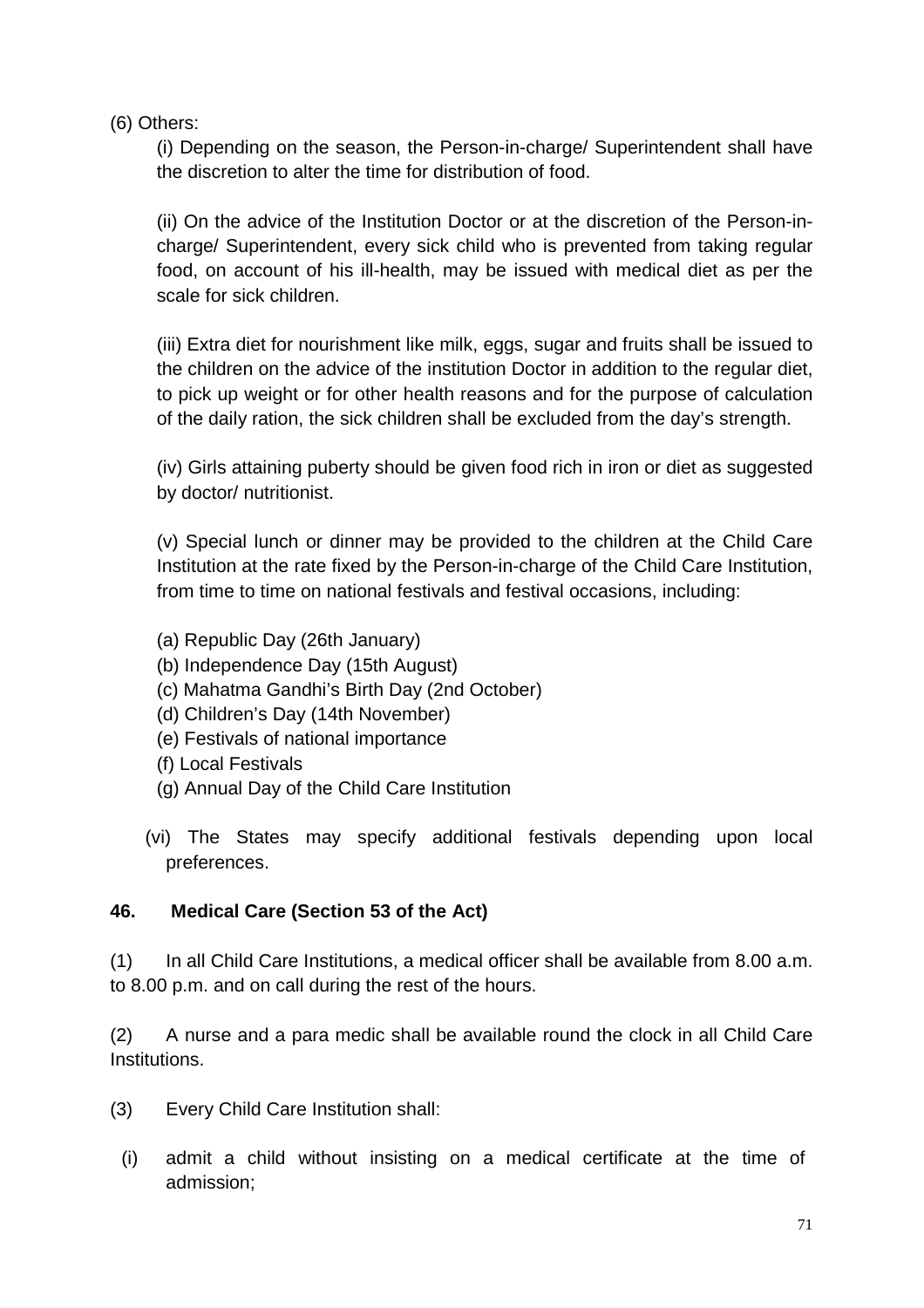(6) Others:

(i) Depending on the season, the Person-in-charge/ Superintendent shall have the discretion to alter the time for distribution of food.

(ii) On the advice of the Institution Doctor or at the discretion of the Person-incharge/ Superintendent, every sick child who is prevented from taking regular food, on account of his ill-health, may be issued with medical diet as per the scale for sick children.

(iii) Extra diet for nourishment like milk, eggs, sugar and fruits shall be issued to the children on the advice of the institution Doctor in addition to the regular diet, to pick up weight or for other health reasons and for the purpose of calculation of the daily ration, the sick children shall be excluded from the day's strength.

(iv) Girls attaining puberty should be given food rich in iron or diet as suggested by doctor/ nutritionist.

(v) Special lunch or dinner may be provided to the children at the Child Care Institution at the rate fixed by the Person-in-charge of the Child Care Institution, from time to time on national festivals and festival occasions, including:

- (a) Republic Day (26th January)
- (b) Independence Day (15th August)
- (c) Mahatma Gandhi's Birth Day (2nd October)
- (d) Children's Day (14th November)
- (e) Festivals of national importance
- (f) Local Festivals
- (g) Annual Day of the Child Care Institution
- (vi) The States may specify additional festivals depending upon local preferences.

## **46. Medical Care (Section 53 of the Act)**

(1) In all Child Care Institutions, a medical officer shall be available from 8.00 a.m. to 8.00 p.m. and on call during the rest of the hours.

(2) A nurse and a para medic shall be available round the clock in all Child Care Institutions.

- (3) Every Child Care Institution shall:
	- (i) admit a child without insisting on a medical certificate at the time of admission;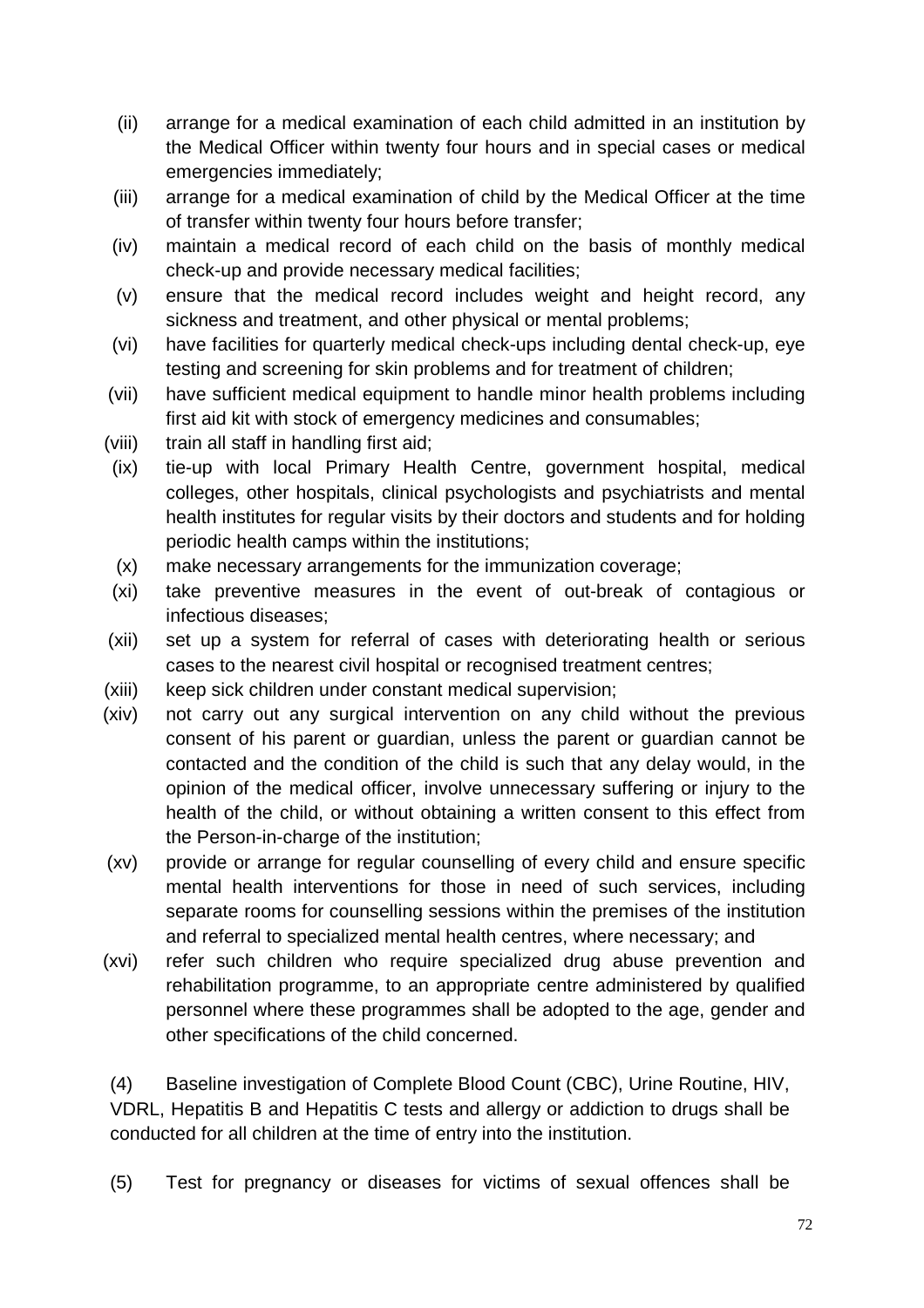- (ii) arrange for a medical examination of each child admitted in an institution by the Medical Officer within twenty four hours and in special cases or medical emergencies immediately;
- (iii) arrange for a medical examination of child by the Medical Officer at the time of transfer within twenty four hours before transfer;
- (iv) maintain a medical record of each child on the basis of monthly medical check-up and provide necessary medical facilities;
- (v) ensure that the medical record includes weight and height record, any sickness and treatment, and other physical or mental problems;
- (vi) have facilities for quarterly medical check-ups including dental check-up, eye testing and screening for skin problems and for treatment of children;
- (vii) have sufficient medical equipment to handle minor health problems including first aid kit with stock of emergency medicines and consumables;
- (viii) train all staff in handling first aid;
- (ix) tie-up with local Primary Health Centre, government hospital, medical colleges, other hospitals, clinical psychologists and psychiatrists and mental health institutes for regular visits by their doctors and students and for holding periodic health camps within the institutions;
- (x) make necessary arrangements for the immunization coverage;
- (xi) take preventive measures in the event of out-break of contagious or infectious diseases;
- (xii) set up a system for referral of cases with deteriorating health or serious cases to the nearest civil hospital or recognised treatment centres;
- (xiii) keep sick children under constant medical supervision;
- (xiv) not carry out any surgical intervention on any child without the previous consent of his parent or guardian, unless the parent or guardian cannot be contacted and the condition of the child is such that any delay would, in the opinion of the medical officer, involve unnecessary suffering or injury to the health of the child, or without obtaining a written consent to this effect from the Person-in-charge of the institution;
- (xv) provide or arrange for regular counselling of every child and ensure specific mental health interventions for those in need of such services, including separate rooms for counselling sessions within the premises of the institution and referral to specialized mental health centres, where necessary; and
- (xvi) refer such children who require specialized drug abuse prevention and rehabilitation programme, to an appropriate centre administered by qualified personnel where these programmes shall be adopted to the age, gender and other specifications of the child concerned.

(4) Baseline investigation of Complete Blood Count (CBC), Urine Routine, HIV, VDRL, Hepatitis B and Hepatitis C tests and allergy or addiction to drugs shall be conducted for all children at the time of entry into the institution.

(5) Test for pregnancy or diseases for victims of sexual offences shall be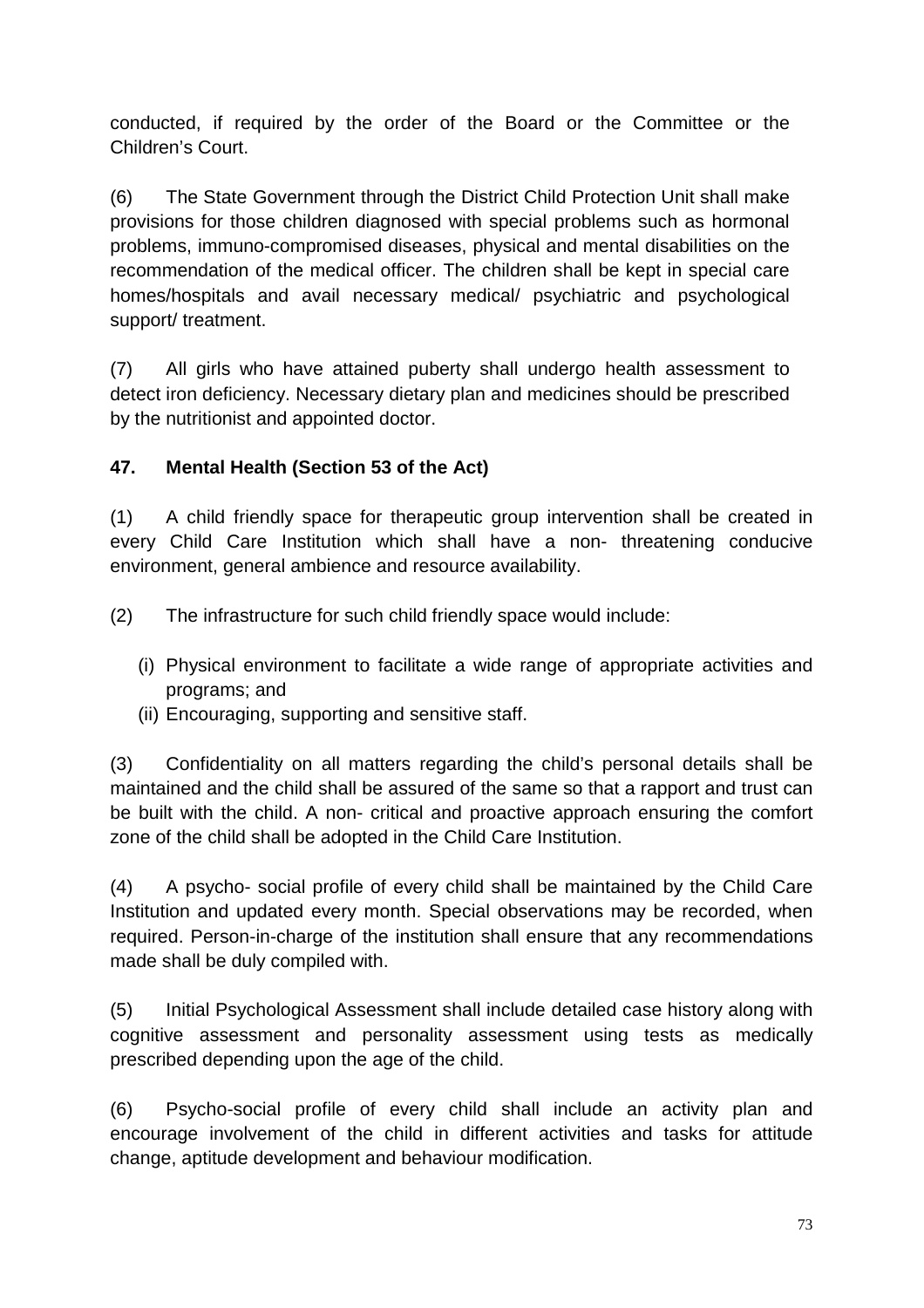conducted, if required by the order of the Board or the Committee or the Children's Court.

(6) The State Government through the District Child Protection Unit shall make provisions for those children diagnosed with special problems such as hormonal problems, immuno-compromised diseases, physical and mental disabilities on the recommendation of the medical officer. The children shall be kept in special care homes/hospitals and avail necessary medical/ psychiatric and psychological support/ treatment.

(7) All girls who have attained puberty shall undergo health assessment to detect iron deficiency. Necessary dietary plan and medicines should be prescribed by the nutritionist and appointed doctor.

## **47. Mental Health (Section 53 of the Act)**

(1) A child friendly space for therapeutic group intervention shall be created in every Child Care Institution which shall have a non- threatening conducive environment, general ambience and resource availability.

(2) The infrastructure for such child friendly space would include:

- (i) Physical environment to facilitate a wide range of appropriate activities and programs; and
- (ii) Encouraging, supporting and sensitive staff.

(3) Confidentiality on all matters regarding the child's personal details shall be maintained and the child shall be assured of the same so that a rapport and trust can be built with the child. A non- critical and proactive approach ensuring the comfort zone of the child shall be adopted in the Child Care Institution.

(4) A psycho- social profile of every child shall be maintained by the Child Care Institution and updated every month. Special observations may be recorded, when required. Person-in-charge of the institution shall ensure that any recommendations made shall be duly compiled with.

(5) Initial Psychological Assessment shall include detailed case history along with cognitive assessment and personality assessment using tests as medically prescribed depending upon the age of the child.

(6) Psycho-social profile of every child shall include an activity plan and encourage involvement of the child in different activities and tasks for attitude change, aptitude development and behaviour modification.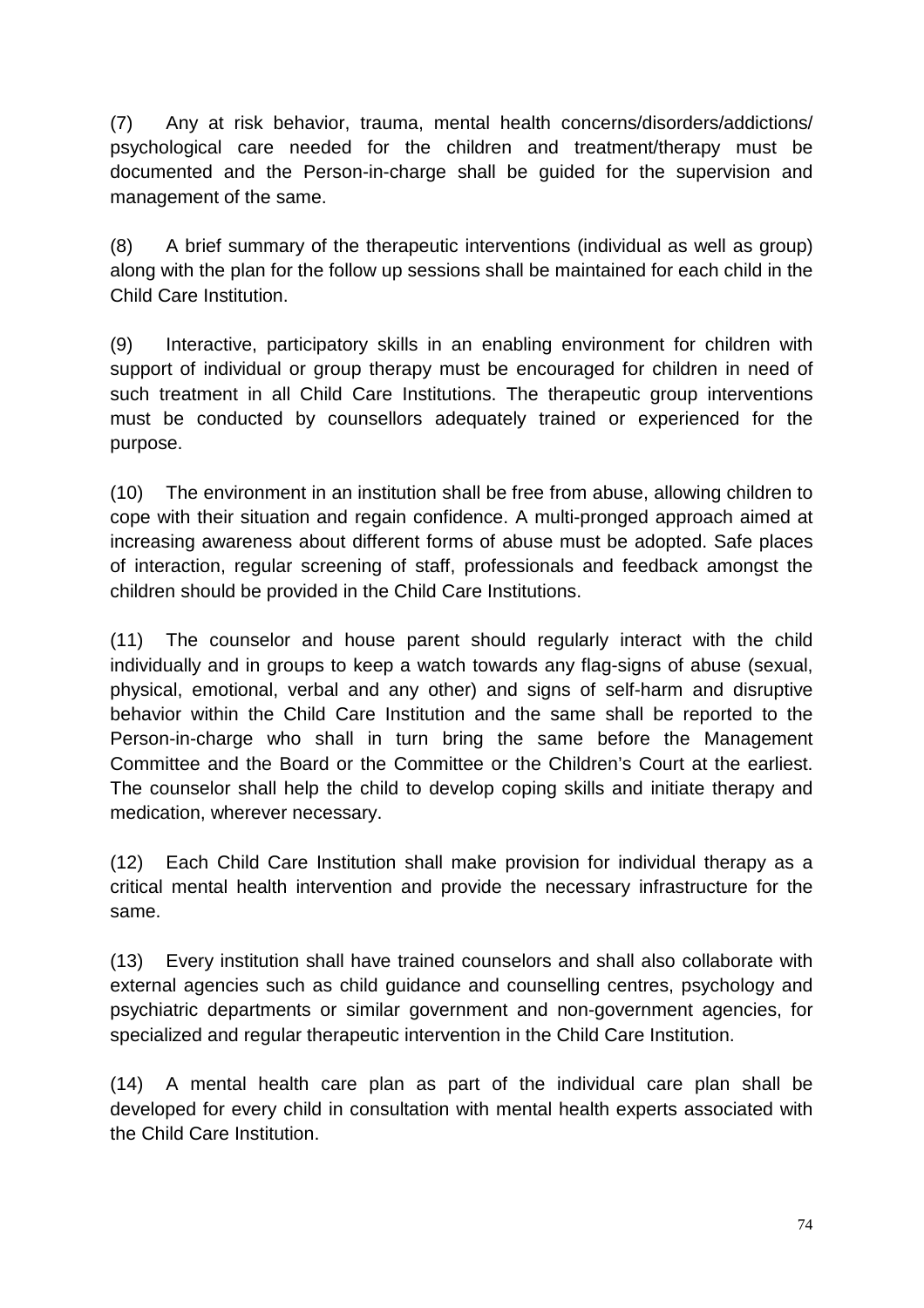(7) Any at risk behavior, trauma, mental health concerns/disorders/addictions/ psychological care needed for the children and treatment/therapy must be documented and the Person-in-charge shall be guided for the supervision and management of the same.

(8) A brief summary of the therapeutic interventions (individual as well as group) along with the plan for the follow up sessions shall be maintained for each child in the Child Care Institution.

(9) Interactive, participatory skills in an enabling environment for children with support of individual or group therapy must be encouraged for children in need of such treatment in all Child Care Institutions. The therapeutic group interventions must be conducted by counsellors adequately trained or experienced for the purpose.

(10) The environment in an institution shall be free from abuse, allowing children to cope with their situation and regain confidence. A multi-pronged approach aimed at increasing awareness about different forms of abuse must be adopted. Safe places of interaction, regular screening of staff, professionals and feedback amongst the children should be provided in the Child Care Institutions.

(11) The counselor and house parent should regularly interact with the child individually and in groups to keep a watch towards any flag-signs of abuse (sexual, physical, emotional, verbal and any other) and signs of self-harm and disruptive behavior within the Child Care Institution and the same shall be reported to the Person-in-charge who shall in turn bring the same before the Management Committee and the Board or the Committee or the Children's Court at the earliest. The counselor shall help the child to develop coping skills and initiate therapy and medication, wherever necessary.

(12) Each Child Care Institution shall make provision for individual therapy as a critical mental health intervention and provide the necessary infrastructure for the same.

(13) Every institution shall have trained counselors and shall also collaborate with external agencies such as child guidance and counselling centres, psychology and psychiatric departments or similar government and non-government agencies, for specialized and regular therapeutic intervention in the Child Care Institution.

(14) A mental health care plan as part of the individual care plan shall be developed for every child in consultation with mental health experts associated with the Child Care Institution.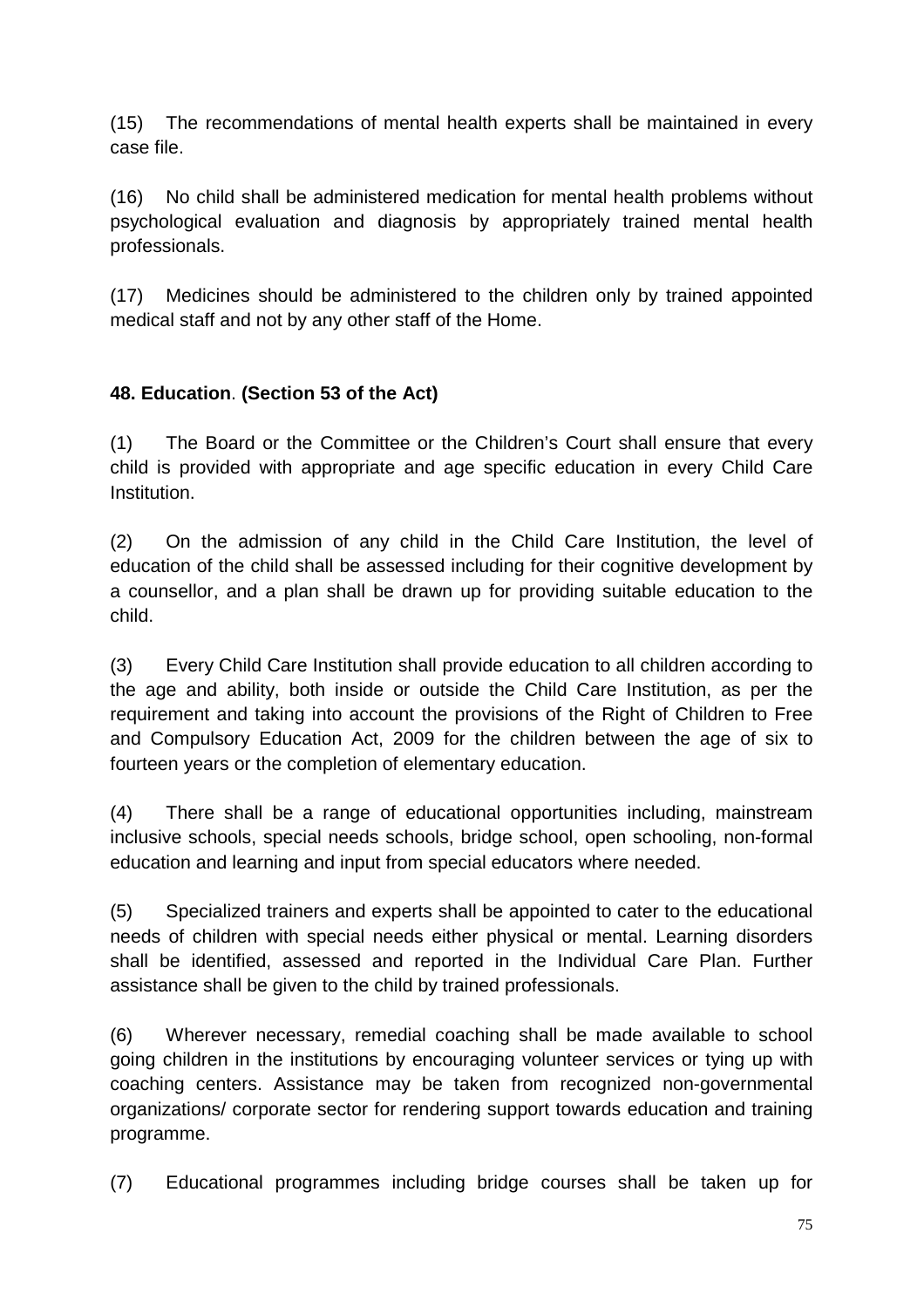(15) The recommendations of mental health experts shall be maintained in every case file.

(16) No child shall be administered medication for mental health problems without psychological evaluation and diagnosis by appropriately trained mental health professionals.

(17) Medicines should be administered to the children only by trained appointed medical staff and not by any other staff of the Home.

### **48. Education**. **(Section 53 of the Act)**

(1) The Board or the Committee or the Children's Court shall ensure that every child is provided with appropriate and age specific education in every Child Care Institution.

(2) On the admission of any child in the Child Care Institution, the level of education of the child shall be assessed including for their cognitive development by a counsellor, and a plan shall be drawn up for providing suitable education to the child.

(3) Every Child Care Institution shall provide education to all children according to the age and ability, both inside or outside the Child Care Institution, as per the requirement and taking into account the provisions of the Right of Children to Free and Compulsory Education Act, 2009 for the children between the age of six to fourteen years or the completion of elementary education.

(4) There shall be a range of educational opportunities including, mainstream inclusive schools, special needs schools, bridge school, open schooling, non-formal education and learning and input from special educators where needed.

(5) Specialized trainers and experts shall be appointed to cater to the educational needs of children with special needs either physical or mental. Learning disorders shall be identified, assessed and reported in the Individual Care Plan. Further assistance shall be given to the child by trained professionals.

(6) Wherever necessary, remedial coaching shall be made available to school going children in the institutions by encouraging volunteer services or tying up with coaching centers. Assistance may be taken from recognized non-governmental organizations/ corporate sector for rendering support towards education and training programme.

(7) Educational programmes including bridge courses shall be taken up for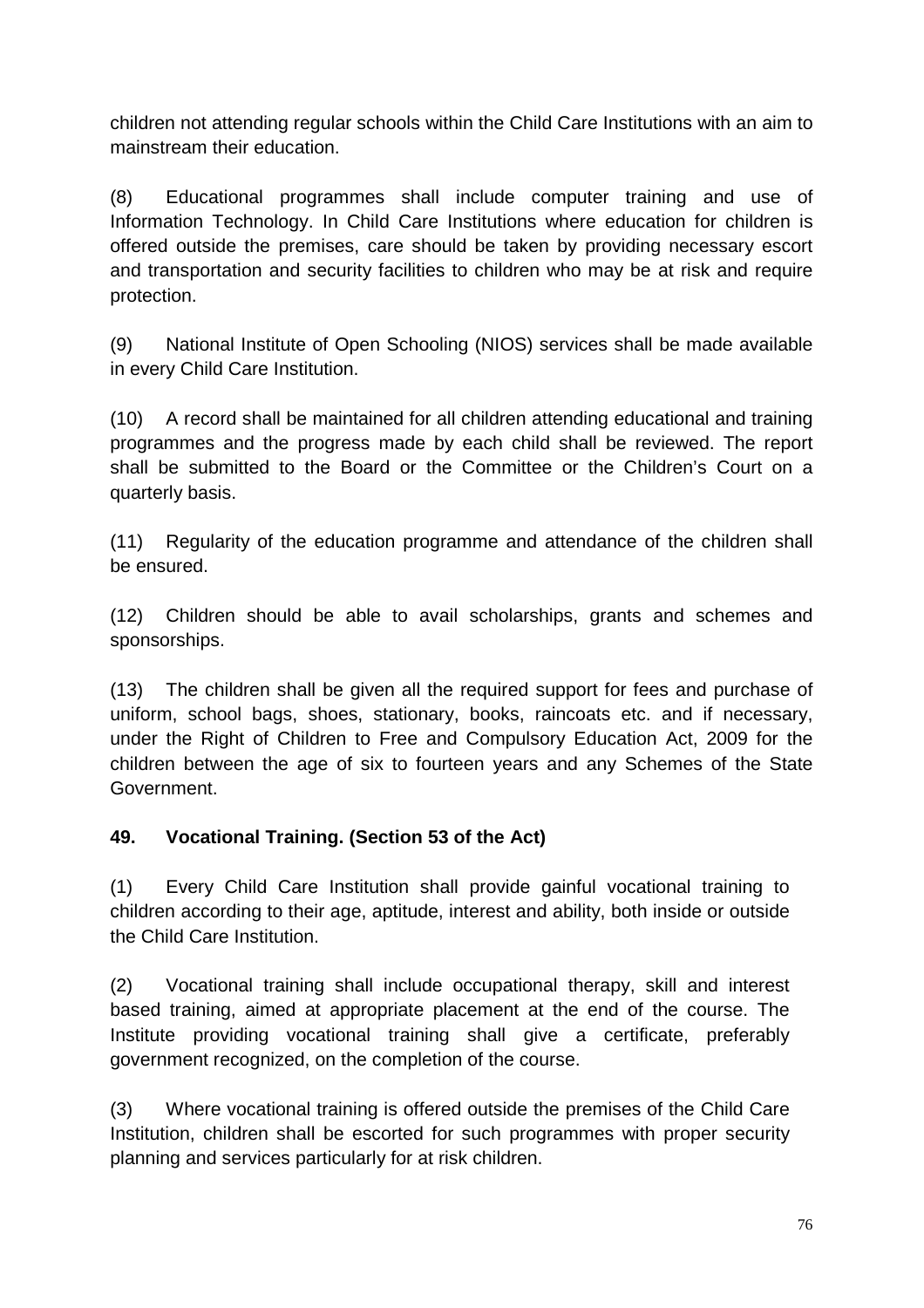children not attending regular schools within the Child Care Institutions with an aim to mainstream their education.

(8) Educational programmes shall include computer training and use of Information Technology. In Child Care Institutions where education for children is offered outside the premises, care should be taken by providing necessary escort and transportation and security facilities to children who may be at risk and require protection.

(9) National Institute of Open Schooling (NIOS) services shall be made available in every Child Care Institution.

(10) A record shall be maintained for all children attending educational and training programmes and the progress made by each child shall be reviewed. The report shall be submitted to the Board or the Committee or the Children's Court on a quarterly basis.

(11) Regularity of the education programme and attendance of the children shall be ensured.

(12) Children should be able to avail scholarships, grants and schemes and sponsorships.

(13) The children shall be given all the required support for fees and purchase of uniform, school bags, shoes, stationary, books, raincoats etc. and if necessary, under the Right of Children to Free and Compulsory Education Act, 2009 for the children between the age of six to fourteen years and any Schemes of the State Government.

### **49. Vocational Training. (Section 53 of the Act)**

(1) Every Child Care Institution shall provide gainful vocational training to children according to their age, aptitude, interest and ability, both inside or outside the Child Care Institution.

(2) Vocational training shall include occupational therapy, skill and interest based training, aimed at appropriate placement at the end of the course. The Institute providing vocational training shall give a certificate, preferably government recognized, on the completion of the course.

(3) Where vocational training is offered outside the premises of the Child Care Institution, children shall be escorted for such programmes with proper security planning and services particularly for at risk children.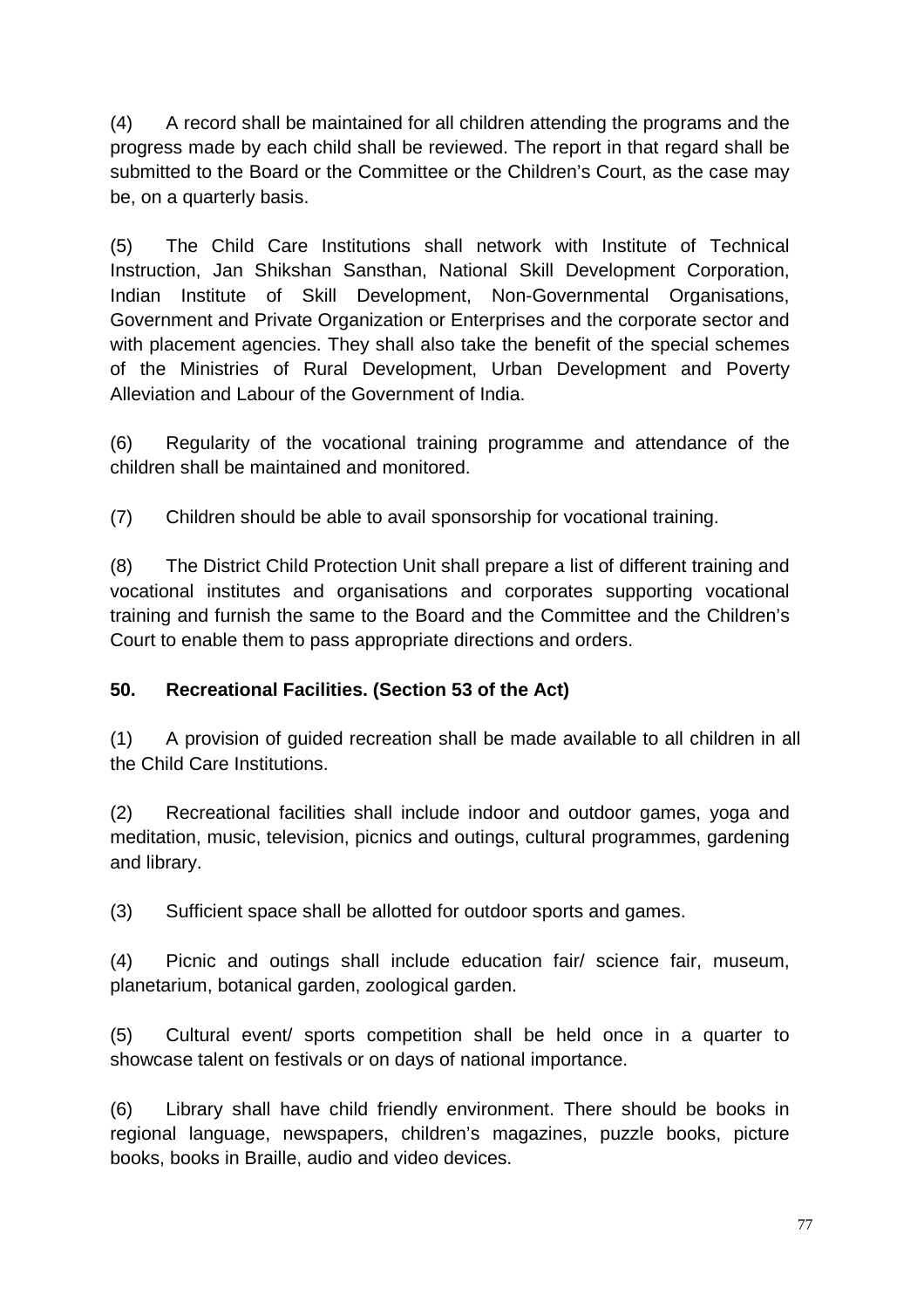(4) A record shall be maintained for all children attending the programs and the progress made by each child shall be reviewed. The report in that regard shall be submitted to the Board or the Committee or the Children's Court, as the case may be, on a quarterly basis.

(5) The Child Care Institutions shall network with Institute of Technical Instruction, Jan Shikshan Sansthan, National Skill Development Corporation, Indian Institute of Skill Development, Non-Governmental Organisations, Government and Private Organization or Enterprises and the corporate sector and with placement agencies. They shall also take the benefit of the special schemes of the Ministries of Rural Development, Urban Development and Poverty Alleviation and Labour of the Government of India.

(6) Regularity of the vocational training programme and attendance of the children shall be maintained and monitored.

(7) Children should be able to avail sponsorship for vocational training.

(8) The District Child Protection Unit shall prepare a list of different training and vocational institutes and organisations and corporates supporting vocational training and furnish the same to the Board and the Committee and the Children's Court to enable them to pass appropriate directions and orders.

### **50. Recreational Facilities. (Section 53 of the Act)**

(1) A provision of guided recreation shall be made available to all children in all the Child Care Institutions.

(2) Recreational facilities shall include indoor and outdoor games, yoga and meditation, music, television, picnics and outings, cultural programmes, gardening and library.

(3) Sufficient space shall be allotted for outdoor sports and games.

(4) Picnic and outings shall include education fair/ science fair, museum, planetarium, botanical garden, zoological garden.

(5) Cultural event/ sports competition shall be held once in a quarter to showcase talent on festivals or on days of national importance.

(6) Library shall have child friendly environment. There should be books in regional language, newspapers, children's magazines, puzzle books, picture books, books in Braille, audio and video devices.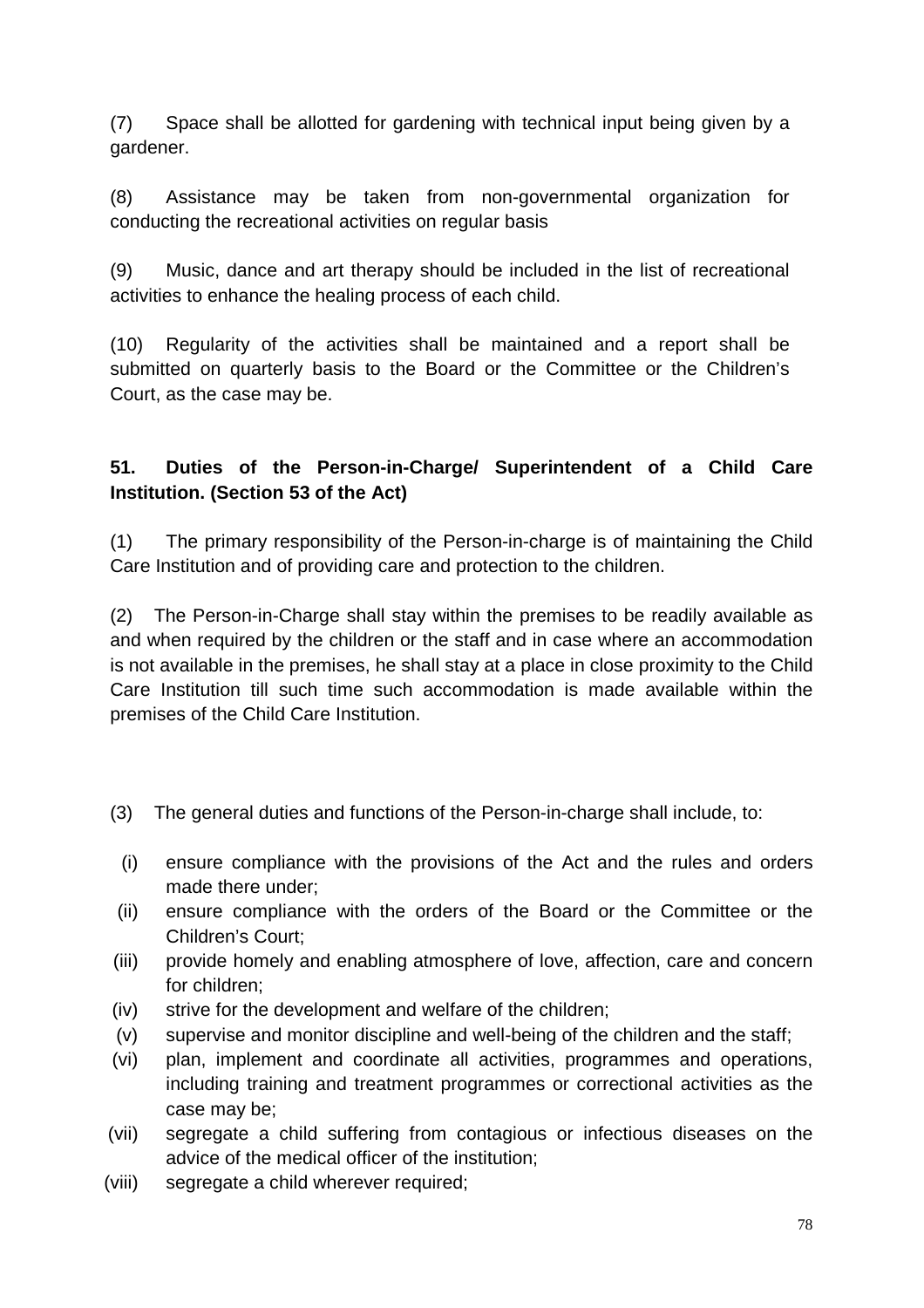(7) Space shall be allotted for gardening with technical input being given by a gardener.

(8) Assistance may be taken from non-governmental organization for conducting the recreational activities on regular basis

(9) Music, dance and art therapy should be included in the list of recreational activities to enhance the healing process of each child.

(10) Regularity of the activities shall be maintained and a report shall be submitted on quarterly basis to the Board or the Committee or the Children's Court, as the case may be.

## **51. Duties of the Person-in-Charge/ Superintendent of a Child Care Institution. (Section 53 of the Act)**

(1) The primary responsibility of the Person-in-charge is of maintaining the Child Care Institution and of providing care and protection to the children.

(2) The Person-in-Charge shall stay within the premises to be readily available as and when required by the children or the staff and in case where an accommodation is not available in the premises, he shall stay at a place in close proximity to the Child Care Institution till such time such accommodation is made available within the premises of the Child Care Institution.

- (3) The general duties and functions of the Person-in-charge shall include, to:
- (i) ensure compliance with the provisions of the Act and the rules and orders made there under;
- (ii) ensure compliance with the orders of the Board or the Committee or the Children's Court;
- (iii) provide homely and enabling atmosphere of love, affection, care and concern for children;
- (iv) strive for the development and welfare of the children;
- (v) supervise and monitor discipline and well-being of the children and the staff;
- (vi) plan, implement and coordinate all activities, programmes and operations, including training and treatment programmes or correctional activities as the case may be;
- (vii) segregate a child suffering from contagious or infectious diseases on the advice of the medical officer of the institution;
- (viii) segregate a child wherever required;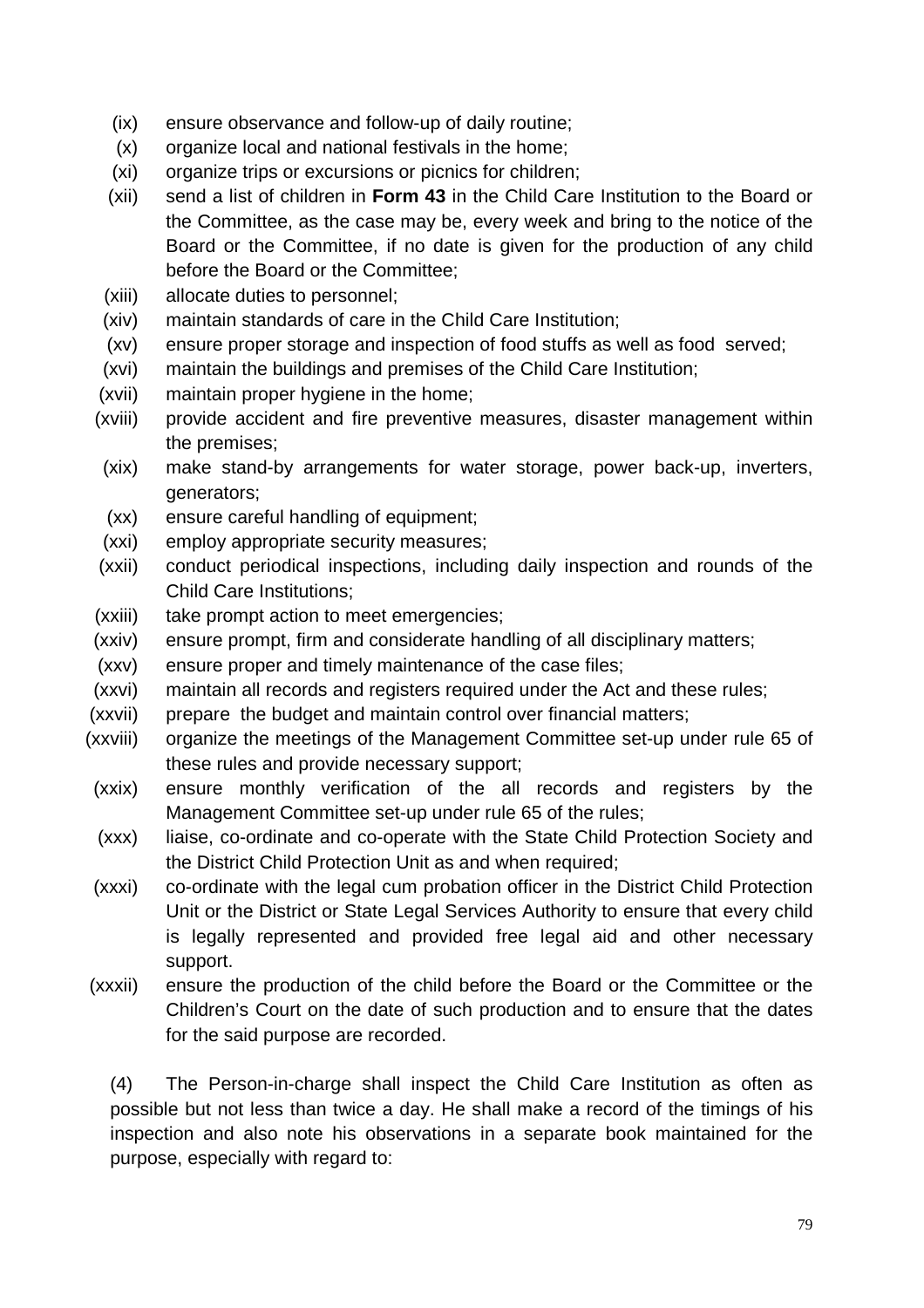- (ix) ensure observance and follow-up of daily routine;
- (x) organize local and national festivals in the home;
- (xi) organize trips or excursions or picnics for children;
- (xii) send a list of children in **Form 43** in the Child Care Institution to the Board or the Committee, as the case may be, every week and bring to the notice of the Board or the Committee, if no date is given for the production of any child before the Board or the Committee;
- (xiii) allocate duties to personnel;
- (xiv) maintain standards of care in the Child Care Institution;
- (xv) ensure proper storage and inspection of food stuffs as well as food served;
- (xvi) maintain the buildings and premises of the Child Care Institution;
- (xvii) maintain proper hygiene in the home;
- (xviii) provide accident and fire preventive measures, disaster management within the premises;
- (xix) make stand-by arrangements for water storage, power back-up, inverters, generators;
- (xx) ensure careful handling of equipment;
- (xxi) employ appropriate security measures;
- (xxii) conduct periodical inspections, including daily inspection and rounds of the Child Care Institutions;
- (xxiii) take prompt action to meet emergencies;
- (xxiv) ensure prompt, firm and considerate handling of all disciplinary matters;
- (xxv) ensure proper and timely maintenance of the case files;
- (xxvi) maintain all records and registers required under the Act and these rules;
- (xxvii) prepare the budget and maintain control over financial matters;
- (xxviii) organize the meetings of the Management Committee set-up under rule 65 of these rules and provide necessary support;
- (xxix) ensure monthly verification of the all records and registers by the Management Committee set-up under rule 65 of the rules;
- (xxx) liaise, co-ordinate and co-operate with the State Child Protection Society and the District Child Protection Unit as and when required;
- (xxxi) co-ordinate with the legal cum probation officer in the District Child Protection Unit or the District or State Legal Services Authority to ensure that every child is legally represented and provided free legal aid and other necessary support.
- (xxxii) ensure the production of the child before the Board or the Committee or the Children's Court on the date of such production and to ensure that the dates for the said purpose are recorded.

(4) The Person-in-charge shall inspect the Child Care Institution as often as possible but not less than twice a day. He shall make a record of the timings of his inspection and also note his observations in a separate book maintained for the purpose, especially with regard to: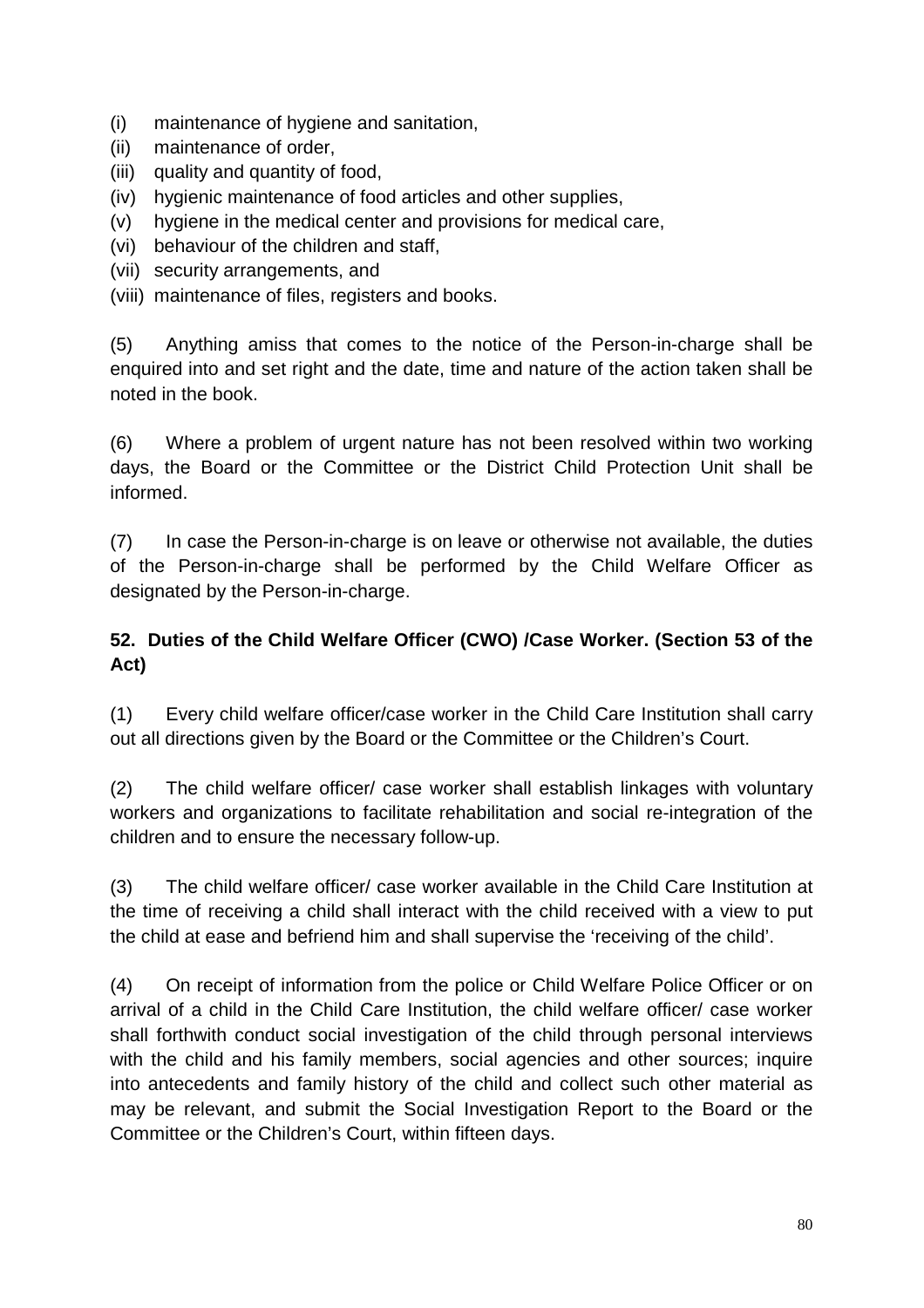- (i) maintenance of hygiene and sanitation,
- (ii) maintenance of order,
- (iii) quality and quantity of food,
- (iv) hygienic maintenance of food articles and other supplies,
- (v) hygiene in the medical center and provisions for medical care,
- (vi) behaviour of the children and staff,
- (vii) security arrangements, and
- (viii) maintenance of files, registers and books.

(5) Anything amiss that comes to the notice of the Person-in-charge shall be enquired into and set right and the date, time and nature of the action taken shall be noted in the book.

(6) Where a problem of urgent nature has not been resolved within two working days, the Board or the Committee or the District Child Protection Unit shall be informed.

(7) In case the Person-in-charge is on leave or otherwise not available, the duties of the Person-in-charge shall be performed by the Child Welfare Officer as designated by the Person-in-charge.

## **52. Duties of the Child Welfare Officer (CWO) /Case Worker. (Section 53 of the Act)**

(1) Every child welfare officer/case worker in the Child Care Institution shall carry out all directions given by the Board or the Committee or the Children's Court.

(2) The child welfare officer/ case worker shall establish linkages with voluntary workers and organizations to facilitate rehabilitation and social re-integration of the children and to ensure the necessary follow-up.

(3) The child welfare officer/ case worker available in the Child Care Institution at the time of receiving a child shall interact with the child received with a view to put the child at ease and befriend him and shall supervise the 'receiving of the child'.

(4) On receipt of information from the police or Child Welfare Police Officer or on arrival of a child in the Child Care Institution, the child welfare officer/ case worker shall forthwith conduct social investigation of the child through personal interviews with the child and his family members, social agencies and other sources; inquire into antecedents and family history of the child and collect such other material as may be relevant, and submit the Social Investigation Report to the Board or the Committee or the Children's Court, within fifteen days.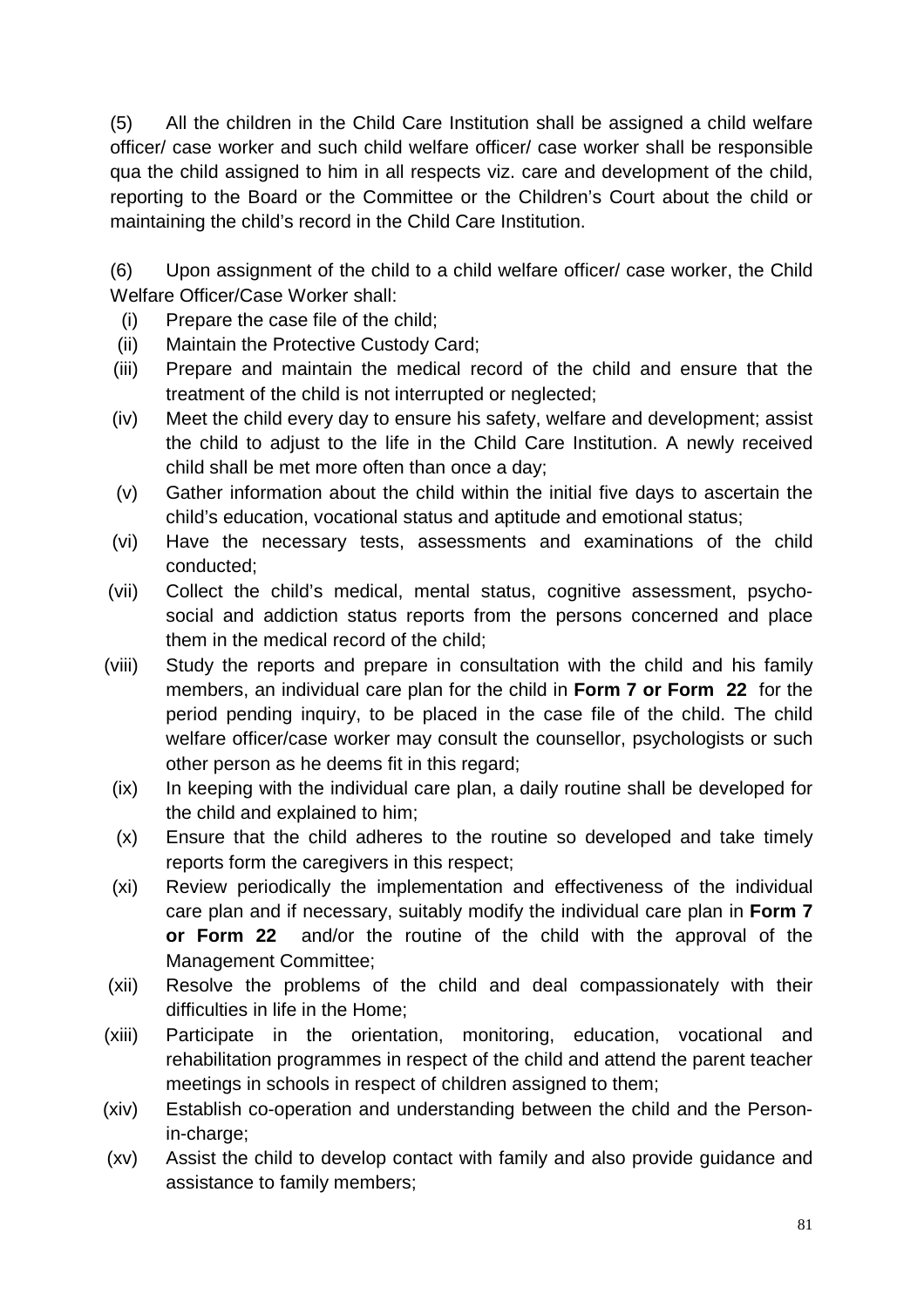(5) All the children in the Child Care Institution shall be assigned a child welfare officer/ case worker and such child welfare officer/ case worker shall be responsible qua the child assigned to him in all respects viz. care and development of the child, reporting to the Board or the Committee or the Children's Court about the child or maintaining the child's record in the Child Care Institution.

(6) Upon assignment of the child to a child welfare officer/ case worker, the Child Welfare Officer/Case Worker shall:

- (i) Prepare the case file of the child;
- (ii) Maintain the Protective Custody Card;
- (iii) Prepare and maintain the medical record of the child and ensure that the treatment of the child is not interrupted or neglected;
- (iv) Meet the child every day to ensure his safety, welfare and development; assist the child to adjust to the life in the Child Care Institution. A newly received child shall be met more often than once a day;
- (v) Gather information about the child within the initial five days to ascertain the child's education, vocational status and aptitude and emotional status;
- (vi) Have the necessary tests, assessments and examinations of the child conducted;
- (vii) Collect the child's medical, mental status, cognitive assessment, psychosocial and addiction status reports from the persons concerned and place them in the medical record of the child;
- (viii) Study the reports and prepare in consultation with the child and his family members, an individual care plan for the child in **Form 7 or Form 22** for the period pending inquiry, to be placed in the case file of the child. The child welfare officer/case worker may consult the counsellor, psychologists or such other person as he deems fit in this regard;
- (ix) In keeping with the individual care plan, a daily routine shall be developed for the child and explained to him;
- (x) Ensure that the child adheres to the routine so developed and take timely reports form the caregivers in this respect;
- (xi) Review periodically the implementation and effectiveness of the individual care plan and if necessary, suitably modify the individual care plan in **Form 7 or Form 22** and/or the routine of the child with the approval of the Management Committee;
- (xii) Resolve the problems of the child and deal compassionately with their difficulties in life in the Home;
- (xiii) Participate in the orientation, monitoring, education, vocational and rehabilitation programmes in respect of the child and attend the parent teacher meetings in schools in respect of children assigned to them;
- (xiv) Establish co-operation and understanding between the child and the Personin-charge:
- (xv) Assist the child to develop contact with family and also provide guidance and assistance to family members;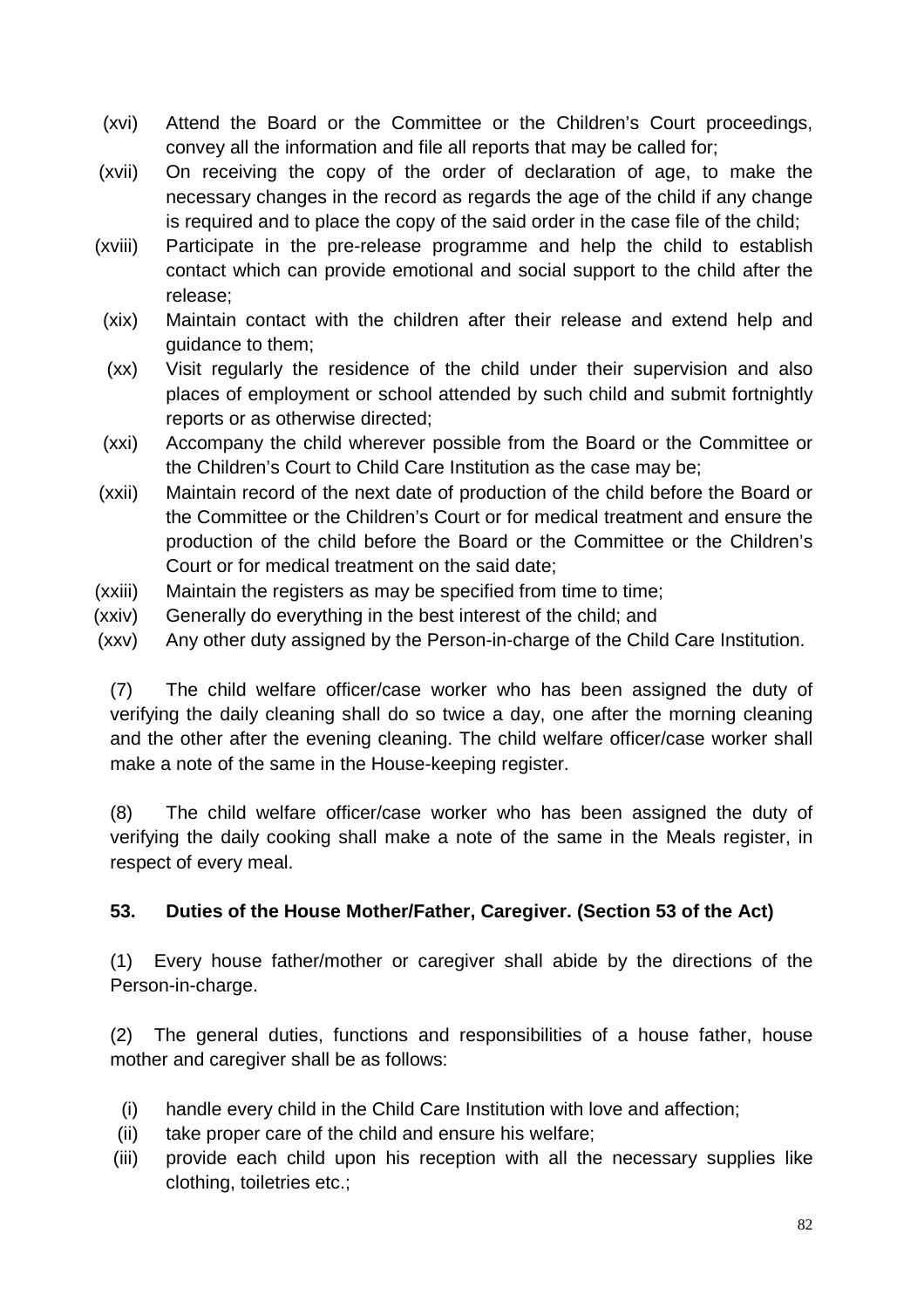- (xvi) Attend the Board or the Committee or the Children's Court proceedings, convey all the information and file all reports that may be called for;
- (xvii) On receiving the copy of the order of declaration of age, to make the necessary changes in the record as regards the age of the child if any change is required and to place the copy of the said order in the case file of the child;
- (xviii) Participate in the pre-release programme and help the child to establish contact which can provide emotional and social support to the child after the release;
- (xix) Maintain contact with the children after their release and extend help and guidance to them;
- (xx) Visit regularly the residence of the child under their supervision and also places of employment or school attended by such child and submit fortnightly reports or as otherwise directed;
- (xxi) Accompany the child wherever possible from the Board or the Committee or the Children's Court to Child Care Institution as the case may be;
- (xxii) Maintain record of the next date of production of the child before the Board or the Committee or the Children's Court or for medical treatment and ensure the production of the child before the Board or the Committee or the Children's Court or for medical treatment on the said date;
- (xxiii) Maintain the registers as may be specified from time to time;
- (xxiv) Generally do everything in the best interest of the child; and
- (xxv) Any other duty assigned by the Person-in-charge of the Child Care Institution.

(7) The child welfare officer/case worker who has been assigned the duty of verifying the daily cleaning shall do so twice a day, one after the morning cleaning and the other after the evening cleaning. The child welfare officer/case worker shall make a note of the same in the House-keeping register.

(8) The child welfare officer/case worker who has been assigned the duty of verifying the daily cooking shall make a note of the same in the Meals register, in respect of every meal.

# **53. Duties of the House Mother/Father, Caregiver. (Section 53 of the Act)**

(1) Every house father/mother or caregiver shall abide by the directions of the Person-in-charge.

(2) The general duties, functions and responsibilities of a house father, house mother and caregiver shall be as follows:

- (i) handle every child in the Child Care Institution with love and affection;
- (ii) take proper care of the child and ensure his welfare;
- (iii) provide each child upon his reception with all the necessary supplies like clothing, toiletries etc.;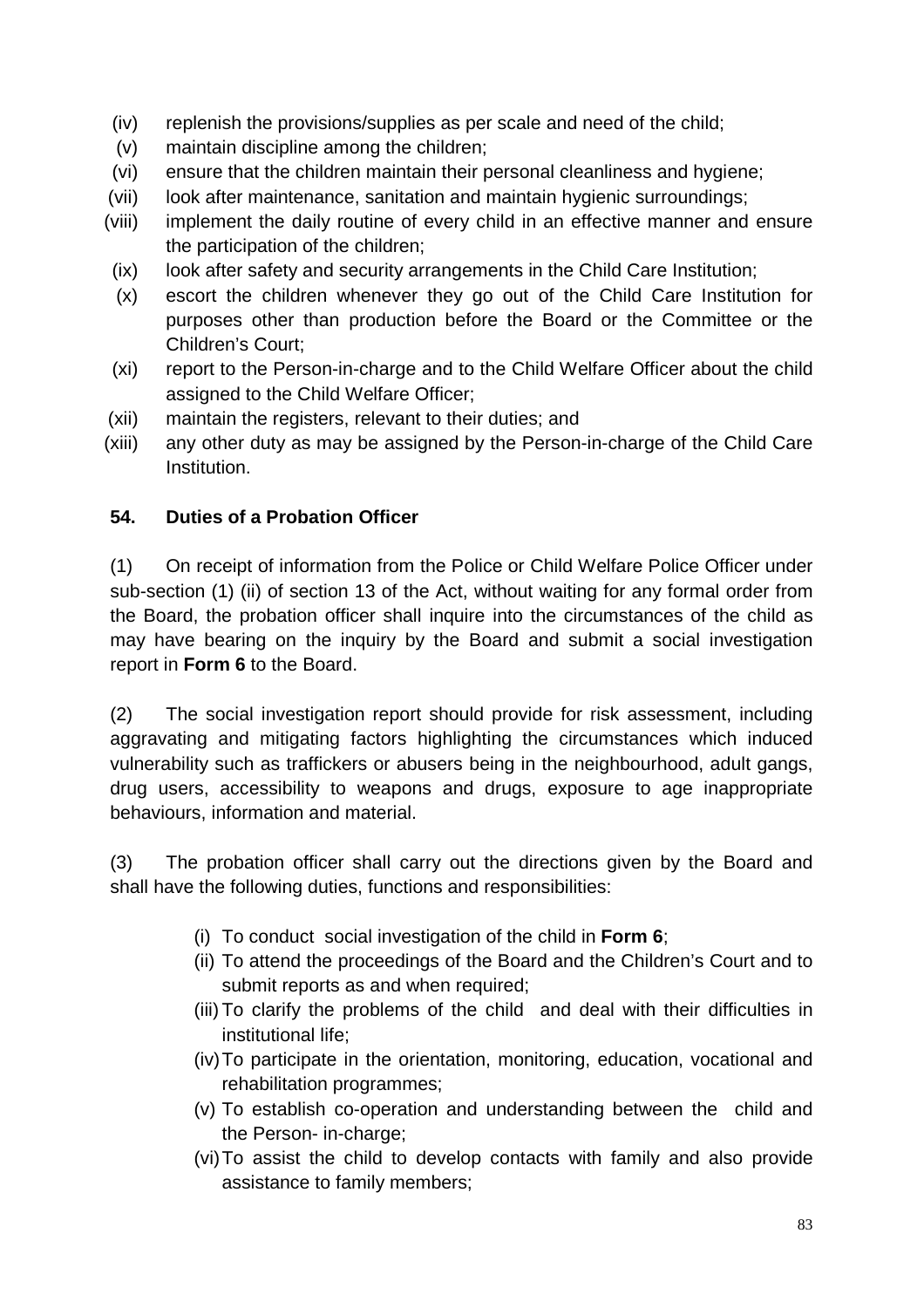- (iv) replenish the provisions/supplies as per scale and need of the child;
- (v) maintain discipline among the children;
- (vi) ensure that the children maintain their personal cleanliness and hygiene;
- (vii) look after maintenance, sanitation and maintain hygienic surroundings;
- (viii) implement the daily routine of every child in an effective manner and ensure the participation of the children;
- (ix) look after safety and security arrangements in the Child Care Institution;
- (x) escort the children whenever they go out of the Child Care Institution for purposes other than production before the Board or the Committee or the Children's Court;
- (xi) report to the Person-in-charge and to the Child Welfare Officer about the child assigned to the Child Welfare Officer;
- (xii) maintain the registers, relevant to their duties; and
- (xiii) any other duty as may be assigned by the Person-in-charge of the Child Care Institution.

### **54. Duties of a Probation Officer**

(1) On receipt of information from the Police or Child Welfare Police Officer under sub-section (1) (ii) of section 13 of the Act, without waiting for any formal order from the Board, the probation officer shall inquire into the circumstances of the child as may have bearing on the inquiry by the Board and submit a social investigation report in **Form 6** to the Board.

(2) The social investigation report should provide for risk assessment, including aggravating and mitigating factors highlighting the circumstances which induced vulnerability such as traffickers or abusers being in the neighbourhood, adult gangs, drug users, accessibility to weapons and drugs, exposure to age inappropriate behaviours, information and material.

(3) The probation officer shall carry out the directions given by the Board and shall have the following duties, functions and responsibilities:

- (i) To conduct social investigation of the child in **Form 6**;
- (ii) To attend the proceedings of the Board and the Children's Court and to submit reports as and when required;
- (iii) To clarify the problems of the child and deal with their difficulties in institutional life;
- (iv) To participate in the orientation, monitoring, education, vocational and rehabilitation programmes;
- (v) To establish co-operation and understanding between the child and the Person- in-charge;
- (vi) To assist the child to develop contacts with family and also provide assistance to family members;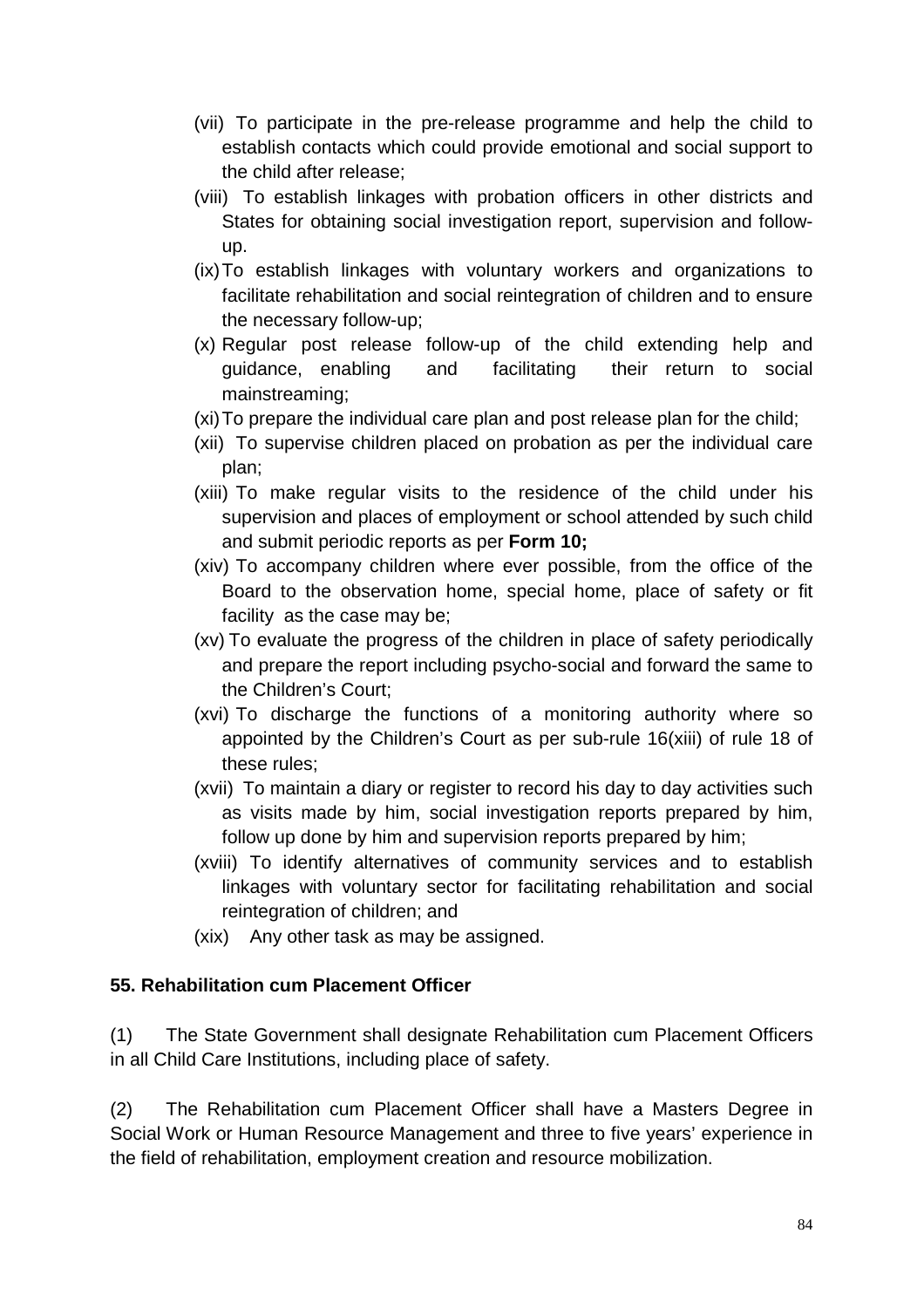- (vii) To participate in the pre-release programme and help the child to establish contacts which could provide emotional and social support to the child after release;
- (viii) To establish linkages with probation officers in other districts and States for obtaining social investigation report, supervision and followup.
- (ix) To establish linkages with voluntary workers and organizations to facilitate rehabilitation and social reintegration of children and to ensure the necessary follow-up;
- (x) Regular post release follow-up of the child extending help and guidance, enabling and facilitating their return to social mainstreaming;
- (xi) To prepare the individual care plan and post release plan for the child;
- (xii) To supervise children placed on probation as per the individual care plan;
- (xiii) To make regular visits to the residence of the child under his supervision and places of employment or school attended by such child and submit periodic reports as per **Form 10;**
- (xiv) To accompany children where ever possible, from the office of the Board to the observation home, special home, place of safety or fit facility as the case may be;
- (xv) To evaluate the progress of the children in place of safety periodically and prepare the report including psycho-social and forward the same to the Children's Court;
- (xvi) To discharge the functions of a monitoring authority where so appointed by the Children's Court as per sub-rule 16(xiii) of rule 18 of these rules;
- (xvii) To maintain a diary or register to record his day to day activities such as visits made by him, social investigation reports prepared by him, follow up done by him and supervision reports prepared by him;
- (xviii) To identify alternatives of community services and to establish linkages with voluntary sector for facilitating rehabilitation and social reintegration of children; and
- (xix) Any other task as may be assigned.

#### **55. Rehabilitation cum Placement Officer**

(1) The State Government shall designate Rehabilitation cum Placement Officers in all Child Care Institutions, including place of safety.

(2) The Rehabilitation cum Placement Officer shall have a Masters Degree in Social Work or Human Resource Management and three to five years' experience in the field of rehabilitation, employment creation and resource mobilization.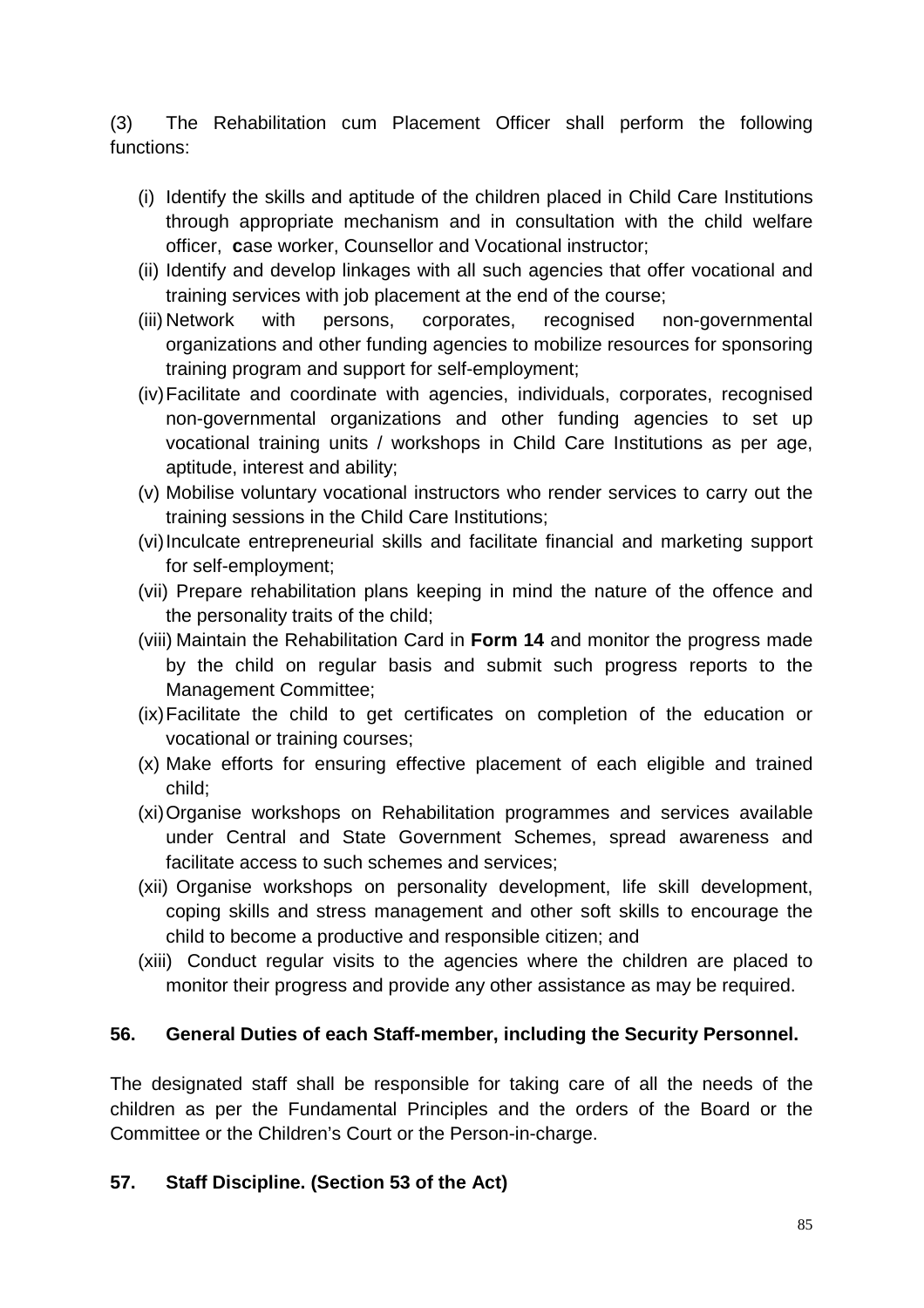(3) The Rehabilitation cum Placement Officer shall perform the following functions:

- (i) Identify the skills and aptitude of the children placed in Child Care Institutions through appropriate mechanism and in consultation with the child welfare officer, **c**ase worker, Counsellor and Vocational instructor;
- (ii) Identify and develop linkages with all such agencies that offer vocational and training services with job placement at the end of the course;
- (iii) Network with persons, corporates, recognised non-governmental organizations and other funding agencies to mobilize resources for sponsoring training program and support for self-employment;
- (iv) Facilitate and coordinate with agencies, individuals, corporates, recognised non-governmental organizations and other funding agencies to set up vocational training units / workshops in Child Care Institutions as per age, aptitude, interest and ability;
- (v) Mobilise voluntary vocational instructors who render services to carry out the training sessions in the Child Care Institutions;
- (vi) Inculcate entrepreneurial skills and facilitate financial and marketing support for self-employment;
- (vii) Prepare rehabilitation plans keeping in mind the nature of the offence and the personality traits of the child;
- (viii) Maintain the Rehabilitation Card in **Form 14** and monitor the progress made by the child on regular basis and submit such progress reports to the Management Committee;
- (ix) Facilitate the child to get certificates on completion of the education or vocational or training courses;
- (x) Make efforts for ensuring effective placement of each eligible and trained child;
- (xi) Organise workshops on Rehabilitation programmes and services available under Central and State Government Schemes, spread awareness and facilitate access to such schemes and services;
- (xii) Organise workshops on personality development, life skill development, coping skills and stress management and other soft skills to encourage the child to become a productive and responsible citizen; and
- (xiii) Conduct regular visits to the agencies where the children are placed to monitor their progress and provide any other assistance as may be required.

#### **56. General Duties of each Staff-member, including the Security Personnel.**

The designated staff shall be responsible for taking care of all the needs of the children as per the Fundamental Principles and the orders of the Board or the Committee or the Children's Court or the Person-in-charge.

#### **57. Staff Discipline. (Section 53 of the Act)**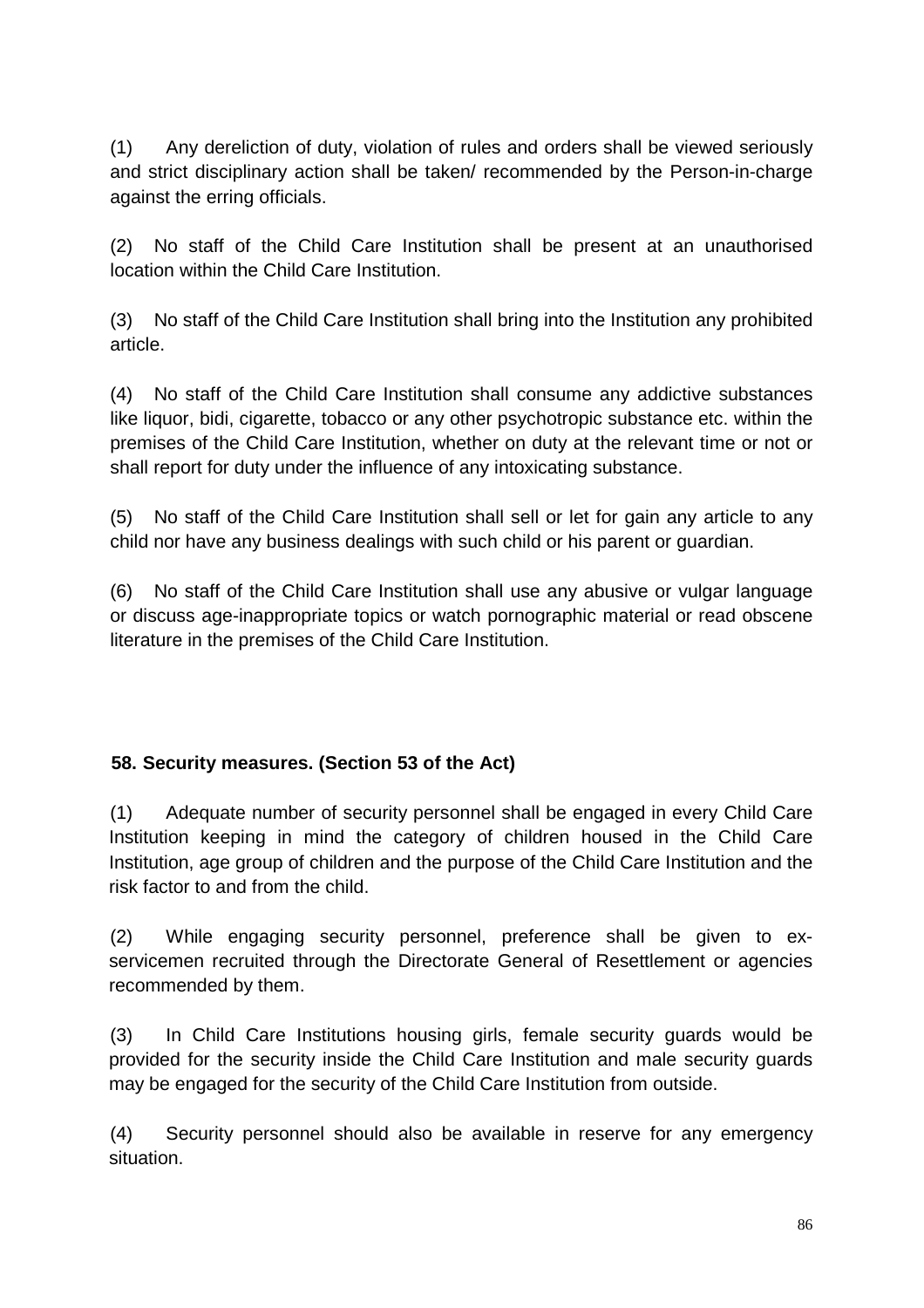(1) Any dereliction of duty, violation of rules and orders shall be viewed seriously and strict disciplinary action shall be taken/ recommended by the Person-in-charge against the erring officials.

(2) No staff of the Child Care Institution shall be present at an unauthorised location within the Child Care Institution.

(3) No staff of the Child Care Institution shall bring into the Institution any prohibited article.

(4) No staff of the Child Care Institution shall consume any addictive substances like liquor, bidi, cigarette, tobacco or any other psychotropic substance etc. within the premises of the Child Care Institution, whether on duty at the relevant time or not or shall report for duty under the influence of any intoxicating substance.

(5) No staff of the Child Care Institution shall sell or let for gain any article to any child nor have any business dealings with such child or his parent or guardian.

(6) No staff of the Child Care Institution shall use any abusive or vulgar language or discuss age-inappropriate topics or watch pornographic material or read obscene literature in the premises of the Child Care Institution.

### **58. Security measures. (Section 53 of the Act)**

(1) Adequate number of security personnel shall be engaged in every Child Care Institution keeping in mind the category of children housed in the Child Care Institution, age group of children and the purpose of the Child Care Institution and the risk factor to and from the child.

(2) While engaging security personnel, preference shall be given to exservicemen recruited through the Directorate General of Resettlement or agencies recommended by them.

(3) In Child Care Institutions housing girls, female security guards would be provided for the security inside the Child Care Institution and male security guards may be engaged for the security of the Child Care Institution from outside.

(4) Security personnel should also be available in reserve for any emergency situation.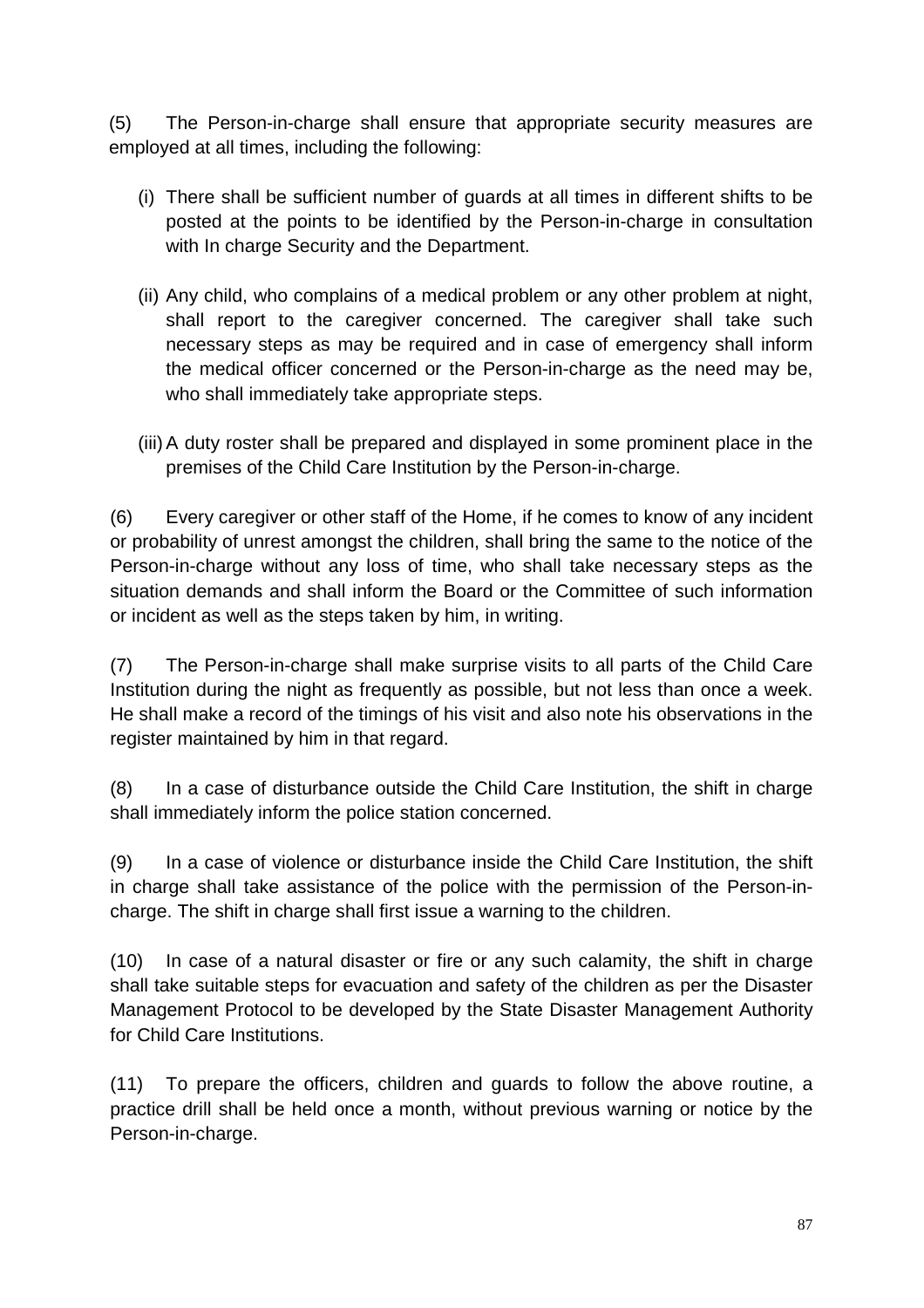(5) The Person-in-charge shall ensure that appropriate security measures are employed at all times, including the following:

- (i) There shall be sufficient number of guards at all times in different shifts to be posted at the points to be identified by the Person-in-charge in consultation with In charge Security and the Department.
- (ii) Any child, who complains of a medical problem or any other problem at night, shall report to the caregiver concerned. The caregiver shall take such necessary steps as may be required and in case of emergency shall inform the medical officer concerned or the Person-in-charge as the need may be, who shall immediately take appropriate steps.
- (iii) A duty roster shall be prepared and displayed in some prominent place in the premises of the Child Care Institution by the Person-in-charge.

(6) Every caregiver or other staff of the Home, if he comes to know of any incident or probability of unrest amongst the children, shall bring the same to the notice of the Person-in-charge without any loss of time, who shall take necessary steps as the situation demands and shall inform the Board or the Committee of such information or incident as well as the steps taken by him, in writing.

(7) The Person-in-charge shall make surprise visits to all parts of the Child Care Institution during the night as frequently as possible, but not less than once a week. He shall make a record of the timings of his visit and also note his observations in the register maintained by him in that regard.

(8) In a case of disturbance outside the Child Care Institution, the shift in charge shall immediately inform the police station concerned.

(9) In a case of violence or disturbance inside the Child Care Institution, the shift in charge shall take assistance of the police with the permission of the Person-incharge. The shift in charge shall first issue a warning to the children.

(10) In case of a natural disaster or fire or any such calamity, the shift in charge shall take suitable steps for evacuation and safety of the children as per the Disaster Management Protocol to be developed by the State Disaster Management Authority for Child Care Institutions.

(11) To prepare the officers, children and guards to follow the above routine, a practice drill shall be held once a month, without previous warning or notice by the Person-in-charge.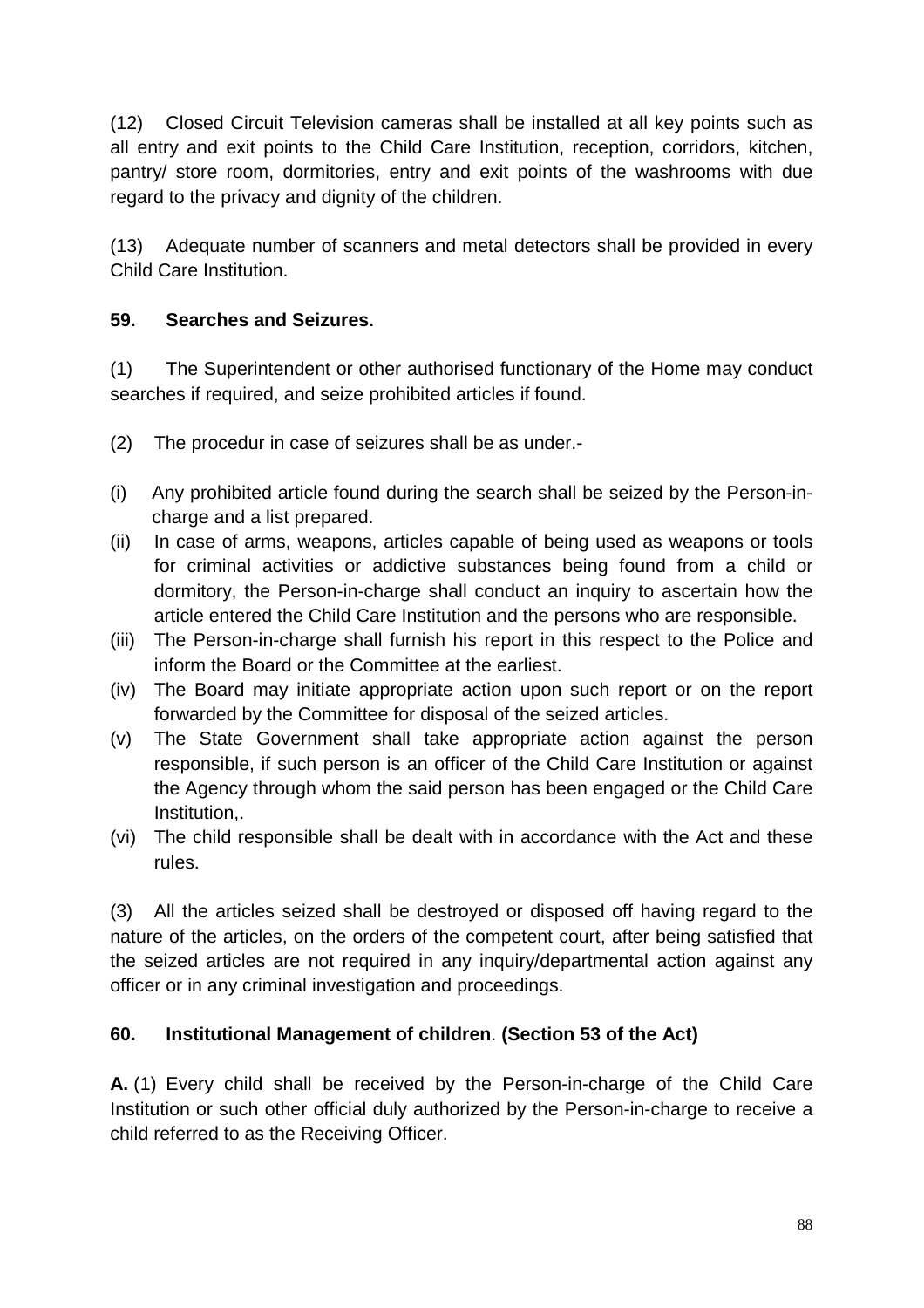(12) Closed Circuit Television cameras shall be installed at all key points such as all entry and exit points to the Child Care Institution, reception, corridors, kitchen, pantry/ store room, dormitories, entry and exit points of the washrooms with due regard to the privacy and dignity of the children.

(13) Adequate number of scanners and metal detectors shall be provided in every Child Care Institution.

## **59. Searches and Seizures.**

(1) The Superintendent or other authorised functionary of the Home may conduct searches if required, and seize prohibited articles if found.

- (2) The procedur in case of seizures shall be as under.-
- (i) Any prohibited article found during the search shall be seized by the Person-incharge and a list prepared.
- (ii) In case of arms, weapons, articles capable of being used as weapons or tools for criminal activities or addictive substances being found from a child or dormitory, the Person-in-charge shall conduct an inquiry to ascertain how the article entered the Child Care Institution and the persons who are responsible.
- (iii) The Person-in-charge shall furnish his report in this respect to the Police and inform the Board or the Committee at the earliest.
- (iv) The Board may initiate appropriate action upon such report or on the report forwarded by the Committee for disposal of the seized articles.
- (v) The State Government shall take appropriate action against the person responsible, if such person is an officer of the Child Care Institution or against the Agency through whom the said person has been engaged or the Child Care Institution,.
- (vi) The child responsible shall be dealt with in accordance with the Act and these rules.

(3) All the articles seized shall be destroyed or disposed off having regard to the nature of the articles, on the orders of the competent court, after being satisfied that the seized articles are not required in any inquiry/departmental action against any officer or in any criminal investigation and proceedings.

# **60. Institutional Management of children**. **(Section 53 of the Act)**

**A.** (1) Every child shall be received by the Person-in-charge of the Child Care Institution or such other official duly authorized by the Person-in-charge to receive a child referred to as the Receiving Officer.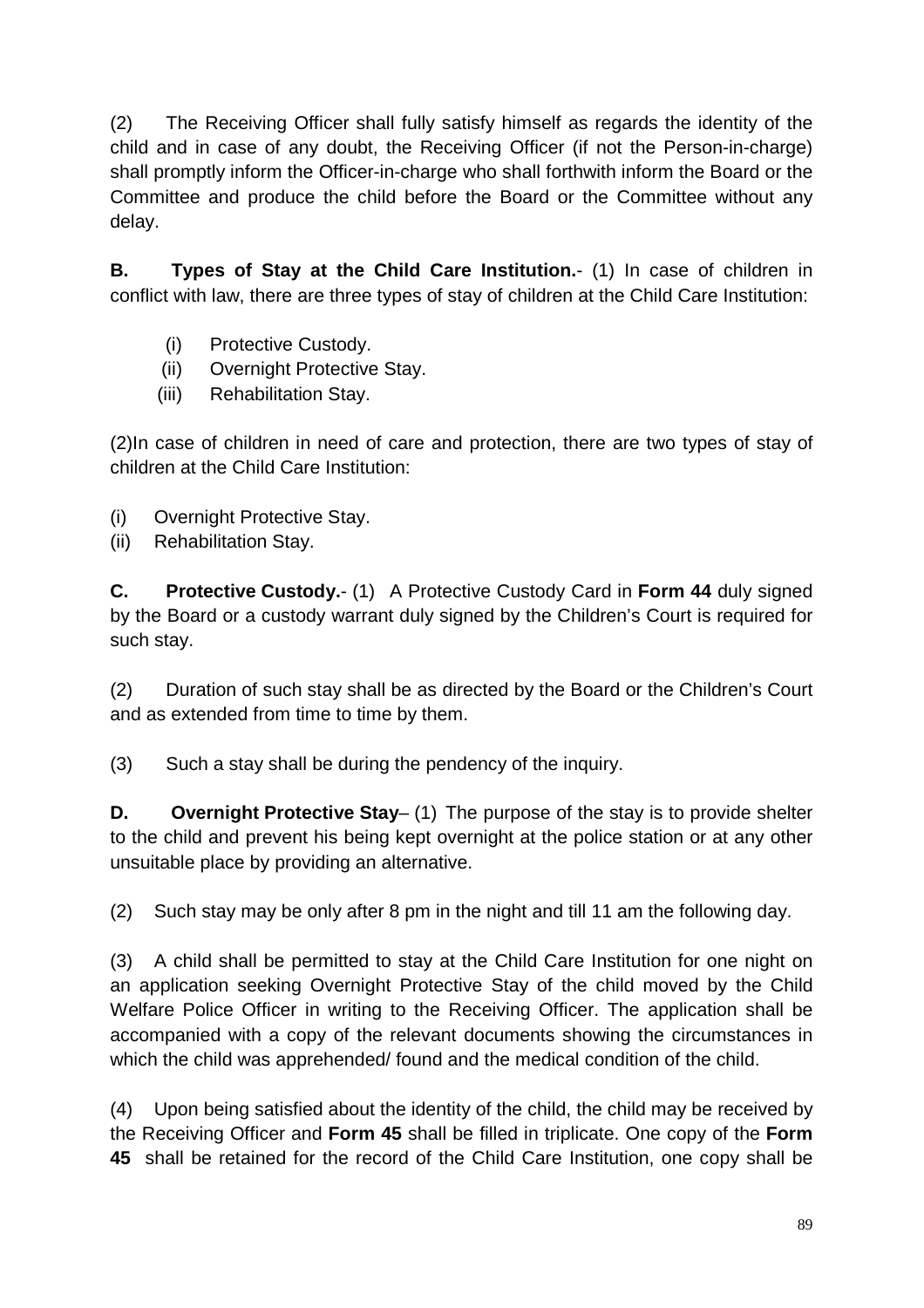(2) The Receiving Officer shall fully satisfy himself as regards the identity of the child and in case of any doubt, the Receiving Officer (if not the Person-in-charge) shall promptly inform the Officer-in-charge who shall forthwith inform the Board or the Committee and produce the child before the Board or the Committee without any delay.

**B. Types of Stay at the Child Care Institution.**- (1) In case of children in conflict with law, there are three types of stay of children at the Child Care Institution:

- (i) Protective Custody.
- (ii) Overnight Protective Stay.
- (iii) Rehabilitation Stay.

(2)In case of children in need of care and protection, there are two types of stay of children at the Child Care Institution:

- (i) Overnight Protective Stay.
- (ii) Rehabilitation Stay.

**C. Protective Custody.**- (1) A Protective Custody Card in **Form 44** duly signed by the Board or a custody warrant duly signed by the Children's Court is required for such stay.

(2) Duration of such stay shall be as directed by the Board or the Children's Court and as extended from time to time by them.

(3) Such a stay shall be during the pendency of the inquiry.

**D. Overnight Protective Stay**– (1) The purpose of the stay is to provide shelter to the child and prevent his being kept overnight at the police station or at any other unsuitable place by providing an alternative.

(2) Such stay may be only after 8 pm in the night and till 11 am the following day.

(3) A child shall be permitted to stay at the Child Care Institution for one night on an application seeking Overnight Protective Stay of the child moved by the Child Welfare Police Officer in writing to the Receiving Officer. The application shall be accompanied with a copy of the relevant documents showing the circumstances in which the child was apprehended/ found and the medical condition of the child.

(4) Upon being satisfied about the identity of the child, the child may be received by the Receiving Officer and **Form 45** shall be filled in triplicate. One copy of the **Form 45** shall be retained for the record of the Child Care Institution, one copy shall be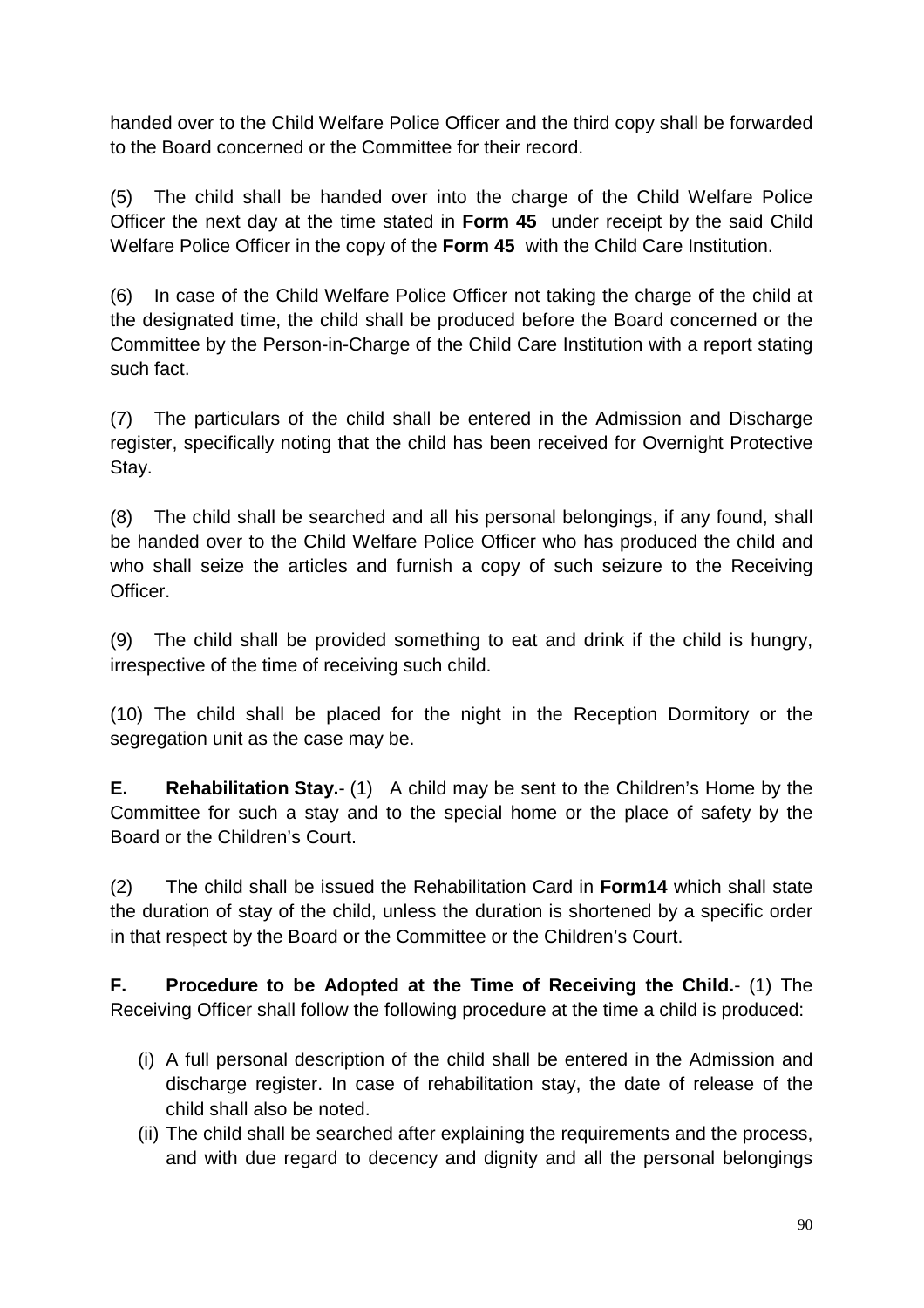handed over to the Child Welfare Police Officer and the third copy shall be forwarded to the Board concerned or the Committee for their record.

(5) The child shall be handed over into the charge of the Child Welfare Police Officer the next day at the time stated in **Form 45** under receipt by the said Child Welfare Police Officer in the copy of the **Form 45** with the Child Care Institution.

(6) In case of the Child Welfare Police Officer not taking the charge of the child at the designated time, the child shall be produced before the Board concerned or the Committee by the Person-in-Charge of the Child Care Institution with a report stating such fact.

(7) The particulars of the child shall be entered in the Admission and Discharge register, specifically noting that the child has been received for Overnight Protective Stay.

(8) The child shall be searched and all his personal belongings, if any found, shall be handed over to the Child Welfare Police Officer who has produced the child and who shall seize the articles and furnish a copy of such seizure to the Receiving Officer.

(9) The child shall be provided something to eat and drink if the child is hungry, irrespective of the time of receiving such child.

(10) The child shall be placed for the night in the Reception Dormitory or the segregation unit as the case may be.

**E. Rehabilitation Stay.**- (1) A child may be sent to the Children's Home by the Committee for such a stay and to the special home or the place of safety by the Board or the Children's Court.

(2) The child shall be issued the Rehabilitation Card in **Form14** which shall state the duration of stay of the child, unless the duration is shortened by a specific order in that respect by the Board or the Committee or the Children's Court.

**F. Procedure to be Adopted at the Time of Receiving the Child.**- (1) The Receiving Officer shall follow the following procedure at the time a child is produced:

- (i) A full personal description of the child shall be entered in the Admission and discharge register. In case of rehabilitation stay, the date of release of the child shall also be noted.
- (ii) The child shall be searched after explaining the requirements and the process, and with due regard to decency and dignity and all the personal belongings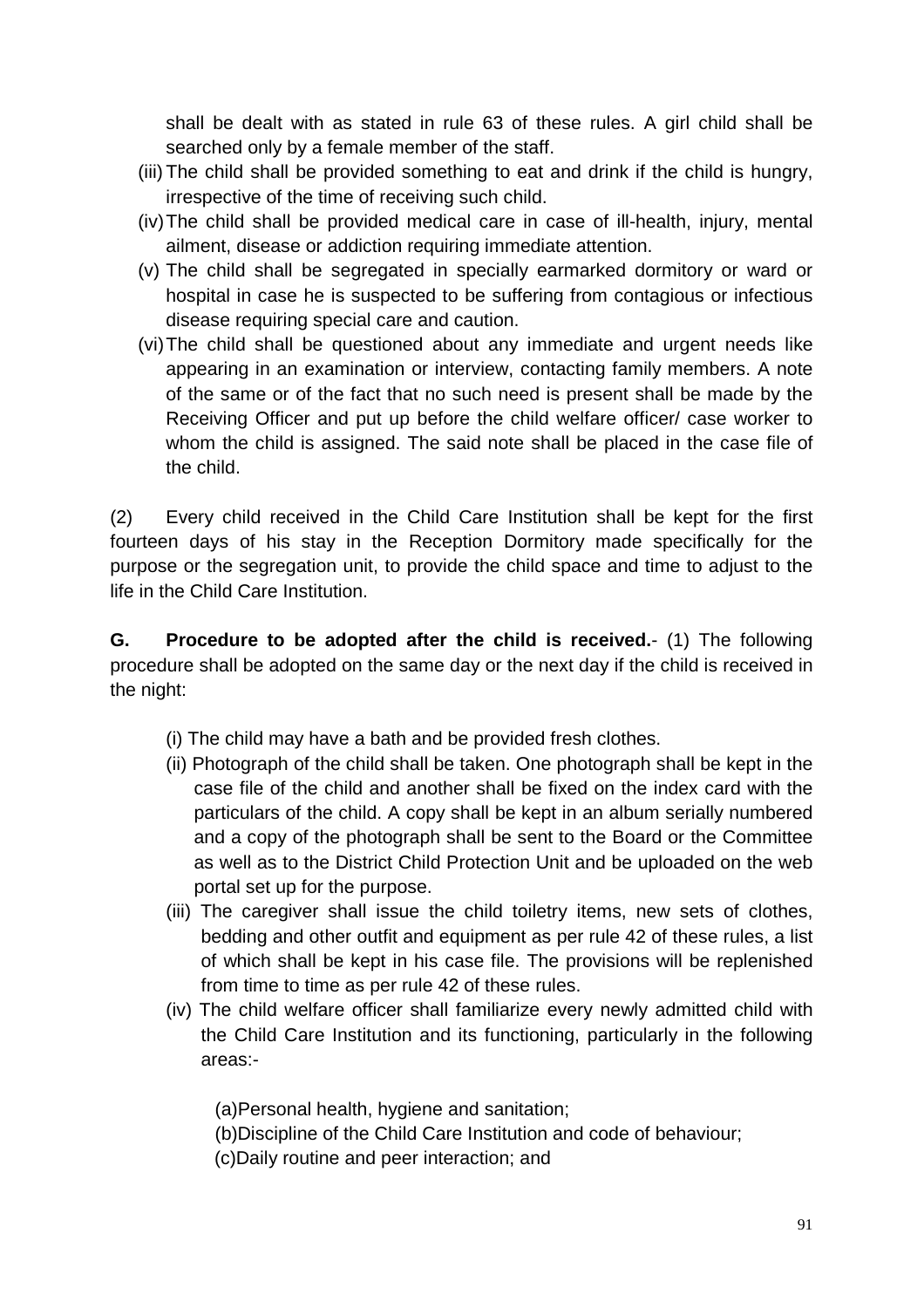shall be dealt with as stated in rule 63 of these rules. A girl child shall be searched only by a female member of the staff.

- (iii) The child shall be provided something to eat and drink if the child is hungry, irrespective of the time of receiving such child.
- (iv) The child shall be provided medical care in case of ill-health, injury, mental ailment, disease or addiction requiring immediate attention.
- (v) The child shall be segregated in specially earmarked dormitory or ward or hospital in case he is suspected to be suffering from contagious or infectious disease requiring special care and caution.
- (vi) The child shall be questioned about any immediate and urgent needs like appearing in an examination or interview, contacting family members. A note of the same or of the fact that no such need is present shall be made by the Receiving Officer and put up before the child welfare officer/ case worker to whom the child is assigned. The said note shall be placed in the case file of the child.

(2) Every child received in the Child Care Institution shall be kept for the first fourteen days of his stay in the Reception Dormitory made specifically for the purpose or the segregation unit, to provide the child space and time to adjust to the life in the Child Care Institution.

**G. Procedure to be adopted after the child is received.**- (1) The following procedure shall be adopted on the same day or the next day if the child is received in the night:

- (i) The child may have a bath and be provided fresh clothes.
- (ii) Photograph of the child shall be taken. One photograph shall be kept in the case file of the child and another shall be fixed on the index card with the particulars of the child. A copy shall be kept in an album serially numbered and a copy of the photograph shall be sent to the Board or the Committee as well as to the District Child Protection Unit and be uploaded on the web portal set up for the purpose.
- (iii) The caregiver shall issue the child toiletry items, new sets of clothes, bedding and other outfit and equipment as per rule 42 of these rules, a list of which shall be kept in his case file. The provisions will be replenished from time to time as per rule 42 of these rules.
- (iv) The child welfare officer shall familiarize every newly admitted child with the Child Care Institution and its functioning, particularly in the following areas:-

(a)Personal health, hygiene and sanitation;

- (b)Discipline of the Child Care Institution and code of behaviour;
- (c)Daily routine and peer interaction; and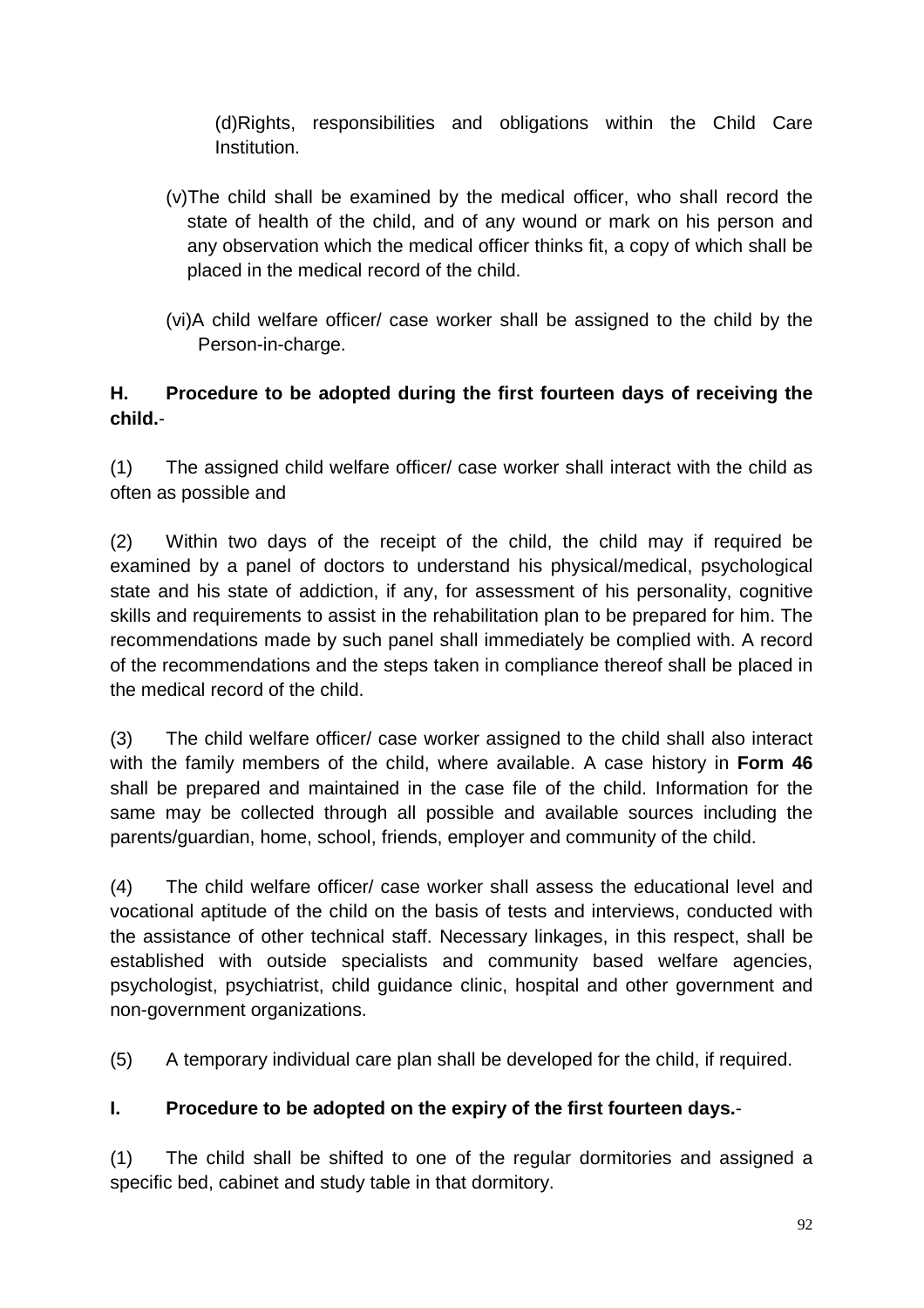(d)Rights, responsibilities and obligations within the Child Care Institution.

- (v)The child shall be examined by the medical officer, who shall record the state of health of the child, and of any wound or mark on his person and any observation which the medical officer thinks fit, a copy of which shall be placed in the medical record of the child.
- (vi)A child welfare officer/ case worker shall be assigned to the child by the Person-in-charge.

## **H. Procedure to be adopted during the first fourteen days of receiving the child.**-

(1) The assigned child welfare officer/ case worker shall interact with the child as often as possible and

(2) Within two days of the receipt of the child, the child may if required be examined by a panel of doctors to understand his physical/medical, psychological state and his state of addiction, if any, for assessment of his personality, cognitive skills and requirements to assist in the rehabilitation plan to be prepared for him. The recommendations made by such panel shall immediately be complied with. A record of the recommendations and the steps taken in compliance thereof shall be placed in the medical record of the child.

(3) The child welfare officer/ case worker assigned to the child shall also interact with the family members of the child, where available. A case history in **Form 46** shall be prepared and maintained in the case file of the child. Information for the same may be collected through all possible and available sources including the parents/guardian, home, school, friends, employer and community of the child.

(4) The child welfare officer/ case worker shall assess the educational level and vocational aptitude of the child on the basis of tests and interviews, conducted with the assistance of other technical staff. Necessary linkages, in this respect, shall be established with outside specialists and community based welfare agencies, psychologist, psychiatrist, child guidance clinic, hospital and other government and non-government organizations.

(5) A temporary individual care plan shall be developed for the child, if required.

### **I. Procedure to be adopted on the expiry of the first fourteen days.**-

(1) The child shall be shifted to one of the regular dormitories and assigned a specific bed, cabinet and study table in that dormitory.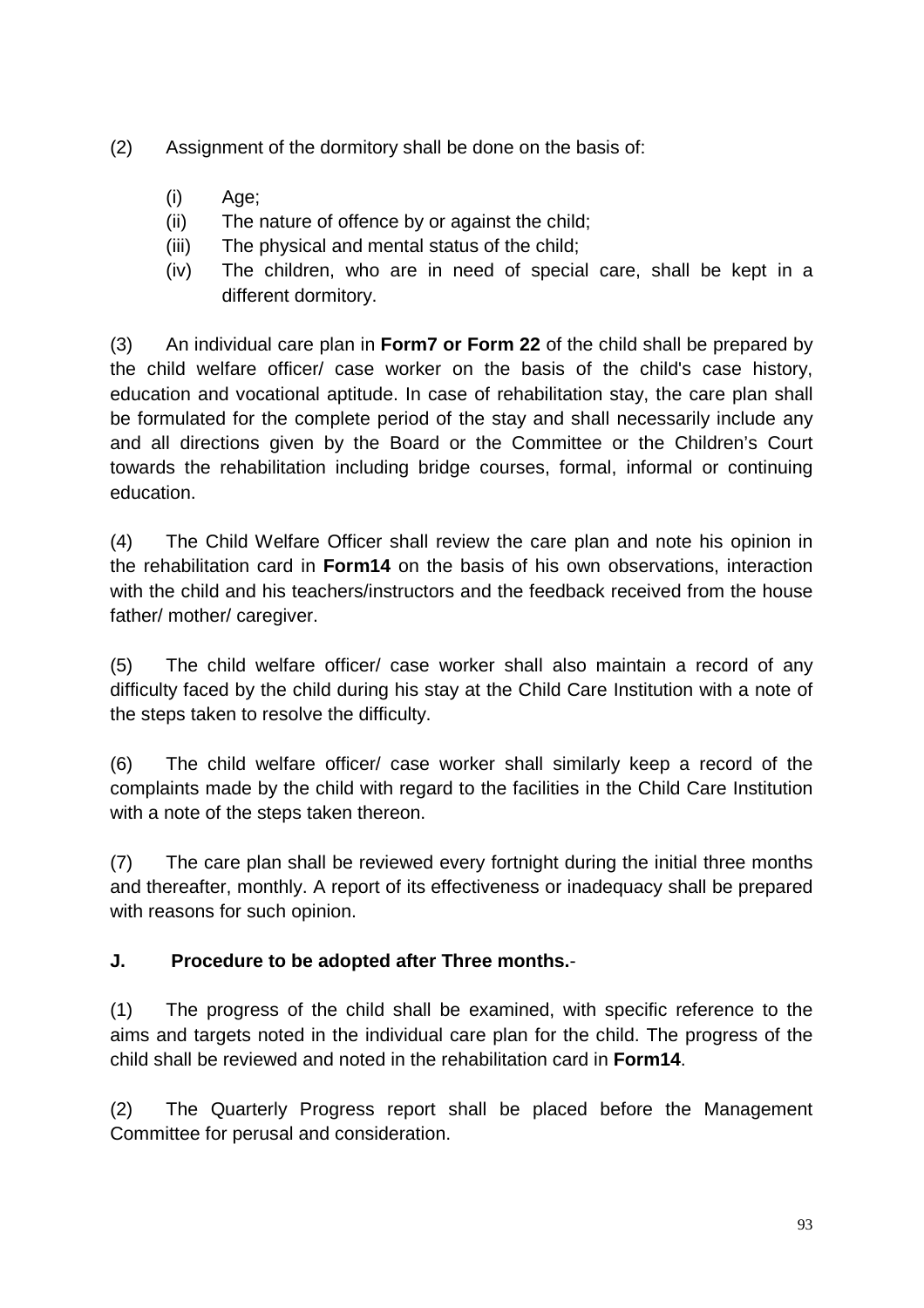- (2) Assignment of the dormitory shall be done on the basis of:
	- (i) Age;
	- (ii) The nature of offence by or against the child;
	- (iii) The physical and mental status of the child;
	- (iv) The children, who are in need of special care, shall be kept in a different dormitory.

(3) An individual care plan in **Form7 or Form 22** of the child shall be prepared by the child welfare officer/ case worker on the basis of the child's case history, education and vocational aptitude. In case of rehabilitation stay, the care plan shall be formulated for the complete period of the stay and shall necessarily include any and all directions given by the Board or the Committee or the Children's Court towards the rehabilitation including bridge courses, formal, informal or continuing education.

(4) The Child Welfare Officer shall review the care plan and note his opinion in the rehabilitation card in **Form14** on the basis of his own observations, interaction with the child and his teachers/instructors and the feedback received from the house father/ mother/ caregiver.

(5) The child welfare officer/ case worker shall also maintain a record of any difficulty faced by the child during his stay at the Child Care Institution with a note of the steps taken to resolve the difficulty.

(6) The child welfare officer/ case worker shall similarly keep a record of the complaints made by the child with regard to the facilities in the Child Care Institution with a note of the steps taken thereon.

(7) The care plan shall be reviewed every fortnight during the initial three months and thereafter, monthly. A report of its effectiveness or inadequacy shall be prepared with reasons for such opinion.

#### **J. Procedure to be adopted after Three months.**-

(1) The progress of the child shall be examined, with specific reference to the aims and targets noted in the individual care plan for the child. The progress of the child shall be reviewed and noted in the rehabilitation card in **Form14**.

(2) The Quarterly Progress report shall be placed before the Management Committee for perusal and consideration.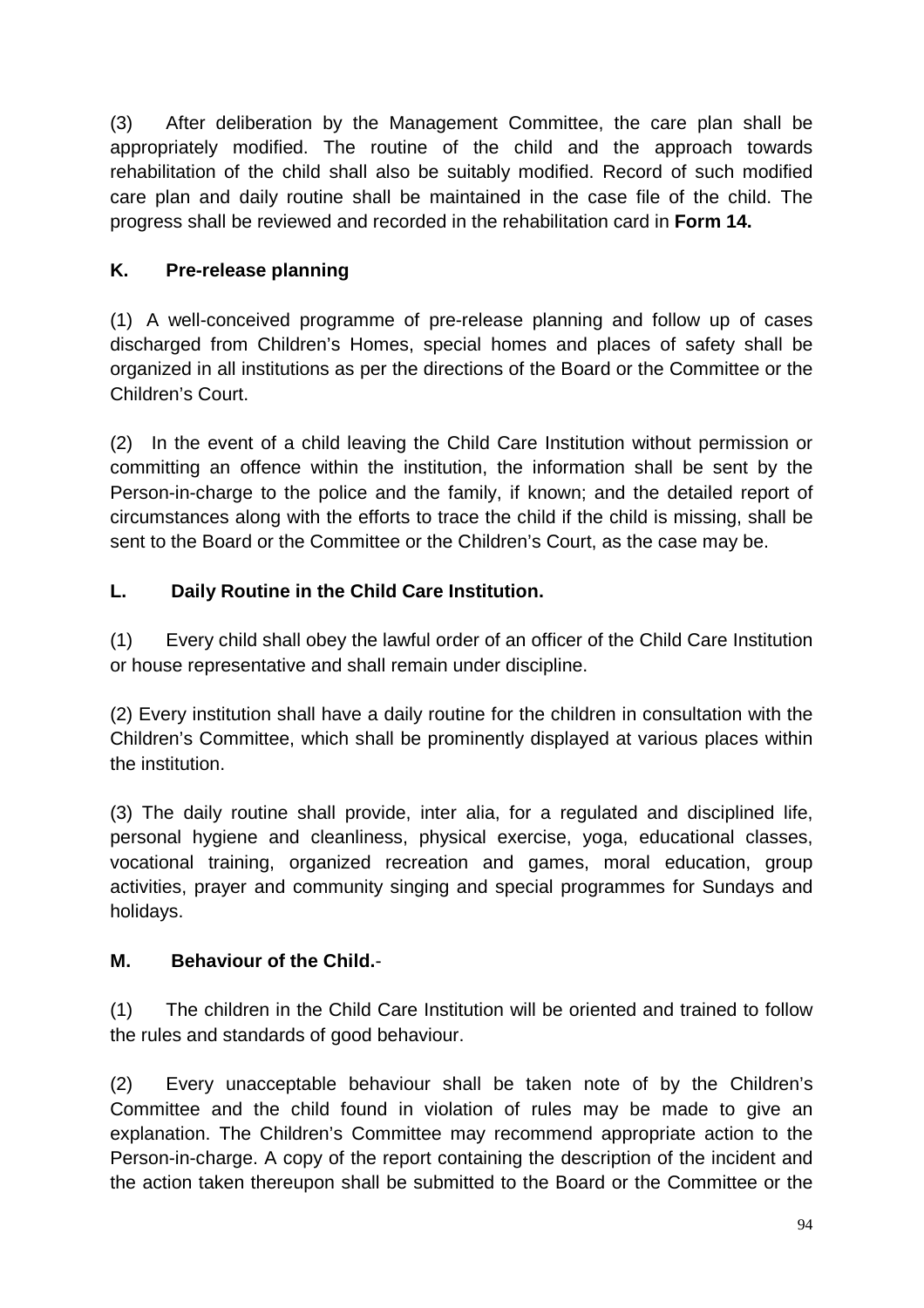(3) After deliberation by the Management Committee, the care plan shall be appropriately modified. The routine of the child and the approach towards rehabilitation of the child shall also be suitably modified. Record of such modified care plan and daily routine shall be maintained in the case file of the child. The progress shall be reviewed and recorded in the rehabilitation card in **Form 14.**

# **K. Pre-release planning**

(1) A well-conceived programme of pre-release planning and follow up of cases discharged from Children's Homes, special homes and places of safety shall be organized in all institutions as per the directions of the Board or the Committee or the Children's Court.

(2) In the event of a child leaving the Child Care Institution without permission or committing an offence within the institution, the information shall be sent by the Person-in-charge to the police and the family, if known; and the detailed report of circumstances along with the efforts to trace the child if the child is missing, shall be sent to the Board or the Committee or the Children's Court, as the case may be.

# **L. Daily Routine in the Child Care Institution.**

(1) Every child shall obey the lawful order of an officer of the Child Care Institution or house representative and shall remain under discipline.

(2) Every institution shall have a daily routine for the children in consultation with the Children's Committee, which shall be prominently displayed at various places within the institution.

(3) The daily routine shall provide, inter alia, for a regulated and disciplined life, personal hygiene and cleanliness, physical exercise, yoga, educational classes, vocational training, organized recreation and games, moral education, group activities, prayer and community singing and special programmes for Sundays and holidays.

# **M. Behaviour of the Child.**-

(1) The children in the Child Care Institution will be oriented and trained to follow the rules and standards of good behaviour.

(2) Every unacceptable behaviour shall be taken note of by the Children's Committee and the child found in violation of rules may be made to give an explanation. The Children's Committee may recommend appropriate action to the Person-in-charge. A copy of the report containing the description of the incident and the action taken thereupon shall be submitted to the Board or the Committee or the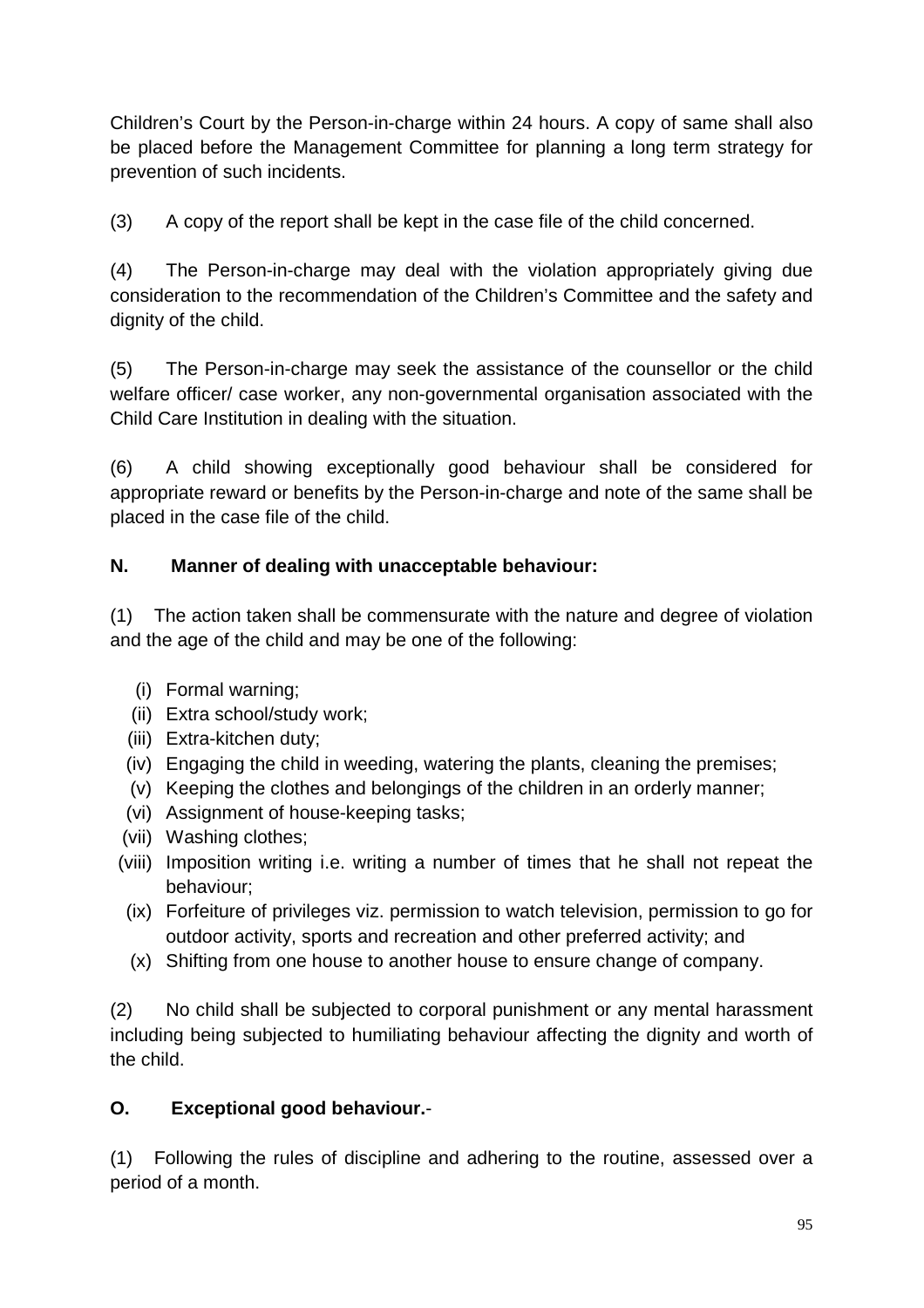Children's Court by the Person-in-charge within 24 hours. A copy of same shall also be placed before the Management Committee for planning a long term strategy for prevention of such incidents.

(3) A copy of the report shall be kept in the case file of the child concerned.

(4) The Person-in-charge may deal with the violation appropriately giving due consideration to the recommendation of the Children's Committee and the safety and dignity of the child.

(5) The Person-in-charge may seek the assistance of the counsellor or the child welfare officer/ case worker, any non-governmental organisation associated with the Child Care Institution in dealing with the situation.

(6) A child showing exceptionally good behaviour shall be considered for appropriate reward or benefits by the Person-in-charge and note of the same shall be placed in the case file of the child.

## **N. Manner of dealing with unacceptable behaviour:**

(1) The action taken shall be commensurate with the nature and degree of violation and the age of the child and may be one of the following:

- (i) Formal warning;
- (ii) Extra school/study work;
- (iii) Extra-kitchen duty;
- (iv) Engaging the child in weeding, watering the plants, cleaning the premises;
- (v) Keeping the clothes and belongings of the children in an orderly manner;
- (vi) Assignment of house-keeping tasks;
- (vii) Washing clothes;
- (viii) Imposition writing i.e. writing a number of times that he shall not repeat the behaviour;
- (ix) Forfeiture of privileges viz. permission to watch television, permission to go for outdoor activity, sports and recreation and other preferred activity; and
- (x) Shifting from one house to another house to ensure change of company.

(2) No child shall be subjected to corporal punishment or any mental harassment including being subjected to humiliating behaviour affecting the dignity and worth of the child.

### **O. Exceptional good behaviour.**-

(1) Following the rules of discipline and adhering to the routine, assessed over a period of a month.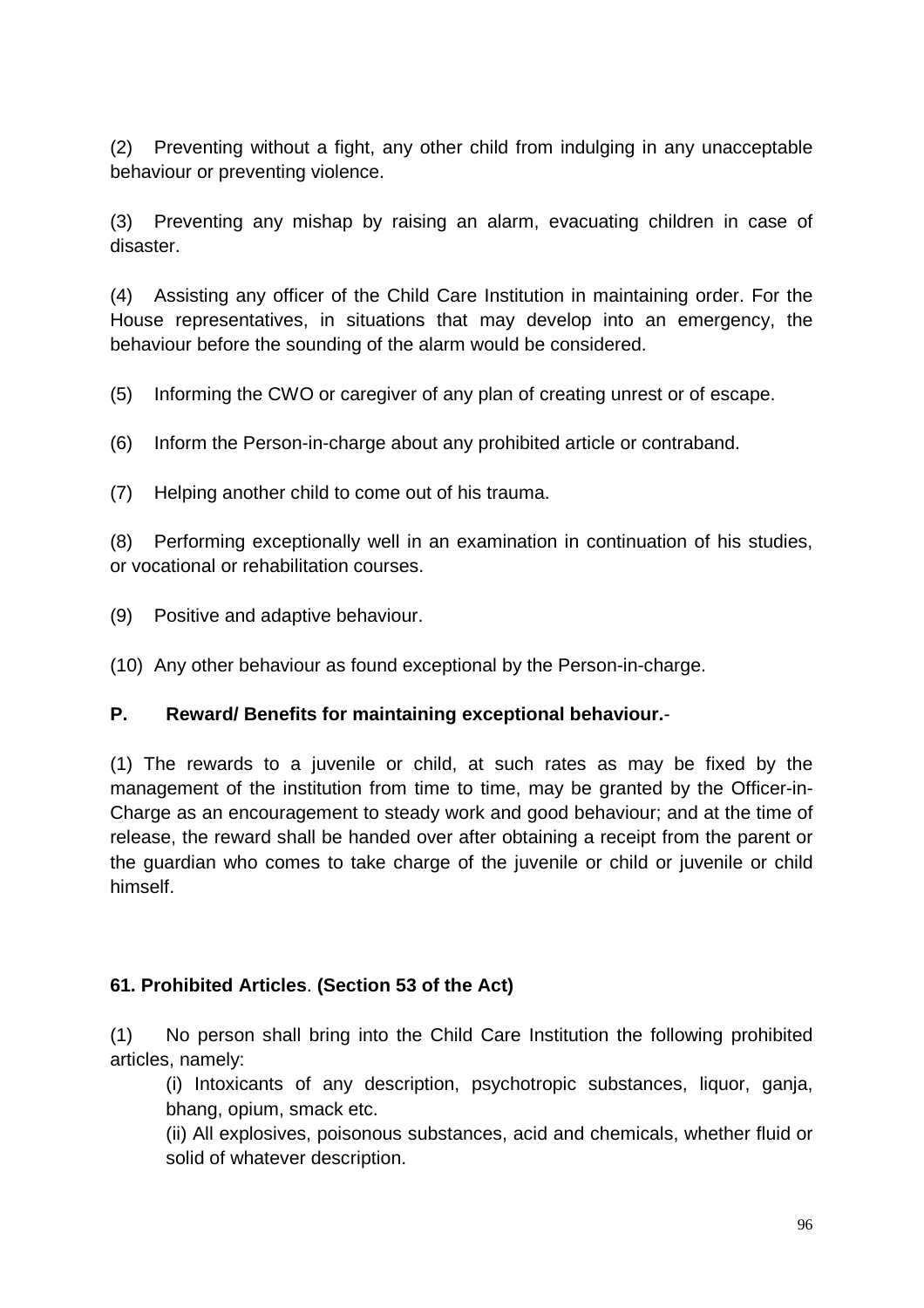(2) Preventing without a fight, any other child from indulging in any unacceptable behaviour or preventing violence.

(3) Preventing any mishap by raising an alarm, evacuating children in case of disaster.

(4) Assisting any officer of the Child Care Institution in maintaining order. For the House representatives, in situations that may develop into an emergency, the behaviour before the sounding of the alarm would be considered.

(5) Informing the CWO or caregiver of any plan of creating unrest or of escape.

(6) Inform the Person-in-charge about any prohibited article or contraband.

(7) Helping another child to come out of his trauma.

(8) Performing exceptionally well in an examination in continuation of his studies, or vocational or rehabilitation courses.

(9) Positive and adaptive behaviour.

(10) Any other behaviour as found exceptional by the Person-in-charge.

#### **P. Reward/ Benefits for maintaining exceptional behaviour.**-

(1) The rewards to a juvenile or child, at such rates as may be fixed by the management of the institution from time to time, may be granted by the Officer-in-Charge as an encouragement to steady work and good behaviour; and at the time of release, the reward shall be handed over after obtaining a receipt from the parent or the guardian who comes to take charge of the juvenile or child or juvenile or child himself.

### **61. Prohibited Articles**. **(Section 53 of the Act)**

(1) No person shall bring into the Child Care Institution the following prohibited articles, namely:

(i) Intoxicants of any description, psychotropic substances, liquor, ganja, bhang, opium, smack etc.

(ii) All explosives, poisonous substances, acid and chemicals, whether fluid or solid of whatever description.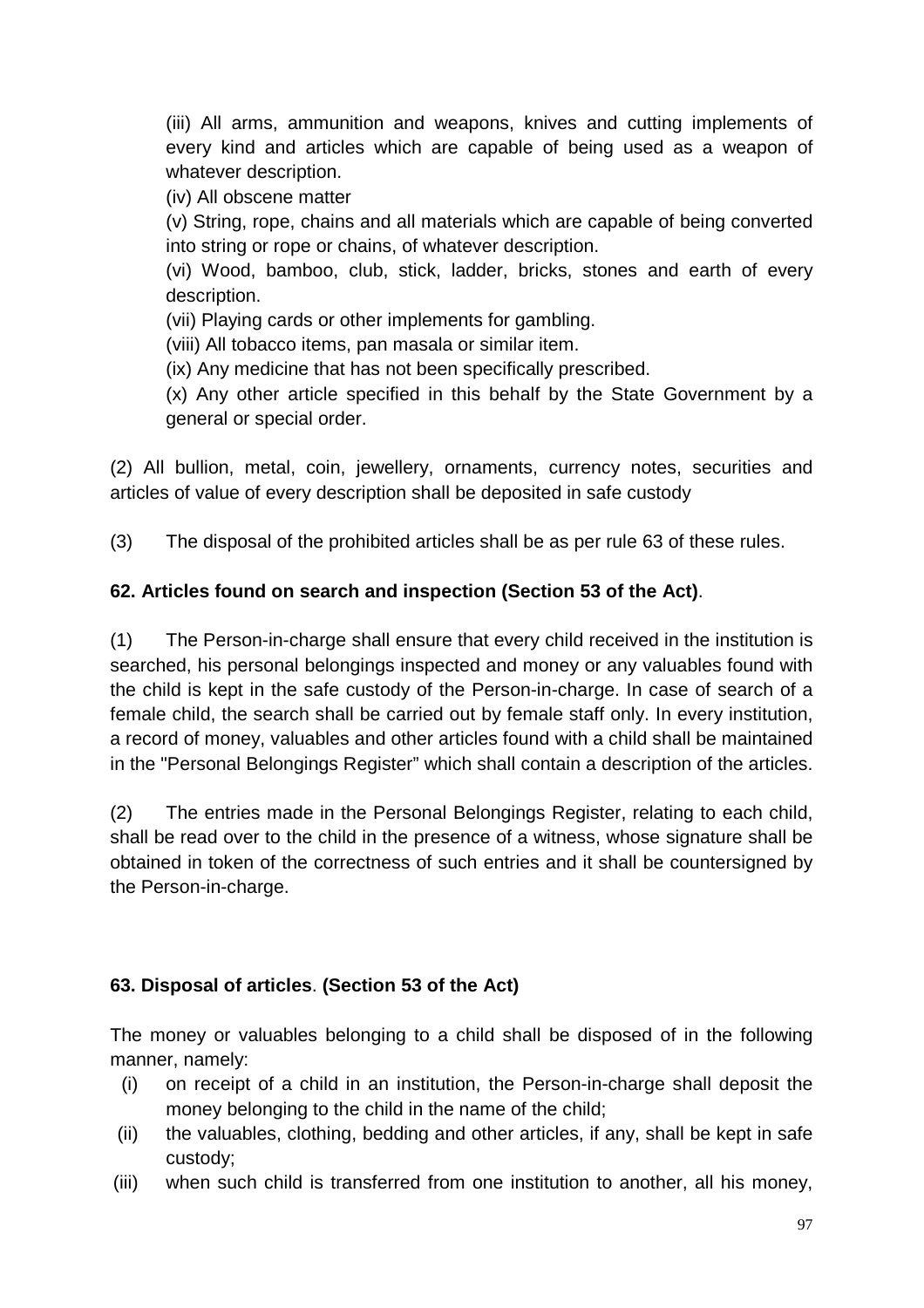(iii) All arms, ammunition and weapons, knives and cutting implements of every kind and articles which are capable of being used as a weapon of whatever description.

(iv) All obscene matter

(v) String, rope, chains and all materials which are capable of being converted into string or rope or chains, of whatever description.

(vi) Wood, bamboo, club, stick, ladder, bricks, stones and earth of every description.

(vii) Playing cards or other implements for gambling.

(viii) All tobacco items, pan masala or similar item.

(ix) Any medicine that has not been specifically prescribed.

(x) Any other article specified in this behalf by the State Government by a general or special order.

(2) All bullion, metal, coin, jewellery, ornaments, currency notes, securities and articles of value of every description shall be deposited in safe custody

(3) The disposal of the prohibited articles shall be as per rule 63 of these rules.

### **62. Articles found on search and inspection (Section 53 of the Act)**.

(1) The Person-in-charge shall ensure that every child received in the institution is searched, his personal belongings inspected and money or any valuables found with the child is kept in the safe custody of the Person-in-charge. In case of search of a female child, the search shall be carried out by female staff only. In every institution, a record of money, valuables and other articles found with a child shall be maintained in the "Personal Belongings Register" which shall contain a description of the articles.

(2) The entries made in the Personal Belongings Register, relating to each child, shall be read over to the child in the presence of a witness, whose signature shall be obtained in token of the correctness of such entries and it shall be countersigned by the Person-in-charge.

### **63. Disposal of articles**. **(Section 53 of the Act)**

The money or valuables belonging to a child shall be disposed of in the following manner, namely:

- (i) on receipt of a child in an institution, the Person-in-charge shall deposit the money belonging to the child in the name of the child;
- (ii) the valuables, clothing, bedding and other articles, if any, shall be kept in safe custody;
- (iii) when such child is transferred from one institution to another, all his money,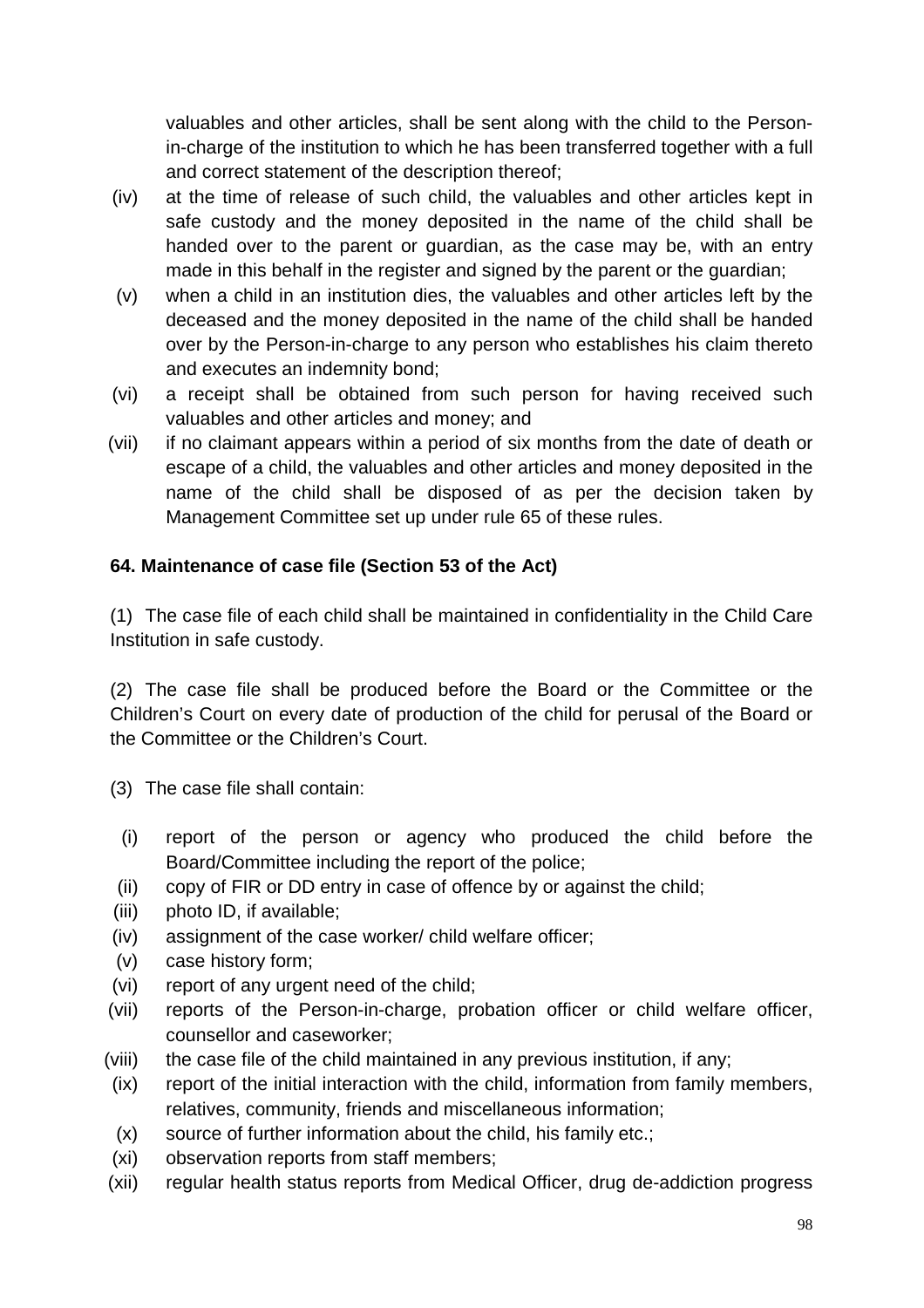valuables and other articles, shall be sent along with the child to the Personin-charge of the institution to which he has been transferred together with a full and correct statement of the description thereof;

- (iv) at the time of release of such child, the valuables and other articles kept in safe custody and the money deposited in the name of the child shall be handed over to the parent or guardian, as the case may be, with an entry made in this behalf in the register and signed by the parent or the guardian;
- (v) when a child in an institution dies, the valuables and other articles left by the deceased and the money deposited in the name of the child shall be handed over by the Person-in-charge to any person who establishes his claim thereto and executes an indemnity bond;
- (vi) a receipt shall be obtained from such person for having received such valuables and other articles and money; and
- (vii) if no claimant appears within a period of six months from the date of death or escape of a child, the valuables and other articles and money deposited in the name of the child shall be disposed of as per the decision taken by Management Committee set up under rule 65 of these rules.

### **64. Maintenance of case file (Section 53 of the Act)**

(1) The case file of each child shall be maintained in confidentiality in the Child Care Institution in safe custody.

(2) The case file shall be produced before the Board or the Committee or the Children's Court on every date of production of the child for perusal of the Board or the Committee or the Children's Court.

- (3) The case file shall contain:
	- (i) report of the person or agency who produced the child before the Board/Committee including the report of the police;
- (ii) copy of FIR or DD entry in case of offence by or against the child;
- (iii) photo ID, if available;
- (iv) assignment of the case worker/ child welfare officer;
- (v) case history form;
- (vi) report of any urgent need of the child;
- (vii) reports of the Person-in-charge, probation officer or child welfare officer, counsellor and caseworker;
- (viii) the case file of the child maintained in any previous institution, if any;
- (ix) report of the initial interaction with the child, information from family members, relatives, community, friends and miscellaneous information;
- (x) source of further information about the child, his family etc.;
- (xi) observation reports from staff members;
- (xii) regular health status reports from Medical Officer, drug de-addiction progress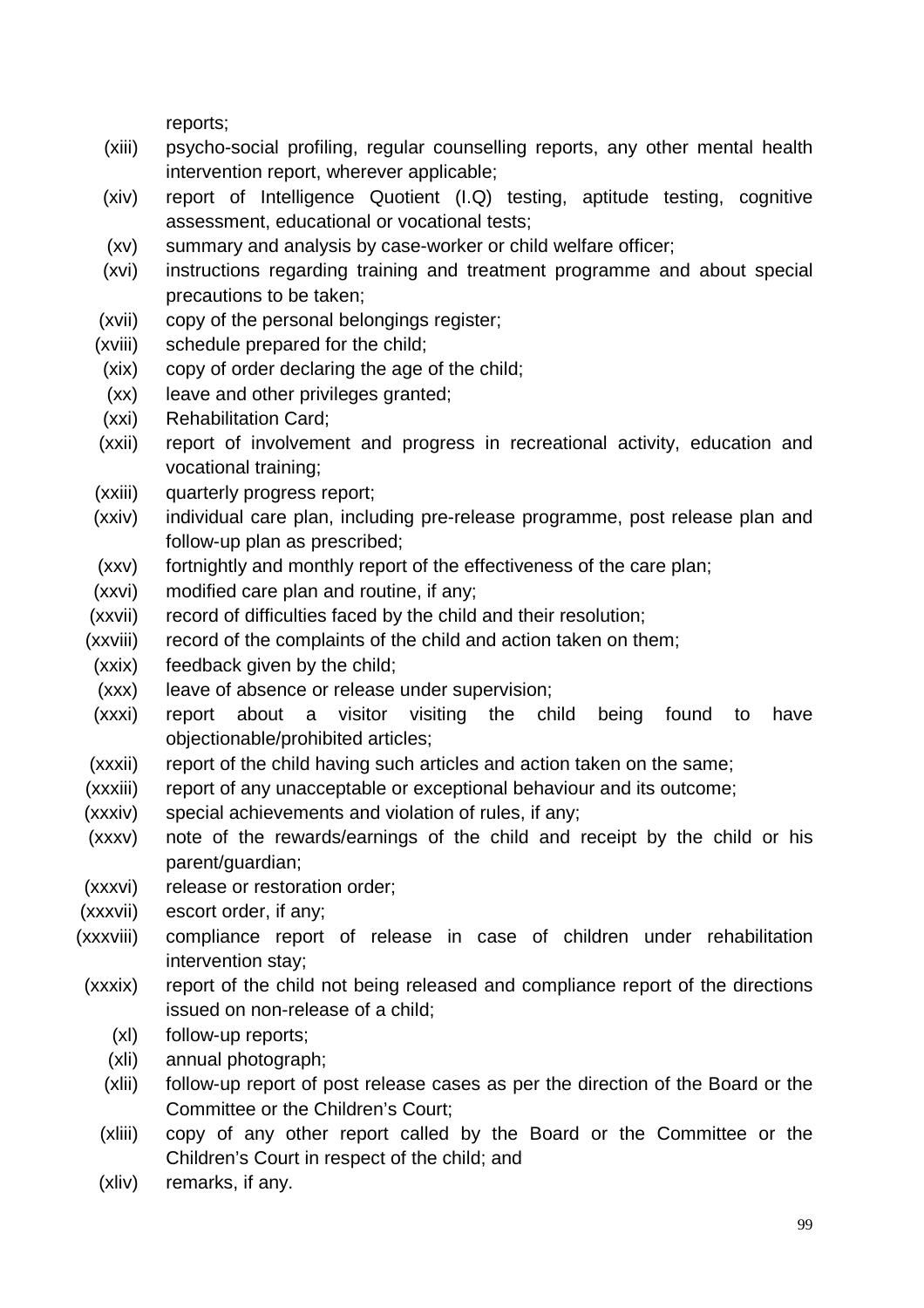reports;

- (xiii) psycho-social profiling, regular counselling reports, any other mental health intervention report, wherever applicable;
- (xiv) report of Intelligence Quotient (I.Q) testing, aptitude testing, cognitive assessment, educational or vocational tests;
- (xv) summary and analysis by case-worker or child welfare officer;
- (xvi) instructions regarding training and treatment programme and about special precautions to be taken;
- (xvii) copy of the personal belongings register;
- (xviii) schedule prepared for the child;
- (xix) copy of order declaring the age of the child;
- (xx) leave and other privileges granted;
- (xxi) Rehabilitation Card;
- (xxii) report of involvement and progress in recreational activity, education and vocational training;
- (xxiii) quarterly progress report;
- (xxiv) individual care plan, including pre-release programme, post release plan and follow-up plan as prescribed;
- (xxv) fortnightly and monthly report of the effectiveness of the care plan;
- (xxvi) modified care plan and routine, if any;
- (xxvii) record of difficulties faced by the child and their resolution;
- (xxviii) record of the complaints of the child and action taken on them;
- (xxix) feedback given by the child;
- (xxx) leave of absence or release under supervision;
- (xxxi) report about a visitor visiting the child being found to have objectionable/prohibited articles;
- (xxxii) report of the child having such articles and action taken on the same;
- (xxxiii) report of any unacceptable or exceptional behaviour and its outcome;
- (xxxiv) special achievements and violation of rules, if any;
- (xxxv) note of the rewards/earnings of the child and receipt by the child or his parent/guardian;
- (xxxvi) release or restoration order;
- (xxxvii) escort order, if any;
- (xxxviii) compliance report of release in case of children under rehabilitation intervention stay;
- (xxxix) report of the child not being released and compliance report of the directions issued on non-release of a child;
	- (xl) follow-up reports;
	- (xli) annual photograph;
	- (xlii) follow-up report of post release cases as per the direction of the Board or the Committee or the Children's Court;
	- (xliii) copy of any other report called by the Board or the Committee or the Children's Court in respect of the child; and
	- (xliv) remarks, if any.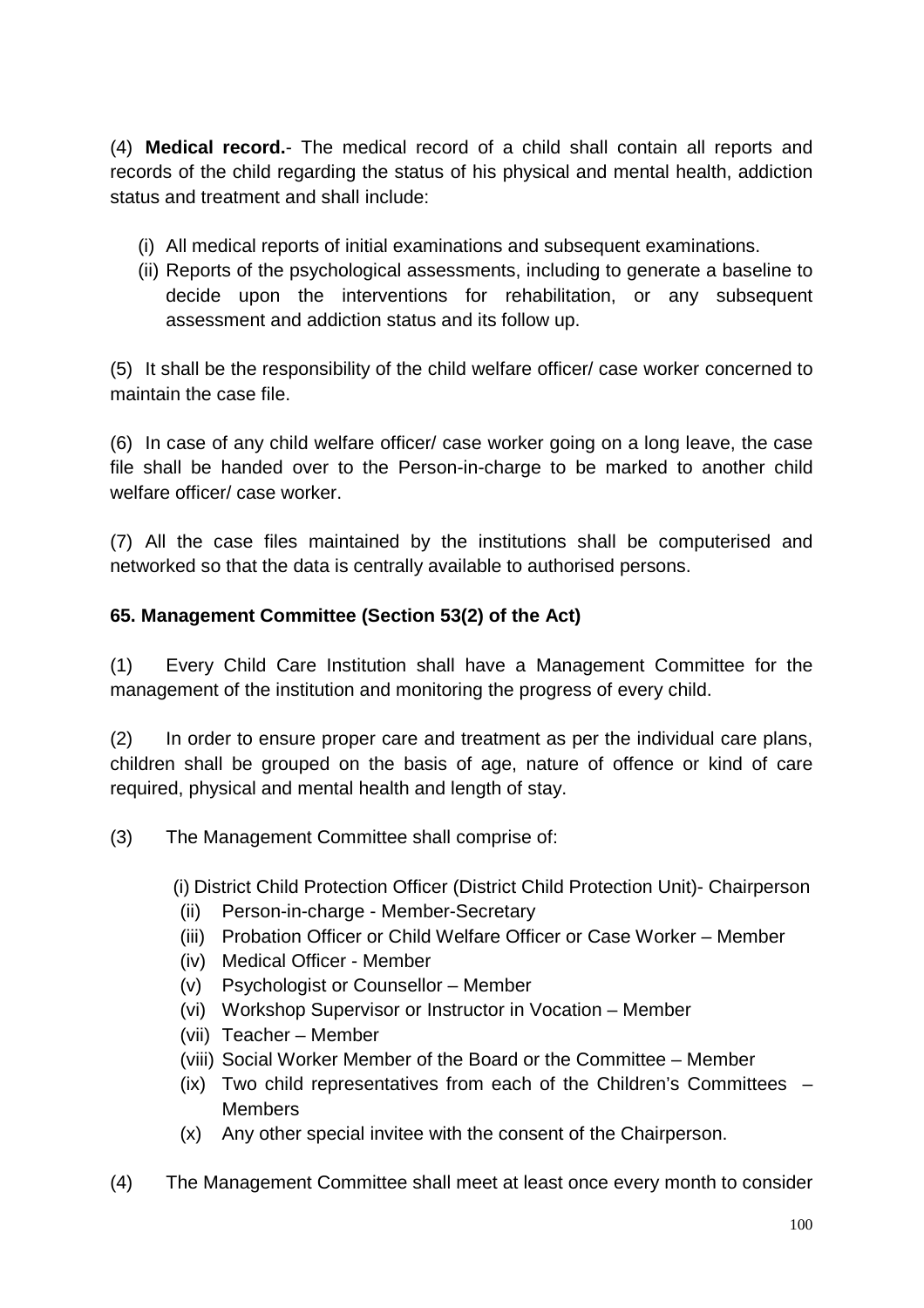(4) **Medical record.**- The medical record of a child shall contain all reports and records of the child regarding the status of his physical and mental health, addiction status and treatment and shall include:

- (i) All medical reports of initial examinations and subsequent examinations.
- (ii) Reports of the psychological assessments, including to generate a baseline to decide upon the interventions for rehabilitation, or any subsequent assessment and addiction status and its follow up.

(5) It shall be the responsibility of the child welfare officer/ case worker concerned to maintain the case file.

(6) In case of any child welfare officer/ case worker going on a long leave, the case file shall be handed over to the Person-in-charge to be marked to another child welfare officer/ case worker

(7) All the case files maintained by the institutions shall be computerised and networked so that the data is centrally available to authorised persons.

### **65. Management Committee (Section 53(2) of the Act)**

(1) Every Child Care Institution shall have a Management Committee for the management of the institution and monitoring the progress of every child.

(2) In order to ensure proper care and treatment as per the individual care plans, children shall be grouped on the basis of age, nature of offence or kind of care required, physical and mental health and length of stay.

(3) The Management Committee shall comprise of:

(i) District Child Protection Officer (District Child Protection Unit)- Chairperson

- (ii) Person-in-charge Member-Secretary
- (iii) Probation Officer or Child Welfare Officer or Case Worker Member
- (iv) Medical Officer Member
- (v) Psychologist or Counsellor Member
- (vi) Workshop Supervisor or Instructor in Vocation Member
- (vii) Teacher Member
- (viii) Social Worker Member of the Board or the Committee Member
- (ix) Two child representatives from each of the Children's Committees **Members**
- (x) Any other special invitee with the consent of the Chairperson.
- (4) The Management Committee shall meet at least once every month to consider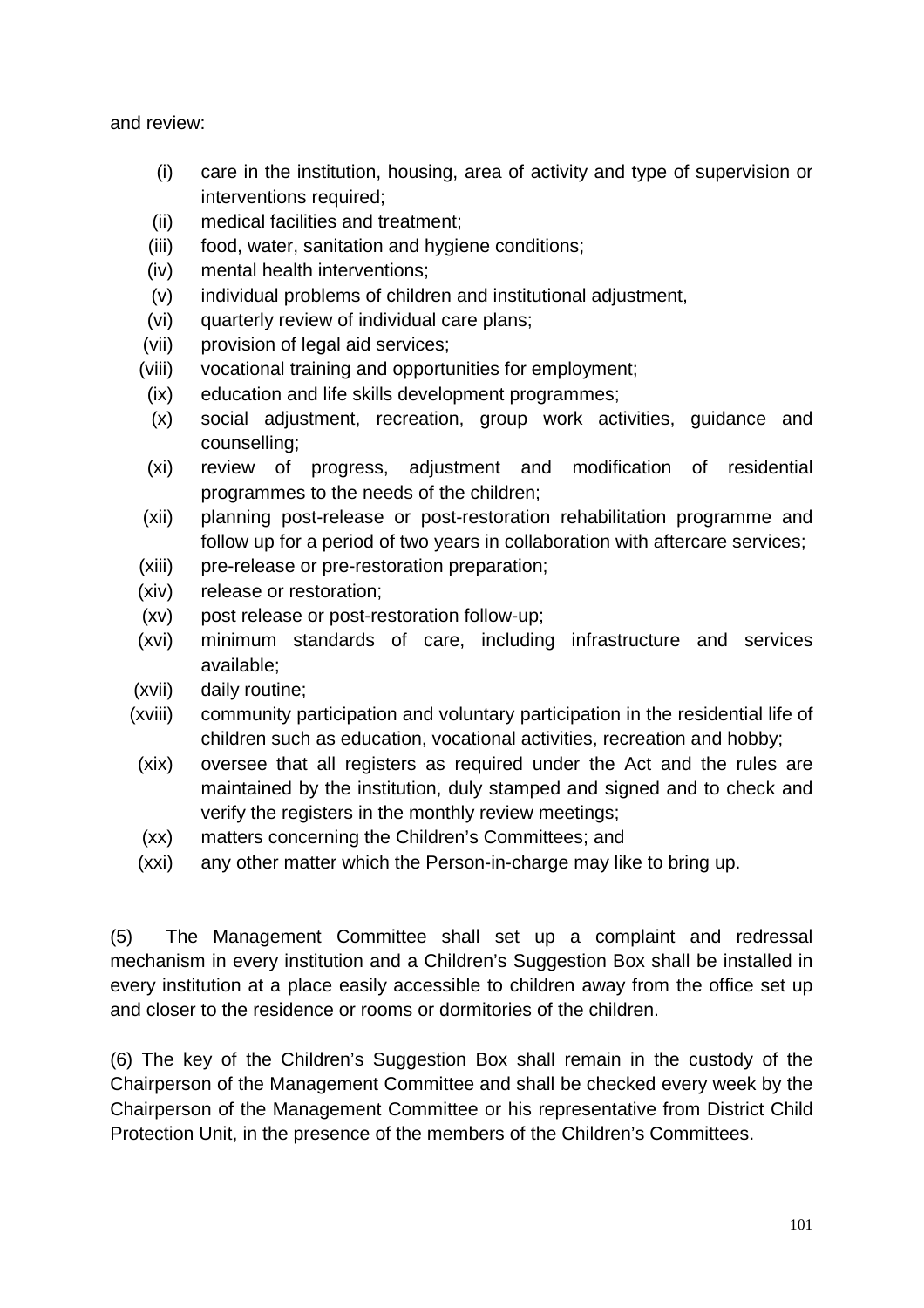and review:

- (i) care in the institution, housing, area of activity and type of supervision or interventions required:
- (ii) medical facilities and treatment;
- (iii) food, water, sanitation and hygiene conditions;
- (iv) mental health interventions;
- (v) individual problems of children and institutional adjustment,
- (vi) quarterly review of individual care plans;
- (vii) provision of legal aid services;
- (viii) vocational training and opportunities for employment;
- (ix) education and life skills development programmes;
- (x) social adjustment, recreation, group work activities, guidance and counselling;
- (xi) review of progress, adjustment and modification of residential programmes to the needs of the children;
- (xii) planning post-release or post-restoration rehabilitation programme and follow up for a period of two years in collaboration with aftercare services;
- (xiii) pre-release or pre-restoration preparation;
- (xiv) release or restoration;
- (xv) post release or post-restoration follow-up;
- (xvi) minimum standards of care, including infrastructure and services available;
- (xvii) daily routine;
- (xviii) community participation and voluntary participation in the residential life of children such as education, vocational activities, recreation and hobby;
- (xix) oversee that all registers as required under the Act and the rules are maintained by the institution, duly stamped and signed and to check and verify the registers in the monthly review meetings;
- (xx) matters concerning the Children's Committees; and
- (xxi) any other matter which the Person-in-charge may like to bring up.

(5) The Management Committee shall set up a complaint and redressal mechanism in every institution and a Children's Suggestion Box shall be installed in every institution at a place easily accessible to children away from the office set up and closer to the residence or rooms or dormitories of the children.

(6) The key of the Children's Suggestion Box shall remain in the custody of the Chairperson of the Management Committee and shall be checked every week by the Chairperson of the Management Committee or his representative from District Child Protection Unit, in the presence of the members of the Children's Committees.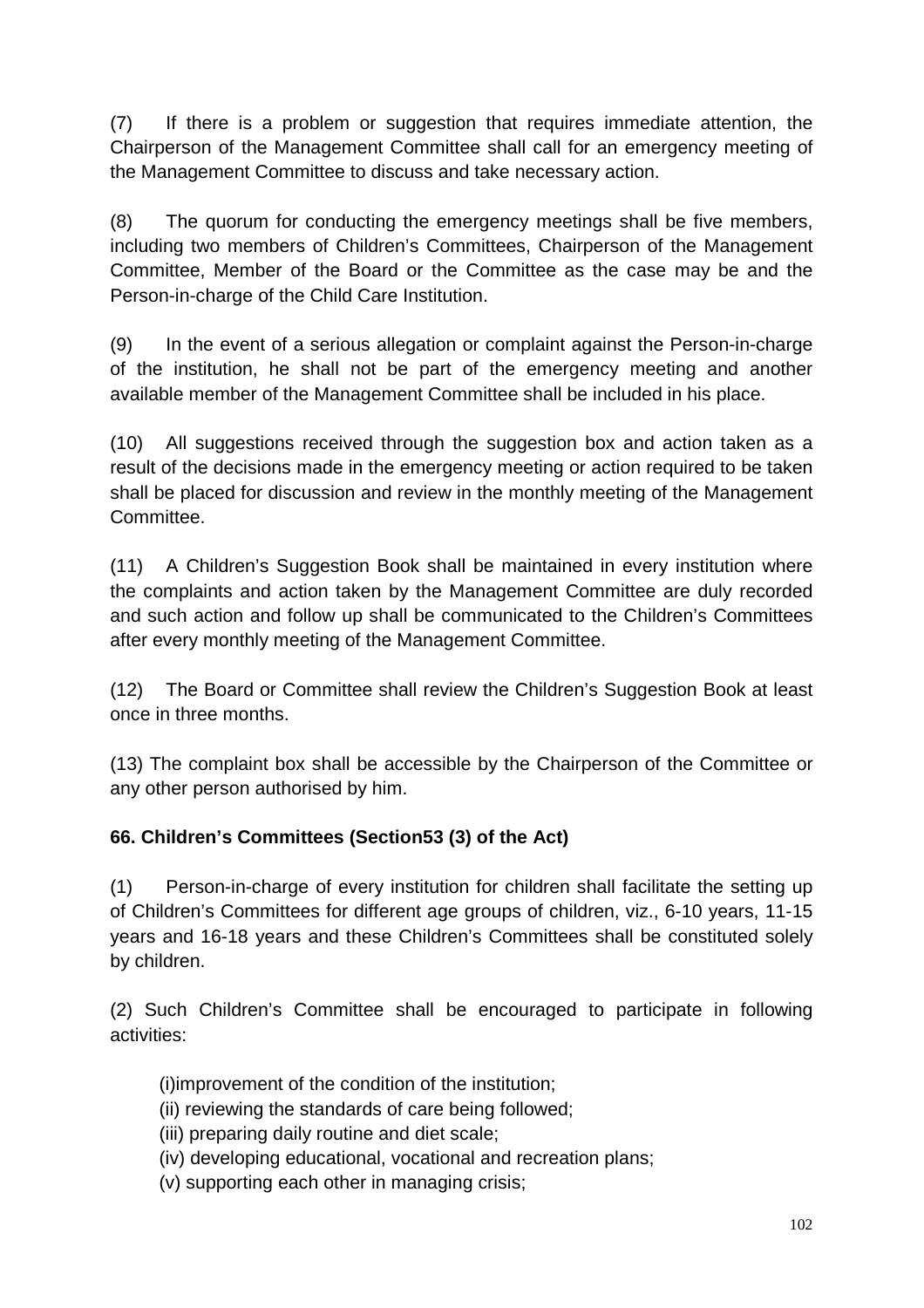(7) If there is a problem or suggestion that requires immediate attention, the Chairperson of the Management Committee shall call for an emergency meeting of the Management Committee to discuss and take necessary action.

(8) The quorum for conducting the emergency meetings shall be five members, including two members of Children's Committees, Chairperson of the Management Committee, Member of the Board or the Committee as the case may be and the Person-in-charge of the Child Care Institution.

(9) In the event of a serious allegation or complaint against the Person-in-charge of the institution, he shall not be part of the emergency meeting and another available member of the Management Committee shall be included in his place.

(10) All suggestions received through the suggestion box and action taken as a result of the decisions made in the emergency meeting or action required to be taken shall be placed for discussion and review in the monthly meeting of the Management Committee.

(11) A Children's Suggestion Book shall be maintained in every institution where the complaints and action taken by the Management Committee are duly recorded and such action and follow up shall be communicated to the Children's Committees after every monthly meeting of the Management Committee.

(12) The Board or Committee shall review the Children's Suggestion Book at least once in three months.

(13) The complaint box shall be accessible by the Chairperson of the Committee or any other person authorised by him.

# **66. Children's Committees (Section53 (3) of the Act)**

(1) Person-in-charge of every institution for children shall facilitate the setting up of Children's Committees for different age groups of children, viz., 6-10 years, 11-15 years and 16-18 years and these Children's Committees shall be constituted solely by children.

(2) Such Children's Committee shall be encouraged to participate in following activities:

(i)improvement of the condition of the institution;

- (ii) reviewing the standards of care being followed;
- (iii) preparing daily routine and diet scale;
- (iv) developing educational, vocational and recreation plans;
- (v) supporting each other in managing crisis;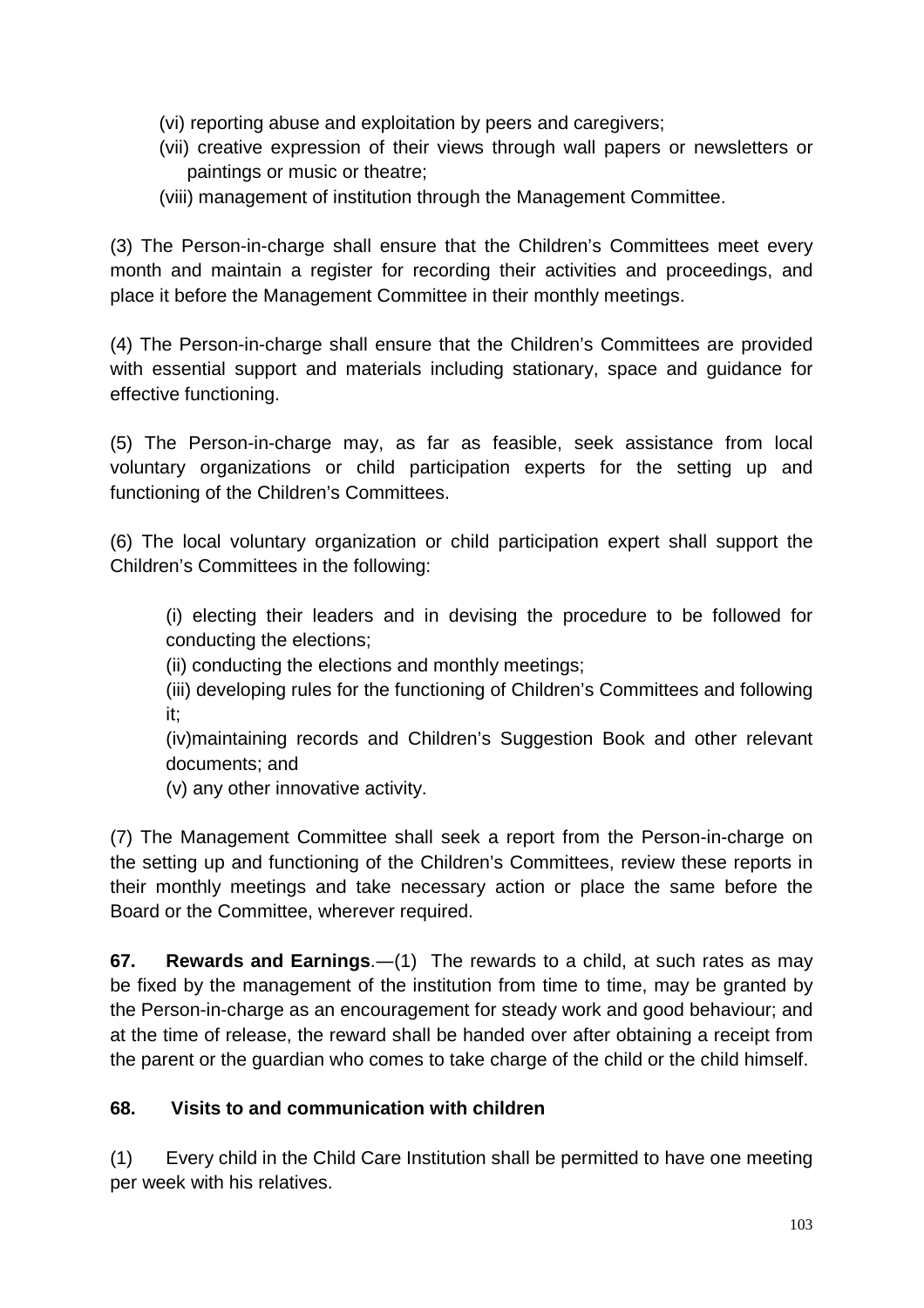- (vi) reporting abuse and exploitation by peers and caregivers;
- (vii) creative expression of their views through wall papers or newsletters or paintings or music or theatre;
- (viii) management of institution through the Management Committee.

(3) The Person-in-charge shall ensure that the Children's Committees meet every month and maintain a register for recording their activities and proceedings, and place it before the Management Committee in their monthly meetings.

(4) The Person-in-charge shall ensure that the Children's Committees are provided with essential support and materials including stationary, space and guidance for effective functioning.

(5) The Person-in-charge may, as far as feasible, seek assistance from local voluntary organizations or child participation experts for the setting up and functioning of the Children's Committees.

(6) The local voluntary organization or child participation expert shall support the Children's Committees in the following:

(i) electing their leaders and in devising the procedure to be followed for conducting the elections;

(ii) conducting the elections and monthly meetings;

(iii) developing rules for the functioning of Children's Committees and following it;

(iv)maintaining records and Children's Suggestion Book and other relevant documents; and

(v) any other innovative activity.

(7) The Management Committee shall seek a report from the Person-in-charge on the setting up and functioning of the Children's Committees, review these reports in their monthly meetings and take necessary action or place the same before the Board or the Committee, wherever required.

**67. Rewards and Earnings**.―(1) The rewards to a child, at such rates as may be fixed by the management of the institution from time to time, may be granted by the Person-in-charge as an encouragement for steady work and good behaviour; and at the time of release, the reward shall be handed over after obtaining a receipt from the parent or the guardian who comes to take charge of the child or the child himself.

### **68. Visits to and communication with children**

(1) Every child in the Child Care Institution shall be permitted to have one meeting per week with his relatives.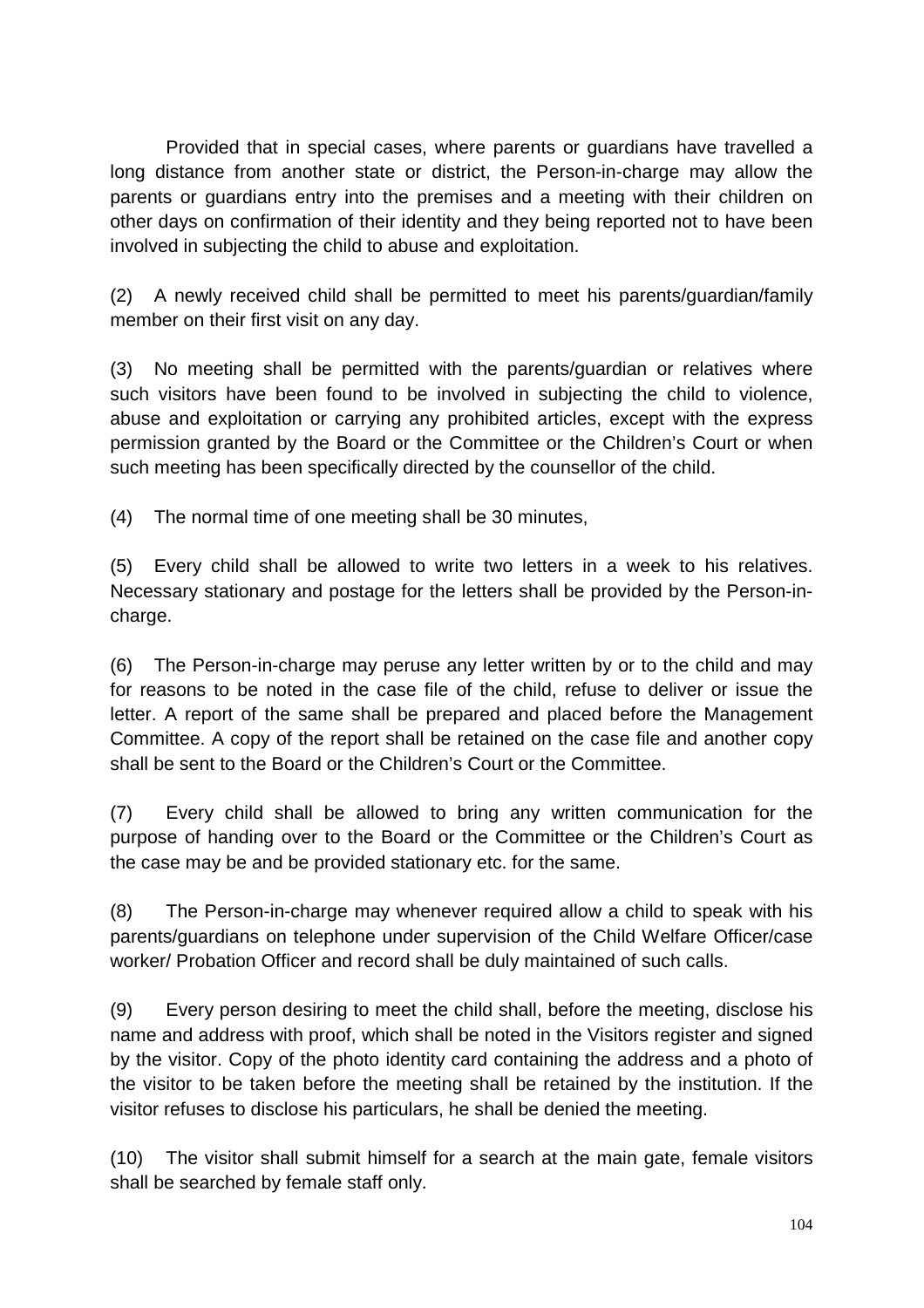Provided that in special cases, where parents or guardians have travelled a long distance from another state or district, the Person-in-charge may allow the parents or guardians entry into the premises and a meeting with their children on other days on confirmation of their identity and they being reported not to have been involved in subjecting the child to abuse and exploitation.

(2) A newly received child shall be permitted to meet his parents/guardian/family member on their first visit on any day.

(3) No meeting shall be permitted with the parents/guardian or relatives where such visitors have been found to be involved in subjecting the child to violence, abuse and exploitation or carrying any prohibited articles, except with the express permission granted by the Board or the Committee or the Children's Court or when such meeting has been specifically directed by the counsellor of the child.

(4) The normal time of one meeting shall be 30 minutes,

(5) Every child shall be allowed to write two letters in a week to his relatives. Necessary stationary and postage for the letters shall be provided by the Person-incharge.

(6) The Person-in-charge may peruse any letter written by or to the child and may for reasons to be noted in the case file of the child, refuse to deliver or issue the letter. A report of the same shall be prepared and placed before the Management Committee. A copy of the report shall be retained on the case file and another copy shall be sent to the Board or the Children's Court or the Committee.

(7) Every child shall be allowed to bring any written communication for the purpose of handing over to the Board or the Committee or the Children's Court as the case may be and be provided stationary etc. for the same.

(8) The Person-in-charge may whenever required allow a child to speak with his parents/guardians on telephone under supervision of the Child Welfare Officer/case worker/ Probation Officer and record shall be duly maintained of such calls.

(9) Every person desiring to meet the child shall, before the meeting, disclose his name and address with proof, which shall be noted in the Visitors register and signed by the visitor. Copy of the photo identity card containing the address and a photo of the visitor to be taken before the meeting shall be retained by the institution. If the visitor refuses to disclose his particulars, he shall be denied the meeting.

(10) The visitor shall submit himself for a search at the main gate, female visitors shall be searched by female staff only.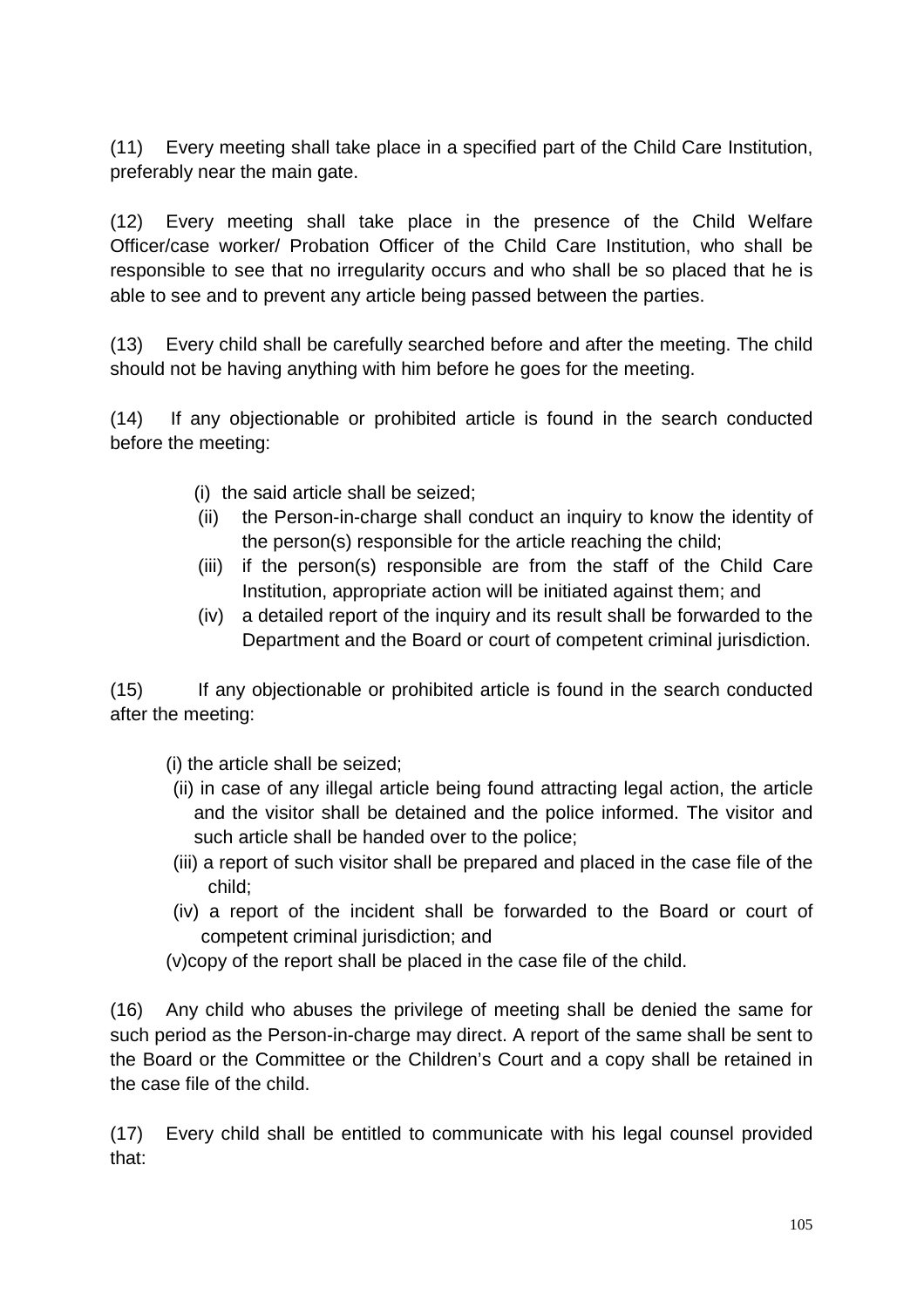(11) Every meeting shall take place in a specified part of the Child Care Institution, preferably near the main gate.

(12) Every meeting shall take place in the presence of the Child Welfare Officer/case worker/ Probation Officer of the Child Care Institution, who shall be responsible to see that no irregularity occurs and who shall be so placed that he is able to see and to prevent any article being passed between the parties.

(13) Every child shall be carefully searched before and after the meeting. The child should not be having anything with him before he goes for the meeting.

(14) If any objectionable or prohibited article is found in the search conducted before the meeting:

- (i) the said article shall be seized;
- (ii) the Person-in-charge shall conduct an inquiry to know the identity of the person(s) responsible for the article reaching the child;
- (iii) if the person(s) responsible are from the staff of the Child Care Institution, appropriate action will be initiated against them; and
- (iv) a detailed report of the inquiry and its result shall be forwarded to the Department and the Board or court of competent criminal jurisdiction.

(15) If any objectionable or prohibited article is found in the search conducted after the meeting:

(i) the article shall be seized;

- (ii) in case of any illegal article being found attracting legal action, the article and the visitor shall be detained and the police informed. The visitor and such article shall be handed over to the police;
- (iii) a report of such visitor shall be prepared and placed in the case file of the child;
- (iv) a report of the incident shall be forwarded to the Board or court of competent criminal jurisdiction; and
- (v)copy of the report shall be placed in the case file of the child.

(16) Any child who abuses the privilege of meeting shall be denied the same for such period as the Person-in-charge may direct. A report of the same shall be sent to the Board or the Committee or the Children's Court and a copy shall be retained in the case file of the child.

(17) Every child shall be entitled to communicate with his legal counsel provided that: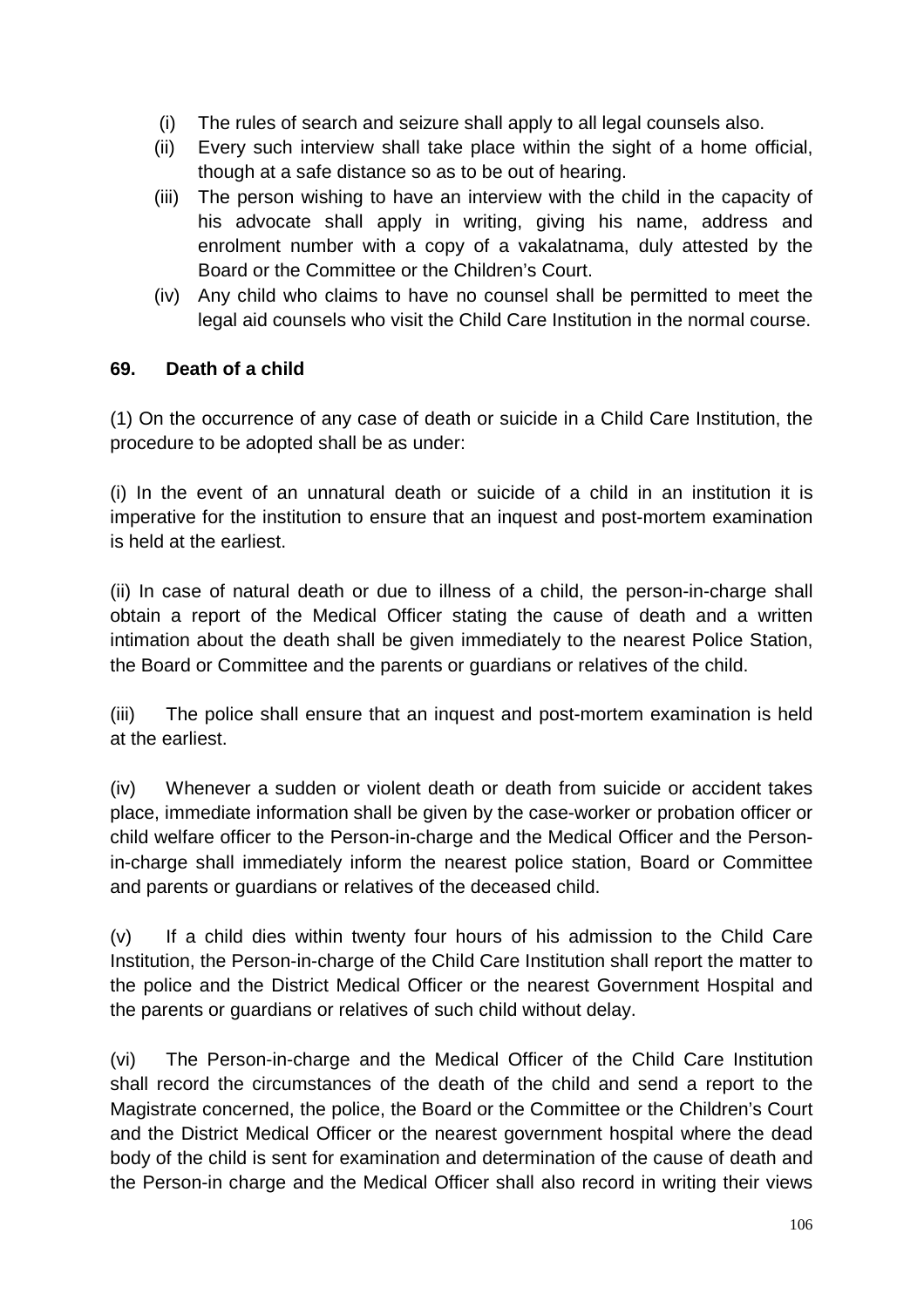- (i) The rules of search and seizure shall apply to all legal counsels also.
- (ii) Every such interview shall take place within the sight of a home official, though at a safe distance so as to be out of hearing.
- (iii) The person wishing to have an interview with the child in the capacity of his advocate shall apply in writing, giving his name, address and enrolment number with a copy of a vakalatnama, duly attested by the Board or the Committee or the Children's Court.
- (iv) Any child who claims to have no counsel shall be permitted to meet the legal aid counsels who visit the Child Care Institution in the normal course.

#### **69. Death of a child**

(1) On the occurrence of any case of death or suicide in a Child Care Institution, the procedure to be adopted shall be as under:

(i) In the event of an unnatural death or suicide of a child in an institution it is imperative for the institution to ensure that an inquest and post-mortem examination is held at the earliest.

(ii) In case of natural death or due to illness of a child, the person-in-charge shall obtain a report of the Medical Officer stating the cause of death and a written intimation about the death shall be given immediately to the nearest Police Station, the Board or Committee and the parents or guardians or relatives of the child.

(iii) The police shall ensure that an inquest and post-mortem examination is held at the earliest.

(iv) Whenever a sudden or violent death or death from suicide or accident takes place, immediate information shall be given by the case-worker or probation officer or child welfare officer to the Person-in-charge and the Medical Officer and the Personin-charge shall immediately inform the nearest police station, Board or Committee and parents or guardians or relatives of the deceased child.

(v) If a child dies within twenty four hours of his admission to the Child Care Institution, the Person-in-charge of the Child Care Institution shall report the matter to the police and the District Medical Officer or the nearest Government Hospital and the parents or guardians or relatives of such child without delay.

(vi) The Person-in-charge and the Medical Officer of the Child Care Institution shall record the circumstances of the death of the child and send a report to the Magistrate concerned, the police, the Board or the Committee or the Children's Court and the District Medical Officer or the nearest government hospital where the dead body of the child is sent for examination and determination of the cause of death and the Person-in charge and the Medical Officer shall also record in writing their views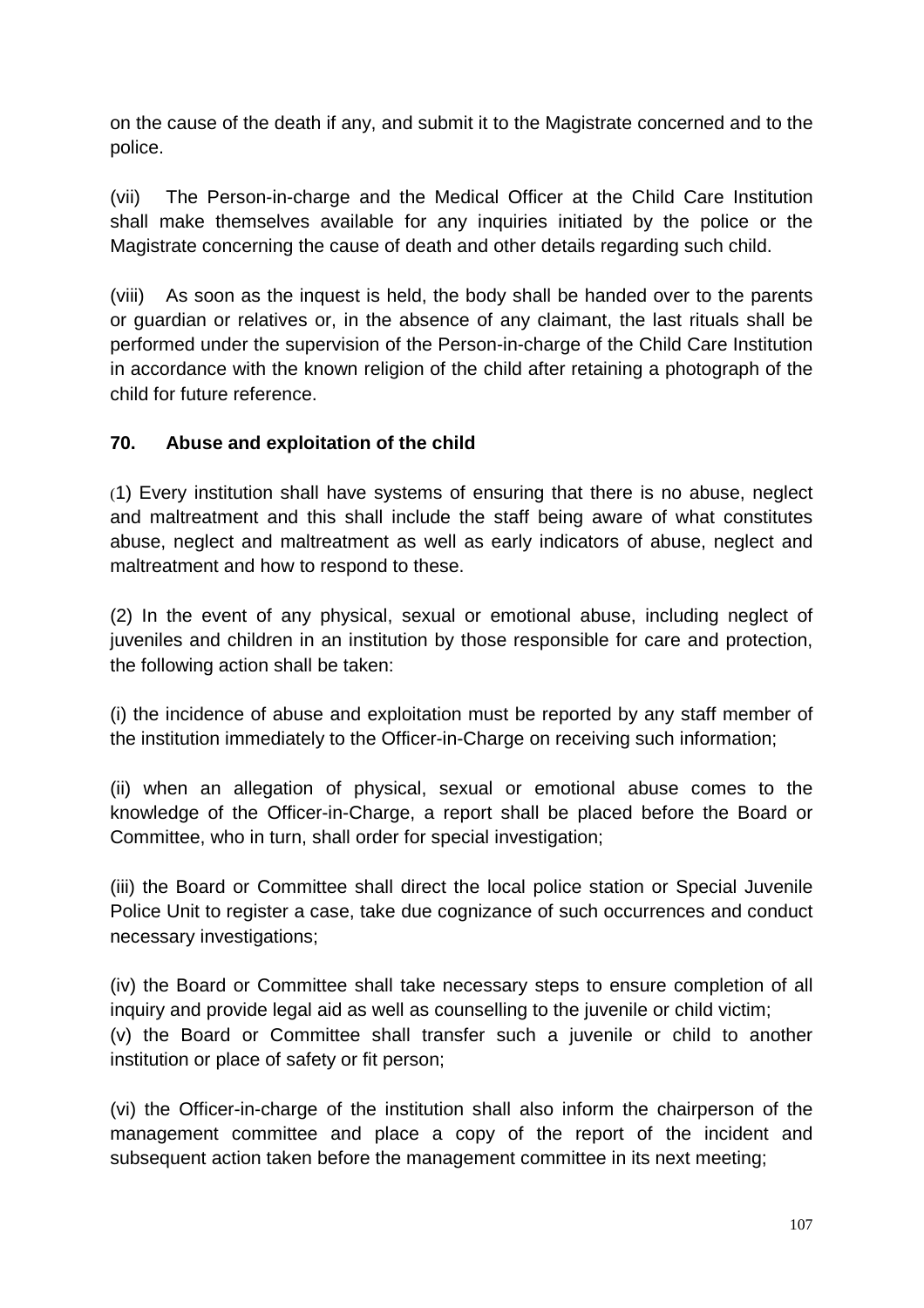on the cause of the death if any, and submit it to the Magistrate concerned and to the police.

(vii) The Person-in-charge and the Medical Officer at the Child Care Institution shall make themselves available for any inquiries initiated by the police or the Magistrate concerning the cause of death and other details regarding such child.

(viii) As soon as the inquest is held, the body shall be handed over to the parents or guardian or relatives or, in the absence of any claimant, the last rituals shall be performed under the supervision of the Person-in-charge of the Child Care Institution in accordance with the known religion of the child after retaining a photograph of the child for future reference.

### **70. Abuse and exploitation of the child**

(1) Every institution shall have systems of ensuring that there is no abuse, neglect and maltreatment and this shall include the staff being aware of what constitutes abuse, neglect and maltreatment as well as early indicators of abuse, neglect and maltreatment and how to respond to these.

(2) In the event of any physical, sexual or emotional abuse, including neglect of juveniles and children in an institution by those responsible for care and protection. the following action shall be taken:

(i) the incidence of abuse and exploitation must be reported by any staff member of the institution immediately to the Officer-in-Charge on receiving such information;

(ii) when an allegation of physical, sexual or emotional abuse comes to the knowledge of the Officer-in-Charge, a report shall be placed before the Board or Committee, who in turn, shall order for special investigation;

(iii) the Board or Committee shall direct the local police station or Special Juvenile Police Unit to register a case, take due cognizance of such occurrences and conduct necessary investigations;

(iv) the Board or Committee shall take necessary steps to ensure completion of all inquiry and provide legal aid as well as counselling to the juvenile or child victim; (v) the Board or Committee shall transfer such a juvenile or child to another institution or place of safety or fit person;

(vi) the Officer-in-charge of the institution shall also inform the chairperson of the management committee and place a copy of the report of the incident and subsequent action taken before the management committee in its next meeting;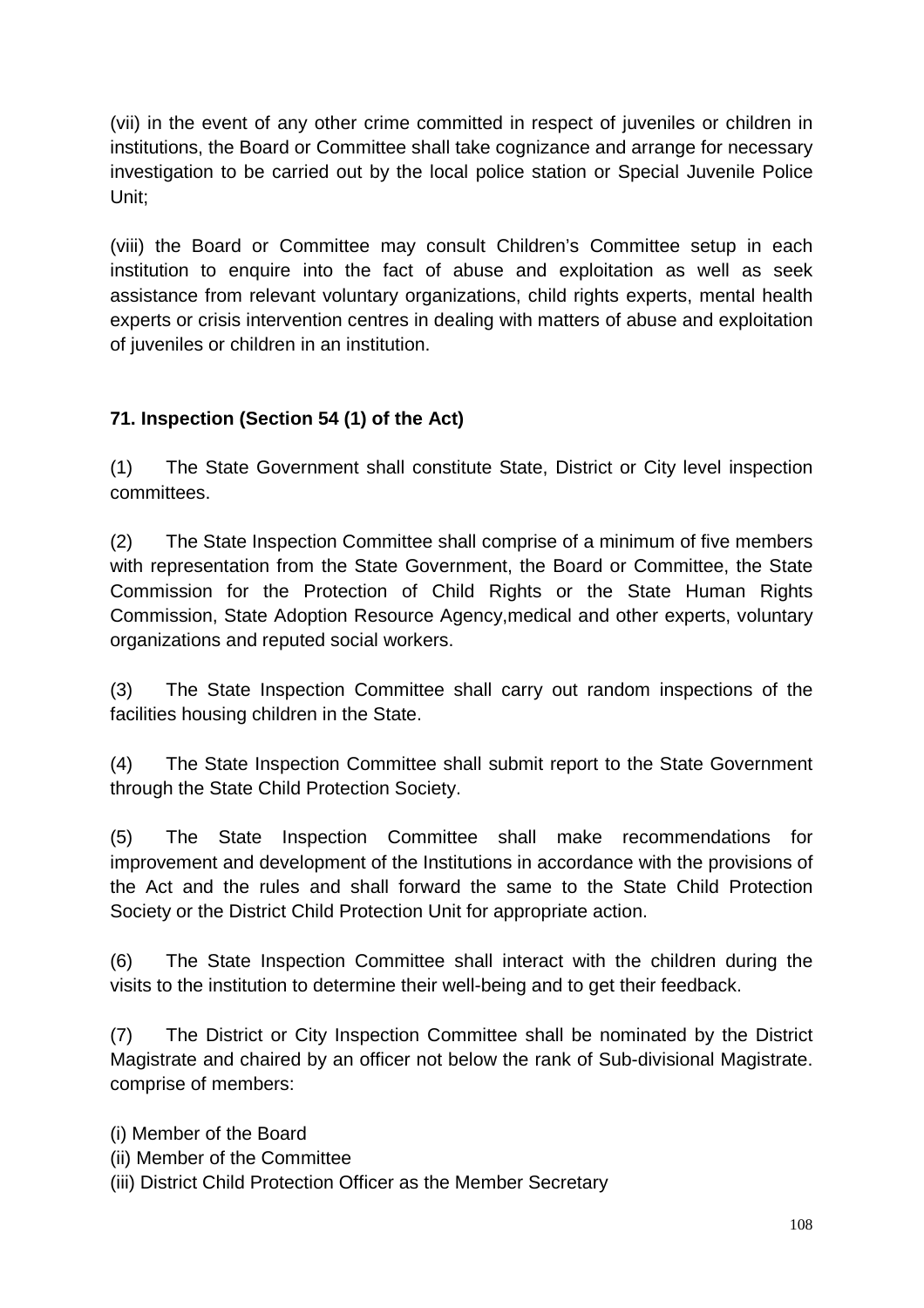(vii) in the event of any other crime committed in respect of juveniles or children in institutions, the Board or Committee shall take cognizance and arrange for necessary investigation to be carried out by the local police station or Special Juvenile Police Unit;

(viii) the Board or Committee may consult Children's Committee setup in each institution to enquire into the fact of abuse and exploitation as well as seek assistance from relevant voluntary organizations, child rights experts, mental health experts or crisis intervention centres in dealing with matters of abuse and exploitation of juveniles or children in an institution.

# **71. Inspection (Section 54 (1) of the Act)**

(1) The State Government shall constitute State, District or City level inspection committees.

(2) The State Inspection Committee shall comprise of a minimum of five members with representation from the State Government, the Board or Committee, the State Commission for the Protection of Child Rights or the State Human Rights Commission, State Adoption Resource Agency,medical and other experts, voluntary organizations and reputed social workers.

(3) The State Inspection Committee shall carry out random inspections of the facilities housing children in the State.

(4) The State Inspection Committee shall submit report to the State Government through the State Child Protection Society.

(5) The State Inspection Committee shall make recommendations for improvement and development of the Institutions in accordance with the provisions of the Act and the rules and shall forward the same to the State Child Protection Society or the District Child Protection Unit for appropriate action.

(6) The State Inspection Committee shall interact with the children during the visits to the institution to determine their well-being and to get their feedback.

(7) The District or City Inspection Committee shall be nominated by the District Magistrate and chaired by an officer not below the rank of Sub-divisional Magistrate. comprise of members:

(i) Member of the Board

(ii) Member of the Committee

(iii) District Child Protection Officer as the Member Secretary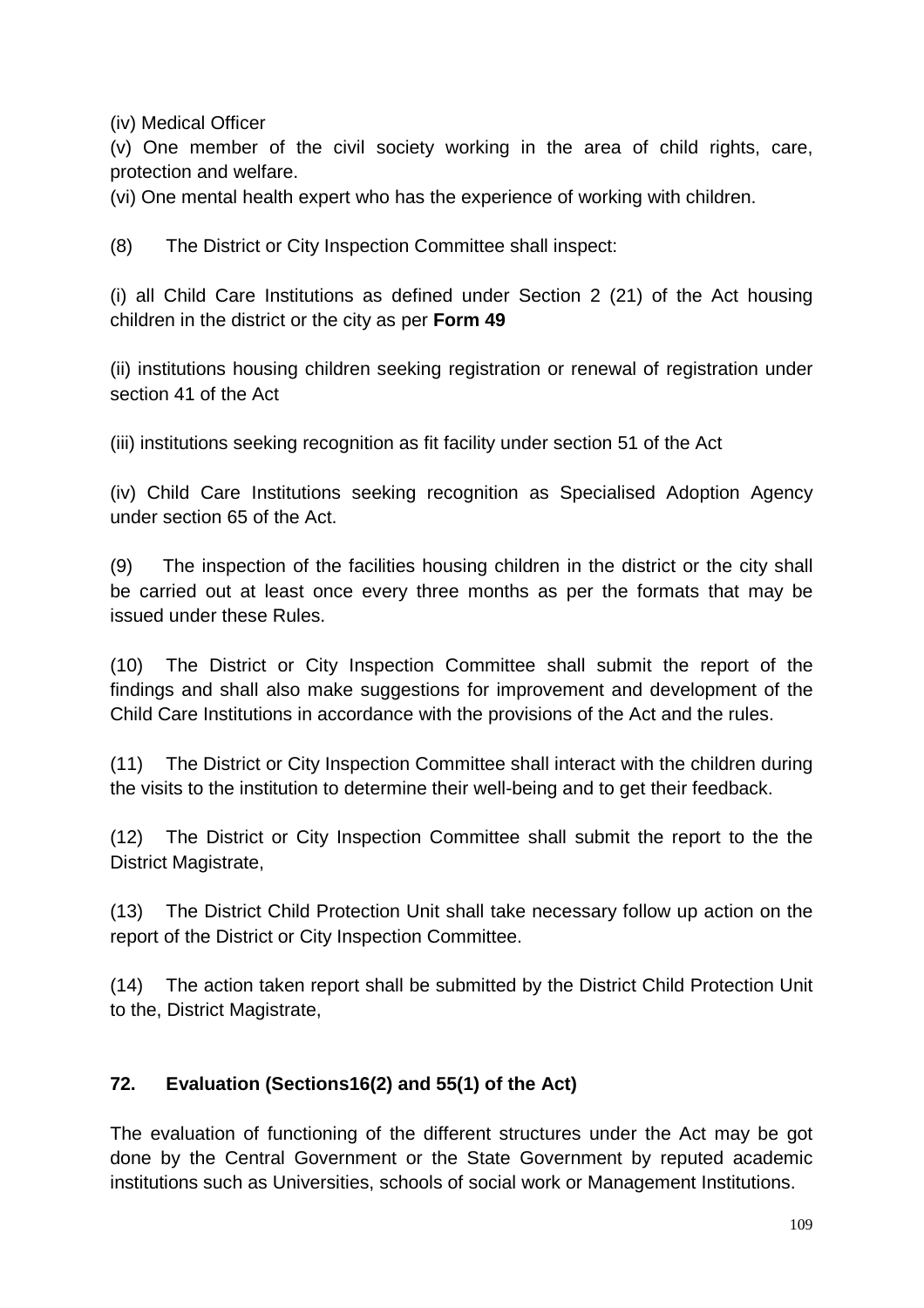(iv) Medical Officer

(v) One member of the civil society working in the area of child rights, care, protection and welfare.

(vi) One mental health expert who has the experience of working with children.

(8) The District or City Inspection Committee shall inspect:

(i) all Child Care Institutions as defined under Section 2 (21) of the Act housing children in the district or the city as per **Form 49**

(ii) institutions housing children seeking registration or renewal of registration under section 41 of the Act

(iii) institutions seeking recognition as fit facility under section 51 of the Act

(iv) Child Care Institutions seeking recognition as Specialised Adoption Agency under section 65 of the Act.

(9) The inspection of the facilities housing children in the district or the city shall be carried out at least once every three months as per the formats that may be issued under these Rules.

(10) The District or City Inspection Committee shall submit the report of the findings and shall also make suggestions for improvement and development of the Child Care Institutions in accordance with the provisions of the Act and the rules.

(11) The District or City Inspection Committee shall interact with the children during the visits to the institution to determine their well-being and to get their feedback.

(12) The District or City Inspection Committee shall submit the report to the the District Magistrate,

(13) The District Child Protection Unit shall take necessary follow up action on the report of the District or City Inspection Committee.

(14) The action taken report shall be submitted by the District Child Protection Unit to the, District Magistrate,

#### **72. Evaluation (Sections16(2) and 55(1) of the Act)**

The evaluation of functioning of the different structures under the Act may be got done by the Central Government or the State Government by reputed academic institutions such as Universities, schools of social work or Management Institutions.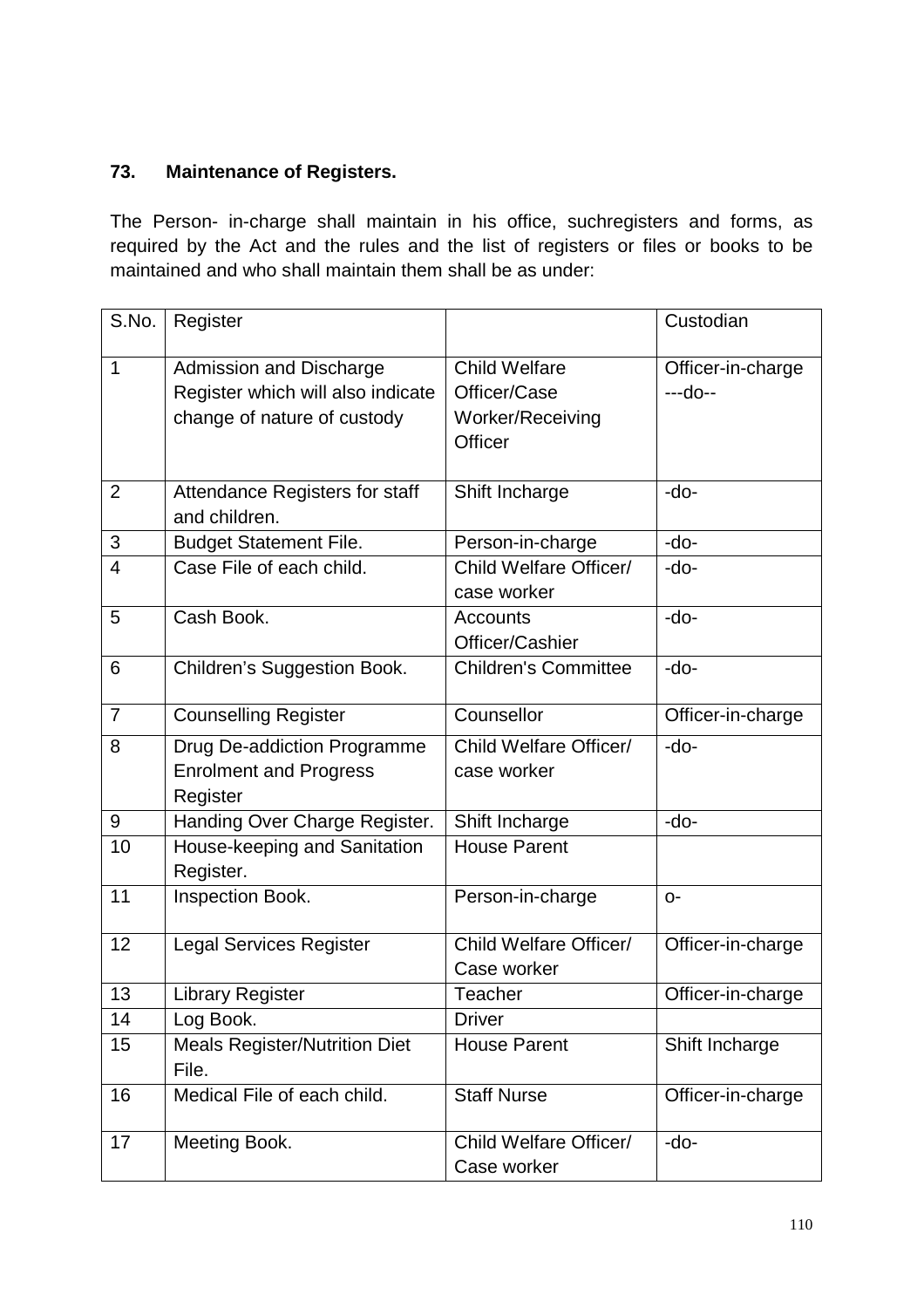### **73. Maintenance of Registers.**

The Person- in-charge shall maintain in his office, suchregisters and forms, as required by the Act and the rules and the list of registers or files or books to be maintained and who shall maintain them shall be as under:

| S.No.          | Register                                                                                    |                                                                            | Custodian                    |
|----------------|---------------------------------------------------------------------------------------------|----------------------------------------------------------------------------|------------------------------|
| 1              | Admission and Discharge<br>Register which will also indicate<br>change of nature of custody | <b>Child Welfare</b><br>Officer/Case<br>Worker/Receiving<br><b>Officer</b> | Officer-in-charge<br>---do-- |
| $\overline{2}$ | Attendance Registers for staff<br>and children.                                             | Shift Incharge                                                             | $-do-$                       |
| 3              | <b>Budget Statement File.</b>                                                               | Person-in-charge                                                           | -do-                         |
| 4              | Case File of each child.                                                                    | Child Welfare Officer/<br>case worker                                      | $-do-$                       |
| 5              | Cash Book.                                                                                  | Accounts<br>Officer/Cashier                                                | -do-                         |
| 6              | Children's Suggestion Book.                                                                 | <b>Children's Committee</b>                                                | -do-                         |
| $\overline{7}$ | <b>Counselling Register</b>                                                                 | Counsellor                                                                 | Officer-in-charge            |
| 8              | Drug De-addiction Programme<br><b>Enrolment and Progress</b><br>Register                    | Child Welfare Officer/<br>case worker                                      | -do-                         |
| 9              | Handing Over Charge Register.                                                               | Shift Incharge                                                             | -do-                         |
| 10             | House-keeping and Sanitation<br>Register.                                                   | House Parent                                                               |                              |
| 11             | Inspection Book.                                                                            | Person-in-charge                                                           | $O -$                        |
| 12             | <b>Legal Services Register</b>                                                              | Child Welfare Officer/<br>Case worker                                      | Officer-in-charge            |
| 13             | <b>Library Register</b>                                                                     | Teacher                                                                    | Officer-in-charge            |
| 14             | Log Book.                                                                                   | <b>Driver</b>                                                              |                              |
| 15             | <b>Meals Register/Nutrition Diet</b><br>File.                                               | <b>House Parent</b>                                                        | Shift Incharge               |
| 16             | Medical File of each child.                                                                 | <b>Staff Nurse</b>                                                         | Officer-in-charge            |
| 17             | Meeting Book.                                                                               | Child Welfare Officer/<br>Case worker                                      | -do-                         |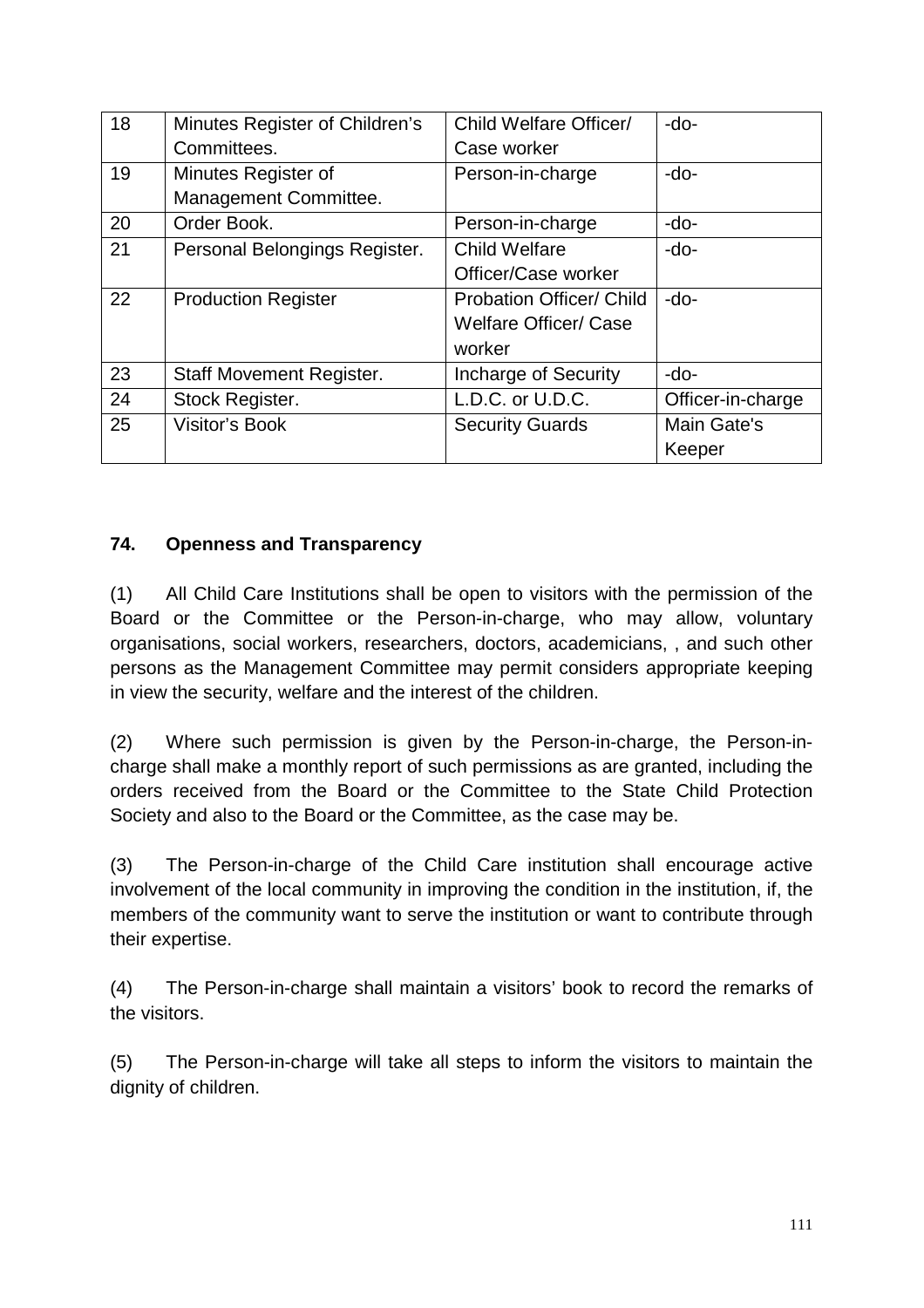| 18 | Minutes Register of Children's  | Child Welfare Officer/          | $-do-$            |
|----|---------------------------------|---------------------------------|-------------------|
|    | Committees.                     | Case worker                     |                   |
| 19 | Minutes Register of             | Person-in-charge                | $-do-$            |
|    | Management Committee.           |                                 |                   |
| 20 | Order Book.                     | Person-in-charge                | -do-              |
| 21 | Personal Belongings Register.   | <b>Child Welfare</b>            | $-do-$            |
|    |                                 | Officer/Case worker             |                   |
| 22 | <b>Production Register</b>      | <b>Probation Officer/ Child</b> | $-do-$            |
|    |                                 | <b>Welfare Officer/ Case</b>    |                   |
|    |                                 | worker                          |                   |
| 23 | <b>Staff Movement Register.</b> | Incharge of Security            | $-do-$            |
| 24 | Stock Register.                 | L.D.C. or U.D.C.                | Officer-in-charge |
| 25 | <b>Visitor's Book</b>           | <b>Security Guards</b>          | Main Gate's       |
|    |                                 |                                 | Keeper            |

### **74. Openness and Transparency**

(1) All Child Care Institutions shall be open to visitors with the permission of the Board or the Committee or the Person-in-charge, who may allow, voluntary organisations, social workers, researchers, doctors, academicians, , and such other persons as the Management Committee may permit considers appropriate keeping in view the security, welfare and the interest of the children.

(2) Where such permission is given by the Person-in-charge, the Person-incharge shall make a monthly report of such permissions as are granted, including the orders received from the Board or the Committee to the State Child Protection Society and also to the Board or the Committee, as the case may be.

(3) The Person-in-charge of the Child Care institution shall encourage active involvement of the local community in improving the condition in the institution, if, the members of the community want to serve the institution or want to contribute through their expertise.

(4) The Person-in-charge shall maintain a visitors' book to record the remarks of the visitors.

(5) The Person-in-charge will take all steps to inform the visitors to maintain the dignity of children.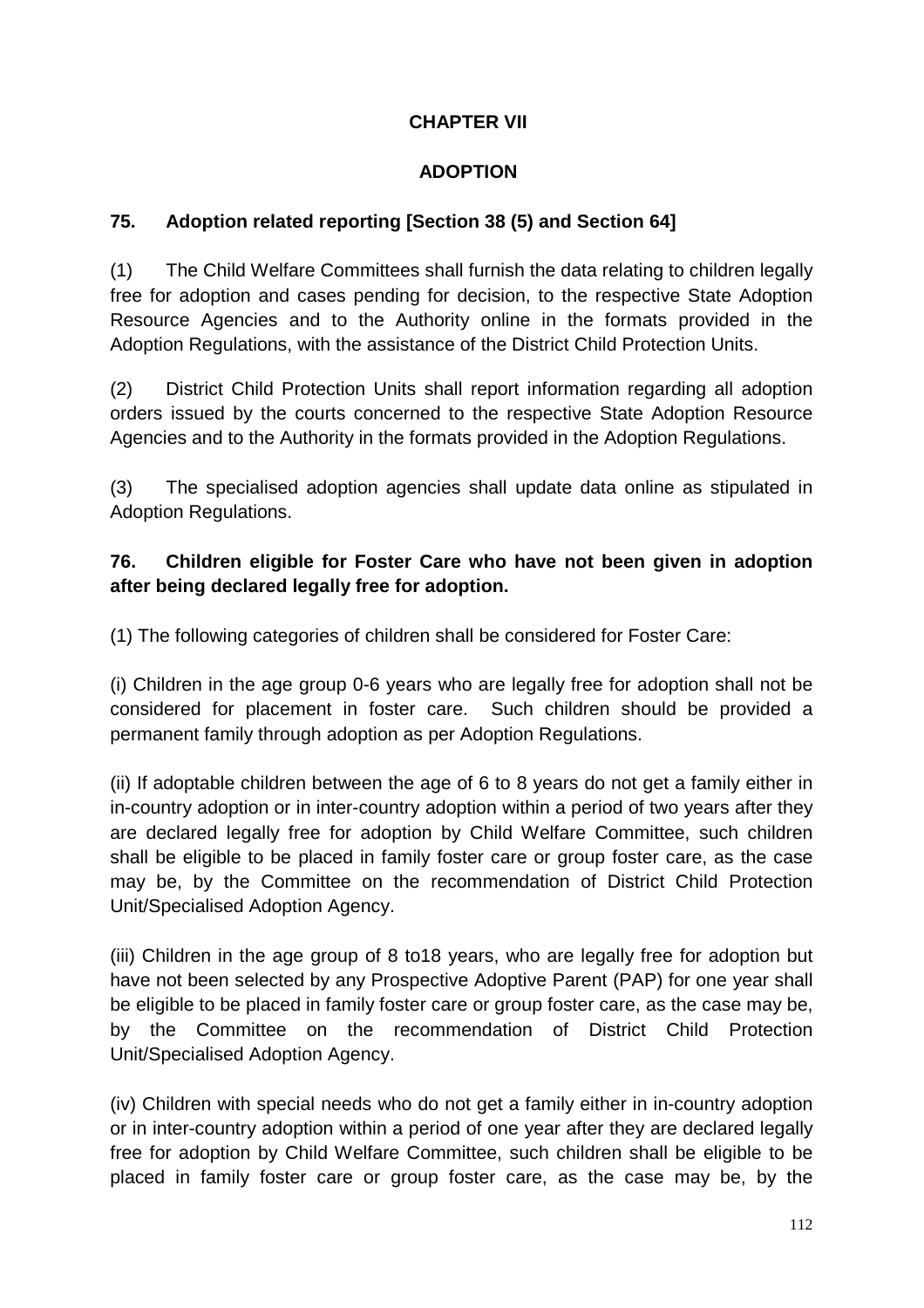### **CHAPTER VII**

### **ADOPTION**

### **75. Adoption related reporting [Section 38 (5) and Section 64]**

(1) The Child Welfare Committees shall furnish the data relating to children legally free for adoption and cases pending for decision, to the respective State Adoption Resource Agencies and to the Authority online in the formats provided in the Adoption Regulations, with the assistance of the District Child Protection Units.

(2) District Child Protection Units shall report information regarding all adoption orders issued by the courts concerned to the respective State Adoption Resource Agencies and to the Authority in the formats provided in the Adoption Regulations.

(3) The specialised adoption agencies shall update data online as stipulated in Adoption Regulations.

### **76. Children eligible for Foster Care who have not been given in adoption after being declared legally free for adoption.**

(1) The following categories of children shall be considered for Foster Care:

(i) Children in the age group 0-6 years who are legally free for adoption shall not be considered for placement in foster care. Such children should be provided a permanent family through adoption as per Adoption Regulations.

(ii) If adoptable children between the age of 6 to 8 years do not get a family either in in-country adoption or in inter-country adoption within a period of two years after they are declared legally free for adoption by Child Welfare Committee, such children shall be eligible to be placed in family foster care or group foster care, as the case may be, by the Committee on the recommendation of District Child Protection Unit/Specialised Adoption Agency.

(iii) Children in the age group of 8 to18 years, who are legally free for adoption but have not been selected by any Prospective Adoptive Parent (PAP) for one year shall be eligible to be placed in family foster care or group foster care, as the case may be, by the Committee on the recommendation of District Child Protection Unit/Specialised Adoption Agency.

(iv) Children with special needs who do not get a family either in in-country adoption or in inter-country adoption within a period of one year after they are declared legally free for adoption by Child Welfare Committee, such children shall be eligible to be placed in family foster care or group foster care, as the case may be, by the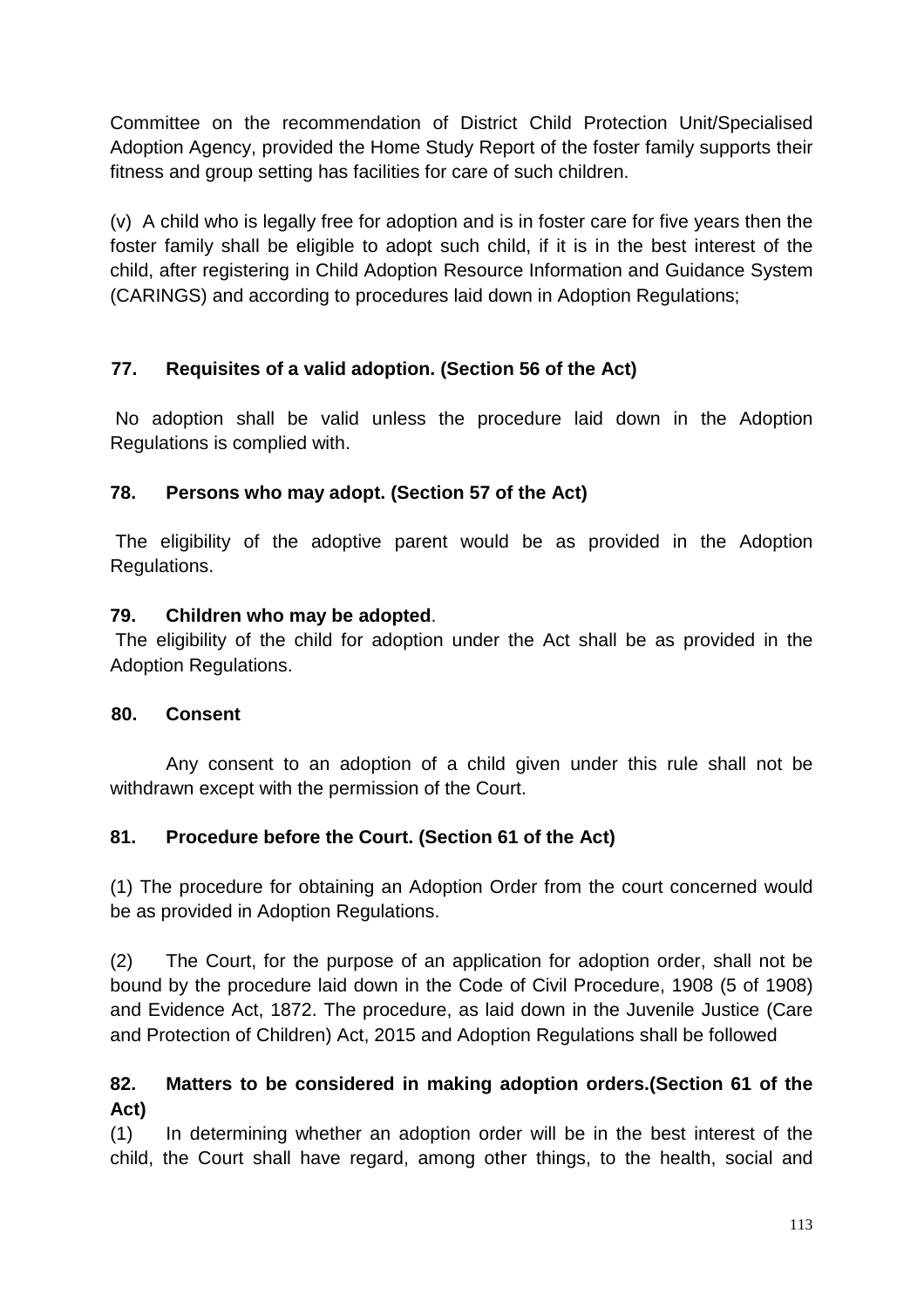Committee on the recommendation of District Child Protection Unit/Specialised Adoption Agency, provided the Home Study Report of the foster family supports their fitness and group setting has facilities for care of such children.

(v) A child who is legally free for adoption and is in foster care for five years then the foster family shall be eligible to adopt such child, if it is in the best interest of the child, after registering in Child Adoption Resource Information and Guidance System (CARINGS) and according to procedures laid down in Adoption Regulations;

### **77. Requisites of a valid adoption. (Section 56 of the Act)**

 No adoption shall be valid unless the procedure laid down in the Adoption Regulations is complied with.

### **78. Persons who may adopt. (Section 57 of the Act)**

 The eligibility of the adoptive parent would be as provided in the Adoption Regulations.

#### **79. Children who may be adopted**.

 The eligibility of the child for adoption under the Act shall be as provided in the Adoption Regulations.

#### **80. Consent**

 Any consent to an adoption of a child given under this rule shall not be withdrawn except with the permission of the Court.

# **81. Procedure before the Court. (Section 61 of the Act)**

(1) The procedure for obtaining an Adoption Order from the court concerned would be as provided in Adoption Regulations.

(2) The Court, for the purpose of an application for adoption order, shall not be bound by the procedure laid down in the Code of Civil Procedure, 1908 (5 of 1908) and Evidence Act, 1872. The procedure, as laid down in the Juvenile Justice (Care and Protection of Children) Act, 2015 and Adoption Regulations shall be followed

# **82. Matters to be considered in making adoption orders.(Section 61 of the Act)**

(1) In determining whether an adoption order will be in the best interest of the child, the Court shall have regard, among other things, to the health, social and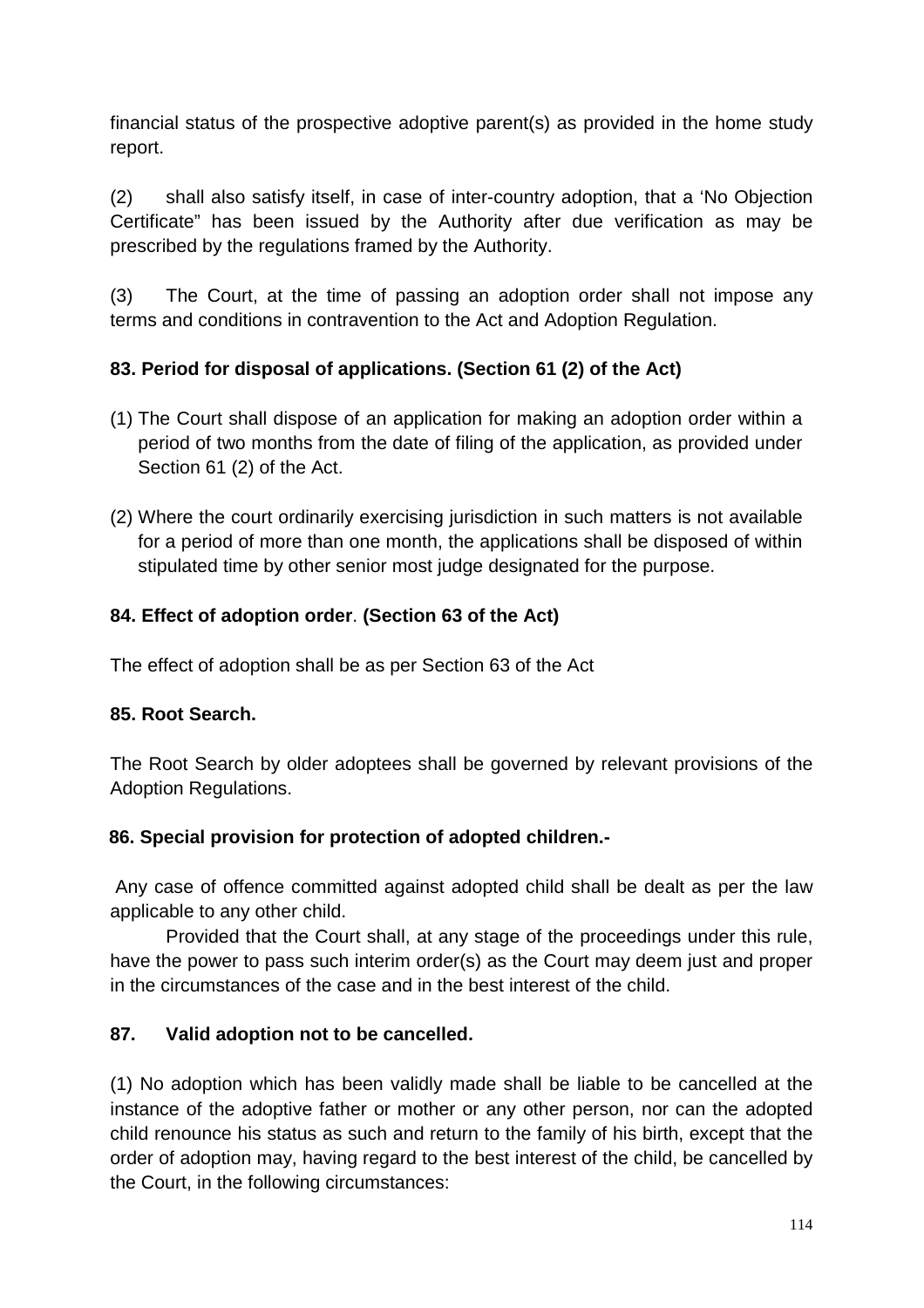financial status of the prospective adoptive parent(s) as provided in the home study report.

(2) shall also satisfy itself, in case of inter-country adoption, that a 'No Objection Certificate" has been issued by the Authority after due verification as may be prescribed by the regulations framed by the Authority.

(3) The Court, at the time of passing an adoption order shall not impose any terms and conditions in contravention to the Act and Adoption Regulation.

# **83. Period for disposal of applications. (Section 61 (2) of the Act)**

- (1) The Court shall dispose of an application for making an adoption order within a period of two months from the date of filing of the application, as provided under Section 61 (2) of the Act.
- (2) Where the court ordinarily exercising jurisdiction in such matters is not available for a period of more than one month, the applications shall be disposed of within stipulated time by other senior most judge designated for the purpose.

# **84. Effect of adoption order**. **(Section 63 of the Act)**

The effect of adoption shall be as per Section 63 of the Act

#### **85. Root Search.**

The Root Search by older adoptees shall be governed by relevant provisions of the Adoption Regulations.

# **86. Special provision for protection of adopted children.-**

 Any case of offence committed against adopted child shall be dealt as per the law applicable to any other child.

Provided that the Court shall, at any stage of the proceedings under this rule, have the power to pass such interim order(s) as the Court may deem just and proper in the circumstances of the case and in the best interest of the child.

#### **87. Valid adoption not to be cancelled.**

(1) No adoption which has been validly made shall be liable to be cancelled at the instance of the adoptive father or mother or any other person, nor can the adopted child renounce his status as such and return to the family of his birth, except that the order of adoption may, having regard to the best interest of the child, be cancelled by the Court, in the following circumstances: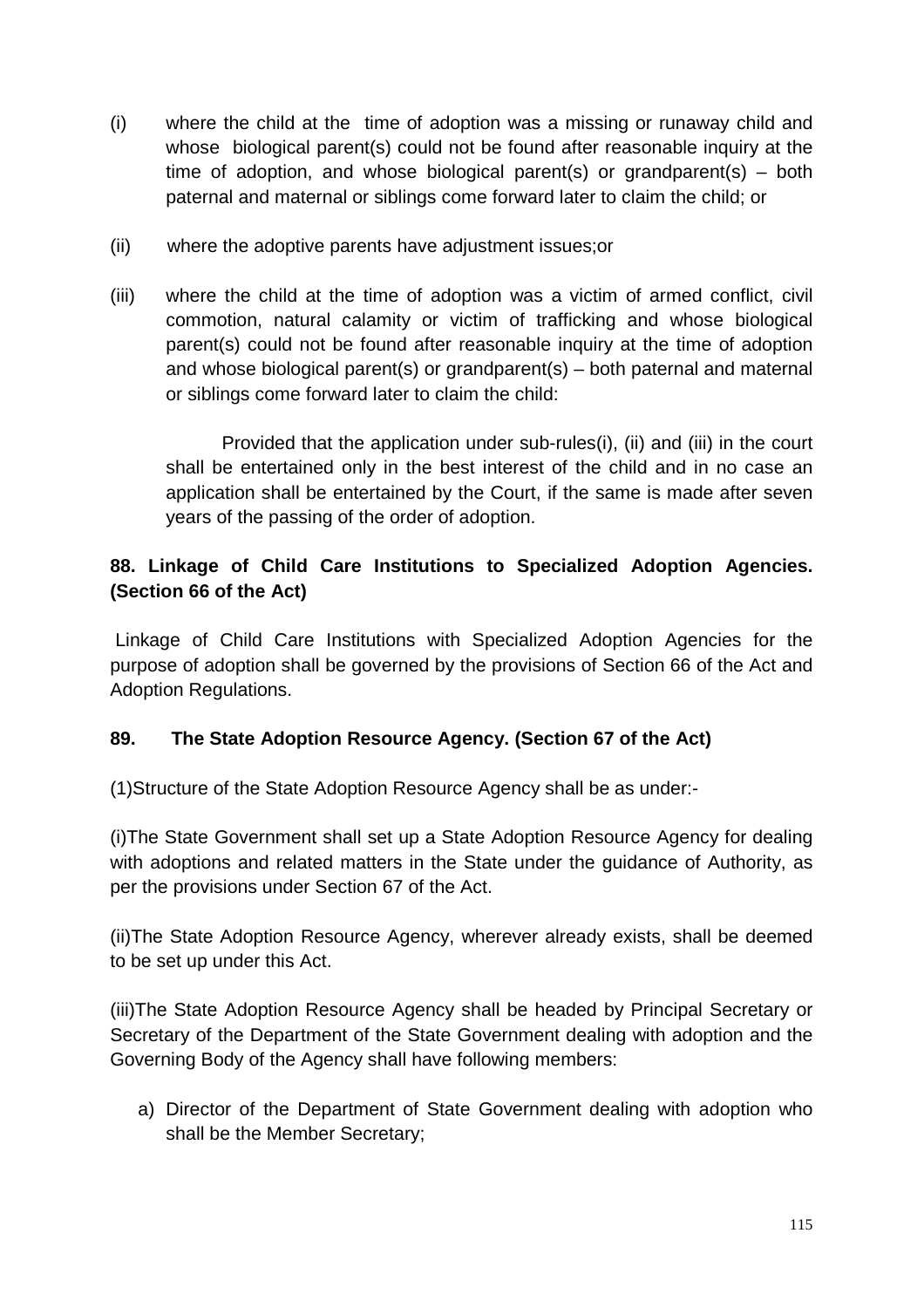- (i) where the child at the time of adoption was a missing or runaway child and whose biological parent(s) could not be found after reasonable inquiry at the time of adoption, and whose biological parent(s) or grandparent(s) – both paternal and maternal or siblings come forward later to claim the child; or
- (ii) where the adoptive parents have adjustment issues;or
- (iii) where the child at the time of adoption was a victim of armed conflict, civil commotion, natural calamity or victim of trafficking and whose biological parent(s) could not be found after reasonable inquiry at the time of adoption and whose biological parent(s) or grandparent(s) – both paternal and maternal or siblings come forward later to claim the child:

 Provided that the application under sub-rules(i), (ii) and (iii) in the court shall be entertained only in the best interest of the child and in no case an application shall be entertained by the Court, if the same is made after seven years of the passing of the order of adoption.

# **88. Linkage of Child Care Institutions to Specialized Adoption Agencies. (Section 66 of the Act)**

 Linkage of Child Care Institutions with Specialized Adoption Agencies for the purpose of adoption shall be governed by the provisions of Section 66 of the Act and Adoption Regulations.

# **89. The State Adoption Resource Agency. (Section 67 of the Act)**

(1)Structure of the State Adoption Resource Agency shall be as under:-

(i)The State Government shall set up a State Adoption Resource Agency for dealing with adoptions and related matters in the State under the guidance of Authority, as per the provisions under Section 67 of the Act.

(ii)The State Adoption Resource Agency, wherever already exists, shall be deemed to be set up under this Act.

(iii)The State Adoption Resource Agency shall be headed by Principal Secretary or Secretary of the Department of the State Government dealing with adoption and the Governing Body of the Agency shall have following members:

a) Director of the Department of State Government dealing with adoption who shall be the Member Secretary;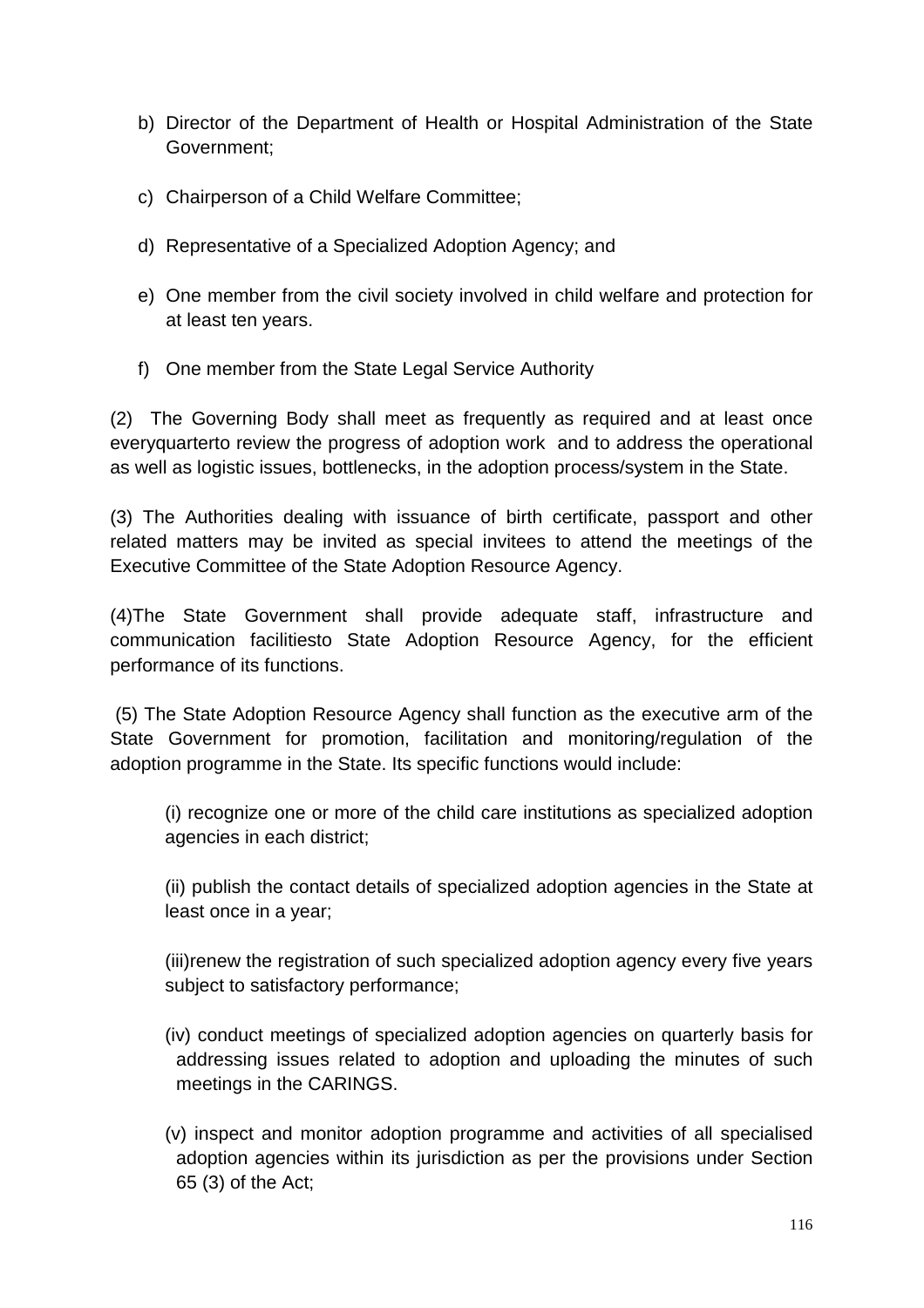- b) Director of the Department of Health or Hospital Administration of the State Government;
- c) Chairperson of a Child Welfare Committee;
- d) Representative of a Specialized Adoption Agency; and
- e) One member from the civil society involved in child welfare and protection for at least ten years.
- f) One member from the State Legal Service Authority

(2) The Governing Body shall meet as frequently as required and at least once everyquarterto review the progress of adoption work and to address the operational as well as logistic issues, bottlenecks, in the adoption process/system in the State.

(3) The Authorities dealing with issuance of birth certificate, passport and other related matters may be invited as special invitees to attend the meetings of the Executive Committee of the State Adoption Resource Agency.

(4)The State Government shall provide adequate staff, infrastructure and communication facilitiesto State Adoption Resource Agency, for the efficient performance of its functions.

 (5) The State Adoption Resource Agency shall function as the executive arm of the State Government for promotion, facilitation and monitoring/regulation of the adoption programme in the State. Its specific functions would include:

(i) recognize one or more of the child care institutions as specialized adoption agencies in each district;

(ii) publish the contact details of specialized adoption agencies in the State at least once in a year;

(iii)renew the registration of such specialized adoption agency every five years subject to satisfactory performance;

- (iv) conduct meetings of specialized adoption agencies on quarterly basis for addressing issues related to adoption and uploading the minutes of such meetings in the CARINGS.
- (v) inspect and monitor adoption programme and activities of all specialised adoption agencies within its jurisdiction as per the provisions under Section 65 (3) of the Act;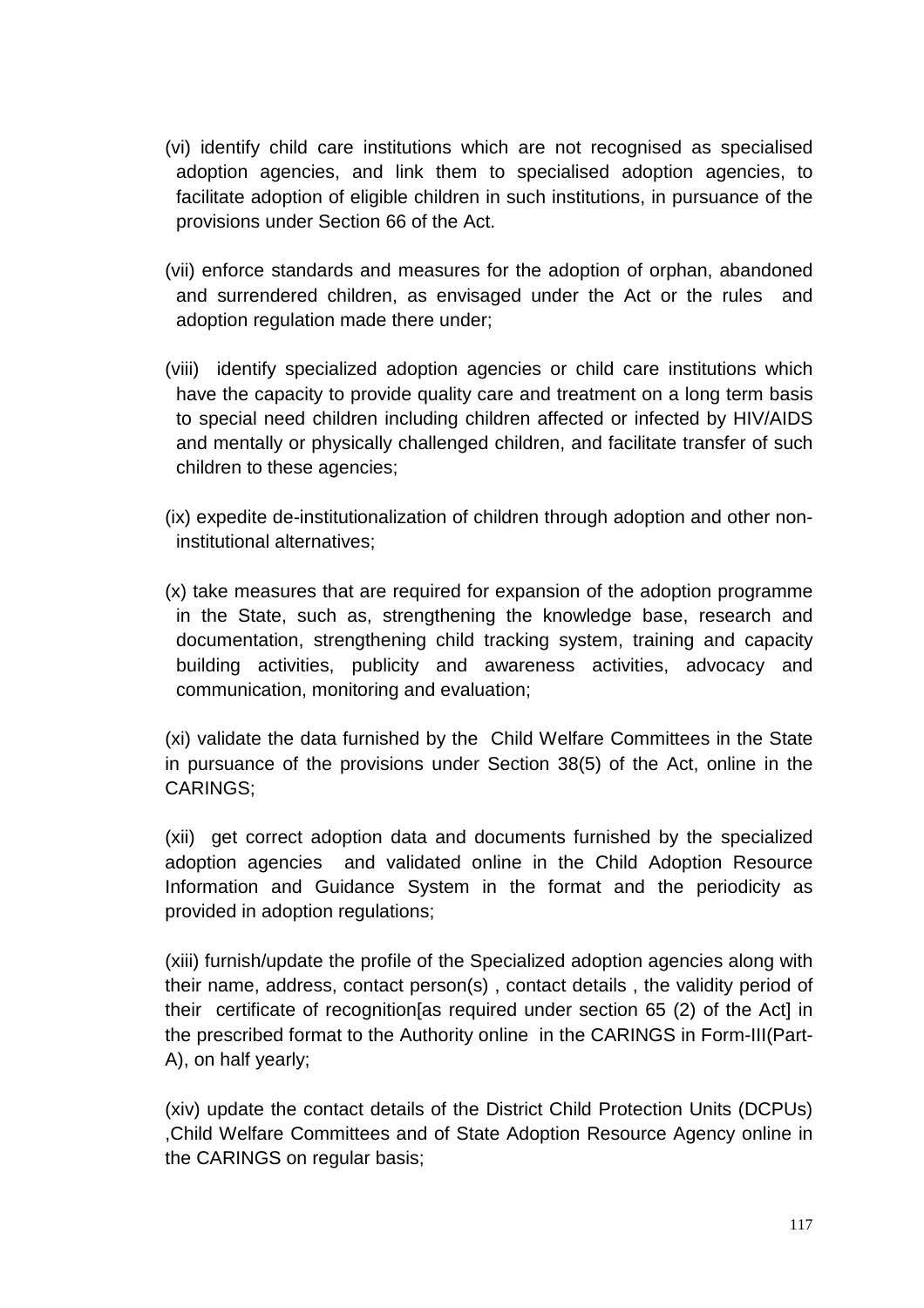- (vi) identify child care institutions which are not recognised as specialised adoption agencies, and link them to specialised adoption agencies, to facilitate adoption of eligible children in such institutions, in pursuance of the provisions under Section 66 of the Act.
- (vii) enforce standards and measures for the adoption of orphan, abandoned and surrendered children, as envisaged under the Act or the rules and adoption regulation made there under;
- (viii) identify specialized adoption agencies or child care institutions which have the capacity to provide quality care and treatment on a long term basis to special need children including children affected or infected by HIV/AIDS and mentally or physically challenged children, and facilitate transfer of such children to these agencies;
- (ix) expedite de-institutionalization of children through adoption and other noninstitutional alternatives;
- (x) take measures that are required for expansion of the adoption programme in the State, such as, strengthening the knowledge base, research and documentation, strengthening child tracking system, training and capacity building activities, publicity and awareness activities, advocacy and communication, monitoring and evaluation;

(xi) validate the data furnished by the Child Welfare Committees in the State in pursuance of the provisions under Section 38(5) of the Act, online in the CARINGS;

(xii) get correct adoption data and documents furnished by the specialized adoption agencies and validated online in the Child Adoption Resource Information and Guidance System in the format and the periodicity as provided in adoption regulations;

(xiii) furnish/update the profile of the Specialized adoption agencies along with their name, address, contact person(s) , contact details , the validity period of their certificate of recognition[as required under section 65 (2) of the Act] in the prescribed format to the Authority online in the CARINGS in Form-III(Part-A), on half yearly;

(xiv) update the contact details of the District Child Protection Units (DCPUs) ,Child Welfare Committees and of State Adoption Resource Agency online in the CARINGS on regular basis;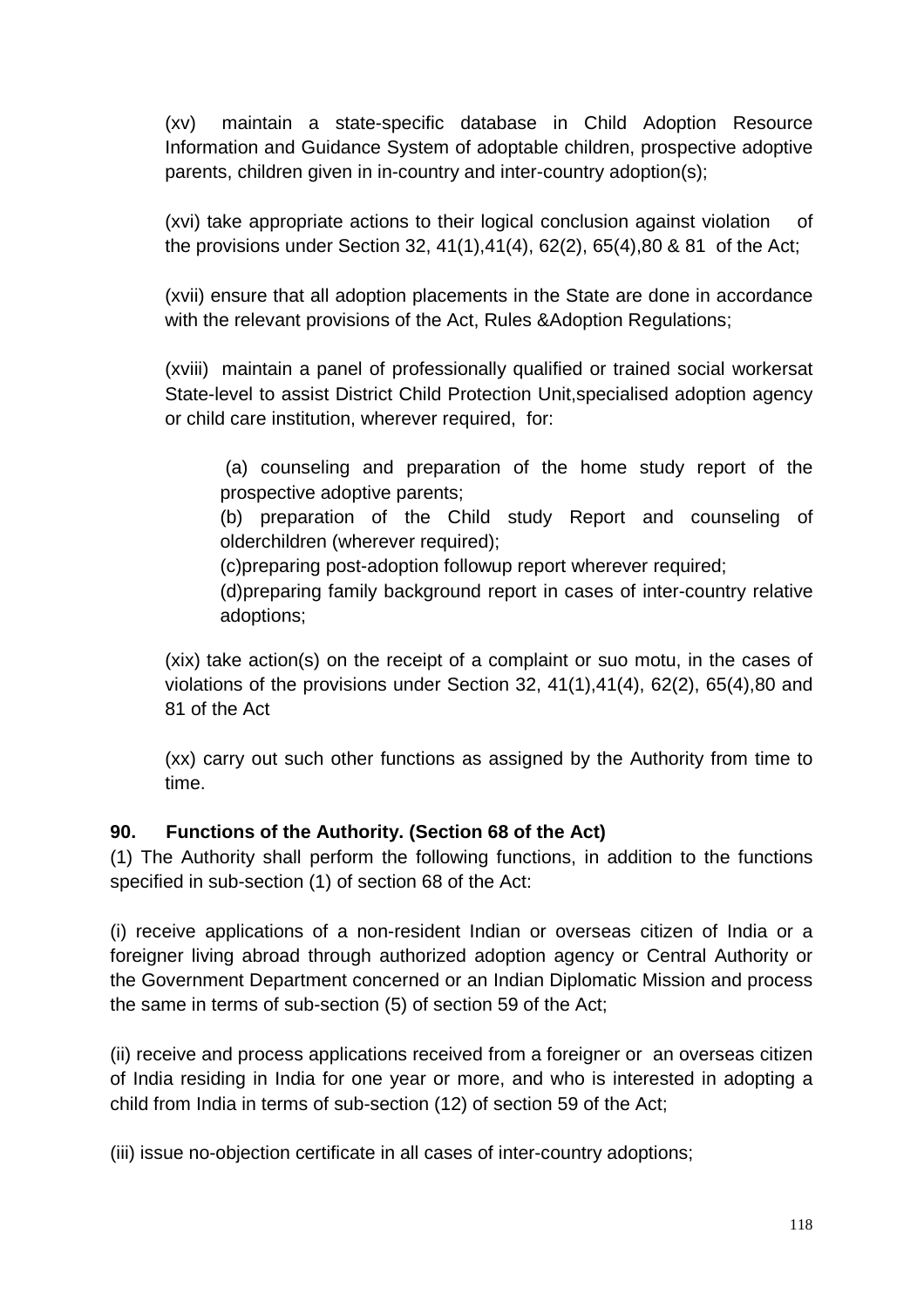(xv) maintain a state-specific database in Child Adoption Resource Information and Guidance System of adoptable children, prospective adoptive parents, children given in in-country and inter-country adoption(s);

(xvi) take appropriate actions to their logical conclusion against violation of the provisions under Section 32, 41(1),41(4), 62(2), 65(4),80 & 81 of the Act;

(xvii) ensure that all adoption placements in the State are done in accordance with the relevant provisions of the Act, Rules &Adoption Regulations;

(xviii) maintain a panel of professionally qualified or trained social workersat State-level to assist District Child Protection Unit,specialised adoption agency or child care institution, wherever required, for:

 (a) counseling and preparation of the home study report of the prospective adoptive parents;

(b) preparation of the Child study Report and counseling of olderchildren (wherever required);

(c)preparing post-adoption followup report wherever required;

(d)preparing family background report in cases of inter-country relative adoptions;

(xix) take action(s) on the receipt of a complaint or suo motu, in the cases of violations of the provisions under Section 32, 41(1),41(4), 62(2), 65(4),80 and 81 of the Act

(xx) carry out such other functions as assigned by the Authority from time to time.

# **90. Functions of the Authority. (Section 68 of the Act)**

(1) The Authority shall perform the following functions, in addition to the functions specified in sub-section (1) of section 68 of the Act:

(i) receive applications of a non-resident Indian or overseas citizen of India or a foreigner living abroad through authorized adoption agency or Central Authority or the Government Department concerned or an Indian Diplomatic Mission and process the same in terms of sub-section (5) of section 59 of the Act;

(ii) receive and process applications received from a foreigner or an overseas citizen of India residing in India for one year or more, and who is interested in adopting a child from India in terms of sub-section (12) of section 59 of the Act;

(iii) issue no-objection certificate in all cases of inter-country adoptions;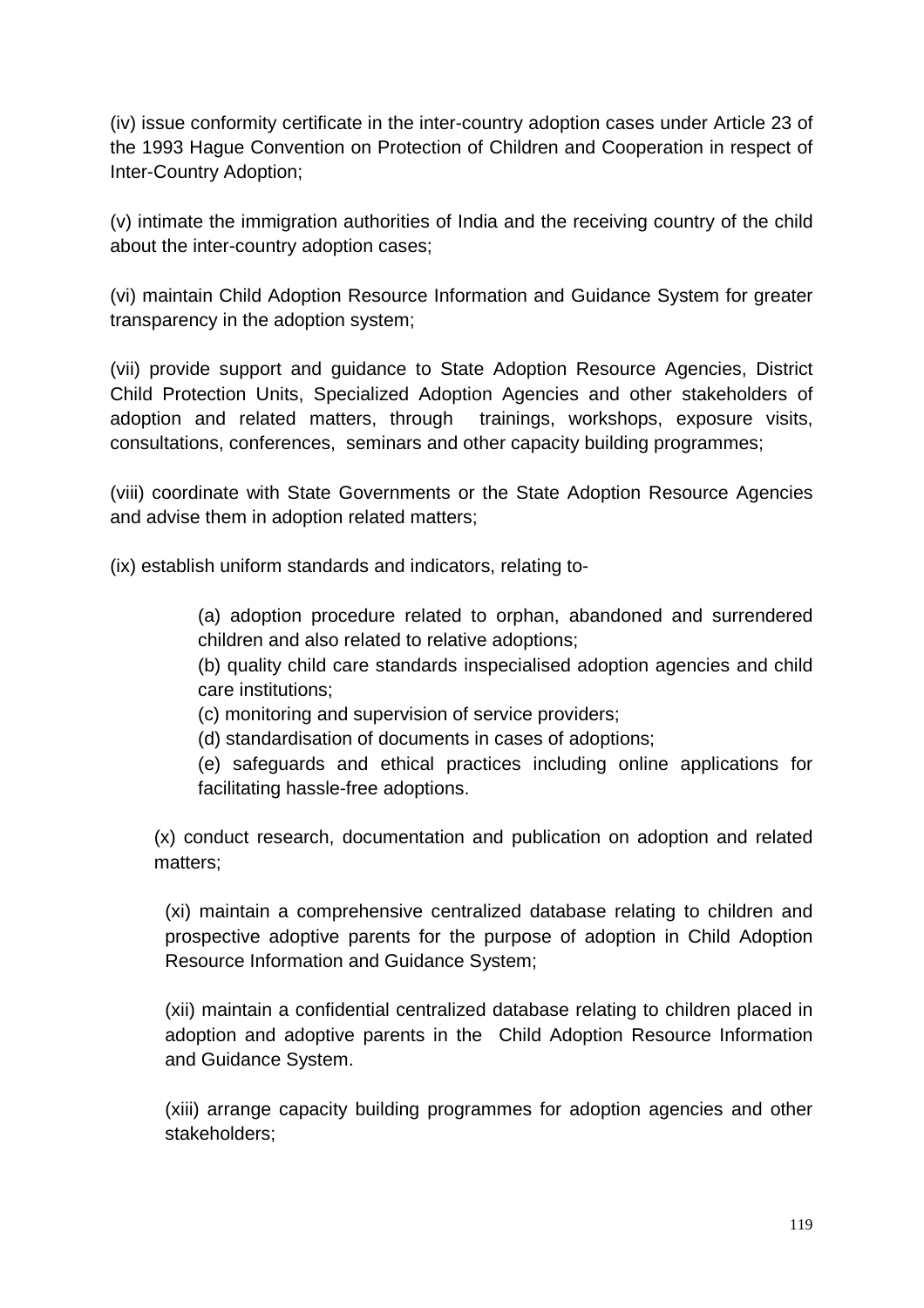(iv) issue conformity certificate in the inter-country adoption cases under Article 23 of the 1993 Hague Convention on Protection of Children and Cooperation in respect of Inter-Country Adoption;

(v) intimate the immigration authorities of India and the receiving country of the child about the inter-country adoption cases;

(vi) maintain Child Adoption Resource Information and Guidance System for greater transparency in the adoption system;

(vii) provide support and guidance to State Adoption Resource Agencies, District Child Protection Units, Specialized Adoption Agencies and other stakeholders of adoption and related matters, through trainings, workshops, exposure visits, consultations, conferences, seminars and other capacity building programmes;

(viii) coordinate with State Governments or the State Adoption Resource Agencies and advise them in adoption related matters;

(ix) establish uniform standards and indicators, relating to-

(a) adoption procedure related to orphan, abandoned and surrendered children and also related to relative adoptions;

(b) quality child care standards inspecialised adoption agencies and child care institutions;

(c) monitoring and supervision of service providers;

(d) standardisation of documents in cases of adoptions;

(e) safeguards and ethical practices including online applications for facilitating hassle-free adoptions.

(x) conduct research, documentation and publication on adoption and related matters;

(xi) maintain a comprehensive centralized database relating to children and prospective adoptive parents for the purpose of adoption in Child Adoption Resource Information and Guidance System;

(xii) maintain a confidential centralized database relating to children placed in adoption and adoptive parents in the Child Adoption Resource Information and Guidance System.

(xiii) arrange capacity building programmes for adoption agencies and other stakeholders;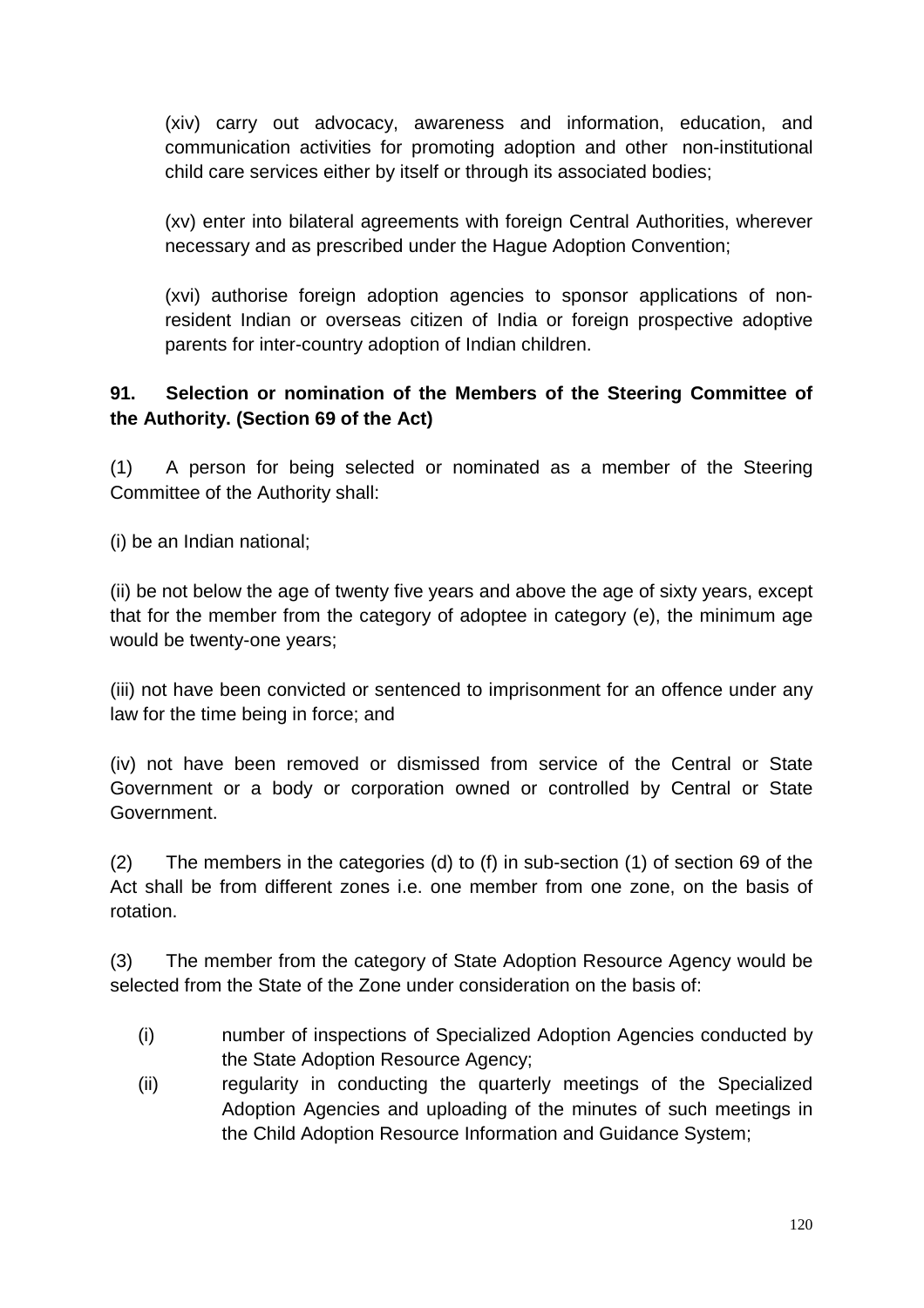(xiv) carry out advocacy, awareness and information, education, and communication activities for promoting adoption and other non-institutional child care services either by itself or through its associated bodies;

(xv) enter into bilateral agreements with foreign Central Authorities, wherever necessary and as prescribed under the Hague Adoption Convention;

(xvi) authorise foreign adoption agencies to sponsor applications of nonresident Indian or overseas citizen of India or foreign prospective adoptive parents for inter-country adoption of Indian children.

# **91. Selection or nomination of the Members of the Steering Committee of the Authority. (Section 69 of the Act)**

(1) A person for being selected or nominated as a member of the Steering Committee of the Authority shall:

(i) be an Indian national;

(ii) be not below the age of twenty five years and above the age of sixty years, except that for the member from the category of adoptee in category (e), the minimum age would be twenty-one years;

(iii) not have been convicted or sentenced to imprisonment for an offence under any law for the time being in force; and

(iv) not have been removed or dismissed from service of the Central or State Government or a body or corporation owned or controlled by Central or State Government.

(2) The members in the categories (d) to (f) in sub-section (1) of section 69 of the Act shall be from different zones i.e. one member from one zone, on the basis of rotation.

(3) The member from the category of State Adoption Resource Agency would be selected from the State of the Zone under consideration on the basis of:

- (i) number of inspections of Specialized Adoption Agencies conducted by the State Adoption Resource Agency;
- (ii) regularity in conducting the quarterly meetings of the Specialized Adoption Agencies and uploading of the minutes of such meetings in the Child Adoption Resource Information and Guidance System;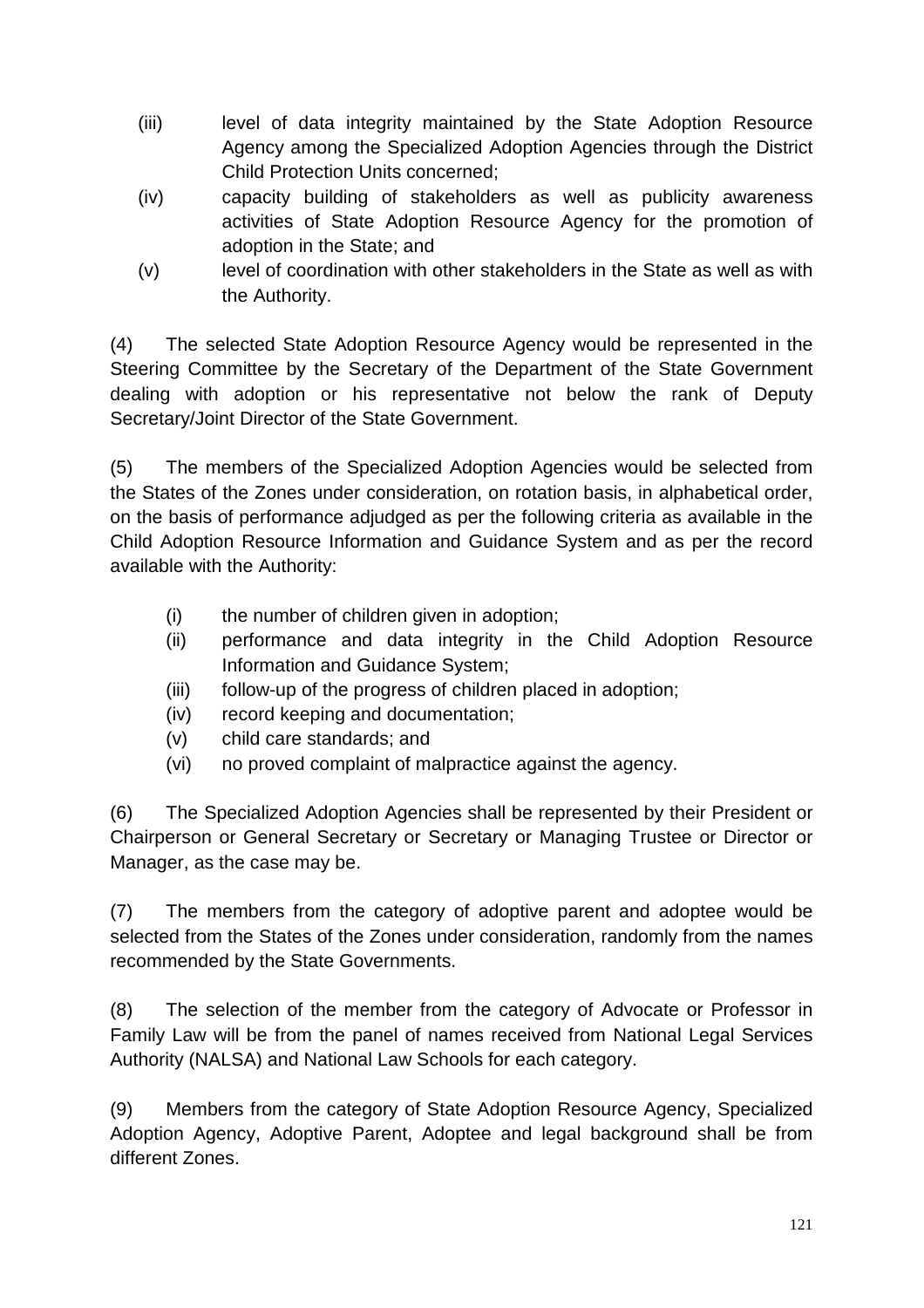- (iii) level of data integrity maintained by the State Adoption Resource Agency among the Specialized Adoption Agencies through the District Child Protection Units concerned;
- (iv) capacity building of stakeholders as well as publicity awareness activities of State Adoption Resource Agency for the promotion of adoption in the State; and
- (v) level of coordination with other stakeholders in the State as well as with the Authority.

(4) The selected State Adoption Resource Agency would be represented in the Steering Committee by the Secretary of the Department of the State Government dealing with adoption or his representative not below the rank of Deputy Secretary/Joint Director of the State Government.

(5) The members of the Specialized Adoption Agencies would be selected from the States of the Zones under consideration, on rotation basis, in alphabetical order, on the basis of performance adjudged as per the following criteria as available in the Child Adoption Resource Information and Guidance System and as per the record available with the Authority:

- (i) the number of children given in adoption;
- (ii) performance and data integrity in the Child Adoption Resource Information and Guidance System;
- (iii) follow-up of the progress of children placed in adoption;
- (iv) record keeping and documentation;
- (v) child care standards; and
- (vi) no proved complaint of malpractice against the agency.

(6) The Specialized Adoption Agencies shall be represented by their President or Chairperson or General Secretary or Secretary or Managing Trustee or Director or Manager, as the case may be.

(7) The members from the category of adoptive parent and adoptee would be selected from the States of the Zones under consideration, randomly from the names recommended by the State Governments.

(8) The selection of the member from the category of Advocate or Professor in Family Law will be from the panel of names received from National Legal Services Authority (NALSA) and National Law Schools for each category.

(9) Members from the category of State Adoption Resource Agency, Specialized Adoption Agency, Adoptive Parent, Adoptee and legal background shall be from different Zones.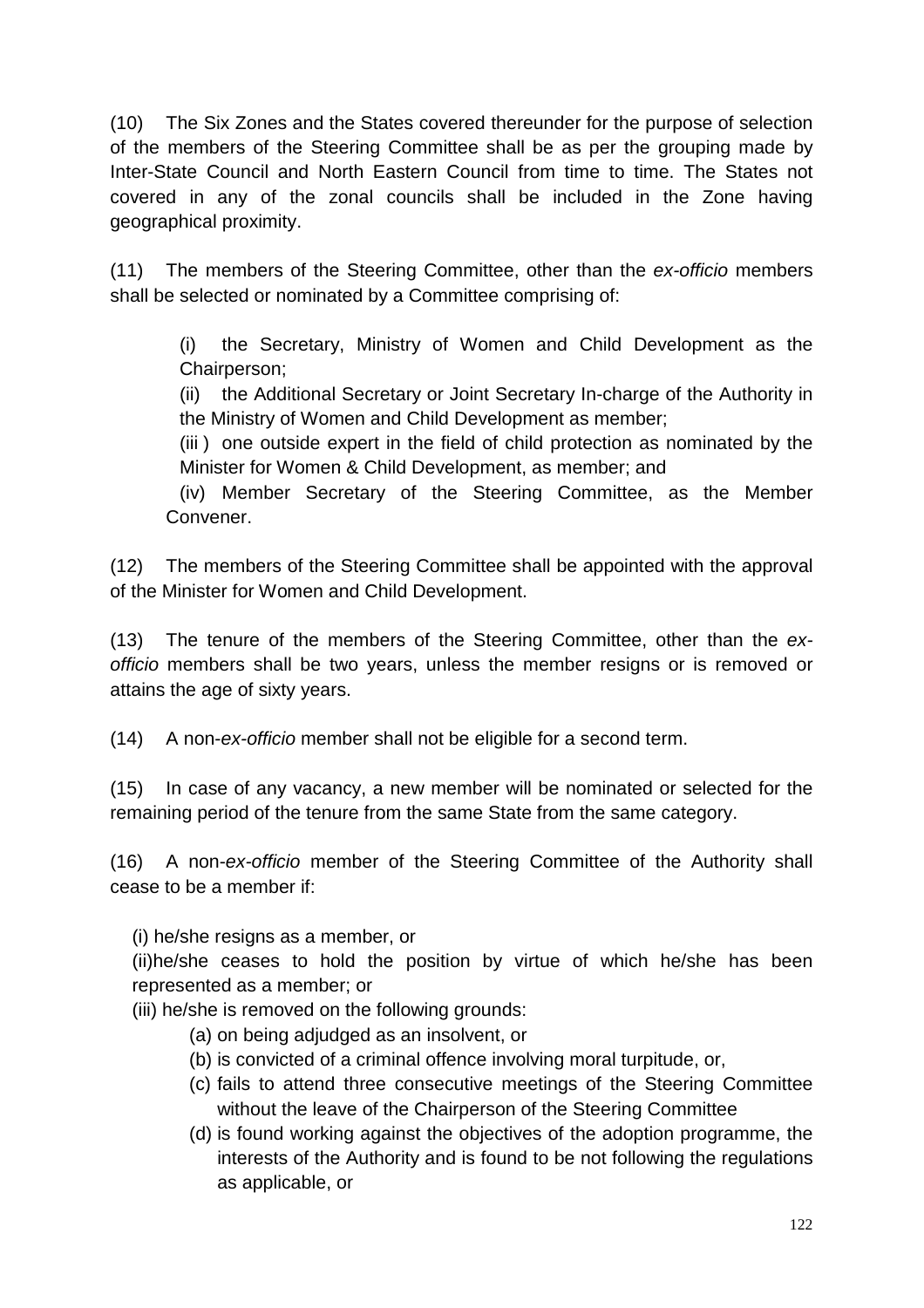(10) The Six Zones and the States covered thereunder for the purpose of selection of the members of the Steering Committee shall be as per the grouping made by Inter-State Council and North Eastern Council from time to time. The States not covered in any of the zonal councils shall be included in the Zone having geographical proximity.

(11) The members of the Steering Committee, other than the ex-officio members shall be selected or nominated by a Committee comprising of:

(i) the Secretary, Ministry of Women and Child Development as the Chairperson;

(ii) the Additional Secretary or Joint Secretary In-charge of the Authority in the Ministry of Women and Child Development as member;

(iii ) one outside expert in the field of child protection as nominated by the Minister for Women & Child Development, as member; and

(iv) Member Secretary of the Steering Committee, as the Member Convener.

(12) The members of the Steering Committee shall be appointed with the approval of the Minister for Women and Child Development.

(13) The tenure of the members of the Steering Committee, other than the exofficio members shall be two years, unless the member resigns or is removed or attains the age of sixty years.

(14) A non-ex-officio member shall not be eligible for a second term.

(15) In case of any vacancy, a new member will be nominated or selected for the remaining period of the tenure from the same State from the same category.

(16) A non-ex-officio member of the Steering Committee of the Authority shall cease to be a member if:

(i) he/she resigns as a member, or

(ii)he/she ceases to hold the position by virtue of which he/she has been represented as a member; or

(iii) he/she is removed on the following grounds:

- (a) on being adjudged as an insolvent, or
- (b) is convicted of a criminal offence involving moral turpitude, or,
- (c) fails to attend three consecutive meetings of the Steering Committee without the leave of the Chairperson of the Steering Committee
- (d) is found working against the objectives of the adoption programme, the interests of the Authority and is found to be not following the regulations as applicable, or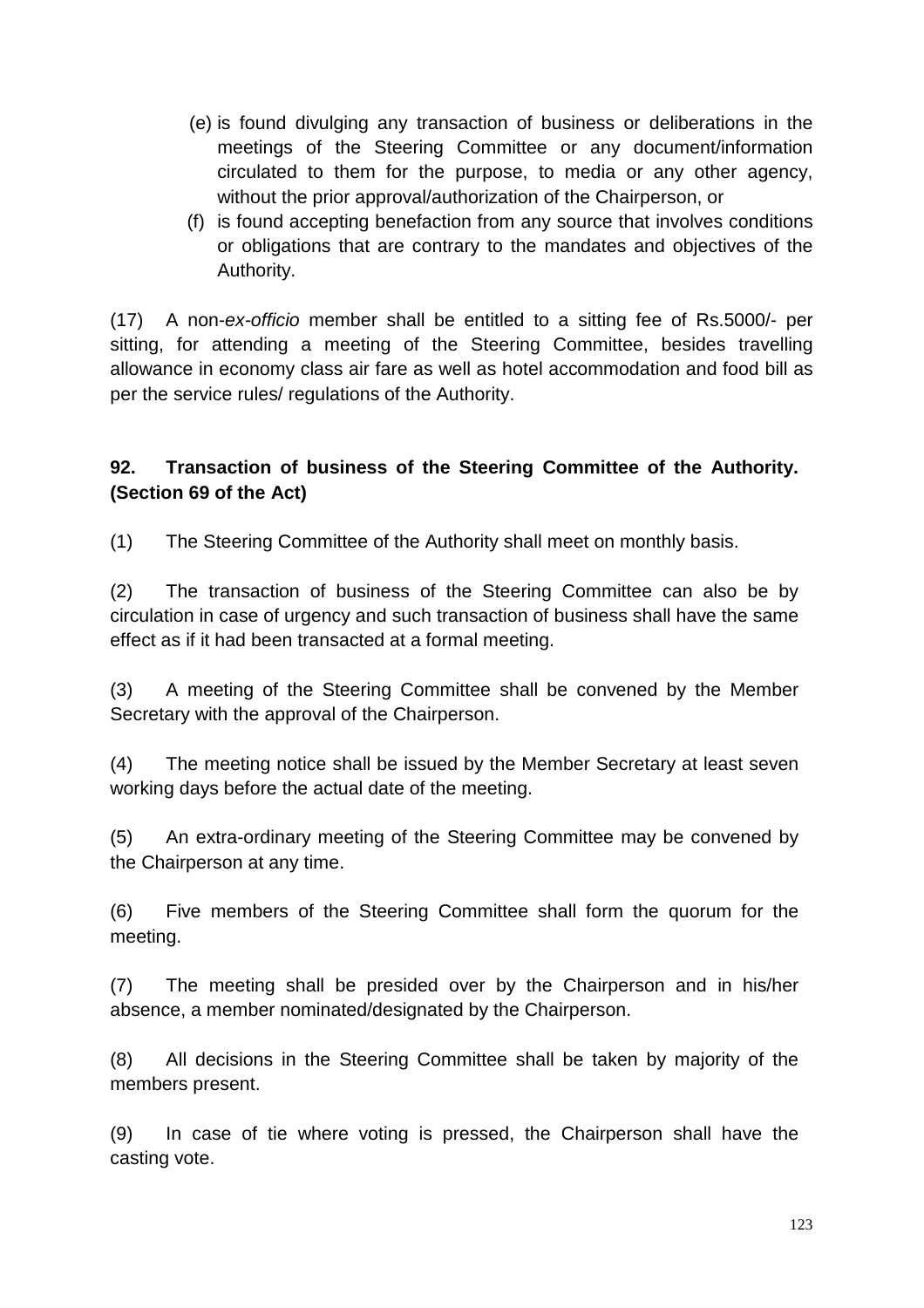- (e) is found divulging any transaction of business or deliberations in the meetings of the Steering Committee or any document/information circulated to them for the purpose, to media or any other agency, without the prior approval/authorization of the Chairperson, or
- (f) is found accepting benefaction from any source that involves conditions or obligations that are contrary to the mandates and objectives of the Authority.

(17) A non-ex-officio member shall be entitled to a sitting fee of Rs.5000/- per sitting, for attending a meeting of the Steering Committee, besides travelling allowance in economy class air fare as well as hotel accommodation and food bill as per the service rules/ regulations of the Authority.

# **92. Transaction of business of the Steering Committee of the Authority. (Section 69 of the Act)**

(1) The Steering Committee of the Authority shall meet on monthly basis.

(2) The transaction of business of the Steering Committee can also be by circulation in case of urgency and such transaction of business shall have the same effect as if it had been transacted at a formal meeting.

(3) A meeting of the Steering Committee shall be convened by the Member Secretary with the approval of the Chairperson.

(4) The meeting notice shall be issued by the Member Secretary at least seven working days before the actual date of the meeting.

(5) An extra-ordinary meeting of the Steering Committee may be convened by the Chairperson at any time.

(6) Five members of the Steering Committee shall form the quorum for the meeting.

(7) The meeting shall be presided over by the Chairperson and in his/her absence, a member nominated/designated by the Chairperson.

(8) All decisions in the Steering Committee shall be taken by majority of the members present.

(9) In case of tie where voting is pressed, the Chairperson shall have the casting vote.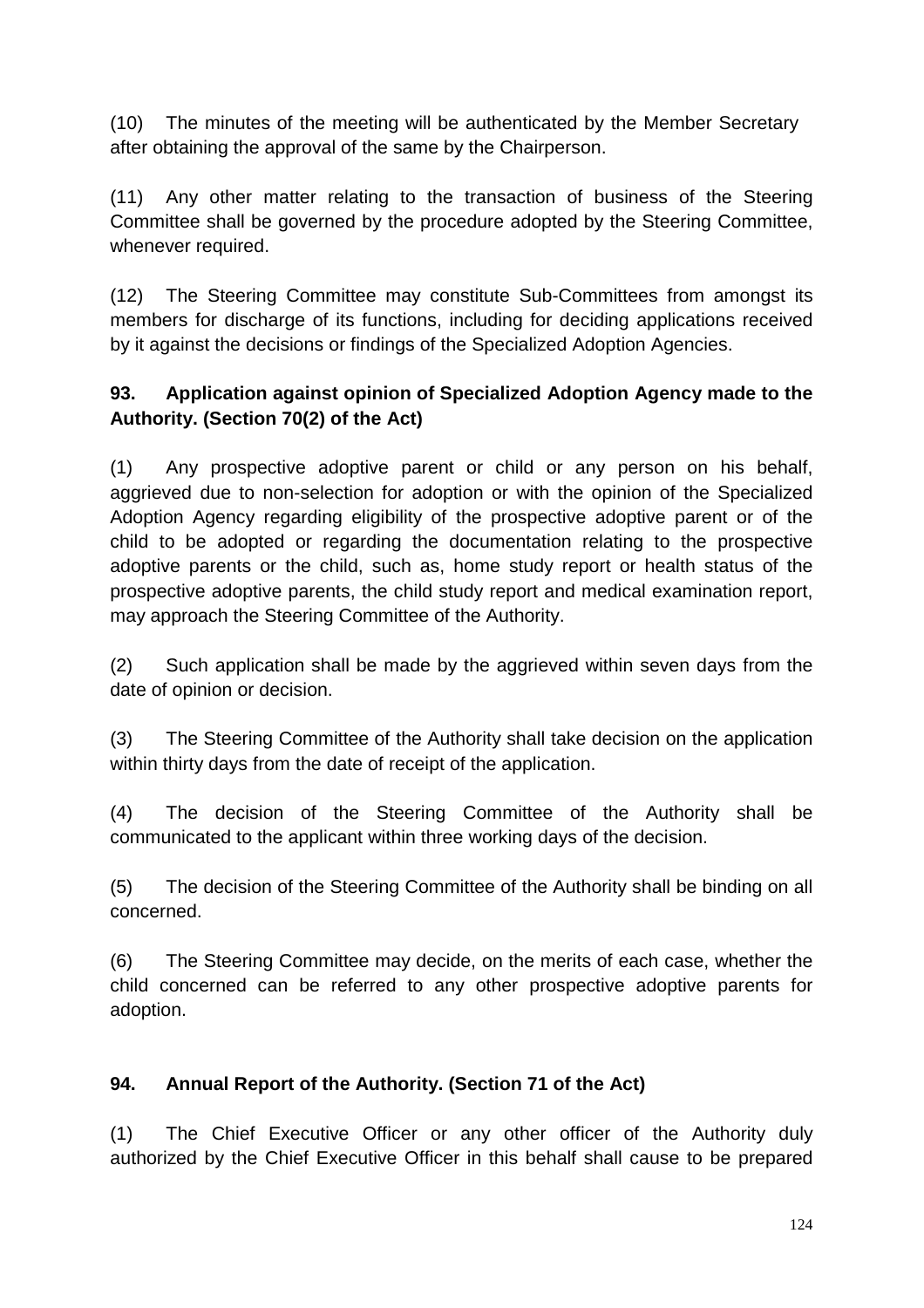(10) The minutes of the meeting will be authenticated by the Member Secretary after obtaining the approval of the same by the Chairperson.

(11) Any other matter relating to the transaction of business of the Steering Committee shall be governed by the procedure adopted by the Steering Committee, whenever required.

(12) The Steering Committee may constitute Sub-Committees from amongst its members for discharge of its functions, including for deciding applications received by it against the decisions or findings of the Specialized Adoption Agencies.

# **93. Application against opinion of Specialized Adoption Agency made to the Authority. (Section 70(2) of the Act)**

(1) Any prospective adoptive parent or child or any person on his behalf, aggrieved due to non-selection for adoption or with the opinion of the Specialized Adoption Agency regarding eligibility of the prospective adoptive parent or of the child to be adopted or regarding the documentation relating to the prospective adoptive parents or the child, such as, home study report or health status of the prospective adoptive parents, the child study report and medical examination report, may approach the Steering Committee of the Authority.

(2) Such application shall be made by the aggrieved within seven days from the date of opinion or decision.

(3) The Steering Committee of the Authority shall take decision on the application within thirty days from the date of receipt of the application.

(4) The decision of the Steering Committee of the Authority shall be communicated to the applicant within three working days of the decision.

(5) The decision of the Steering Committee of the Authority shall be binding on all concerned.

(6) The Steering Committee may decide, on the merits of each case, whether the child concerned can be referred to any other prospective adoptive parents for adoption.

# **94. Annual Report of the Authority. (Section 71 of the Act)**

(1) The Chief Executive Officer or any other officer of the Authority duly authorized by the Chief Executive Officer in this behalf shall cause to be prepared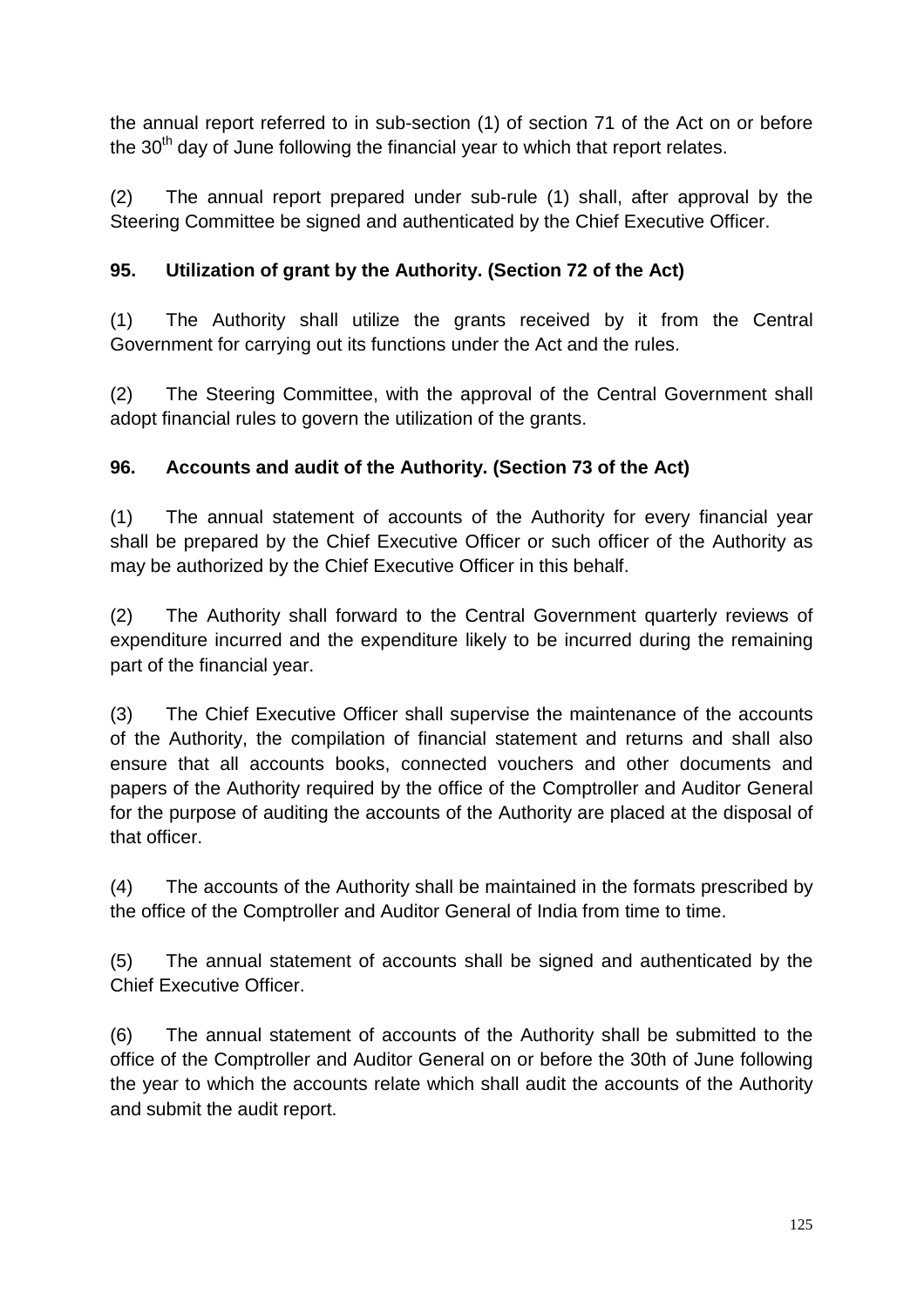the annual report referred to in sub-section (1) of section 71 of the Act on or before the  $30<sup>th</sup>$  day of June following the financial year to which that report relates.

(2) The annual report prepared under sub-rule (1) shall, after approval by the Steering Committee be signed and authenticated by the Chief Executive Officer.

# **95. Utilization of grant by the Authority. (Section 72 of the Act)**

(1) The Authority shall utilize the grants received by it from the Central Government for carrying out its functions under the Act and the rules.

(2) The Steering Committee, with the approval of the Central Government shall adopt financial rules to govern the utilization of the grants.

# **96. Accounts and audit of the Authority. (Section 73 of the Act)**

(1) The annual statement of accounts of the Authority for every financial year shall be prepared by the Chief Executive Officer or such officer of the Authority as may be authorized by the Chief Executive Officer in this behalf.

(2) The Authority shall forward to the Central Government quarterly reviews of expenditure incurred and the expenditure likely to be incurred during the remaining part of the financial year.

(3) The Chief Executive Officer shall supervise the maintenance of the accounts of the Authority, the compilation of financial statement and returns and shall also ensure that all accounts books, connected vouchers and other documents and papers of the Authority required by the office of the Comptroller and Auditor General for the purpose of auditing the accounts of the Authority are placed at the disposal of that officer.

(4) The accounts of the Authority shall be maintained in the formats prescribed by the office of the Comptroller and Auditor General of India from time to time.

(5) The annual statement of accounts shall be signed and authenticated by the Chief Executive Officer.

(6) The annual statement of accounts of the Authority shall be submitted to the office of the Comptroller and Auditor General on or before the 30th of June following the year to which the accounts relate which shall audit the accounts of the Authority and submit the audit report.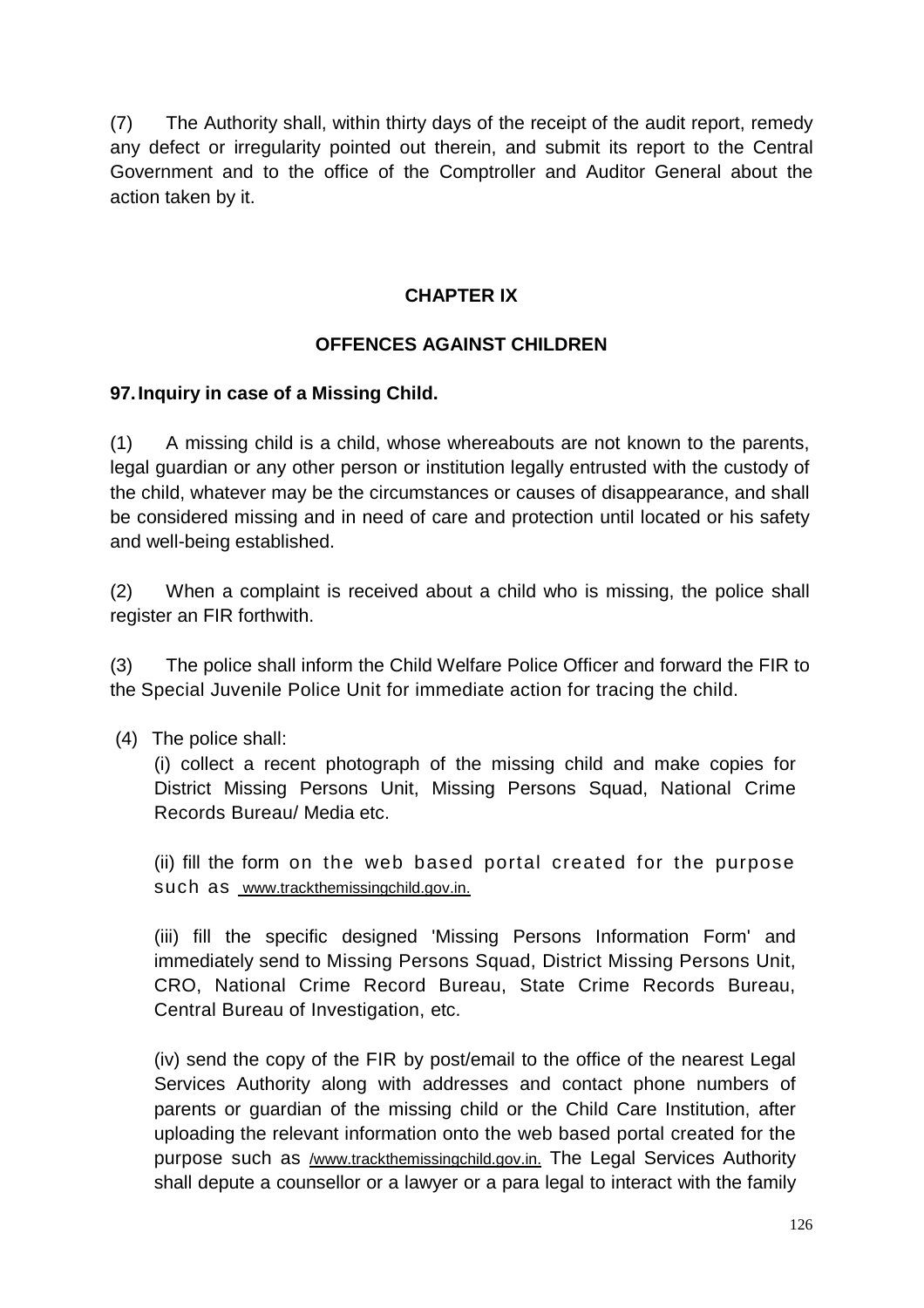(7) The Authority shall, within thirty days of the receipt of the audit report, remedy any defect or irregularity pointed out therein, and submit its report to the Central Government and to the office of the Comptroller and Auditor General about the action taken by it.

### **CHAPTER IX**

### **OFFENCES AGAINST CHILDREN**

### **97. Inquiry in case of a Missing Child.**

(1) A missing child is a child, whose whereabouts are not known to the parents, legal guardian or any other person or institution legally entrusted with the custody of the child, whatever may be the circumstances or causes of disappearance, and shall be considered missing and in need of care and protection until located or his safety and well-being established.

(2) When a complaint is received about a child who is missing, the police shall register an FIR forthwith.

(3) The police shall inform the Child Welfare Police Officer and forward the FIR to the Special Juvenile Police Unit for immediate action for tracing the child.

(4) The police shall:

(i) collect a recent photograph of the missing child and make copies for District Missing Persons Unit, Missing Persons Squad, National Crime Records Bureau/ Media etc.

(ii) fill the form on the web based portal created for the purpose such as www.trackthemissingchild.gov.in.

(iii) fill the specific designed 'Missing Persons Information Form' and immediately send to Missing Persons Squad, District Missing Persons Unit, CRO, National Crime Record Bureau, State Crime Records Bureau, Central Bureau of Investigation, etc.

(iv) send the copy of the FIR by post/email to the office of the nearest Legal Services Authority along with addresses and contact phone numbers of parents or guardian of the missing child or the Child Care Institution, after uploading the relevant information onto the web based portal created for the purpose such as **/www.trackthemissingchild.gov.in.** The Legal Services Authority shall depute a counsellor or a lawyer or a para legal to interact with the family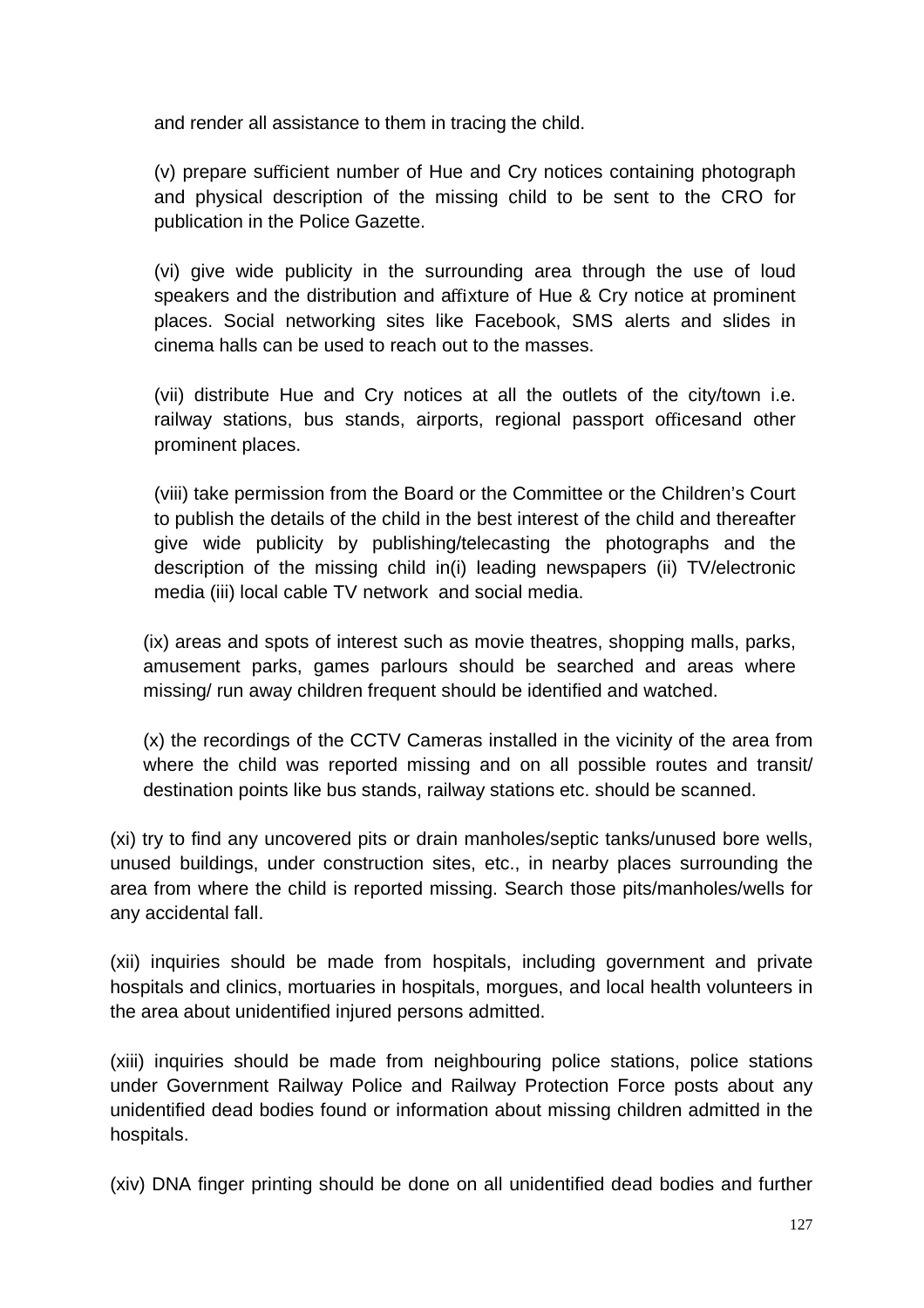and render all assistance to them in tracing the child.

(v) prepare sufficient number of Hue and Cry notices containing photograph and physical description of the missing child to be sent to the CRO for publication in the Police Gazette.

(vi) give wide publicity in the surrounding area through the use of loud speakers and the distribution and affixture of Hue & Cry notice at prominent places. Social networking sites like Facebook, SMS alerts and slides in cinema halls can be used to reach out to the masses.

(vii) distribute Hue and Cry notices at all the outlets of the city/town i.e. railway stations, bus stands, airports, regional passport officesand other prominent places.

(viii) take permission from the Board or the Committee or the Children's Court to publish the details of the child in the best interest of the child and thereafter give wide publicity by publishing/telecasting the photographs and the description of the missing child in(i) leading newspapers (ii) TV/electronic media (iii) local cable TV network and social media.

(ix) areas and spots of interest such as movie theatres, shopping malls, parks, amusement parks, games parlours should be searched and areas where missing/ run away children frequent should be identified and watched.

(x) the recordings of the CCTV Cameras installed in the vicinity of the area from where the child was reported missing and on all possible routes and transit/ destination points like bus stands, railway stations etc. should be scanned.

(xi) try to find any uncovered pits or drain manholes/septic tanks/unused bore wells, unused buildings, under construction sites, etc., in nearby places surrounding the area from where the child is reported missing. Search those pits/manholes/wells for any accidental fall.

(xii) inquiries should be made from hospitals, including government and private hospitals and clinics, mortuaries in hospitals, morgues, and local health volunteers in the area about unidentified injured persons admitted.

(xiii) inquiries should be made from neighbouring police stations, police stations under Government Railway Police and Railway Protection Force posts about any unidentified dead bodies found or information about missing children admitted in the hospitals.

(xiv) DNA finger printing should be done on all unidentified dead bodies and further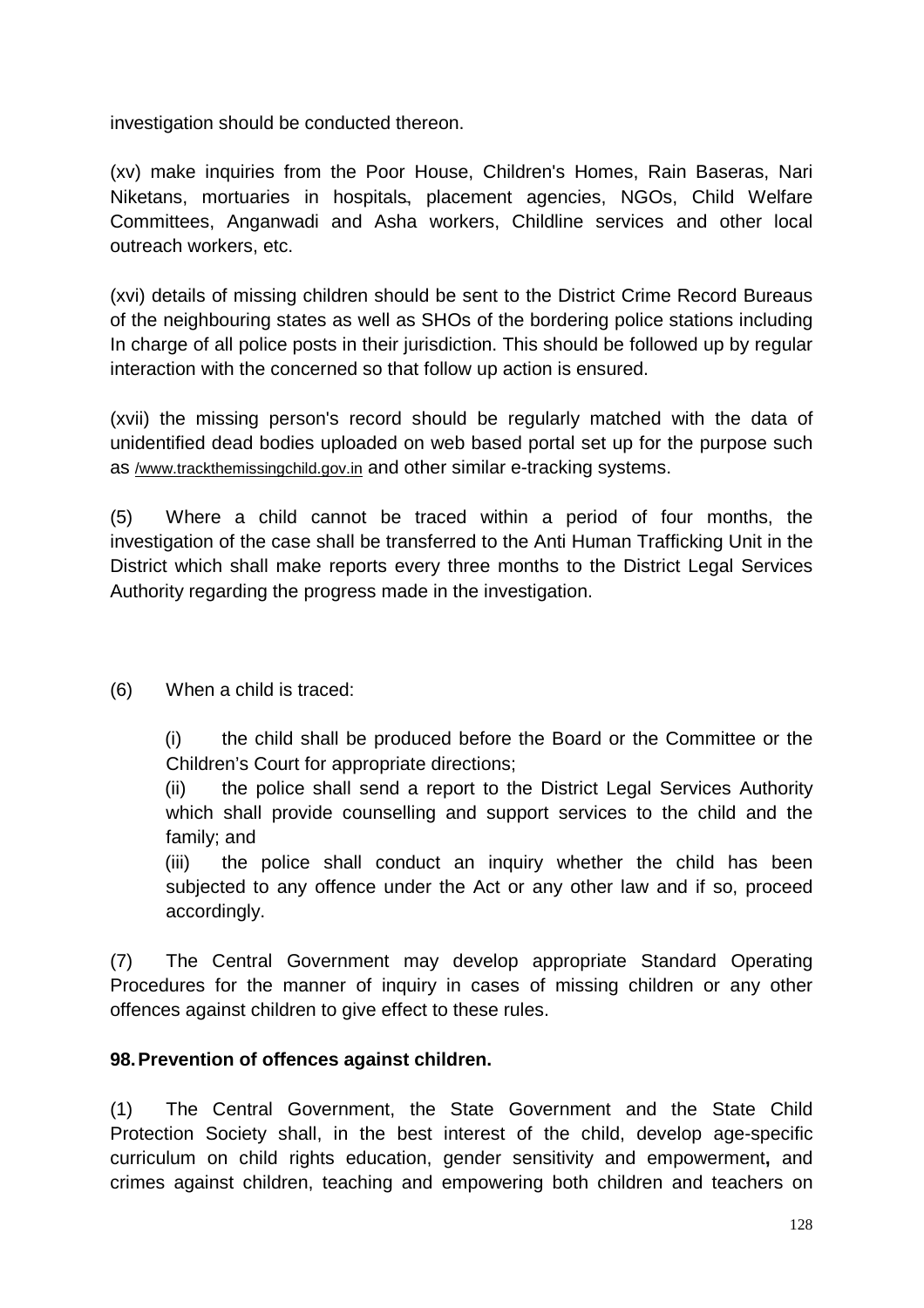investigation should be conducted thereon.

(xv) make inquiries from the Poor House, Children's Homes, Rain Baseras, Nari Niketans, mortuaries in hospitals, placement agencies, NGOs, Child Welfare Committees, Anganwadi and Asha workers, Childline services and other local outreach workers, etc.

(xvi) details of missing children should be sent to the District Crime Record Bureaus of the neighbouring states as well as SHOs of the bordering police stations including In charge of all police posts in their jurisdiction. This should be followed up by regular interaction with the concerned so that follow up action is ensured.

(xvii) the missing person's record should be regularly matched with the data of unidentified dead bodies uploaded on web based portal set up for the purpose such as /www.trackthemissingchild.gov.in and other similar e-tracking systems.

(5) Where a child cannot be traced within a period of four months, the investigation of the case shall be transferred to the Anti Human Trafficking Unit in the District which shall make reports every three months to the District Legal Services Authority regarding the progress made in the investigation.

(6) When a child is traced:

(i) the child shall be produced before the Board or the Committee or the Children's Court for appropriate directions;

(ii) the police shall send a report to the District Legal Services Authority which shall provide counselling and support services to the child and the family; and

(iii) the police shall conduct an inquiry whether the child has been subjected to any offence under the Act or any other law and if so, proceed accordingly.

(7) The Central Government may develop appropriate Standard Operating Procedures for the manner of inquiry in cases of missing children or any other offences against children to give effect to these rules.

#### **98.Prevention of offences against children.**

(1) The Central Government, the State Government and the State Child Protection Society shall, in the best interest of the child, develop age-specific curriculum on child rights education, gender sensitivity and empowerment**,** and crimes against children, teaching and empowering both children and teachers on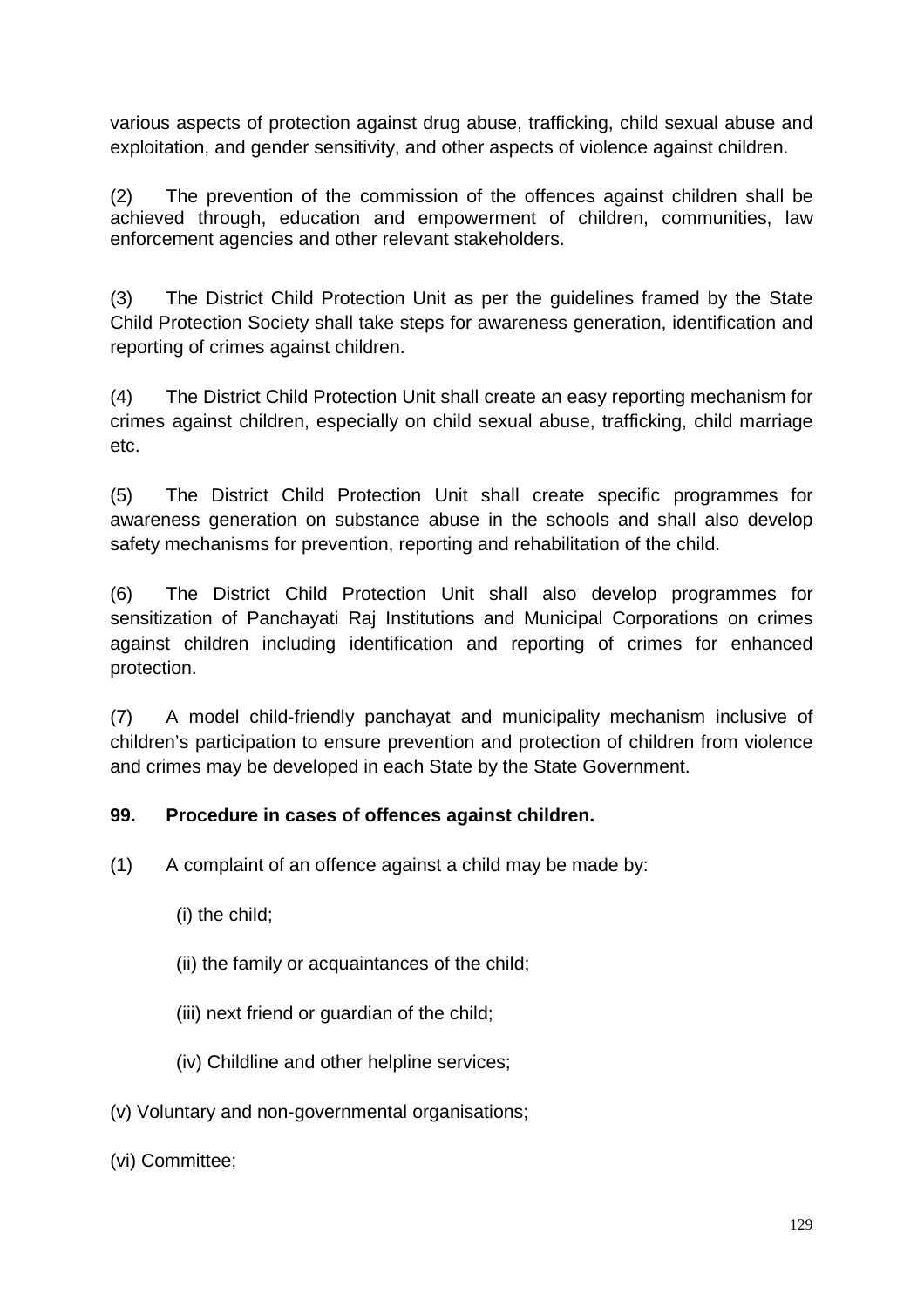various aspects of protection against drug abuse, trafficking, child sexual abuse and exploitation, and gender sensitivity, and other aspects of violence against children.

(2) The prevention of the commission of the offences against children shall be achieved through, education and empowerment of children, communities, law enforcement agencies and other relevant stakeholders.

(3) The District Child Protection Unit as per the guidelines framed by the State Child Protection Society shall take steps for awareness generation, identification and reporting of crimes against children.

(4) The District Child Protection Unit shall create an easy reporting mechanism for crimes against children, especially on child sexual abuse, trafficking, child marriage etc.

(5) The District Child Protection Unit shall create specific programmes for awareness generation on substance abuse in the schools and shall also develop safety mechanisms for prevention, reporting and rehabilitation of the child.

(6) The District Child Protection Unit shall also develop programmes for sensitization of Panchayati Raj Institutions and Municipal Corporations on crimes against children including identification and reporting of crimes for enhanced protection.

(7) A model child-friendly panchayat and municipality mechanism inclusive of children's participation to ensure prevention and protection of children from violence and crimes may be developed in each State by the State Government.

# **99. Procedure in cases of offences against children.**

- (1) A complaint of an offence against a child may be made by:
	- (i) the child;
	- (ii) the family or acquaintances of the child;
	- (iii) next friend or guardian of the child;
	- (iv) Childline and other helpline services;
- (v) Voluntary and non-governmental organisations;
- (vi) Committee;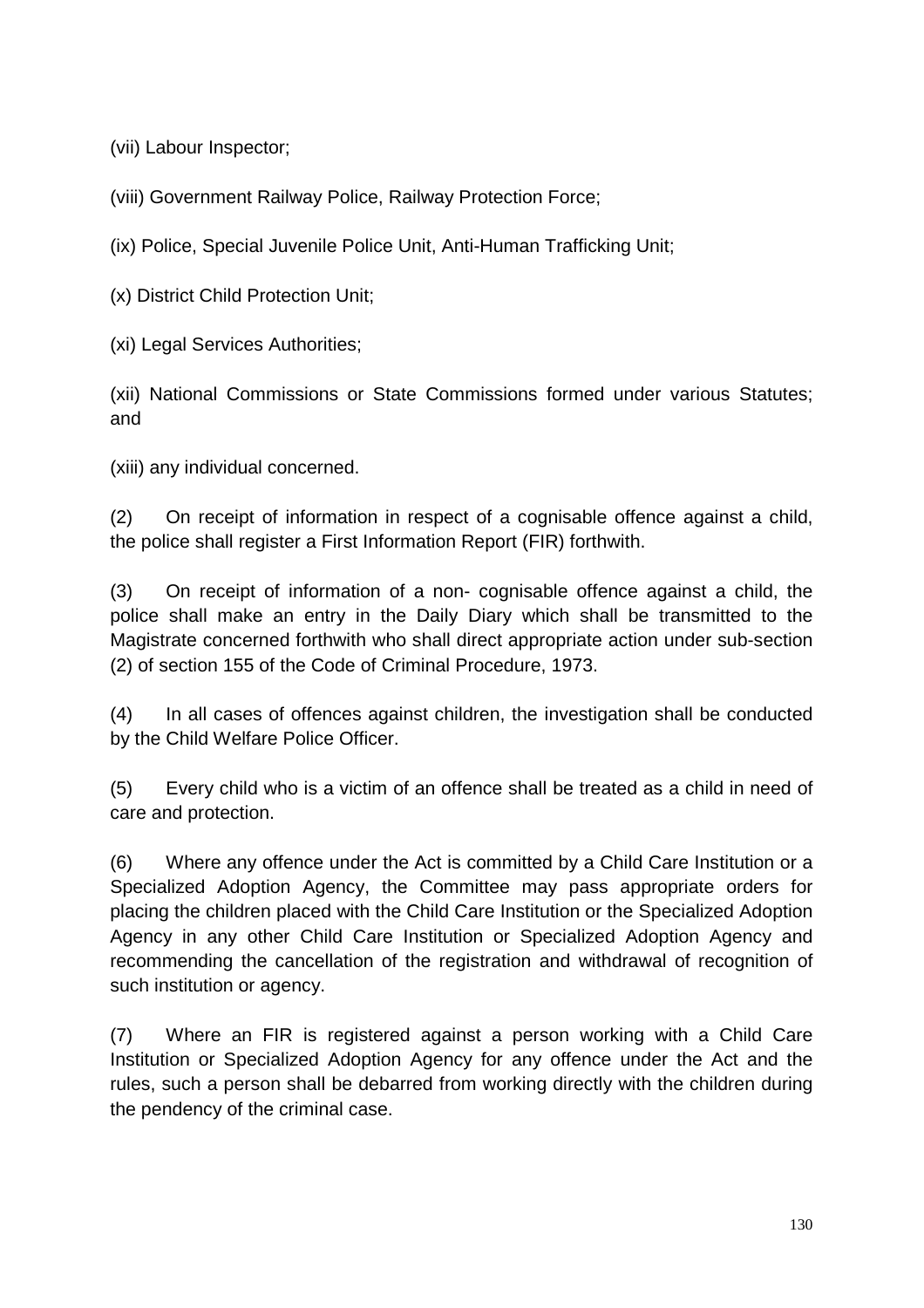(vii) Labour Inspector;

(viii) Government Railway Police, Railway Protection Force;

(ix) Police, Special Juvenile Police Unit, Anti-Human Trafficking Unit;

(x) District Child Protection Unit;

(xi) Legal Services Authorities;

(xii) National Commissions or State Commissions formed under various Statutes; and

(xiii) any individual concerned.

(2) On receipt of information in respect of a cognisable offence against a child, the police shall register a First Information Report (FIR) forthwith.

(3) On receipt of information of a non- cognisable offence against a child, the police shall make an entry in the Daily Diary which shall be transmitted to the Magistrate concerned forthwith who shall direct appropriate action under sub-section (2) of section 155 of the Code of Criminal Procedure, 1973.

(4) In all cases of offences against children, the investigation shall be conducted by the Child Welfare Police Officer.

(5) Every child who is a victim of an offence shall be treated as a child in need of care and protection.

(6) Where any offence under the Act is committed by a Child Care Institution or a Specialized Adoption Agency, the Committee may pass appropriate orders for placing the children placed with the Child Care Institution or the Specialized Adoption Agency in any other Child Care Institution or Specialized Adoption Agency and recommending the cancellation of the registration and withdrawal of recognition of such institution or agency.

(7) Where an FIR is registered against a person working with a Child Care Institution or Specialized Adoption Agency for any offence under the Act and the rules, such a person shall be debarred from working directly with the children during the pendency of the criminal case.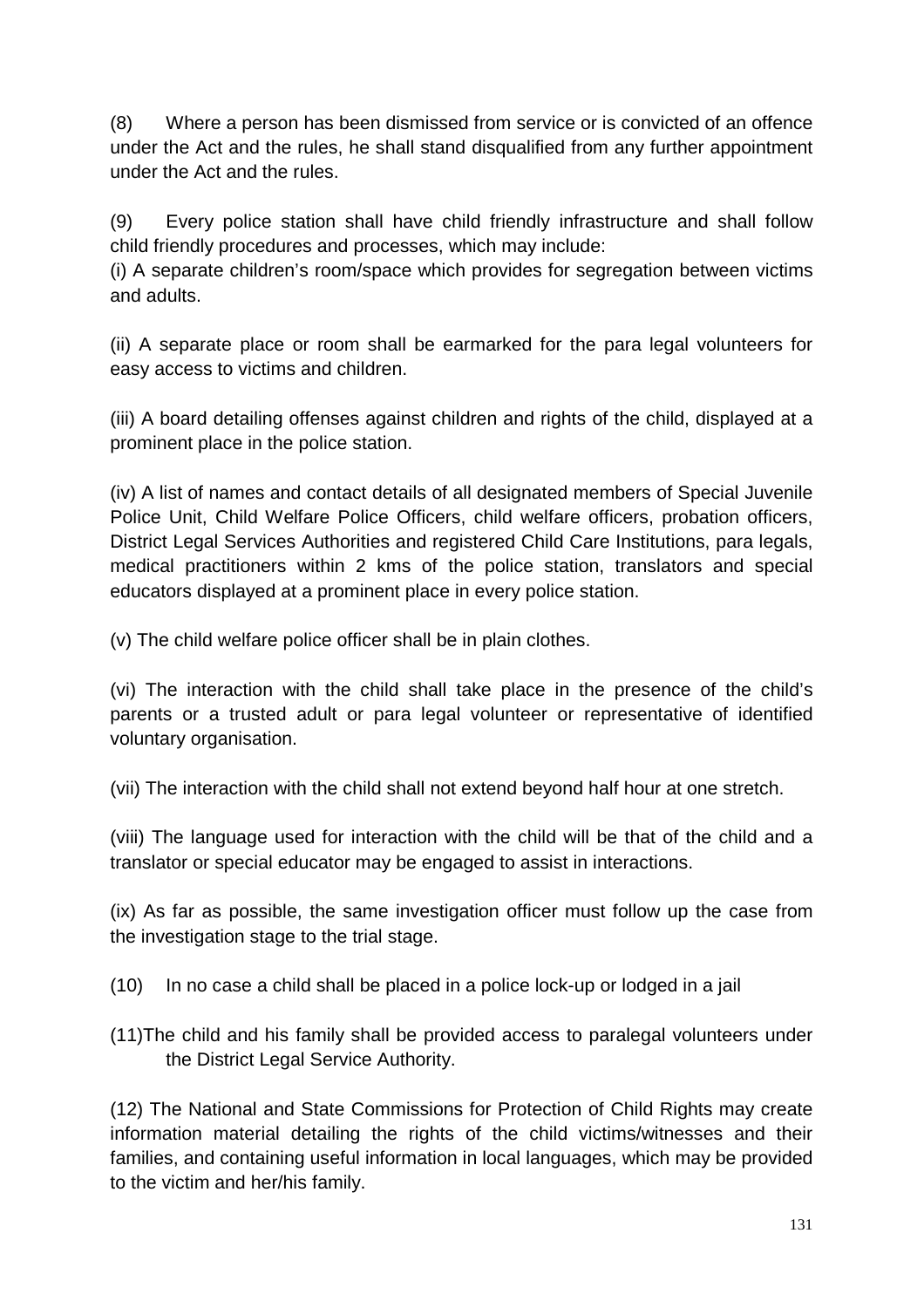(8) Where a person has been dismissed from service or is convicted of an offence under the Act and the rules, he shall stand disqualified from any further appointment under the Act and the rules.

(9) Every police station shall have child friendly infrastructure and shall follow child friendly procedures and processes, which may include:

(i) A separate children's room/space which provides for segregation between victims and adults.

(ii) A separate place or room shall be earmarked for the para legal volunteers for easy access to victims and children.

(iii) A board detailing offenses against children and rights of the child, displayed at a prominent place in the police station.

(iv) A list of names and contact details of all designated members of Special Juvenile Police Unit, Child Welfare Police Officers, child welfare officers, probation officers, District Legal Services Authorities and registered Child Care Institutions, para legals, medical practitioners within 2 kms of the police station, translators and special educators displayed at a prominent place in every police station.

(v) The child welfare police officer shall be in plain clothes.

(vi) The interaction with the child shall take place in the presence of the child's parents or a trusted adult or para legal volunteer or representative of identified voluntary organisation.

(vii) The interaction with the child shall not extend beyond half hour at one stretch.

(viii) The language used for interaction with the child will be that of the child and a translator or special educator may be engaged to assist in interactions.

(ix) As far as possible, the same investigation officer must follow up the case from the investigation stage to the trial stage.

- (10) In no case a child shall be placed in a police lock-up or lodged in a jail
- (11)The child and his family shall be provided access to paralegal volunteers under the District Legal Service Authority.

(12) The National and State Commissions for Protection of Child Rights may create information material detailing the rights of the child victims/witnesses and their families, and containing useful information in local languages, which may be provided to the victim and her/his family.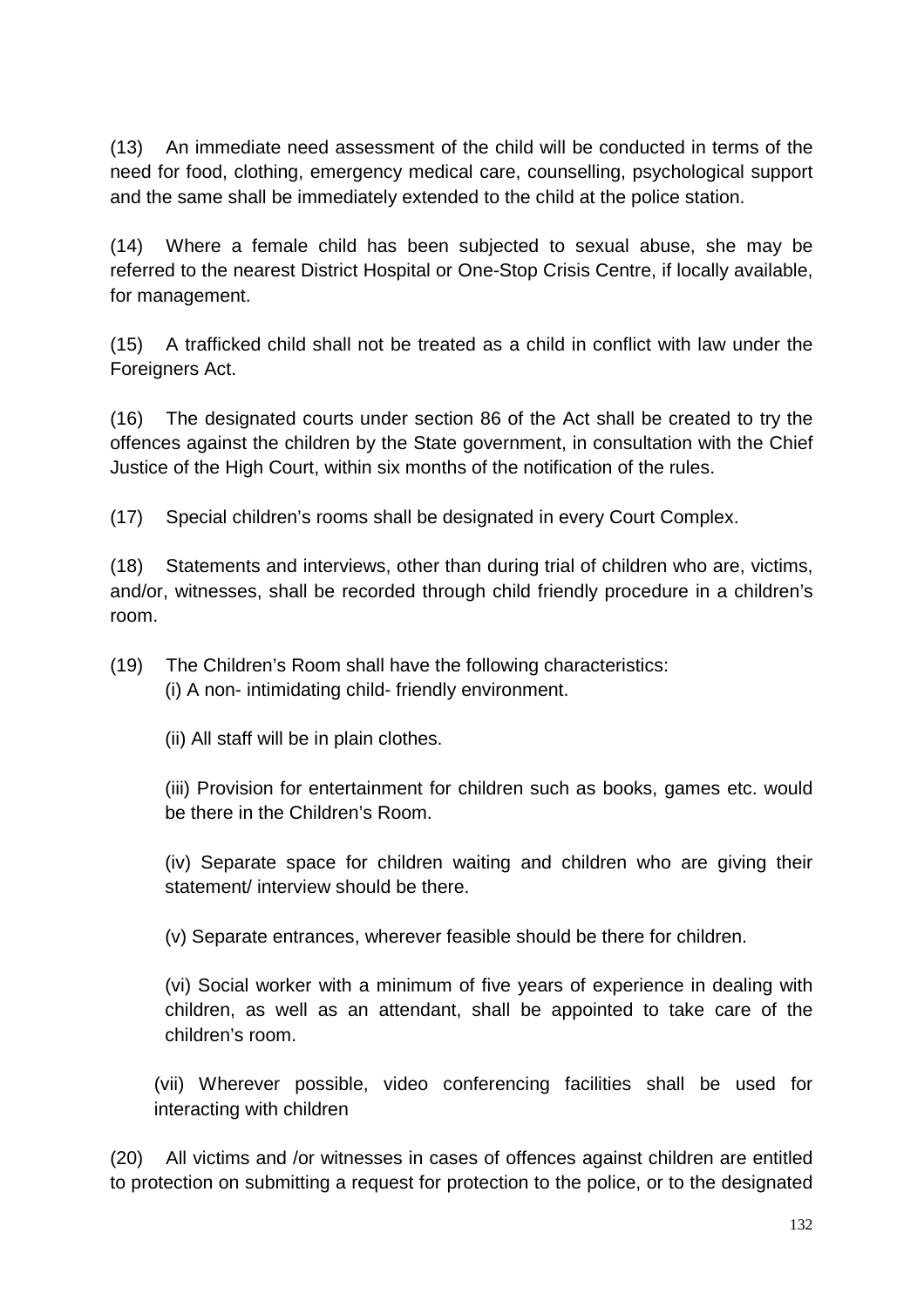(13) An immediate need assessment of the child will be conducted in terms of the need for food, clothing, emergency medical care, counselling, psychological support and the same shall be immediately extended to the child at the police station.

(14) Where a female child has been subjected to sexual abuse, she may be referred to the nearest District Hospital or One-Stop Crisis Centre, if locally available, for management.

(15) A trafficked child shall not be treated as a child in conflict with law under the Foreigners Act.

(16) The designated courts under section 86 of the Act shall be created to try the offences against the children by the State government, in consultation with the Chief Justice of the High Court, within six months of the notification of the rules.

(17) Special children's rooms shall be designated in every Court Complex.

(18) Statements and interviews, other than during trial of children who are, victims, and/or, witnesses, shall be recorded through child friendly procedure in a children's room.

(19) The Children's Room shall have the following characteristics: (i) A non- intimidating child- friendly environment.

(ii) All staff will be in plain clothes.

(iii) Provision for entertainment for children such as books, games etc. would be there in the Children's Room.

(iv) Separate space for children waiting and children who are giving their statement/ interview should be there.

(v) Separate entrances, wherever feasible should be there for children.

(vi) Social worker with a minimum of five years of experience in dealing with children, as well as an attendant, shall be appointed to take care of the children's room.

(vii) Wherever possible, video conferencing facilities shall be used for interacting with children

(20) All victims and /or witnesses in cases of offences against children are entitled to protection on submitting a request for protection to the police, or to the designated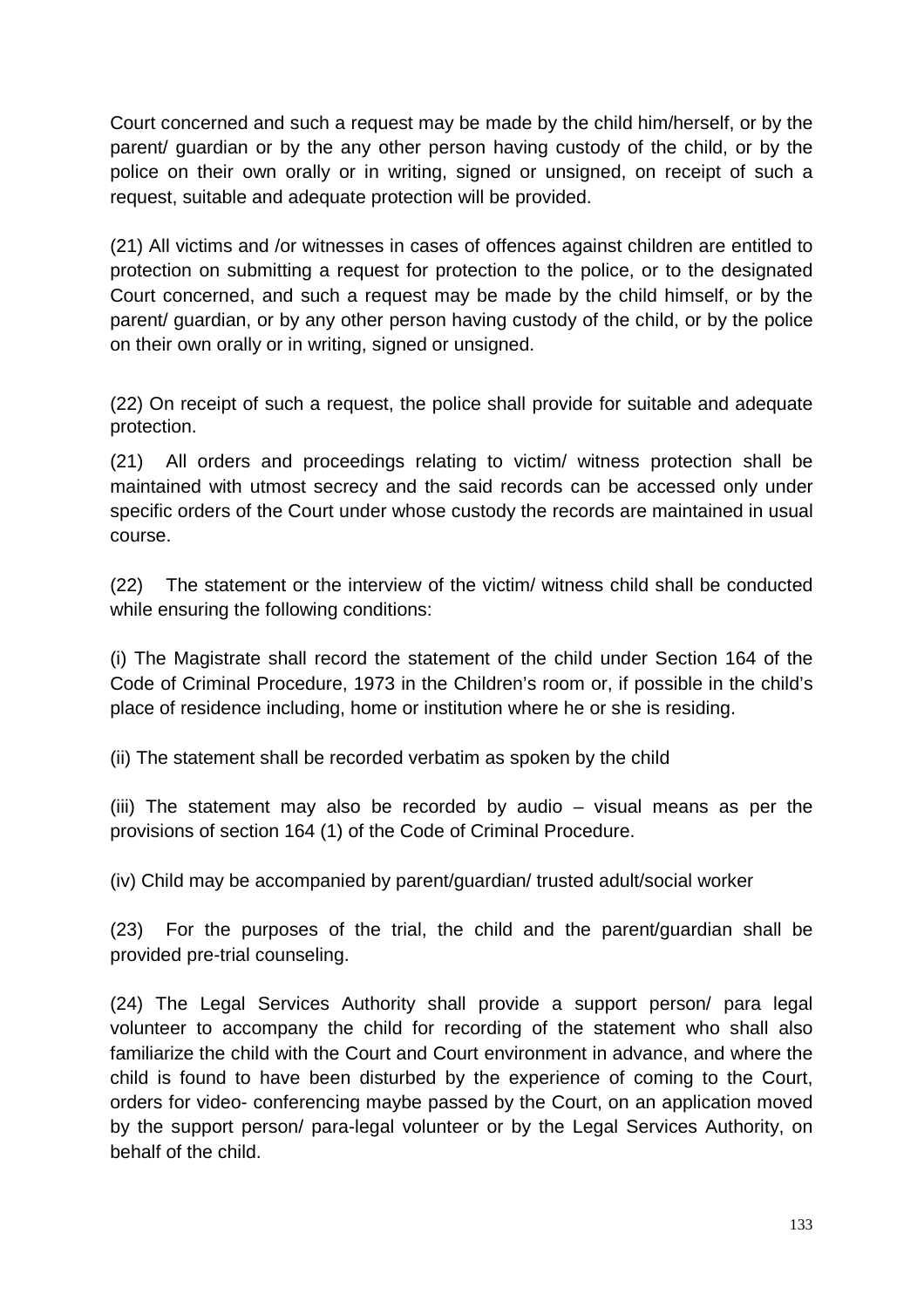Court concerned and such a request may be made by the child him/herself, or by the parent/ guardian or by the any other person having custody of the child, or by the police on their own orally or in writing, signed or unsigned, on receipt of such a request, suitable and adequate protection will be provided.

(21) All victims and /or witnesses in cases of offences against children are entitled to protection on submitting a request for protection to the police, or to the designated Court concerned, and such a request may be made by the child himself, or by the parent/ guardian, or by any other person having custody of the child, or by the police on their own orally or in writing, signed or unsigned.

(22) On receipt of such a request, the police shall provide for suitable and adequate protection.

(21) All orders and proceedings relating to victim/ witness protection shall be maintained with utmost secrecy and the said records can be accessed only under specific orders of the Court under whose custody the records are maintained in usual course.

(22) The statement or the interview of the victim/ witness child shall be conducted while ensuring the following conditions:

(i) The Magistrate shall record the statement of the child under Section 164 of the Code of Criminal Procedure, 1973 in the Children's room or, if possible in the child's place of residence including, home or institution where he or she is residing.

(ii) The statement shall be recorded verbatim as spoken by the child

(iii) The statement may also be recorded by audio – visual means as per the provisions of section 164 (1) of the Code of Criminal Procedure.

(iv) Child may be accompanied by parent/guardian/ trusted adult/social worker

(23) For the purposes of the trial, the child and the parent/guardian shall be provided pre-trial counseling.

(24) The Legal Services Authority shall provide a support person/ para legal volunteer to accompany the child for recording of the statement who shall also familiarize the child with the Court and Court environment in advance, and where the child is found to have been disturbed by the experience of coming to the Court, orders for video- conferencing maybe passed by the Court, on an application moved by the support person/ para-legal volunteer or by the Legal Services Authority, on behalf of the child.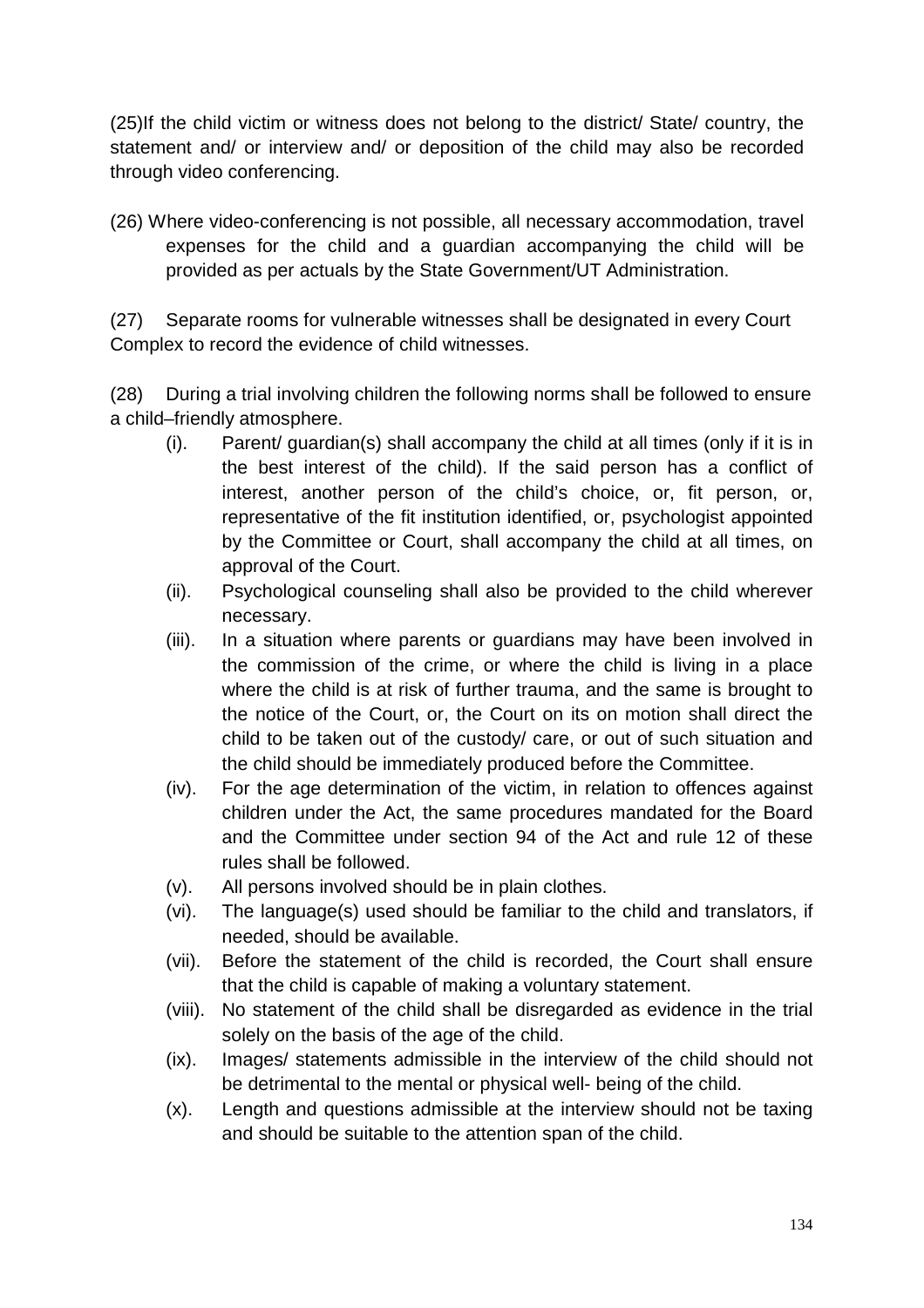(25)If the child victim or witness does not belong to the district/ State/ country, the statement and/ or interview and/ or deposition of the child may also be recorded through video conferencing.

(26) Where video-conferencing is not possible, all necessary accommodation, travel expenses for the child and a guardian accompanying the child will be provided as per actuals by the State Government/UT Administration.

(27) Separate rooms for vulnerable witnesses shall be designated in every Court Complex to record the evidence of child witnesses.

(28) During a trial involving children the following norms shall be followed to ensure a child–friendly atmosphere.

- (i). Parent/ guardian(s) shall accompany the child at all times (only if it is in the best interest of the child). If the said person has a conflict of interest, another person of the child's choice, or, fit person, or, representative of the fit institution identified, or, psychologist appointed by the Committee or Court, shall accompany the child at all times, on approval of the Court.
- (ii). Psychological counseling shall also be provided to the child wherever necessary.
- (iii). In a situation where parents or guardians may have been involved in the commission of the crime, or where the child is living in a place where the child is at risk of further trauma, and the same is brought to the notice of the Court, or, the Court on its on motion shall direct the child to be taken out of the custody/ care, or out of such situation and the child should be immediately produced before the Committee.
- (iv). For the age determination of the victim, in relation to offences against children under the Act, the same procedures mandated for the Board and the Committee under section 94 of the Act and rule 12 of these rules shall be followed.
- (v). All persons involved should be in plain clothes.
- (vi). The language(s) used should be familiar to the child and translators, if needed, should be available.
- (vii). Before the statement of the child is recorded, the Court shall ensure that the child is capable of making a voluntary statement.
- (viii). No statement of the child shall be disregarded as evidence in the trial solely on the basis of the age of the child.
- (ix). Images/ statements admissible in the interview of the child should not be detrimental to the mental or physical well- being of the child.
- (x). Length and questions admissible at the interview should not be taxing and should be suitable to the attention span of the child.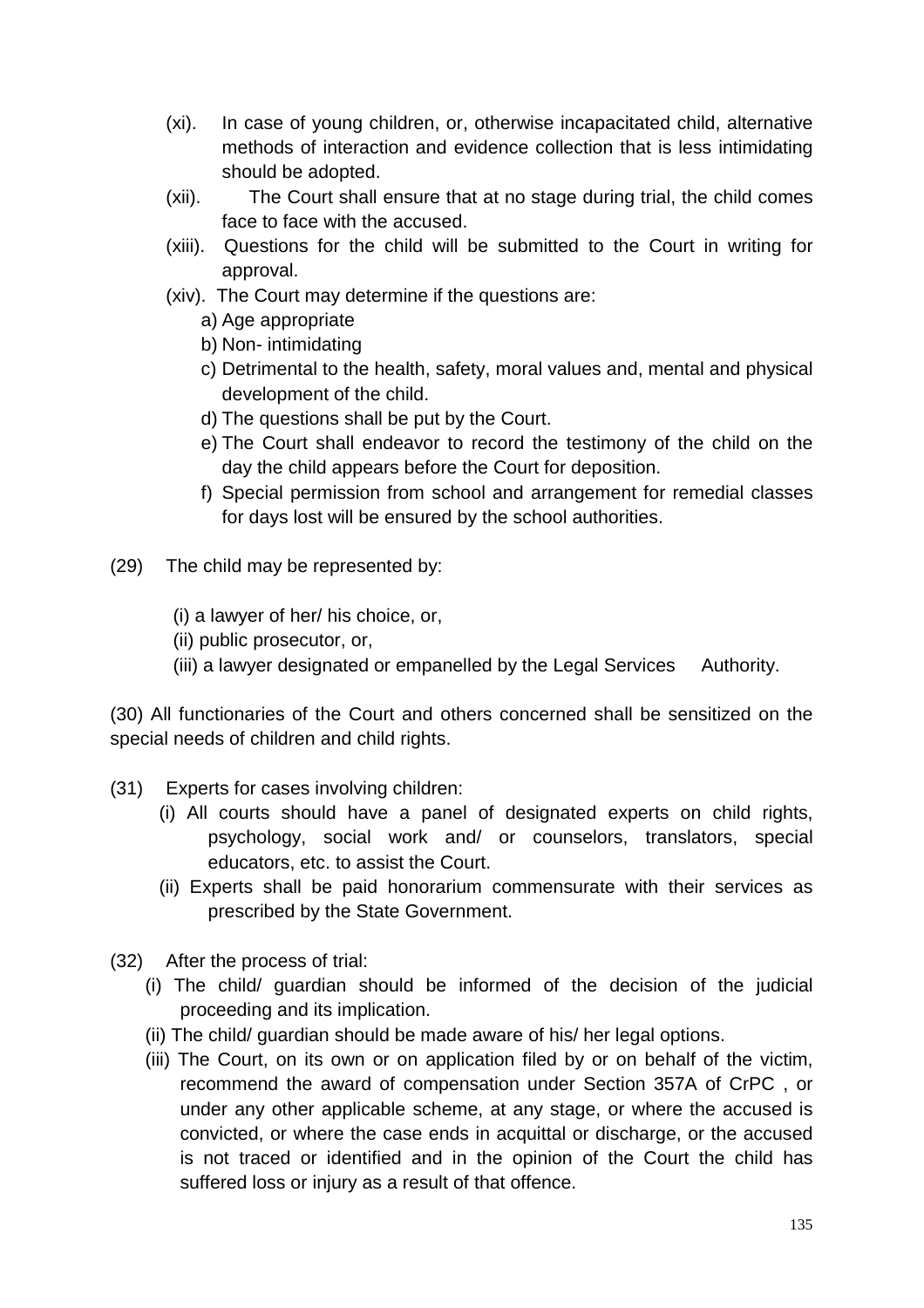- (xi). In case of young children, or, otherwise incapacitated child, alternative methods of interaction and evidence collection that is less intimidating should be adopted.
- (xii). The Court shall ensure that at no stage during trial, the child comes face to face with the accused.
- (xiii). Questions for the child will be submitted to the Court in writing for approval.
- (xiv). The Court may determine if the questions are:
	- a) Age appropriate
	- b) Non- intimidating
	- c) Detrimental to the health, safety, moral values and, mental and physical development of the child.
	- d) The questions shall be put by the Court.
	- e) The Court shall endeavor to record the testimony of the child on the day the child appears before the Court for deposition.
	- f) Special permission from school and arrangement for remedial classes for days lost will be ensured by the school authorities.
- (29) The child may be represented by:
	- (i) a lawyer of her/ his choice, or,
	- (ii) public prosecutor, or,
	- (iii) a lawyer designated or empanelled by the Legal Services Authority.

(30) All functionaries of the Court and others concerned shall be sensitized on the special needs of children and child rights.

- (31) Experts for cases involving children:
	- (i) All courts should have a panel of designated experts on child rights, psychology, social work and/ or counselors, translators, special educators, etc. to assist the Court.
	- (ii) Experts shall be paid honorarium commensurate with their services as prescribed by the State Government.
- (32) After the process of trial:
	- (i) The child/ guardian should be informed of the decision of the judicial proceeding and its implication.
	- (ii) The child/ guardian should be made aware of his/ her legal options.
	- (iii) The Court, on its own or on application filed by or on behalf of the victim, recommend the award of compensation under Section 357A of CrPC , or under any other applicable scheme, at any stage, or where the accused is convicted, or where the case ends in acquittal or discharge, or the accused is not traced or identified and in the opinion of the Court the child has suffered loss or injury as a result of that offence.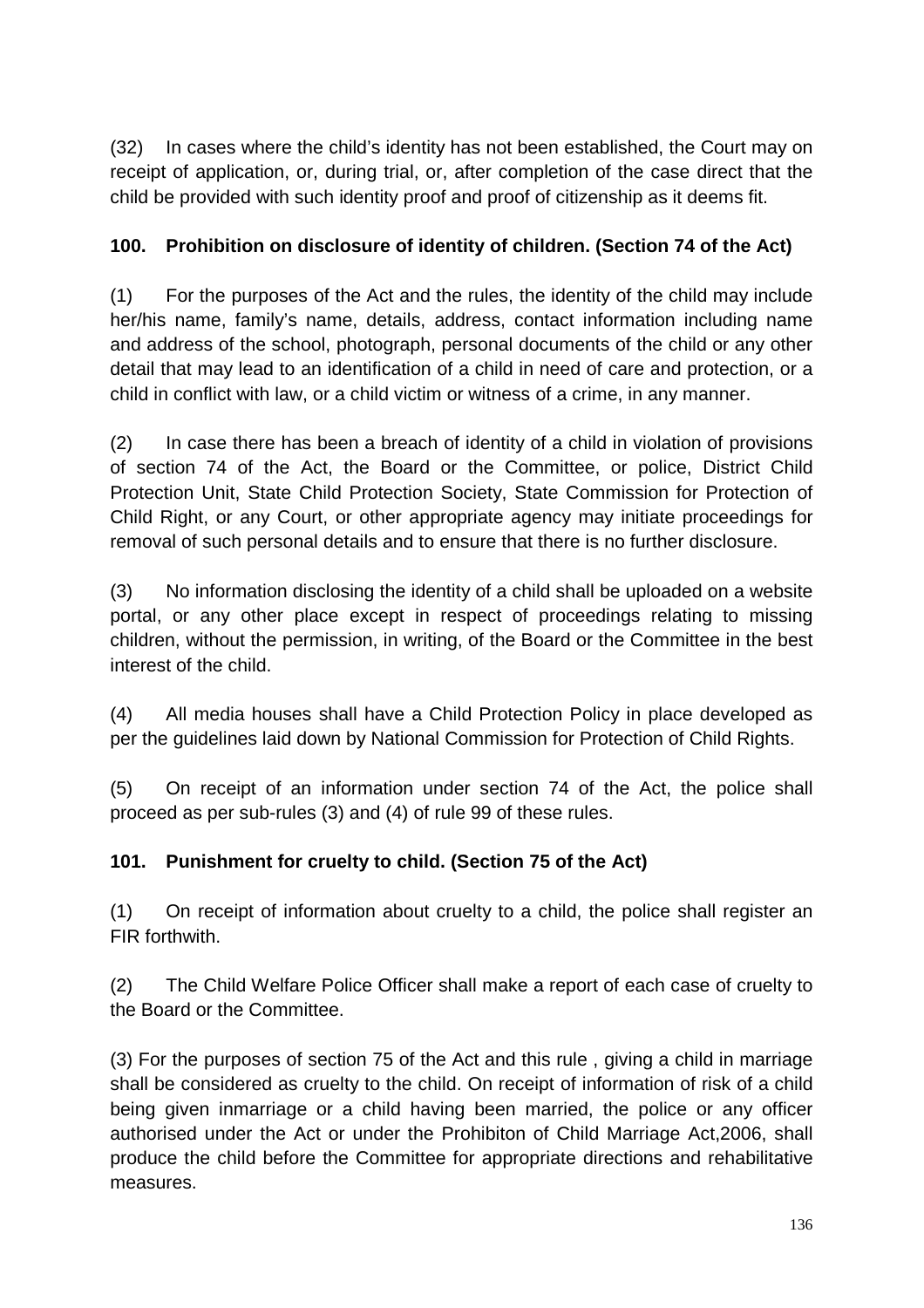(32) In cases where the child's identity has not been established, the Court may on receipt of application, or, during trial, or, after completion of the case direct that the child be provided with such identity proof and proof of citizenship as it deems fit.

# **100. Prohibition on disclosure of identity of children. (Section 74 of the Act)**

(1) For the purposes of the Act and the rules, the identity of the child may include her/his name, family's name, details, address, contact information including name and address of the school, photograph, personal documents of the child or any other detail that may lead to an identification of a child in need of care and protection, or a child in conflict with law, or a child victim or witness of a crime, in any manner.

(2) In case there has been a breach of identity of a child in violation of provisions of section 74 of the Act, the Board or the Committee, or police, District Child Protection Unit, State Child Protection Society, State Commission for Protection of Child Right, or any Court, or other appropriate agency may initiate proceedings for removal of such personal details and to ensure that there is no further disclosure.

(3) No information disclosing the identity of a child shall be uploaded on a website portal, or any other place except in respect of proceedings relating to missing children, without the permission, in writing, of the Board or the Committee in the best interest of the child.

(4) All media houses shall have a Child Protection Policy in place developed as per the guidelines laid down by National Commission for Protection of Child Rights.

(5) On receipt of an information under section 74 of the Act, the police shall proceed as per sub-rules (3) and (4) of rule 99 of these rules.

# **101. Punishment for cruelty to child. (Section 75 of the Act)**

(1) On receipt of information about cruelty to a child, the police shall register an FIR forthwith.

(2) The Child Welfare Police Officer shall make a report of each case of cruelty to the Board or the Committee.

(3) For the purposes of section 75 of the Act and this rule , giving a child in marriage shall be considered as cruelty to the child. On receipt of information of risk of a child being given inmarriage or a child having been married, the police or any officer authorised under the Act or under the Prohibiton of Child Marriage Act,2006, shall produce the child before the Committee for appropriate directions and rehabilitative measures.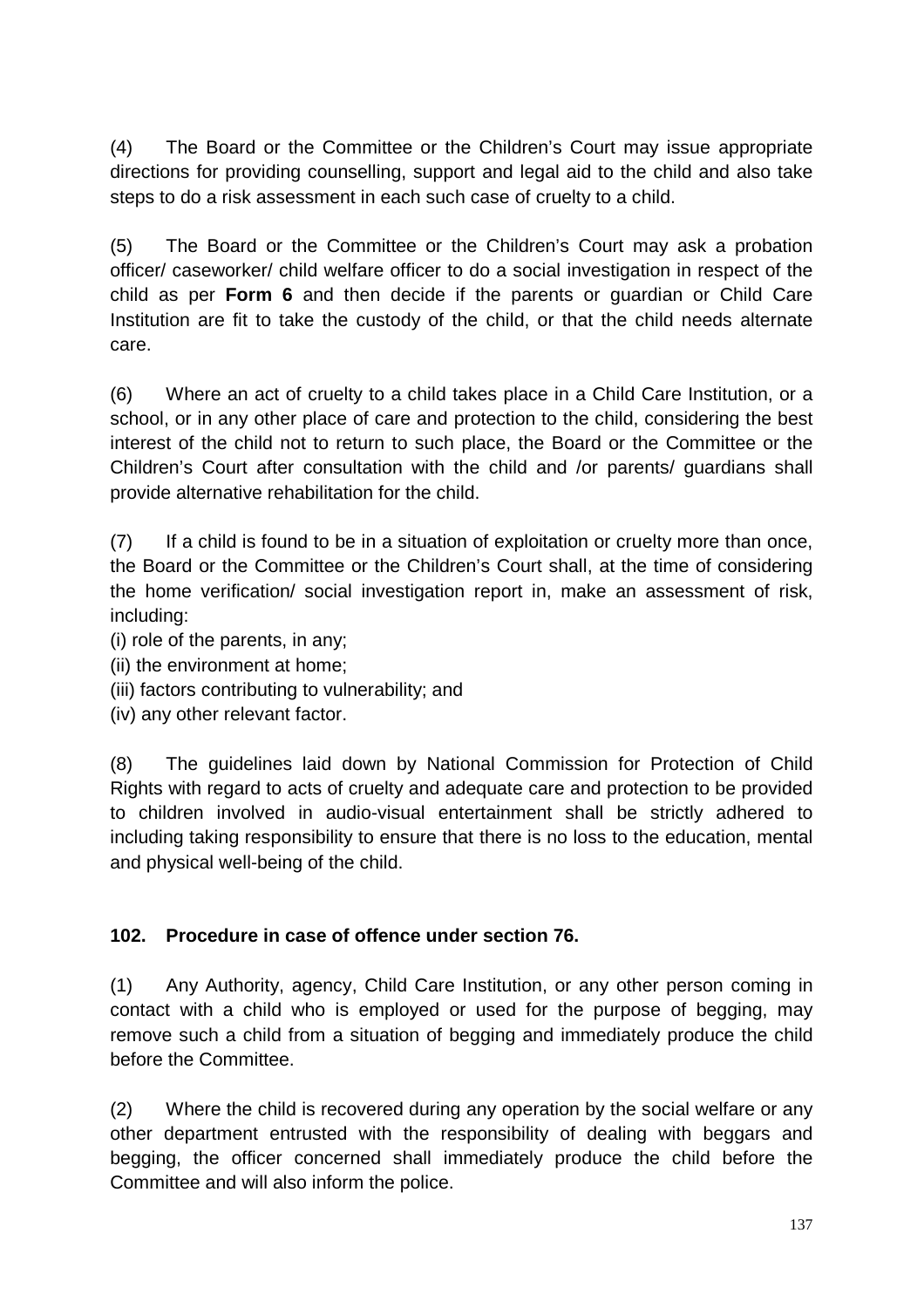(4) The Board or the Committee or the Children's Court may issue appropriate directions for providing counselling, support and legal aid to the child and also take steps to do a risk assessment in each such case of cruelty to a child.

(5) The Board or the Committee or the Children's Court may ask a probation officer/ caseworker/ child welfare officer to do a social investigation in respect of the child as per **Form 6** and then decide if the parents or guardian or Child Care Institution are fit to take the custody of the child, or that the child needs alternate care.

(6) Where an act of cruelty to a child takes place in a Child Care Institution, or a school, or in any other place of care and protection to the child, considering the best interest of the child not to return to such place, the Board or the Committee or the Children's Court after consultation with the child and /or parents/ guardians shall provide alternative rehabilitation for the child.

(7) If a child is found to be in a situation of exploitation or cruelty more than once, the Board or the Committee or the Children's Court shall, at the time of considering the home verification/ social investigation report in, make an assessment of risk, including:

- (i) role of the parents, in any;
- (ii) the environment at home;
- (iii) factors contributing to vulnerability; and
- (iv) any other relevant factor.

(8) The guidelines laid down by National Commission for Protection of Child Rights with regard to acts of cruelty and adequate care and protection to be provided to children involved in audio-visual entertainment shall be strictly adhered to including taking responsibility to ensure that there is no loss to the education, mental and physical well-being of the child.

#### **102. Procedure in case of offence under section 76.**

(1) Any Authority, agency, Child Care Institution, or any other person coming in contact with a child who is employed or used for the purpose of begging, may remove such a child from a situation of begging and immediately produce the child before the Committee.

(2) Where the child is recovered during any operation by the social welfare or any other department entrusted with the responsibility of dealing with beggars and begging, the officer concerned shall immediately produce the child before the Committee and will also inform the police.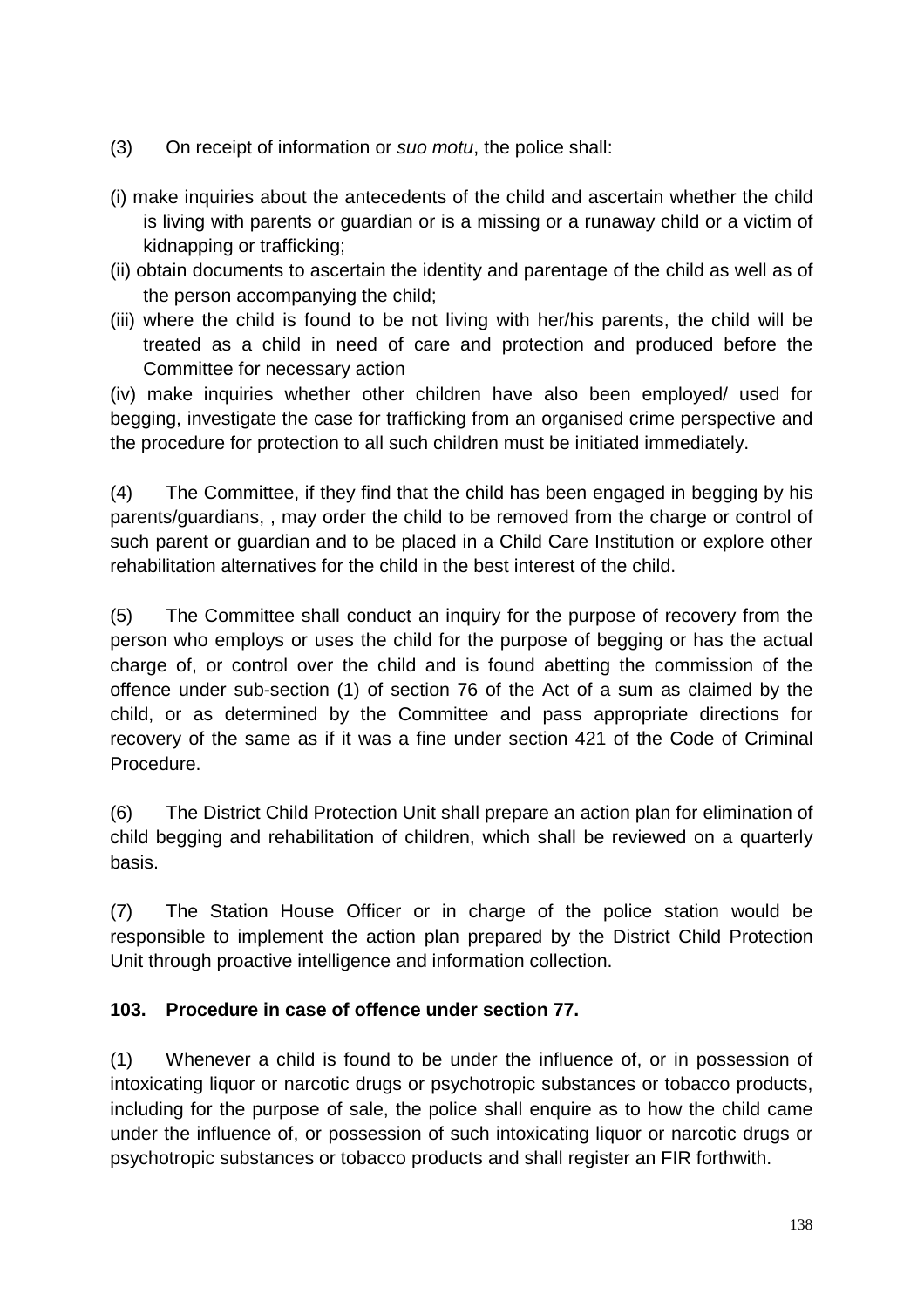- (3) On receipt of information or suo motu, the police shall:
- (i) make inquiries about the antecedents of the child and ascertain whether the child is living with parents or guardian or is a missing or a runaway child or a victim of kidnapping or trafficking;
- (ii) obtain documents to ascertain the identity and parentage of the child as well as of the person accompanying the child;
- (iii) where the child is found to be not living with her/his parents, the child will be treated as a child in need of care and protection and produced before the Committee for necessary action

(iv) make inquiries whether other children have also been employed/ used for begging, investigate the case for trafficking from an organised crime perspective and the procedure for protection to all such children must be initiated immediately.

(4) The Committee, if they find that the child has been engaged in begging by his parents/guardians, , may order the child to be removed from the charge or control of such parent or guardian and to be placed in a Child Care Institution or explore other rehabilitation alternatives for the child in the best interest of the child.

(5) The Committee shall conduct an inquiry for the purpose of recovery from the person who employs or uses the child for the purpose of begging or has the actual charge of, or control over the child and is found abetting the commission of the offence under sub-section (1) of section 76 of the Act of a sum as claimed by the child, or as determined by the Committee and pass appropriate directions for recovery of the same as if it was a fine under section 421 of the Code of Criminal Procedure.

(6) The District Child Protection Unit shall prepare an action plan for elimination of child begging and rehabilitation of children, which shall be reviewed on a quarterly basis.

(7) The Station House Officer or in charge of the police station would be responsible to implement the action plan prepared by the District Child Protection Unit through proactive intelligence and information collection.

#### **103. Procedure in case of offence under section 77.**

(1) Whenever a child is found to be under the influence of, or in possession of intoxicating liquor or narcotic drugs or psychotropic substances or tobacco products, including for the purpose of sale, the police shall enquire as to how the child came under the influence of, or possession of such intoxicating liquor or narcotic drugs or psychotropic substances or tobacco products and shall register an FIR forthwith.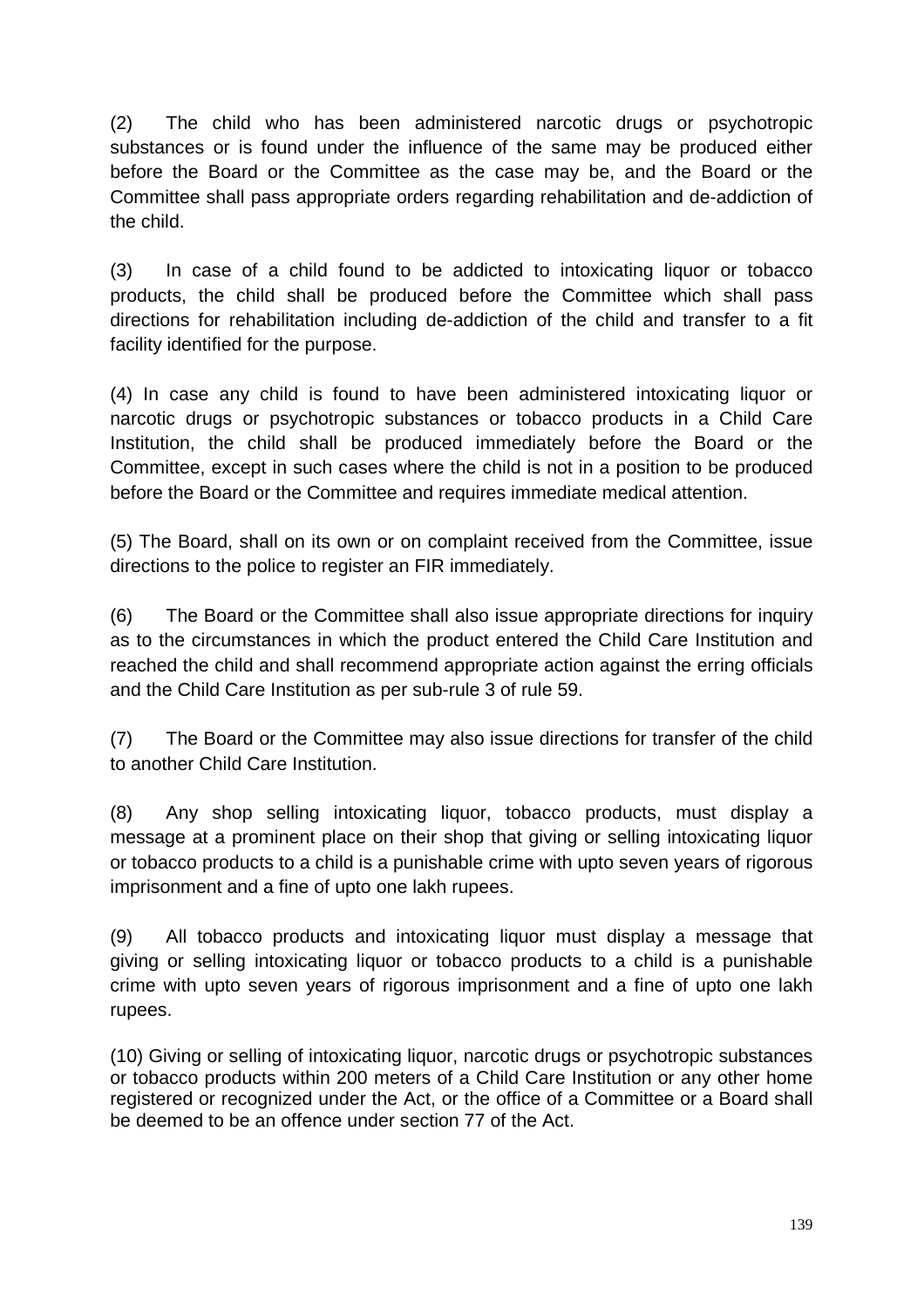(2) The child who has been administered narcotic drugs or psychotropic substances or is found under the influence of the same may be produced either before the Board or the Committee as the case may be, and the Board or the Committee shall pass appropriate orders regarding rehabilitation and de-addiction of the child.

(3) In case of a child found to be addicted to intoxicating liquor or tobacco products, the child shall be produced before the Committee which shall pass directions for rehabilitation including de-addiction of the child and transfer to a fit facility identified for the purpose.

(4) In case any child is found to have been administered intoxicating liquor or narcotic drugs or psychotropic substances or tobacco products in a Child Care Institution, the child shall be produced immediately before the Board or the Committee, except in such cases where the child is not in a position to be produced before the Board or the Committee and requires immediate medical attention.

(5) The Board, shall on its own or on complaint received from the Committee, issue directions to the police to register an FIR immediately.

(6) The Board or the Committee shall also issue appropriate directions for inquiry as to the circumstances in which the product entered the Child Care Institution and reached the child and shall recommend appropriate action against the erring officials and the Child Care Institution as per sub-rule 3 of rule 59.

(7) The Board or the Committee may also issue directions for transfer of the child to another Child Care Institution.

(8) Any shop selling intoxicating liquor, tobacco products, must display a message at a prominent place on their shop that giving or selling intoxicating liquor or tobacco products to a child is a punishable crime with upto seven years of rigorous imprisonment and a fine of upto one lakh rupees.

(9) All tobacco products and intoxicating liquor must display a message that giving or selling intoxicating liquor or tobacco products to a child is a punishable crime with upto seven years of rigorous imprisonment and a fine of upto one lakh rupees.

(10) Giving or selling of intoxicating liquor, narcotic drugs or psychotropic substances or tobacco products within 200 meters of a Child Care Institution or any other home registered or recognized under the Act, or the office of a Committee or a Board shall be deemed to be an offence under section 77 of the Act.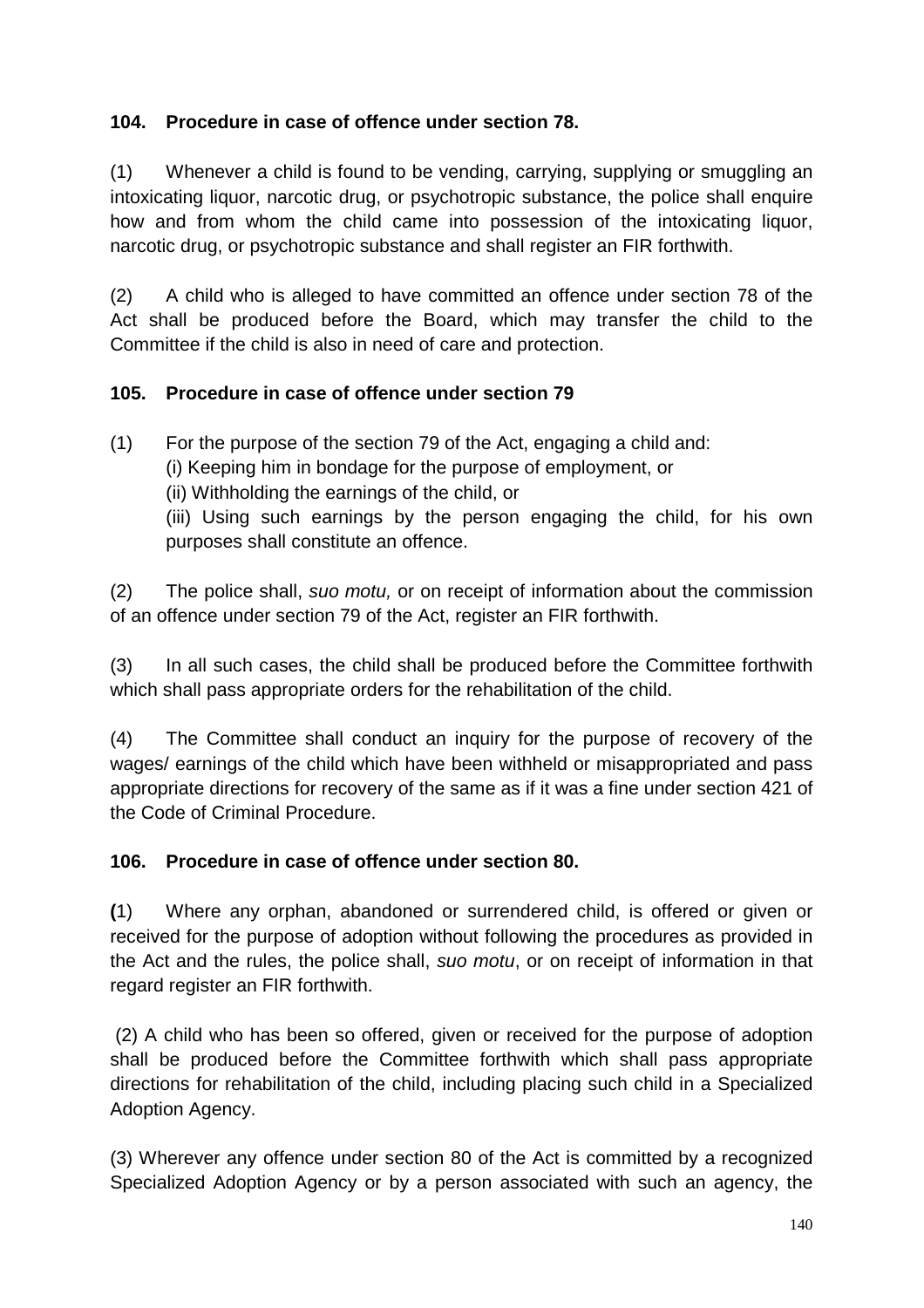### **104. Procedure in case of offence under section 78.**

(1) Whenever a child is found to be vending, carrying, supplying or smuggling an intoxicating liquor, narcotic drug, or psychotropic substance, the police shall enquire how and from whom the child came into possession of the intoxicating liquor, narcotic drug, or psychotropic substance and shall register an FIR forthwith.

(2) A child who is alleged to have committed an offence under section 78 of the Act shall be produced before the Board, which may transfer the child to the Committee if the child is also in need of care and protection.

### **105. Procedure in case of offence under section 79**

(1) For the purpose of the section 79 of the Act, engaging a child and: (i) Keeping him in bondage for the purpose of employment, or (ii) Withholding the earnings of the child, or (iii) Using such earnings by the person engaging the child, for his own purposes shall constitute an offence.

(2) The police shall, suo motu, or on receipt of information about the commission of an offence under section 79 of the Act, register an FIR forthwith.

(3) In all such cases, the child shall be produced before the Committee forthwith which shall pass appropriate orders for the rehabilitation of the child.

(4) The Committee shall conduct an inquiry for the purpose of recovery of the wages/ earnings of the child which have been withheld or misappropriated and pass appropriate directions for recovery of the same as if it was a fine under section 421 of the Code of Criminal Procedure.

# **106. Procedure in case of offence under section 80.**

**(**1) Where any orphan, abandoned or surrendered child, is offered or given or received for the purpose of adoption without following the procedures as provided in the Act and the rules, the police shall, suo motu, or on receipt of information in that regard register an FIR forthwith.

 (2) A child who has been so offered, given or received for the purpose of adoption shall be produced before the Committee forthwith which shall pass appropriate directions for rehabilitation of the child, including placing such child in a Specialized Adoption Agency.

(3) Wherever any offence under section 80 of the Act is committed by a recognized Specialized Adoption Agency or by a person associated with such an agency, the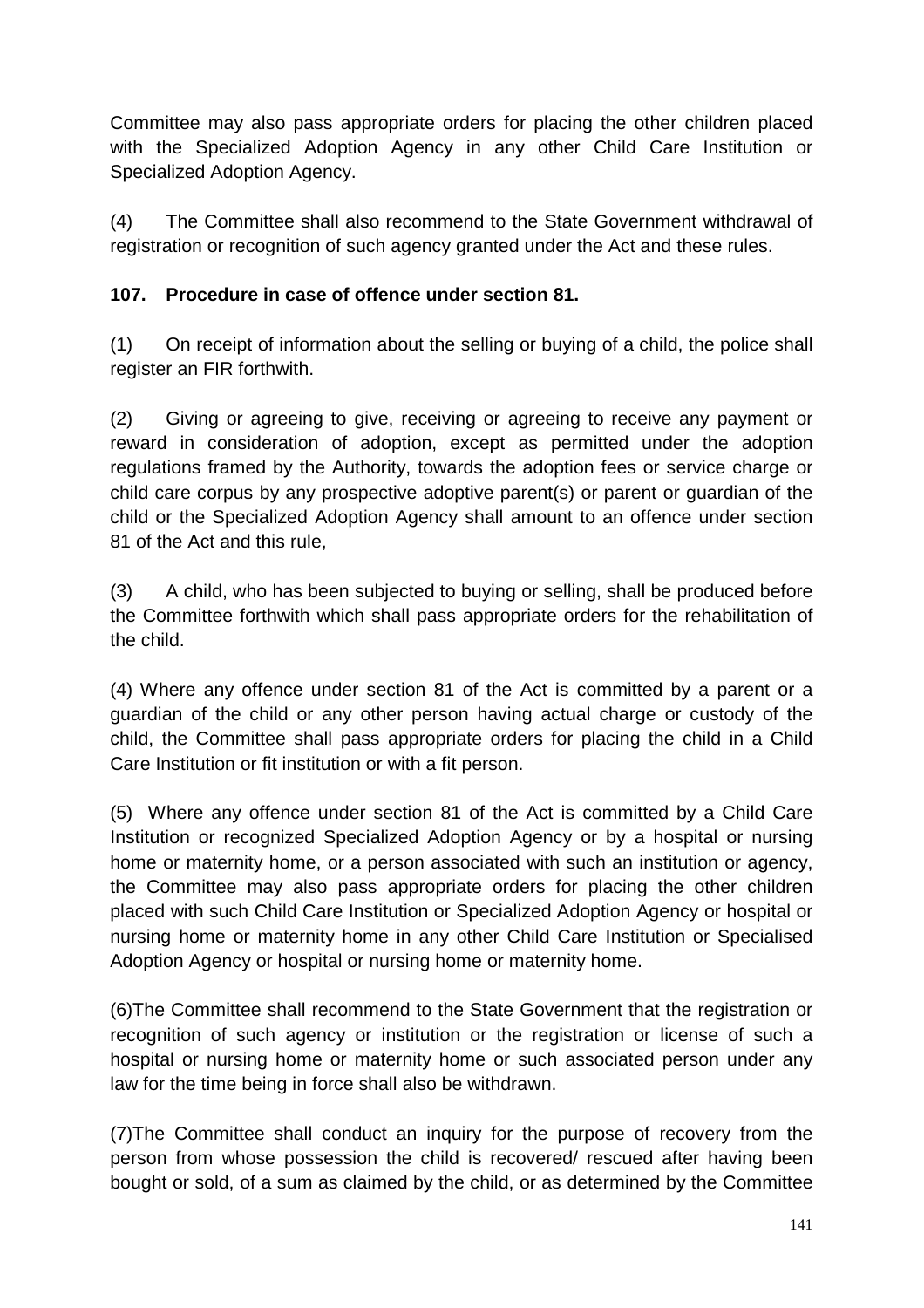Committee may also pass appropriate orders for placing the other children placed with the Specialized Adoption Agency in any other Child Care Institution or Specialized Adoption Agency.

(4) The Committee shall also recommend to the State Government withdrawal of registration or recognition of such agency granted under the Act and these rules.

# **107. Procedure in case of offence under section 81.**

(1) On receipt of information about the selling or buying of a child, the police shall register an FIR forthwith.

(2) Giving or agreeing to give, receiving or agreeing to receive any payment or reward in consideration of adoption, except as permitted under the adoption regulations framed by the Authority, towards the adoption fees or service charge or child care corpus by any prospective adoptive parent(s) or parent or guardian of the child or the Specialized Adoption Agency shall amount to an offence under section 81 of the Act and this rule,

(3) A child, who has been subjected to buying or selling, shall be produced before the Committee forthwith which shall pass appropriate orders for the rehabilitation of the child.

(4) Where any offence under section 81 of the Act is committed by a parent or a guardian of the child or any other person having actual charge or custody of the child, the Committee shall pass appropriate orders for placing the child in a Child Care Institution or fit institution or with a fit person.

(5) Where any offence under section 81 of the Act is committed by a Child Care Institution or recognized Specialized Adoption Agency or by a hospital or nursing home or maternity home, or a person associated with such an institution or agency, the Committee may also pass appropriate orders for placing the other children placed with such Child Care Institution or Specialized Adoption Agency or hospital or nursing home or maternity home in any other Child Care Institution or Specialised Adoption Agency or hospital or nursing home or maternity home.

(6)The Committee shall recommend to the State Government that the registration or recognition of such agency or institution or the registration or license of such a hospital or nursing home or maternity home or such associated person under any law for the time being in force shall also be withdrawn.

(7)The Committee shall conduct an inquiry for the purpose of recovery from the person from whose possession the child is recovered/ rescued after having been bought or sold, of a sum as claimed by the child, or as determined by the Committee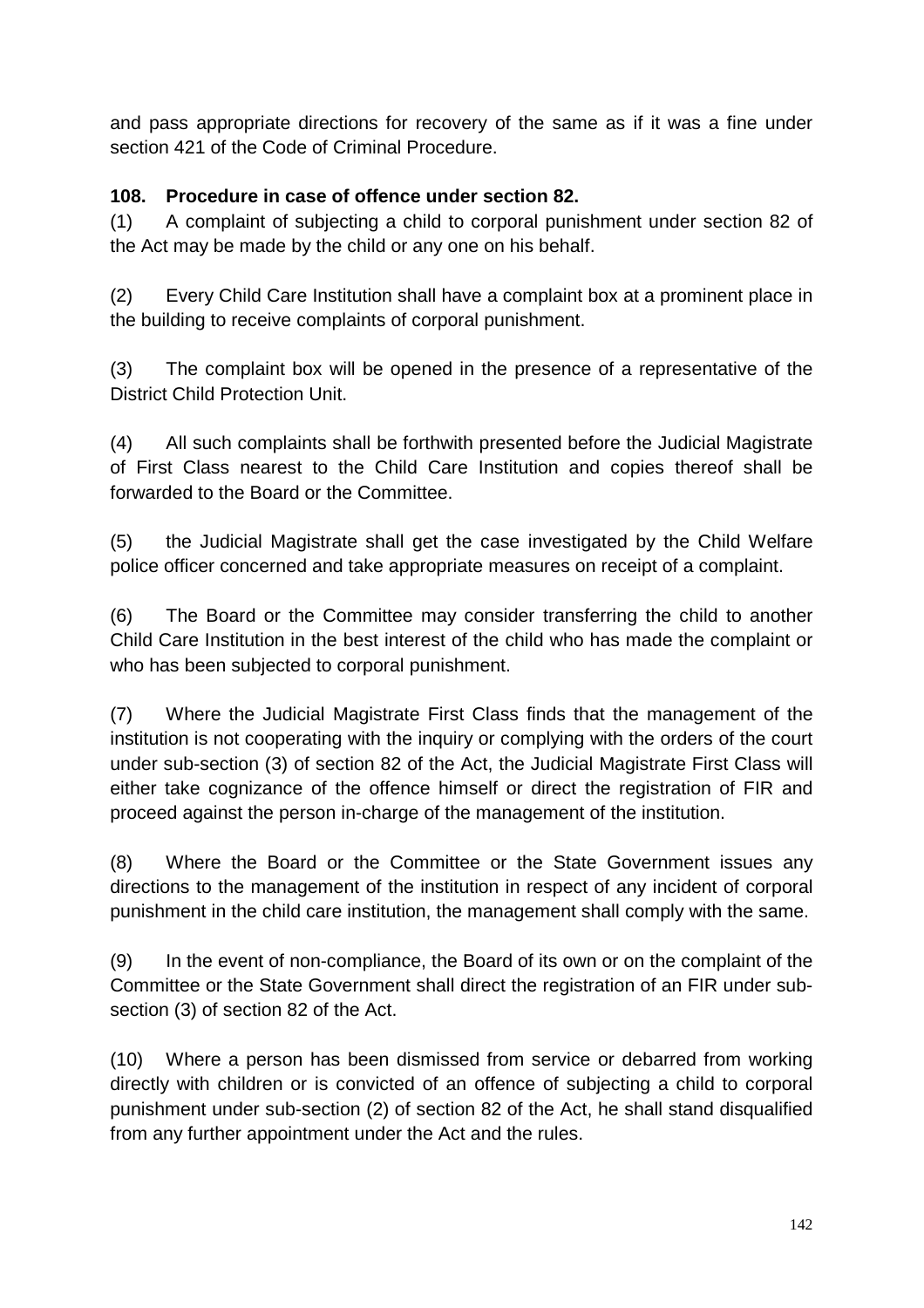and pass appropriate directions for recovery of the same as if it was a fine under section 421 of the Code of Criminal Procedure.

### **108. Procedure in case of offence under section 82.**

(1) A complaint of subjecting a child to corporal punishment under section 82 of the Act may be made by the child or any one on his behalf.

(2) Every Child Care Institution shall have a complaint box at a prominent place in the building to receive complaints of corporal punishment.

(3) The complaint box will be opened in the presence of a representative of the District Child Protection Unit.

(4) All such complaints shall be forthwith presented before the Judicial Magistrate of First Class nearest to the Child Care Institution and copies thereof shall be forwarded to the Board or the Committee.

(5) the Judicial Magistrate shall get the case investigated by the Child Welfare police officer concerned and take appropriate measures on receipt of a complaint.

(6) The Board or the Committee may consider transferring the child to another Child Care Institution in the best interest of the child who has made the complaint or who has been subjected to corporal punishment.

(7) Where the Judicial Magistrate First Class finds that the management of the institution is not cooperating with the inquiry or complying with the orders of the court under sub-section (3) of section 82 of the Act, the Judicial Magistrate First Class will either take cognizance of the offence himself or direct the registration of FIR and proceed against the person in-charge of the management of the institution.

(8) Where the Board or the Committee or the State Government issues any directions to the management of the institution in respect of any incident of corporal punishment in the child care institution, the management shall comply with the same.

(9) In the event of non-compliance, the Board of its own or on the complaint of the Committee or the State Government shall direct the registration of an FIR under subsection (3) of section 82 of the Act.

(10) Where a person has been dismissed from service or debarred from working directly with children or is convicted of an offence of subjecting a child to corporal punishment under sub-section (2) of section 82 of the Act, he shall stand disqualified from any further appointment under the Act and the rules.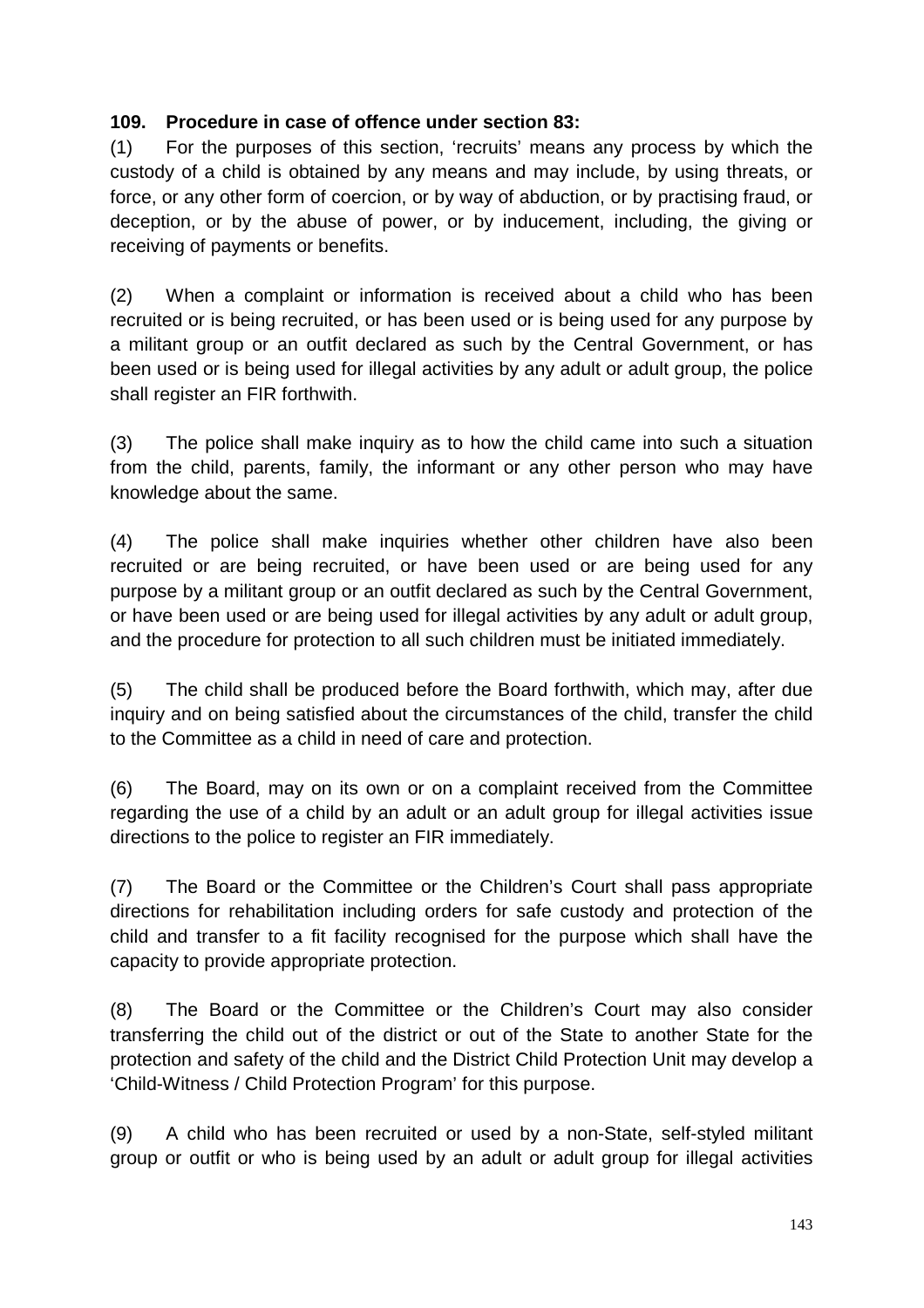#### **109. Procedure in case of offence under section 83:**

(1) For the purposes of this section, 'recruits' means any process by which the custody of a child is obtained by any means and may include, by using threats, or force, or any other form of coercion, or by way of abduction, or by practising fraud, or deception, or by the abuse of power, or by inducement, including, the giving or receiving of payments or benefits.

(2) When a complaint or information is received about a child who has been recruited or is being recruited, or has been used or is being used for any purpose by a militant group or an outfit declared as such by the Central Government, or has been used or is being used for illegal activities by any adult or adult group, the police shall register an FIR forthwith.

(3) The police shall make inquiry as to how the child came into such a situation from the child, parents, family, the informant or any other person who may have knowledge about the same.

(4) The police shall make inquiries whether other children have also been recruited or are being recruited, or have been used or are being used for any purpose by a militant group or an outfit declared as such by the Central Government, or have been used or are being used for illegal activities by any adult or adult group, and the procedure for protection to all such children must be initiated immediately.

(5) The child shall be produced before the Board forthwith, which may, after due inquiry and on being satisfied about the circumstances of the child, transfer the child to the Committee as a child in need of care and protection.

(6) The Board, may on its own or on a complaint received from the Committee regarding the use of a child by an adult or an adult group for illegal activities issue directions to the police to register an FIR immediately.

(7) The Board or the Committee or the Children's Court shall pass appropriate directions for rehabilitation including orders for safe custody and protection of the child and transfer to a fit facility recognised for the purpose which shall have the capacity to provide appropriate protection.

(8) The Board or the Committee or the Children's Court may also consider transferring the child out of the district or out of the State to another State for the protection and safety of the child and the District Child Protection Unit may develop a 'Child-Witness / Child Protection Program' for this purpose.

(9) A child who has been recruited or used by a non-State, self-styled militant group or outfit or who is being used by an adult or adult group for illegal activities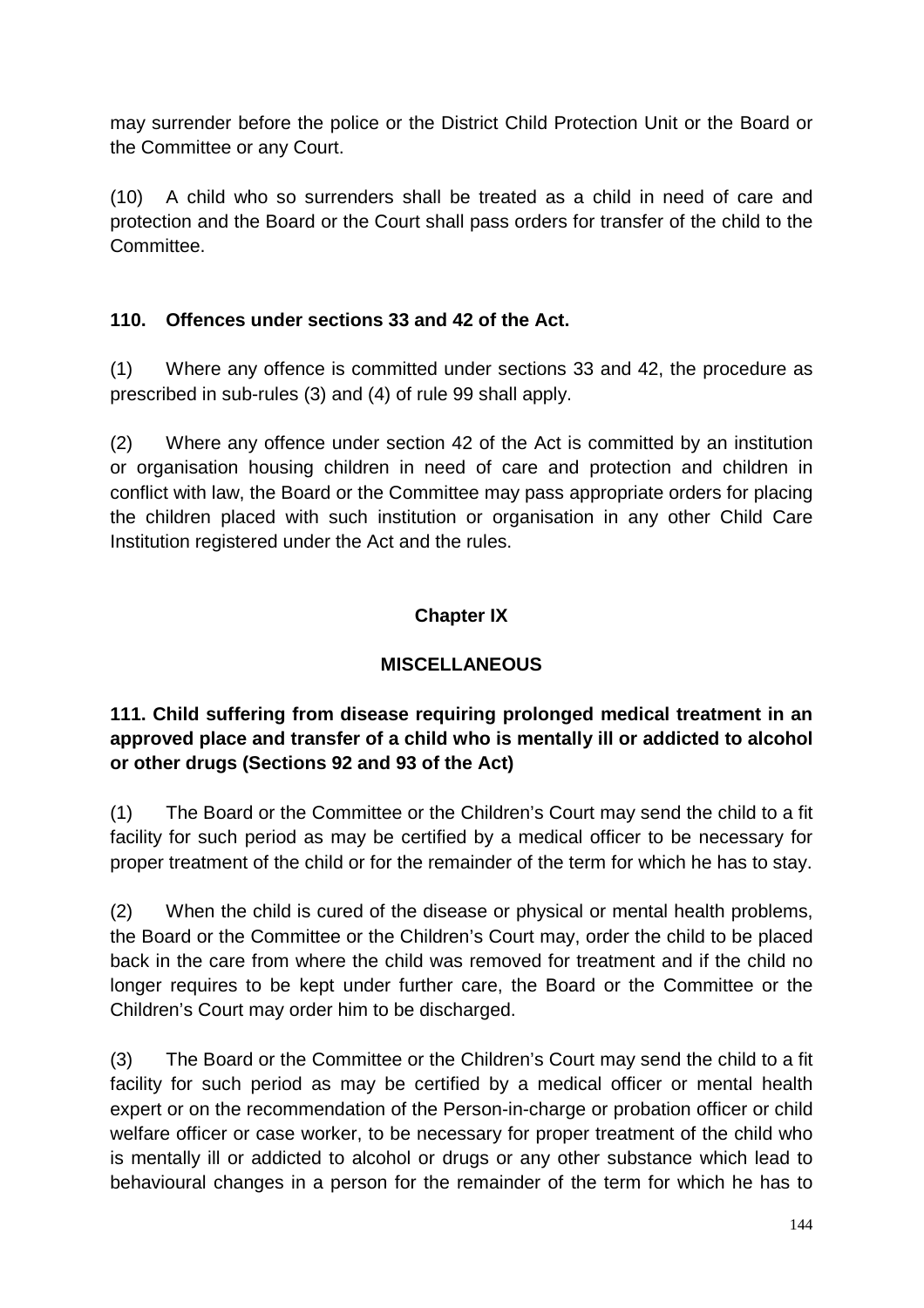may surrender before the police or the District Child Protection Unit or the Board or the Committee or any Court.

(10) A child who so surrenders shall be treated as a child in need of care and protection and the Board or the Court shall pass orders for transfer of the child to the Committee.

### **110. Offences under sections 33 and 42 of the Act.**

(1) Where any offence is committed under sections 33 and 42, the procedure as prescribed in sub-rules (3) and (4) of rule 99 shall apply.

(2) Where any offence under section 42 of the Act is committed by an institution or organisation housing children in need of care and protection and children in conflict with law, the Board or the Committee may pass appropriate orders for placing the children placed with such institution or organisation in any other Child Care Institution registered under the Act and the rules.

## **Chapter IX**

## **MISCELLANEOUS**

### **111. Child suffering from disease requiring prolonged medical treatment in an approved place and transfer of a child who is mentally ill or addicted to alcohol or other drugs (Sections 92 and 93 of the Act)**

(1) The Board or the Committee or the Children's Court may send the child to a fit facility for such period as may be certified by a medical officer to be necessary for proper treatment of the child or for the remainder of the term for which he has to stay.

(2) When the child is cured of the disease or physical or mental health problems, the Board or the Committee or the Children's Court may, order the child to be placed back in the care from where the child was removed for treatment and if the child no longer requires to be kept under further care, the Board or the Committee or the Children's Court may order him to be discharged.

(3) The Board or the Committee or the Children's Court may send the child to a fit facility for such period as may be certified by a medical officer or mental health expert or on the recommendation of the Person-in-charge or probation officer or child welfare officer or case worker, to be necessary for proper treatment of the child who is mentally ill or addicted to alcohol or drugs or any other substance which lead to behavioural changes in a person for the remainder of the term for which he has to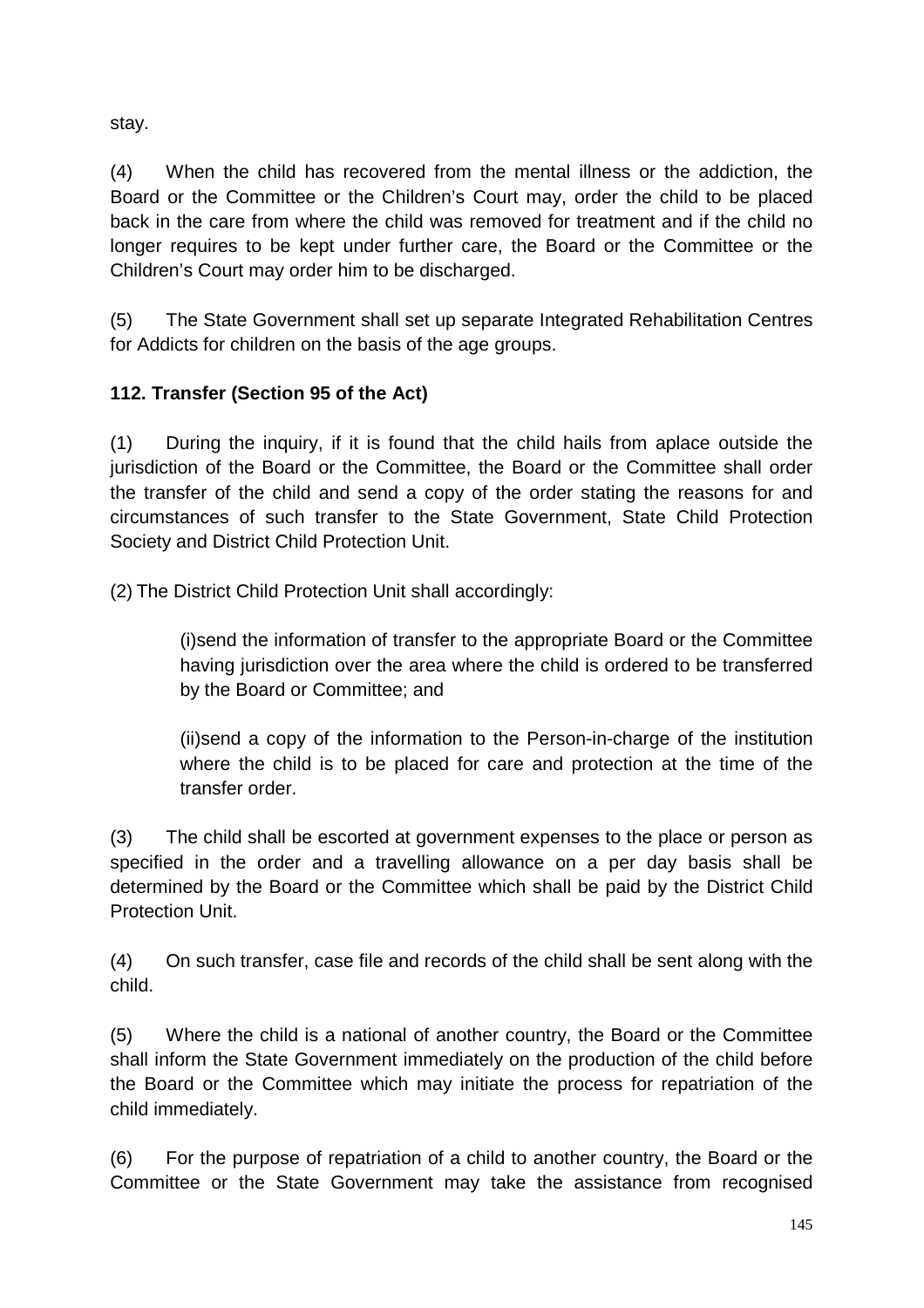stay.

(4) When the child has recovered from the mental illness or the addiction, the Board or the Committee or the Children's Court may, order the child to be placed back in the care from where the child was removed for treatment and if the child no longer requires to be kept under further care, the Board or the Committee or the Children's Court may order him to be discharged.

(5) The State Government shall set up separate Integrated Rehabilitation Centres for Addicts for children on the basis of the age groups.

# **112. Transfer (Section 95 of the Act)**

(1) During the inquiry, if it is found that the child hails from aplace outside the jurisdiction of the Board or the Committee, the Board or the Committee shall order the transfer of the child and send a copy of the order stating the reasons for and circumstances of such transfer to the State Government, State Child Protection Society and District Child Protection Unit.

(2) The District Child Protection Unit shall accordingly:

(i)send the information of transfer to the appropriate Board or the Committee having jurisdiction over the area where the child is ordered to be transferred by the Board or Committee; and

(ii)send a copy of the information to the Person-in-charge of the institution where the child is to be placed for care and protection at the time of the transfer order.

(3) The child shall be escorted at government expenses to the place or person as specified in the order and a travelling allowance on a per day basis shall be determined by the Board or the Committee which shall be paid by the District Child Protection Unit.

(4) On such transfer, case file and records of the child shall be sent along with the child.

(5) Where the child is a national of another country, the Board or the Committee shall inform the State Government immediately on the production of the child before the Board or the Committee which may initiate the process for repatriation of the child immediately.

(6) For the purpose of repatriation of a child to another country, the Board or the Committee or the State Government may take the assistance from recognised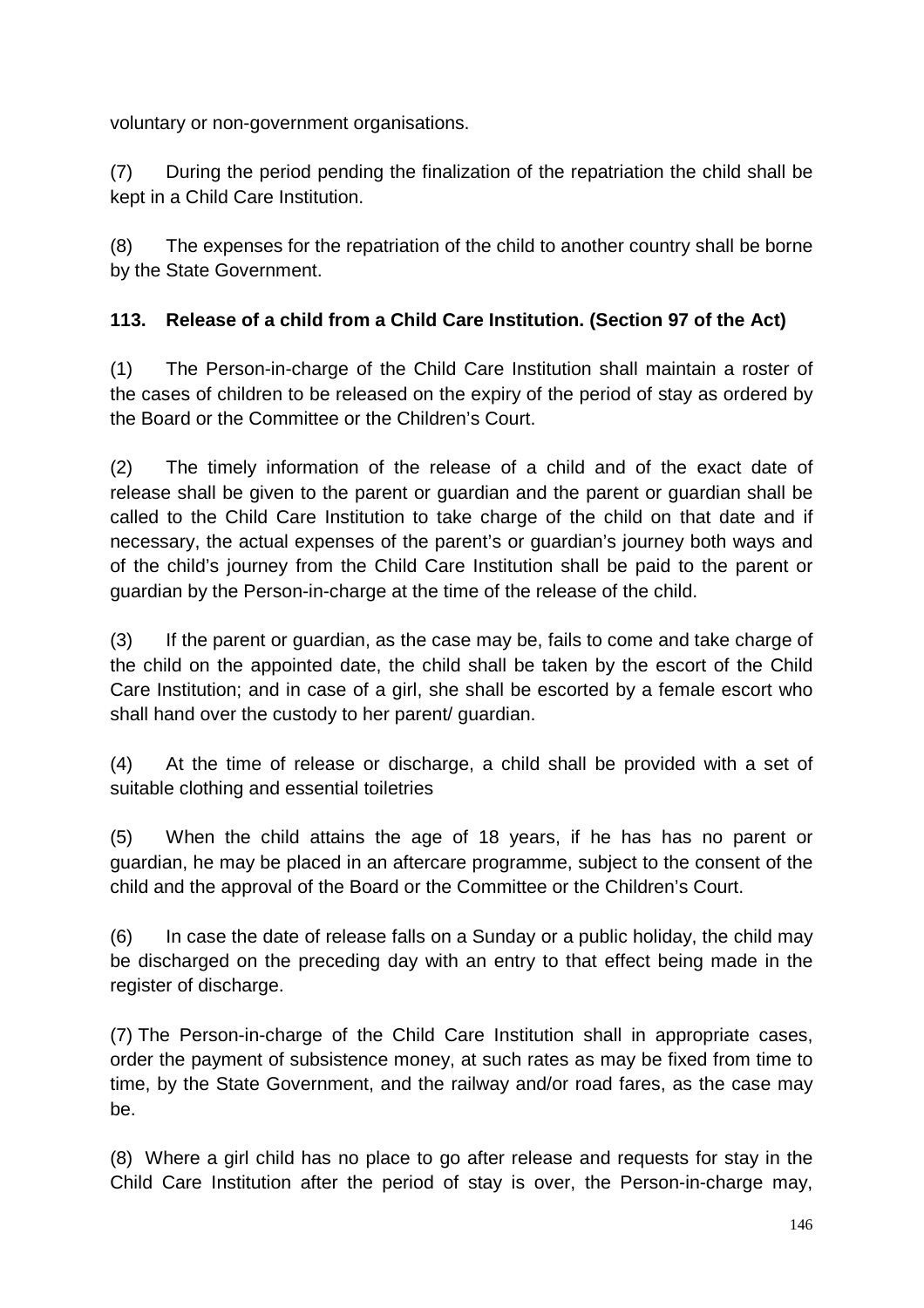voluntary or non-government organisations.

(7) During the period pending the finalization of the repatriation the child shall be kept in a Child Care Institution.

(8) The expenses for the repatriation of the child to another country shall be borne by the State Government.

## **113. Release of a child from a Child Care Institution. (Section 97 of the Act)**

(1) The Person-in-charge of the Child Care Institution shall maintain a roster of the cases of children to be released on the expiry of the period of stay as ordered by the Board or the Committee or the Children's Court.

(2) The timely information of the release of a child and of the exact date of release shall be given to the parent or guardian and the parent or guardian shall be called to the Child Care Institution to take charge of the child on that date and if necessary, the actual expenses of the parent's or guardian's journey both ways and of the child's journey from the Child Care Institution shall be paid to the parent or guardian by the Person-in-charge at the time of the release of the child.

(3) If the parent or guardian, as the case may be, fails to come and take charge of the child on the appointed date, the child shall be taken by the escort of the Child Care Institution; and in case of a girl, she shall be escorted by a female escort who shall hand over the custody to her parent/ guardian.

(4) At the time of release or discharge, a child shall be provided with a set of suitable clothing and essential toiletries

(5) When the child attains the age of 18 years, if he has has no parent or guardian, he may be placed in an aftercare programme, subject to the consent of the child and the approval of the Board or the Committee or the Children's Court.

(6) In case the date of release falls on a Sunday or a public holiday, the child may be discharged on the preceding day with an entry to that effect being made in the register of discharge.

(7) The Person-in-charge of the Child Care Institution shall in appropriate cases, order the payment of subsistence money, at such rates as may be fixed from time to time, by the State Government, and the railway and/or road fares, as the case may be.

(8) Where a girl child has no place to go after release and requests for stay in the Child Care Institution after the period of stay is over, the Person-in-charge may,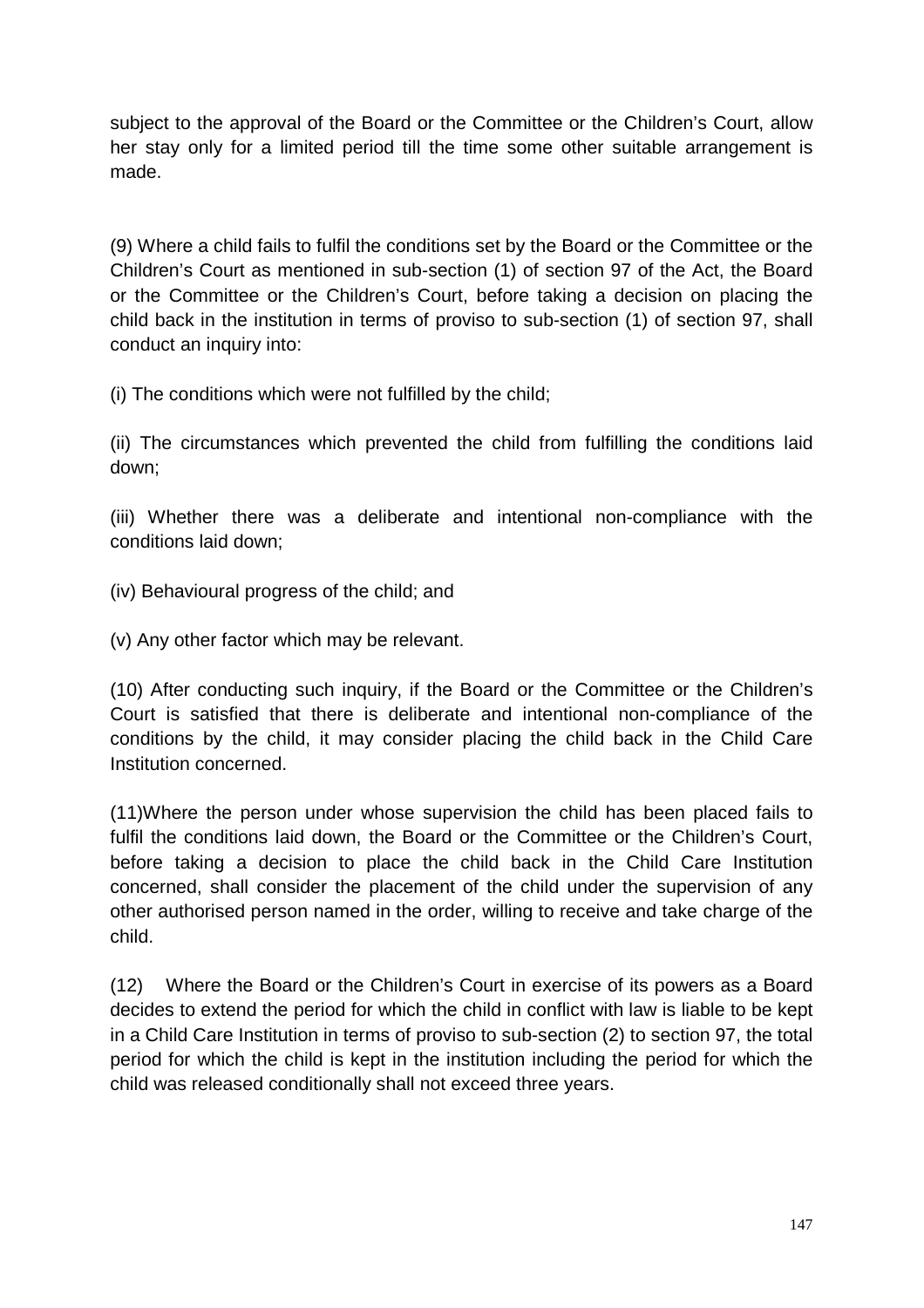subject to the approval of the Board or the Committee or the Children's Court, allow her stay only for a limited period till the time some other suitable arrangement is made.

(9) Where a child fails to fulfil the conditions set by the Board or the Committee or the Children's Court as mentioned in sub-section (1) of section 97 of the Act, the Board or the Committee or the Children's Court, before taking a decision on placing the child back in the institution in terms of proviso to sub-section (1) of section 97, shall conduct an inquiry into:

(i) The conditions which were not fulfilled by the child;

(ii) The circumstances which prevented the child from fulfilling the conditions laid down;

(iii) Whether there was a deliberate and intentional non-compliance with the conditions laid down;

(iv) Behavioural progress of the child; and

(v) Any other factor which may be relevant.

(10) After conducting such inquiry, if the Board or the Committee or the Children's Court is satisfied that there is deliberate and intentional non-compliance of the conditions by the child, it may consider placing the child back in the Child Care Institution concerned.

(11)Where the person under whose supervision the child has been placed fails to fulfil the conditions laid down, the Board or the Committee or the Children's Court, before taking a decision to place the child back in the Child Care Institution concerned, shall consider the placement of the child under the supervision of any other authorised person named in the order, willing to receive and take charge of the child.

(12) Where the Board or the Children's Court in exercise of its powers as a Board decides to extend the period for which the child in conflict with law is liable to be kept in a Child Care Institution in terms of proviso to sub-section (2) to section 97, the total period for which the child is kept in the institution including the period for which the child was released conditionally shall not exceed three years.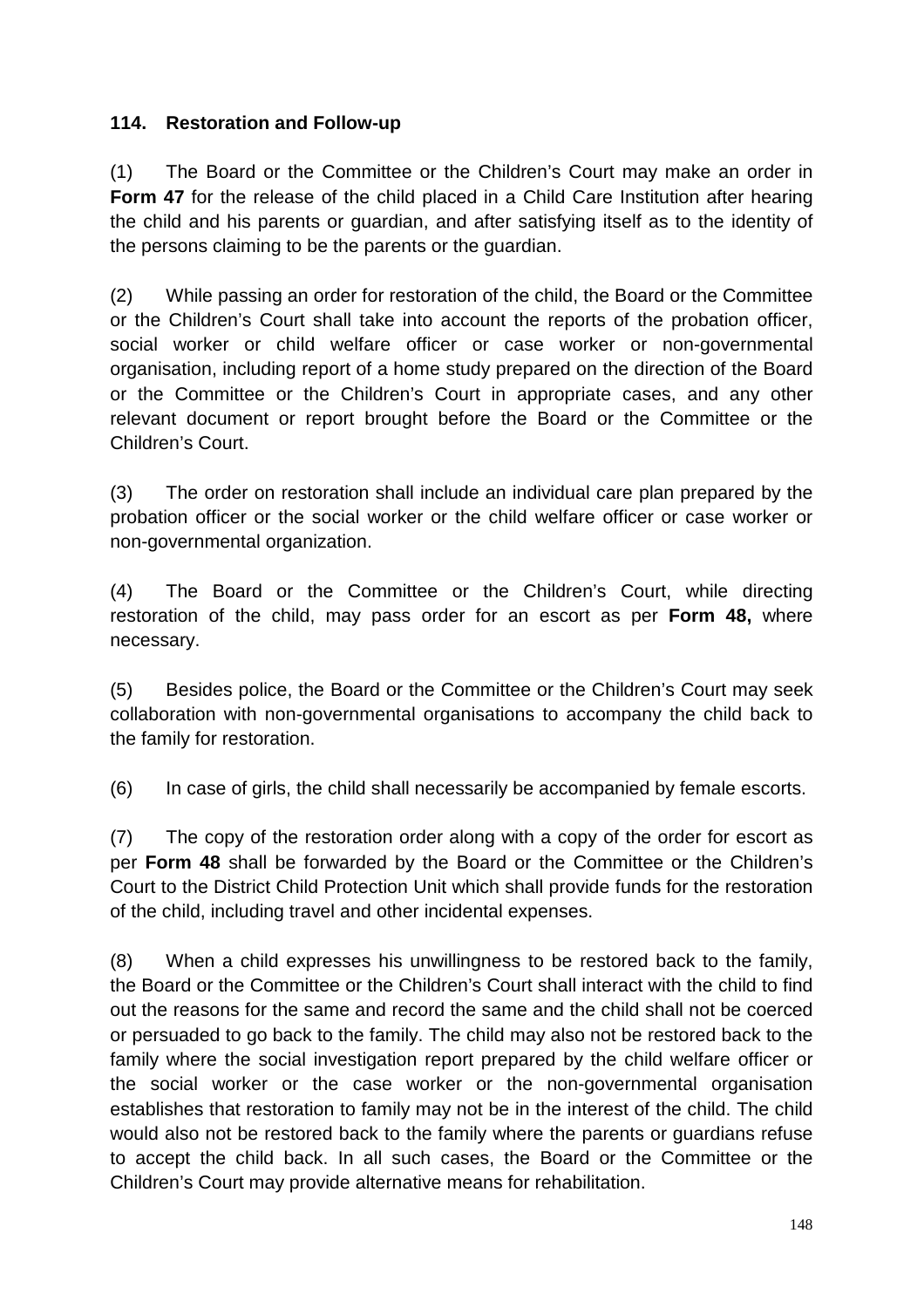#### **114. Restoration and Follow-up**

(1) The Board or the Committee or the Children's Court may make an order in **Form 47** for the release of the child placed in a Child Care Institution after hearing the child and his parents or guardian, and after satisfying itself as to the identity of the persons claiming to be the parents or the guardian.

(2) While passing an order for restoration of the child, the Board or the Committee or the Children's Court shall take into account the reports of the probation officer, social worker or child welfare officer or case worker or non-governmental organisation, including report of a home study prepared on the direction of the Board or the Committee or the Children's Court in appropriate cases, and any other relevant document or report brought before the Board or the Committee or the Children's Court.

(3) The order on restoration shall include an individual care plan prepared by the probation officer or the social worker or the child welfare officer or case worker or non-governmental organization.

(4) The Board or the Committee or the Children's Court, while directing restoration of the child, may pass order for an escort as per **Form 48,** where necessary.

(5) Besides police, the Board or the Committee or the Children's Court may seek collaboration with non-governmental organisations to accompany the child back to the family for restoration.

(6) In case of girls, the child shall necessarily be accompanied by female escorts.

(7) The copy of the restoration order along with a copy of the order for escort as per **Form 48** shall be forwarded by the Board or the Committee or the Children's Court to the District Child Protection Unit which shall provide funds for the restoration of the child, including travel and other incidental expenses.

(8) When a child expresses his unwillingness to be restored back to the family, the Board or the Committee or the Children's Court shall interact with the child to find out the reasons for the same and record the same and the child shall not be coerced or persuaded to go back to the family. The child may also not be restored back to the family where the social investigation report prepared by the child welfare officer or the social worker or the case worker or the non-governmental organisation establishes that restoration to family may not be in the interest of the child. The child would also not be restored back to the family where the parents or guardians refuse to accept the child back. In all such cases, the Board or the Committee or the Children's Court may provide alternative means for rehabilitation.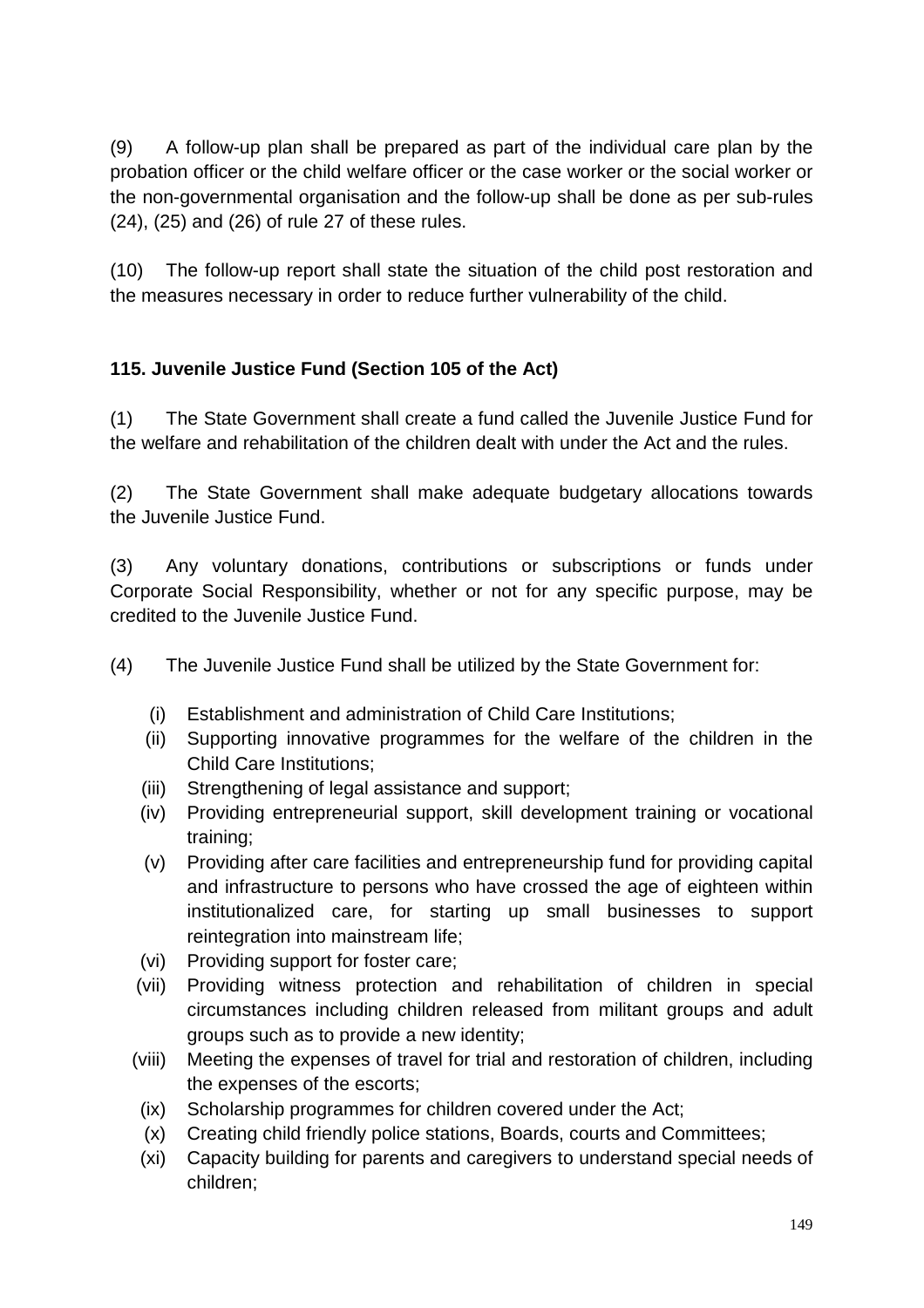(9) A follow-up plan shall be prepared as part of the individual care plan by the probation officer or the child welfare officer or the case worker or the social worker or the non-governmental organisation and the follow-up shall be done as per sub-rules (24), (25) and (26) of rule 27 of these rules.

(10) The follow-up report shall state the situation of the child post restoration and the measures necessary in order to reduce further vulnerability of the child.

## **115. Juvenile Justice Fund (Section 105 of the Act)**

(1) The State Government shall create a fund called the Juvenile Justice Fund for the welfare and rehabilitation of the children dealt with under the Act and the rules.

(2) The State Government shall make adequate budgetary allocations towards the Juvenile Justice Fund.

(3) Any voluntary donations, contributions or subscriptions or funds under Corporate Social Responsibility, whether or not for any specific purpose, may be credited to the Juvenile Justice Fund.

(4) The Juvenile Justice Fund shall be utilized by the State Government for:

- (i) Establishment and administration of Child Care Institutions;
- (ii) Supporting innovative programmes for the welfare of the children in the Child Care Institutions;
- (iii) Strengthening of legal assistance and support;
- (iv) Providing entrepreneurial support, skill development training or vocational training;
- (v) Providing after care facilities and entrepreneurship fund for providing capital and infrastructure to persons who have crossed the age of eighteen within institutionalized care, for starting up small businesses to support reintegration into mainstream life;
- (vi) Providing support for foster care;
- (vii) Providing witness protection and rehabilitation of children in special circumstances including children released from militant groups and adult groups such as to provide a new identity;
- (viii) Meeting the expenses of travel for trial and restoration of children, including the expenses of the escorts;
- (ix) Scholarship programmes for children covered under the Act;
- (x) Creating child friendly police stations, Boards, courts and Committees;
- (xi) Capacity building for parents and caregivers to understand special needs of children;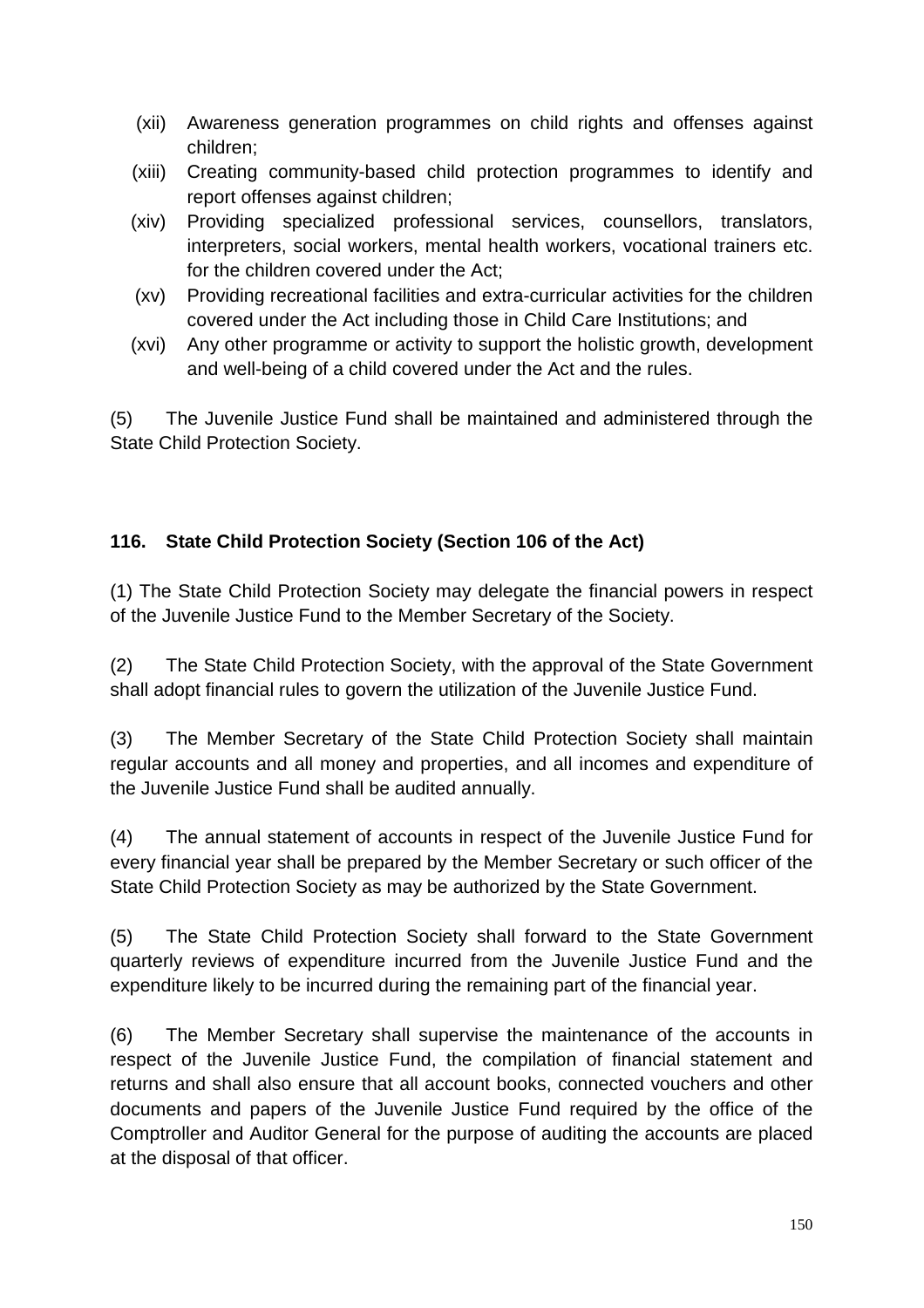- (xii) Awareness generation programmes on child rights and offenses against children;
- (xiii) Creating community-based child protection programmes to identify and report offenses against children;
- (xiv) Providing specialized professional services, counsellors, translators, interpreters, social workers, mental health workers, vocational trainers etc. for the children covered under the Act;
- (xv) Providing recreational facilities and extra-curricular activities for the children covered under the Act including those in Child Care Institutions; and
- (xvi) Any other programme or activity to support the holistic growth, development and well-being of a child covered under the Act and the rules.

(5) The Juvenile Justice Fund shall be maintained and administered through the State Child Protection Society.

## **116. State Child Protection Society (Section 106 of the Act)**

(1) The State Child Protection Society may delegate the financial powers in respect of the Juvenile Justice Fund to the Member Secretary of the Society.

(2) The State Child Protection Society, with the approval of the State Government shall adopt financial rules to govern the utilization of the Juvenile Justice Fund.

(3) The Member Secretary of the State Child Protection Society shall maintain regular accounts and all money and properties, and all incomes and expenditure of the Juvenile Justice Fund shall be audited annually.

(4) The annual statement of accounts in respect of the Juvenile Justice Fund for every financial year shall be prepared by the Member Secretary or such officer of the State Child Protection Society as may be authorized by the State Government.

(5) The State Child Protection Society shall forward to the State Government quarterly reviews of expenditure incurred from the Juvenile Justice Fund and the expenditure likely to be incurred during the remaining part of the financial year.

(6) The Member Secretary shall supervise the maintenance of the accounts in respect of the Juvenile Justice Fund, the compilation of financial statement and returns and shall also ensure that all account books, connected vouchers and other documents and papers of the Juvenile Justice Fund required by the office of the Comptroller and Auditor General for the purpose of auditing the accounts are placed at the disposal of that officer.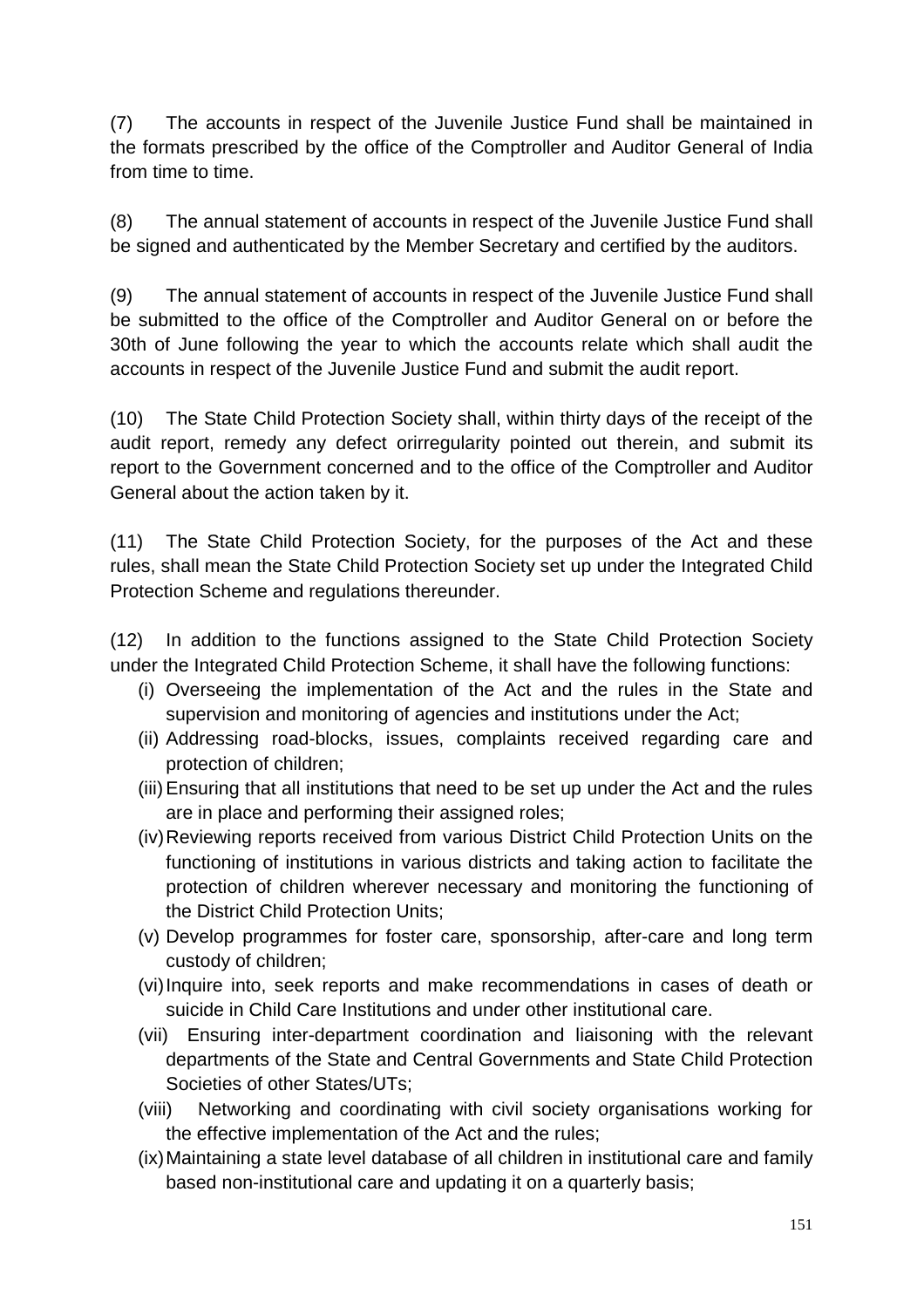(7) The accounts in respect of the Juvenile Justice Fund shall be maintained in the formats prescribed by the office of the Comptroller and Auditor General of India from time to time.

(8) The annual statement of accounts in respect of the Juvenile Justice Fund shall be signed and authenticated by the Member Secretary and certified by the auditors.

(9) The annual statement of accounts in respect of the Juvenile Justice Fund shall be submitted to the office of the Comptroller and Auditor General on or before the 30th of June following the year to which the accounts relate which shall audit the accounts in respect of the Juvenile Justice Fund and submit the audit report.

(10) The State Child Protection Society shall, within thirty days of the receipt of the audit report, remedy any defect orirregularity pointed out therein, and submit its report to the Government concerned and to the office of the Comptroller and Auditor General about the action taken by it.

(11) The State Child Protection Society, for the purposes of the Act and these rules, shall mean the State Child Protection Society set up under the Integrated Child Protection Scheme and regulations thereunder.

(12) In addition to the functions assigned to the State Child Protection Society under the Integrated Child Protection Scheme, it shall have the following functions:

- (i) Overseeing the implementation of the Act and the rules in the State and supervision and monitoring of agencies and institutions under the Act;
- (ii) Addressing road-blocks, issues, complaints received regarding care and protection of children;
- (iii) Ensuring that all institutions that need to be set up under the Act and the rules are in place and performing their assigned roles;
- (iv) Reviewing reports received from various District Child Protection Units on the functioning of institutions in various districts and taking action to facilitate the protection of children wherever necessary and monitoring the functioning of the District Child Protection Units;
- (v) Develop programmes for foster care, sponsorship, after-care and long term custody of children;
- (vi) Inquire into, seek reports and make recommendations in cases of death or suicide in Child Care Institutions and under other institutional care.
- (vii) Ensuring inter-department coordination and liaisoning with the relevant departments of the State and Central Governments and State Child Protection Societies of other States/UTs;
- (viii) Networking and coordinating with civil society organisations working for the effective implementation of the Act and the rules;
- (ix) Maintaining a state level database of all children in institutional care and family based non-institutional care and updating it on a quarterly basis;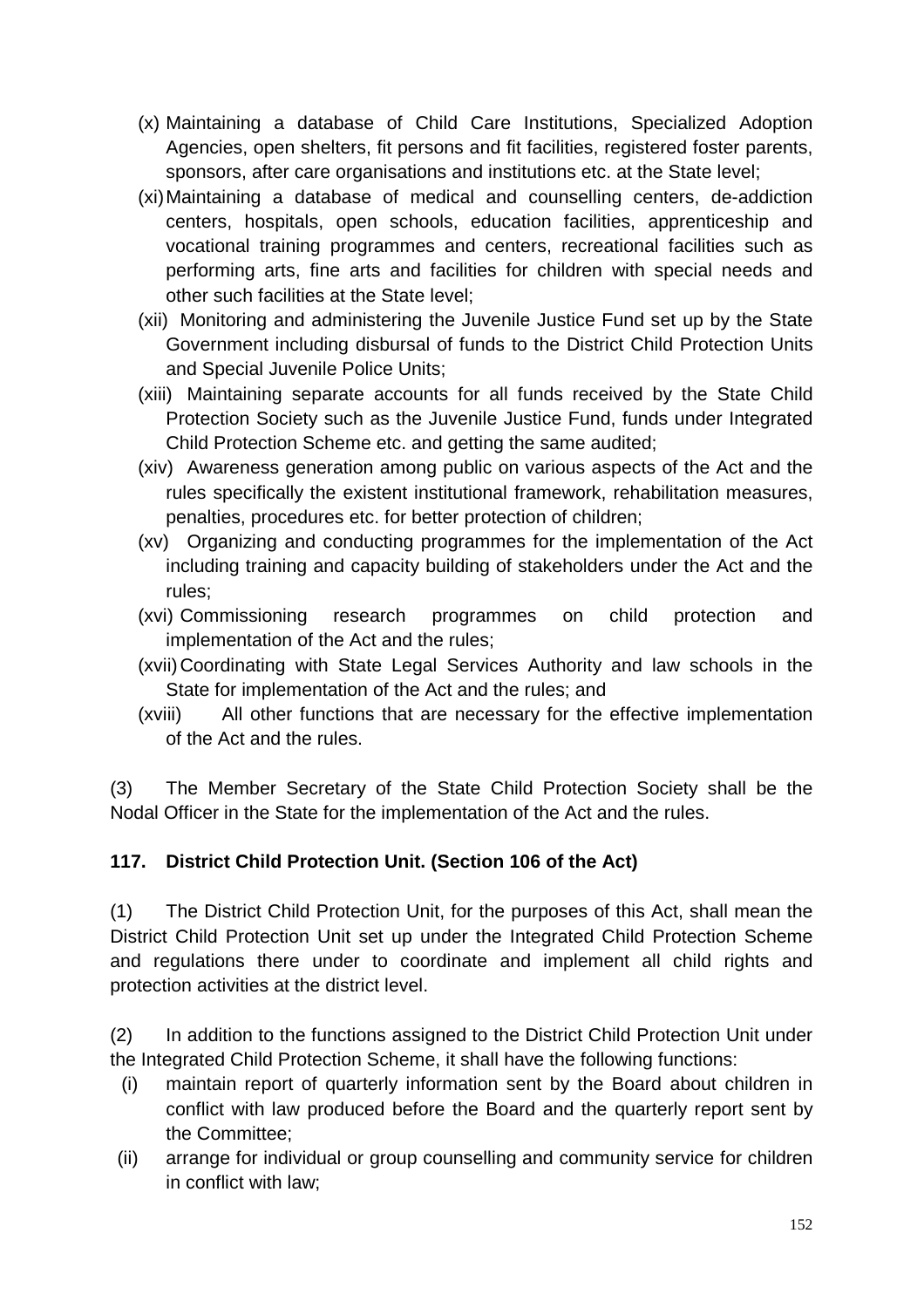- (x) Maintaining a database of Child Care Institutions, Specialized Adoption Agencies, open shelters, fit persons and fit facilities, registered foster parents, sponsors, after care organisations and institutions etc. at the State level;
- (xi) Maintaining a database of medical and counselling centers, de-addiction centers, hospitals, open schools, education facilities, apprenticeship and vocational training programmes and centers, recreational facilities such as performing arts, fine arts and facilities for children with special needs and other such facilities at the State level;
- (xii) Monitoring and administering the Juvenile Justice Fund set up by the State Government including disbursal of funds to the District Child Protection Units and Special Juvenile Police Units;
- (xiii) Maintaining separate accounts for all funds received by the State Child Protection Society such as the Juvenile Justice Fund, funds under Integrated Child Protection Scheme etc. and getting the same audited;
- (xiv) Awareness generation among public on various aspects of the Act and the rules specifically the existent institutional framework, rehabilitation measures, penalties, procedures etc. for better protection of children;
- (xv) Organizing and conducting programmes for the implementation of the Act including training and capacity building of stakeholders under the Act and the rules;
- (xvi) Commissioning research programmes on child protection and implementation of the Act and the rules;
- (xvii) Coordinating with State Legal Services Authority and law schools in the State for implementation of the Act and the rules; and
- (xviii) All other functions that are necessary for the effective implementation of the Act and the rules.

(3) The Member Secretary of the State Child Protection Society shall be the Nodal Officer in the State for the implementation of the Act and the rules.

### **117. District Child Protection Unit. (Section 106 of the Act)**

(1) The District Child Protection Unit, for the purposes of this Act, shall mean the District Child Protection Unit set up under the Integrated Child Protection Scheme and regulations there under to coordinate and implement all child rights and protection activities at the district level.

(2) In addition to the functions assigned to the District Child Protection Unit under the Integrated Child Protection Scheme, it shall have the following functions:

- (i) maintain report of quarterly information sent by the Board about children in conflict with law produced before the Board and the quarterly report sent by the Committee;
- (ii) arrange for individual or group counselling and community service for children in conflict with law;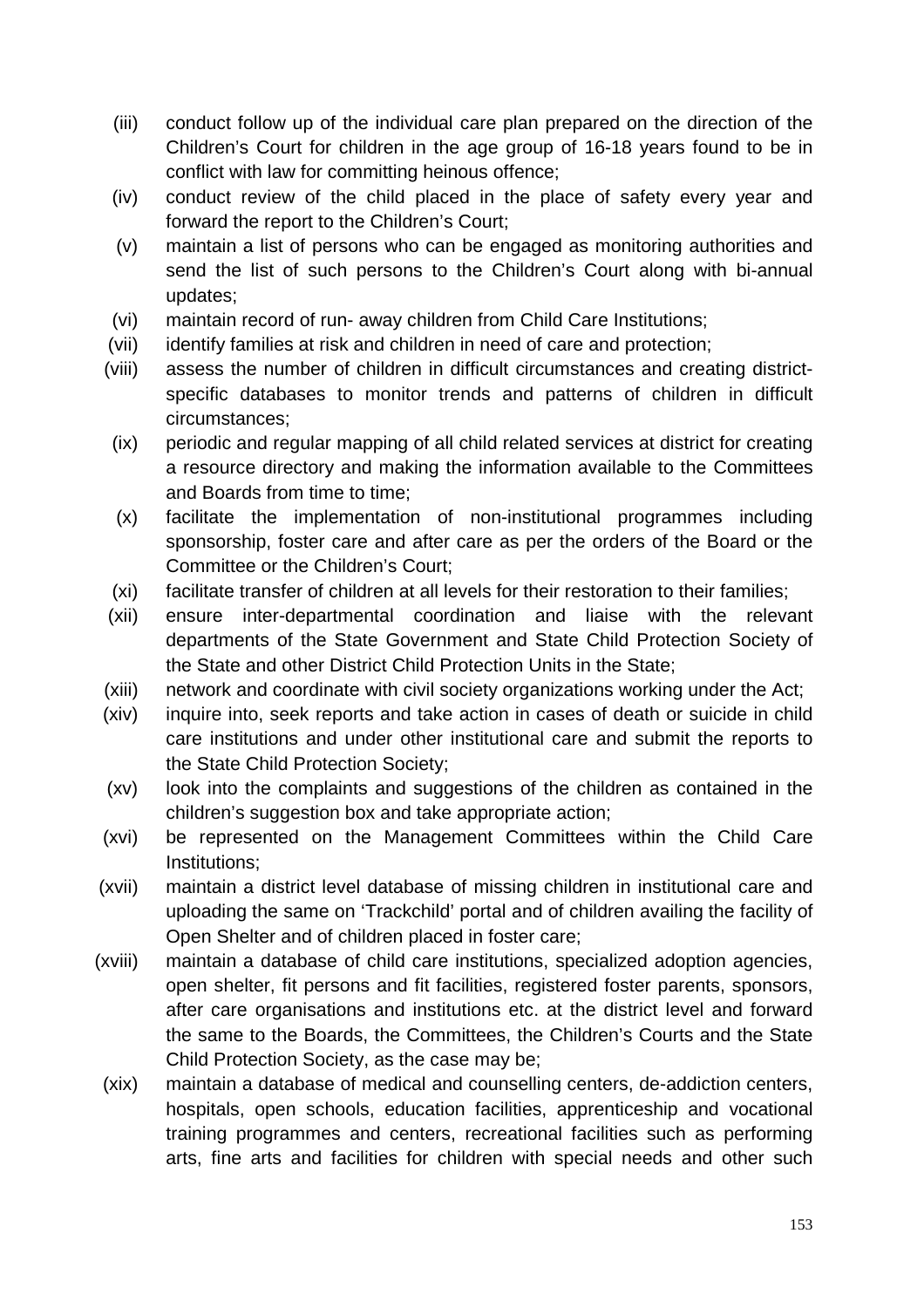- (iii) conduct follow up of the individual care plan prepared on the direction of the Children's Court for children in the age group of 16-18 years found to be in conflict with law for committing heinous offence;
- (iv) conduct review of the child placed in the place of safety every year and forward the report to the Children's Court;
- (v) maintain a list of persons who can be engaged as monitoring authorities and send the list of such persons to the Children's Court along with bi-annual updates;
- (vi) maintain record of run- away children from Child Care Institutions;
- (vii) identify families at risk and children in need of care and protection;
- (viii) assess the number of children in difficult circumstances and creating districtspecific databases to monitor trends and patterns of children in difficult circumstances;
- (ix) periodic and regular mapping of all child related services at district for creating a resource directory and making the information available to the Committees and Boards from time to time;
- (x) facilitate the implementation of non-institutional programmes including sponsorship, foster care and after care as per the orders of the Board or the Committee or the Children's Court;
- (xi) facilitate transfer of children at all levels for their restoration to their families;
- (xii) ensure inter-departmental coordination and liaise with the relevant departments of the State Government and State Child Protection Society of the State and other District Child Protection Units in the State;
- (xiii) network and coordinate with civil society organizations working under the Act;
- (xiv) inquire into, seek reports and take action in cases of death or suicide in child care institutions and under other institutional care and submit the reports to the State Child Protection Society;
- (xv) look into the complaints and suggestions of the children as contained in the children's suggestion box and take appropriate action;
- (xvi) be represented on the Management Committees within the Child Care Institutions;
- (xvii) maintain a district level database of missing children in institutional care and uploading the same on 'Trackchild' portal and of children availing the facility of Open Shelter and of children placed in foster care;
- (xviii) maintain a database of child care institutions, specialized adoption agencies, open shelter, fit persons and fit facilities, registered foster parents, sponsors, after care organisations and institutions etc. at the district level and forward the same to the Boards, the Committees, the Children's Courts and the State Child Protection Society, as the case may be;
- (xix) maintain a database of medical and counselling centers, de-addiction centers, hospitals, open schools, education facilities, apprenticeship and vocational training programmes and centers, recreational facilities such as performing arts, fine arts and facilities for children with special needs and other such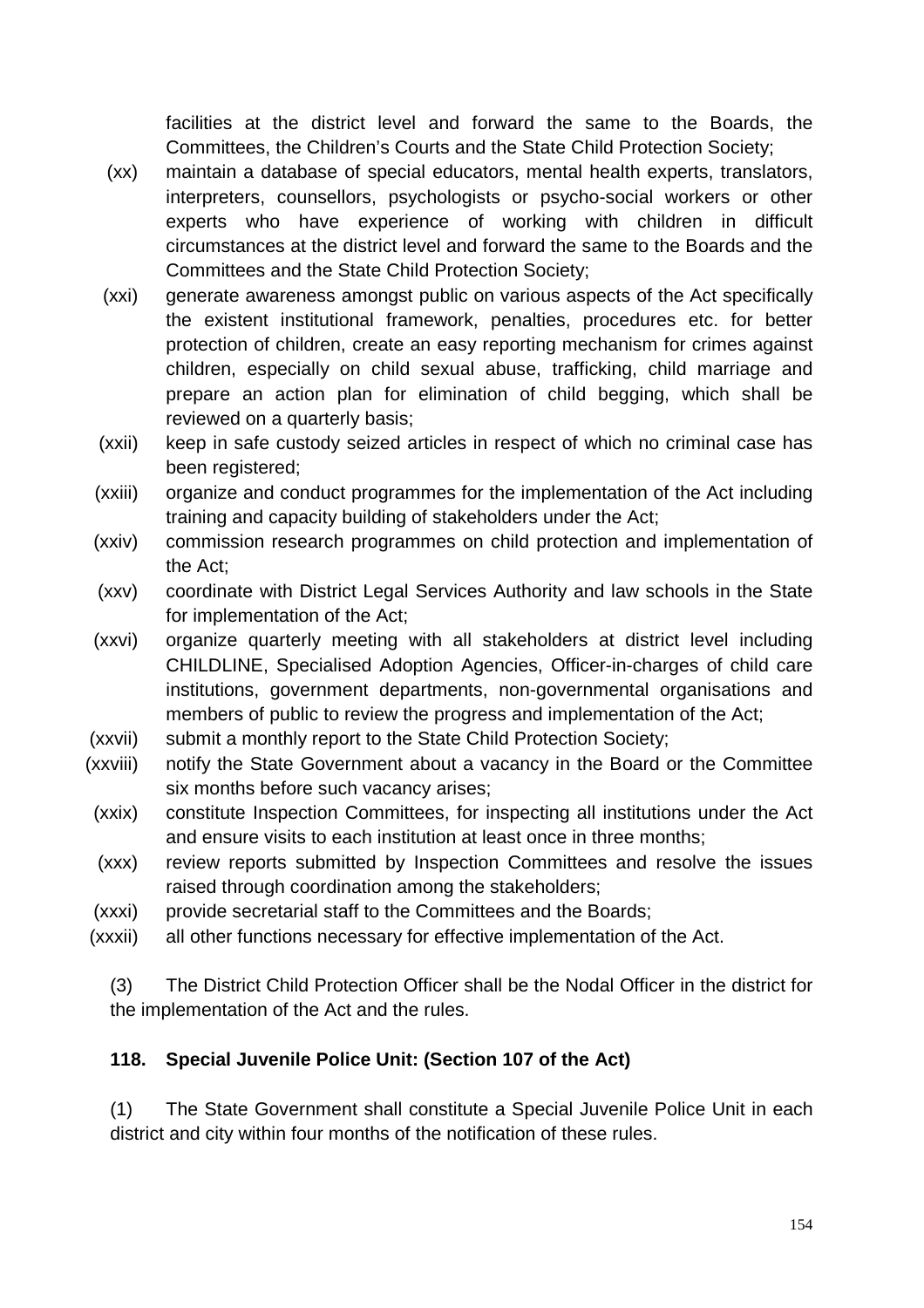facilities at the district level and forward the same to the Boards, the Committees, the Children's Courts and the State Child Protection Society;

- (xx) maintain a database of special educators, mental health experts, translators, interpreters, counsellors, psychologists or psycho-social workers or other experts who have experience of working with children in difficult circumstances at the district level and forward the same to the Boards and the Committees and the State Child Protection Society;
- (xxi) generate awareness amongst public on various aspects of the Act specifically the existent institutional framework, penalties, procedures etc. for better protection of children, create an easy reporting mechanism for crimes against children, especially on child sexual abuse, trafficking, child marriage and prepare an action plan for elimination of child begging, which shall be reviewed on a quarterly basis;
- (xxii) keep in safe custody seized articles in respect of which no criminal case has been registered;
- (xxiii) organize and conduct programmes for the implementation of the Act including training and capacity building of stakeholders under the Act;
- (xxiv) commission research programmes on child protection and implementation of the Act;
- (xxv) coordinate with District Legal Services Authority and law schools in the State for implementation of the Act;
- (xxvi) organize quarterly meeting with all stakeholders at district level including CHILDLINE, Specialised Adoption Agencies, Officer-in-charges of child care institutions, government departments, non-governmental organisations and members of public to review the progress and implementation of the Act;
- (xxvii) submit a monthly report to the State Child Protection Society;
- (xxviii) notify the State Government about a vacancy in the Board or the Committee six months before such vacancy arises;
- (xxix) constitute Inspection Committees, for inspecting all institutions under the Act and ensure visits to each institution at least once in three months;
- (xxx) review reports submitted by Inspection Committees and resolve the issues raised through coordination among the stakeholders;
- (xxxi) provide secretarial staff to the Committees and the Boards;
- (xxxii) all other functions necessary for effective implementation of the Act.

(3) The District Child Protection Officer shall be the Nodal Officer in the district for the implementation of the Act and the rules.

### **118. Special Juvenile Police Unit: (Section 107 of the Act)**

(1) The State Government shall constitute a Special Juvenile Police Unit in each district and city within four months of the notification of these rules.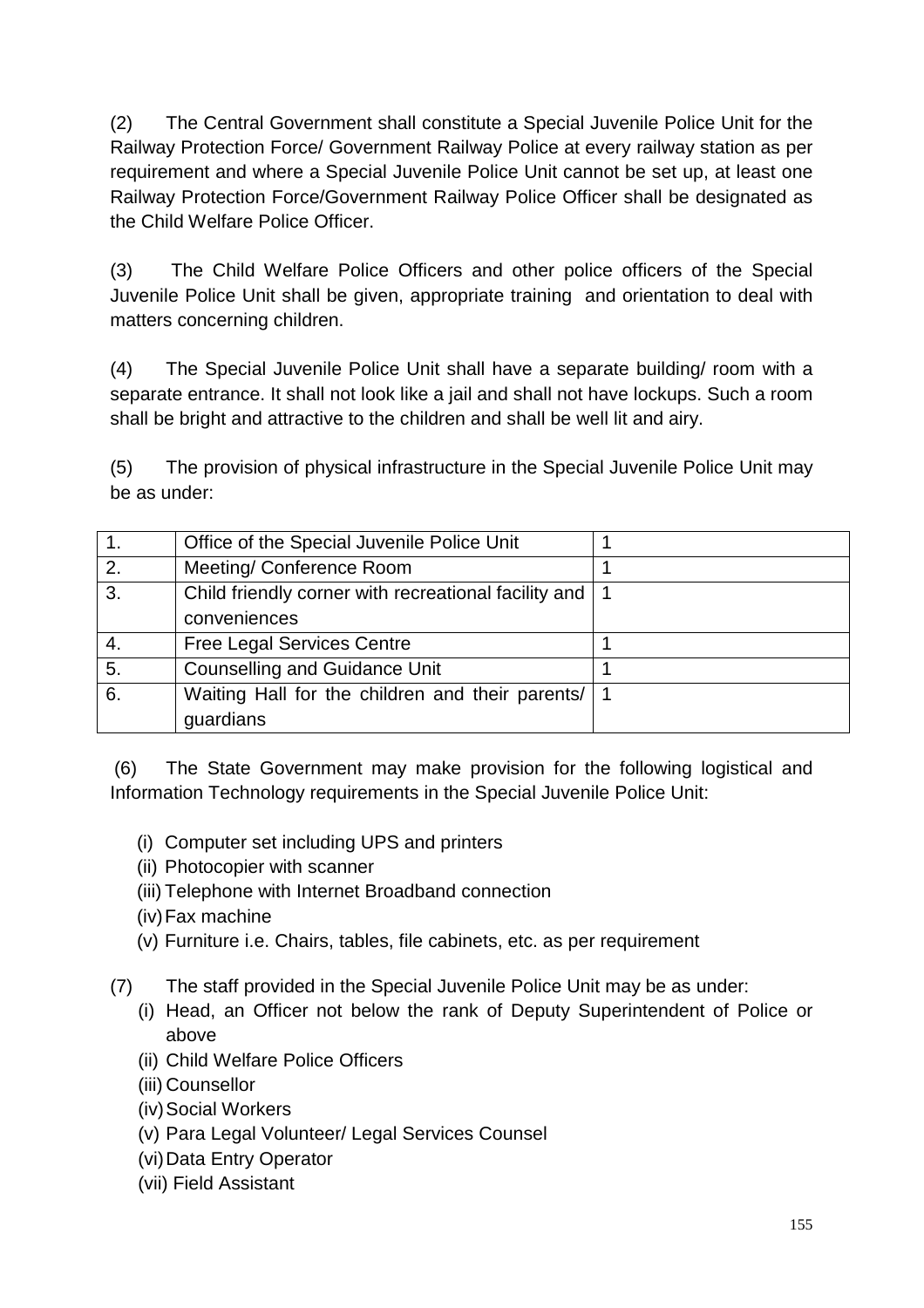(2) The Central Government shall constitute a Special Juvenile Police Unit for the Railway Protection Force/ Government Railway Police at every railway station as per requirement and where a Special Juvenile Police Unit cannot be set up, at least one Railway Protection Force/Government Railway Police Officer shall be designated as the Child Welfare Police Officer.

(3) The Child Welfare Police Officers and other police officers of the Special Juvenile Police Unit shall be given, appropriate training and orientation to deal with matters concerning children.

(4) The Special Juvenile Police Unit shall have a separate building/ room with a separate entrance. It shall not look like a jail and shall not have lockups. Such a room shall be bright and attractive to the children and shall be well lit and airy.

(5) The provision of physical infrastructure in the Special Juvenile Police Unit may be as under:

|    | Office of the Special Juvenile Police Unit               |  |
|----|----------------------------------------------------------|--|
| 2. | Meeting/ Conference Room                                 |  |
| 3. | Child friendly corner with recreational facility and   1 |  |
|    | conveniences                                             |  |
| 4. | <b>Free Legal Services Centre</b>                        |  |
| 5. | <b>Counselling and Guidance Unit</b>                     |  |
| 6. | Waiting Hall for the children and their parents/         |  |
|    | guardians                                                |  |

 (6) The State Government may make provision for the following logistical and Information Technology requirements in the Special Juvenile Police Unit:

- (i) Computer set including UPS and printers
- (ii) Photocopier with scanner
- (iii) Telephone with Internet Broadband connection
- (iv) Fax machine
- (v) Furniture i.e. Chairs, tables, file cabinets, etc. as per requirement
- (7) The staff provided in the Special Juvenile Police Unit may be as under:
	- (i) Head, an Officer not below the rank of Deputy Superintendent of Police or above
	- (ii) Child Welfare Police Officers
	- (iii) Counsellor
	- (iv) Social Workers
	- (v) Para Legal Volunteer/ Legal Services Counsel
	- (vi) Data Entry Operator
	- (vii) Field Assistant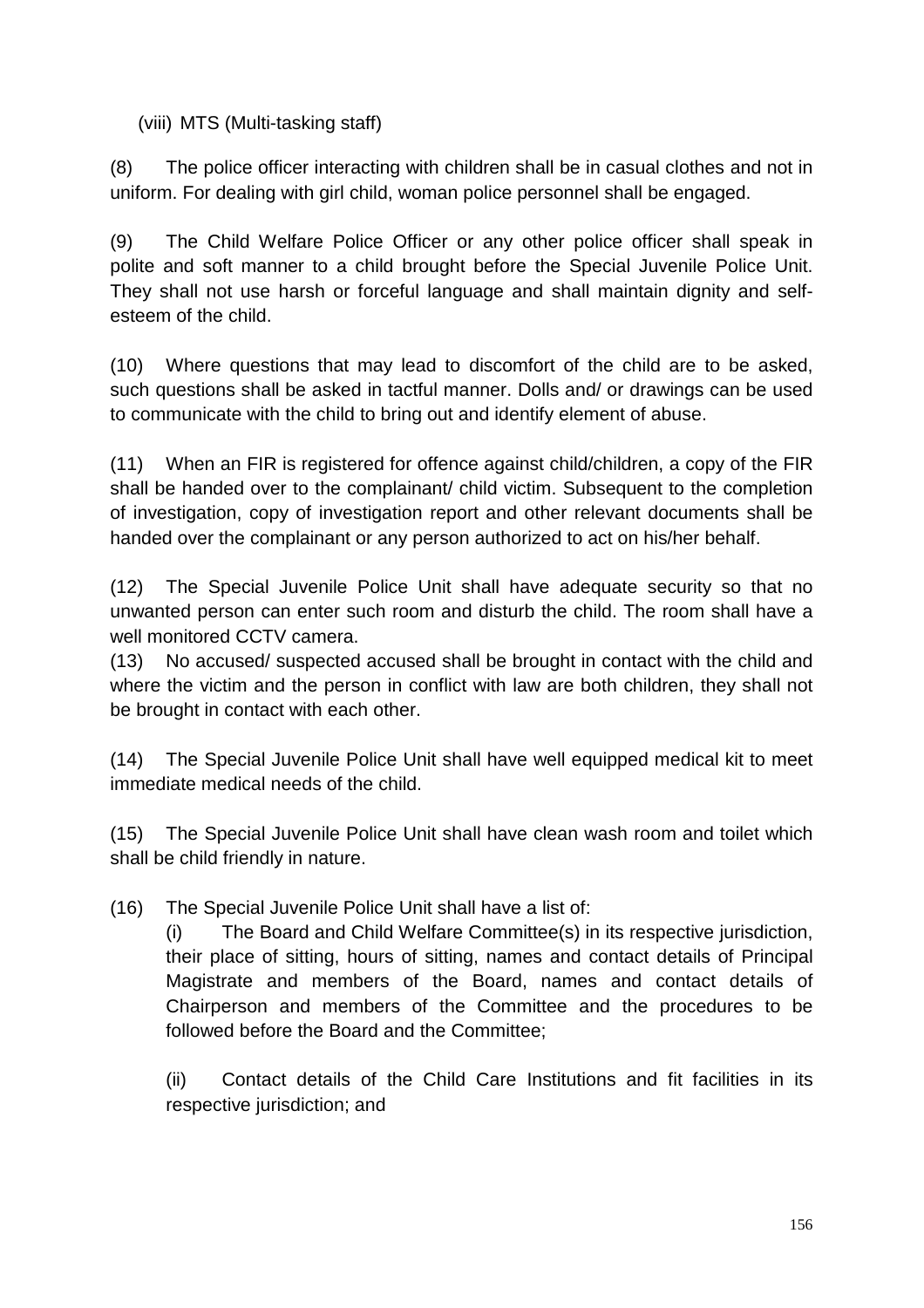(viii) MTS (Multi-tasking staff)

(8) The police officer interacting with children shall be in casual clothes and not in uniform. For dealing with girl child, woman police personnel shall be engaged.

(9) The Child Welfare Police Officer or any other police officer shall speak in polite and soft manner to a child brought before the Special Juvenile Police Unit. They shall not use harsh or forceful language and shall maintain dignity and selfesteem of the child.

(10) Where questions that may lead to discomfort of the child are to be asked, such questions shall be asked in tactful manner. Dolls and/ or drawings can be used to communicate with the child to bring out and identify element of abuse.

(11) When an FIR is registered for offence against child/children, a copy of the FIR shall be handed over to the complainant/ child victim. Subsequent to the completion of investigation, copy of investigation report and other relevant documents shall be handed over the complainant or any person authorized to act on his/her behalf.

(12) The Special Juvenile Police Unit shall have adequate security so that no unwanted person can enter such room and disturb the child. The room shall have a well monitored CCTV camera.

(13) No accused/ suspected accused shall be brought in contact with the child and where the victim and the person in conflict with law are both children, they shall not be brought in contact with each other.

(14) The Special Juvenile Police Unit shall have well equipped medical kit to meet immediate medical needs of the child.

(15) The Special Juvenile Police Unit shall have clean wash room and toilet which shall be child friendly in nature.

(16) The Special Juvenile Police Unit shall have a list of:

(i) The Board and Child Welfare Committee(s) in its respective jurisdiction, their place of sitting, hours of sitting, names and contact details of Principal Magistrate and members of the Board, names and contact details of Chairperson and members of the Committee and the procedures to be followed before the Board and the Committee;

(ii) Contact details of the Child Care Institutions and fit facilities in its respective jurisdiction; and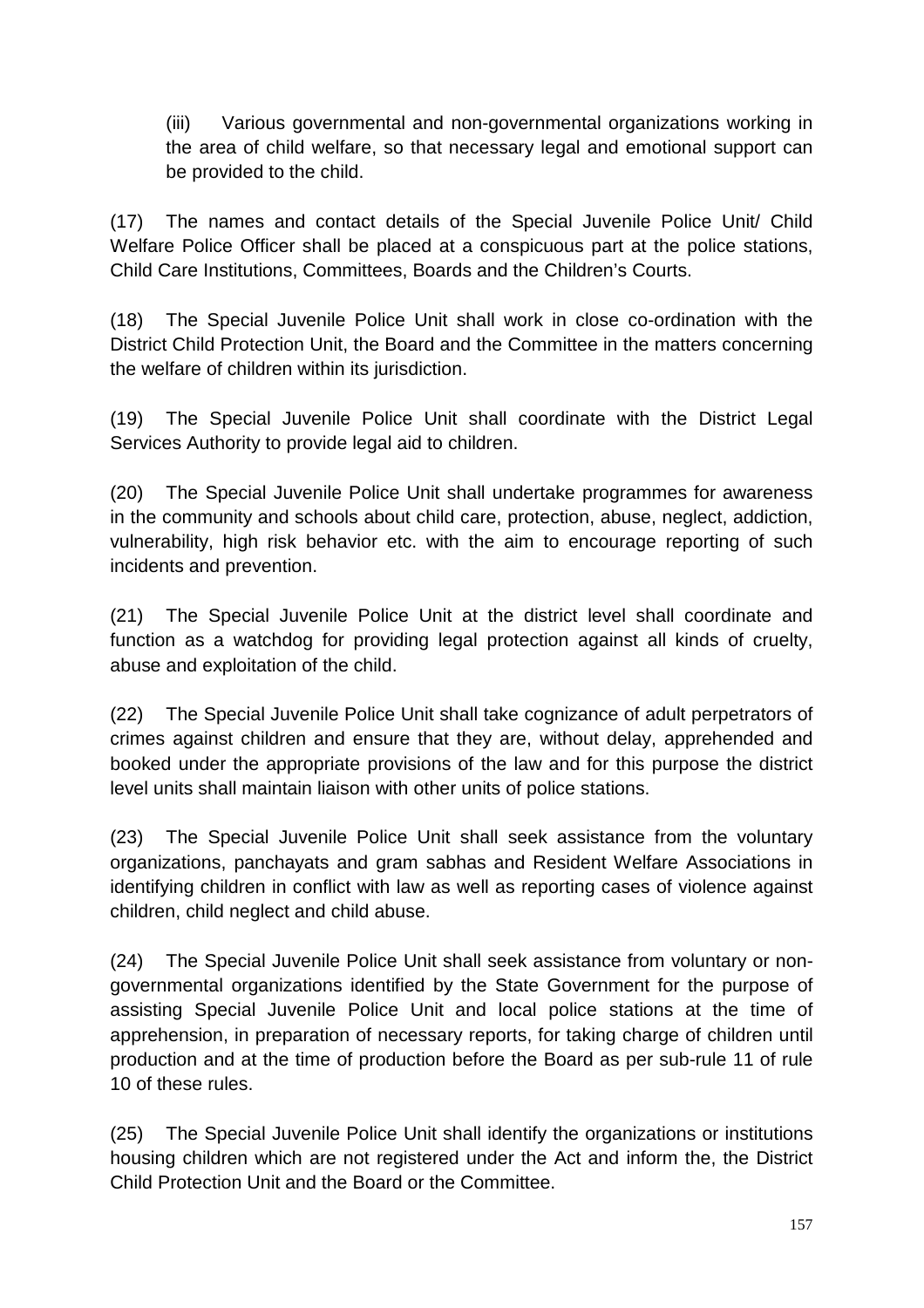(iii) Various governmental and non-governmental organizations working in the area of child welfare, so that necessary legal and emotional support can be provided to the child.

(17) The names and contact details of the Special Juvenile Police Unit/ Child Welfare Police Officer shall be placed at a conspicuous part at the police stations, Child Care Institutions, Committees, Boards and the Children's Courts.

(18) The Special Juvenile Police Unit shall work in close co-ordination with the District Child Protection Unit, the Board and the Committee in the matters concerning the welfare of children within its jurisdiction.

(19) The Special Juvenile Police Unit shall coordinate with the District Legal Services Authority to provide legal aid to children.

(20) The Special Juvenile Police Unit shall undertake programmes for awareness in the community and schools about child care, protection, abuse, neglect, addiction, vulnerability, high risk behavior etc. with the aim to encourage reporting of such incidents and prevention.

(21) The Special Juvenile Police Unit at the district level shall coordinate and function as a watchdog for providing legal protection against all kinds of cruelty, abuse and exploitation of the child.

(22) The Special Juvenile Police Unit shall take cognizance of adult perpetrators of crimes against children and ensure that they are, without delay, apprehended and booked under the appropriate provisions of the law and for this purpose the district level units shall maintain liaison with other units of police stations.

(23) The Special Juvenile Police Unit shall seek assistance from the voluntary organizations, panchayats and gram sabhas and Resident Welfare Associations in identifying children in conflict with law as well as reporting cases of violence against children, child neglect and child abuse.

(24) The Special Juvenile Police Unit shall seek assistance from voluntary or nongovernmental organizations identified by the State Government for the purpose of assisting Special Juvenile Police Unit and local police stations at the time of apprehension, in preparation of necessary reports, for taking charge of children until production and at the time of production before the Board as per sub-rule 11 of rule 10 of these rules.

(25) The Special Juvenile Police Unit shall identify the organizations or institutions housing children which are not registered under the Act and inform the, the District Child Protection Unit and the Board or the Committee.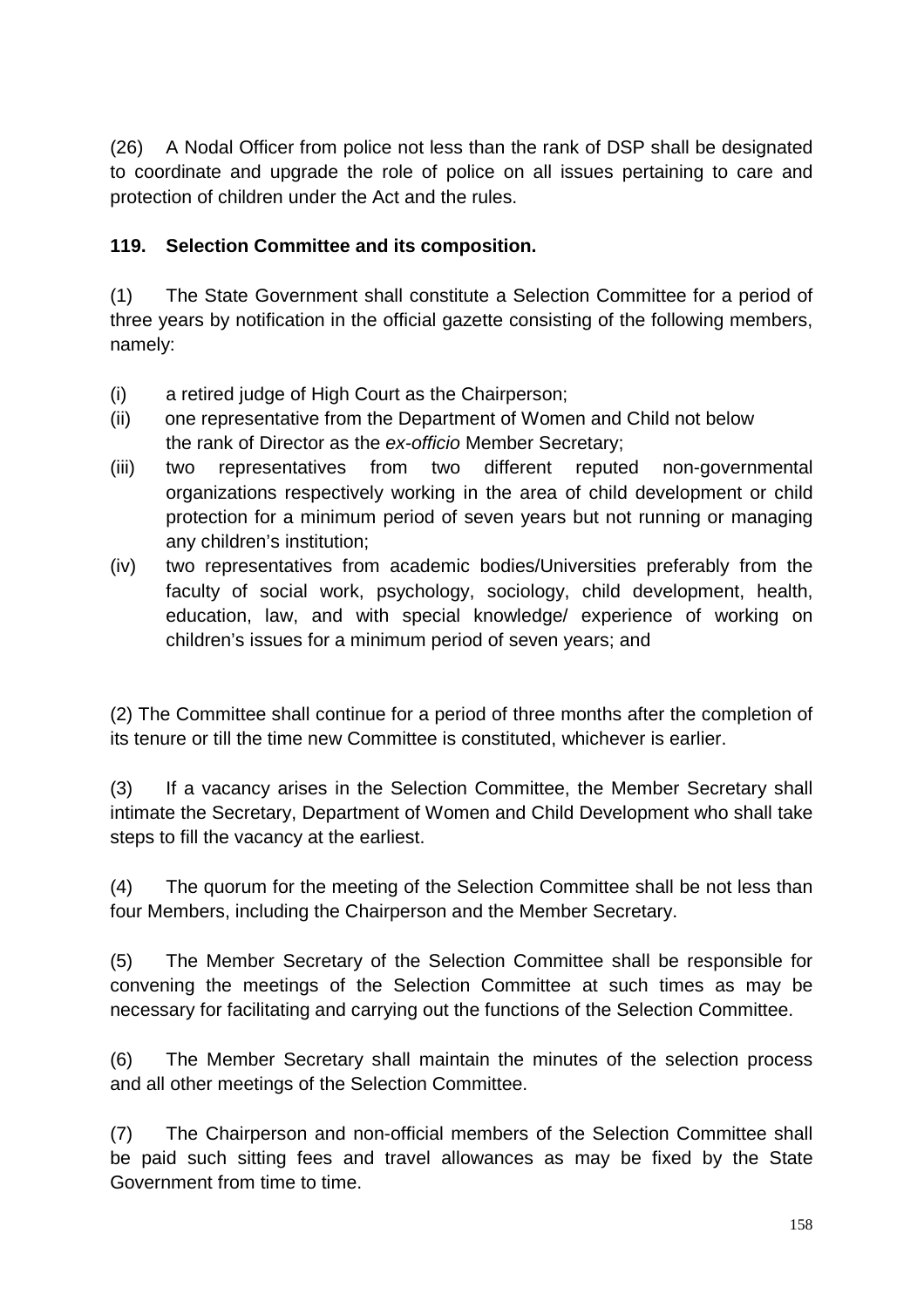(26) A Nodal Officer from police not less than the rank of DSP shall be designated to coordinate and upgrade the role of police on all issues pertaining to care and protection of children under the Act and the rules.

#### **119. Selection Committee and its composition.**

(1) The State Government shall constitute a Selection Committee for a period of three years by notification in the official gazette consisting of the following members, namely:

- (i) a retired judge of High Court as the Chairperson;
- (ii) one representative from the Department of Women and Child not below the rank of Director as the ex-officio Member Secretary;
- (iii) two representatives from two different reputed non-governmental organizations respectively working in the area of child development or child protection for a minimum period of seven years but not running or managing any children's institution;
- (iv) two representatives from academic bodies/Universities preferably from the faculty of social work, psychology, sociology, child development, health, education, law, and with special knowledge/ experience of working on children's issues for a minimum period of seven years; and

(2) The Committee shall continue for a period of three months after the completion of its tenure or till the time new Committee is constituted, whichever is earlier.

(3) If a vacancy arises in the Selection Committee, the Member Secretary shall intimate the Secretary, Department of Women and Child Development who shall take steps to fill the vacancy at the earliest.

(4) The quorum for the meeting of the Selection Committee shall be not less than four Members, including the Chairperson and the Member Secretary.

(5) The Member Secretary of the Selection Committee shall be responsible for convening the meetings of the Selection Committee at such times as may be necessary for facilitating and carrying out the functions of the Selection Committee.

(6) The Member Secretary shall maintain the minutes of the selection process and all other meetings of the Selection Committee.

(7) The Chairperson and non-official members of the Selection Committee shall be paid such sitting fees and travel allowances as may be fixed by the State Government from time to time.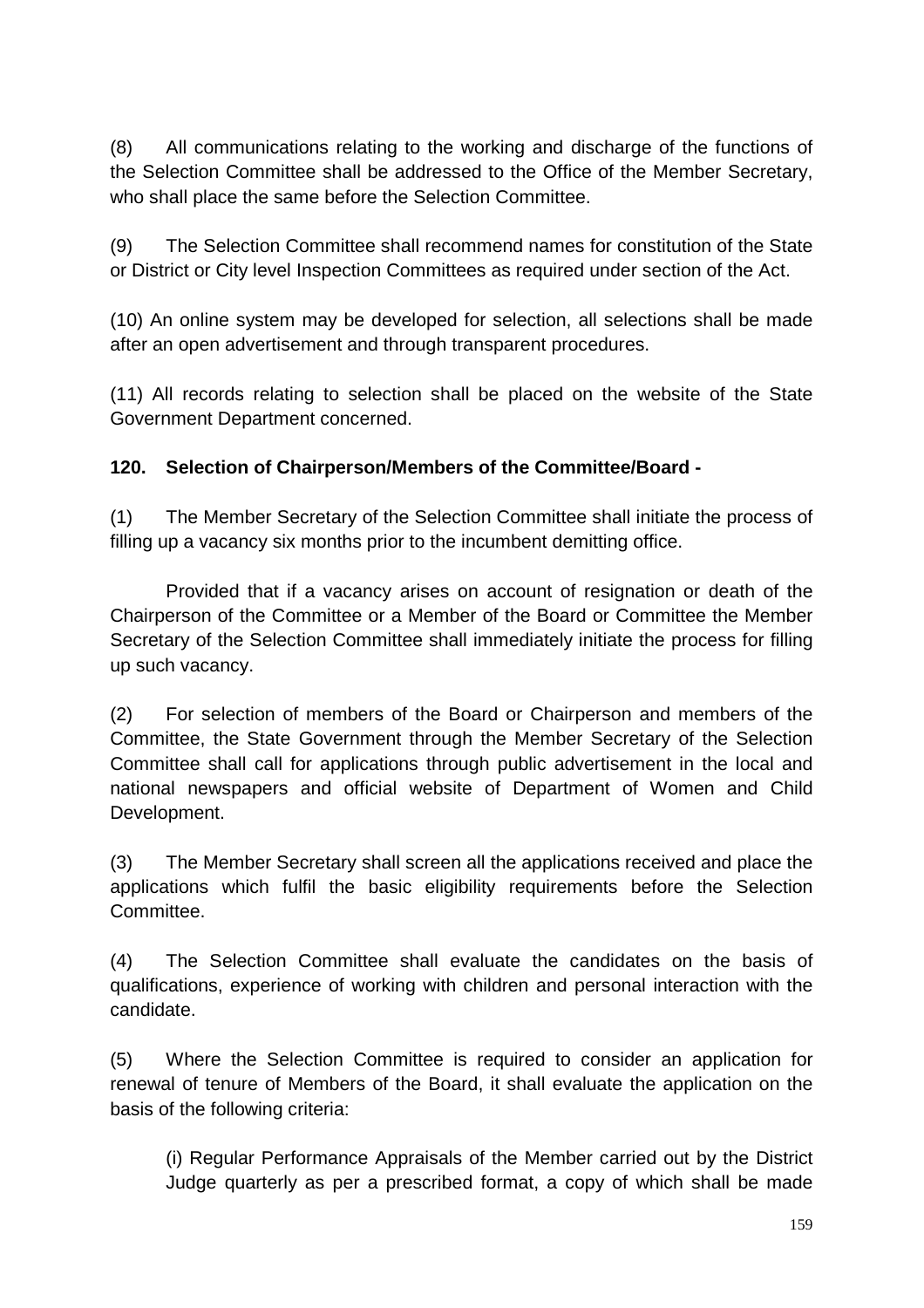(8) All communications relating to the working and discharge of the functions of the Selection Committee shall be addressed to the Office of the Member Secretary, who shall place the same before the Selection Committee.

(9) The Selection Committee shall recommend names for constitution of the State or District or City level Inspection Committees as required under section of the Act.

(10) An online system may be developed for selection, all selections shall be made after an open advertisement and through transparent procedures.

(11) All records relating to selection shall be placed on the website of the State Government Department concerned.

### **120. Selection of Chairperson/Members of the Committee/Board -**

(1) The Member Secretary of the Selection Committee shall initiate the process of filling up a vacancy six months prior to the incumbent demitting office.

 Provided that if a vacancy arises on account of resignation or death of the Chairperson of the Committee or a Member of the Board or Committee the Member Secretary of the Selection Committee shall immediately initiate the process for filling up such vacancy.

(2) For selection of members of the Board or Chairperson and members of the Committee, the State Government through the Member Secretary of the Selection Committee shall call for applications through public advertisement in the local and national newspapers and official website of Department of Women and Child Development.

(3) The Member Secretary shall screen all the applications received and place the applications which fulfil the basic eligibility requirements before the Selection Committee.

(4) The Selection Committee shall evaluate the candidates on the basis of qualifications, experience of working with children and personal interaction with the candidate.

(5) Where the Selection Committee is required to consider an application for renewal of tenure of Members of the Board, it shall evaluate the application on the basis of the following criteria:

(i) Regular Performance Appraisals of the Member carried out by the District Judge quarterly as per a prescribed format, a copy of which shall be made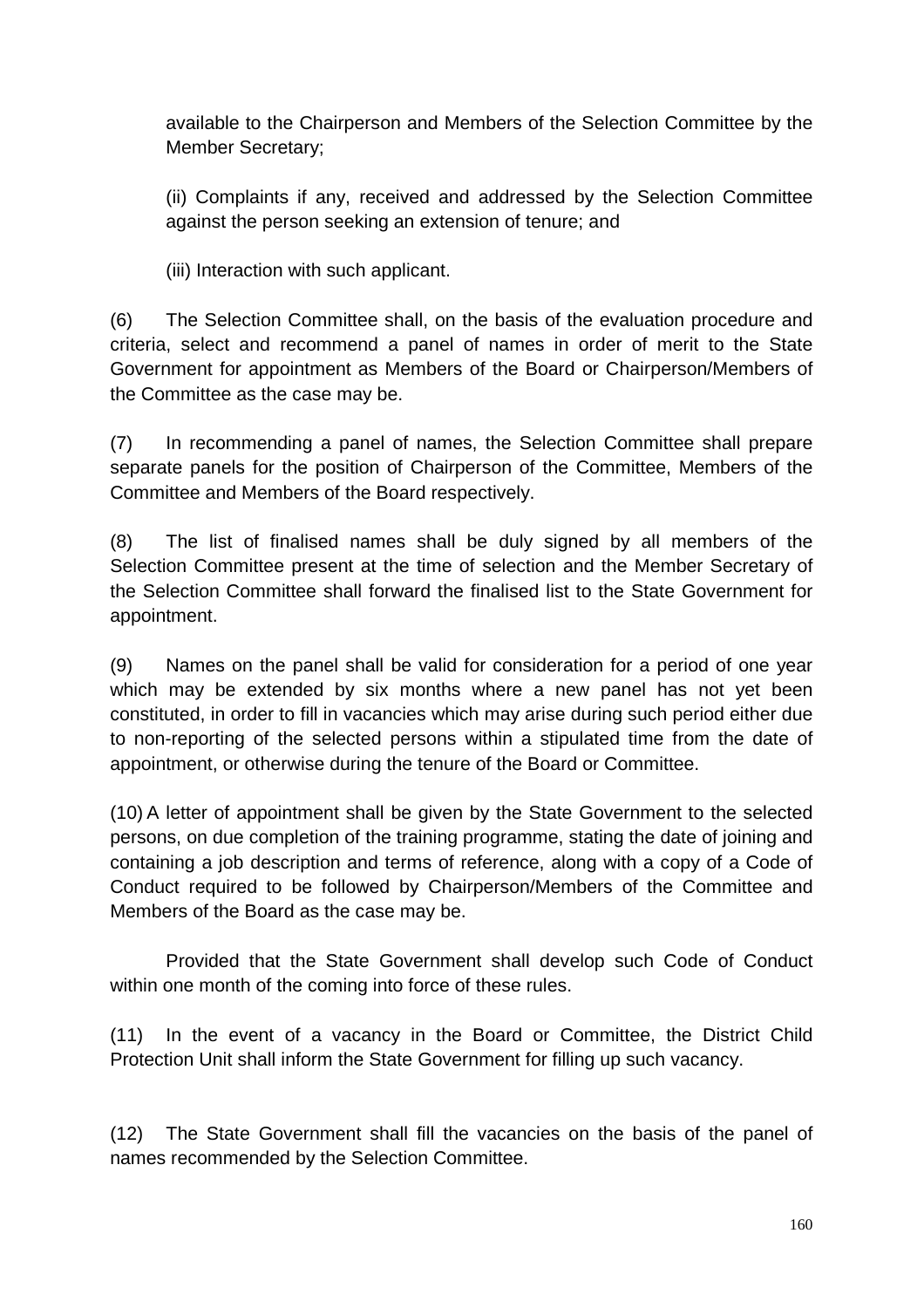available to the Chairperson and Members of the Selection Committee by the Member Secretary;

(ii) Complaints if any, received and addressed by the Selection Committee against the person seeking an extension of tenure; and

(iii) Interaction with such applicant.

(6) The Selection Committee shall, on the basis of the evaluation procedure and criteria, select and recommend a panel of names in order of merit to the State Government for appointment as Members of the Board or Chairperson/Members of the Committee as the case may be.

(7) In recommending a panel of names, the Selection Committee shall prepare separate panels for the position of Chairperson of the Committee, Members of the Committee and Members of the Board respectively.

(8) The list of finalised names shall be duly signed by all members of the Selection Committee present at the time of selection and the Member Secretary of the Selection Committee shall forward the finalised list to the State Government for appointment.

(9) Names on the panel shall be valid for consideration for a period of one year which may be extended by six months where a new panel has not yet been constituted, in order to fill in vacancies which may arise during such period either due to non-reporting of the selected persons within a stipulated time from the date of appointment, or otherwise during the tenure of the Board or Committee.

(10) A letter of appointment shall be given by the State Government to the selected persons, on due completion of the training programme, stating the date of joining and containing a job description and terms of reference, along with a copy of a Code of Conduct required to be followed by Chairperson/Members of the Committee and Members of the Board as the case may be.

 Provided that the State Government shall develop such Code of Conduct within one month of the coming into force of these rules.

(11) In the event of a vacancy in the Board or Committee, the District Child Protection Unit shall inform the State Government for filling up such vacancy.

(12) The State Government shall fill the vacancies on the basis of the panel of names recommended by the Selection Committee.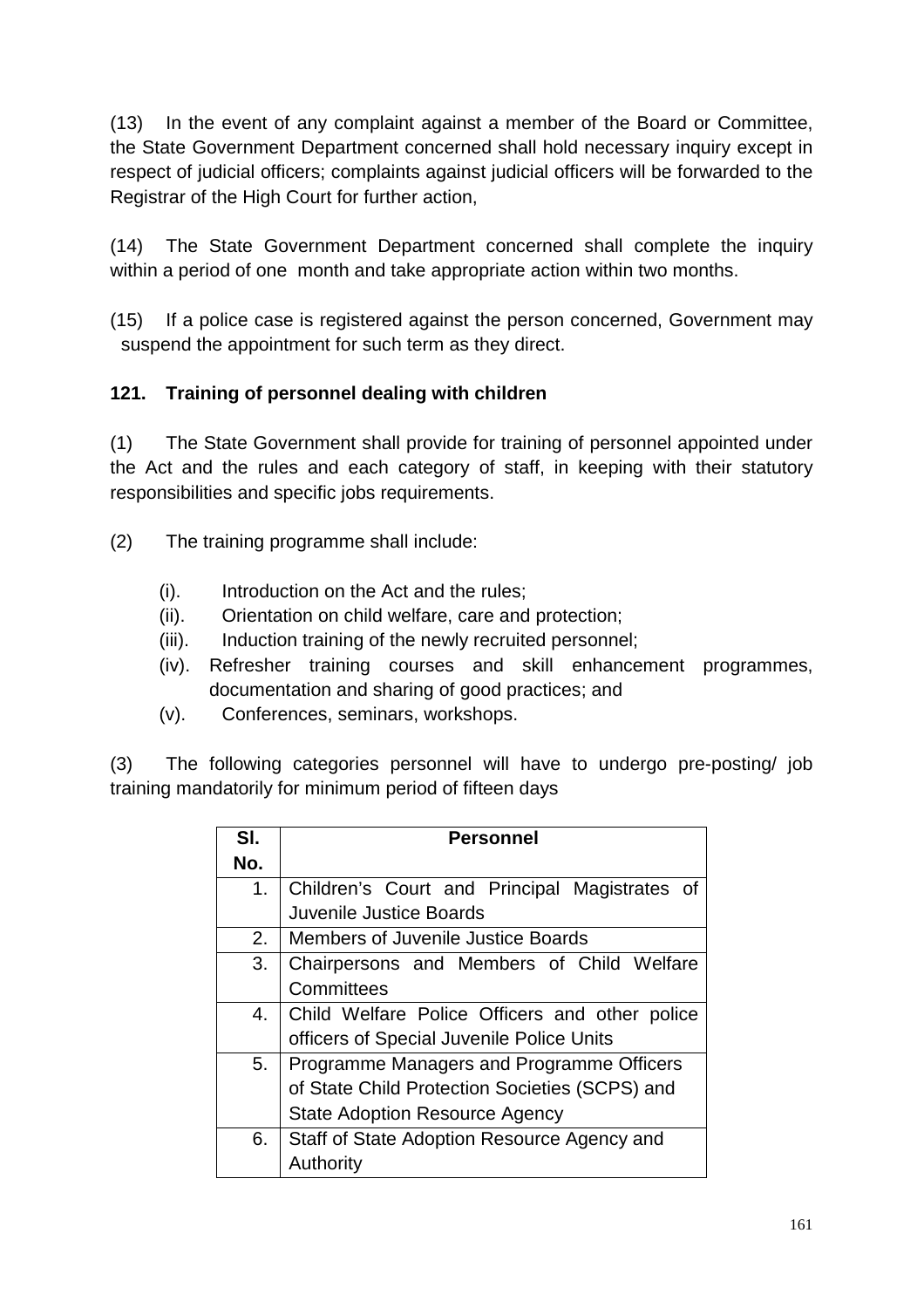(13) In the event of any complaint against a member of the Board or Committee, the State Government Department concerned shall hold necessary inquiry except in respect of judicial officers; complaints against judicial officers will be forwarded to the Registrar of the High Court for further action,

(14) The State Government Department concerned shall complete the inquiry within a period of one month and take appropriate action within two months.

(15) If a police case is registered against the person concerned, Government may suspend the appointment for such term as they direct.

## **121. Training of personnel dealing with children**

(1) The State Government shall provide for training of personnel appointed under the Act and the rules and each category of staff, in keeping with their statutory responsibilities and specific jobs requirements.

- (2) The training programme shall include:
	- (i). Introduction on the Act and the rules;
	- (ii). Orientation on child welfare, care and protection;
	- (iii). Induction training of the newly recruited personnel;
	- (iv). Refresher training courses and skill enhancement programmes, documentation and sharing of good practices; and
	- (v). Conferences, seminars, workshops.

(3) The following categories personnel will have to undergo pre-posting/ job training mandatorily for minimum period of fifteen days

| SI.     | <b>Personnel</b>                               |  |
|---------|------------------------------------------------|--|
| No.     |                                                |  |
| $1_{-}$ | Children's Court and Principal Magistrates of  |  |
|         | Juvenile Justice Boards                        |  |
| 2.      | <b>Members of Juvenile Justice Boards</b>      |  |
| 3.      | Chairpersons and Members of Child Welfare      |  |
|         | Committees                                     |  |
| 4.      | Child Welfare Police Officers and other police |  |
|         | officers of Special Juvenile Police Units      |  |
| 5.      | Programme Managers and Programme Officers      |  |
|         | of State Child Protection Societies (SCPS) and |  |
|         | <b>State Adoption Resource Agency</b>          |  |
| 6.      | Staff of State Adoption Resource Agency and    |  |
|         | Authority                                      |  |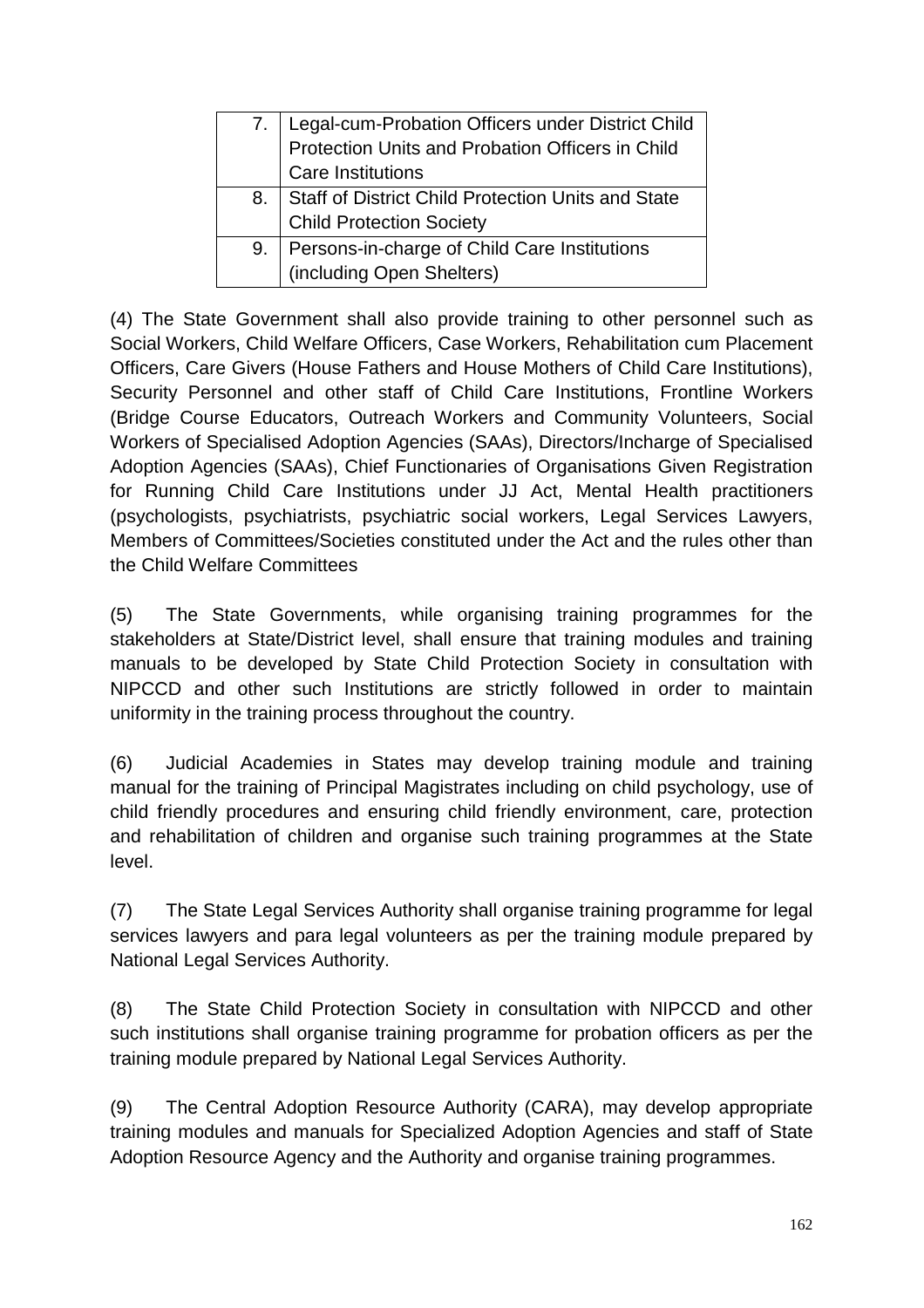|    | Legal-cum-Probation Officers under District Child<br>Protection Units and Probation Officers in Child |  |
|----|-------------------------------------------------------------------------------------------------------|--|
|    | <b>Care Institutions</b>                                                                              |  |
| 8. | Staff of District Child Protection Units and State<br>Child Protection Society                        |  |
|    |                                                                                                       |  |
| 9. | Persons-in-charge of Child Care Institutions                                                          |  |
|    | (including Open Shelters)                                                                             |  |

(4) The State Government shall also provide training to other personnel such as Social Workers, Child Welfare Officers, Case Workers, Rehabilitation cum Placement Officers, Care Givers (House Fathers and House Mothers of Child Care Institutions), Security Personnel and other staff of Child Care Institutions, Frontline Workers (Bridge Course Educators, Outreach Workers and Community Volunteers, Social Workers of Specialised Adoption Agencies (SAAs), Directors/Incharge of Specialised Adoption Agencies (SAAs), Chief Functionaries of Organisations Given Registration for Running Child Care Institutions under JJ Act, Mental Health practitioners (psychologists, psychiatrists, psychiatric social workers, Legal Services Lawyers, Members of Committees/Societies constituted under the Act and the rules other than the Child Welfare Committees

(5) The State Governments, while organising training programmes for the stakeholders at State/District level, shall ensure that training modules and training manuals to be developed by State Child Protection Society in consultation with NIPCCD and other such Institutions are strictly followed in order to maintain uniformity in the training process throughout the country.

(6) Judicial Academies in States may develop training module and training manual for the training of Principal Magistrates including on child psychology, use of child friendly procedures and ensuring child friendly environment, care, protection and rehabilitation of children and organise such training programmes at the State level.

(7) The State Legal Services Authority shall organise training programme for legal services lawyers and para legal volunteers as per the training module prepared by National Legal Services Authority.

(8) The State Child Protection Society in consultation with NIPCCD and other such institutions shall organise training programme for probation officers as per the training module prepared by National Legal Services Authority.

(9) The Central Adoption Resource Authority (CARA), may develop appropriate training modules and manuals for Specialized Adoption Agencies and staff of State Adoption Resource Agency and the Authority and organise training programmes.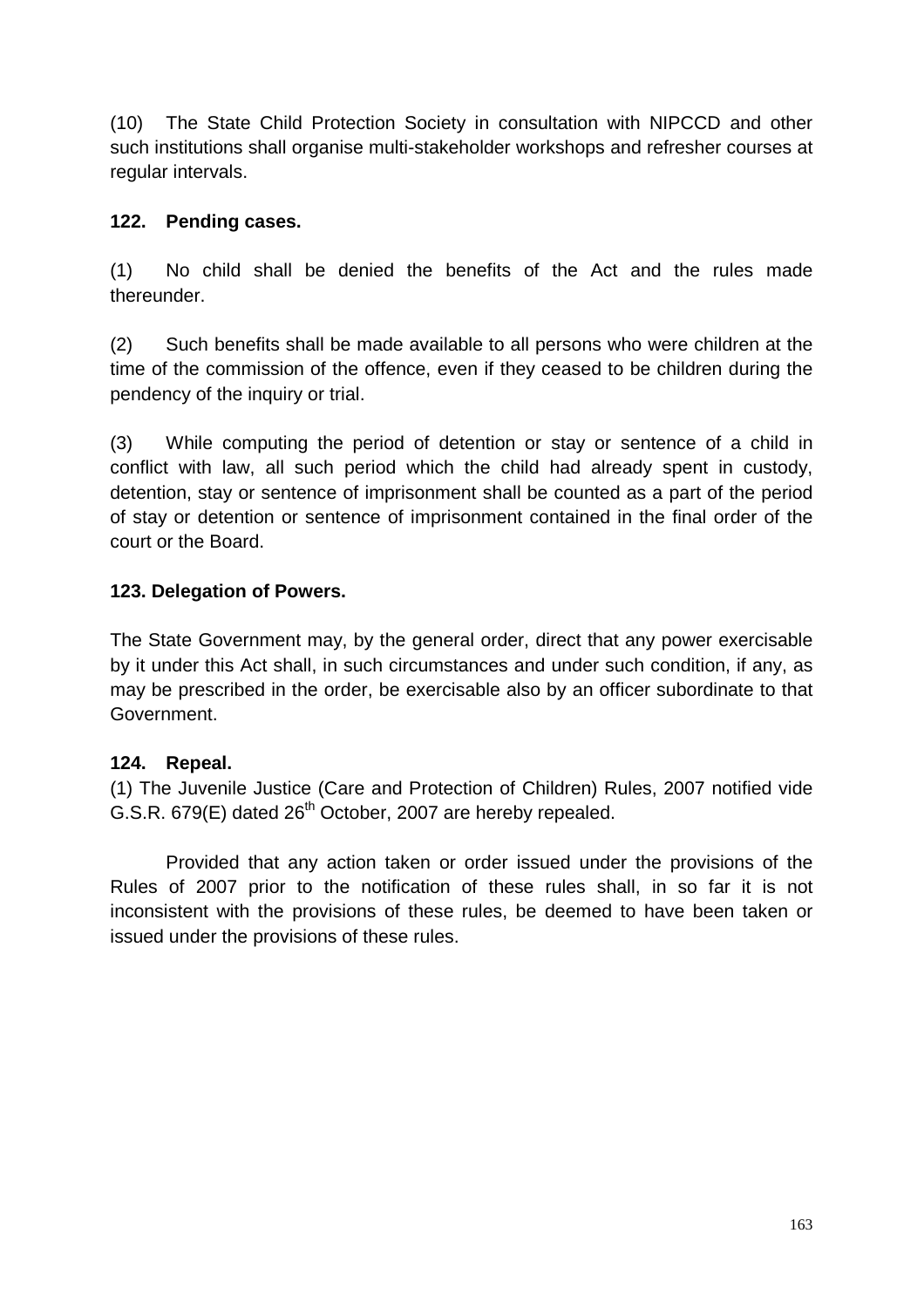(10) The State Child Protection Society in consultation with NIPCCD and other such institutions shall organise multi-stakeholder workshops and refresher courses at regular intervals.

#### **122. Pending cases.**

(1) No child shall be denied the benefits of the Act and the rules made thereunder.

(2) Such benefits shall be made available to all persons who were children at the time of the commission of the offence, even if they ceased to be children during the pendency of the inquiry or trial.

(3) While computing the period of detention or stay or sentence of a child in conflict with law, all such period which the child had already spent in custody, detention, stay or sentence of imprisonment shall be counted as a part of the period of stay or detention or sentence of imprisonment contained in the final order of the court or the Board.

### **123. Delegation of Powers.**

The State Government may, by the general order, direct that any power exercisable by it under this Act shall, in such circumstances and under such condition, if any, as may be prescribed in the order, be exercisable also by an officer subordinate to that Government.

#### **124. Repeal.**

(1) The Juvenile Justice (Care and Protection of Children) Rules, 2007 notified vide G.S.R. 679(E) dated 26<sup>th</sup> October, 2007 are hereby repealed.

Provided that any action taken or order issued under the provisions of the Rules of 2007 prior to the notification of these rules shall, in so far it is not inconsistent with the provisions of these rules, be deemed to have been taken or issued under the provisions of these rules.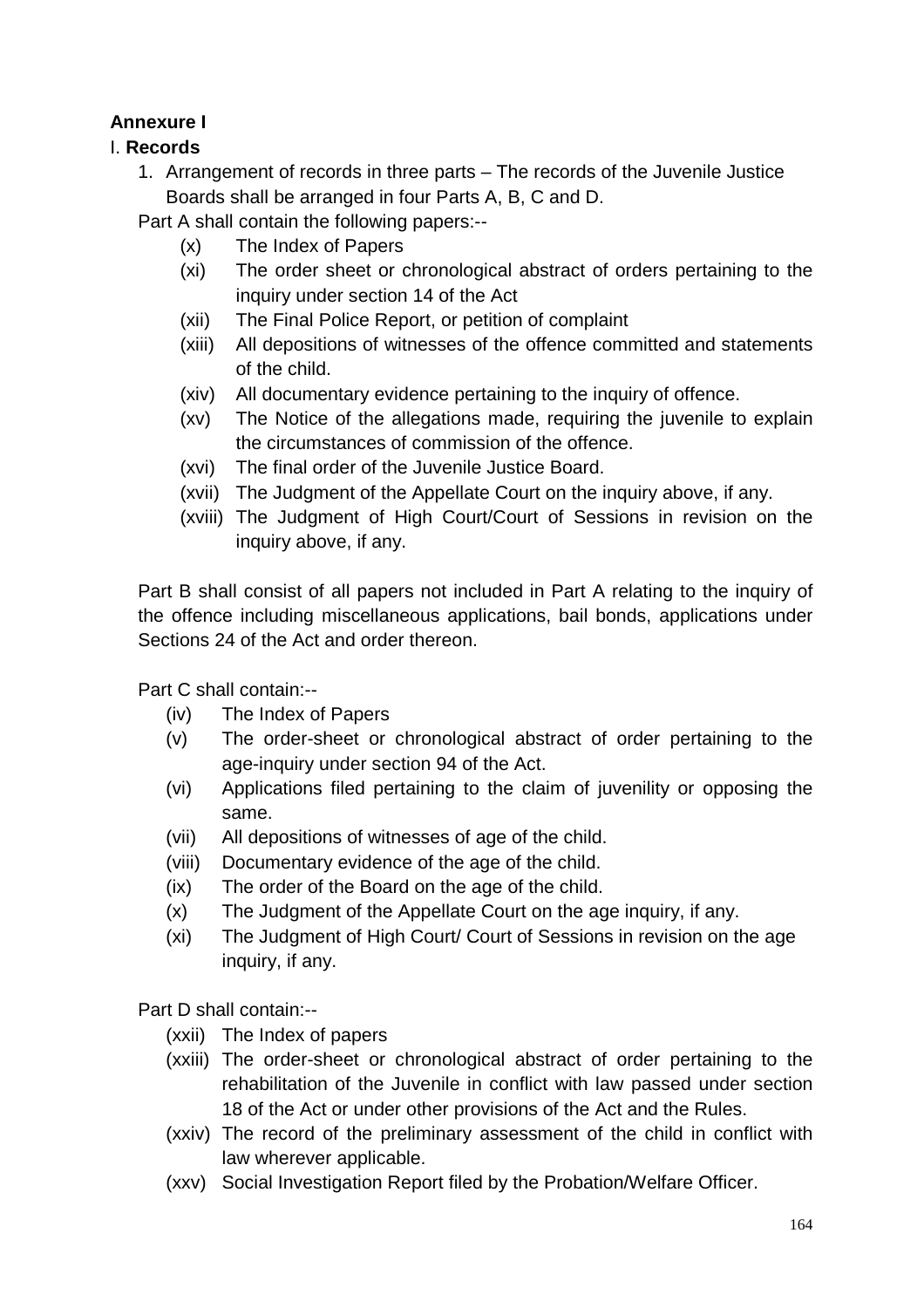# **Annexure I**

## I. **Records**

1. Arrangement of records in three parts – The records of the Juvenile Justice Boards shall be arranged in four Parts A, B, C and D.

Part A shall contain the following papers:--

- (x) The Index of Papers
- (xi) The order sheet or chronological abstract of orders pertaining to the inquiry under section 14 of the Act
- (xii) The Final Police Report, or petition of complaint
- (xiii) All depositions of witnesses of the offence committed and statements of the child.
- (xiv) All documentary evidence pertaining to the inquiry of offence.
- (xv) The Notice of the allegations made, requiring the juvenile to explain the circumstances of commission of the offence.
- (xvi) The final order of the Juvenile Justice Board.
- (xvii) The Judgment of the Appellate Court on the inquiry above, if any.
- (xviii) The Judgment of High Court/Court of Sessions in revision on the inquiry above, if any.

Part B shall consist of all papers not included in Part A relating to the inquiry of the offence including miscellaneous applications, bail bonds, applications under Sections 24 of the Act and order thereon.

Part C shall contain:--

- (iv) The Index of Papers
- (v) The order-sheet or chronological abstract of order pertaining to the age-inquiry under section 94 of the Act.
- (vi) Applications filed pertaining to the claim of juvenility or opposing the same.
- (vii) All depositions of witnesses of age of the child.
- (viii) Documentary evidence of the age of the child.
- (ix) The order of the Board on the age of the child.
- (x) The Judgment of the Appellate Court on the age inquiry, if any.
- (xi) The Judgment of High Court/ Court of Sessions in revision on the age inquiry, if any.

Part D shall contain:--

- (xxii) The Index of papers
- (xxiii) The order-sheet or chronological abstract of order pertaining to the rehabilitation of the Juvenile in conflict with law passed under section 18 of the Act or under other provisions of the Act and the Rules.
- (xxiv) The record of the preliminary assessment of the child in conflict with law wherever applicable.
- (xxv) Social Investigation Report filed by the Probation/Welfare Officer.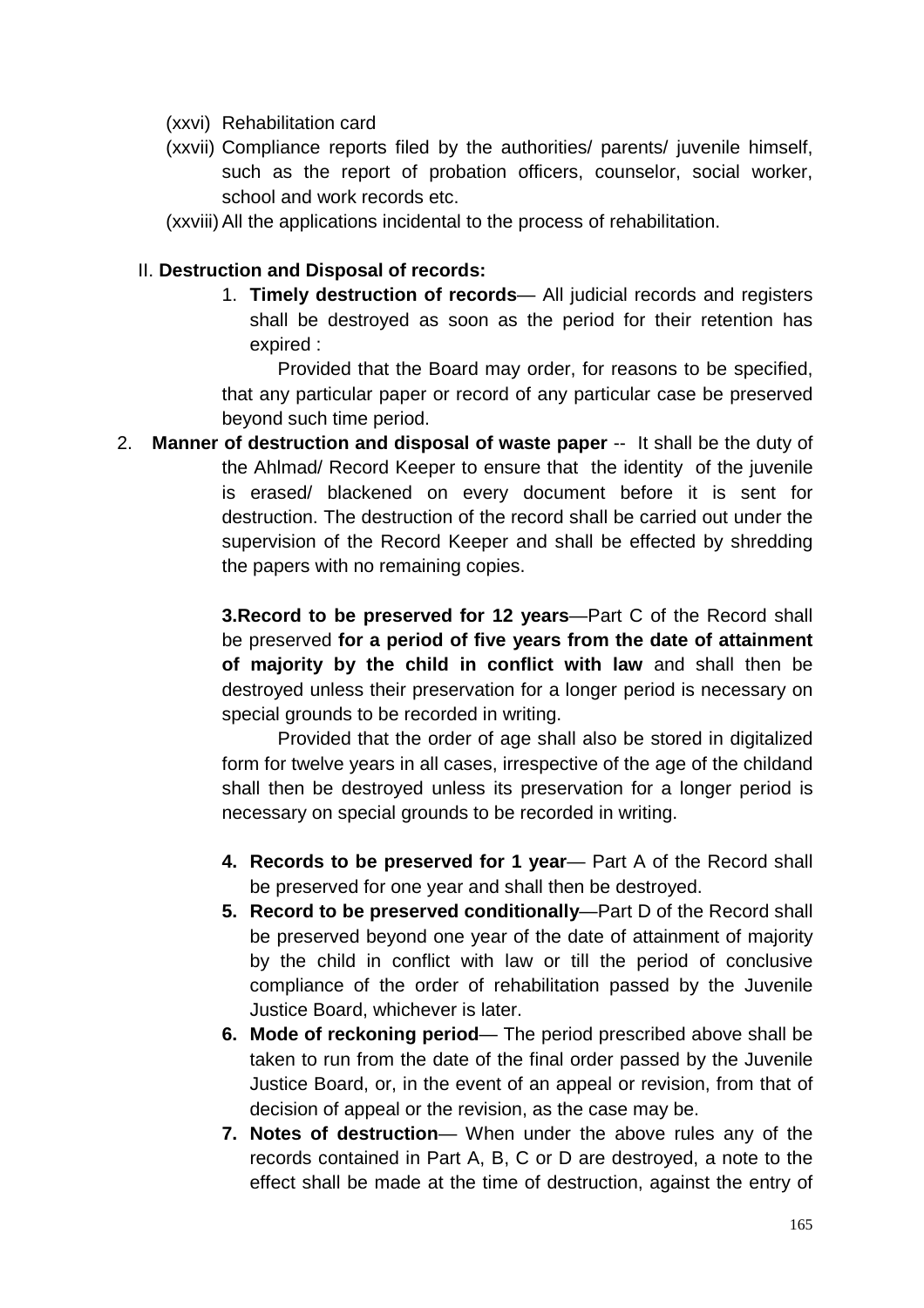- (xxvi) Rehabilitation card
- (xxvii) Compliance reports filed by the authorities/ parents/ juvenile himself, such as the report of probation officers, counselor, social worker, school and work records etc.
- (xxviii) All the applications incidental to the process of rehabilitation.

#### II. **Destruction and Disposal of records:**

1. **Timely destruction of records**— All judicial records and registers shall be destroyed as soon as the period for their retention has expired :

Provided that the Board may order, for reasons to be specified, that any particular paper or record of any particular case be preserved beyond such time period.

2. **Manner of destruction and disposal of waste paper** -- It shall be the duty of the Ahlmad/ Record Keeper to ensure that the identity of the juvenile is erased/ blackened on every document before it is sent for destruction. The destruction of the record shall be carried out under the supervision of the Record Keeper and shall be effected by shredding the papers with no remaining copies.

> **3.Record to be preserved for 12 years**—Part C of the Record shall be preserved **for a period of five years from the date of attainment of majority by the child in conflict with law** and shall then be destroyed unless their preservation for a longer period is necessary on special grounds to be recorded in writing.

> Provided that the order of age shall also be stored in digitalized form for twelve years in all cases, irrespective of the age of the childand shall then be destroyed unless its preservation for a longer period is necessary on special grounds to be recorded in writing.

- **4. Records to be preserved for 1 year** Part A of the Record shall be preserved for one year and shall then be destroyed.
- **5. Record to be preserved conditionally**—Part D of the Record shall be preserved beyond one year of the date of attainment of majority by the child in conflict with law or till the period of conclusive compliance of the order of rehabilitation passed by the Juvenile Justice Board, whichever is later.
- **6. Mode of reckoning period** The period prescribed above shall be taken to run from the date of the final order passed by the Juvenile Justice Board, or, in the event of an appeal or revision, from that of decision of appeal or the revision, as the case may be.
- **7. Notes of destruction** When under the above rules any of the records contained in Part A, B, C or D are destroyed, a note to the effect shall be made at the time of destruction, against the entry of